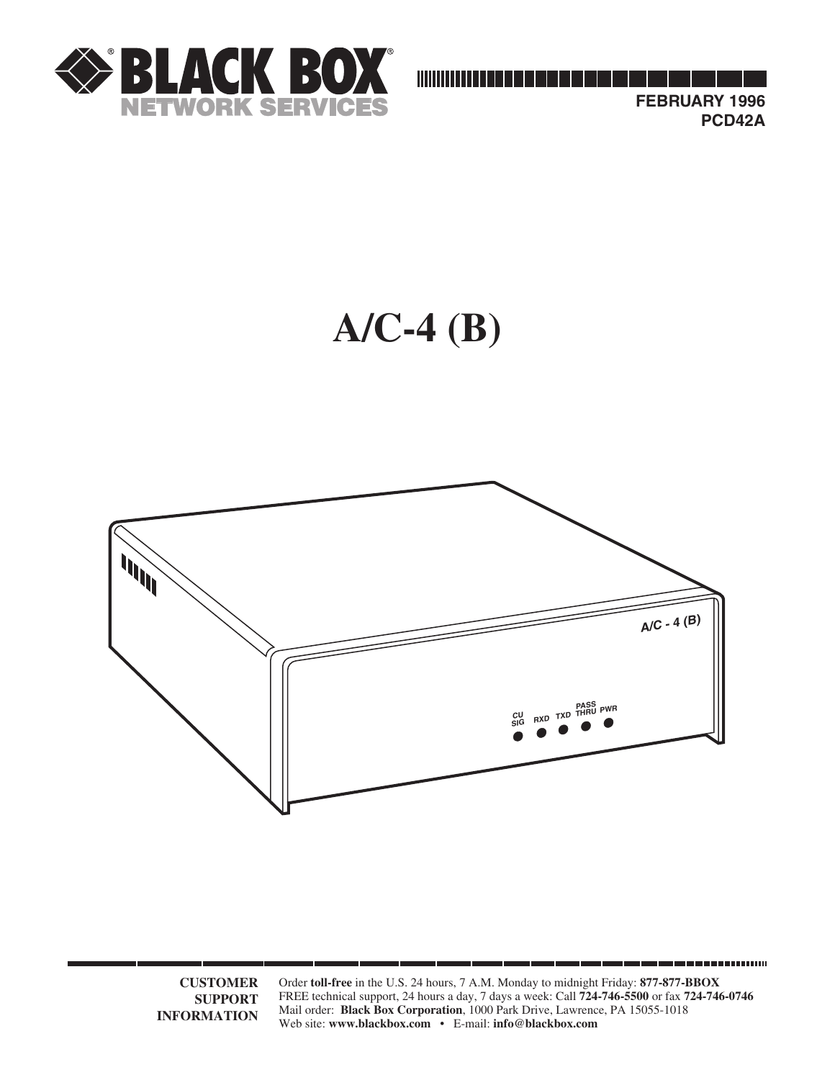





**CUSTOMER SUPPORT INFORMATION**

Order **toll-free** in the U.S. 24 hours, 7 A.M. Monday to midnight Friday: **877-877-BBOX** FREE technical support, 24 hours a day, 7 days a week: Call **724-746-5500** or fax **724-746-0746** Mail order: **Black Box Corporation**, 1000 Park Drive, Lawrence, PA 15055-1018 Web site: **www.blackbox.com** • E-mail: **info@blackbox.com**

-------------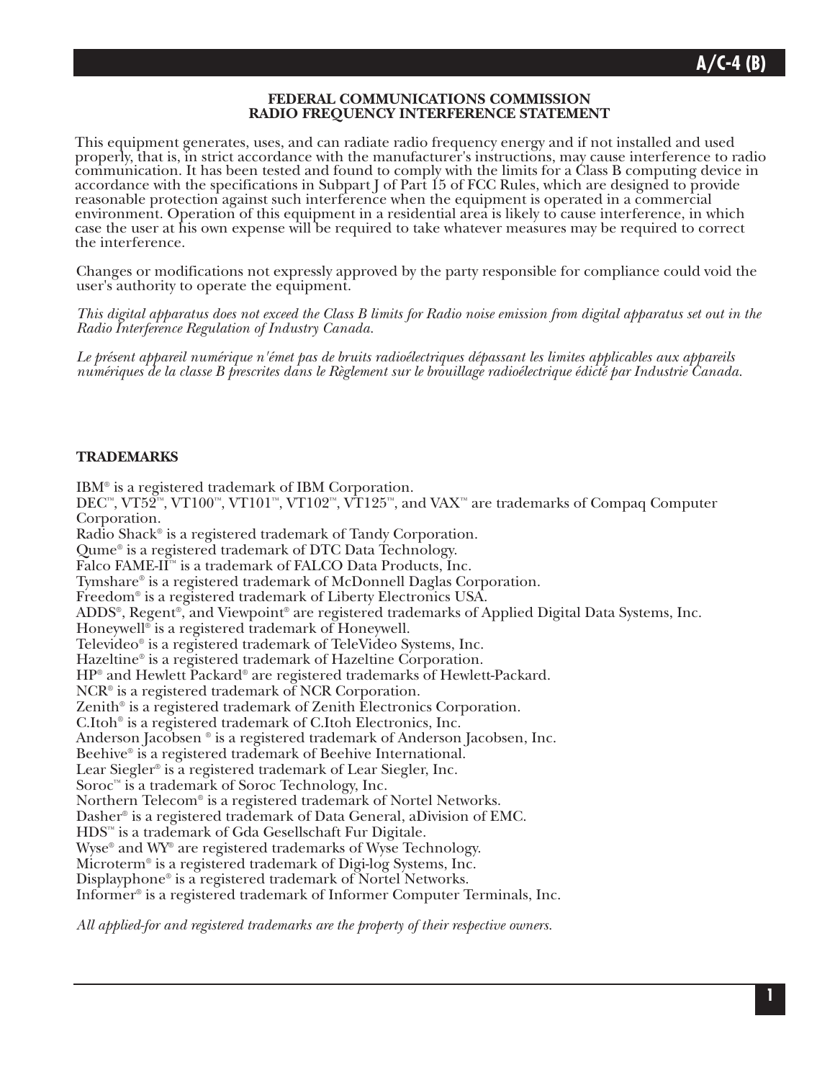#### **FEDERAL COMMUNICATIONS COMMISSION RADIO FREQUENCY INTERFERENCE STATEMENT**

This equipment generates, uses, and can radiate radio frequency energy and if not installed and used properly, that is, in strict accordance with the manufacturer's instructions, may cause interference to radio communication. It has been tested and found to comply with the limits for a Class B computing device in accordance with the specifications in Subpart J of Part 15 of FCC Rules, which are designed to provide reasonable protection against such interference when the equipment is operated in a commercial environment. Operation of this equipment in a residential area is likely to cause interference, in which case the user at his own expense will be required to take whatever measures may be required to correct the interference.

Changes or modifications not expressly approved by the party responsible for compliance could void the user's authority to operate the equipment.

*This digital apparatus does not exceed the Class B limits for Radio noise emission from digital apparatus set out in the Radio Interference Regulation of Industry Canada.*

*Le présent appareil numérique n'émet pas de bruits radioélectriques dépassant les limites applicables aux appareils numériques de la classe B prescrites dans le Règlement sur le brouillage radioélectrique édicté par Industrie Canada.*

#### **TRADEMARKS**

IBM® is a registered trademark of IBM Corporation. DEC™, VT52™, VT100™, VT101™, VT102™, VT125™, and VAX™ are trademarks of Compaq Computer Corporation. Radio Shack® is a registered trademark of Tandy Corporation. Qume® is a registered trademark of DTC Data Technology. Falco FAME-II™ is a trademark of FALCO Data Products, Inc. Tymshare® is a registered trademark of McDonnell Daglas Corporation. Freedom® is a registered trademark of Liberty Electronics USA. ADDS®, Regent®, and Viewpoint® are registered trademarks of Applied Digital Data Systems, Inc. Honeywell® is a registered trademark of Honeywell. Televideo® is a registered trademark of TeleVideo Systems, Inc. Hazeltine® is a registered trademark of Hazeltine Corporation. HP® and Hewlett Packard® are registered trademarks of Hewlett-Packard. NCR® is a registered trademark of NCR Corporation. Zenith® is a registered trademark of Zenith Electronics Corporation. C.Itoh® is a registered trademark of C.Itoh Electronics, Inc. Anderson Jacobsen ® is a registered trademark of Anderson Jacobsen, Inc. Beehive® is a registered trademark of Beehive International. Lear Siegler® is a registered trademark of Lear Siegler, Inc. Soroc™ is a trademark of Soroc Technology, Inc. Northern Telecom® is a registered trademark of Nortel Networks. Dasher® is a registered trademark of Data General, aDivision of EMC. HDS™ is a trademark of Gda Gesellschaft Fur Digitale. Wyse® and WY® are registered trademarks of Wyse Technology. Microterm® is a registered trademark of Digi-log Systems, Inc. Displayphone® is a registered trademark of Nortel Networks. Informer® is a registered trademark of Informer Computer Terminals, Inc.

*All applied-for and registered trademarks are the property of their respective owners.*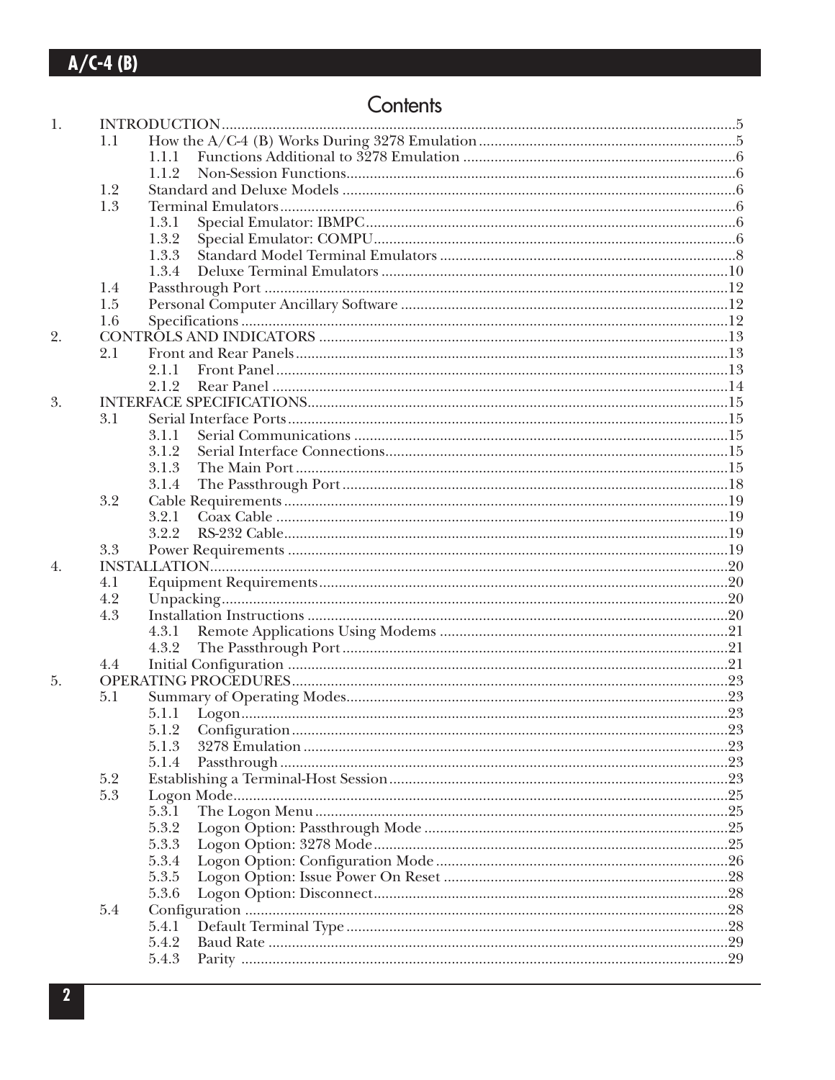## Contents

| 1. |     |       |  |  |  |  |  |
|----|-----|-------|--|--|--|--|--|
|    | 1.1 |       |  |  |  |  |  |
|    |     | 1.1.1 |  |  |  |  |  |
|    |     | 1.1.2 |  |  |  |  |  |
|    | 1.2 |       |  |  |  |  |  |
|    | 1.3 |       |  |  |  |  |  |
|    |     | 1.3.1 |  |  |  |  |  |
|    |     | 1.3.2 |  |  |  |  |  |
|    |     | 1.3.3 |  |  |  |  |  |
|    |     | 1.3.4 |  |  |  |  |  |
|    | 1.4 |       |  |  |  |  |  |
|    | 1.5 |       |  |  |  |  |  |
|    | 1.6 |       |  |  |  |  |  |
| 2. |     |       |  |  |  |  |  |
|    | 2.1 |       |  |  |  |  |  |
|    |     | 2.1.1 |  |  |  |  |  |
|    |     | 2.1.2 |  |  |  |  |  |
| 3. |     |       |  |  |  |  |  |
|    | 3.1 |       |  |  |  |  |  |
|    |     | 3.1.1 |  |  |  |  |  |
|    |     | 3.1.2 |  |  |  |  |  |
|    |     |       |  |  |  |  |  |
|    |     | 3.1.3 |  |  |  |  |  |
|    |     | 3.1.4 |  |  |  |  |  |
|    | 3.2 |       |  |  |  |  |  |
|    |     | 3.2.1 |  |  |  |  |  |
|    |     | 3.2.2 |  |  |  |  |  |
|    | 3.3 |       |  |  |  |  |  |
| 4. |     |       |  |  |  |  |  |
|    | 4.1 |       |  |  |  |  |  |
|    | 4.2 |       |  |  |  |  |  |
|    | 4.3 |       |  |  |  |  |  |
|    |     | 4.3.1 |  |  |  |  |  |
|    |     | 4.3.2 |  |  |  |  |  |
|    | 4.4 |       |  |  |  |  |  |
| 5. |     |       |  |  |  |  |  |
|    | 5.1 |       |  |  |  |  |  |
|    |     |       |  |  |  |  |  |
|    |     | 5.1.2 |  |  |  |  |  |
|    |     | 5.1.3 |  |  |  |  |  |
|    |     | 5.1.4 |  |  |  |  |  |
|    | 5.2 |       |  |  |  |  |  |
|    | 5.3 |       |  |  |  |  |  |
|    |     | 5.3.1 |  |  |  |  |  |
|    |     | 5.3.2 |  |  |  |  |  |
|    |     | 5.3.3 |  |  |  |  |  |
|    |     | 5.3.4 |  |  |  |  |  |
|    |     | 5.3.5 |  |  |  |  |  |
|    |     | 5.3.6 |  |  |  |  |  |
|    | 5.4 |       |  |  |  |  |  |
|    |     | 5.4.1 |  |  |  |  |  |
|    |     | 5.4.2 |  |  |  |  |  |
|    |     | 5.4.3 |  |  |  |  |  |
|    |     |       |  |  |  |  |  |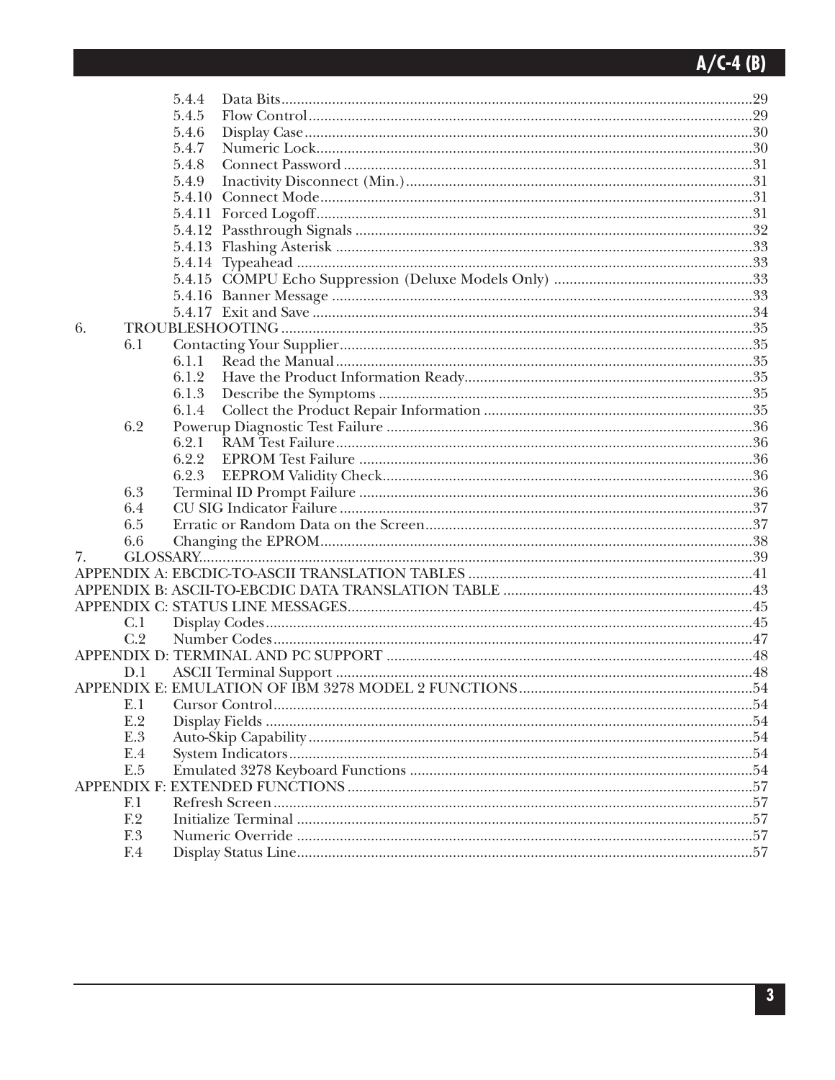|    |                | 5.4.4  |     |
|----|----------------|--------|-----|
|    |                | 5.4.5  |     |
|    |                | 5.4.6  |     |
|    |                | 5.4.7  |     |
|    |                | 5.4.8  |     |
|    |                | 5.4.9  |     |
|    |                | 5.4.10 |     |
|    |                |        |     |
|    |                |        |     |
|    |                |        |     |
|    |                |        |     |
|    |                |        |     |
|    |                |        |     |
|    |                |        |     |
| 6. |                |        |     |
|    | 6.1            |        |     |
|    |                | 6.1.1  |     |
|    |                | 6.1.2  |     |
|    |                | 6.1.3  |     |
|    |                | 6.1.4  |     |
|    | 6.2            |        |     |
|    |                | 6.2.1  |     |
|    |                | 6.2.2  |     |
|    |                | 6.2.3  |     |
|    | 6.3            |        |     |
|    | 6.4            |        |     |
|    | 6.5            |        |     |
|    | 6.6            |        |     |
| 7. |                |        |     |
|    |                |        |     |
|    |                |        |     |
|    |                |        |     |
|    | C.1            |        |     |
|    | C.2            |        |     |
|    |                |        |     |
|    | D.1            |        |     |
|    |                |        |     |
|    | E.I            |        |     |
|    | E.2            |        | 54  |
|    | E.3            |        | .54 |
|    | E.4            |        | .54 |
|    | E.5            |        | 54  |
|    |                |        | .57 |
|    | F <sub>1</sub> |        | .57 |
|    | F.2            |        |     |
|    | F.3            |        |     |
|    | F.4            |        | .57 |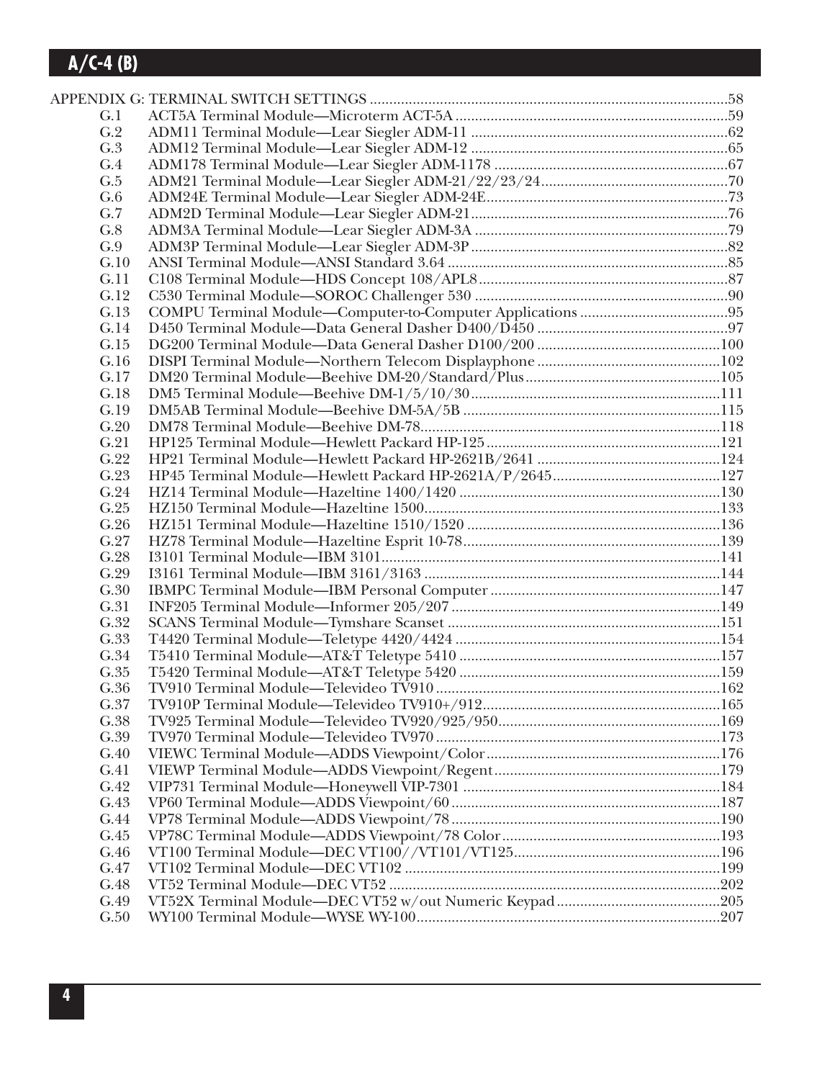| G.1  |  |
|------|--|
| G.2  |  |
| G.3  |  |
| G.4  |  |
| G.5  |  |
| G.6  |  |
| G.7  |  |
| G.8  |  |
| G.9  |  |
| G.10 |  |
| G.11 |  |
| G.12 |  |
| G.13 |  |
| G.14 |  |
| G.15 |  |
| G.16 |  |
| G.17 |  |
| G.18 |  |
| G.19 |  |
| G.20 |  |
| G.21 |  |
| G.22 |  |
| G.23 |  |
| G.24 |  |
| G.25 |  |
| G.26 |  |
| G.27 |  |
| G.28 |  |
| G.29 |  |
| G.30 |  |
| G.31 |  |
| G.32 |  |
| G.33 |  |
| G.34 |  |
| G.35 |  |
| G.36 |  |
| G.37 |  |
| G.38 |  |
| G.39 |  |
| G.40 |  |
| G.41 |  |
| G.42 |  |
| G.43 |  |
| G.44 |  |
| G.45 |  |
| G.46 |  |
| G.47 |  |
| G.48 |  |
| G.49 |  |
| G.50 |  |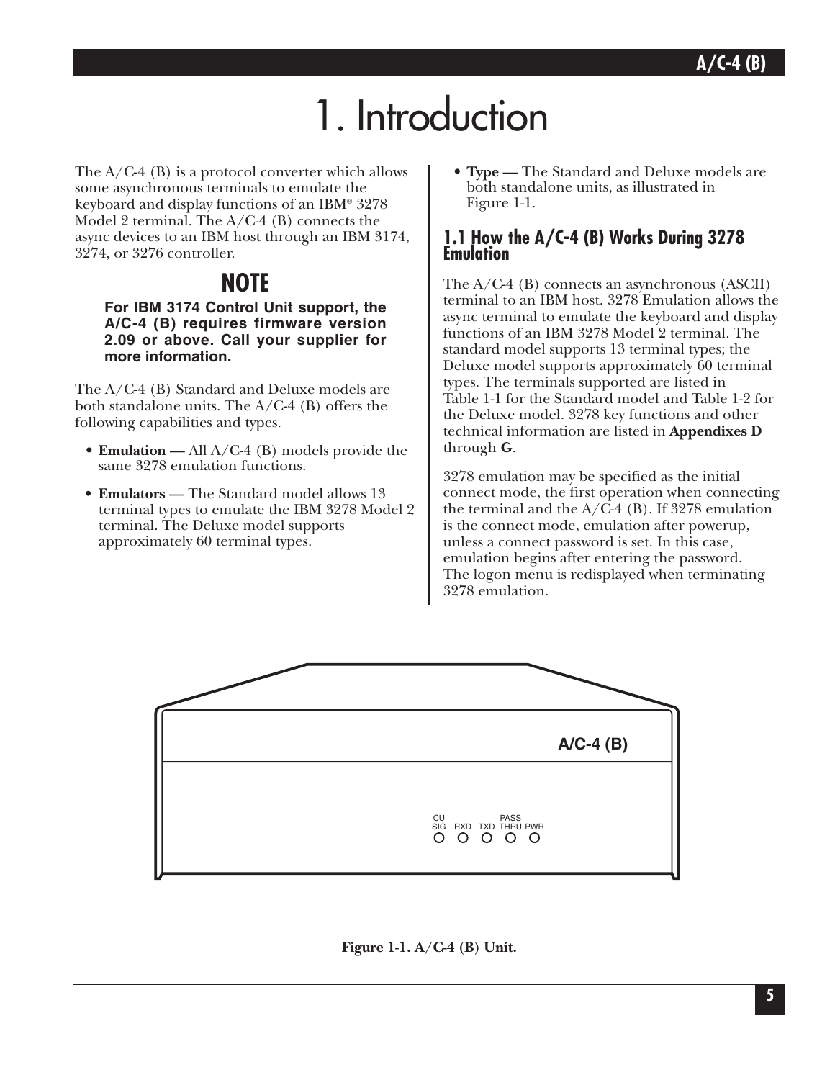# 1. Introduction

The  $A/C-4$  (B) is a protocol converter which allows some asynchronous terminals to emulate the keyboard and display functions of an IBM® 3278 Model 2 terminal. The A/C-4 (B) connects the async devices to an IBM host through an IBM 3174, 3274, or 3276 controller.

## **NOTE**

**For IBM 3174 Control Unit support, the A/C-4 (B) requires firmware version 2.09 or above. Call your supplier for more information.**

The A/C-4 (B) Standard and Deluxe models are both standalone units. The A/C-4 (B) offers the following capabilities and types.

- **Emulation —** All A/C-4 (B) models provide the same 3278 emulation functions.
- **Emulators** The Standard model allows 13 terminal types to emulate the IBM 3278 Model 2 terminal. The Deluxe model supports approximately 60 terminal types.

• **Type —** The Standard and Deluxe models are both standalone units, as illustrated in Figure 1-1.

### **1.1 How the A/C-4 (B) Works During 3278 Emulation**

The A/C-4 (B) connects an asynchronous (ASCII) terminal to an IBM host. 3278 Emulation allows the async terminal to emulate the keyboard and display functions of an IBM 3278 Model 2 terminal. The standard model supports 13 terminal types; the Deluxe model supports approximately 60 terminal types. The terminals supported are listed in Table 1-1 for the Standard model and Table 1-2 for the Deluxe model. 3278 key functions and other technical information are listed in **Appendixes D** through **G**.

3278 emulation may be specified as the initial connect mode, the first operation when connecting the terminal and the  $A/\overline{C}$ -4 (B). If 3278 emulation is the connect mode, emulation after powerup, unless a connect password is set. In this case, emulation begins after entering the password. The logon menu is redisplayed when terminating 3278 emulation.



**Figure 1-1. A/C-4 (B) Unit.**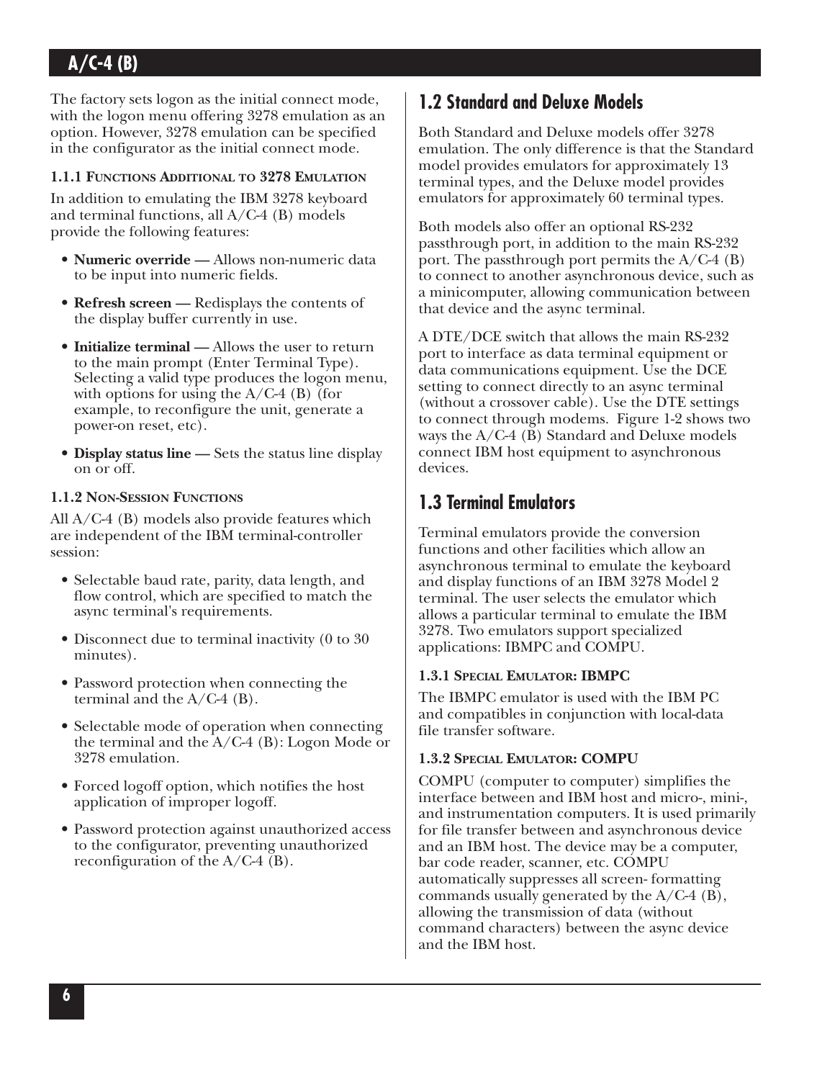The factory sets logon as the initial connect mode, with the logon menu offering 3278 emulation as an option. However, 3278 emulation can be specified in the configurator as the initial connect mode.

#### **1.1.1 FUNCTIONS ADDITIONAL TO 3278 EMULATION**

In addition to emulating the IBM 3278 keyboard and terminal functions, all A/C-4 (B) models provide the following features:

- **Numeric override** Allows non-numeric data to be input into numeric fields.
- **Refresh screen —** Redisplays the contents of the display buffer currently in use.
- **Initialize terminal —** Allows the user to return to the main prompt (Enter Terminal Type). Selecting a valid type produces the logon menu, with options for using the  $A/C-4$  (B) (for example, to reconfigure the unit, generate a power-on reset, etc).
- **Display status line —** Sets the status line display on or off.

#### **1.1.2 NON-SESSION FUNCTIONS**

All A/C-4 (B) models also provide features which are independent of the IBM terminal-controller session:

- Selectable baud rate, parity, data length, and flow control, which are specified to match the async terminal's requirements.
- Disconnect due to terminal inactivity (0 to 30) minutes).
- Password protection when connecting the terminal and the  $A/C-4$  (B).
- Selectable mode of operation when connecting the terminal and the  $A/C-4$  (B): Logon Mode or 3278 emulation.
- Forced logoff option, which notifies the host application of improper logoff.
- Password protection against unauthorized access to the configurator, preventing unauthorized reconfiguration of the A/C-4 (B).

## **1.2 Standard and Deluxe Models**

Both Standard and Deluxe models offer 3278 emulation. The only difference is that the Standard model provides emulators for approximately 13 terminal types, and the Deluxe model provides emulators for approximately 60 terminal types.

Both models also offer an optional RS-232 passthrough port, in addition to the main RS-232 port. The passthrough port permits the  $A/C-4$  (B) to connect to another asynchronous device, such as a minicomputer, allowing communication between that device and the async terminal.

A DTE/DCE switch that allows the main RS-232 port to interface as data terminal equipment or data communications equipment. Use the DCE setting to connect directly to an async terminal (without a crossover cable). Use the DTE settings to connect through modems. Figure 1-2 shows two ways the A/C-4 (B) Standard and Deluxe models connect IBM host equipment to asynchronous devices.

## **1.3 Terminal Emulators**

Terminal emulators provide the conversion functions and other facilities which allow an asynchronous terminal to emulate the keyboard and display functions of an IBM 3278 Model 2 terminal. The user selects the emulator which allows a particular terminal to emulate the IBM 3278. Two emulators support specialized applications: IBMPC and COMPU.

#### **1.3.1 SPECIAL EMULATOR: IBMPC**

The IBMPC emulator is used with the IBM PC and compatibles in conjunction with local-data file transfer software.

#### **1.3.2 SPECIAL EMULATOR: COMPU**

COMPU (computer to computer) simplifies the interface between and IBM host and micro-, mini-, and instrumentation computers. It is used primarily for file transfer between and asynchronous device and an IBM host. The device may be a computer, bar code reader, scanner, etc. COMPU automatically suppresses all screen- formatting commands usually generated by the A/C-4 (B), allowing the transmission of data (without command characters) between the async device and the IBM host.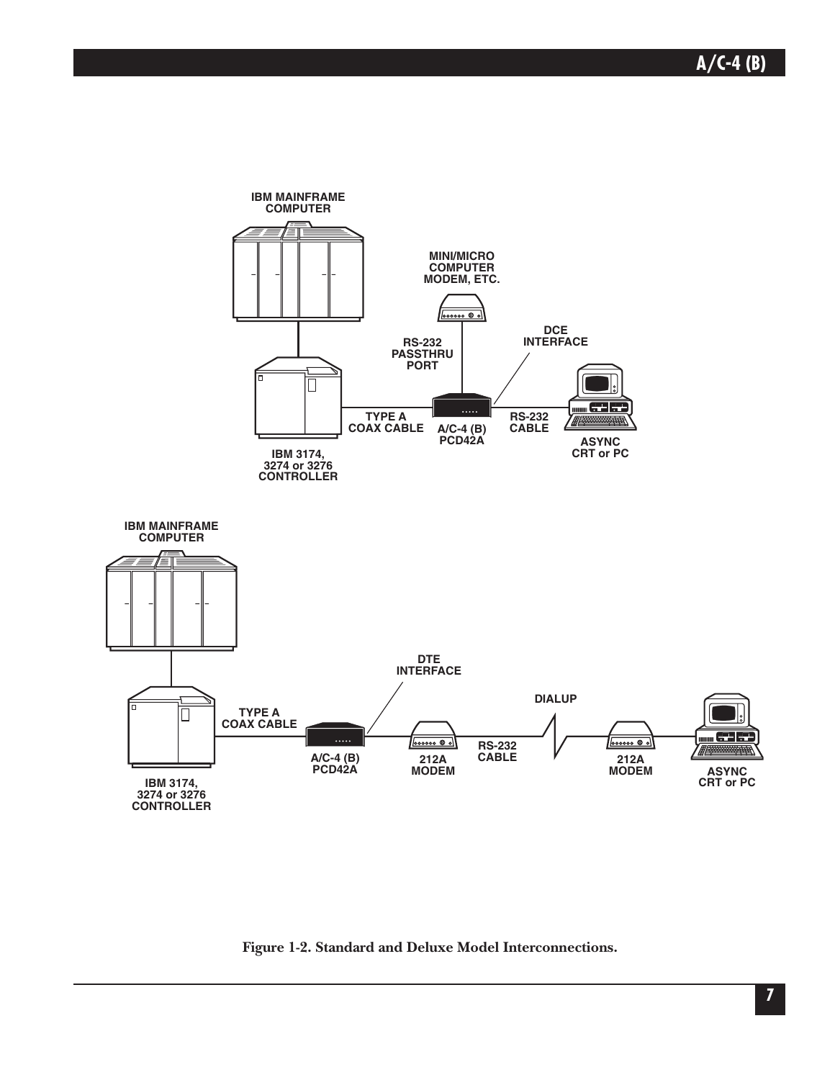

**Figure 1-2. Standard and Deluxe Model Interconnections.**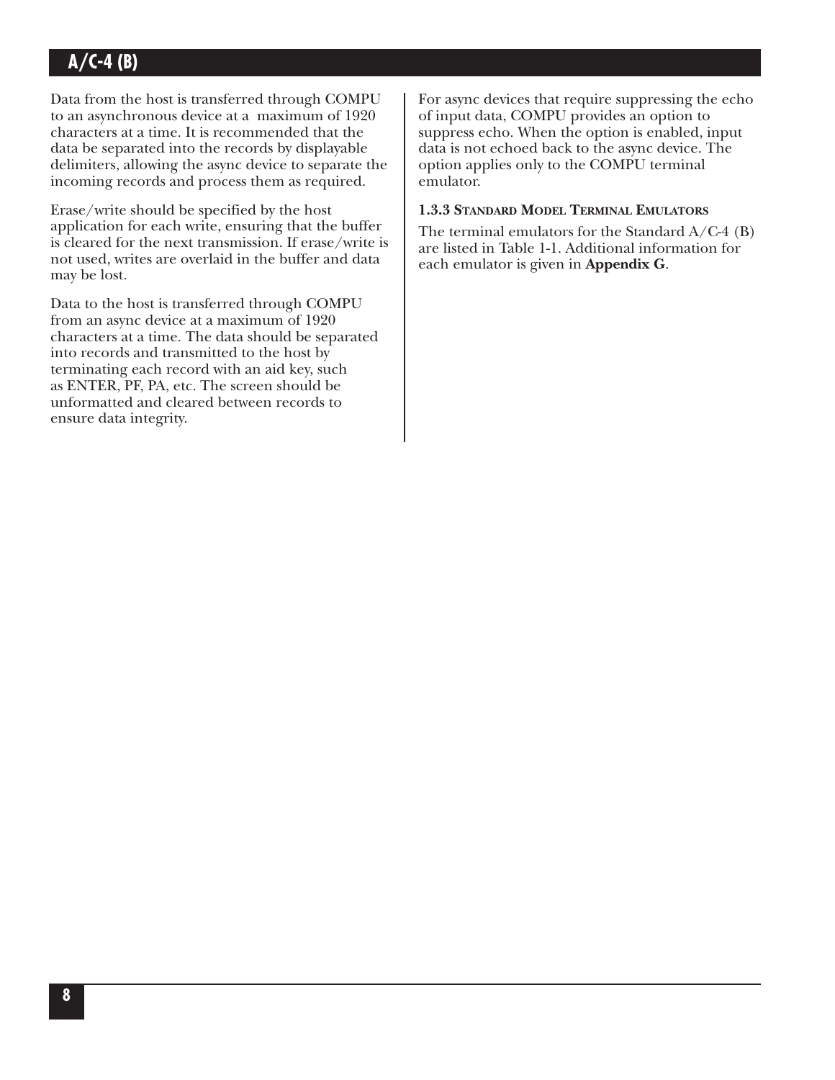Data from the host is transferred through COMPU to an asynchronous device at a maximum of 1920 characters at a time. It is recommended that the data be separated into the records by displayable delimiters, allowing the async device to separate the incoming records and process them as required.

Erase/write should be specified by the host application for each write, ensuring that the buffer is cleared for the next transmission. If erase/write is not used, writes are overlaid in the buffer and data may be lost.

Data to the host is transferred through COMPU from an async device at a maximum of 1920 characters at a time. The data should be separated into records and transmitted to the host by terminating each record with an aid key, such as ENTER, PF, PA, etc. The screen should be unformatted and cleared between records to ensure data integrity.

For async devices that require suppressing the echo of input data, COMPU provides an option to suppress echo. When the option is enabled, input data is not echoed back to the async device. The option applies only to the COMPU terminal emulator.

#### **1.3.3 STANDARD MODEL TERMINAL EMULATORS**

The terminal emulators for the Standard  $A/C-4$  (B) are listed in Table 1-1. Additional information for each emulator is given in **Appendix G**.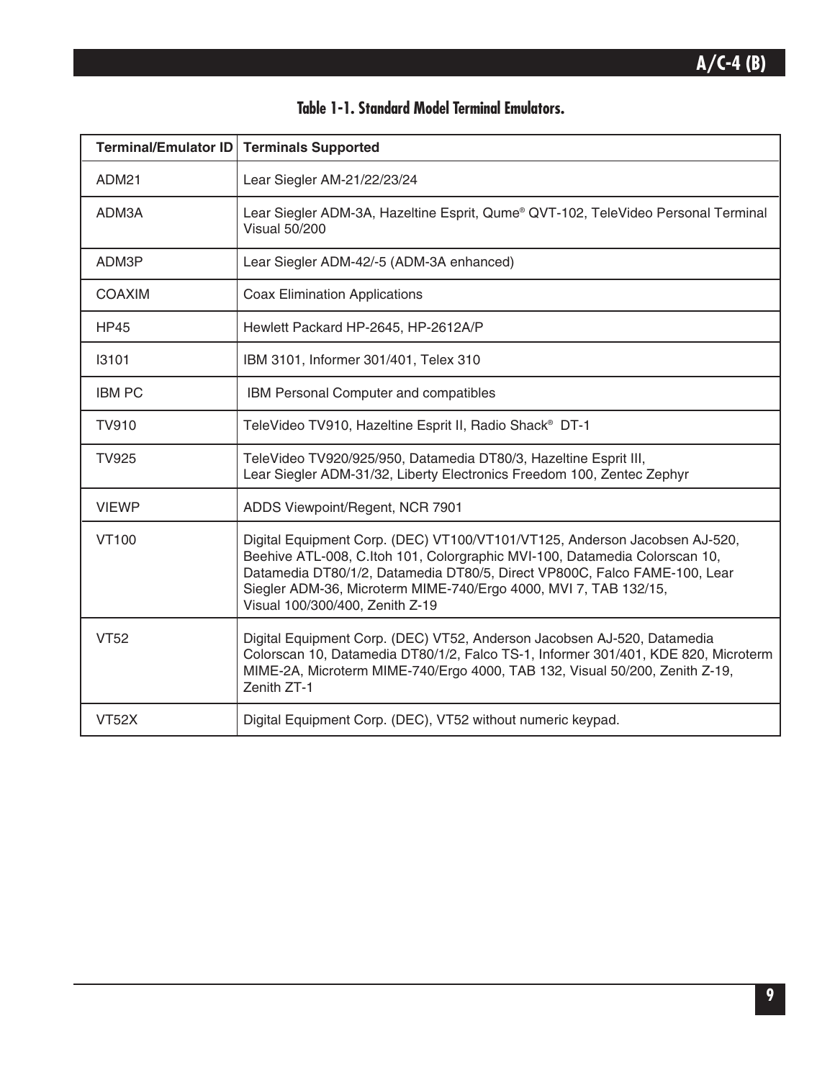| Terminal/Emulator ID | <b>Terminals Supported</b>                                                                                                                                                                                                                                                                                                                   |
|----------------------|----------------------------------------------------------------------------------------------------------------------------------------------------------------------------------------------------------------------------------------------------------------------------------------------------------------------------------------------|
| ADM21                | Lear Siegler AM-21/22/23/24                                                                                                                                                                                                                                                                                                                  |
| ADM3A                | Lear Siegler ADM-3A, Hazeltine Esprit, Qume® QVT-102, TeleVideo Personal Terminal<br><b>Visual 50/200</b>                                                                                                                                                                                                                                    |
| ADM3P                | Lear Siegler ADM-42/-5 (ADM-3A enhanced)                                                                                                                                                                                                                                                                                                     |
| <b>COAXIM</b>        | <b>Coax Elimination Applications</b>                                                                                                                                                                                                                                                                                                         |
| <b>HP45</b>          | Hewlett Packard HP-2645, HP-2612A/P                                                                                                                                                                                                                                                                                                          |
| 13101                | IBM 3101, Informer 301/401, Telex 310                                                                                                                                                                                                                                                                                                        |
| <b>IBM PC</b>        | IBM Personal Computer and compatibles                                                                                                                                                                                                                                                                                                        |
| <b>TV910</b>         | TeleVideo TV910, Hazeltine Esprit II, Radio Shack <sup>®</sup> DT-1                                                                                                                                                                                                                                                                          |
| <b>TV925</b>         | TeleVideo TV920/925/950, Datamedia DT80/3, Hazeltine Esprit III,<br>Lear Siegler ADM-31/32, Liberty Electronics Freedom 100, Zentec Zephyr                                                                                                                                                                                                   |
| <b>VIEWP</b>         | ADDS Viewpoint/Regent, NCR 7901                                                                                                                                                                                                                                                                                                              |
| <b>VT100</b>         | Digital Equipment Corp. (DEC) VT100/VT101/VT125, Anderson Jacobsen AJ-520,<br>Beehive ATL-008, C.Itoh 101, Colorgraphic MVI-100, Datamedia Colorscan 10,<br>Datamedia DT80/1/2, Datamedia DT80/5, Direct VP800C, Falco FAME-100, Lear<br>Siegler ADM-36, Microterm MIME-740/Ergo 4000, MVI 7, TAB 132/15,<br>Visual 100/300/400, Zenith Z-19 |
| <b>VT52</b>          | Digital Equipment Corp. (DEC) VT52, Anderson Jacobsen AJ-520, Datamedia<br>Colorscan 10, Datamedia DT80/1/2, Falco TS-1, Informer 301/401, KDE 820, Microterm<br>MIME-2A, Microterm MIME-740/Ergo 4000, TAB 132, Visual 50/200, Zenith Z-19,<br>Zenith ZT-1                                                                                  |
| <b>VT52X</b>         | Digital Equipment Corp. (DEC), VT52 without numeric keypad.                                                                                                                                                                                                                                                                                  |

## **Table 1-1. Standard Model Terminal Emulators.**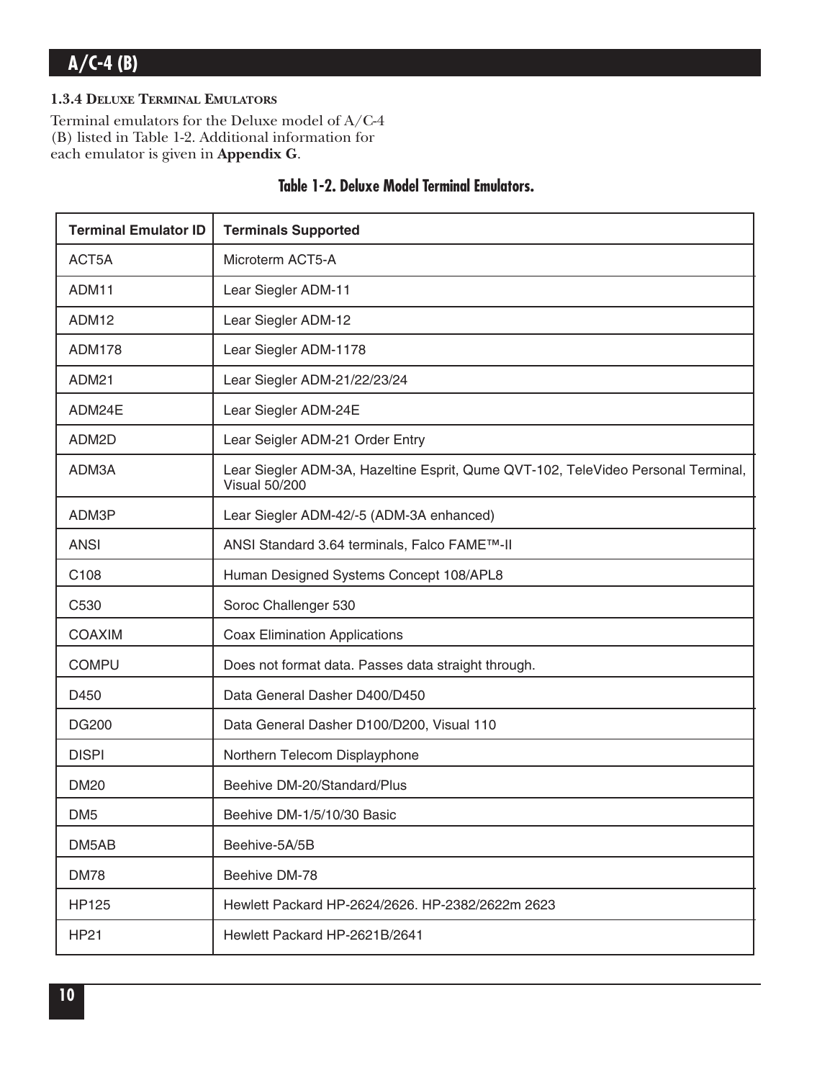#### **1.3.4 DELUXE TERMINAL EMULATORS**

Terminal emulators for the Deluxe model of A/C-4 (B) listed in Table 1-2. Additional information for each emulator is given in **Appendix G**.

| <b>Terminal Emulator ID</b> | <b>Terminals Supported</b>                                                                                |
|-----------------------------|-----------------------------------------------------------------------------------------------------------|
| ACT5A                       | Microterm ACT5-A                                                                                          |
| ADM11                       | Lear Siegler ADM-11                                                                                       |
| ADM12                       | Lear Siegler ADM-12                                                                                       |
| <b>ADM178</b>               | Lear Siegler ADM-1178                                                                                     |
| <b>ADM21</b>                | Lear Siegler ADM-21/22/23/24                                                                              |
| ADM24E                      | Lear Siegler ADM-24E                                                                                      |
| ADM2D                       | Lear Seigler ADM-21 Order Entry                                                                           |
| ADM3A                       | Lear Siegler ADM-3A, Hazeltine Esprit, Qume QVT-102, TeleVideo Personal Terminal,<br><b>Visual 50/200</b> |
| ADM3P                       | Lear Siegler ADM-42/-5 (ADM-3A enhanced)                                                                  |
| <b>ANSI</b>                 | ANSI Standard 3.64 terminals, Falco FAME™-II                                                              |
| C <sub>108</sub>            | Human Designed Systems Concept 108/APL8                                                                   |
| C530                        | Soroc Challenger 530                                                                                      |
| <b>COAXIM</b>               | <b>Coax Elimination Applications</b>                                                                      |
| <b>COMPU</b>                | Does not format data. Passes data straight through.                                                       |
| D450                        | Data General Dasher D400/D450                                                                             |
| <b>DG200</b>                | Data General Dasher D100/D200, Visual 110                                                                 |
| <b>DISPI</b>                | Northern Telecom Displayphone                                                                             |
| <b>DM20</b>                 | Beehive DM-20/Standard/Plus                                                                               |
| DM <sub>5</sub>             | Beehive DM-1/5/10/30 Basic                                                                                |
| DM5AB                       | Beehive-5A/5B                                                                                             |
| <b>DM78</b>                 | Beehive DM-78                                                                                             |
| <b>HP125</b>                | Hewlett Packard HP-2624/2626. HP-2382/2622m 2623                                                          |
| <b>HP21</b>                 | Hewlett Packard HP-2621B/2641                                                                             |

### **Table 1-2. Deluxe Model Terminal Emulators.**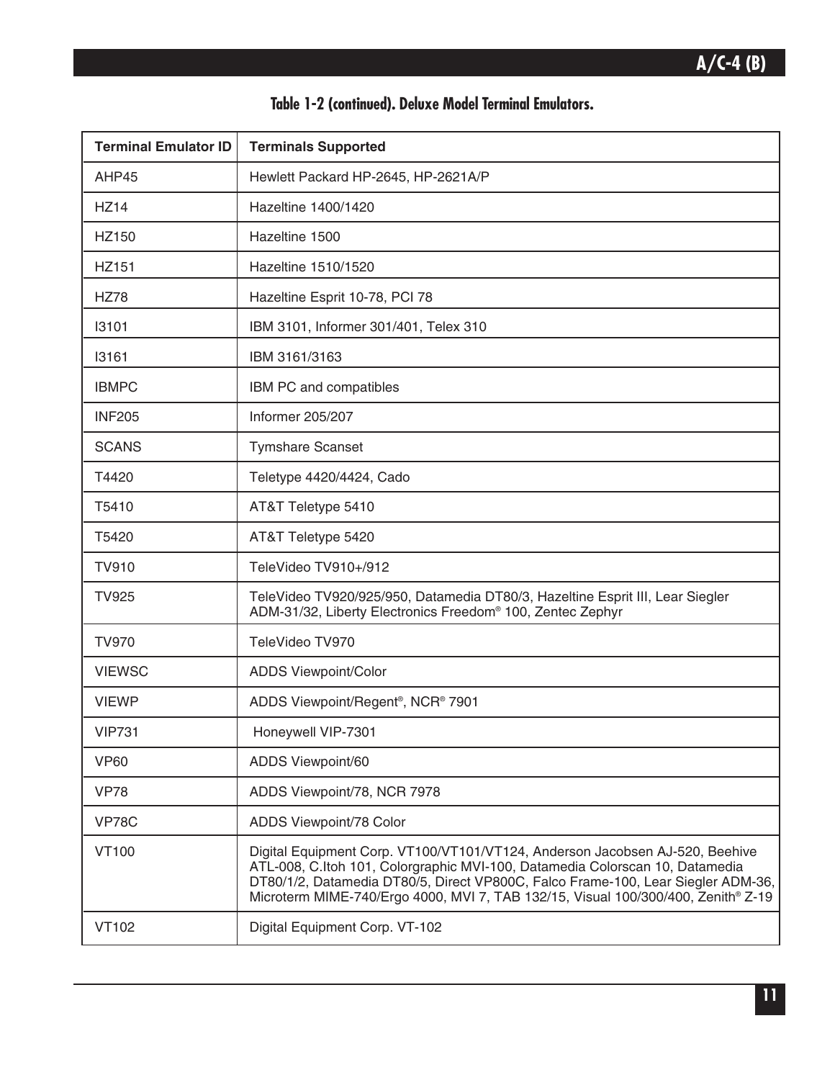| Table 1-2 (continued). Deluxe Model Terminal Emulators. |  |  |  |  |
|---------------------------------------------------------|--|--|--|--|
|---------------------------------------------------------|--|--|--|--|

| <b>Terminal Emulator ID</b>                                                                                                                                 | <b>Terminals Supported</b>                                                                                                                                                                                                                                                                                                            |  |  |  |
|-------------------------------------------------------------------------------------------------------------------------------------------------------------|---------------------------------------------------------------------------------------------------------------------------------------------------------------------------------------------------------------------------------------------------------------------------------------------------------------------------------------|--|--|--|
| AHP45                                                                                                                                                       | Hewlett Packard HP-2645, HP-2621A/P                                                                                                                                                                                                                                                                                                   |  |  |  |
| <b>HZ14</b>                                                                                                                                                 | Hazeltine 1400/1420                                                                                                                                                                                                                                                                                                                   |  |  |  |
| HZ150                                                                                                                                                       | Hazeltine 1500                                                                                                                                                                                                                                                                                                                        |  |  |  |
| HZ151                                                                                                                                                       | Hazeltine 1510/1520                                                                                                                                                                                                                                                                                                                   |  |  |  |
| <b>HZ78</b>                                                                                                                                                 | Hazeltine Esprit 10-78, PCI 78                                                                                                                                                                                                                                                                                                        |  |  |  |
| 13101                                                                                                                                                       | IBM 3101, Informer 301/401, Telex 310                                                                                                                                                                                                                                                                                                 |  |  |  |
| 13161                                                                                                                                                       | IBM 3161/3163                                                                                                                                                                                                                                                                                                                         |  |  |  |
| <b>IBMPC</b>                                                                                                                                                | IBM PC and compatibles                                                                                                                                                                                                                                                                                                                |  |  |  |
| <b>INF205</b>                                                                                                                                               | Informer 205/207                                                                                                                                                                                                                                                                                                                      |  |  |  |
| <b>SCANS</b>                                                                                                                                                | <b>Tymshare Scanset</b>                                                                                                                                                                                                                                                                                                               |  |  |  |
| T4420                                                                                                                                                       | Teletype 4420/4424, Cado                                                                                                                                                                                                                                                                                                              |  |  |  |
| T5410                                                                                                                                                       | AT&T Teletype 5410                                                                                                                                                                                                                                                                                                                    |  |  |  |
| T5420                                                                                                                                                       | AT&T Teletype 5420                                                                                                                                                                                                                                                                                                                    |  |  |  |
| <b>TV910</b>                                                                                                                                                | TeleVideo TV910+/912                                                                                                                                                                                                                                                                                                                  |  |  |  |
| <b>TV925</b><br>TeleVideo TV920/925/950, Datamedia DT80/3, Hazeltine Esprit III, Lear Siegler<br>ADM-31/32, Liberty Electronics Freedom® 100, Zentec Zephyr |                                                                                                                                                                                                                                                                                                                                       |  |  |  |
| <b>TV970</b>                                                                                                                                                | TeleVideo TV970                                                                                                                                                                                                                                                                                                                       |  |  |  |
| <b>VIEWSC</b>                                                                                                                                               | <b>ADDS Viewpoint/Color</b>                                                                                                                                                                                                                                                                                                           |  |  |  |
| <b>VIEWP</b>                                                                                                                                                | ADDS Viewpoint/Regent <sup>®</sup> , NCR <sup>®</sup> 7901                                                                                                                                                                                                                                                                            |  |  |  |
| <b>VIP731</b>                                                                                                                                               | Honeywell VIP-7301                                                                                                                                                                                                                                                                                                                    |  |  |  |
| <b>VP60</b>                                                                                                                                                 | ADDS Viewpoint/60                                                                                                                                                                                                                                                                                                                     |  |  |  |
| <b>VP78</b>                                                                                                                                                 | ADDS Viewpoint/78, NCR 7978                                                                                                                                                                                                                                                                                                           |  |  |  |
| VP78C                                                                                                                                                       | ADDS Viewpoint/78 Color                                                                                                                                                                                                                                                                                                               |  |  |  |
| <b>VT100</b>                                                                                                                                                | Digital Equipment Corp. VT100/VT101/VT124, Anderson Jacobsen AJ-520, Beehive<br>ATL-008, C.Itoh 101, Colorgraphic MVI-100, Datamedia Colorscan 10, Datamedia<br>DT80/1/2, Datamedia DT80/5, Direct VP800C, Falco Frame-100, Lear Siegler ADM-36,<br>Microterm MIME-740/Ergo 4000, MVI 7, TAB 132/15, Visual 100/300/400, Zenith® Z-19 |  |  |  |
| VT102                                                                                                                                                       | Digital Equipment Corp. VT-102                                                                                                                                                                                                                                                                                                        |  |  |  |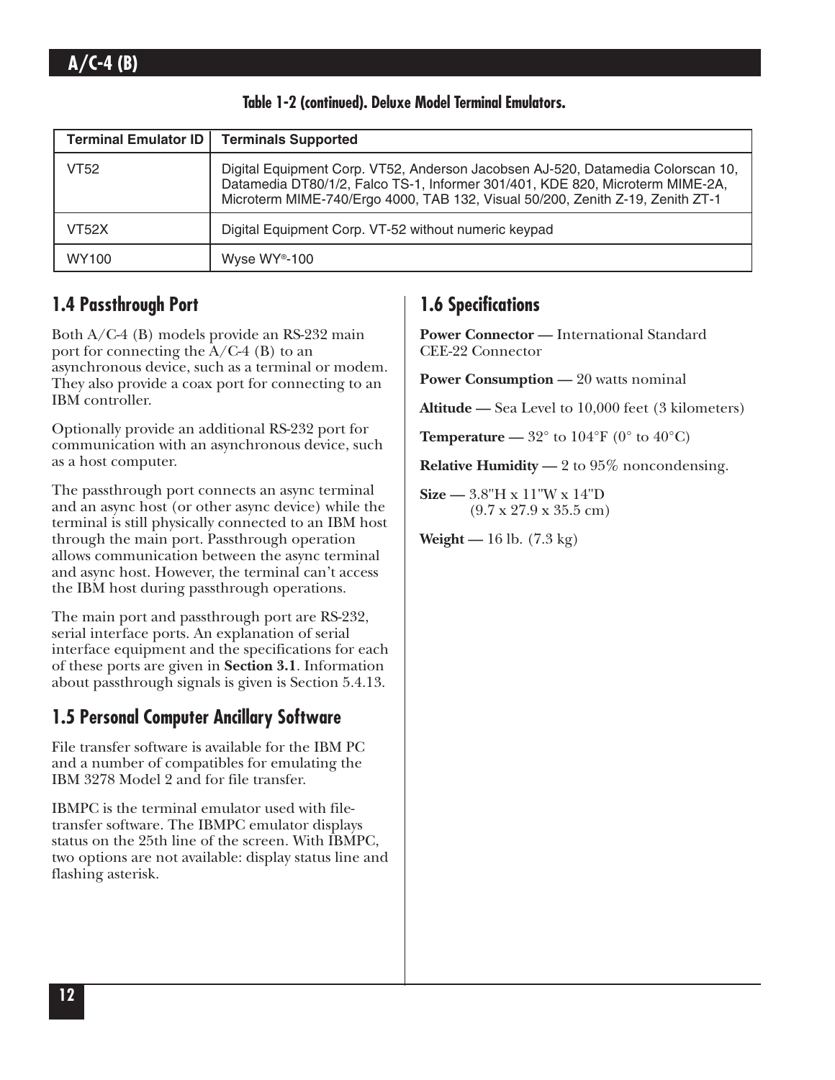| <b>Terminal Emulator ID</b> | <b>Terminals Supported</b>                                                                                                                                                                                                                         |
|-----------------------------|----------------------------------------------------------------------------------------------------------------------------------------------------------------------------------------------------------------------------------------------------|
| <b>VT52</b>                 | Digital Equipment Corp. VT52, Anderson Jacobsen AJ-520, Datamedia Colorscan 10,<br>Datamedia DT80/1/2, Falco TS-1, Informer 301/401, KDE 820, Microterm MIME-2A,<br>Microterm MIME-740/Ergo 4000, TAB 132, Visual 50/200, Zenith Z-19, Zenith ZT-1 |
| <b>VT52X</b>                | Digital Equipment Corp. VT-52 without numeric keypad                                                                                                                                                                                               |
| WY100                       | Wyse WY <sup>®</sup> -100                                                                                                                                                                                                                          |

**Table 1-2 (continued). Deluxe Model Terminal Emulators.**

## **1.4 Passthrough Port**

Both A/C-4 (B) models provide an RS-232 main port for connecting the A/C-4 (B) to an asynchronous device, such as a terminal or modem. They also provide a coax port for connecting to an IBM controller.

Optionally provide an additional RS-232 port for communication with an asynchronous device, such as a host computer.

The passthrough port connects an async terminal and an async host (or other async device) while the terminal is still physically connected to an IBM host through the main port. Passthrough operation allows communication between the async terminal and async host. However, the terminal can't access the IBM host during passthrough operations.

The main port and passthrough port are RS-232, serial interface ports. An explanation of serial interface equipment and the specifications for each of these ports are given in **Section 3.1**. Information about passthrough signals is given is Section 5.4.13.

## **1.5 Personal Computer Ancillary Software**

File transfer software is available for the IBM PC and a number of compatibles for emulating the IBM 3278 Model 2 and for file transfer.

IBMPC is the terminal emulator used with filetransfer software. The IBMPC emulator displays status on the 25th line of the screen. With IBMPC, two options are not available: display status line and flashing asterisk.

## **1.6 Specifications**

**Power Connector —** International Standard CEE-22 Connector

**Power Consumption —** 20 watts nominal

**Altitude —** Sea Level to 10,000 feet (3 kilometers)

**Temperature** —  $32^\circ$  to  $104^\circ$ F (0° to  $40^\circ$ C)

**Relative Humidity —** 2 to 95% noncondensing.

**Size —** 3.8"H x 11"W x 14"D (9.7 x 27.9 x 35.5 cm)

**Weight —** 16 lb. (7.3 kg)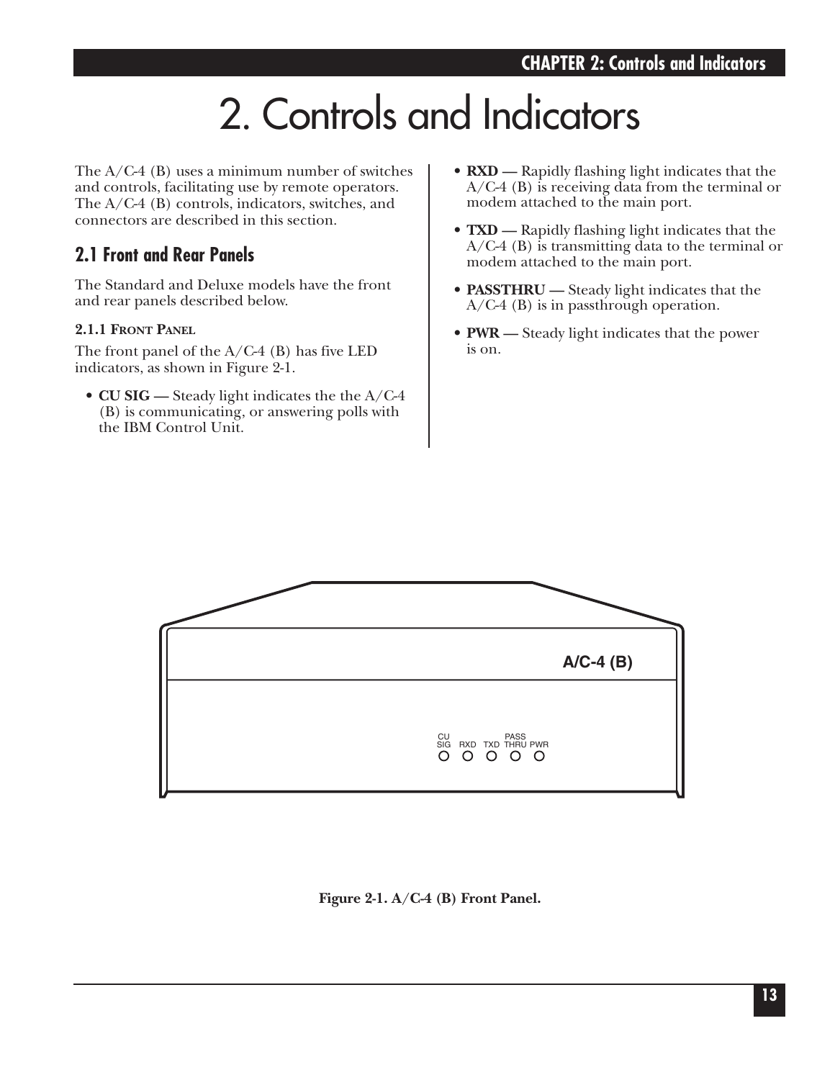# 2. Controls and Indicators

The  $A/C-4$  (B) uses a minimum number of switches and controls, facilitating use by remote operators. The A/C-4 (B) controls, indicators, switches, and connectors are described in this section.

## **2.1 Front and Rear Panels**

The Standard and Deluxe models have the front and rear panels described below.

#### **2.1.1 FRONT PANEL**

The front panel of the A/C-4 (B) has five LED indicators, as shown in Figure 2-1.

• **CU SIG —** Steady light indicates the the A/C-4 (B) is communicating, or answering polls with the IBM Control Unit.

- **RXD —** Rapidly flashing light indicates that the A/C-4 (B) is receiving data from the terminal or modem attached to the main port.
- **TXD —** Rapidly flashing light indicates that the A/C-4 (B) is transmitting data to the terminal or modem attached to the main port.
- **PASSTHRU —** Steady light indicates that the A/C-4 (B) is in passthrough operation.
- **PWR —** Steady light indicates that the power is on.



#### **Figure 2-1. A/C-4 (B) Front Panel.**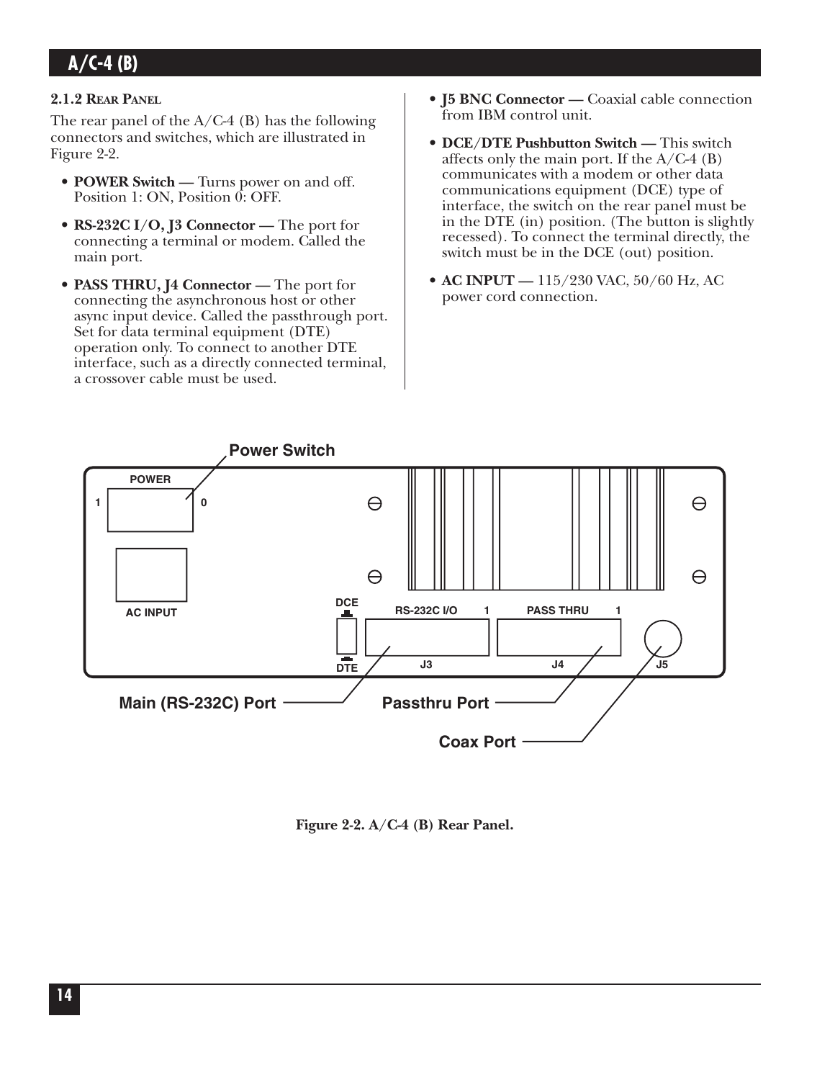#### **2.1.2 REAR PANEL**

The rear panel of the  $A/C-4$  (B) has the following connectors and switches, which are illustrated in Figure 2-2.

- **POWER Switch —** Turns power on and off. Position 1: ON, Position 0: OFF.
- **RS-232C I/O, J3 Connector —** The port for connecting a terminal or modem. Called the main port.
- **PASS THRU, J4 Connector —** The port for connecting the asynchronous host or other async input device. Called the passthrough port. Set for data terminal equipment (DTE) operation only. To connect to another DTE interface, such as a directly connected terminal, a crossover cable must be used.
- **J5 BNC Connector** Coaxial cable connection from IBM control unit.
- **DCE/DTE Pushbutton Switch —** This switch affects only the main port. If the  $A/C-4$  (B) communicates with a modem or other data communications equipment (DCE) type of interface, the switch on the rear panel must be in the DTE (in) position. (The button is slightly recessed). To connect the terminal directly, the switch must be in the DCE (out) position.
- **AC INPUT** 115/230 VAC, 50/60 Hz, AC power cord connection.



**Figure 2-2. A/C-4 (B) Rear Panel.**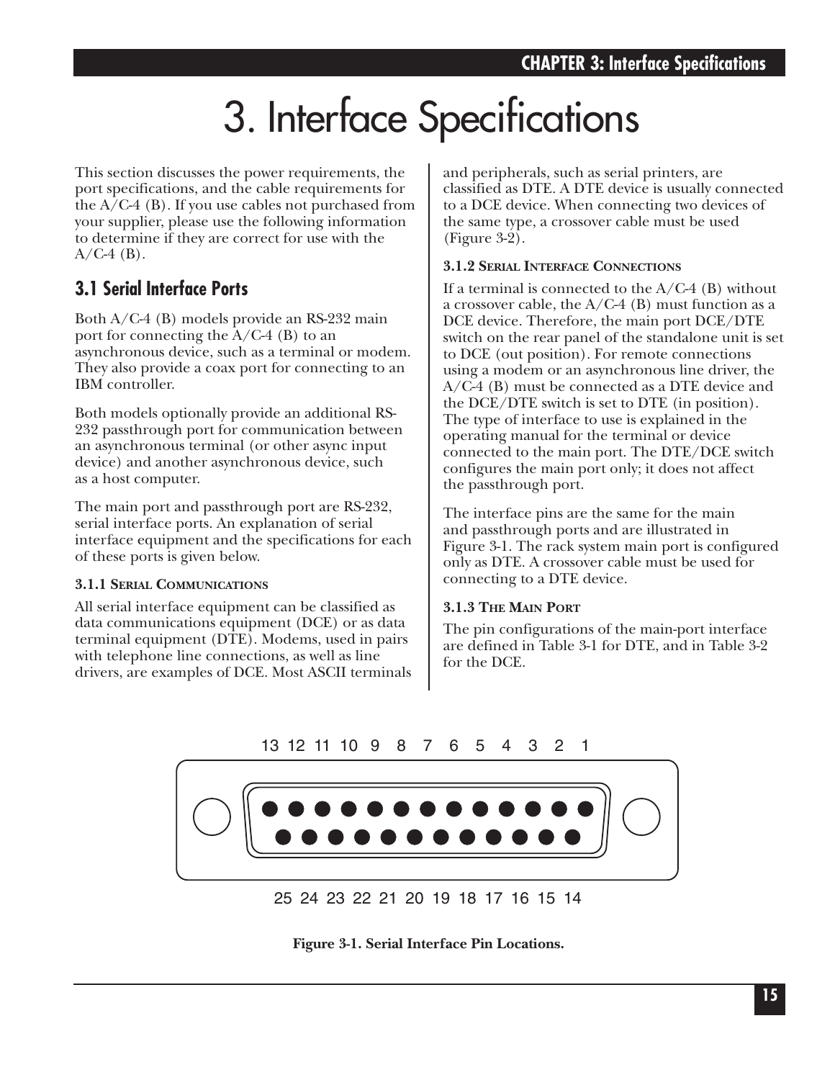# 3. Interface Specifications

This section discusses the power requirements, the port specifications, and the cable requirements for the  $A/C-4$  (B). If you use cables not purchased from your supplier, please use the following information to determine if they are correct for use with the  $A/C-4$  (B).

## **3.1 Serial Interface Ports**

Both A/C-4 (B) models provide an RS-232 main port for connecting the A/C-4 (B) to an asynchronous device, such as a terminal or modem. They also provide a coax port for connecting to an IBM controller.

Both models optionally provide an additional RS-232 passthrough port for communication between an asynchronous terminal (or other async input device) and another asynchronous device, such as a host computer.

The main port and passthrough port are RS-232, serial interface ports. An explanation of serial interface equipment and the specifications for each of these ports is given below.

#### **3.1.1 SERIAL COMMUNICATIONS**

All serial interface equipment can be classified as data communications equipment (DCE) or as data terminal equipment (DTE). Modems, used in pairs with telephone line connections, as well as line drivers, are examples of DCE. Most ASCII terminals and peripherals, such as serial printers, are classified as DTE. A DTE device is usually connected to a DCE device. When connecting two devices of the same type, a crossover cable must be used  $(Figure 3-2)$ .

#### **3.1.2 SERIAL INTERFACE CONNECTIONS**

If a terminal is connected to the  $A/C-4$  (B) without a crossover cable, the  $A/C-4$  (B) must function as a DCE device. Therefore, the main port DCE/DTE switch on the rear panel of the standalone unit is set to DCE (out position). For remote connections using a modem or an asynchronous line driver, the A/C-4 (B) must be connected as a DTE device and the DCE/DTE switch is set to DTE (in position). The type of interface to use is explained in the operating manual for the terminal or device connected to the main port. The DTE/DCE switch configures the main port only; it does not affect the passthrough port.

The interface pins are the same for the main and passthrough ports and are illustrated in Figure 3-1. The rack system main port is configured only as DTE. A crossover cable must be used for connecting to a DTE device.

#### **3.1.3 THE MAIN PORT**

The pin configurations of the main-port interface are defined in Table 3-1 for DTE, and in Table 3-2 for the DCE.

#### 13 12 11 10 9 8 7 6 5 4 3 2 1



**Figure 3-1. Serial Interface Pin Locations.**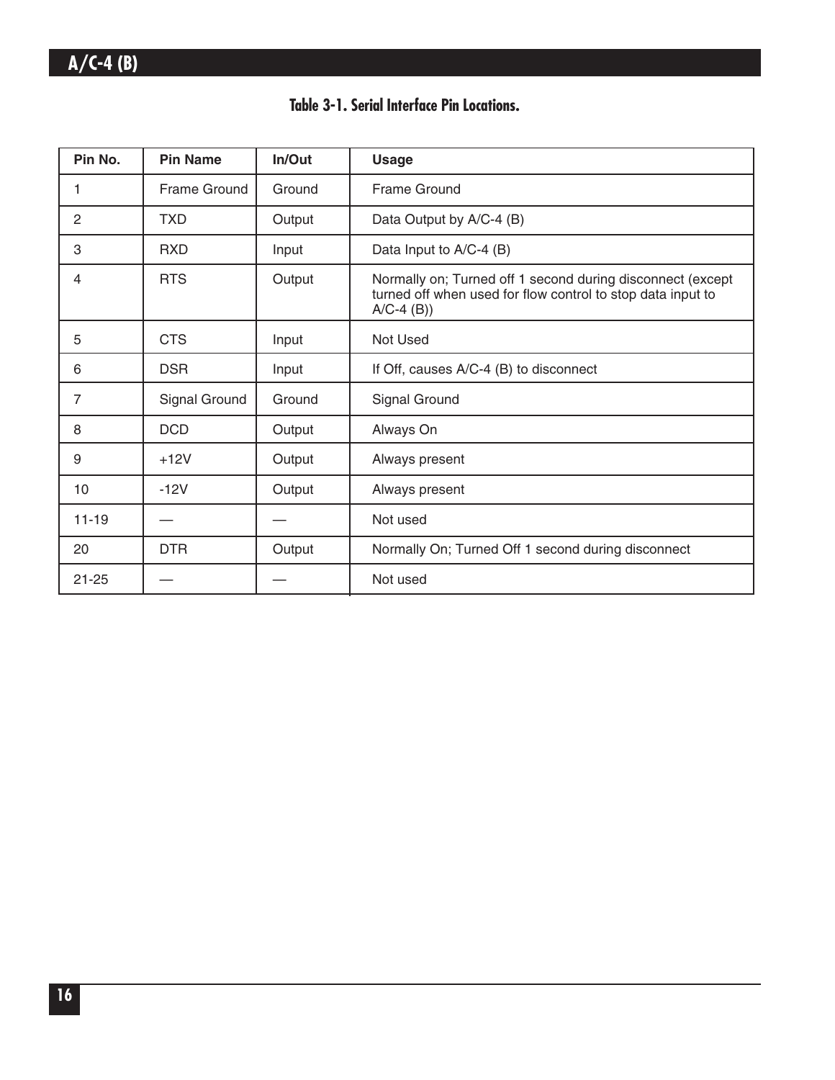### **Table 3-1. Serial Interface Pin Locations.**

| Pin No.   | <b>Pin Name</b> | In/Out | <b>Usage</b>                                                                                                                              |  |
|-----------|-----------------|--------|-------------------------------------------------------------------------------------------------------------------------------------------|--|
| 1         | Frame Ground    | Ground | <b>Frame Ground</b>                                                                                                                       |  |
| 2         | <b>TXD</b>      | Output | Data Output by A/C-4 (B)                                                                                                                  |  |
| 3         | <b>RXD</b>      | Input  | Data Input to A/C-4 (B)                                                                                                                   |  |
| 4         | <b>RTS</b>      | Output | Normally on; Turned off 1 second during disconnect (except<br>turned off when used for flow control to stop data input to<br>$A/C-4$ (B)) |  |
| 5         | <b>CTS</b>      | Input  | Not Used                                                                                                                                  |  |
| 6         | <b>DSR</b>      | Input  | If Off, causes A/C-4 (B) to disconnect                                                                                                    |  |
| 7         | Signal Ground   | Ground | Signal Ground                                                                                                                             |  |
| 8         | <b>DCD</b>      | Output | Always On                                                                                                                                 |  |
| 9         | $+12V$          | Output | Always present                                                                                                                            |  |
| 10        | $-12V$          | Output | Always present                                                                                                                            |  |
| $11 - 19$ |                 |        | Not used                                                                                                                                  |  |
| 20        | <b>DTR</b>      | Output | Normally On; Turned Off 1 second during disconnect                                                                                        |  |
| $21 - 25$ |                 |        | Not used                                                                                                                                  |  |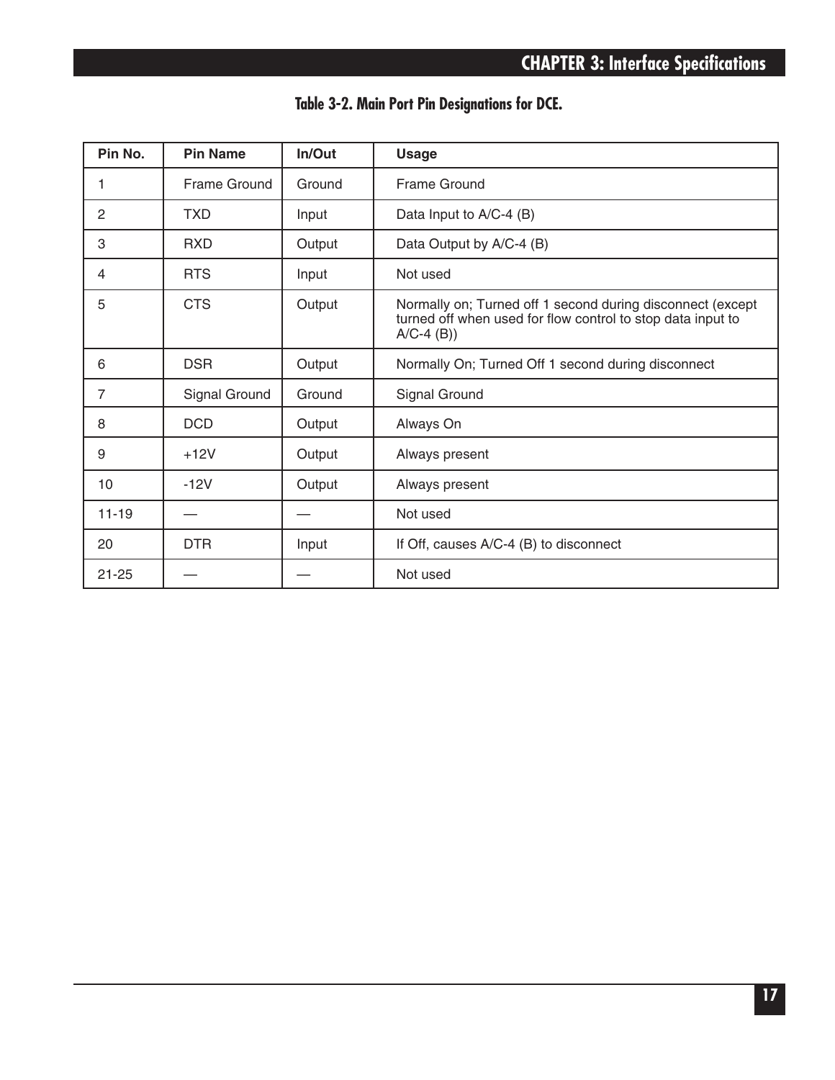|  |  |  |  | Table 3-2. Main Port Pin Designations for DCE. |  |  |
|--|--|--|--|------------------------------------------------|--|--|
|--|--|--|--|------------------------------------------------|--|--|

| Pin No.        | <b>Pin Name</b> | In/Out | <b>Usage</b>                                                                                                                              |  |
|----------------|-----------------|--------|-------------------------------------------------------------------------------------------------------------------------------------------|--|
| 1              | Frame Ground    | Ground | <b>Frame Ground</b>                                                                                                                       |  |
| 2              | <b>TXD</b>      | Input  | Data Input to A/C-4 (B)                                                                                                                   |  |
| 3              | <b>RXD</b>      | Output | Data Output by A/C-4 (B)                                                                                                                  |  |
| 4              | <b>RTS</b>      | Input  | Not used                                                                                                                                  |  |
| 5              | <b>CTS</b>      | Output | Normally on; Turned off 1 second during disconnect (except<br>turned off when used for flow control to stop data input to<br>$A/C-4$ (B)) |  |
| 6              | <b>DSR</b>      | Output | Normally On; Turned Off 1 second during disconnect                                                                                        |  |
| $\overline{7}$ | Signal Ground   | Ground | Signal Ground                                                                                                                             |  |
| 8              | <b>DCD</b>      | Output | Always On                                                                                                                                 |  |
| 9              | $+12V$          | Output | Always present                                                                                                                            |  |
| 10             | $-12V$          | Output | Always present                                                                                                                            |  |
| $11 - 19$      |                 |        | Not used                                                                                                                                  |  |
| 20             | <b>DTR</b>      | Input  | If Off, causes A/C-4 (B) to disconnect                                                                                                    |  |
| $21 - 25$      |                 |        | Not used                                                                                                                                  |  |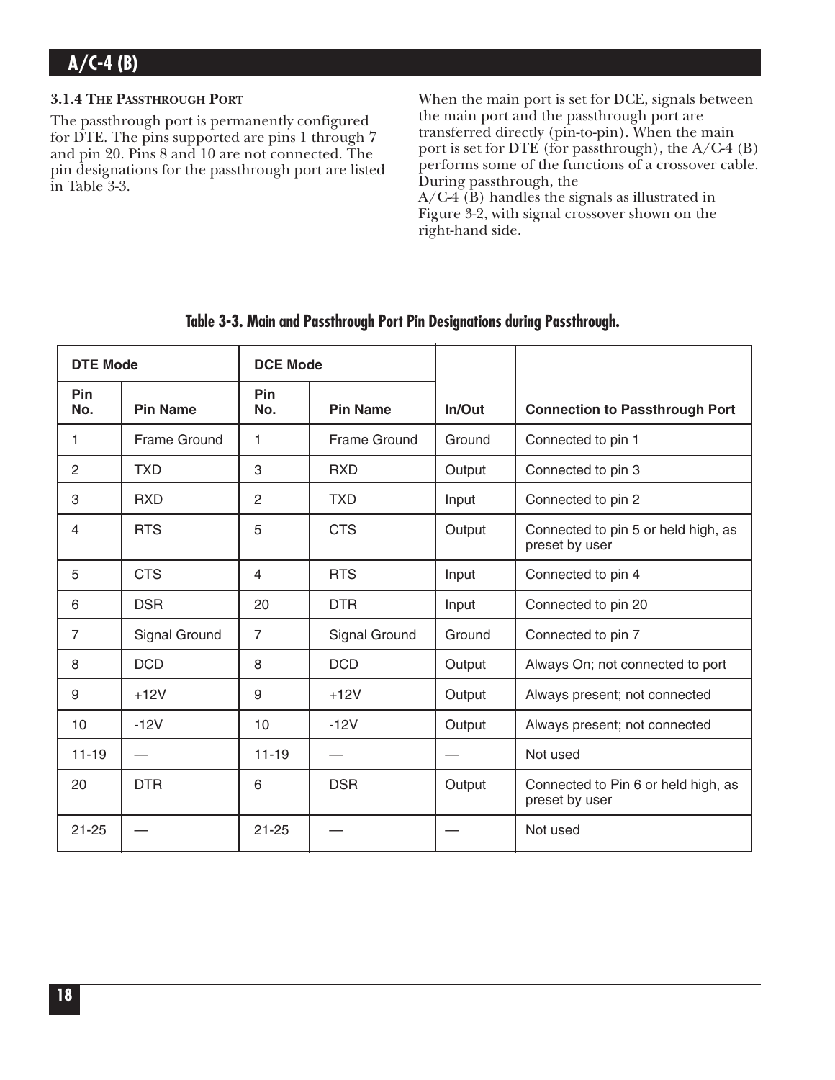#### **3.1.4 THE PASSTHROUGH PORT**

The passthrough port is permanently configured for DTE. The pins supported are pins 1 through 7 and pin 20. Pins 8 and 10 are not connected. The pin designations for the passthrough port are listed in Table 3-3.

When the main port is set for DCE, signals between the main port and the passthrough port are transferred directly (pin-to-pin). When the main port is set for DTE (for passthrough), the A/C-4 (B) performs some of the functions of a crossover cable. During passthrough, the A/C-4 (B) handles the signals as illustrated in Figure 3-2, with signal crossover shown on the right-hand side.

| <b>DTE Mode</b> |                               | <b>DCE Mode</b> |                     |        |                                                       |
|-----------------|-------------------------------|-----------------|---------------------|--------|-------------------------------------------------------|
| Pin<br>No.      | <b>Pin Name</b>               | Pin<br>No.      | <b>Pin Name</b>     | In/Out | <b>Connection to Passthrough Port</b>                 |
| 1               | Frame Ground                  | 1               | <b>Frame Ground</b> | Ground | Connected to pin 1                                    |
| $\overline{2}$  | <b>TXD</b>                    | 3               | <b>RXD</b>          | Output | Connected to pin 3                                    |
| 3               | <b>RXD</b>                    | $\overline{c}$  | <b>TXD</b>          | Input  | Connected to pin 2                                    |
| 4               | <b>RTS</b><br>5<br><b>CTS</b> |                 |                     | Output | Connected to pin 5 or held high, as<br>preset by user |
| 5               | <b>CTS</b>                    | $\overline{4}$  | <b>RTS</b>          | Input  | Connected to pin 4                                    |
| 6               | <b>DSR</b>                    | 20              | <b>DTR</b>          | Input  | Connected to pin 20                                   |
| $\overline{7}$  | Signal Ground                 | $\overline{7}$  | Signal Ground       | Ground | Connected to pin 7                                    |
| 8               | <b>DCD</b>                    | 8               | <b>DCD</b>          | Output | Always On; not connected to port                      |
| 9               | $+12V$                        | 9               | $+12V$              | Output | Always present; not connected                         |
| 10              | $-12V$                        | 10              | $-12V$              | Output | Always present; not connected                         |
| $11 - 19$       |                               | $11 - 19$       |                     |        | Not used                                              |
| 20              | <b>DTR</b>                    | 6               | <b>DSR</b>          | Output | Connected to Pin 6 or held high, as<br>preset by user |
| $21 - 25$       |                               | $21 - 25$       |                     |        | Not used                                              |

### **Table 3-3. Main and Passthrough Port Pin Designations during Passthrough.**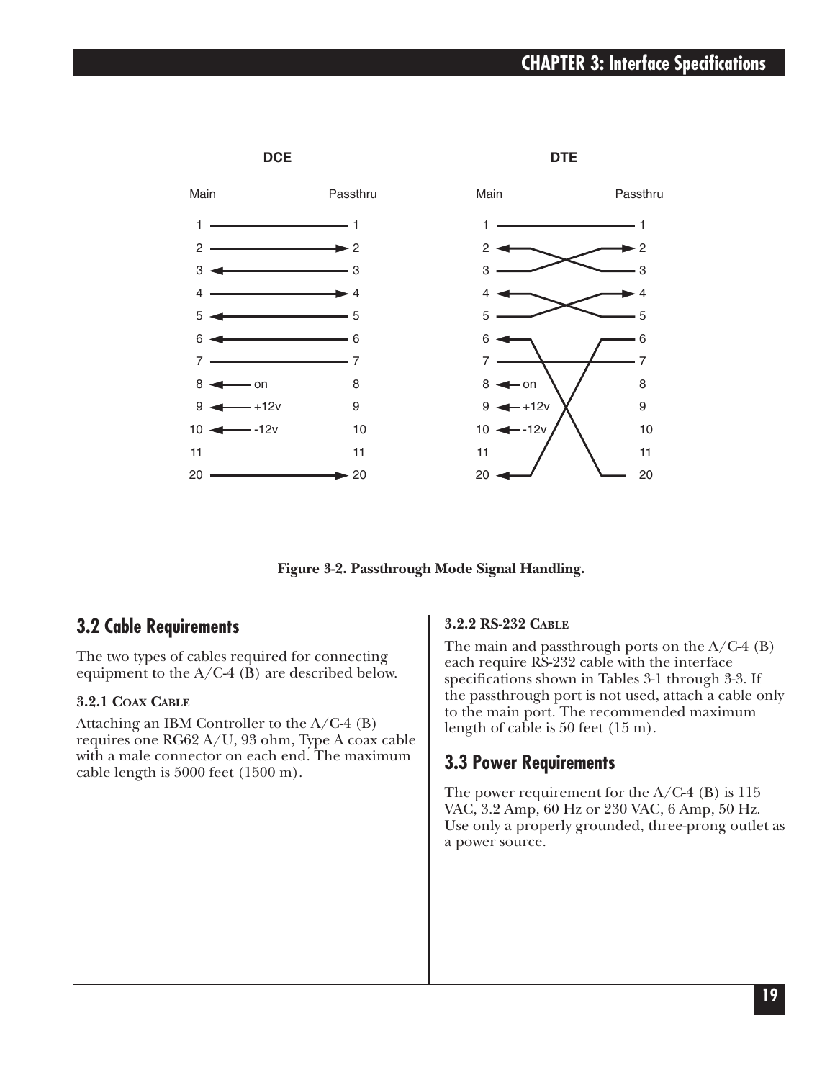## **CHAPTER 3: Interface Specifications**



**Figure 3-2. Passthrough Mode Signal Handling.**

## **3.2 Cable Requirements**

The two types of cables required for connecting equipment to the A/C-4 (B) are described below.

#### **3.2.1 COAX CABLE**

Attaching an IBM Controller to the A/C-4 (B) requires one RG62 A/U, 93 ohm, Type A coax cable with a male connector on each end. The maximum cable length is 5000 feet (1500 m).

#### **3.2.2 RS-232 CABLE**

The main and passthrough ports on the  $A/C-4$  (B) each require RS-232 cable with the interface specifications shown in Tables 3-1 through 3-3. If the passthrough port is not used, attach a cable only to the main port. The recommended maximum length of cable is 50 feet (15 m).

#### **3.3 Power Requirements**

The power requirement for the  $A/C-4$  (B) is 115 VAC, 3.2 Amp, 60 Hz or 230 VAC, 6 Amp, 50 Hz. Use only a properly grounded, three-prong outlet as a power source.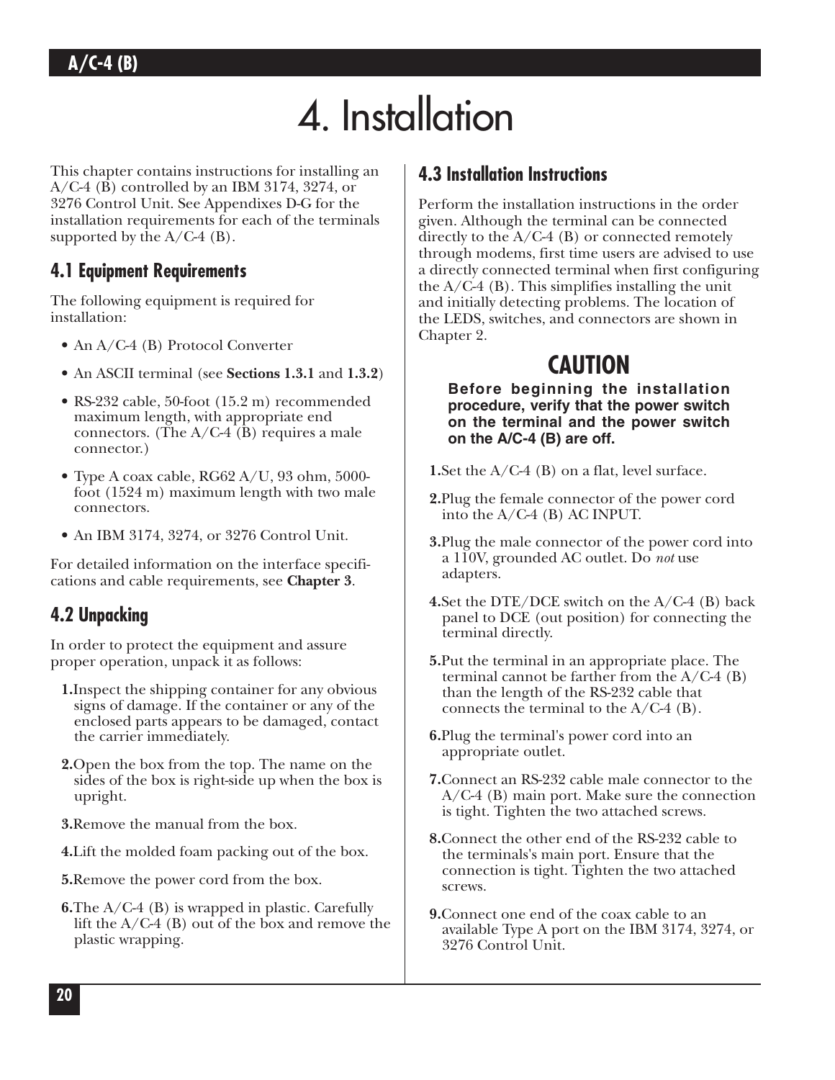# 4. Installation

This chapter contains instructions for installing an A/C-4 (B) controlled by an IBM 3174, 3274, or 3276 Control Unit. See Appendixes D-G for the installation requirements for each of the terminals supported by the  $A/C-4$  (B).

## **4.1 Equipment Requirements**

The following equipment is required for installation:

- An A/C-4 (B) Protocol Converter
- An ASCII terminal (see **Sections 1.3.1** and **1.3.2**)
- RS-232 cable, 50-foot (15.2 m) recommended maximum length, with appropriate end connectors. (The  $A/C-4$  (B) requires a male connector.)
- Type A coax cable, RG62 A/U, 93 ohm, 5000 foot (1524 m) maximum length with two male connectors.
- An IBM 3174, 3274, or 3276 Control Unit.

For detailed information on the interface specifications and cable requirements, see **Chapter 3**.

## **4.2 Unpacking**

In order to protect the equipment and assure proper operation, unpack it as follows:

- **1.**Inspect the shipping container for any obvious signs of damage. If the container or any of the enclosed parts appears to be damaged, contact the carrier immediately.
- **2.**Open the box from the top. The name on the sides of the box is right-side up when the box is upright.
- **3.**Remove the manual from the box.
- **4.**Lift the molded foam packing out of the box.
- **5.**Remove the power cord from the box.
- **6.**The A/C-4 (B) is wrapped in plastic. Carefully lift the A/C-4 (B) out of the box and remove the plastic wrapping.

## **4.3 Installation Instructions**

Perform the installation instructions in the order given. Although the terminal can be connected directly to the  $A/C-4$  (B) or connected remotely through modems, first time users are advised to use a directly connected terminal when first configuring the  $A/C-4$  (B). This simplifies installing the unit and initially detecting problems. The location of the LEDS, switches, and connectors are shown in Chapter 2.

## **CAUTION**

**Before beginning the installation procedure, verify that the power switch on the terminal and the power switch on the A/C-4 (B) are off.**

**1.**Set the A/C-4 (B) on a flat, level surface.

- **2.**Plug the female connector of the power cord into the A/C-4 (B) AC INPUT.
- **3.**Plug the male connector of the power cord into a 110V, grounded AC outlet. Do *not* use adapters.
- **4.**Set the DTE/DCE switch on the A/C-4 (B) back panel to DCE (out position) for connecting the terminal directly.
- **5.**Put the terminal in an appropriate place. The terminal cannot be farther from the  $A/C-4$  (B) than the length of the RS-232 cable that connects the terminal to the  $A/C-4$  (B).
- **6.**Plug the terminal's power cord into an appropriate outlet.
- **7.**Connect an RS-232 cable male connector to the A/C-4 (B) main port. Make sure the connection is tight. Tighten the two attached screws.
- **8.**Connect the other end of the RS-232 cable to the terminals's main port. Ensure that the connection is tight. Tighten the two attached screws.
- **9.**Connect one end of the coax cable to an available Type A port on the IBM 3174, 3274, or 3276 Control Unit.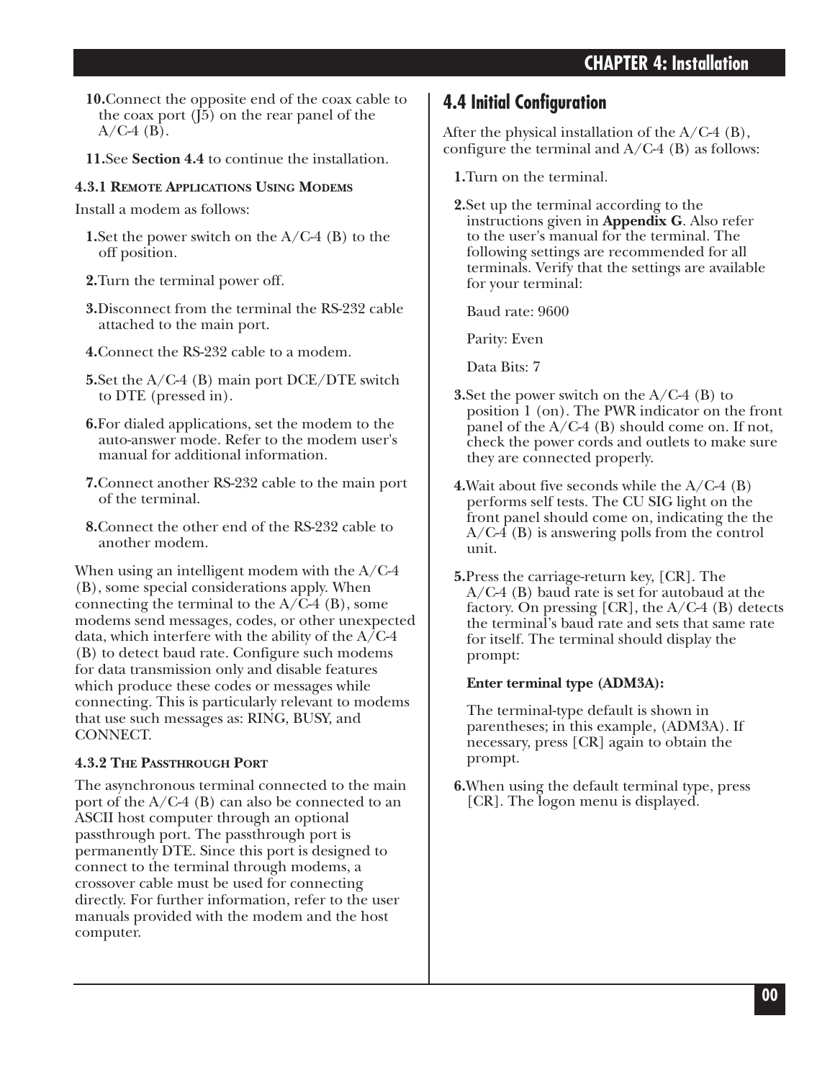- **10.**Connect the opposite end of the coax cable to the coax port (J5) on the rear panel of the  $A/C-4$  (B).
- **11.**See **Section 4.4** to continue the installation.

#### **4.3.1 REMOTE APPLICATIONS USING MODEMS**

Install a modem as follows:

- **1.**Set the power switch on the A/C-4 (B) to the off position.
- **2.**Turn the terminal power off.
- **3.**Disconnect from the terminal the RS-232 cable attached to the main port.
- **4.**Connect the RS-232 cable to a modem.
- **5.**Set the A/C-4 (B) main port DCE/DTE switch to DTE (pressed in).
- **6.**For dialed applications, set the modem to the auto-answer mode. Refer to the modem user's manual for additional information.
- **7.**Connect another RS-232 cable to the main port of the terminal.
- **8.**Connect the other end of the RS-232 cable to another modem.

When using an intelligent modem with the A/C-4 (B), some special considerations apply. When connecting the terminal to the  $A/C-4$  (B), some modems send messages, codes, or other unexpected data, which interfere with the ability of the  $A/C-4$ (B) to detect baud rate. Configure such modems for data transmission only and disable features which produce these codes or messages while connecting. This is particularly relevant to modems that use such messages as: RING, BUSY, and CONNECT.

### **4.3.2 THE PASSTHROUGH PORT**

The asynchronous terminal connected to the main port of the A/C-4 (B) can also be connected to an ASCII host computer through an optional passthrough port. The passthrough port is permanently DTE. Since this port is designed to connect to the terminal through modems, a crossover cable must be used for connecting directly. For further information, refer to the user manuals provided with the modem and the host computer.

## **4.4 Initial Configuration**

After the physical installation of the  $A/C-4$  (B), configure the terminal and A/C-4 (B) as follows:

**1.**Turn on the terminal.

**2.**Set up the terminal according to the instructions given in **Appendix G**. Also refer to the user's manual for the terminal. The following settings are recommended for all terminals. Verify that the settings are available for your terminal:

Baud rate: 9600

Parity: Even

Data Bits: 7

- **3.**Set the power switch on the A/C-4 (B) to position 1 (on). The PWR indicator on the front panel of the  $A/C-4$  (B) should come on. If not, check the power cords and outlets to make sure they are connected properly.
- **4.**Wait about five seconds while the A/C-4 (B) performs self tests. The CU SIG light on the front panel should come on, indicating the the A/C-4 (B) is answering polls from the control unit.
- **5.**Press the carriage-return key, [CR]. The A/C-4 (B) baud rate is set for autobaud at the factory. On pressing  $[CR]$ , the  $A/C-4$  (B) detects the terminal's baud rate and sets that same rate for itself. The terminal should display the prompt:

### **Enter terminal type (ADM3A):**

The terminal-type default is shown in parentheses; in this example, (ADM3A). If necessary, press [CR] again to obtain the prompt.

**6.**When using the default terminal type, press [CR]. The logon menu is displayed.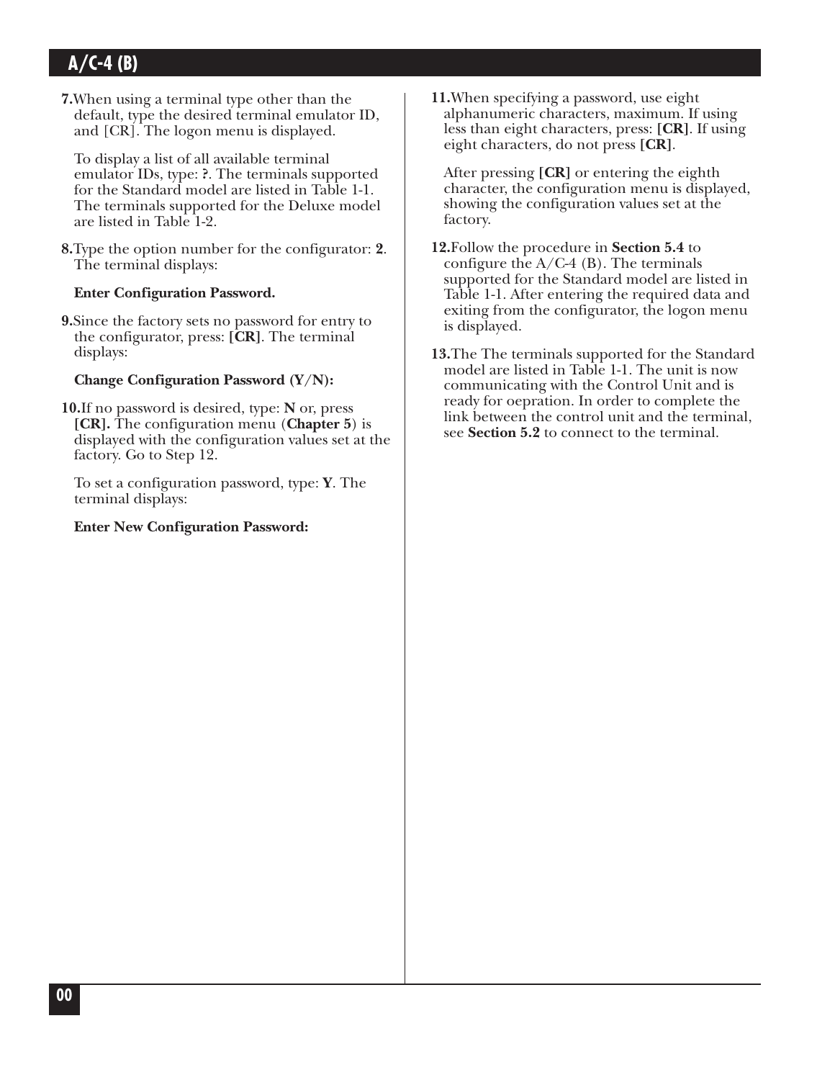**7.**When using a terminal type other than the default, type the desired terminal emulator ID, and [CR]. The logon menu is displayed.

To display a list of all available terminal emulator IDs, type: **?**. The terminals supported for the Standard model are listed in Table 1-1. The terminals supported for the Deluxe model are listed in Table 1-2.

**8.**Type the option number for the configurator: **2**. The terminal displays:

#### **Enter Configuration Password.**

**9.**Since the factory sets no password for entry to the configurator, press: **[CR]**. The terminal displays:

#### **Change Configuration Password (Y/N):**

**10.**If no password is desired, type: **N** or, press **[CR].** The configuration menu (**Chapter 5**) is displayed with the configuration values set at the factory. Go to Step 12.

To set a configuration password, type: **Y**. The terminal displays:

#### **Enter New Configuration Password:**

**11.**When specifying a password, use eight alphanumeric characters, maximum. If using less than eight characters, press: **[CR]**. If using eight characters, do not press **[CR]**.

After pressing **[CR]** or entering the eighth character, the configuration menu is displayed, showing the configuration values set at the factory.

- **12.**Follow the procedure in **Section 5.4** to configure the  $A/C-4$  (B). The terminals supported for the Standard model are listed in Table 1-1. After entering the required data and exiting from the configurator, the logon menu is displayed.
- **13.**The The terminals supported for the Standard model are listed in Table 1-1. The unit is now communicating with the Control Unit and is ready for oepration. In order to complete the link between the control unit and the terminal, see **Section 5.2** to connect to the terminal.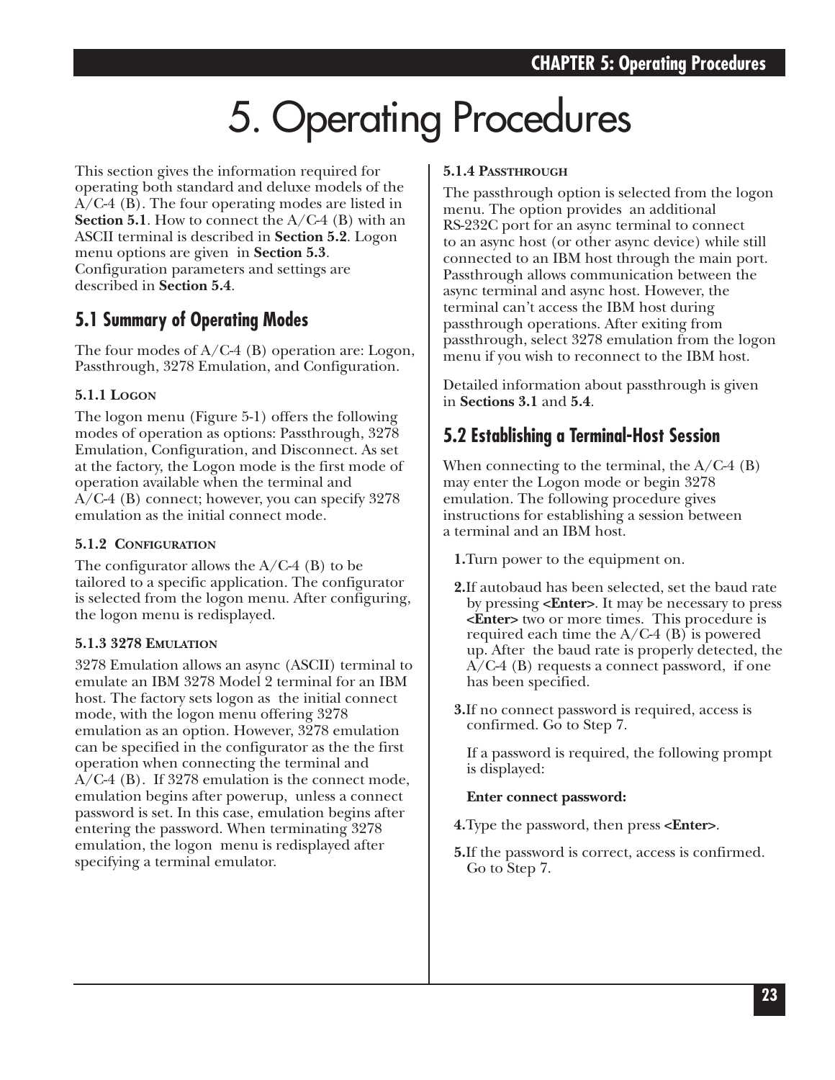# 5. Operating Procedures

This section gives the information required for operating both standard and deluxe models of the A/C-4 (B). The four operating modes are listed in **Section 5.1**. How to connect the A/C-4 (B) with an ASCII terminal is described in **Section 5.2**. Logon menu options are given in **Section 5.3**. Configuration parameters and settings are described in **Section 5.4**.

## **5.1 Summary of Operating Modes**

The four modes of  $A/C-4$  (B) operation are: Logon, Passthrough, 3278 Emulation, and Configuration.

#### **5.1.1 LOGON**

The logon menu (Figure 5-1) offers the following modes of operation as options: Passthrough, 3278 Emulation, Configuration, and Disconnect. As set at the factory, the Logon mode is the first mode of operation available when the terminal and A/C-4 (B) connect; however, you can specify 3278 emulation as the initial connect mode.

#### **5.1.2 CONFIGURATION**

The configurator allows the  $A/C-4$  (B) to be tailored to a specific application. The configurator is selected from the logon menu. After configuring, the logon menu is redisplayed.

#### **5.1.3 3278 EMULATION**

3278 Emulation allows an async (ASCII) terminal to emulate an IBM 3278 Model 2 terminal for an IBM host. The factory sets logon as the initial connect mode, with the logon menu offering 3278 emulation as an option. However, 3278 emulation can be specified in the configurator as the the first operation when connecting the terminal and A/C-4 (B). If 3278 emulation is the connect mode, emulation begins after powerup, unless a connect password is set. In this case, emulation begins after entering the password. When terminating 3278 emulation, the logon menu is redisplayed after specifying a terminal emulator.

#### **5.1.4 PASSTHROUGH**

The passthrough option is selected from the logon menu. The option provides an additional RS-232C port for an async terminal to connect to an async host (or other async device) while still connected to an IBM host through the main port. Passthrough allows communication between the async terminal and async host. However, the terminal can't access the IBM host during passthrough operations. After exiting from passthrough, select 3278 emulation from the logon menu if you wish to reconnect to the IBM host.

Detailed information about passthrough is given in **Sections 3.1** and **5.4**.

## **5.2 Establishing a Terminal-Host Session**

When connecting to the terminal, the  $A/C-4$  (B) may enter the Logon mode or begin 3278 emulation. The following procedure gives instructions for establishing a session between a terminal and an IBM host.

**1.**Turn power to the equipment on.

- **2.**If autobaud has been selected, set the baud rate by pressing **<Enter>**. It may be necessary to press **<Enter>** two or more times. This procedure is required each time the  $A/C-4$  (B) is powered up. After the baud rate is properly detected, the A/C-4 (B) requests a connect password, if one has been specified.
- **3.**If no connect password is required, access is confirmed. Go to Step 7.

If a password is required, the following prompt is displayed:

#### **Enter connect password:**

- **4.**Type the password, then press **<Enter>**.
- **5.**If the password is correct, access is confirmed. Go to Step 7.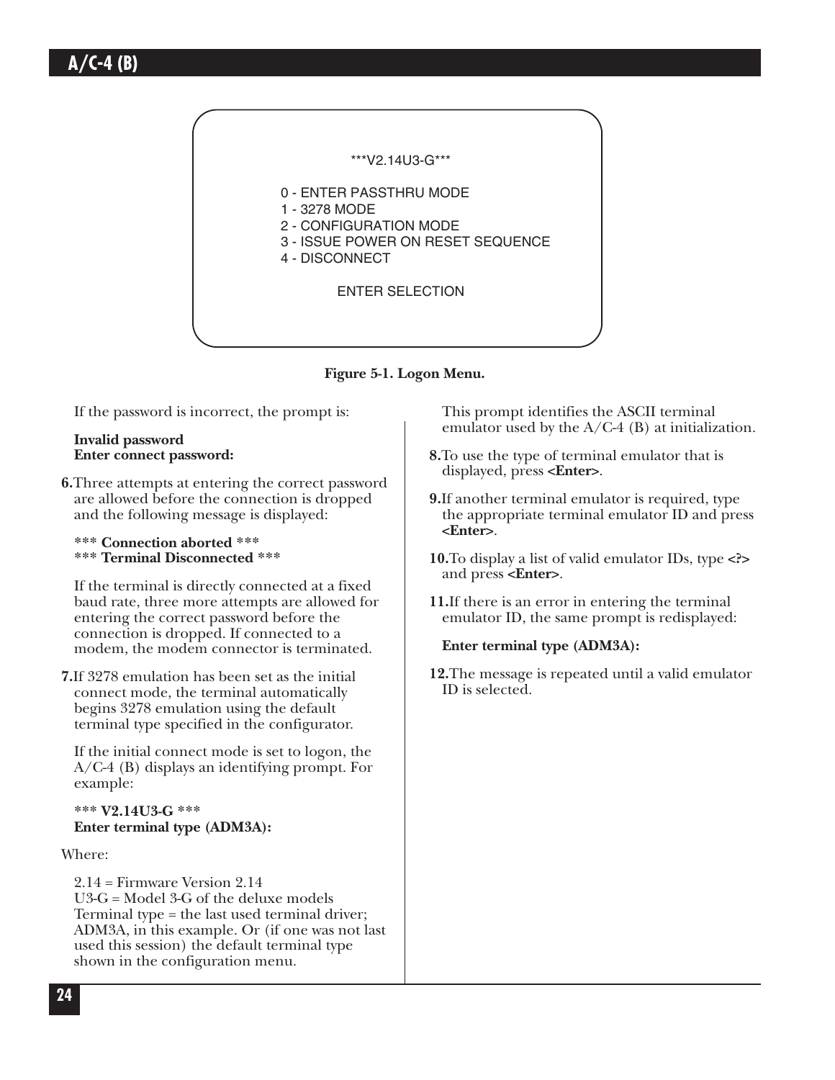

**Figure 5-1. Logon Menu.**

If the password is incorrect, the prompt is:

#### **Invalid password Enter connect password:**

- **6.**Three attempts at entering the correct password are allowed before the connection is dropped and the following message is displayed:
	- **\*\*\* Connection aborted \*\*\* \*\*\* Terminal Disconnected \*\*\***

If the terminal is directly connected at a fixed baud rate, three more attempts are allowed for entering the correct password before the connection is dropped. If connected to a modem, the modem connector is terminated.

**7.**If 3278 emulation has been set as the initial connect mode, the terminal automatically begins 3278 emulation using the default terminal type specified in the configurator.

If the initial connect mode is set to logon, the A/C-4 (B) displays an identifying prompt. For example:

#### **\*\*\* V2.14U3-G \*\*\* Enter terminal type (ADM3A):**

Where:

2.14 = Firmware Version 2.14 U3-G = Model 3-G of the deluxe models Terminal type = the last used terminal driver; ADM3A, in this example. Or (if one was not last used this session) the default terminal type shown in the configuration menu.

This prompt identifies the ASCII terminal emulator used by the  $A/C-4$  (B) at initialization.

- **8.**To use the type of terminal emulator that is displayed, press **<Enter>**.
- **9.**If another terminal emulator is required, type the appropriate terminal emulator ID and press **<Enter>**.
- **10.**To display a list of valid emulator IDs, type **<?>** and press **<Enter>**.
- **11.**If there is an error in entering the terminal emulator ID, the same prompt is redisplayed:
	- **Enter terminal type (ADM3A):**
- **12.**The message is repeated until a valid emulator ID is selected.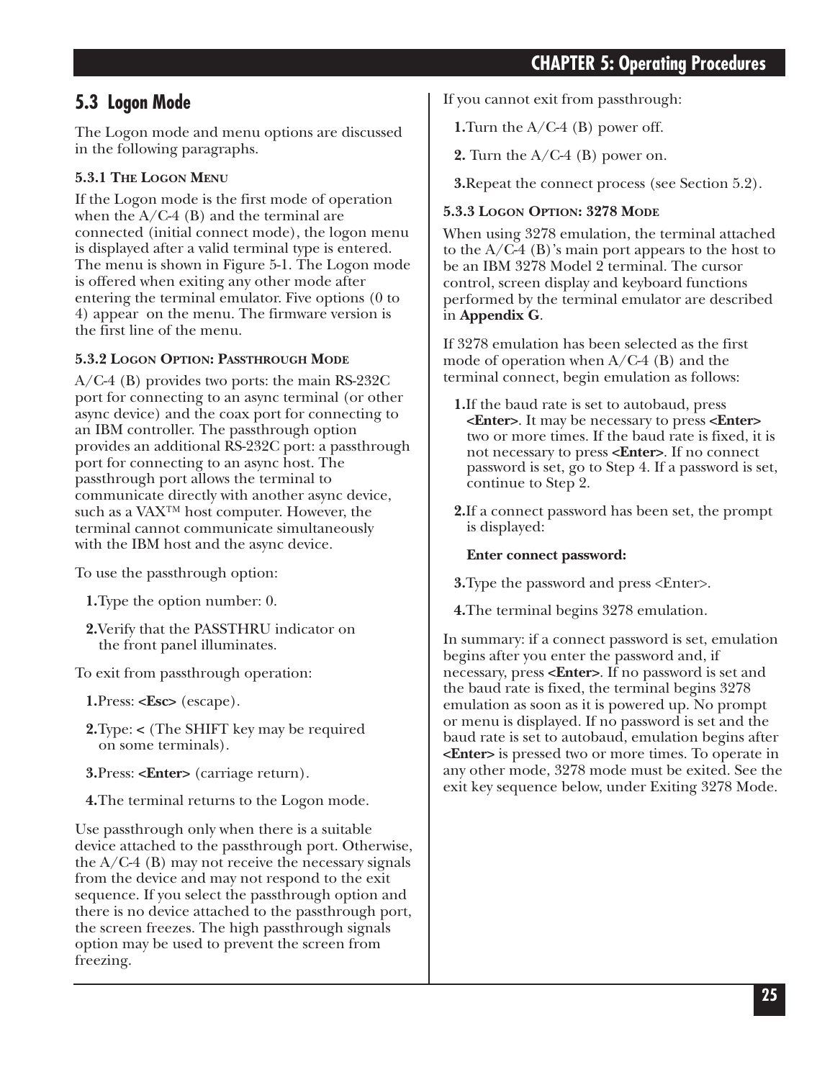## **CHAPTER 5: Operating Procedures**

### **5.3 Logon Mode**

The Logon mode and menu options are discussed in the following paragraphs.

#### **5.3.1 THE LOGON MENU**

If the Logon mode is the first mode of operation when the  $A/C-4$  (B) and the terminal are connected (initial connect mode), the logon menu is displayed after a valid terminal type is entered. The menu is shown in Figure 5-1. The Logon mode is offered when exiting any other mode after entering the terminal emulator. Five options (0 to 4) appear on the menu. The firmware version is the first line of the menu.

#### **5.3.2 LOGON OPTION: PASSTHROUGH MODE**

A/C-4 (B) provides two ports: the main RS-232C port for connecting to an async terminal (or other async device) and the coax port for connecting to an IBM controller. The passthrough option provides an additional RS-232C port: a passthrough port for connecting to an async host. The passthrough port allows the terminal to communicate directly with another async device, such as a VAX™ host computer. However, the terminal cannot communicate simultaneously with the IBM host and the async device.

To use the passthrough option:

- **1.**Type the option number: 0.
- **2.**Verify that the PASSTHRU indicator on the front panel illuminates.

To exit from passthrough operation:

**1.**Press: **<Esc>** (escape).

- **2.**Type: **<** (The SHIFT key may be required on some terminals).
- **3.**Press: **<Enter>** (carriage return).
- **4.**The terminal returns to the Logon mode.

Use passthrough only when there is a suitable device attached to the passthrough port. Otherwise, the  $A/C-4$  (B) may not receive the necessary signals from the device and may not respond to the exit sequence. If you select the passthrough option and there is no device attached to the passthrough port, the screen freezes. The high passthrough signals option may be used to prevent the screen from freezing.

If you cannot exit from passthrough:

**1.**Turn the A/C-4 (B) power off.

**2.** Turn the A/C-4 (B) power on.

**3.**Repeat the connect process (see Section 5.2).

#### **5.3.3 LOGON OPTION: 3278 MODE**

When using 3278 emulation, the terminal attached to the  $A/C-4$  (B)'s main port appears to the host to be an IBM 3278 Model 2 terminal. The cursor control, screen display and keyboard functions performed by the terminal emulator are described in **Appendix G**.

If 3278 emulation has been selected as the first mode of operation when A/C-4 (B) and the terminal connect, begin emulation as follows:

- **1.**If the baud rate is set to autobaud, press **<Enter>**. It may be necessary to press **<Enter>** two or more times. If the baud rate is fixed, it is not necessary to press **<Enter>**. If no connect password is set, go to Step 4. If a password is set, continue to Step 2.
- **2.**If a connect password has been set, the prompt is displayed:

#### **Enter connect password:**

**3.**Type the password and press <Enter>.

**4.**The terminal begins 3278 emulation.

In summary: if a connect password is set, emulation begins after you enter the password and, if necessary, press **<Enter>**. If no password is set and the baud rate is fixed, the terminal begins 3278 emulation as soon as it is powered up. No prompt or menu is displayed. If no password is set and the baud rate is set to autobaud, emulation begins after **<Enter>** is pressed two or more times. To operate in any other mode, 3278 mode must be exited. See the exit key sequence below, under Exiting 3278 Mode.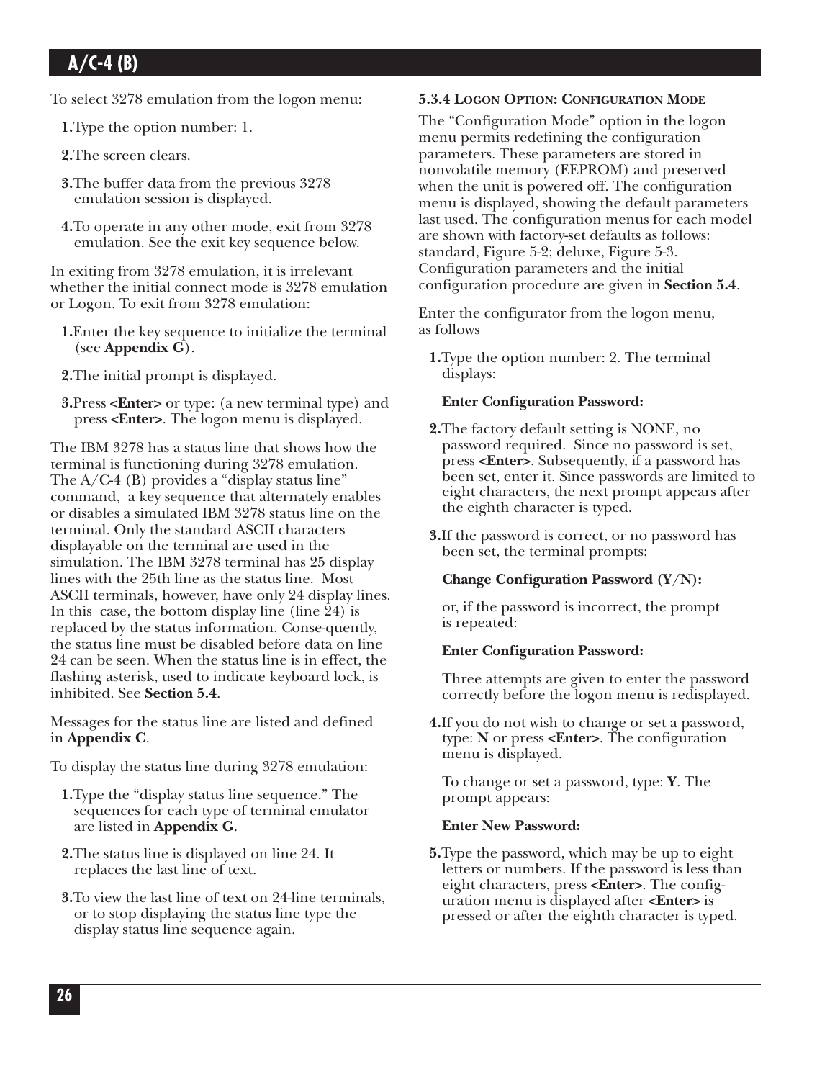To select 3278 emulation from the logon menu:

**1.**Type the option number: 1.

**2.**The screen clears.

- **3.**The buffer data from the previous 3278 emulation session is displayed.
- **4.**To operate in any other mode, exit from 3278 emulation. See the exit key sequence below.

In exiting from 3278 emulation, it is irrelevant whether the initial connect mode is 3278 emulation or Logon. To exit from 3278 emulation:

- **1.**Enter the key sequence to initialize the terminal (see **Appendix G**).
- **2.**The initial prompt is displayed.
- **3.**Press **<Enter>** or type: (a new terminal type) and press **<Enter>**. The logon menu is displayed.

The IBM 3278 has a status line that shows how the terminal is functioning during 3278 emulation. The  $A/C-4$  (B) provides a "display status line" command, a key sequence that alternately enables or disables a simulated IBM 3278 status line on the terminal. Only the standard ASCII characters displayable on the terminal are used in the simulation. The IBM 3278 terminal has 25 display lines with the 25th line as the status line. Most ASCII terminals, however, have only 24 display lines. In this case, the bottom display line (line 24) is replaced by the status information. Conse-quently, the status line must be disabled before data on line 24 can be seen. When the status line is in effect, the flashing asterisk, used to indicate keyboard lock, is inhibited. See **Section 5.4**.

Messages for the status line are listed and defined in **Appendix C**.

To display the status line during 3278 emulation:

- **1.**Type the "display status line sequence." The sequences for each type of terminal emulator are listed in **Appendix G**.
- **2.**The status line is displayed on line 24. It replaces the last line of text.
- **3.**To view the last line of text on 24-line terminals, or to stop displaying the status line type the display status line sequence again.

#### **5.3.4 LOGON OPTION: CONFIGURATION MODE**

The "Configuration Mode" option in the logon menu permits redefining the configuration parameters. These parameters are stored in nonvolatile memory (EEPROM) and preserved when the unit is powered off. The configuration menu is displayed, showing the default parameters last used. The configuration menus for each model are shown with factory-set defaults as follows: standard, Figure 5-2; deluxe, Figure 5-3. Configuration parameters and the initial configuration procedure are given in **Section 5.4**.

Enter the configurator from the logon menu, as follows

**1.**Type the option number: 2. The terminal displays:

#### **Enter Configuration Password:**

- **2.**The factory default setting is NONE, no password required. Since no password is set, press **<Enter>**. Subsequently, if a password has been set, enter it. Since passwords are limited to eight characters, the next prompt appears after the eighth character is typed.
- **3.**If the password is correct, or no password has been set, the terminal prompts:

#### **Change Configuration Password (Y/N):**

or, if the password is incorrect, the prompt is repeated:

#### **Enter Configuration Password:**

Three attempts are given to enter the password correctly before the logon menu is redisplayed.

**4.**If you do not wish to change or set a password, type: **N** or press **<Enter>**. The configuration menu is displayed.

To change or set a password, type: **Y**. The prompt appears:

#### **Enter New Password:**

**5.**Type the password, which may be up to eight letters or numbers. If the password is less than eight characters, press **<Enter>**. The configuration menu is displayed after **<Enter>** is pressed or after the eighth character is typed.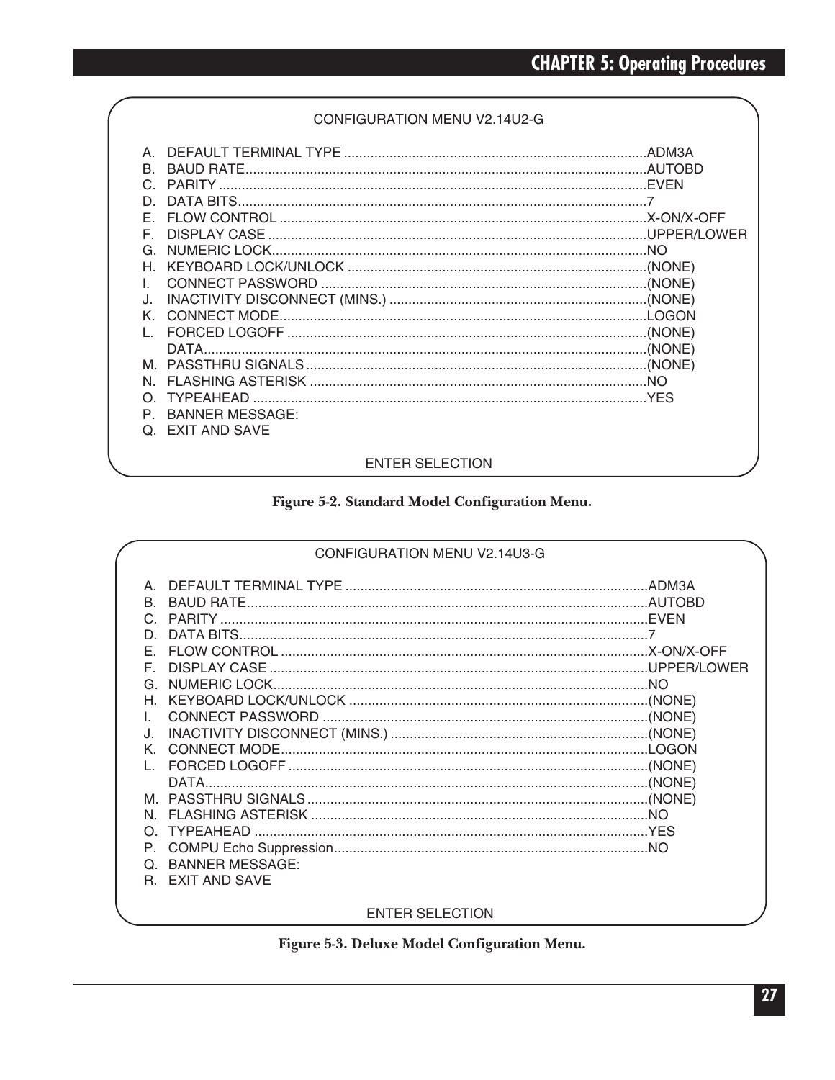#### CONFIGURATION MENU V2.14U2-G

| R.<br>C.<br>D.<br>F.<br>F. |                  |  |  |
|----------------------------|------------------|--|--|
| G                          |                  |  |  |
| н                          |                  |  |  |
| $\mathbf{L}$               |                  |  |  |
| J.                         |                  |  |  |
| K                          |                  |  |  |
|                            |                  |  |  |
|                            |                  |  |  |
| M                          |                  |  |  |
| N                          |                  |  |  |
|                            |                  |  |  |
| P                          | BANNER MESSAGE:  |  |  |
|                            | Q. EXIT AND SAVE |  |  |
|                            |                  |  |  |
| <b>ENTER SELECTION</b>     |                  |  |  |

#### Figure 5-2. Standard Model Configuration Menu.

|          | CONFIGURATION MENU V2.14U3-G           |  |
|----------|----------------------------------------|--|
| F.<br>N. | K. CONNECT MODE.<br>Q. BANNER MESSAGE: |  |
| R.       | <b>EXIT AND SAVE</b>                   |  |

#### ENTER SELECTION

### Figure 5-3. Deluxe Model Configuration Menu.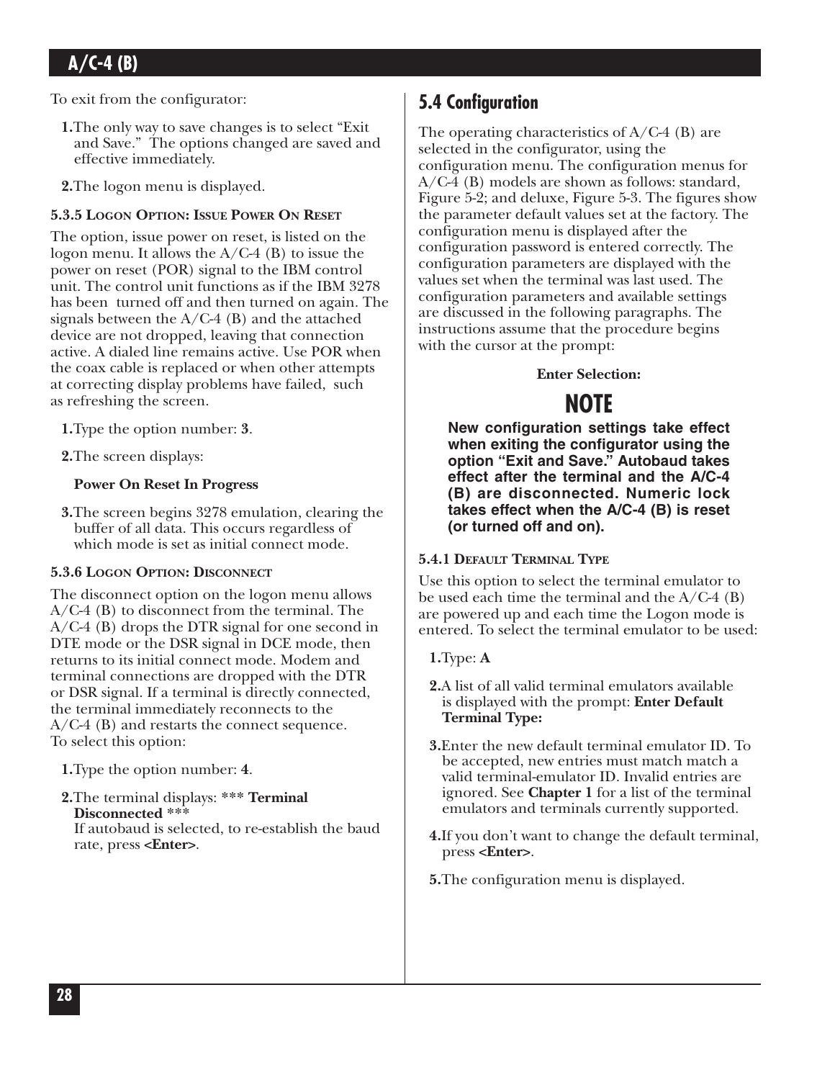To exit from the configurator:

- **1.**The only way to save changes is to select "Exit and Save." The options changed are saved and effective immediately.
- **2.**The logon menu is displayed.

#### **5.3.5 LOGON OPTION: ISSUE POWER ON RESET**

The option, issue power on reset, is listed on the logon menu. It allows the A/C-4 (B) to issue the power on reset (POR) signal to the IBM control unit. The control unit functions as if the IBM 3278 has been turned off and then turned on again. The signals between the  $A/C-4$  (B) and the attached device are not dropped, leaving that connection active. A dialed line remains active. Use POR when the coax cable is replaced or when other attempts at correcting display problems have failed, such as refreshing the screen.

**1.**Type the option number: **3**.

**2.**The screen displays:

#### **Power On Reset In Progress**

**3.**The screen begins 3278 emulation, clearing the buffer of all data. This occurs regardless of which mode is set as initial connect mode.

#### **5.3.6 LOGON OPTION: DISCONNECT**

The disconnect option on the logon menu allows A/C-4 (B) to disconnect from the terminal. The A/C-4 (B) drops the DTR signal for one second in DTE mode or the DSR signal in DCE mode, then returns to its initial connect mode. Modem and terminal connections are dropped with the DTR or DSR signal. If a terminal is directly connected, the terminal immediately reconnects to the A/C-4 (B) and restarts the connect sequence. To select this option:

**1.**Type the option number: **4**.

**2.**The terminal displays: **\*\*\* Terminal Disconnected \*\*\***

If autobaud is selected, to re-establish the baud rate, press **<Enter>**.

## **5.4 Configuration**

The operating characteristics of A/C-4 (B) are selected in the configurator, using the configuration menu. The configuration menus for A/C-4 (B) models are shown as follows: standard, Figure 5-2; and deluxe, Figure 5-3. The figures show the parameter default values set at the factory. The configuration menu is displayed after the configuration password is entered correctly. The configuration parameters are displayed with the values set when the terminal was last used. The configuration parameters and available settings are discussed in the following paragraphs. The instructions assume that the procedure begins with the cursor at the prompt:

#### **Enter Selection:**

## **NOTE**

**New configuration settings take effect when exiting the configurator using the option "Exit and Save." Autobaud takes effect after the terminal and the A/C-4 (B) are disconnected. Numeric lock takes effect when the A/C-4 (B) is reset (or turned off and on).** 

#### **5.4.1 DEFAULT TERMINAL TYPE**

Use this option to select the terminal emulator to be used each time the terminal and the  $A/C-4$  (B) are powered up and each time the Logon mode is entered. To select the terminal emulator to be used:

#### **1.**Type: **A**

- **2.**A list of all valid terminal emulators available is displayed with the prompt: **Enter Default Terminal Type:**
- **3.**Enter the new default terminal emulator ID. To be accepted, new entries must match match a valid terminal-emulator ID. Invalid entries are ignored. See **Chapter 1** for a list of the terminal emulators and terminals currently supported.
- **4.**If you don't want to change the default terminal, press **<Enter>**.
- **5.**The configuration menu is displayed.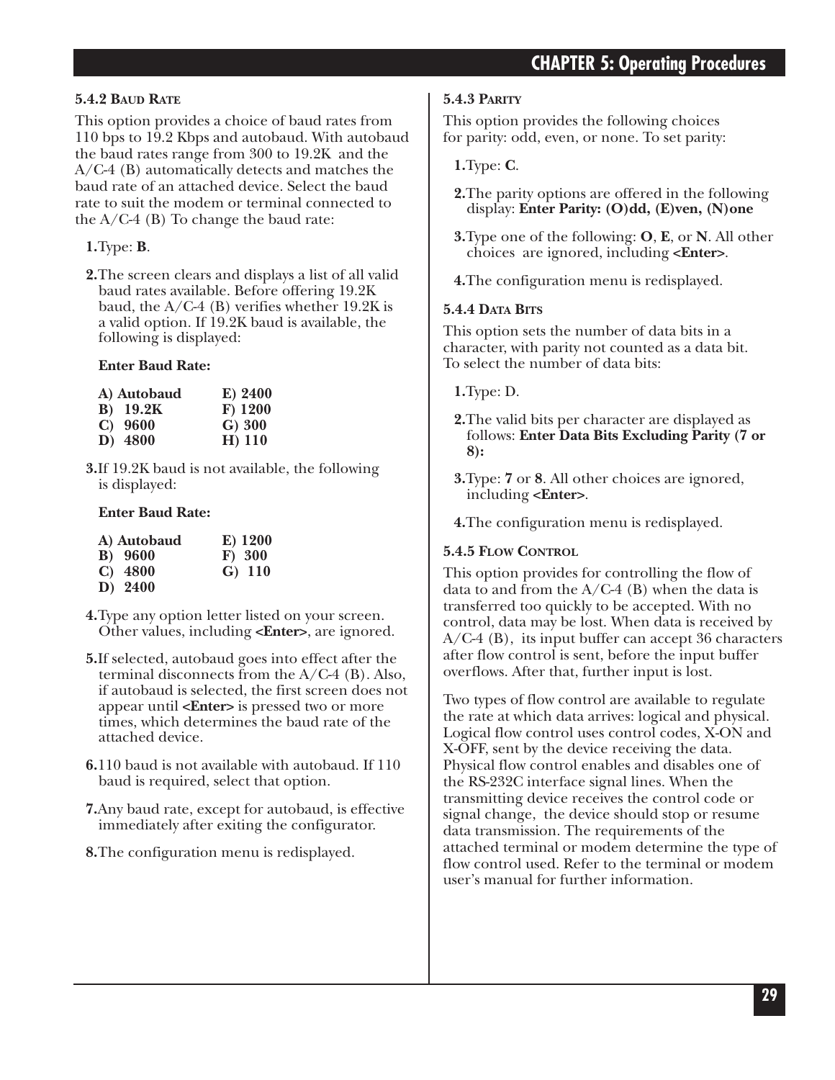## **CHAPTER 5: Operating Procedures**

#### **5.4.2 BAUD RATE**

This option provides a choice of baud rates from 110 bps to 19.2 Kbps and autobaud. With autobaud the baud rates range from 300 to 19.2K and the A/C-4 (B) automatically detects and matches the baud rate of an attached device. Select the baud rate to suit the modem or terminal connected to the  $A/C-4$  (B) To change the baud rate:

#### **1.**Type: **B**.

**2.**The screen clears and displays a list of all valid baud rates available. Before offering 19.2K baud, the  $A/C-4$  (B) verifies whether 19.2K is a valid option. If 19.2K baud is available, the following is displayed:

#### **Enter Baud Rate:**

| A) Autobaud      | E) 2400   |  |  |
|------------------|-----------|--|--|
| <b>B</b> ) 19.2K | $F)$ 1200 |  |  |
| $C)$ 9600        | G) 300    |  |  |
| D) 4800          | H) 110    |  |  |

**3.**If 19.2K baud is not available, the following is displayed:

#### **Enter Baud Rate:**

| A) Autobaud |                 | E) 1200  |  |
|-------------|-----------------|----------|--|
|             | <b>B</b> ) 9600 | F) 300   |  |
|             | $C)$ 4800       | $G)$ 110 |  |
|             | D) 2400         |          |  |

- **4.**Type any option letter listed on your screen. Other values, including **<Enter>**, are ignored.
- **5.**If selected, autobaud goes into effect after the terminal disconnects from the A/C-4 (B). Also, if autobaud is selected, the first screen does not appear until **<Enter>** is pressed two or more times, which determines the baud rate of the attached device.
- **6.**110 baud is not available with autobaud. If 110 baud is required, select that option.
- **7.**Any baud rate, except for autobaud, is effective immediately after exiting the configurator.
- **8.**The configuration menu is redisplayed.

#### **5.4.3 PARITY**

This option provides the following choices for parity: odd, even, or none. To set parity:

**1.**Type: **C**.

- **2.**The parity options are offered in the following display: **Enter Parity: (O)dd, (E)ven, (N)one**
- **3.**Type one of the following: **O**, **E**, or **N**. All other choices are ignored, including **<Enter>**.
- **4.**The configuration menu is redisplayed.

#### **5.4.4 DATA BITS**

This option sets the number of data bits in a character, with parity not counted as a data bit. To select the number of data bits:

**1.**Type: D.

- **2.**The valid bits per character are displayed as follows: **Enter Data Bits Excluding Parity (7 or 8):**
- **3.**Type: **7** or **8**. All other choices are ignored, including **<Enter>**.

**4.**The configuration menu is redisplayed.

#### **5.4.5 FLOW CONTROL**

This option provides for controlling the flow of data to and from the  $A/C-4$  (B) when the data is transferred too quickly to be accepted. With no control, data may be lost. When data is received by A/C-4 (B), its input buffer can accept 36 characters after flow control is sent, before the input buffer overflows. After that, further input is lost.

Two types of flow control are available to regulate the rate at which data arrives: logical and physical. Logical flow control uses control codes, X-ON and X-OFF, sent by the device receiving the data. Physical flow control enables and disables one of the RS-232C interface signal lines. When the transmitting device receives the control code or signal change, the device should stop or resume data transmission. The requirements of the attached terminal or modem determine the type of flow control used. Refer to the terminal or modem user's manual for further information.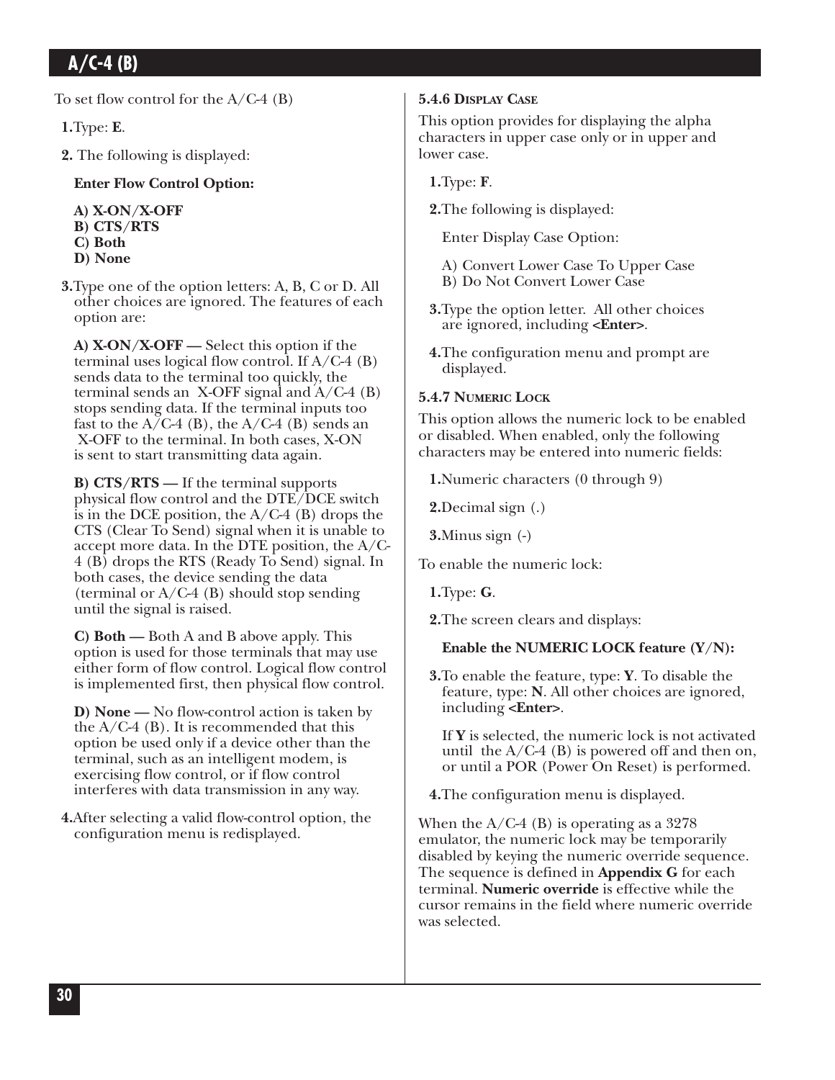To set flow control for the  $A/C-4$  (B)

**1.**Type: **E**.

**2.** The following is displayed:

#### **Enter Flow Control Option:**

**A) X-ON/X-OFF B) CTS/RTS C) Both D) None** 

**3.**Type one of the option letters: A, B, C or D. All other choices are ignored. The features of each option are:

**A) X-ON/X-OFF —** Select this option if the terminal uses logical flow control. If A/C-4 (B) sends data to the terminal too quickly, the terminal sends an X-OFF signal and  $A/C-4$  (B) stops sending data. If the terminal inputs too fast to the  $A/C-4$  (B), the  $A/C-4$  (B) sends an X-OFF to the terminal. In both cases, X-ON is sent to start transmitting data again.

**B) CTS/RTS —** If the terminal supports physical flow control and the DTE/DCE switch is in the DCE position, the  $A/C-4$  (B) drops the CTS (Clear To Send) signal when it is unable to accept more data. In the DTE position, the A/C-4 (B) drops the RTS (Ready To Send) signal. In both cases, the device sending the data (terminal or  $A/C-4$  (B) should stop sending until the signal is raised.

**C) Both —** Both A and B above apply. This option is used for those terminals that may use either form of flow control. Logical flow control is implemented first, then physical flow control.

**D) None —** No flow-control action is taken by the  $A/C-4$  (B). It is recommended that this option be used only if a device other than the terminal, such as an intelligent modem, is exercising flow control, or if flow control interferes with data transmission in any way.

**4.**After selecting a valid flow-control option, the configuration menu is redisplayed.

#### **5.4.6 DISPLAY CASE**

This option provides for displaying the alpha characters in upper case only or in upper and lower case.

**1.**Type: **F**.

**2.**The following is displayed:

Enter Display Case Option:

A) Convert Lower Case To Upper Case

- B) Do Not Convert Lower Case
- **3.**Type the option letter. All other choices are ignored, including **<Enter>**.
- **4.**The configuration menu and prompt are displayed.

#### **5.4.7 NUMERIC LOCK**

This option allows the numeric lock to be enabled or disabled. When enabled, only the following characters may be entered into numeric fields:

**1.**Numeric characters (0 through 9)

**2.**Decimal sign (.)

**3.**Minus sign (-)

To enable the numeric lock:

**1.**Type: **G**.

**2.**The screen clears and displays:

**Enable the NUMERIC LOCK feature (Y/N):** 

**3.**To enable the feature, type: **Y**. To disable the feature, type: **N**. All other choices are ignored, including **<Enter>**.

If **Y** is selected, the numeric lock is not activated until the  $A/C-4$  (B) is powered off and then on, or until a POR (Power On Reset) is performed.

**4.**The configuration menu is displayed.

When the  $A/C-4$  (B) is operating as a 3278 emulator, the numeric lock may be temporarily disabled by keying the numeric override sequence. The sequence is defined in **Appendix G** for each terminal. **Numeric override** is effective while the cursor remains in the field where numeric override was selected.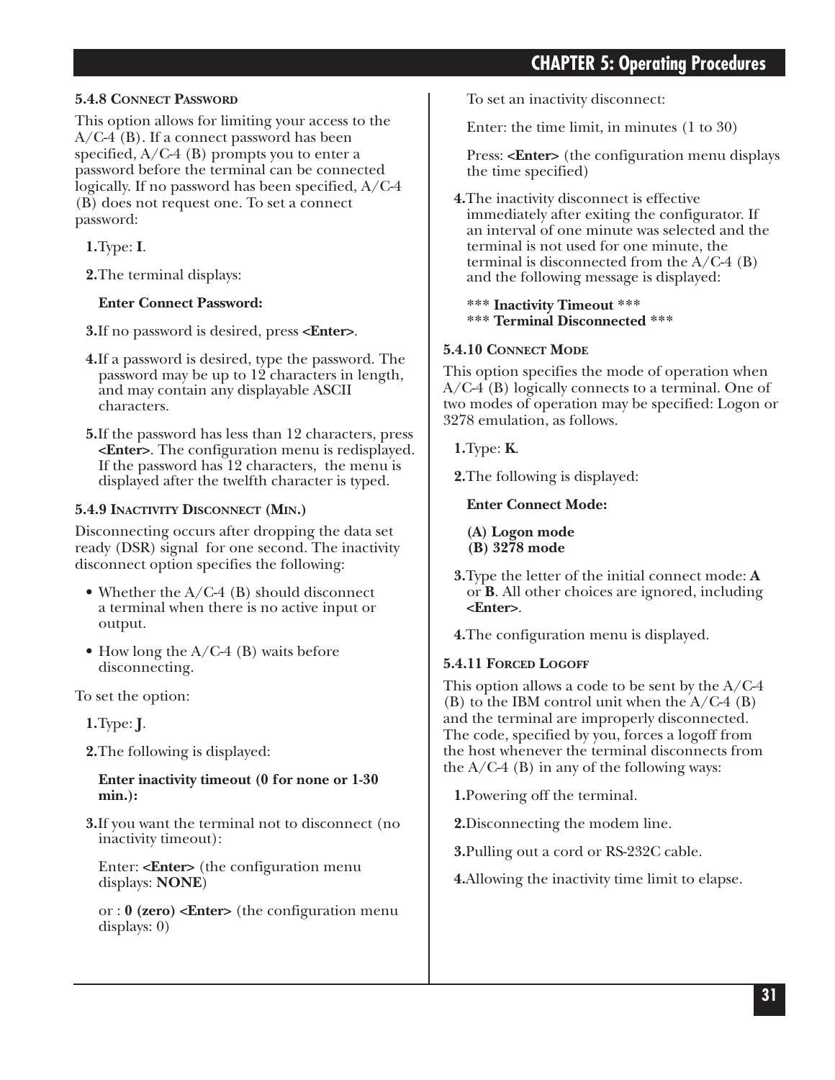## **CHAPTER 5: Operating Procedures**

#### **5.4.8 CONNECT PASSWORD**

This option allows for limiting your access to the A/C-4 (B). If a connect password has been specified,  $A/C-4$  (B) prompts you to enter a password before the terminal can be connected logically. If no password has been specified, A/C-4 (B) does not request one. To set a connect password:

**1.**Type: **I**.

**2.**The terminal displays:

#### **Enter Connect Password:**

**3.**If no password is desired, press **<Enter>**.

- **4.**If a password is desired, type the password. The password may be up to 12 characters in length, and may contain any displayable ASCII characters.
- **5.**If the password has less than 12 characters, press **<Enter>**. The configuration menu is redisplayed. If the password has 12 characters, the menu is displayed after the twelfth character is typed.

#### **5.4.9 INACTIVITY DISCONNECT (MIN.)**

Disconnecting occurs after dropping the data set ready (DSR) signal for one second. The inactivity disconnect option specifies the following:

- Whether the  $A/C-4$  (B) should disconnect a terminal when there is no active input or output.
- How long the A/C-4 (B) waits before disconnecting.

To set the option:

**1.**Type: **J**.

**2.**The following is displayed:

**Enter inactivity timeout (0 for none or 1-30 min.):** 

**3.**If you want the terminal not to disconnect (no inactivity timeout):

Enter: **<Enter>** (the configuration menu displays: **NONE**)

or : **0 (zero) <Enter>** (the configuration menu displays: 0)

To set an inactivity disconnect:

Enter: the time limit, in minutes (1 to 30)

Press: **<Enter>** (the configuration menu displays the time specified)

**4.**The inactivity disconnect is effective immediately after exiting the configurator. If an interval of one minute was selected and the terminal is not used for one minute, the terminal is disconnected from the  $A/C-4$  (B) and the following message is displayed:

**\*\*\* Inactivity Timeout \*\*\* \*\*\* Terminal Disconnected \*\*\***

#### **5.4.10 CONNECT MODE**

This option specifies the mode of operation when A/C-4 (B) logically connects to a terminal. One of two modes of operation may be specified: Logon or 3278 emulation, as follows.

**1.**Type: **K**.

**2.**The following is displayed:

**Enter Connect Mode:** 

**(A) Logon mode (B) 3278 mode** 

**3.**Type the letter of the initial connect mode: **A** or **B**. All other choices are ignored, including **<Enter>**.

**4.**The configuration menu is displayed.

#### **5.4.11 FORCED LOGOFF**

This option allows a code to be sent by the  $A/C-4$ (B) to the IBM control unit when the  $A/C-4$  (B) and the terminal are improperly disconnected. The code, specified by you, forces a logoff from the host whenever the terminal disconnects from the  $A/C-4$  (B) in any of the following ways:

**1.**Powering off the terminal.

**2.**Disconnecting the modem line.

**3.**Pulling out a cord or RS-232C cable.

**4.**Allowing the inactivity time limit to elapse.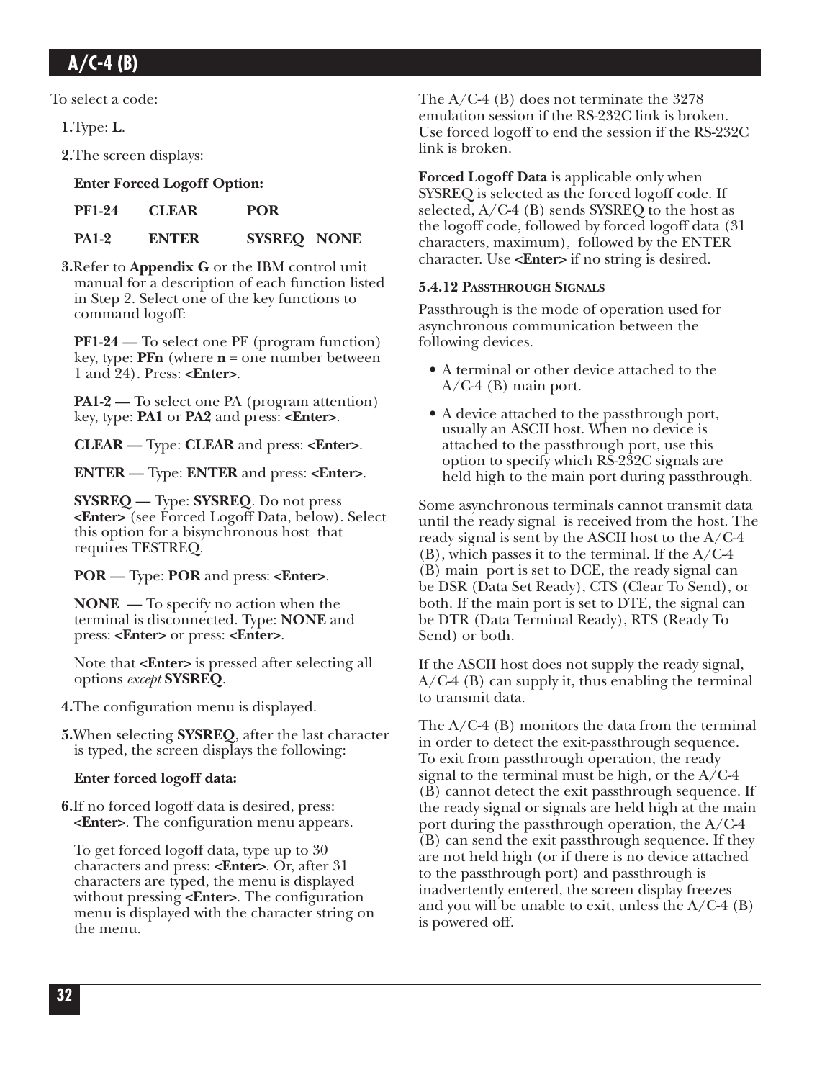To select a code:

**1.**Type: **L**.

**2.**The screen displays:

#### **Enter Forced Logoff Option:**

| <b>PF1-24</b> | <b>CLEAR</b> | <b>POR</b>         |  |
|---------------|--------------|--------------------|--|
| <b>PA1-2</b>  | <b>ENTER</b> | <b>SYSREQ NONE</b> |  |

**3.**Refer to **Appendix G** or the IBM control unit manual for a description of each function listed in Step 2. Select one of the key functions to command logoff:

**PF1-24 —** To select one PF (program function) key, type: **PFn** (where **n** = one number between 1 and 24). Press: **<Enter>**.

**PA1-2 —** To select one PA (program attention) key, type: **PA1** or **PA2** and press: **<Enter>**.

**CLEAR —** Type: **CLEAR** and press: **<Enter>**.

**ENTER —** Type: **ENTER** and press: **<Enter>**.

**SYSREQ —** Type: **SYSREQ**. Do not press **<Enter>** (see Forced Logoff Data, below). Select this option for a bisynchronous host that requires TESTREQ.

**POR —** Type: **POR** and press: **<Enter>**.

**NONE —** To specify no action when the terminal is disconnected. Type: **NONE** and press: **<Enter>** or press: **<Enter>**.

Note that **<Enter>** is pressed after selecting all options *except* **SYSREQ**.

**4.**The configuration menu is displayed.

**5.**When selecting **SYSREQ**, after the last character is typed, the screen displays the following:

#### **Enter forced logoff data:**

**6.**If no forced logoff data is desired, press: **<Enter>**. The configuration menu appears.

To get forced logoff data, type up to 30 characters and press: **<Enter>**. Or, after 31 characters are typed, the menu is displayed without pressing **<Enter>**. The configuration menu is displayed with the character string on the menu.

The A/C-4 (B) does not terminate the 3278 emulation session if the RS-232C link is broken. Use forced logoff to end the session if the RS-232C link is broken.

**Forced Logoff Data** is applicable only when SYSREQ is selected as the forced logoff code. If selected, A/C-4 (B) sends SYSREQ to the host as the logoff code, followed by forced logoff data (31 characters, maximum), followed by the ENTER character. Use **<Enter>** if no string is desired.

#### **5.4.12 PASSTHROUGH SIGNALS**

Passthrough is the mode of operation used for asynchronous communication between the following devices.

- A terminal or other device attached to the  $A/C-4$  (B) main port.
- A device attached to the passthrough port, usually an ASCII host. When no device is attached to the passthrough port, use this option to specify which RS-232C signals are held high to the main port during passthrough.

Some asynchronous terminals cannot transmit data until the ready signal is received from the host. The ready signal is sent by the ASCII host to the A/C-4  $(B)$ , which passes it to the terminal. If the  $A/C-4$ (B) main port is set to DCE, the ready signal can be DSR (Data Set Ready), CTS (Clear To Send), or both. If the main port is set to DTE, the signal can be DTR (Data Terminal Ready), RTS (Ready To Send) or both.

If the ASCII host does not supply the ready signal, A/C-4 (B) can supply it, thus enabling the terminal to transmit data.

The  $A/C-4$  (B) monitors the data from the terminal in order to detect the exit-passthrough sequence. To exit from passthrough operation, the ready signal to the terminal must be high, or the A/C-4 (B) cannot detect the exit passthrough sequence. If the ready signal or signals are held high at the main port during the passthrough operation, the A/C-4 (B) can send the exit passthrough sequence. If they are not held high (or if there is no device attached to the passthrough port) and passthrough is inadvertently entered, the screen display freezes and you will be unable to exit, unless the  $A/C-4$  (B) is powered off.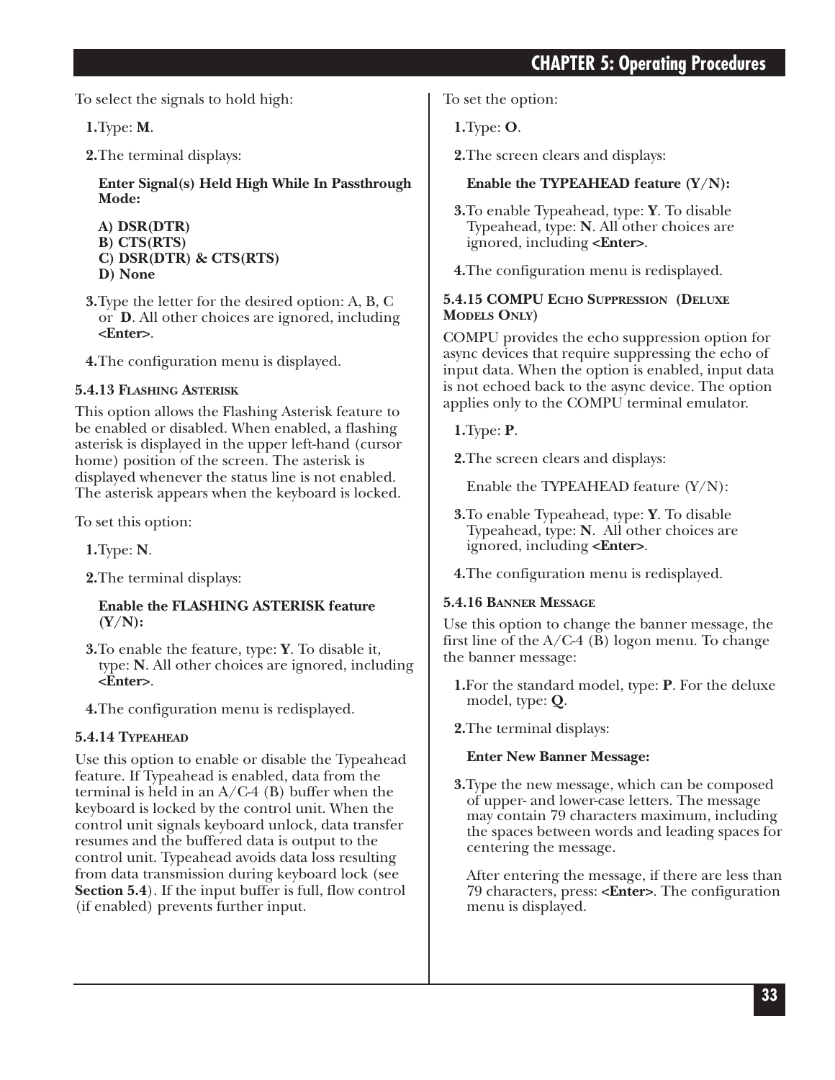## **CHAPTER 5: Operating Procedures**

To select the signals to hold high:

**1.**Type: **M**.

**2.**The terminal displays:

**Enter Signal(s) Held High While In Passthrough Mode:** 

**A) DSR(DTR) B) CTS(RTS) C) DSR(DTR) & CTS(RTS) D) None** 

**3.**Type the letter for the desired option: A, B, C or **D**. All other choices are ignored, including **<Enter>**.

**4.**The configuration menu is displayed.

### **5.4.13 FLASHING ASTERISK**

This option allows the Flashing Asterisk feature to be enabled or disabled. When enabled, a flashing asterisk is displayed in the upper left-hand (cursor home) position of the screen. The asterisk is displayed whenever the status line is not enabled. The asterisk appears when the keyboard is locked.

To set this option:

**1.**Type: **N**.

**2.**The terminal displays:

#### **Enable the FLASHING ASTERISK feature (Y/N):**

**3.**To enable the feature, type: **Y**. To disable it, type: **N**. All other choices are ignored, including **<Enter>**.

**4.**The configuration menu is redisplayed.

#### **5.4.14 TYPEAHEAD**

Use this option to enable or disable the Typeahead feature. If Typeahead is enabled, data from the terminal is held in an A/C-4 (B) buffer when the keyboard is locked by the control unit. When the control unit signals keyboard unlock, data transfer resumes and the buffered data is output to the control unit. Typeahead avoids data loss resulting from data transmission during keyboard lock (see **Section 5.4**). If the input buffer is full, flow control (if enabled) prevents further input.

To set the option:

**1.**Type: **O**.

**2.**The screen clears and displays:

#### **Enable the TYPEAHEAD feature (Y/N):**

- **3.**To enable Typeahead, type: **Y**. To disable Typeahead, type: **N**. All other choices are ignored, including **<Enter>**.
- **4.**The configuration menu is redisplayed.

#### **5.4.15 COMPU ECHO SUPPRESSION (DELUXE MODELS ONLY)**

COMPU provides the echo suppression option for async devices that require suppressing the echo of input data. When the option is enabled, input data is not echoed back to the async device. The option applies only to the COMPU terminal emulator.

**1.**Type: **P**.

**2.**The screen clears and displays:

Enable the TYPEAHEAD feature (Y/N):

- **3.**To enable Typeahead, type: **Y**. To disable Typeahead, type: **N**. All other choices are ignored, including **<Enter>**.
- **4.**The configuration menu is redisplayed.

#### **5.4.16 BANNER MESSAGE**

Use this option to change the banner message, the first line of the  $A/C-4$  (B) logon menu. To change the banner message:

- **1.**For the standard model, type: **P**. For the deluxe model, type: **Q**.
- **2.**The terminal displays:

#### **Enter New Banner Message:**

**3.**Type the new message, which can be composed of upper- and lower-case letters. The message may contain 79 characters maximum, including the spaces between words and leading spaces for centering the message.

After entering the message, if there are less than 79 characters, press: **<Enter>**. The configuration menu is displayed.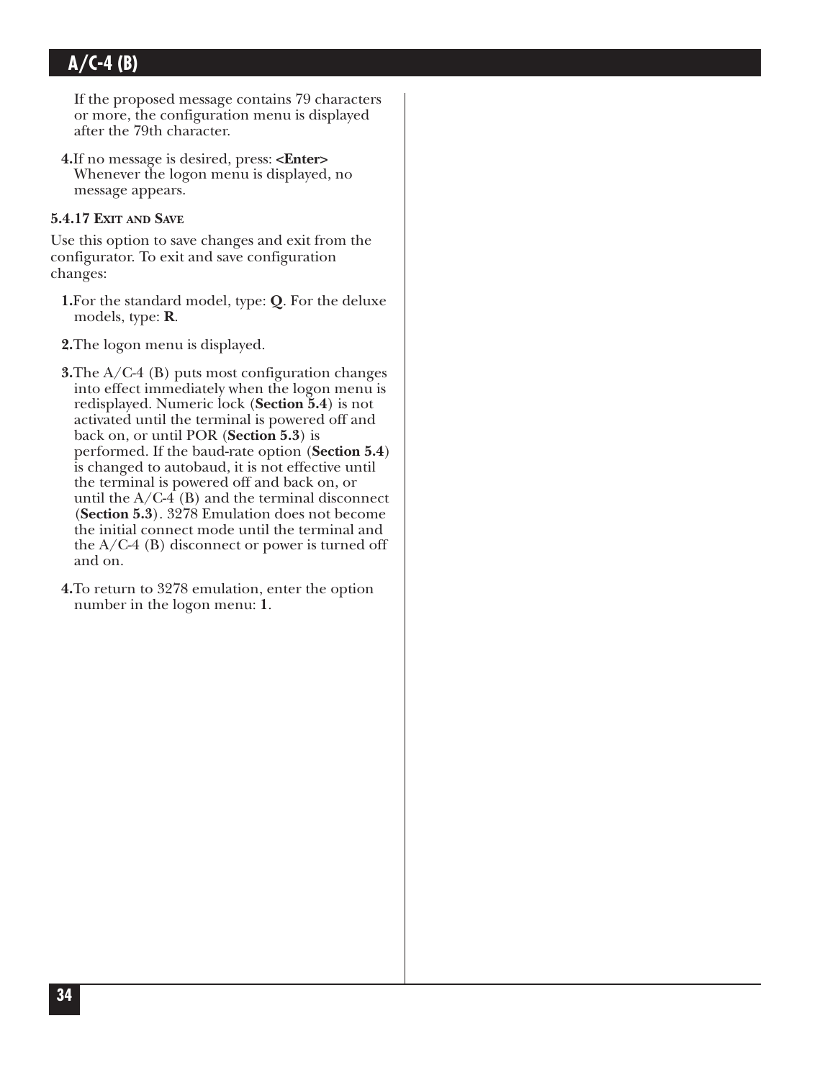If the proposed message contains 79 characters or more, the configuration menu is displayed after the 79th character.

**4.**If no message is desired, press: **<Enter>** Whenever the logon menu is displayed, no message appears.

#### **5.4.17 EXIT AND SAVE**

Use this option to save changes and exit from the configurator. To exit and save configuration changes:

- **1.**For the standard model, type: **Q**. For the deluxe models, type: **R**.
- **2.**The logon menu is displayed.

**3.**The A/C-4 (B) puts most configuration changes into effect immediately when the logon menu is redisplayed. Numeric lock (**Section 5.4**) is not activated until the terminal is powered off and back on, or until POR (**Section 5.3**) is performed. If the baud-rate option (**Section 5.4**) is changed to autobaud, it is not effective until the terminal is powered off and back on, or until the  $A/C-4$  (B) and the terminal disconnect (**Section 5.3**). 3278 Emulation does not become the initial connect mode until the terminal and the A/C-4 (B) disconnect or power is turned off and on.

**4.**To return to 3278 emulation, enter the option number in the logon menu: **1**.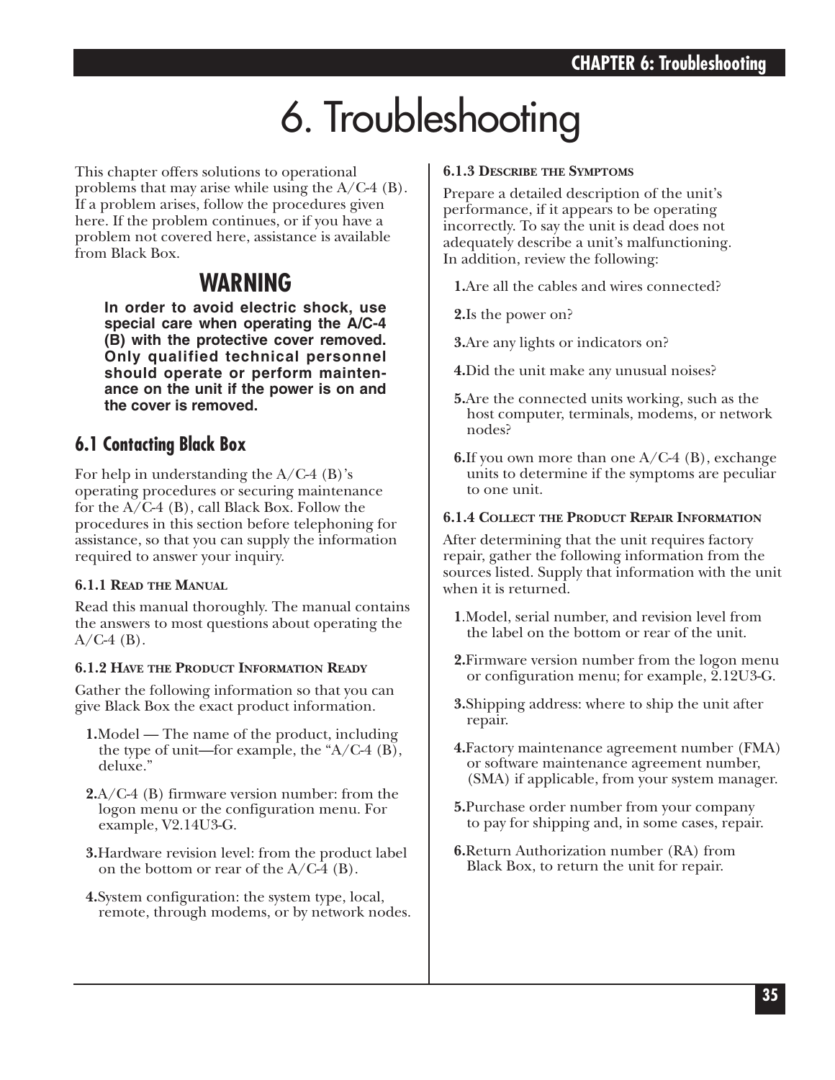# 6. Troubleshooting

This chapter offers solutions to operational problems that may arise while using the A/C-4 (B). If a problem arises, follow the procedures given here. If the problem continues, or if you have a problem not covered here, assistance is available from Black Box.

## **WARNING**

**In order to avoid electric shock, use special care when operating the A/C-4 (B) with the protective cover removed. Only qualified technical personnel should operate or perform maintenance on the unit if the power is on and the cover is removed.**

## **6.1 Contacting Black Box**

For help in understanding the  $A/C-4$  (B)'s operating procedures or securing maintenance for the A/C-4 (B), call Black Box. Follow the procedures in this section before telephoning for assistance, so that you can supply the information required to answer your inquiry.

#### **6.1.1 READ THE MANUAL**

Read this manual thoroughly. The manual contains the answers to most questions about operating the  $A/C-4$  (B).

#### **6.1.2 HAVE THE PRODUCT INFORMATION READY**

Gather the following information so that you can give Black Box the exact product information.

- **1.**Model The name of the product, including the type of unit—for example, the " $A/C-4$  (B), deluxe."
- **2.**A/C-4 (B) firmware version number: from the logon menu or the configuration menu. For example, V2.14U3-G.
- **3.**Hardware revision level: from the product label on the bottom or rear of the  $A/C-4$  (B).
- **4.**System configuration: the system type, local, remote, through modems, or by network nodes.

#### **6.1.3 DESCRIBE THE SYMPTOMS**

Prepare a detailed description of the unit's performance, if it appears to be operating incorrectly. To say the unit is dead does not adequately describe a unit's malfunctioning. In addition, review the following:

**1.**Are all the cables and wires connected?

**2.**Is the power on?

**3.**Are any lights or indicators on?

- **4.**Did the unit make any unusual noises?
- **5.**Are the connected units working, such as the host computer, terminals, modems, or network nodes?
- **6.**If you own more than one A/C-4 (B), exchange units to determine if the symptoms are peculiar to one unit.

#### **6.1.4 COLLECT THE PRODUCT REPAIR INFORMATION**

After determining that the unit requires factory repair, gather the following information from the sources listed. Supply that information with the unit when it is returned.

- **1**.Model, serial number, and revision level from the label on the bottom or rear of the unit.
- **2.**Firmware version number from the logon menu or configuration menu; for example, 2.12U3-G.
- **3.**Shipping address: where to ship the unit after repair.
- **4.**Factory maintenance agreement number (FMA) or software maintenance agreement number, (SMA) if applicable, from your system manager.
- **5.**Purchase order number from your company to pay for shipping and, in some cases, repair.
- **6.**Return Authorization number (RA) from Black Box, to return the unit for repair.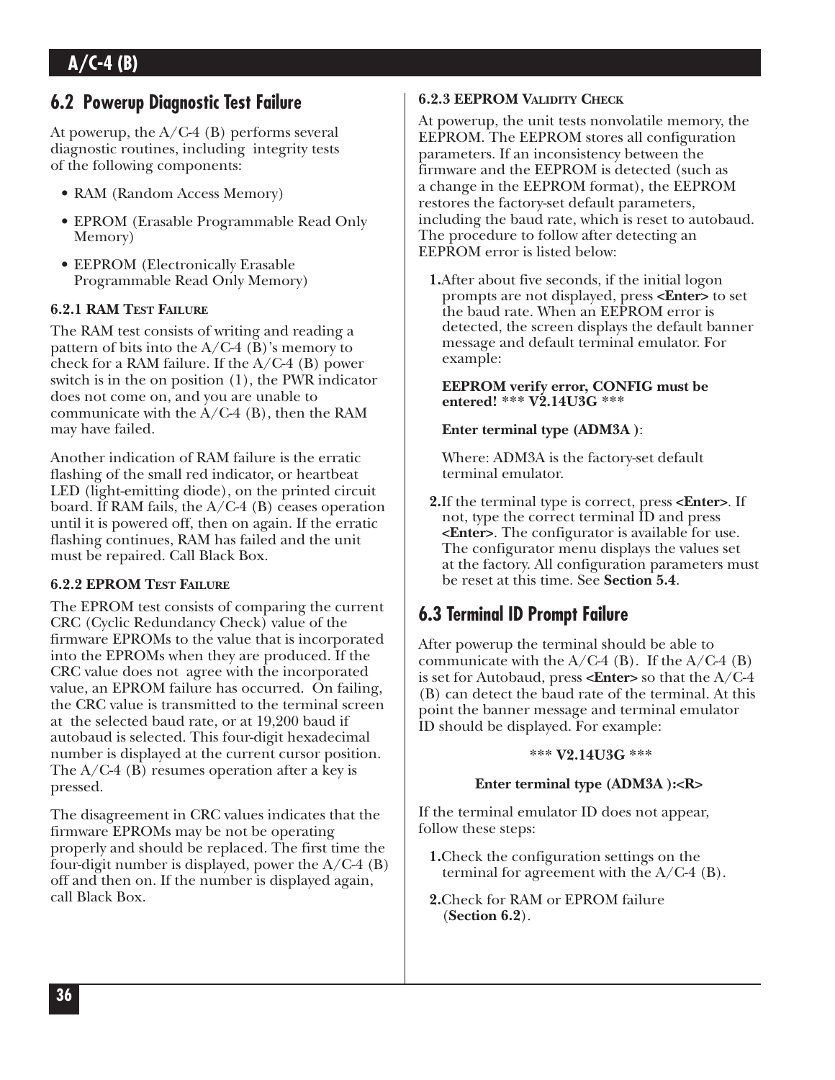## **6.2 Powerup Diagnostic Test Failure**

At powerup, the  $A/C-4$  (B) performs several diagnostic routines, including integrity tests of the following components:

- RAM (Random Access Memory)
- EPROM (Erasable Programmable Read Only Memory)
- EEPROM (Electronically Erasable Programmable Read Only Memory)

#### **6.2.1 RAM TEST FAILURE**

The RAM test consists of writing and reading a pattern of bits into the  $A/C-4$  (B)'s memory to check for a RAM failure. If the A/C-4 (B) power switch is in the on position (1), the PWR indicator does not come on, and you are unable to communicate with the  $A/C-4$  (B), then the RAM may have failed.

Another indication of RAM failure is the erratic flashing of the small red indicator, or heartbeat LED (light-emitting diode), on the printed circuit board. If RAM fails, the A/C-4 (B) ceases operation until it is powered off, then on again. If the erratic flashing continues, RAM has failed and the unit must be repaired. Call Black Box.

#### **6.2.2 EPROM TEST FAILURE**

The EPROM test consists of comparing the current CRC (Cyclic Redundancy Check) value of the firmware EPROMs to the value that is incorporated into the EPROMs when they are produced. If the CRC value does not agree with the incorporated value, an EPROM failure has occurred. On failing, the CRC value is transmitted to the terminal screen at the selected baud rate, or at 19,200 baud if autobaud is selected. This four-digit hexadecimal number is displayed at the current cursor position. The  $A/C-4$  (B) resumes operation after a key is pressed.

The disagreement in CRC values indicates that the firmware EPROMs may be not be operating properly and should be replaced. The first time the four-digit number is displayed, power the  $A/C-4$  (B) off and then on. If the number is displayed again, call Black Box.

### **6.2.3 EEPROM VALIDITY CHECK**

At powerup, the unit tests nonvolatile memory, the EEPROM. The EEPROM stores all configuration parameters. If an inconsistency between the firmware and the EEPROM is detected (such as a change in the EEPROM format), the EEPROM restores the factory-set default parameters, including the baud rate, which is reset to autobaud. The procedure to follow after detecting an EEPROM error is listed below:

**1.**After about five seconds, if the initial logon prompts are not displayed, press **<Enter>** to set the baud rate. When an EEPROM error is detected, the screen displays the default banner message and default terminal emulator. For example:

#### **EEPROM verify error, CONFIG must be entered! \*\*\* V2.14U3G \*\*\***

### **Enter terminal type (ADM3A )**:

Where: ADM3A is the factory-set default terminal emulator.

**2.**If the terminal type is correct, press **<Enter>**. If not, type the correct terminal ID and press **<Enter>**. The configurator is available for use. The configurator menu displays the values set at the factory. All configuration parameters must be reset at this time. See **Section 5.4**.

## **6.3 Terminal ID Prompt Failure**

After powerup the terminal should be able to communicate with the  $A/C-4$  (B). If the  $A/C-4$  (B) is set for Autobaud, press **<Enter>** so that the A/C-4 (B) can detect the baud rate of the terminal. At this point the banner message and terminal emulator ID should be displayed. For example:

#### **\*\*\* V2.14U3G \*\*\***

#### **Enter terminal type (ADM3A ):<R>**

If the terminal emulator ID does not appear, follow these steps:

- **1.**Check the configuration settings on the terminal for agreement with the  $A/C-4$  (B).
- **2.**Check for RAM or EPROM failure (**Section 6.2**).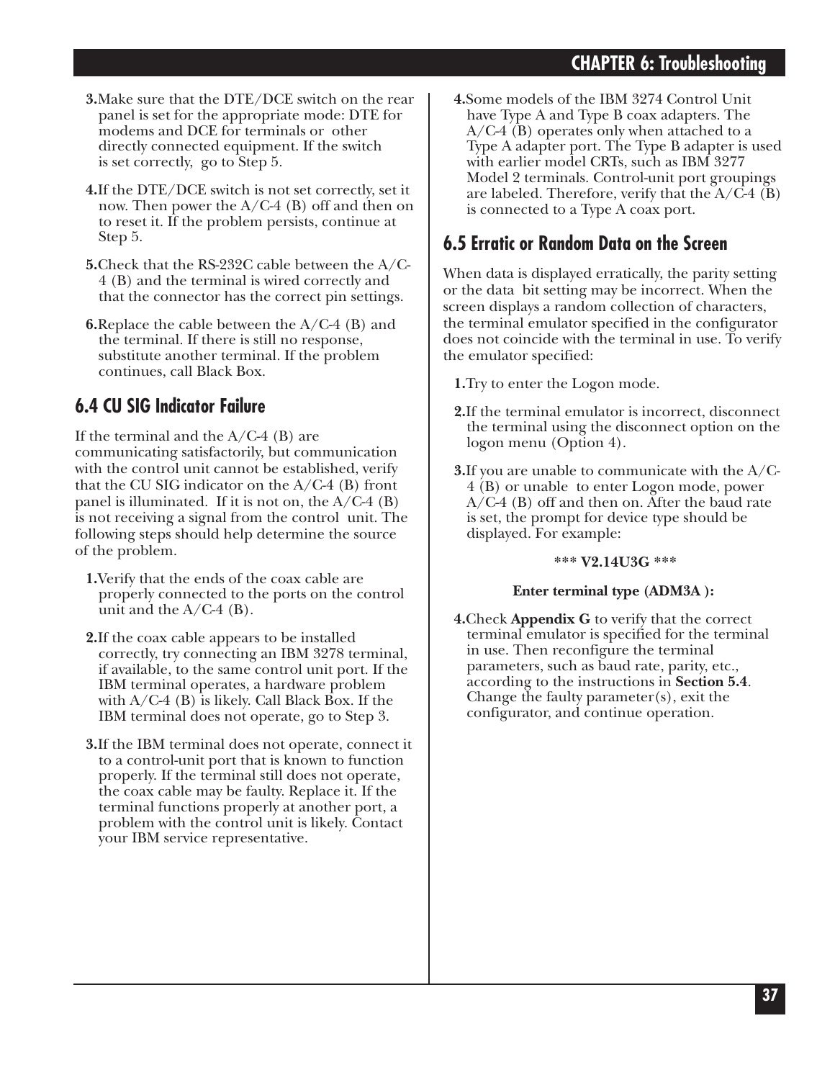- **3.**Make sure that the DTE/DCE switch on the rear panel is set for the appropriate mode: DTE for modems and DCE for terminals or other directly connected equipment. If the switch is set correctly, go to Step 5.
- **4.**If the DTE/DCE switch is not set correctly, set it now. Then power the  $A/C-4$  (B) off and then on to reset it. If the problem persists, continue at Step 5.
- **5.**Check that the RS-232C cable between the A/C-4 (B) and the terminal is wired correctly and that the connector has the correct pin settings.
- **6.**Replace the cable between the A/C-4 (B) and the terminal. If there is still no response, substitute another terminal. If the problem continues, call Black Box.

## **6.4 CU SIG Indicator Failure**

If the terminal and the  $A/C-4$  (B) are communicating satisfactorily, but communication with the control unit cannot be established, verify that the CU SIG indicator on the  $A/C-4$  (B) front panel is illuminated. If it is not on, the  $A/C-4$  (B) is not receiving a signal from the control unit. The following steps should help determine the source of the problem.

- **1.**Verify that the ends of the coax cable are properly connected to the ports on the control unit and the  $A/C-4$  (B).
- **2.**If the coax cable appears to be installed correctly, try connecting an IBM 3278 terminal, if available, to the same control unit port. If the IBM terminal operates, a hardware problem with A/C-4 (B) is likely. Call Black Box. If the IBM terminal does not operate, go to Step 3.
- **3.**If the IBM terminal does not operate, connect it to a control-unit port that is known to function properly. If the terminal still does not operate, the coax cable may be faulty. Replace it. If the terminal functions properly at another port, a problem with the control unit is likely. Contact your IBM service representative.

**4.**Some models of the IBM 3274 Control Unit have Type A and Type B coax adapters. The A/C-4 (B) operates only when attached to a Type A adapter port. The Type B adapter is used with earlier model CRTs, such as IBM 3277 Model 2 terminals. Control-unit port groupings are labeled. Therefore, verify that the  $A/C-4$  (B) is connected to a Type A coax port.

## **6.5 Erratic or Random Data on the Screen**

When data is displayed erratically, the parity setting or the data bit setting may be incorrect. When the screen displays a random collection of characters, the terminal emulator specified in the configurator does not coincide with the terminal in use. To verify the emulator specified:

**1.**Try to enter the Logon mode.

- **2.**If the terminal emulator is incorrect, disconnect the terminal using the disconnect option on the logon menu (Option 4).
- **3.**If you are unable to communicate with the A/C-4 (B) or unable to enter Logon mode, power A/C-4 (B) off and then on. After the baud rate is set, the prompt for device type should be displayed. For example:

#### **\*\*\* V2.14U3G \*\*\***

#### **Enter terminal type (ADM3A ):**

**4.**Check **Appendix G** to verify that the correct terminal emulator is specified for the terminal in use. Then reconfigure the terminal parameters, such as baud rate, parity, etc., according to the instructions in **Section 5.4**. Change the faulty parameter(s), exit the configurator, and continue operation.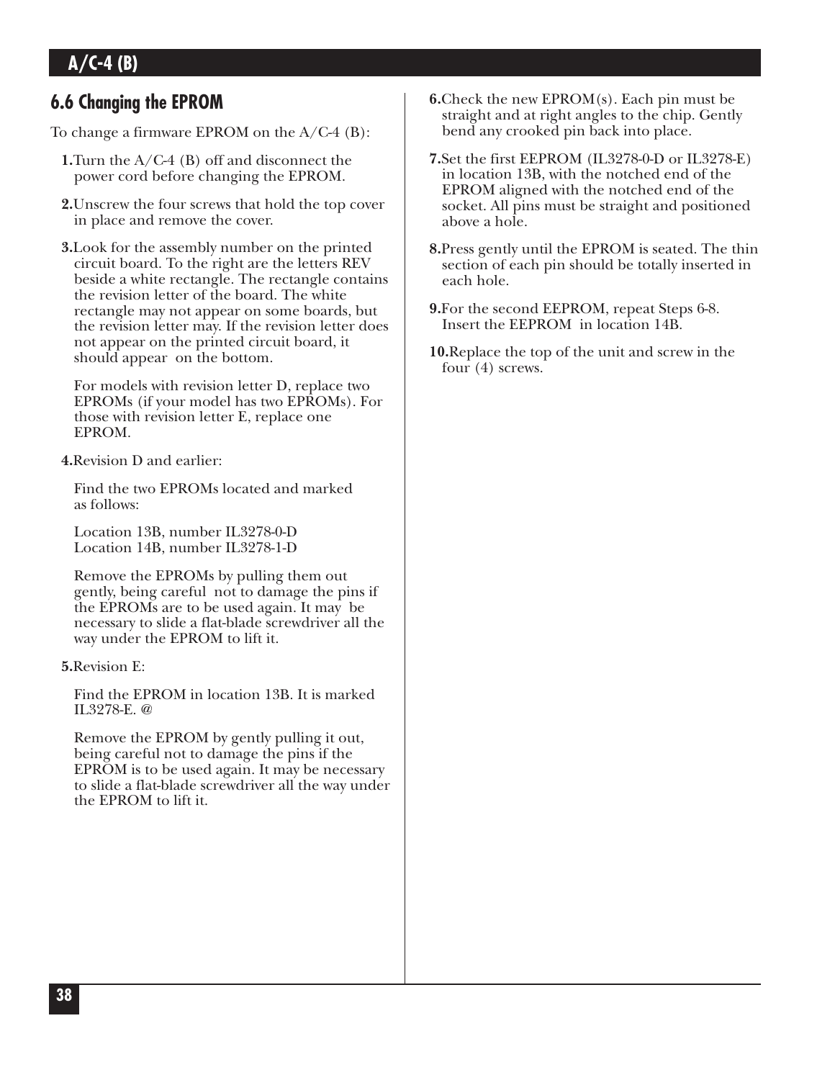## **6.6 Changing the EPROM**

To change a firmware EPROM on the A/C-4 (B):

- **1.**Turn the A/C-4 (B) off and disconnect the power cord before changing the EPROM.
- **2.**Unscrew the four screws that hold the top cover in place and remove the cover.
- **3.**Look for the assembly number on the printed circuit board. To the right are the letters REV beside a white rectangle. The rectangle contains the revision letter of the board. The white rectangle may not appear on some boards, but the revision letter may. If the revision letter does not appear on the printed circuit board, it should appear on the bottom.

For models with revision letter D, replace two EPROMs (if your model has two EPROMs). For those with revision letter E, replace one EPROM.

**4.**Revision D and earlier:

Find the two EPROMs located and marked as follows:

Location 13B, number IL3278-0-D Location 14B, number IL3278-1-D

Remove the EPROMs by pulling them out gently, being careful not to damage the pins if the EPROMs are to be used again. It may be necessary to slide a flat-blade screwdriver all the way under the EPROM to lift it.

**5.**Revision E:

Find the EPROM in location 13B. It is marked IL3278-E. @

Remove the EPROM by gently pulling it out, being careful not to damage the pins if the EPROM is to be used again. It may be necessary to slide a flat-blade screwdriver all the way under the EPROM to lift it.

- **6.**Check the new EPROM(s). Each pin must be straight and at right angles to the chip. Gently bend any crooked pin back into place.
- **7.**Set the first EEPROM (IL3278-0-D or IL3278-E) in location 13B, with the notched end of the EPROM aligned with the notched end of the socket. All pins must be straight and positioned above a hole.
- **8.**Press gently until the EPROM is seated. The thin section of each pin should be totally inserted in each hole.
- **9.**For the second EEPROM, repeat Steps 6-8. Insert the EEPROM in location 14B.
- **10.**Replace the top of the unit and screw in the four (4) screws.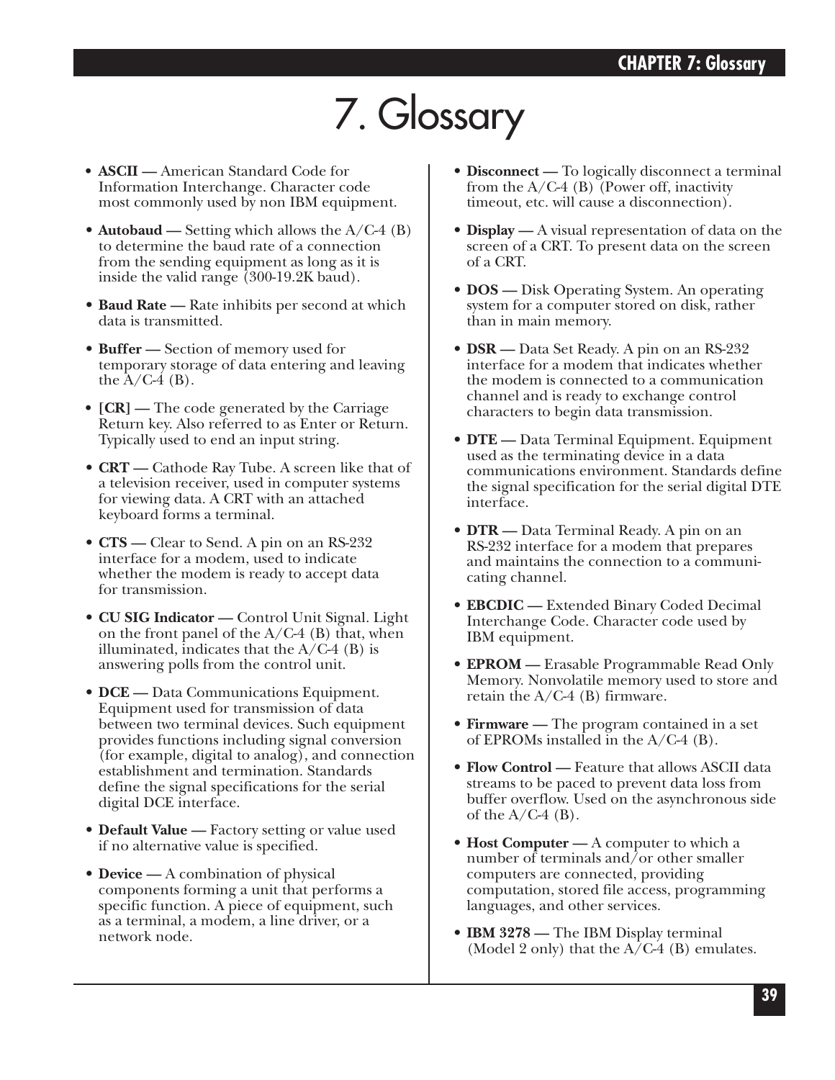# 7. Glossary

- **ASCII —** American Standard Code for Information Interchange. Character code most commonly used by non IBM equipment.
- **Autobaud** Setting which allows the A/C-4 (B) to determine the baud rate of a connection from the sending equipment as long as it is inside the valid range (300-19.2K baud).
- **Baud Rate —** Rate inhibits per second at which data is transmitted.
- **Buffer —** Section of memory used for temporary storage of data entering and leaving the  $A/C-4$  (B).
- **[CR]** The code generated by the Carriage Return key. Also referred to as Enter or Return. Typically used to end an input string.
- **CRT —** Cathode Ray Tube. A screen like that of a television receiver, used in computer systems for viewing data. A CRT with an attached keyboard forms a terminal.
- **CTS —** Clear to Send. A pin on an RS-232 interface for a modem, used to indicate whether the modem is ready to accept data for transmission.
- **CU SIG Indicator —** Control Unit Signal. Light on the front panel of the  $A/C-4$  (B) that, when illuminated, indicates that the  $A/C-4$  (B) is answering polls from the control unit.
- **DCE** Data Communications Equipment. Equipment used for transmission of data between two terminal devices. Such equipment provides functions including signal conversion (for example, digital to analog), and connection establishment and termination. Standards define the signal specifications for the serial digital DCE interface.
- **Default Value —** Factory setting or value used if no alternative value is specified.
- **Device** A combination of physical components forming a unit that performs a specific function. A piece of equipment, such as a terminal, a modem, a line driver, or a network node.
- **Disconnect —** To logically disconnect a terminal from the  $A/C-4$  (B) (Power off, inactivity timeout, etc. will cause a disconnection).
- **Display** A visual representation of data on the screen of a CRT. To present data on the screen of a CRT.
- **DOS** Disk Operating System. An operating system for a computer stored on disk, rather than in main memory.
- **DSR —** Data Set Ready. A pin on an RS-232 interface for a modem that indicates whether the modem is connected to a communication channel and is ready to exchange control characters to begin data transmission.
- **DTE —** Data Terminal Equipment. Equipment used as the terminating device in a data communications environment. Standards define the signal specification for the serial digital DTE interface.
- **DTR** Data Terminal Ready. A pin on an RS-232 interface for a modem that prepares and maintains the connection to a communicating channel.
- **EBCDIC —** Extended Binary Coded Decimal Interchange Code. Character code used by IBM equipment.
- **EPROM** Erasable Programmable Read Only Memory. Nonvolatile memory used to store and retain the A/C-4 (B) firmware.
- **Firmware** The program contained in a set of EPROMs installed in the A/C-4 (B).
- **Flow Control —** Feature that allows ASCII data streams to be paced to prevent data loss from buffer overflow. Used on the asynchronous side of the  $A/C-4$  (B).
- **Host Computer** A computer to which a number of terminals and/or other smaller computers are connected, providing computation, stored file access, programming languages, and other services.
- **IBM 3278 —** The IBM Display terminal (Model 2 only) that the  $A/C-4$  (B) emulates.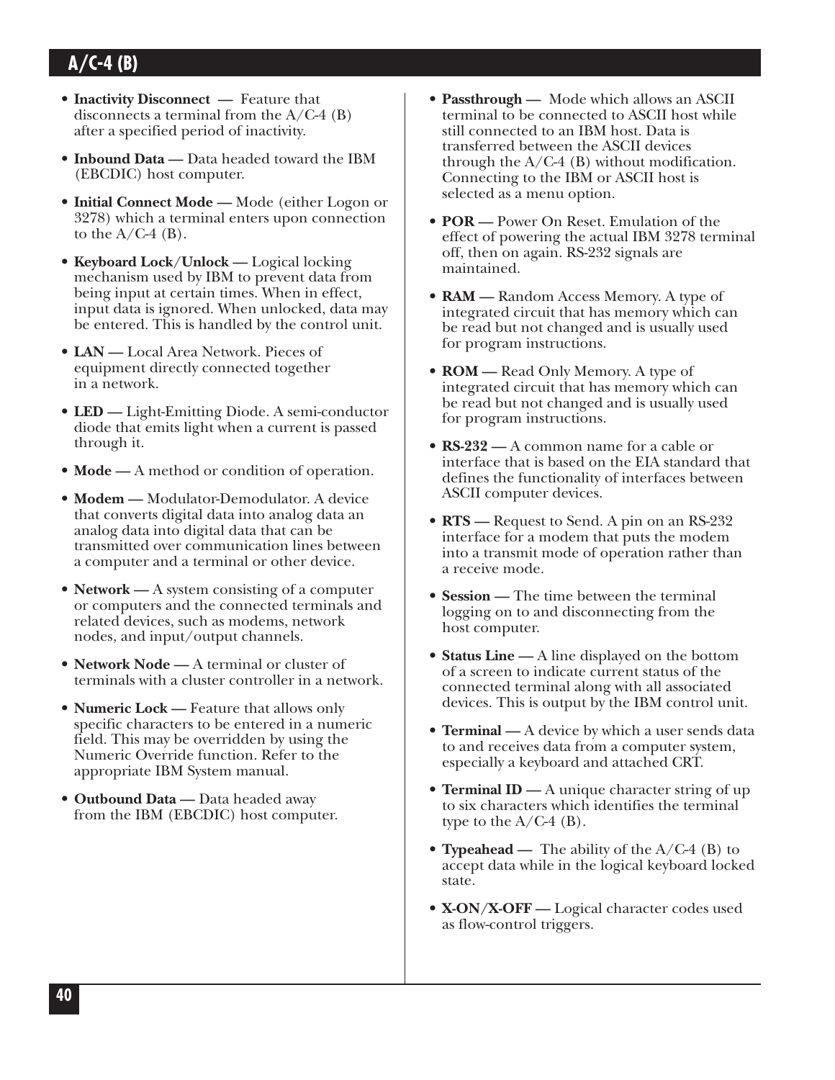- **Inactivity Disconnect** Feature that disconnects a terminal from the  $A/C-4$  (B) after a specified period of inactivity.
- **Inbound Data** Data headed toward the IBM (EBCDIC) host computer.
- **Initial Connect Mode —** Mode (either Logon or 3278) which a terminal enters upon connection to the  $A/C-4$  (B).
- **Keyboard Lock/Unlock —** Logical locking mechanism used by IBM to prevent data from being input at certain times. When in effect, input data is ignored. When unlocked, data may be entered. This is handled by the control unit.
- **LAN —** Local Area Network. Pieces of equipment directly connected together in a network.
- **LED —** Light-Emitting Diode. A semi-conductor diode that emits light when a current is passed through it.
- **Mode** A method or condition of operation.
- **Modem —** Modulator-Demodulator. A device that converts digital data into analog data an analog data into digital data that can be transmitted over communication lines between a computer and a terminal or other device.
- **Network** A system consisting of a computer or computers and the connected terminals and related devices, such as modems, network nodes, and input/output channels.
- **Network Node —** A terminal or cluster of terminals with a cluster controller in a network.
- **Numeric Lock —** Feature that allows only specific characters to be entered in a numeric field. This may be overridden by using the Numeric Override function. Refer to the appropriate IBM System manual.
- **Outbound Data —** Data headed away from the IBM (EBCDIC) host computer.
- **Passthrough —** Mode which allows an ASCII terminal to be connected to ASCII host while still connected to an IBM host. Data is transferred between the ASCII devices through the  $A/C-4$  (B) without modification. Connecting to the IBM or ASCII host is selected as a menu option.
- **POR —** Power On Reset. Emulation of the effect of powering the actual IBM 3278 terminal off, then on again. RS-232 signals are maintained.
- **RAM —** Random Access Memory. A type of integrated circuit that has memory which can be read but not changed and is usually used for program instructions.
- **ROM** Read Only Memory. A type of integrated circuit that has memory which can be read but not changed and is usually used for program instructions.
- **RS-232 —** A common name for a cable or interface that is based on the EIA standard that defines the functionality of interfaces between ASCII computer devices.
- **RTS** Request to Send. A pin on an RS-232 interface for a modem that puts the modem into a transmit mode of operation rather than a receive mode.
- **Session** The time between the terminal logging on to and disconnecting from the host computer.
- **Status Line** A line displayed on the bottom of a screen to indicate current status of the connected terminal along with all associated devices. This is output by the IBM control unit.
- **Terminal** A device by which a user sends data to and receives data from a computer system, especially a keyboard and attached CRT.
- **Terminal ID** A unique character string of up to six characters which identifies the terminal type to the  $A/C-4$  (B).
- **Typeahead —** The ability of the A/C-4 (B) to accept data while in the logical keyboard locked state.
- **X-ON/X-OFF** Logical character codes used as flow-control triggers.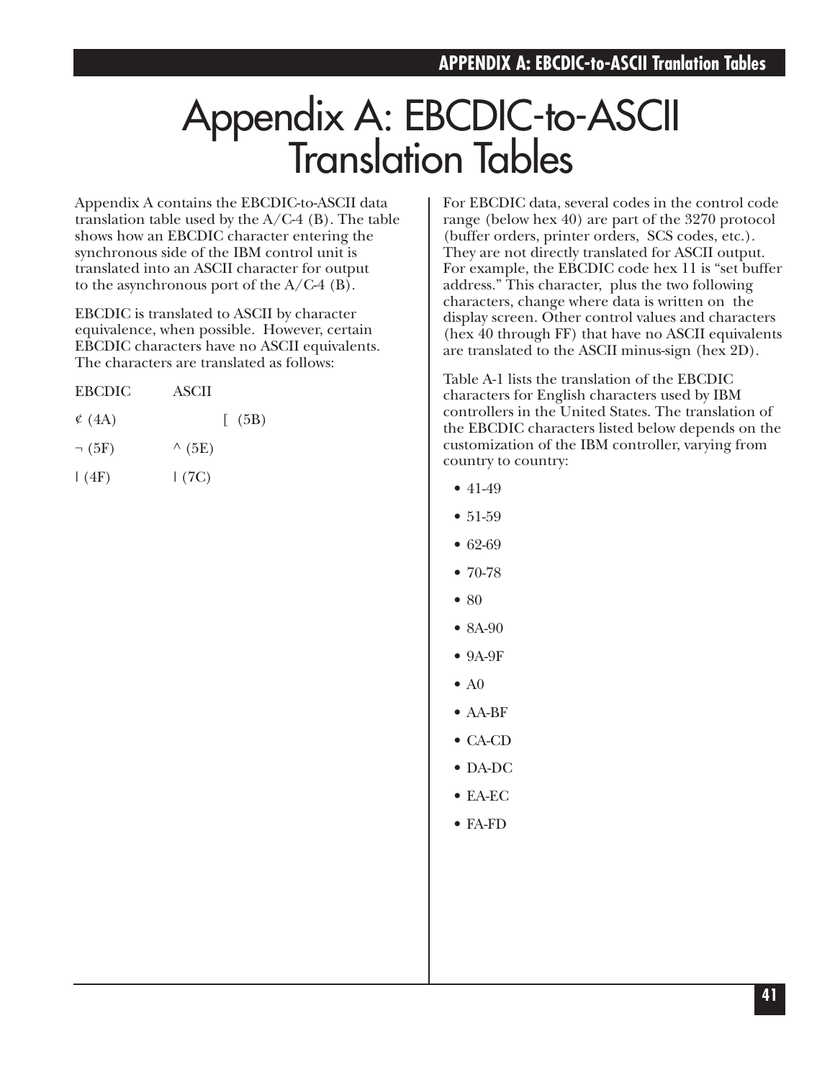# Appendix A: EBCDIC-to-ASCII Translation Tables

Appendix A contains the EBCDIC-to-ASCII data translation table used by the  $A/C-4$  (B). The table shows how an EBCDIC character entering the synchronous side of the IBM control unit is translated into an ASCII character for output to the asynchronous port of the  $A/C-4$  (B).

EBCDIC is translated to ASCII by character equivalence, when possible. However, certain EBCDIC characters have no ASCII equivalents. The characters are translated as follows:

| <b>EBCDIC</b> | ASCII |      |
|---------------|-------|------|
| $\circ$ (4A)  |       | (5B) |

| (5E) |
|------|
|      |

 $|(4F)$   $|(7C)$ 

For EBCDIC data, several codes in the control code range (below hex 40) are part of the 3270 protocol (buffer orders, printer orders, SCS codes, etc.). They are not directly translated for ASCII output. For example, the EBCDIC code hex 11 is "set buffer address." This character, plus the two following characters, change where data is written on the display screen. Other control values and characters (hex 40 through FF) that have no ASCII equivalents are translated to the ASCII minus-sign (hex 2D).

Table A-1 lists the translation of the EBCDIC characters for English characters used by IBM controllers in the United States. The translation of the EBCDIC characters listed below depends on the customization of the IBM controller, varying from country to country:

- 41-49
- 51-59
- 62-69
- $70-78$
- 80
- 8A-90
- 9A-9F
- $\bullet$  A<sub>0</sub>
- AA-BF
- CA-CD
- DA-DC
- EA-EC
- FA-FD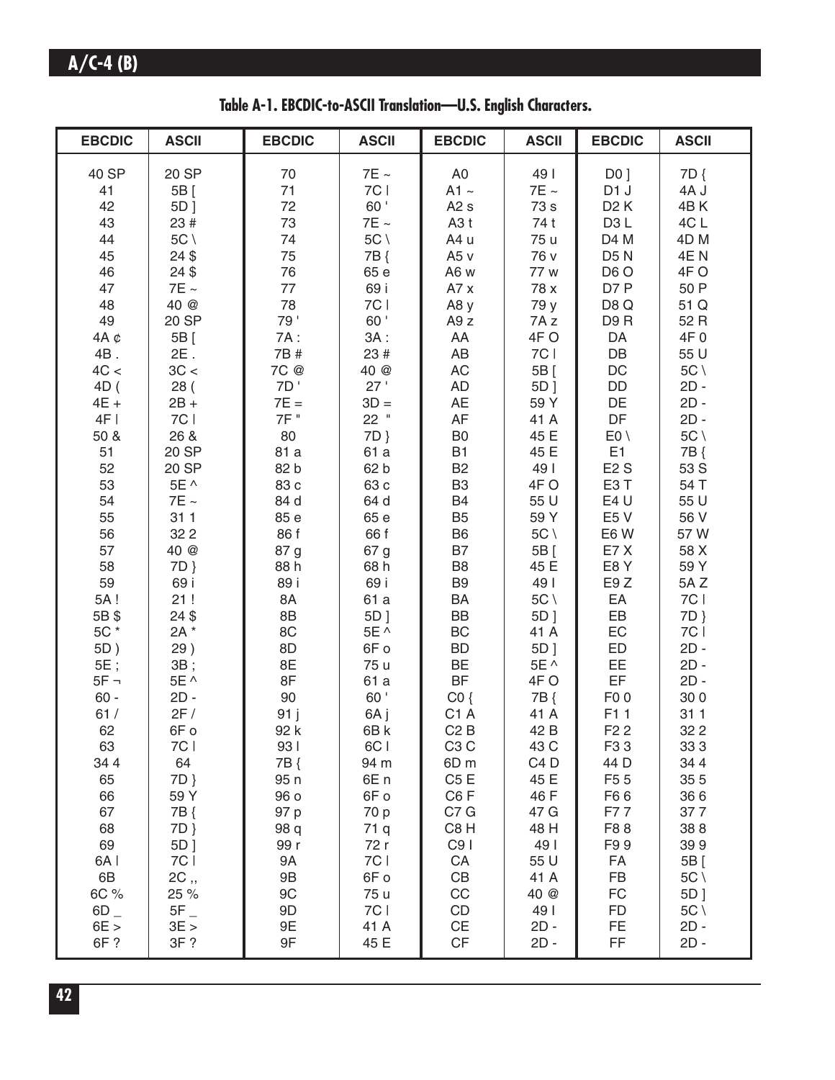**Table A-1. EBCDIC-to-ASCII Translation—U.S. English Characters.**

| 40 SP<br>20 SP<br>$7E \sim$<br>A <sub>0</sub><br>49  <br>DO <sub>1</sub><br>7D {<br>70<br>7C  <br>71<br>$7E \sim$<br>D <sub>1</sub> J<br>41<br>5B [<br>$A1 \sim$<br>4A J<br>60'<br>72<br>42<br>A2s<br>73 s<br>D <sub>2</sub> K<br>4BK<br>5D]<br>73<br>4CL<br>43<br>23 #<br>$7\mathsf{E}\sim$<br>A <sub>3</sub> t<br>74 t<br>D <sub>3</sub> L<br>$5C \setminus$<br>$5C \setminus$<br>74<br>A4 u<br>75 u<br>D4 M<br>4D <sub>M</sub><br>44<br>24\$<br>75<br>7B {<br>76 v<br>D <sub>5</sub> N<br>4EN<br>45<br>A <sub>5</sub> v<br>24\$<br>76<br>65 e<br>D <sub>6</sub> O<br>4FO<br>46<br>A6 w<br>77 w<br>69 i<br>77<br>D7 P<br>50 P<br>47<br>$7E \sim$<br>A7x<br>78 x<br>78<br>7C  <br>40 @<br>51 Q<br>48<br>A8y<br>79 y<br>D8Q<br>79'<br>60'<br>49<br>20 SP<br>D9R<br>52 R<br>A9 z<br>7A z<br>$3A$ :<br>4FO<br>DA<br>4F 0<br>$4A \phi$<br>5B [<br>7A:<br>AA<br>7C  <br>DB<br>$2E$ .<br>7B #<br>23 #<br>AB<br>55 U<br>4B.<br>3C <<br>$\mathsf{AC}$<br>$DC$<br>$5C \setminus$<br>4C <<br>7C @<br>40 @<br>5B [<br>7D'<br>27'<br>DD<br>$2D -$<br>28(<br>AD<br>5D ]<br>4D (<br>$3D =$<br>AE<br>DE<br>$2D -$<br>$7E =$<br>59 Y<br>$4E +$<br>$2B +$<br>7F "<br>$22$ "<br>DF<br>7C  <br>AF<br>$2D -$<br>4F<br>41 A<br>$5C \setminus$<br>26 &<br>80<br>B <sub>0</sub><br>$E0 \setminus$<br>50 &<br>7D }<br>45 E<br>61 a<br>E1<br>51<br>20 SP<br>81 a<br><b>B1</b><br>45 E<br>7B {<br>52<br>20 SP<br>82 b<br>62 b<br><b>B2</b><br>49  <br>E2S<br>53 S<br>53<br>5E ^<br>83 c<br>63 c<br>B <sub>3</sub><br>4FO<br>E3T<br>54 T<br>54<br>$7\mathsf{E}\sim$<br>64 d<br>55 U<br>E4 U<br>55 U<br>84 d<br>B4<br>55<br>311<br>65 e<br>B <sub>5</sub><br>59 Y<br>E <sub>5</sub> V<br>56 V<br>85 e<br>32 2<br>66 f<br>$5C \setminus$<br>56<br>86 f<br>B <sub>6</sub><br>E6W<br>57W<br>57<br>40 @<br><b>B7</b><br>5B [<br>E7X<br>58 X<br>87 g<br>67 g<br>58<br>68 h<br>45 E<br>E8Y<br>59 Y<br>7D }<br>88 h<br>B <sub>8</sub><br>59<br>E9Z<br>69 i<br>69 i<br>B <sub>9</sub><br>49  <br>5AZ<br>89 i<br>$5C \setminus$<br>EA<br>7C  <br>5A!<br>21!<br>8A<br>61 a<br>BA<br>24\$<br>8B<br>5D]<br>BB<br>5D ]<br>EB<br>7D }<br>5B\$<br>5C *<br>EC<br>7C  <br>2A *<br>8C<br>5E ^<br>BC<br>41 A<br>ED<br>$2D -$<br>29)<br>8D<br>6Fo<br><b>BD</b><br>5D ]<br>5D)<br>BE<br><b>EE</b><br>5E;<br>8E<br>5E ^<br>$2D -$<br>3B;<br>75 u<br>EF<br>8F<br><b>BF</b><br>$5F -$<br>5E ^<br>61 a<br>4FO<br>$2D -$<br>90<br>60'<br>$60 -$<br>CO <sub>3</sub><br>F <sub>0</sub> 0<br>300<br>$2D -$<br>7B {<br>2F/<br>61/<br>C <sub>1</sub> A<br>91j<br>6A j<br>41 A<br>F11<br>311<br>62<br>6B k<br>C2B<br>F <sub>2</sub> 2<br>32 2<br>6Fo<br>92 k<br>42 B<br>63<br>931<br>6C I<br>C <sub>3</sub> C<br>43 C<br>F <sub>3</sub> 3<br>333<br>7C  <br>64<br>34 4<br>7B {<br>94 m<br>6D <sub>m</sub><br>C <sub>4</sub> D<br>44 D<br>34 4<br>65<br>C5E<br>7D }<br>6E <sub>n</sub><br>45 E<br>F <sub>5</sub> 5<br>35 5<br>95 n<br>66<br>C6F<br>59 Y<br>96 o<br>6Fo<br>46 F<br>F66<br>366<br>67<br>F77<br>7B {<br>C7 G<br>47 G<br>377<br>97 p<br>70 p<br>68<br>C8H<br>7D }<br>98 q<br>71 q<br>48 H<br>F88<br>388<br>69<br>C <sub>9</sub> I<br>49  <br>5D]<br>99 r<br>72 r<br>F99<br>399<br>7C  <br>7C  <br>CA<br>55 U<br>FA<br>6A  <br>9A<br>5B [<br>$\mathsf{CB}$<br>6B<br>2C,<br>FB<br>9B<br>6F o<br>41 A<br>5C \<br>$_{\rm CC}$<br>FC<br>9C<br>6C %<br>25 %<br>75 u<br>5D ]<br>40 @<br>$\mathsf{CD}$<br>$5F_{-}$<br>7C  <br>49  <br><b>FD</b><br>$5C \setminus$<br>$6D_$<br>9D<br>$\mathsf{CE}$<br>9E<br>FE<br>6E ><br>3E ><br>41 A<br>$2D -$<br>$2D -$<br>CF<br>FF<br>6F?<br>3F ?<br>9F<br>45 E<br>$2D -$<br>$2D -$ | <b>EBCDIC</b> | <b>ASCII</b> | <b>EBCDIC</b> | <b>ASCII</b> | <b>EBCDIC</b> | <b>ASCII</b> | <b>EBCDIC</b> | <b>ASCII</b> |
|----------------------------------------------------------------------------------------------------------------------------------------------------------------------------------------------------------------------------------------------------------------------------------------------------------------------------------------------------------------------------------------------------------------------------------------------------------------------------------------------------------------------------------------------------------------------------------------------------------------------------------------------------------------------------------------------------------------------------------------------------------------------------------------------------------------------------------------------------------------------------------------------------------------------------------------------------------------------------------------------------------------------------------------------------------------------------------------------------------------------------------------------------------------------------------------------------------------------------------------------------------------------------------------------------------------------------------------------------------------------------------------------------------------------------------------------------------------------------------------------------------------------------------------------------------------------------------------------------------------------------------------------------------------------------------------------------------------------------------------------------------------------------------------------------------------------------------------------------------------------------------------------------------------------------------------------------------------------------------------------------------------------------------------------------------------------------------------------------------------------------------------------------------------------------------------------------------------------------------------------------------------------------------------------------------------------------------------------------------------------------------------------------------------------------------------------------------------------------------------------------------------------------------------------------------------------------------------------------------------------------------------------------------------------------------------------------------------------------------------------------------------------------------------------------------------------------------------------------------------------------------------------------------------------------------------------------------------------------------------------------------------------------------------------------------------------------------------------------------------------------------------------------------------------------------------------------------------------------------------------------------------------------------------------------------------------------------------------------------------------------------------------------------------------------------------------------------------------------------------------------------------------------------------------------------------|---------------|--------------|---------------|--------------|---------------|--------------|---------------|--------------|
|                                                                                                                                                                                                                                                                                                                                                                                                                                                                                                                                                                                                                                                                                                                                                                                                                                                                                                                                                                                                                                                                                                                                                                                                                                                                                                                                                                                                                                                                                                                                                                                                                                                                                                                                                                                                                                                                                                                                                                                                                                                                                                                                                                                                                                                                                                                                                                                                                                                                                                                                                                                                                                                                                                                                                                                                                                                                                                                                                                                                                                                                                                                                                                                                                                                                                                                                                                                                                                                                                                                                                                |               |              |               |              |               |              |               |              |
|                                                                                                                                                                                                                                                                                                                                                                                                                                                                                                                                                                                                                                                                                                                                                                                                                                                                                                                                                                                                                                                                                                                                                                                                                                                                                                                                                                                                                                                                                                                                                                                                                                                                                                                                                                                                                                                                                                                                                                                                                                                                                                                                                                                                                                                                                                                                                                                                                                                                                                                                                                                                                                                                                                                                                                                                                                                                                                                                                                                                                                                                                                                                                                                                                                                                                                                                                                                                                                                                                                                                                                |               |              |               |              |               |              |               |              |
|                                                                                                                                                                                                                                                                                                                                                                                                                                                                                                                                                                                                                                                                                                                                                                                                                                                                                                                                                                                                                                                                                                                                                                                                                                                                                                                                                                                                                                                                                                                                                                                                                                                                                                                                                                                                                                                                                                                                                                                                                                                                                                                                                                                                                                                                                                                                                                                                                                                                                                                                                                                                                                                                                                                                                                                                                                                                                                                                                                                                                                                                                                                                                                                                                                                                                                                                                                                                                                                                                                                                                                |               |              |               |              |               |              |               |              |
|                                                                                                                                                                                                                                                                                                                                                                                                                                                                                                                                                                                                                                                                                                                                                                                                                                                                                                                                                                                                                                                                                                                                                                                                                                                                                                                                                                                                                                                                                                                                                                                                                                                                                                                                                                                                                                                                                                                                                                                                                                                                                                                                                                                                                                                                                                                                                                                                                                                                                                                                                                                                                                                                                                                                                                                                                                                                                                                                                                                                                                                                                                                                                                                                                                                                                                                                                                                                                                                                                                                                                                |               |              |               |              |               |              |               |              |
|                                                                                                                                                                                                                                                                                                                                                                                                                                                                                                                                                                                                                                                                                                                                                                                                                                                                                                                                                                                                                                                                                                                                                                                                                                                                                                                                                                                                                                                                                                                                                                                                                                                                                                                                                                                                                                                                                                                                                                                                                                                                                                                                                                                                                                                                                                                                                                                                                                                                                                                                                                                                                                                                                                                                                                                                                                                                                                                                                                                                                                                                                                                                                                                                                                                                                                                                                                                                                                                                                                                                                                |               |              |               |              |               |              |               |              |
|                                                                                                                                                                                                                                                                                                                                                                                                                                                                                                                                                                                                                                                                                                                                                                                                                                                                                                                                                                                                                                                                                                                                                                                                                                                                                                                                                                                                                                                                                                                                                                                                                                                                                                                                                                                                                                                                                                                                                                                                                                                                                                                                                                                                                                                                                                                                                                                                                                                                                                                                                                                                                                                                                                                                                                                                                                                                                                                                                                                                                                                                                                                                                                                                                                                                                                                                                                                                                                                                                                                                                                |               |              |               |              |               |              |               |              |
|                                                                                                                                                                                                                                                                                                                                                                                                                                                                                                                                                                                                                                                                                                                                                                                                                                                                                                                                                                                                                                                                                                                                                                                                                                                                                                                                                                                                                                                                                                                                                                                                                                                                                                                                                                                                                                                                                                                                                                                                                                                                                                                                                                                                                                                                                                                                                                                                                                                                                                                                                                                                                                                                                                                                                                                                                                                                                                                                                                                                                                                                                                                                                                                                                                                                                                                                                                                                                                                                                                                                                                |               |              |               |              |               |              |               |              |
|                                                                                                                                                                                                                                                                                                                                                                                                                                                                                                                                                                                                                                                                                                                                                                                                                                                                                                                                                                                                                                                                                                                                                                                                                                                                                                                                                                                                                                                                                                                                                                                                                                                                                                                                                                                                                                                                                                                                                                                                                                                                                                                                                                                                                                                                                                                                                                                                                                                                                                                                                                                                                                                                                                                                                                                                                                                                                                                                                                                                                                                                                                                                                                                                                                                                                                                                                                                                                                                                                                                                                                |               |              |               |              |               |              |               |              |
|                                                                                                                                                                                                                                                                                                                                                                                                                                                                                                                                                                                                                                                                                                                                                                                                                                                                                                                                                                                                                                                                                                                                                                                                                                                                                                                                                                                                                                                                                                                                                                                                                                                                                                                                                                                                                                                                                                                                                                                                                                                                                                                                                                                                                                                                                                                                                                                                                                                                                                                                                                                                                                                                                                                                                                                                                                                                                                                                                                                                                                                                                                                                                                                                                                                                                                                                                                                                                                                                                                                                                                |               |              |               |              |               |              |               |              |
|                                                                                                                                                                                                                                                                                                                                                                                                                                                                                                                                                                                                                                                                                                                                                                                                                                                                                                                                                                                                                                                                                                                                                                                                                                                                                                                                                                                                                                                                                                                                                                                                                                                                                                                                                                                                                                                                                                                                                                                                                                                                                                                                                                                                                                                                                                                                                                                                                                                                                                                                                                                                                                                                                                                                                                                                                                                                                                                                                                                                                                                                                                                                                                                                                                                                                                                                                                                                                                                                                                                                                                |               |              |               |              |               |              |               |              |
|                                                                                                                                                                                                                                                                                                                                                                                                                                                                                                                                                                                                                                                                                                                                                                                                                                                                                                                                                                                                                                                                                                                                                                                                                                                                                                                                                                                                                                                                                                                                                                                                                                                                                                                                                                                                                                                                                                                                                                                                                                                                                                                                                                                                                                                                                                                                                                                                                                                                                                                                                                                                                                                                                                                                                                                                                                                                                                                                                                                                                                                                                                                                                                                                                                                                                                                                                                                                                                                                                                                                                                |               |              |               |              |               |              |               |              |
|                                                                                                                                                                                                                                                                                                                                                                                                                                                                                                                                                                                                                                                                                                                                                                                                                                                                                                                                                                                                                                                                                                                                                                                                                                                                                                                                                                                                                                                                                                                                                                                                                                                                                                                                                                                                                                                                                                                                                                                                                                                                                                                                                                                                                                                                                                                                                                                                                                                                                                                                                                                                                                                                                                                                                                                                                                                                                                                                                                                                                                                                                                                                                                                                                                                                                                                                                                                                                                                                                                                                                                |               |              |               |              |               |              |               |              |
|                                                                                                                                                                                                                                                                                                                                                                                                                                                                                                                                                                                                                                                                                                                                                                                                                                                                                                                                                                                                                                                                                                                                                                                                                                                                                                                                                                                                                                                                                                                                                                                                                                                                                                                                                                                                                                                                                                                                                                                                                                                                                                                                                                                                                                                                                                                                                                                                                                                                                                                                                                                                                                                                                                                                                                                                                                                                                                                                                                                                                                                                                                                                                                                                                                                                                                                                                                                                                                                                                                                                                                |               |              |               |              |               |              |               |              |
|                                                                                                                                                                                                                                                                                                                                                                                                                                                                                                                                                                                                                                                                                                                                                                                                                                                                                                                                                                                                                                                                                                                                                                                                                                                                                                                                                                                                                                                                                                                                                                                                                                                                                                                                                                                                                                                                                                                                                                                                                                                                                                                                                                                                                                                                                                                                                                                                                                                                                                                                                                                                                                                                                                                                                                                                                                                                                                                                                                                                                                                                                                                                                                                                                                                                                                                                                                                                                                                                                                                                                                |               |              |               |              |               |              |               |              |
|                                                                                                                                                                                                                                                                                                                                                                                                                                                                                                                                                                                                                                                                                                                                                                                                                                                                                                                                                                                                                                                                                                                                                                                                                                                                                                                                                                                                                                                                                                                                                                                                                                                                                                                                                                                                                                                                                                                                                                                                                                                                                                                                                                                                                                                                                                                                                                                                                                                                                                                                                                                                                                                                                                                                                                                                                                                                                                                                                                                                                                                                                                                                                                                                                                                                                                                                                                                                                                                                                                                                                                |               |              |               |              |               |              |               |              |
|                                                                                                                                                                                                                                                                                                                                                                                                                                                                                                                                                                                                                                                                                                                                                                                                                                                                                                                                                                                                                                                                                                                                                                                                                                                                                                                                                                                                                                                                                                                                                                                                                                                                                                                                                                                                                                                                                                                                                                                                                                                                                                                                                                                                                                                                                                                                                                                                                                                                                                                                                                                                                                                                                                                                                                                                                                                                                                                                                                                                                                                                                                                                                                                                                                                                                                                                                                                                                                                                                                                                                                |               |              |               |              |               |              |               |              |
|                                                                                                                                                                                                                                                                                                                                                                                                                                                                                                                                                                                                                                                                                                                                                                                                                                                                                                                                                                                                                                                                                                                                                                                                                                                                                                                                                                                                                                                                                                                                                                                                                                                                                                                                                                                                                                                                                                                                                                                                                                                                                                                                                                                                                                                                                                                                                                                                                                                                                                                                                                                                                                                                                                                                                                                                                                                                                                                                                                                                                                                                                                                                                                                                                                                                                                                                                                                                                                                                                                                                                                |               |              |               |              |               |              |               |              |
|                                                                                                                                                                                                                                                                                                                                                                                                                                                                                                                                                                                                                                                                                                                                                                                                                                                                                                                                                                                                                                                                                                                                                                                                                                                                                                                                                                                                                                                                                                                                                                                                                                                                                                                                                                                                                                                                                                                                                                                                                                                                                                                                                                                                                                                                                                                                                                                                                                                                                                                                                                                                                                                                                                                                                                                                                                                                                                                                                                                                                                                                                                                                                                                                                                                                                                                                                                                                                                                                                                                                                                |               |              |               |              |               |              |               |              |
|                                                                                                                                                                                                                                                                                                                                                                                                                                                                                                                                                                                                                                                                                                                                                                                                                                                                                                                                                                                                                                                                                                                                                                                                                                                                                                                                                                                                                                                                                                                                                                                                                                                                                                                                                                                                                                                                                                                                                                                                                                                                                                                                                                                                                                                                                                                                                                                                                                                                                                                                                                                                                                                                                                                                                                                                                                                                                                                                                                                                                                                                                                                                                                                                                                                                                                                                                                                                                                                                                                                                                                |               |              |               |              |               |              |               |              |
|                                                                                                                                                                                                                                                                                                                                                                                                                                                                                                                                                                                                                                                                                                                                                                                                                                                                                                                                                                                                                                                                                                                                                                                                                                                                                                                                                                                                                                                                                                                                                                                                                                                                                                                                                                                                                                                                                                                                                                                                                                                                                                                                                                                                                                                                                                                                                                                                                                                                                                                                                                                                                                                                                                                                                                                                                                                                                                                                                                                                                                                                                                                                                                                                                                                                                                                                                                                                                                                                                                                                                                |               |              |               |              |               |              |               |              |
|                                                                                                                                                                                                                                                                                                                                                                                                                                                                                                                                                                                                                                                                                                                                                                                                                                                                                                                                                                                                                                                                                                                                                                                                                                                                                                                                                                                                                                                                                                                                                                                                                                                                                                                                                                                                                                                                                                                                                                                                                                                                                                                                                                                                                                                                                                                                                                                                                                                                                                                                                                                                                                                                                                                                                                                                                                                                                                                                                                                                                                                                                                                                                                                                                                                                                                                                                                                                                                                                                                                                                                |               |              |               |              |               |              |               |              |
|                                                                                                                                                                                                                                                                                                                                                                                                                                                                                                                                                                                                                                                                                                                                                                                                                                                                                                                                                                                                                                                                                                                                                                                                                                                                                                                                                                                                                                                                                                                                                                                                                                                                                                                                                                                                                                                                                                                                                                                                                                                                                                                                                                                                                                                                                                                                                                                                                                                                                                                                                                                                                                                                                                                                                                                                                                                                                                                                                                                                                                                                                                                                                                                                                                                                                                                                                                                                                                                                                                                                                                |               |              |               |              |               |              |               |              |
|                                                                                                                                                                                                                                                                                                                                                                                                                                                                                                                                                                                                                                                                                                                                                                                                                                                                                                                                                                                                                                                                                                                                                                                                                                                                                                                                                                                                                                                                                                                                                                                                                                                                                                                                                                                                                                                                                                                                                                                                                                                                                                                                                                                                                                                                                                                                                                                                                                                                                                                                                                                                                                                                                                                                                                                                                                                                                                                                                                                                                                                                                                                                                                                                                                                                                                                                                                                                                                                                                                                                                                |               |              |               |              |               |              |               |              |
|                                                                                                                                                                                                                                                                                                                                                                                                                                                                                                                                                                                                                                                                                                                                                                                                                                                                                                                                                                                                                                                                                                                                                                                                                                                                                                                                                                                                                                                                                                                                                                                                                                                                                                                                                                                                                                                                                                                                                                                                                                                                                                                                                                                                                                                                                                                                                                                                                                                                                                                                                                                                                                                                                                                                                                                                                                                                                                                                                                                                                                                                                                                                                                                                                                                                                                                                                                                                                                                                                                                                                                |               |              |               |              |               |              |               |              |
|                                                                                                                                                                                                                                                                                                                                                                                                                                                                                                                                                                                                                                                                                                                                                                                                                                                                                                                                                                                                                                                                                                                                                                                                                                                                                                                                                                                                                                                                                                                                                                                                                                                                                                                                                                                                                                                                                                                                                                                                                                                                                                                                                                                                                                                                                                                                                                                                                                                                                                                                                                                                                                                                                                                                                                                                                                                                                                                                                                                                                                                                                                                                                                                                                                                                                                                                                                                                                                                                                                                                                                |               |              |               |              |               |              |               |              |
|                                                                                                                                                                                                                                                                                                                                                                                                                                                                                                                                                                                                                                                                                                                                                                                                                                                                                                                                                                                                                                                                                                                                                                                                                                                                                                                                                                                                                                                                                                                                                                                                                                                                                                                                                                                                                                                                                                                                                                                                                                                                                                                                                                                                                                                                                                                                                                                                                                                                                                                                                                                                                                                                                                                                                                                                                                                                                                                                                                                                                                                                                                                                                                                                                                                                                                                                                                                                                                                                                                                                                                |               |              |               |              |               |              |               |              |
|                                                                                                                                                                                                                                                                                                                                                                                                                                                                                                                                                                                                                                                                                                                                                                                                                                                                                                                                                                                                                                                                                                                                                                                                                                                                                                                                                                                                                                                                                                                                                                                                                                                                                                                                                                                                                                                                                                                                                                                                                                                                                                                                                                                                                                                                                                                                                                                                                                                                                                                                                                                                                                                                                                                                                                                                                                                                                                                                                                                                                                                                                                                                                                                                                                                                                                                                                                                                                                                                                                                                                                |               |              |               |              |               |              |               |              |
|                                                                                                                                                                                                                                                                                                                                                                                                                                                                                                                                                                                                                                                                                                                                                                                                                                                                                                                                                                                                                                                                                                                                                                                                                                                                                                                                                                                                                                                                                                                                                                                                                                                                                                                                                                                                                                                                                                                                                                                                                                                                                                                                                                                                                                                                                                                                                                                                                                                                                                                                                                                                                                                                                                                                                                                                                                                                                                                                                                                                                                                                                                                                                                                                                                                                                                                                                                                                                                                                                                                                                                |               |              |               |              |               |              |               |              |
|                                                                                                                                                                                                                                                                                                                                                                                                                                                                                                                                                                                                                                                                                                                                                                                                                                                                                                                                                                                                                                                                                                                                                                                                                                                                                                                                                                                                                                                                                                                                                                                                                                                                                                                                                                                                                                                                                                                                                                                                                                                                                                                                                                                                                                                                                                                                                                                                                                                                                                                                                                                                                                                                                                                                                                                                                                                                                                                                                                                                                                                                                                                                                                                                                                                                                                                                                                                                                                                                                                                                                                |               |              |               |              |               |              |               |              |
|                                                                                                                                                                                                                                                                                                                                                                                                                                                                                                                                                                                                                                                                                                                                                                                                                                                                                                                                                                                                                                                                                                                                                                                                                                                                                                                                                                                                                                                                                                                                                                                                                                                                                                                                                                                                                                                                                                                                                                                                                                                                                                                                                                                                                                                                                                                                                                                                                                                                                                                                                                                                                                                                                                                                                                                                                                                                                                                                                                                                                                                                                                                                                                                                                                                                                                                                                                                                                                                                                                                                                                |               |              |               |              |               |              |               |              |
|                                                                                                                                                                                                                                                                                                                                                                                                                                                                                                                                                                                                                                                                                                                                                                                                                                                                                                                                                                                                                                                                                                                                                                                                                                                                                                                                                                                                                                                                                                                                                                                                                                                                                                                                                                                                                                                                                                                                                                                                                                                                                                                                                                                                                                                                                                                                                                                                                                                                                                                                                                                                                                                                                                                                                                                                                                                                                                                                                                                                                                                                                                                                                                                                                                                                                                                                                                                                                                                                                                                                                                |               |              |               |              |               |              |               |              |
|                                                                                                                                                                                                                                                                                                                                                                                                                                                                                                                                                                                                                                                                                                                                                                                                                                                                                                                                                                                                                                                                                                                                                                                                                                                                                                                                                                                                                                                                                                                                                                                                                                                                                                                                                                                                                                                                                                                                                                                                                                                                                                                                                                                                                                                                                                                                                                                                                                                                                                                                                                                                                                                                                                                                                                                                                                                                                                                                                                                                                                                                                                                                                                                                                                                                                                                                                                                                                                                                                                                                                                |               |              |               |              |               |              |               |              |
|                                                                                                                                                                                                                                                                                                                                                                                                                                                                                                                                                                                                                                                                                                                                                                                                                                                                                                                                                                                                                                                                                                                                                                                                                                                                                                                                                                                                                                                                                                                                                                                                                                                                                                                                                                                                                                                                                                                                                                                                                                                                                                                                                                                                                                                                                                                                                                                                                                                                                                                                                                                                                                                                                                                                                                                                                                                                                                                                                                                                                                                                                                                                                                                                                                                                                                                                                                                                                                                                                                                                                                |               |              |               |              |               |              |               |              |
|                                                                                                                                                                                                                                                                                                                                                                                                                                                                                                                                                                                                                                                                                                                                                                                                                                                                                                                                                                                                                                                                                                                                                                                                                                                                                                                                                                                                                                                                                                                                                                                                                                                                                                                                                                                                                                                                                                                                                                                                                                                                                                                                                                                                                                                                                                                                                                                                                                                                                                                                                                                                                                                                                                                                                                                                                                                                                                                                                                                                                                                                                                                                                                                                                                                                                                                                                                                                                                                                                                                                                                |               |              |               |              |               |              |               |              |
|                                                                                                                                                                                                                                                                                                                                                                                                                                                                                                                                                                                                                                                                                                                                                                                                                                                                                                                                                                                                                                                                                                                                                                                                                                                                                                                                                                                                                                                                                                                                                                                                                                                                                                                                                                                                                                                                                                                                                                                                                                                                                                                                                                                                                                                                                                                                                                                                                                                                                                                                                                                                                                                                                                                                                                                                                                                                                                                                                                                                                                                                                                                                                                                                                                                                                                                                                                                                                                                                                                                                                                |               |              |               |              |               |              |               |              |
|                                                                                                                                                                                                                                                                                                                                                                                                                                                                                                                                                                                                                                                                                                                                                                                                                                                                                                                                                                                                                                                                                                                                                                                                                                                                                                                                                                                                                                                                                                                                                                                                                                                                                                                                                                                                                                                                                                                                                                                                                                                                                                                                                                                                                                                                                                                                                                                                                                                                                                                                                                                                                                                                                                                                                                                                                                                                                                                                                                                                                                                                                                                                                                                                                                                                                                                                                                                                                                                                                                                                                                |               |              |               |              |               |              |               |              |
|                                                                                                                                                                                                                                                                                                                                                                                                                                                                                                                                                                                                                                                                                                                                                                                                                                                                                                                                                                                                                                                                                                                                                                                                                                                                                                                                                                                                                                                                                                                                                                                                                                                                                                                                                                                                                                                                                                                                                                                                                                                                                                                                                                                                                                                                                                                                                                                                                                                                                                                                                                                                                                                                                                                                                                                                                                                                                                                                                                                                                                                                                                                                                                                                                                                                                                                                                                                                                                                                                                                                                                |               |              |               |              |               |              |               |              |
|                                                                                                                                                                                                                                                                                                                                                                                                                                                                                                                                                                                                                                                                                                                                                                                                                                                                                                                                                                                                                                                                                                                                                                                                                                                                                                                                                                                                                                                                                                                                                                                                                                                                                                                                                                                                                                                                                                                                                                                                                                                                                                                                                                                                                                                                                                                                                                                                                                                                                                                                                                                                                                                                                                                                                                                                                                                                                                                                                                                                                                                                                                                                                                                                                                                                                                                                                                                                                                                                                                                                                                |               |              |               |              |               |              |               |              |
|                                                                                                                                                                                                                                                                                                                                                                                                                                                                                                                                                                                                                                                                                                                                                                                                                                                                                                                                                                                                                                                                                                                                                                                                                                                                                                                                                                                                                                                                                                                                                                                                                                                                                                                                                                                                                                                                                                                                                                                                                                                                                                                                                                                                                                                                                                                                                                                                                                                                                                                                                                                                                                                                                                                                                                                                                                                                                                                                                                                                                                                                                                                                                                                                                                                                                                                                                                                                                                                                                                                                                                |               |              |               |              |               |              |               |              |
|                                                                                                                                                                                                                                                                                                                                                                                                                                                                                                                                                                                                                                                                                                                                                                                                                                                                                                                                                                                                                                                                                                                                                                                                                                                                                                                                                                                                                                                                                                                                                                                                                                                                                                                                                                                                                                                                                                                                                                                                                                                                                                                                                                                                                                                                                                                                                                                                                                                                                                                                                                                                                                                                                                                                                                                                                                                                                                                                                                                                                                                                                                                                                                                                                                                                                                                                                                                                                                                                                                                                                                |               |              |               |              |               |              |               |              |
|                                                                                                                                                                                                                                                                                                                                                                                                                                                                                                                                                                                                                                                                                                                                                                                                                                                                                                                                                                                                                                                                                                                                                                                                                                                                                                                                                                                                                                                                                                                                                                                                                                                                                                                                                                                                                                                                                                                                                                                                                                                                                                                                                                                                                                                                                                                                                                                                                                                                                                                                                                                                                                                                                                                                                                                                                                                                                                                                                                                                                                                                                                                                                                                                                                                                                                                                                                                                                                                                                                                                                                |               |              |               |              |               |              |               |              |
|                                                                                                                                                                                                                                                                                                                                                                                                                                                                                                                                                                                                                                                                                                                                                                                                                                                                                                                                                                                                                                                                                                                                                                                                                                                                                                                                                                                                                                                                                                                                                                                                                                                                                                                                                                                                                                                                                                                                                                                                                                                                                                                                                                                                                                                                                                                                                                                                                                                                                                                                                                                                                                                                                                                                                                                                                                                                                                                                                                                                                                                                                                                                                                                                                                                                                                                                                                                                                                                                                                                                                                |               |              |               |              |               |              |               |              |
|                                                                                                                                                                                                                                                                                                                                                                                                                                                                                                                                                                                                                                                                                                                                                                                                                                                                                                                                                                                                                                                                                                                                                                                                                                                                                                                                                                                                                                                                                                                                                                                                                                                                                                                                                                                                                                                                                                                                                                                                                                                                                                                                                                                                                                                                                                                                                                                                                                                                                                                                                                                                                                                                                                                                                                                                                                                                                                                                                                                                                                                                                                                                                                                                                                                                                                                                                                                                                                                                                                                                                                |               |              |               |              |               |              |               |              |
|                                                                                                                                                                                                                                                                                                                                                                                                                                                                                                                                                                                                                                                                                                                                                                                                                                                                                                                                                                                                                                                                                                                                                                                                                                                                                                                                                                                                                                                                                                                                                                                                                                                                                                                                                                                                                                                                                                                                                                                                                                                                                                                                                                                                                                                                                                                                                                                                                                                                                                                                                                                                                                                                                                                                                                                                                                                                                                                                                                                                                                                                                                                                                                                                                                                                                                                                                                                                                                                                                                                                                                |               |              |               |              |               |              |               |              |
|                                                                                                                                                                                                                                                                                                                                                                                                                                                                                                                                                                                                                                                                                                                                                                                                                                                                                                                                                                                                                                                                                                                                                                                                                                                                                                                                                                                                                                                                                                                                                                                                                                                                                                                                                                                                                                                                                                                                                                                                                                                                                                                                                                                                                                                                                                                                                                                                                                                                                                                                                                                                                                                                                                                                                                                                                                                                                                                                                                                                                                                                                                                                                                                                                                                                                                                                                                                                                                                                                                                                                                |               |              |               |              |               |              |               |              |
|                                                                                                                                                                                                                                                                                                                                                                                                                                                                                                                                                                                                                                                                                                                                                                                                                                                                                                                                                                                                                                                                                                                                                                                                                                                                                                                                                                                                                                                                                                                                                                                                                                                                                                                                                                                                                                                                                                                                                                                                                                                                                                                                                                                                                                                                                                                                                                                                                                                                                                                                                                                                                                                                                                                                                                                                                                                                                                                                                                                                                                                                                                                                                                                                                                                                                                                                                                                                                                                                                                                                                                |               |              |               |              |               |              |               |              |
|                                                                                                                                                                                                                                                                                                                                                                                                                                                                                                                                                                                                                                                                                                                                                                                                                                                                                                                                                                                                                                                                                                                                                                                                                                                                                                                                                                                                                                                                                                                                                                                                                                                                                                                                                                                                                                                                                                                                                                                                                                                                                                                                                                                                                                                                                                                                                                                                                                                                                                                                                                                                                                                                                                                                                                                                                                                                                                                                                                                                                                                                                                                                                                                                                                                                                                                                                                                                                                                                                                                                                                |               |              |               |              |               |              |               |              |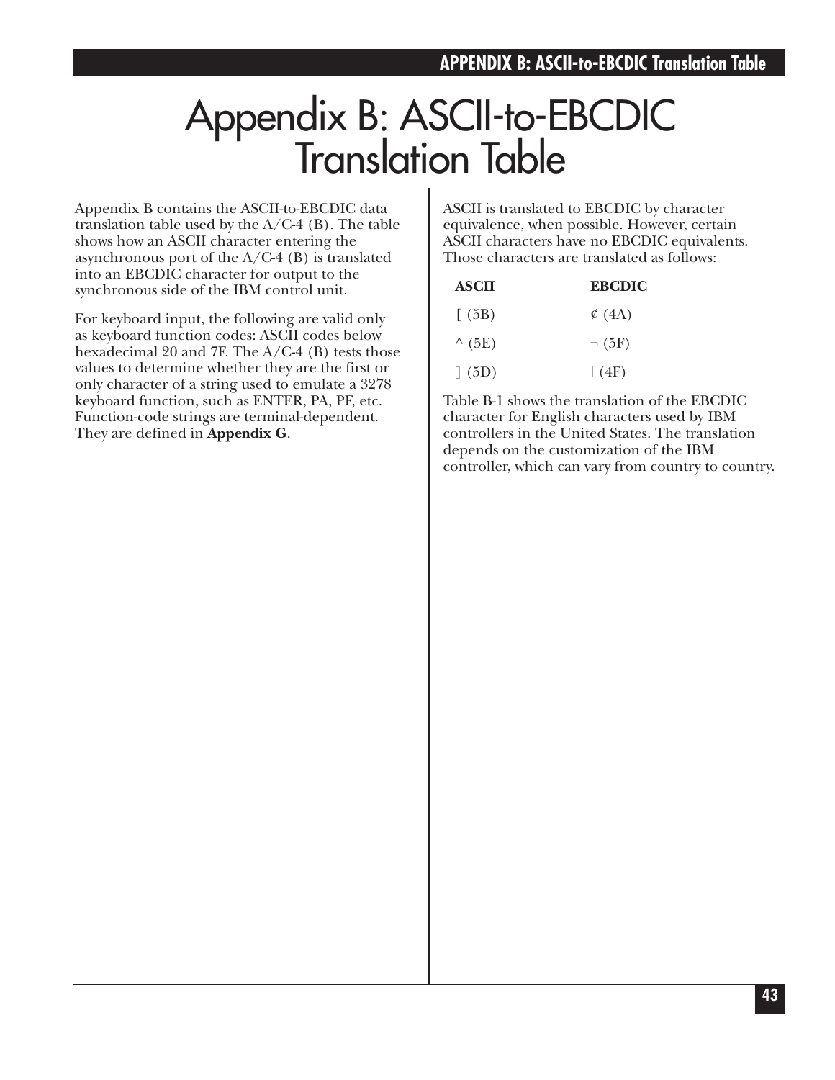# Appendix B: ASCII-to-EBCDIC Translation Table

Appendix B contains the ASCII-to-EBCDIC data translation table used by the A/C-4 (B). The table shows how an ASCII character entering the asynchronous port of the  $A/C-4$  (B) is translated into an EBCDIC character for output to the synchronous side of the IBM control unit.

For keyboard input, the following are valid only as keyboard function codes: ASCII codes below hexadecimal 20 and 7F. The A/C-4 (B) tests those values to determine whether they are the first or only character of a string used to emulate a 3278 keyboard function, such as ENTER, PA, PF, etc. Function-code strings are terminal-dependent. They are defined in **Appendix G**.

ASCII is translated to EBCDIC by character equivalence, when possible. However, certain ASCII characters have no EBCDIC equivalents. Those characters are translated as follows:

| <b>ASCII</b> | <b>EBCDIC</b> |
|--------------|---------------|
| (5B)         | $\circ$ (4A)  |
| (5E)         | $\neg$ (5F)   |
| (5D)         | (4F)          |

Table B-1 shows the translation of the EBCDIC character for English characters used by IBM controllers in the United States. The translation depends on the customization of the IBM controller, which can vary from country to country.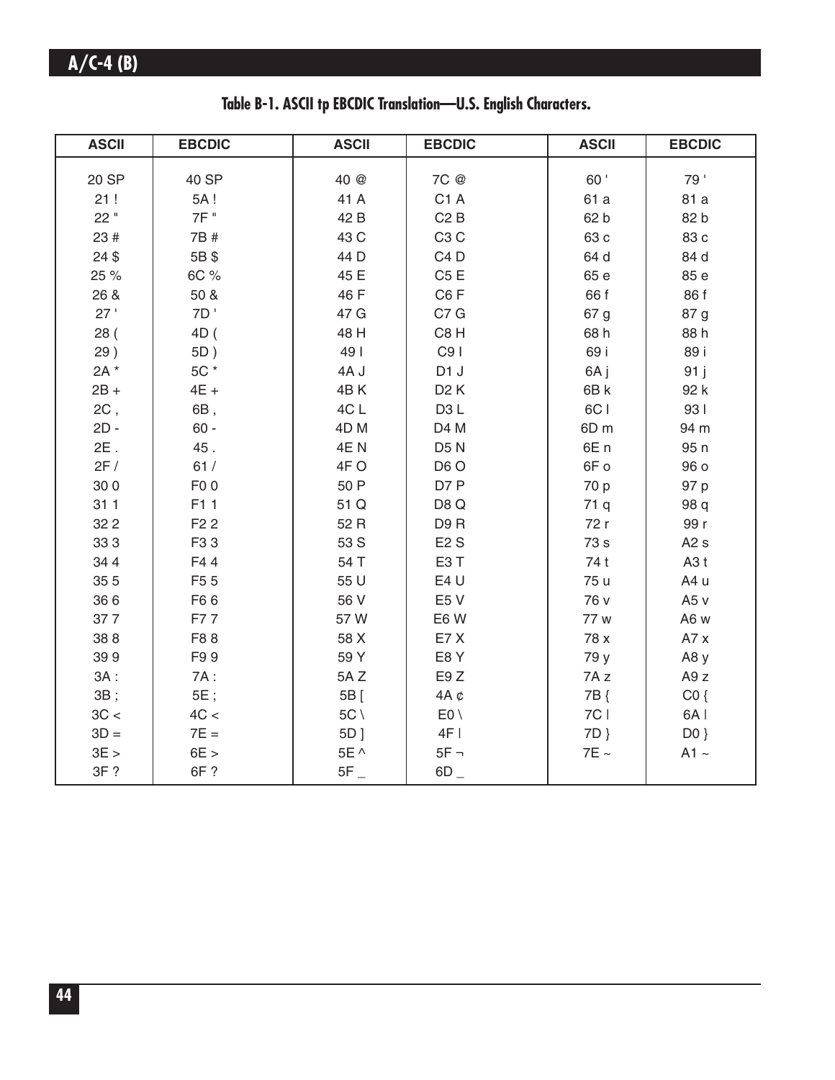|  |  |  |  |  | Table B-1. ASCII tp EBCDIC Translation-U.S. English Characters. |
|--|--|--|--|--|-----------------------------------------------------------------|
|  |  |  |  |  |                                                                 |

| <b>ASCII</b> | <b>EBCDIC</b>    | <b>ASCII</b>    | <b>EBCDIC</b>    | <b>ASCII</b>    | <b>EBCDIC</b>    |
|--------------|------------------|-----------------|------------------|-----------------|------------------|
|              |                  |                 | 7C @             | 60'             | 79'              |
| 20 SP        | 40 SP            | 40 @            |                  |                 |                  |
| 21!          | 5A!<br>7F "      | 41 A            | C <sub>1</sub> A | 61 a            | 81 a             |
| 22"          |                  | 42 B            | C2B              | 62 b            | 82 b             |
| 23 #         | 7B #             | 43 C            | C <sub>3</sub> C | 63 c            | 83 с             |
| $24$ \$      | 5B\$             | 44 D            | C <sub>4</sub> D | 64 d            | 84 d             |
| 25 %         | 6C %             | 45 E            | C5E              | 65 e            | 85 e             |
| 26 &         | 50 &             | 46 F            | C6F              | 66 f            | 86 f             |
| 27'          | 7D               | 47 G            | C7 G             | 67 g            | 87 g             |
| 28(          | 4D (             | 48 H            | C8H              | 68 h            | 88 h             |
| 29)          | 5D)              | 49              | C <sub>9</sub>   | 69 i            | 89 i             |
| 2A *         | 5C *             | 4AJ             | D <sub>1</sub> J | 6A j            | 91j              |
| $2B +$       | $4E +$           | 4BK             | D <sub>2</sub> K | 6B k            | 92 k             |
| 2C,          | 6B,              | 4C L            | D <sub>3</sub> L | 6CI             | 931              |
| $2D -$       | $60 -$           | 4D <sub>M</sub> | D4 M             | 6D <sub>m</sub> | 94 m             |
| $2E$ .       | 45.              | 4EN             | D <sub>5</sub> N | 6E <sub>n</sub> | 95n              |
| 2F/          | 61/              | 4FO             | D <sub>6</sub> O | 6F o            | 96 o             |
| 300          | F <sub>0</sub> o | 50 P            | D7 P             | 70 p            | 97 p             |
| 311          | F11              | 51 Q            | D8Q              | 71 q            | 98 q             |
| 32 2         | F <sub>2</sub> 2 | 52 R            | D9R              | 72 r            | 99 r             |
| 333          | F33              | 53 S            | E2S              | 73 s            | A2s              |
| 34 4         | F44              | 54 T            | E <sub>3</sub> T | 74 t            | A3t              |
| 35 5         | F <sub>5</sub> 5 | 55 U            | E4 U             | 75 u            | A4 u             |
| 366          | F66              | 56 V            | E <sub>5</sub> V | 76 v            | A <sub>5</sub> v |
| 377          | F77              | 57W             | E6W              | 77 w            | A6 w             |
| 388          | F88              | 58 X            | E7X              | 78 x            | A7x              |
| 399          | F99              | 59 Y            | E8Y              | 79 y            | A8y              |
| $3A$ :       | 7A:              | 5AZ             | E9Z              | 7Az             | A9 <sub>z</sub>  |
| 3B;          | $5E$ ;           | 5B [            | 4A $\phi$        | 7B {            | CO <sub>3</sub>  |
| 3C <         | 4C <             | $5C \setminus$  | $E0 \setminus$   | 7C              | 6A               |
| $3D =$       | $7E =$           | 5D ]            | 4F               | 7D }            | $D0$ }           |
| 3E >         | 6E >             | 5E ^            | $5F -$           | $7E \sim$       | $A1 -$           |
| 3F?          | 6F ?             | $5F_{-}$        | $6D_{-}$         |                 |                  |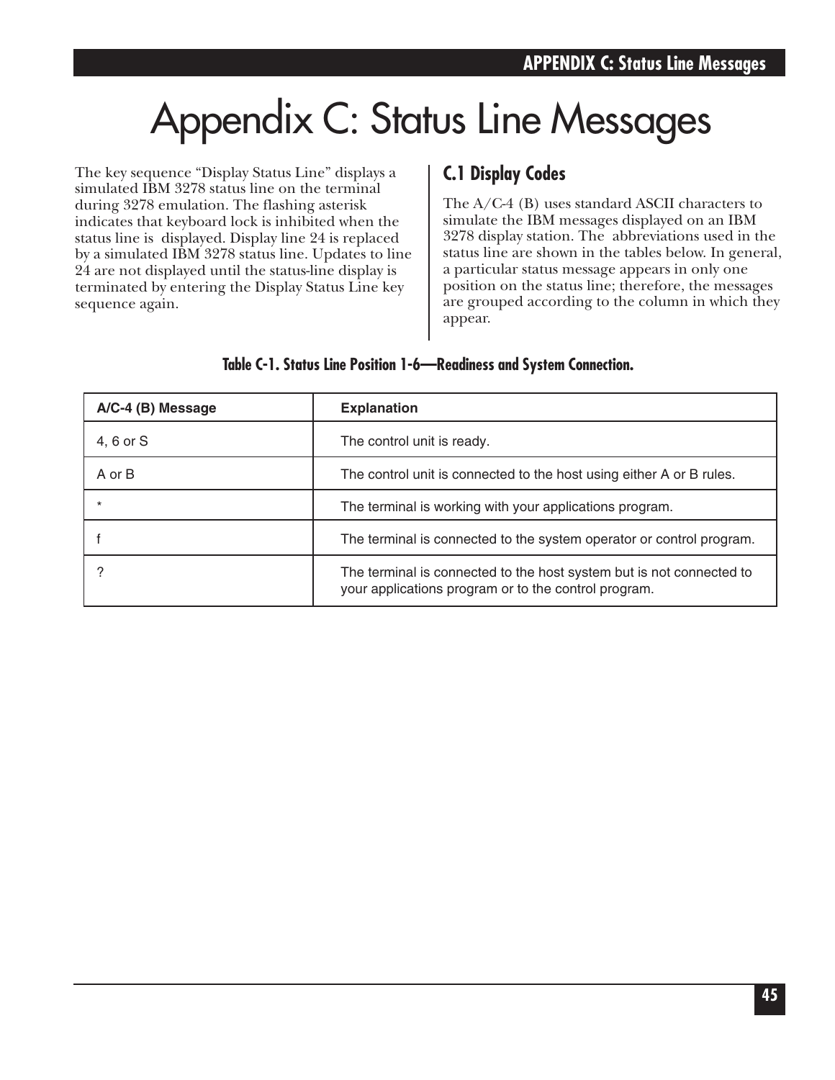# Appendix C: Status Line Messages

The key sequence "Display Status Line" displays a simulated IBM 3278 status line on the terminal during 3278 emulation. The flashing asterisk indicates that keyboard lock is inhibited when the status line is displayed. Display line 24 is replaced by a simulated IBM 3278 status line. Updates to line 24 are not displayed until the status-line display is terminated by entering the Display Status Line key sequence again.

## **C.1 Display Codes**

The A/C-4 (B) uses standard ASCII characters to simulate the IBM messages displayed on an IBM 3278 display station. The abbreviations used in the status line are shown in the tables below. In general, a particular status message appears in only one position on the status line; therefore, the messages are grouped according to the column in which they appear.

| A/C-4 (B) Message | <b>Explanation</b>                                                                                                           |
|-------------------|------------------------------------------------------------------------------------------------------------------------------|
| 4, 6 or S         | The control unit is ready.                                                                                                   |
| A or B            | The control unit is connected to the host using either A or B rules.                                                         |
|                   | The terminal is working with your applications program.                                                                      |
|                   | The terminal is connected to the system operator or control program.                                                         |
|                   | The terminal is connected to the host system but is not connected to<br>your applications program or to the control program. |

### **Table C-1. Status Line Position 1-6—Readiness and System Connection.**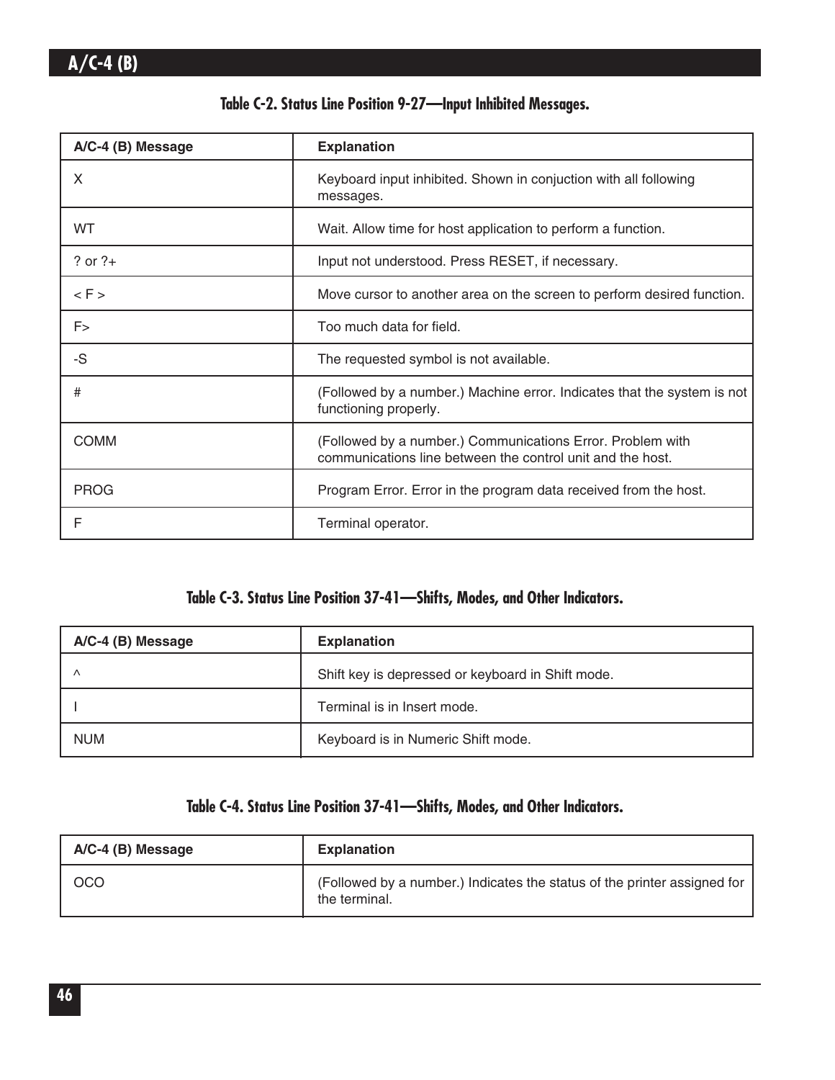|  |  | Table C-2. Status Line Position 9-27-Input Inhibited Messages. |  |
|--|--|----------------------------------------------------------------|--|
|  |  |                                                                |  |

| A/C-4 (B) Message | <b>Explanation</b>                                                                                                       |
|-------------------|--------------------------------------------------------------------------------------------------------------------------|
| X                 | Keyboard input inhibited. Shown in conjuction with all following<br>messages.                                            |
| WT                | Wait. Allow time for host application to perform a function.                                                             |
| $?$ or $?+$       | Input not understood. Press RESET, if necessary.                                                                         |
| $\lt F$           | Move cursor to another area on the screen to perform desired function.                                                   |
| F>                | Too much data for field.                                                                                                 |
| -S                | The requested symbol is not available.                                                                                   |
| #                 | (Followed by a number.) Machine error. Indicates that the system is not<br>functioning properly.                         |
| <b>COMM</b>       | (Followed by a number.) Communications Error. Problem with<br>communications line between the control unit and the host. |
| <b>PROG</b>       | Program Error. Error in the program data received from the host.                                                         |
| F                 | Terminal operator.                                                                                                       |

## **Table C-3. Status Line Position 37-41—Shifts, Modes, and Other Indicators.**

| A/C-4 (B) Message | <b>Explanation</b>                                |
|-------------------|---------------------------------------------------|
|                   | Shift key is depressed or keyboard in Shift mode. |
|                   | Terminal is in Insert mode.                       |
| <b>NUM</b>        | Keyboard is in Numeric Shift mode.                |

## **Table C-4. Status Line Position 37-41—Shifts, Modes, and Other Indicators.**

| A/C-4 (B) Message | <b>Explanation</b>                                                                        |
|-------------------|-------------------------------------------------------------------------------------------|
| OCO               | (Followed by a number.) Indicates the status of the printer assigned for<br>the terminal. |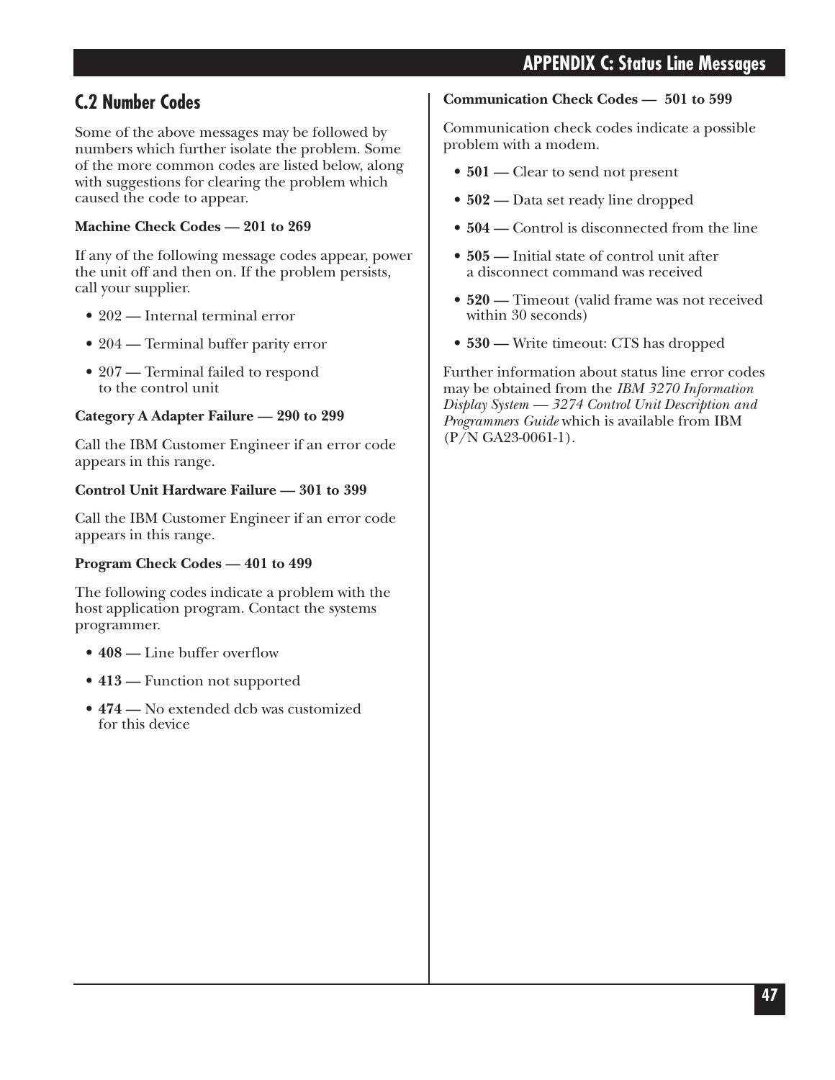## **APPENDIX C: Status Line Messages**

# **C.2 Number Codes**

Some of the above messages may be followed by numbers which further isolate the problem. Some of the more common codes are listed below, along with suggestions for clearing the problem which caused the code to appear.

## **Machine Check Codes — 201 to 269**

If any of the following message codes appear, power the unit off and then on. If the problem persists, call your supplier.

- 202 Internal terminal error
- 204 Terminal buffer parity error
- 207 Terminal failed to respond to the control unit

## **Category A Adapter Failure — 290 to 299**

Call the IBM Customer Engineer if an error code appears in this range.

### **Control Unit Hardware Failure — 301 to 399**

Call the IBM Customer Engineer if an error code appears in this range.

### **Program Check Codes — 401 to 499**

The following codes indicate a problem with the host application program. Contact the systems programmer.

- **408** Line buffer overflow
- 413 Function not supported
- **474 —** No extended dcb was customized for this device

### **Communication Check Codes — 501 to 599**

Communication check codes indicate a possible problem with a modem.

- **501 —** Clear to send not present
- **502 —** Data set ready line dropped
- **504 —** Control is disconnected from the line
- **505 —** Initial state of control unit after a disconnect command was received
- **520 —** Timeout (valid frame was not received within 30 seconds)
- **530 —** Write timeout: CTS has dropped

Further information about status line error codes may be obtained from the *IBM 3270 Information Display System — 3274 Control Unit Description and Programmers Guide* which is available from IBM  $(P/N GA23-0061-1)$ .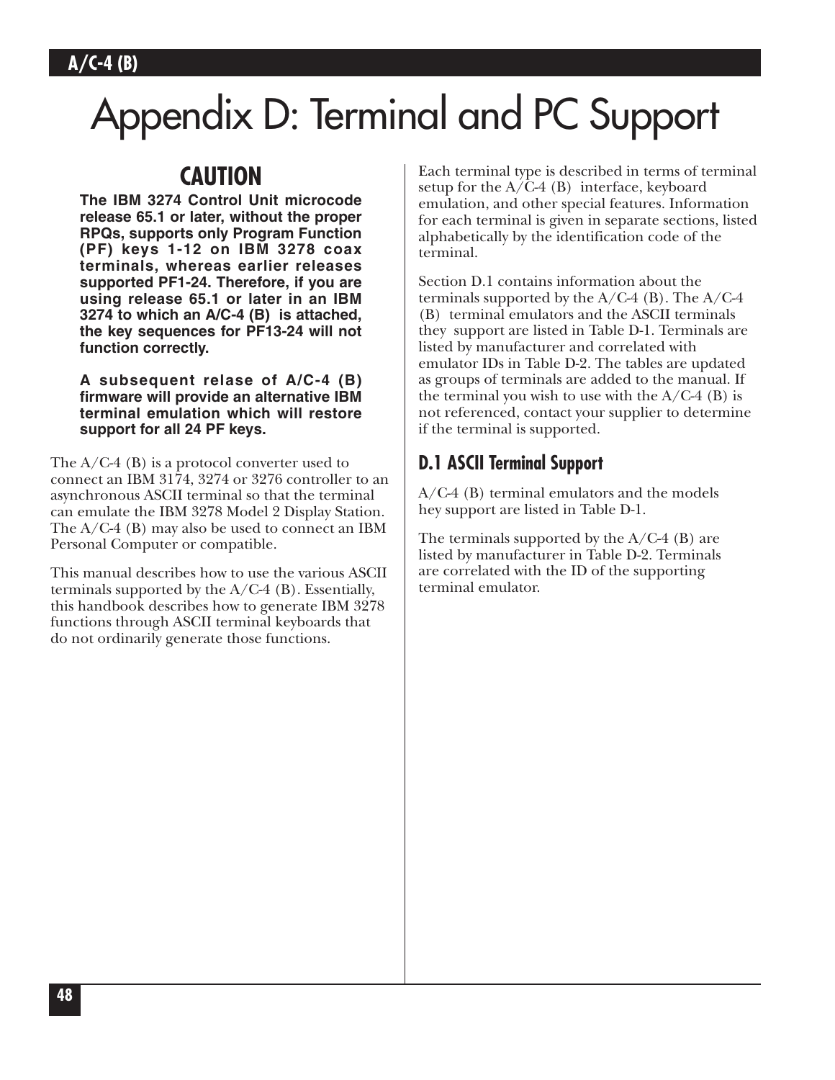# Appendix D: Terminal and PC Support

# **CAUTION**

**The IBM 3274 Control Unit microcode release 65.1 or later, without the proper RPQs, supports only Program Function (PF) keys 1-12 on IBM 3278 coax terminals, whereas earlier releases supported PF1-24. Therefore, if you are using release 65.1 or later in an IBM 3274 to which an A/C-4 (B) is attached, the key sequences for PF13-24 will not function correctly.**

**A subsequent relase of A/C-4 (B) firmware will provide an alternative IBM terminal emulation which will restore support for all 24 PF keys.**

The  $A/C-4$  (B) is a protocol converter used to connect an IBM 3174, 3274 or 3276 controller to an asynchronous ASCII terminal so that the terminal can emulate the IBM 3278 Model 2 Display Station. The A/C-4 (B) may also be used to connect an IBM Personal Computer or compatible.

This manual describes how to use the various ASCII terminals supported by the  $A/C-4$  (B). Essentially, this handbook describes how to generate IBM 3278 functions through ASCII terminal keyboards that do not ordinarily generate those functions.

Each terminal type is described in terms of terminal setup for the  $A/C-4$  (B) interface, keyboard emulation, and other special features. Information for each terminal is given in separate sections, listed alphabetically by the identification code of the terminal.

Section D.1 contains information about the terminals supported by the  $A/C-4$  (B). The  $A/C-4$ (B) terminal emulators and the ASCII terminals they support are listed in Table D-1. Terminals are listed by manufacturer and correlated with emulator IDs in Table D-2. The tables are updated as groups of terminals are added to the manual. If the terminal you wish to use with the  $A/C-4$  (B) is not referenced, contact your supplier to determine if the terminal is supported.

## **D.1 ASCII Terminal Support**

A/C-4 (B) terminal emulators and the models hey support are listed in Table D-1.

The terminals supported by the  $A/C-4$  (B) are listed by manufacturer in Table D-2. Terminals are correlated with the ID of the supporting terminal emulator.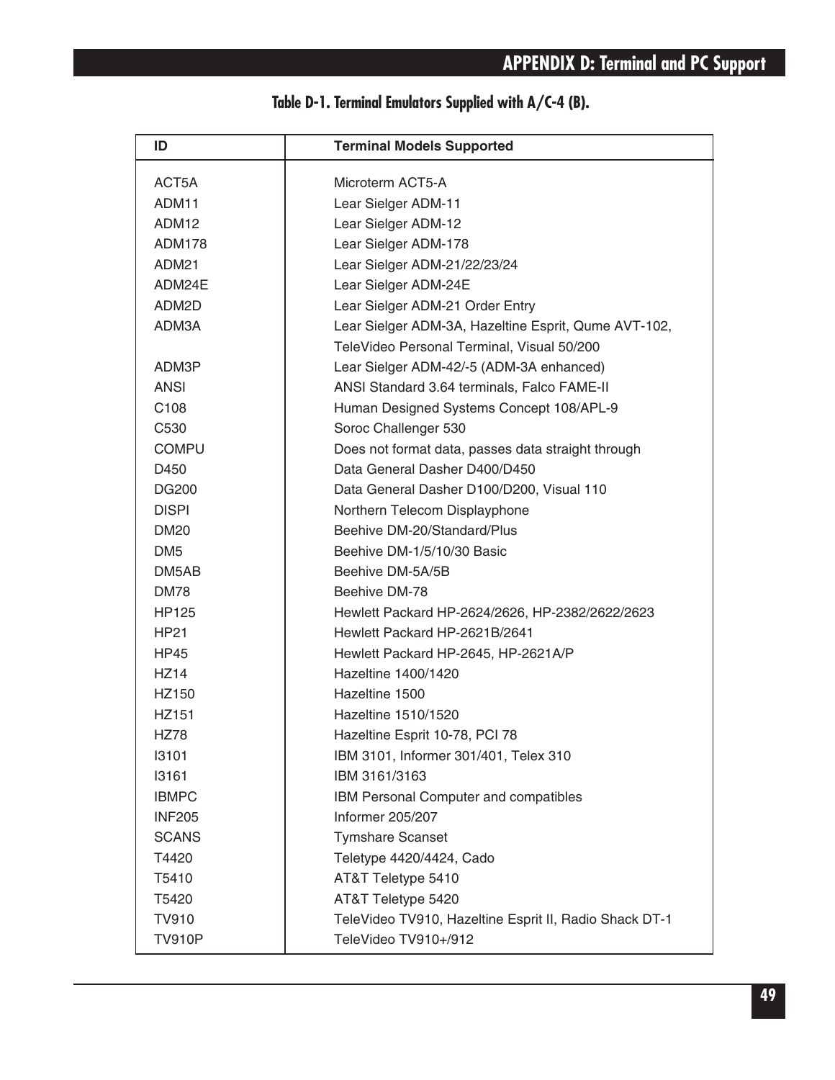| ID                | <b>Terminal Models Supported</b>                       |
|-------------------|--------------------------------------------------------|
| ACT5A             | Microterm ACT5-A                                       |
| ADM11             | Lear Sielger ADM-11                                    |
| ADM12             | Lear Sielger ADM-12                                    |
| <b>ADM178</b>     | Lear Sielger ADM-178                                   |
| ADM <sub>21</sub> | Lear Sielger ADM-21/22/23/24                           |
| ADM24E            | Lear Sielger ADM-24E                                   |
| ADM2D             | Lear Sielger ADM-21 Order Entry                        |
| ADM3A             | Lear Sielger ADM-3A, Hazeltine Esprit, Qume AVT-102,   |
|                   | TeleVideo Personal Terminal, Visual 50/200             |
| ADM3P             | Lear Sielger ADM-42/-5 (ADM-3A enhanced)               |
| <b>ANSI</b>       | ANSI Standard 3.64 terminals, Falco FAME-II            |
| C <sub>108</sub>  | Human Designed Systems Concept 108/APL-9               |
| C <sub>530</sub>  | Soroc Challenger 530                                   |
| <b>COMPU</b>      | Does not format data, passes data straight through     |
| D450              | Data General Dasher D400/D450                          |
| <b>DG200</b>      | Data General Dasher D100/D200, Visual 110              |
| <b>DISPI</b>      | Northern Telecom Displayphone                          |
| <b>DM20</b>       | Beehive DM-20/Standard/Plus                            |
| DM <sub>5</sub>   | Beehive DM-1/5/10/30 Basic                             |
| DM5AB             | Beehive DM-5A/5B                                       |
| <b>DM78</b>       | Beehive DM-78                                          |
| <b>HP125</b>      | Hewlett Packard HP-2624/2626, HP-2382/2622/2623        |
| HP21              | Hewlett Packard HP-2621B/2641                          |
| <b>HP45</b>       | Hewlett Packard HP-2645, HP-2621A/P                    |
| <b>HZ14</b>       | Hazeltine 1400/1420                                    |
| HZ150             | Hazeltine 1500                                         |
| HZ151             | Hazeltine 1510/1520                                    |
| <b>HZ78</b>       | Hazeltine Esprit 10-78, PCI 78                         |
| 13101             | IBM 3101, Informer 301/401, Telex 310                  |
| 13161             | IBM 3161/3163                                          |
| <b>IBMPC</b>      | IBM Personal Computer and compatibles                  |
| <b>INF205</b>     | Informer 205/207                                       |
| <b>SCANS</b>      | <b>Tymshare Scanset</b>                                |
| T4420             | Teletype 4420/4424, Cado                               |
| T5410             | AT&T Teletype 5410                                     |
| T5420             | AT&T Teletype 5420                                     |
| <b>TV910</b>      | TeleVideo TV910, Hazeltine Esprit II, Radio Shack DT-1 |
| <b>TV910P</b>     | TeleVideo TV910+/912                                   |

# **Table D-1. Terminal Emulators Supplied with A/C-4 (B).**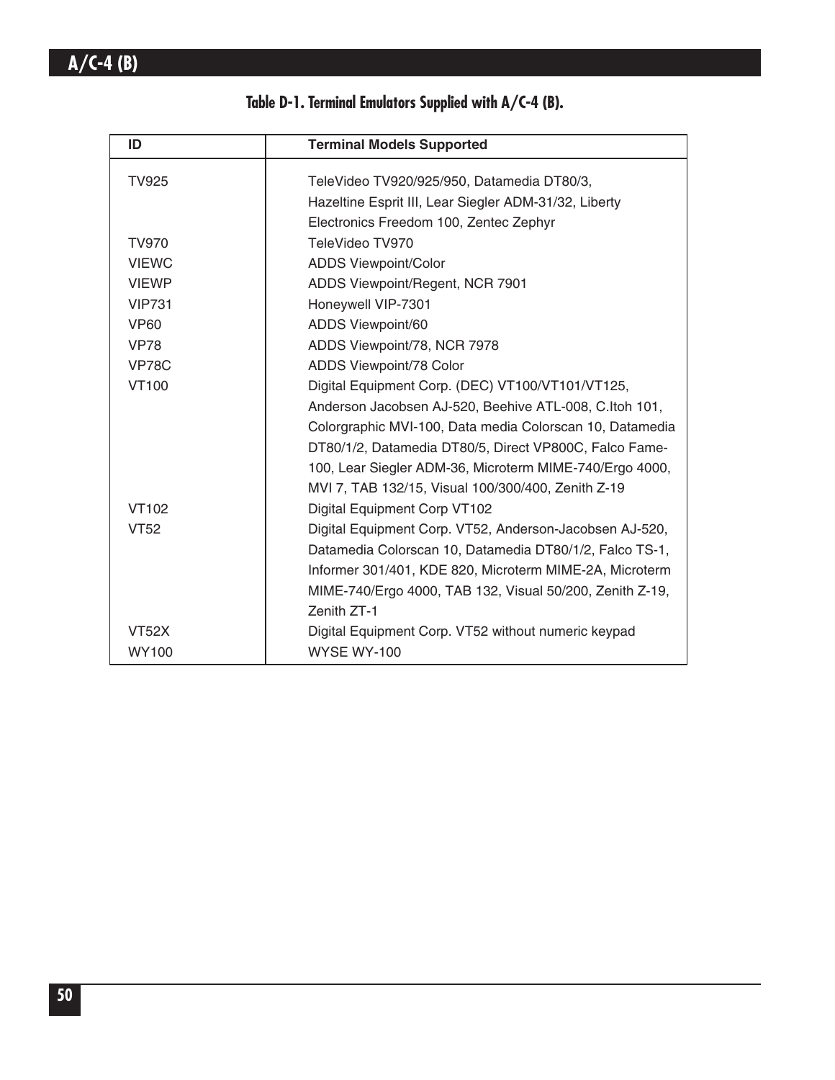| ID            | <b>Terminal Models Supported</b>                         |  |
|---------------|----------------------------------------------------------|--|
| <b>TV925</b>  | TeleVideo TV920/925/950, Datamedia DT80/3,               |  |
|               | Hazeltine Esprit III, Lear Siegler ADM-31/32, Liberty    |  |
|               | Electronics Freedom 100, Zentec Zephyr                   |  |
| <b>TV970</b>  | TeleVideo TV970                                          |  |
| <b>VIEWC</b>  | <b>ADDS Viewpoint/Color</b>                              |  |
| <b>VIEWP</b>  | ADDS Viewpoint/Regent, NCR 7901                          |  |
| <b>VIP731</b> | Honeywell VIP-7301                                       |  |
| <b>VP60</b>   | ADDS Viewpoint/60                                        |  |
| <b>VP78</b>   | ADDS Viewpoint/78, NCR 7978                              |  |
| <b>VP78C</b>  | ADDS Viewpoint/78 Color                                  |  |
| <b>VT100</b>  | Digital Equipment Corp. (DEC) VT100/VT101/VT125,         |  |
|               | Anderson Jacobsen AJ-520, Beehive ATL-008, C.Itoh 101,   |  |
|               | Colorgraphic MVI-100, Data media Colorscan 10, Datamedia |  |
|               | DT80/1/2, Datamedia DT80/5, Direct VP800C, Falco Fame-   |  |
|               | 100, Lear Siegler ADM-36, Microterm MIME-740/Ergo 4000,  |  |
|               | MVI 7, TAB 132/15, Visual 100/300/400, Zenith Z-19       |  |
| <b>VT102</b>  | Digital Equipment Corp VT102                             |  |
| <b>VT52</b>   | Digital Equipment Corp. VT52, Anderson-Jacobsen AJ-520,  |  |
|               | Datamedia Colorscan 10, Datamedia DT80/1/2, Falco TS-1,  |  |
|               | Informer 301/401, KDE 820, Microterm MIME-2A, Microterm  |  |
|               | MIME-740/Ergo 4000, TAB 132, Visual 50/200, Zenith Z-19, |  |
|               | Zenith ZT-1                                              |  |
| <b>VT52X</b>  | Digital Equipment Corp. VT52 without numeric keypad      |  |
| <b>WY100</b>  | WYSE WY-100                                              |  |
|               |                                                          |  |

# **Table D-1. Terminal Emulators Supplied with A/C-4 (B).**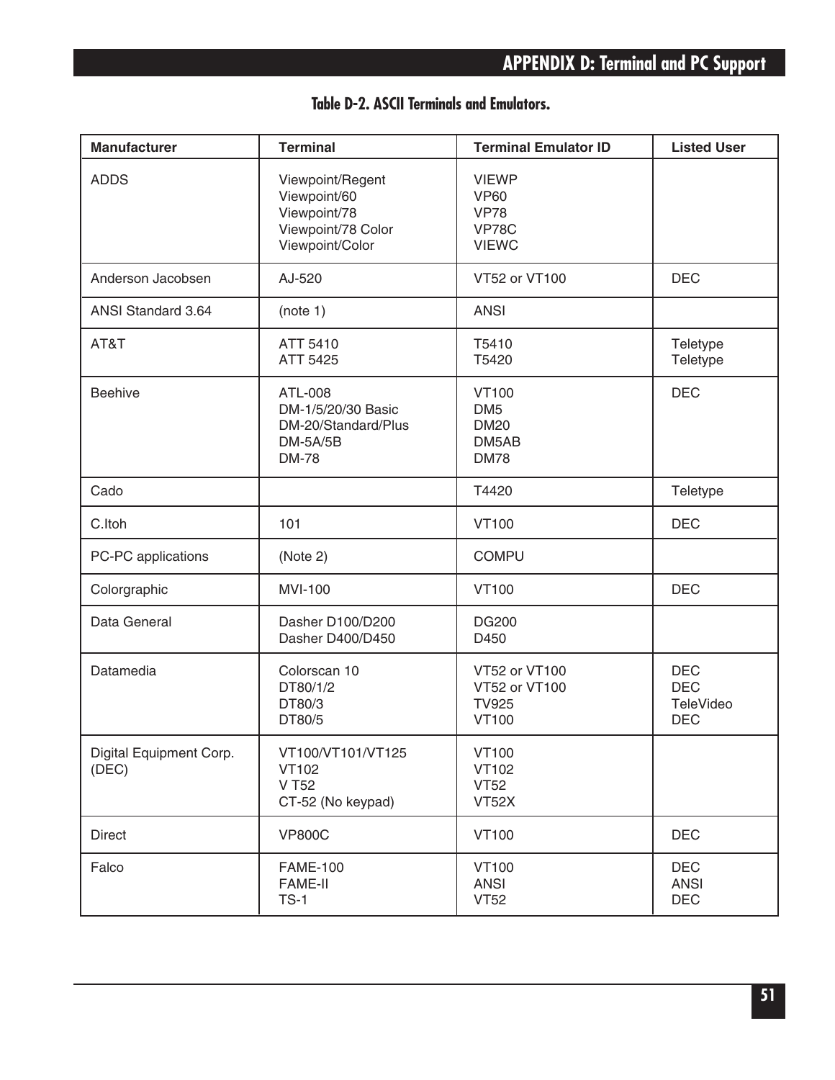| <b>Manufacturer</b>              | <b>Terminal</b>                                                                           | <b>Terminal Emulator ID</b>                                                | <b>Listed User</b>                                  |
|----------------------------------|-------------------------------------------------------------------------------------------|----------------------------------------------------------------------------|-----------------------------------------------------|
| <b>ADDS</b>                      | Viewpoint/Regent<br>Viewpoint/60<br>Viewpoint/78<br>Viewpoint/78 Color<br>Viewpoint/Color | <b>VIEWP</b><br><b>VP60</b><br><b>VP78</b><br><b>VP78C</b><br><b>VIEWC</b> |                                                     |
| Anderson Jacobsen                | AJ-520                                                                                    | VT52 or VT100                                                              | <b>DEC</b>                                          |
| <b>ANSI Standard 3.64</b>        | (note 1)                                                                                  | <b>ANSI</b>                                                                |                                                     |
| AT&T                             | ATT 5410<br>ATT 5425                                                                      | T5410<br>T5420                                                             | Teletype<br>Teletype                                |
| <b>Beehive</b>                   | ATL-008<br>DM-1/5/20/30 Basic<br>DM-20/Standard/Plus<br>$DM-5A/5B$<br><b>DM-78</b>        | <b>VT100</b><br>DM <sub>5</sub><br><b>DM20</b><br>DM5AB<br><b>DM78</b>     | <b>DEC</b>                                          |
| Cado                             |                                                                                           | T4420                                                                      | Teletype                                            |
| C.Itoh                           | 101                                                                                       | <b>VT100</b>                                                               | <b>DEC</b>                                          |
| PC-PC applications               | (Note 2)                                                                                  | <b>COMPU</b>                                                               |                                                     |
| Colorgraphic                     | <b>MVI-100</b>                                                                            | <b>VT100</b>                                                               | <b>DEC</b>                                          |
| Data General                     | Dasher D100/D200<br>Dasher D400/D450                                                      | <b>DG200</b><br>D450                                                       |                                                     |
| Datamedia                        | Colorscan 10<br>DT80/1/2<br>DT80/3<br>DT80/5                                              | VT52 or VT100<br>VT52 or VT100<br><b>TV925</b><br><b>VT100</b>             | <b>DEC</b><br><b>DEC</b><br>TeleVideo<br><b>DEC</b> |
| Digital Equipment Corp.<br>(DEC) | VT100/VT101/VT125<br><b>VT102</b><br>V T52<br>CT-52 (No keypad)                           | <b>VT100</b><br>VT102<br><b>VT52</b><br>VT52X                              |                                                     |
| <b>Direct</b>                    | <b>VP800C</b>                                                                             | <b>VT100</b>                                                               | <b>DEC</b>                                          |
| Falco                            | <b>FAME-100</b><br><b>FAME-II</b><br>$TS-1$                                               | <b>VT100</b><br><b>ANSI</b><br><b>VT52</b>                                 | <b>DEC</b><br><b>ANSI</b><br><b>DEC</b>             |

## **Table D-2. ASCII Terminals and Emulators.**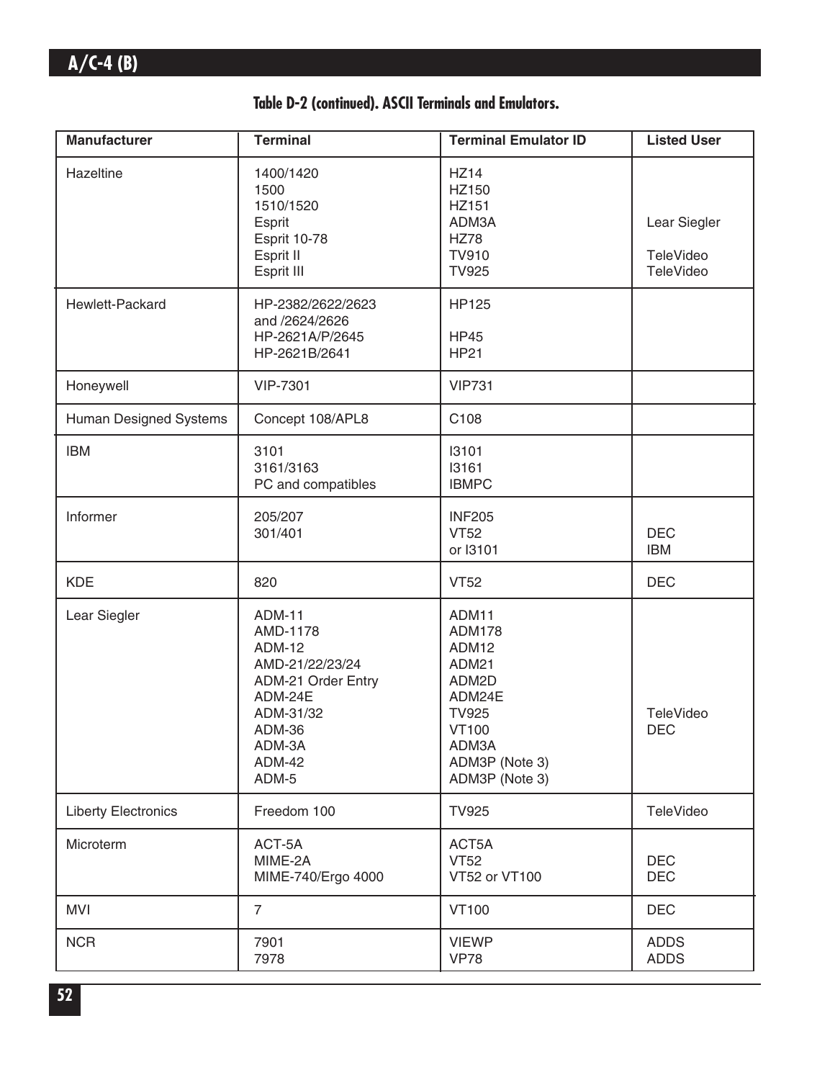|  | Table D-2 (continued). ASCII Terminals and Emulators. |  |  |  |  |
|--|-------------------------------------------------------|--|--|--|--|
|--|-------------------------------------------------------|--|--|--|--|

| <b>Manufacturer</b>        | <b>Terminal</b>                                                                                                                                                         | <b>Terminal Emulator ID</b>                                                                                                              | <b>Listed User</b>                     |
|----------------------------|-------------------------------------------------------------------------------------------------------------------------------------------------------------------------|------------------------------------------------------------------------------------------------------------------------------------------|----------------------------------------|
| Hazeltine                  | 1400/1420<br>1500<br>1510/1520<br>Esprit<br>Esprit 10-78<br>Esprit II<br>Esprit III                                                                                     | <b>HZ14</b><br>HZ150<br>HZ151<br>ADM3A<br><b>HZ78</b><br><b>TV910</b><br><b>TV925</b>                                                    | Lear Siegler<br>TeleVideo<br>TeleVideo |
| Hewlett-Packard            | HP-2382/2622/2623<br>and /2624/2626<br>HP-2621A/P/2645<br>HP-2621B/2641                                                                                                 | <b>HP125</b><br><b>HP45</b><br><b>HP21</b>                                                                                               |                                        |
| Honeywell                  | <b>VIP-7301</b>                                                                                                                                                         | <b>VIP731</b>                                                                                                                            |                                        |
| Human Designed Systems     | Concept 108/APL8                                                                                                                                                        | C108                                                                                                                                     |                                        |
| <b>IBM</b>                 | 3101<br>3161/3163<br>PC and compatibles                                                                                                                                 | 13101<br>13161<br><b>IBMPC</b>                                                                                                           |                                        |
| Informer                   | 205/207<br>301/401                                                                                                                                                      | <b>INF205</b><br><b>VT52</b><br>or I3101                                                                                                 | <b>DEC</b><br><b>IBM</b>               |
| <b>KDE</b>                 | 820                                                                                                                                                                     | <b>VT52</b>                                                                                                                              | <b>DEC</b>                             |
| Lear Siegler               | <b>ADM-11</b><br>AMD-1178<br><b>ADM-12</b><br>AMD-21/22/23/24<br><b>ADM-21 Order Entry</b><br>ADM-24E<br>ADM-31/32<br><b>ADM-36</b><br>ADM-3A<br><b>ADM-42</b><br>ADM-5 | ADM11<br><b>ADM178</b><br>ADM12<br>ADM21<br>ADM2D<br>ADM24E<br><b>TV925</b><br><b>VT100</b><br>ADM3A<br>ADM3P (Note 3)<br>ADM3P (Note 3) | <b>TeleVideo</b><br><b>DEC</b>         |
| <b>Liberty Electronics</b> | Freedom 100                                                                                                                                                             | <b>TV925</b>                                                                                                                             | TeleVideo                              |
| Microterm                  | ACT-5A<br>MIME-2A<br>MIME-740/Ergo 4000                                                                                                                                 | ACT5A<br><b>VT52</b><br>VT52 or VT100                                                                                                    | <b>DEC</b><br><b>DEC</b>               |
| <b>MVI</b>                 | $\overline{7}$                                                                                                                                                          | <b>VT100</b>                                                                                                                             | <b>DEC</b>                             |
| <b>NCR</b>                 | 7901<br>7978                                                                                                                                                            | <b>VIEWP</b><br><b>VP78</b>                                                                                                              | <b>ADDS</b><br><b>ADDS</b>             |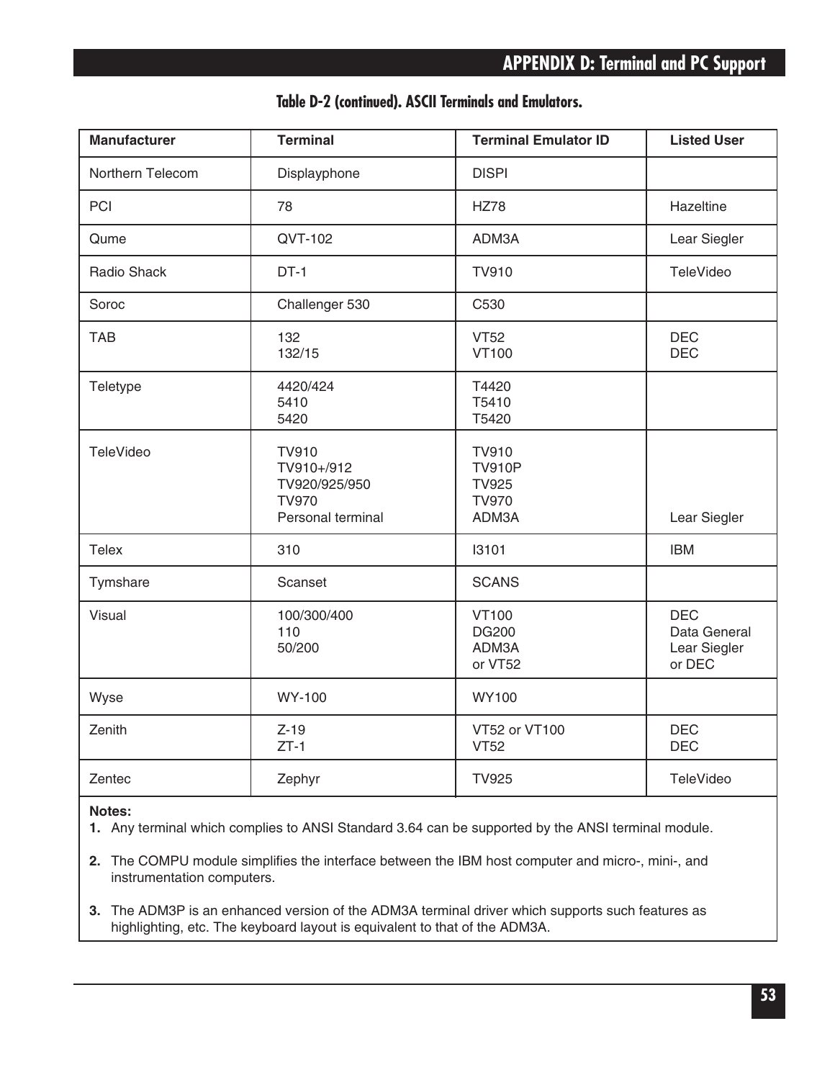| <b>Manufacturer</b> | <b>Terminal</b>                                                                  | <b>Terminal Emulator ID</b>                                            | <b>Listed User</b>                                   |
|---------------------|----------------------------------------------------------------------------------|------------------------------------------------------------------------|------------------------------------------------------|
| Northern Telecom    | Displayphone                                                                     | <b>DISPI</b>                                                           |                                                      |
| PCI                 | 78                                                                               | <b>HZ78</b>                                                            | Hazeltine                                            |
| Qume                | QVT-102                                                                          | ADM3A                                                                  | Lear Siegler                                         |
| Radio Shack         | $DT-1$                                                                           | <b>TV910</b>                                                           | TeleVideo                                            |
| Soroc               | Challenger 530                                                                   | C530                                                                   |                                                      |
| <b>TAB</b>          | 132<br>132/15                                                                    | <b>VT52</b><br><b>VT100</b>                                            | <b>DEC</b><br><b>DEC</b>                             |
| Teletype            | 4420/424<br>5410<br>5420                                                         | T4420<br>T5410<br>T5420                                                |                                                      |
| <b>TeleVideo</b>    | <b>TV910</b><br>TV910+/912<br>TV920/925/950<br><b>TV970</b><br>Personal terminal | <b>TV910</b><br><b>TV910P</b><br><b>TV925</b><br><b>TV970</b><br>ADM3A | Lear Siegler                                         |
| <b>Telex</b>        | 310                                                                              | 13101                                                                  | <b>IBM</b>                                           |
| Tymshare            | Scanset                                                                          | <b>SCANS</b>                                                           |                                                      |
| Visual              | 100/300/400<br>110<br>50/200                                                     | <b>VT100</b><br><b>DG200</b><br>ADM3A<br>or VT52                       | <b>DEC</b><br>Data General<br>Lear Siegler<br>or DEC |
| Wyse                | <b>WY-100</b>                                                                    | <b>WY100</b>                                                           |                                                      |
| Zenith              | $Z-19$<br>$ZT-1$                                                                 | VT52 or VT100<br><b>VT52</b>                                           | <b>DEC</b><br><b>DEC</b>                             |
| Zentec              | Zephyr                                                                           | <b>TV925</b>                                                           | TeleVideo                                            |

### **Table D-2 (continued). ASCII Terminals and Emulators.**

#### **Notes:**

**1.** Any terminal which complies to ANSI Standard 3.64 can be supported by the ANSI terminal module.

**2.** The COMPU module simplifies the interface between the IBM host computer and micro-, mini-, and instrumentation computers.

**3.** The ADM3P is an enhanced version of the ADM3A terminal driver which supports such features as highlighting, etc. The keyboard layout is equivalent to that of the ADM3A.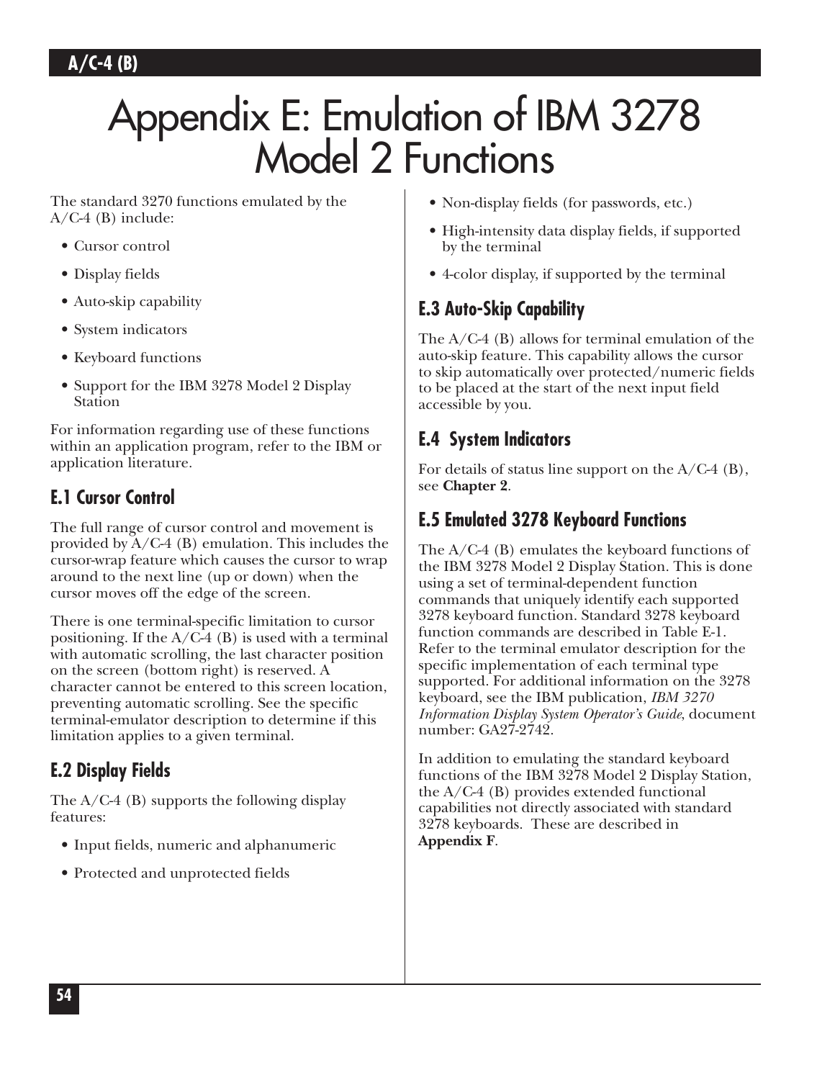# Appendix E: Emulation of IBM 3278 Model 2 Functions

The standard 3270 functions emulated by the  $A/C-4$  (B) include:

- Cursor control
- Display fields
- Auto-skip capability
- System indicators
- Keyboard functions
- Support for the IBM 3278 Model 2 Display Station

For information regarding use of these functions within an application program, refer to the IBM or application literature.

# **E.1 Cursor Control**

The full range of cursor control and movement is provided by  $A/C-4$  (B) emulation. This includes the cursor-wrap feature which causes the cursor to wrap around to the next line (up or down) when the cursor moves off the edge of the screen.

There is one terminal-specific limitation to cursor positioning. If the  $A/C-4$  (B) is used with a terminal with automatic scrolling, the last character position on the screen (bottom right) is reserved. A character cannot be entered to this screen location, preventing automatic scrolling. See the specific terminal-emulator description to determine if this limitation applies to a given terminal.

# **E.2 Display Fields**

The  $A/C-4$  (B) supports the following display features:

- Input fields, numeric and alphanumeric
- Protected and unprotected fields
- Non-display fields (for passwords, etc.)
- High-intensity data display fields, if supported by the terminal
- 4-color display, if supported by the terminal

# **E.3 Auto-Skip Capability**

The A/C-4 (B) allows for terminal emulation of the auto-skip feature. This capability allows the cursor to skip automatically over protected/numeric fields to be placed at the start of the next input field accessible by you.

# **E.4 System Indicators**

For details of status line support on the  $A/C-4$  (B), see **Chapter 2**.

# **E.5 Emulated 3278 Keyboard Functions**

The A/C-4 (B) emulates the keyboard functions of the IBM 3278 Model 2 Display Station. This is done using a set of terminal-dependent function commands that uniquely identify each supported 3278 keyboard function. Standard 3278 keyboard function commands are described in Table E-1. Refer to the terminal emulator description for the specific implementation of each terminal type supported. For additional information on the 3278 keyboard, see the IBM publication, *IBM 3270 Information Display System Operator's Guide*, document number: GA27-2742.

In addition to emulating the standard keyboard functions of the IBM 3278 Model 2 Display Station, the A/C-4 (B) provides extended functional capabilities not directly associated with standard 3278 keyboards. These are described in **Appendix F**.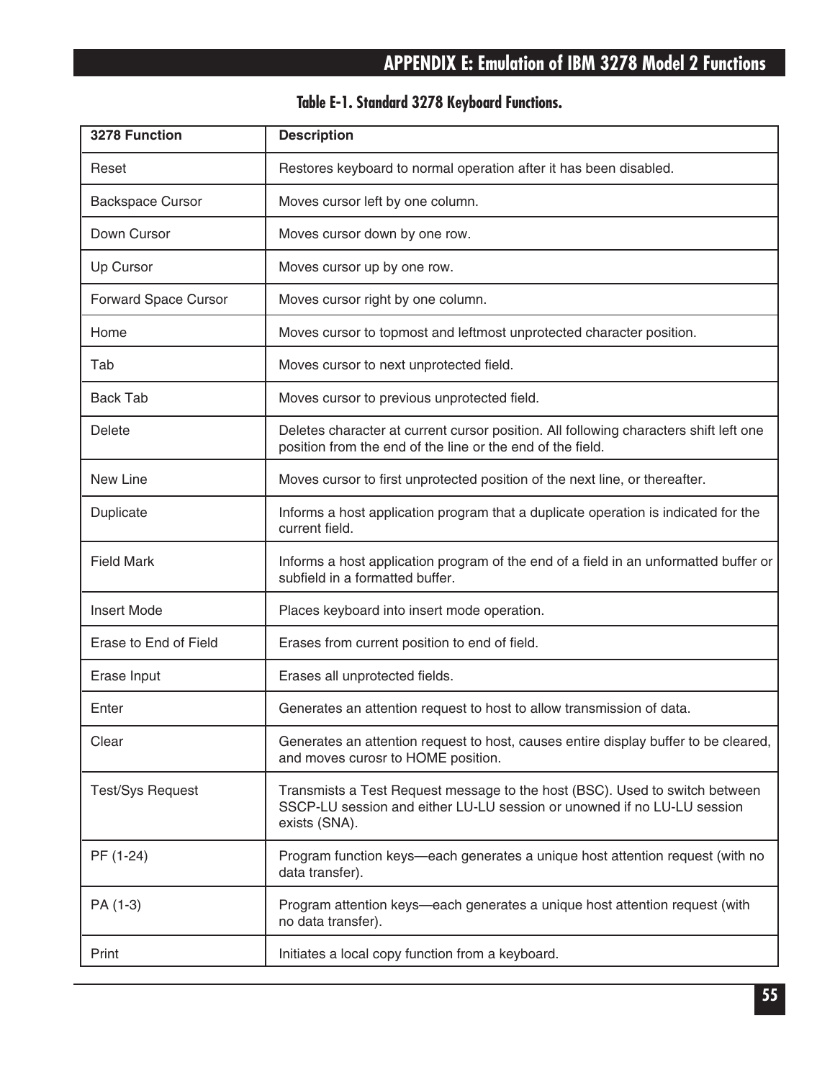| 3278 Function           | <b>Description</b>                                                                                                                                                      |
|-------------------------|-------------------------------------------------------------------------------------------------------------------------------------------------------------------------|
| Reset                   | Restores keyboard to normal operation after it has been disabled.                                                                                                       |
| <b>Backspace Cursor</b> | Moves cursor left by one column.                                                                                                                                        |
| Down Cursor             | Moves cursor down by one row.                                                                                                                                           |
| Up Cursor               | Moves cursor up by one row.                                                                                                                                             |
| Forward Space Cursor    | Moves cursor right by one column.                                                                                                                                       |
| Home                    | Moves cursor to topmost and leftmost unprotected character position.                                                                                                    |
| Tab                     | Moves cursor to next unprotected field.                                                                                                                                 |
| <b>Back Tab</b>         | Moves cursor to previous unprotected field.                                                                                                                             |
| Delete                  | Deletes character at current cursor position. All following characters shift left one<br>position from the end of the line or the end of the field.                     |
| New Line                | Moves cursor to first unprotected position of the next line, or thereafter.                                                                                             |
| Duplicate               | Informs a host application program that a duplicate operation is indicated for the<br>current field.                                                                    |
| <b>Field Mark</b>       | Informs a host application program of the end of a field in an unformatted buffer or<br>subfield in a formatted buffer.                                                 |
| <b>Insert Mode</b>      | Places keyboard into insert mode operation.                                                                                                                             |
| Erase to End of Field   | Erases from current position to end of field.                                                                                                                           |
| Erase Input             | Erases all unprotected fields.                                                                                                                                          |
| Enter                   | Generates an attention request to host to allow transmission of data.                                                                                                   |
| Clear                   | Generates an attention request to host, causes entire display buffer to be cleared,<br>and moves curosr to HOME position.                                               |
| <b>Test/Sys Request</b> | Transmists a Test Request message to the host (BSC). Used to switch between<br>SSCP-LU session and either LU-LU session or unowned if no LU-LU session<br>exists (SNA). |
| PF (1-24)               | Program function keys—each generates a unique host attention request (with no<br>data transfer).                                                                        |
| PA (1-3)                | Program attention keys—each generates a unique host attention request (with<br>no data transfer).                                                                       |
| Print                   | Initiates a local copy function from a keyboard.                                                                                                                        |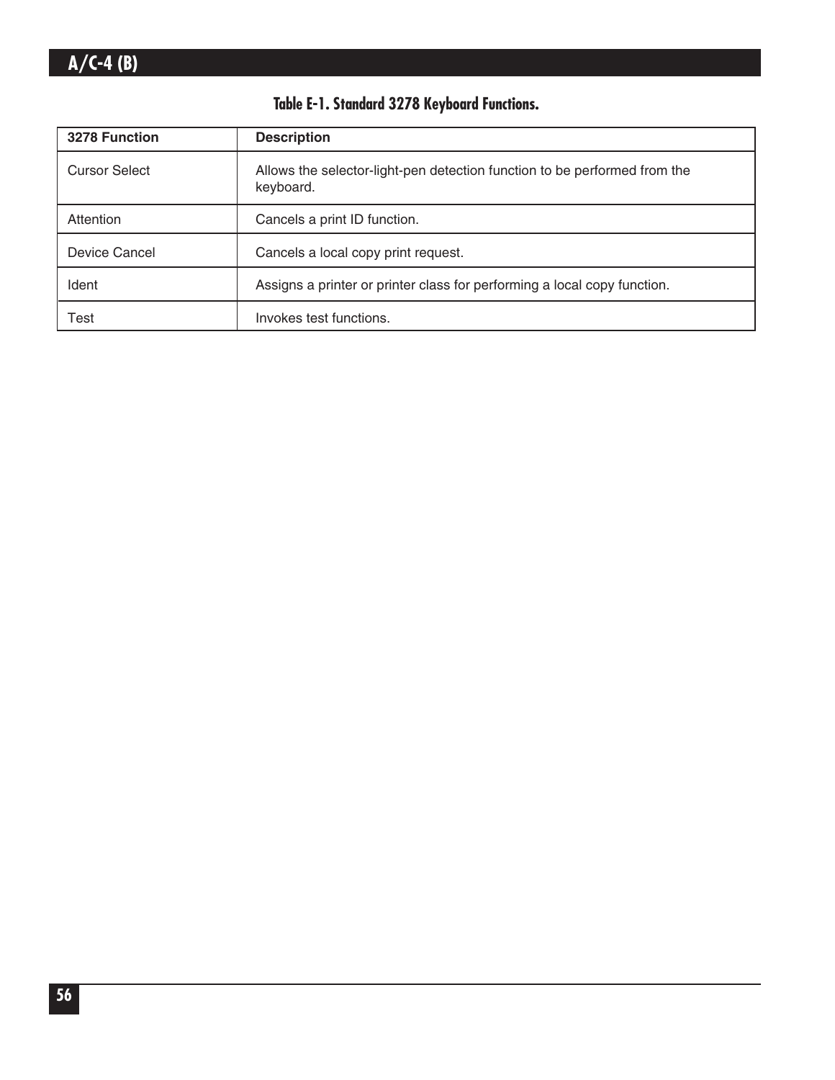| 3278 Function        | <b>Description</b>                                                                     |
|----------------------|----------------------------------------------------------------------------------------|
| <b>Cursor Select</b> | Allows the selector-light-pen detection function to be performed from the<br>keyboard. |
| Attention            | Cancels a print ID function.                                                           |
| Device Cancel        | Cancels a local copy print request.                                                    |
| Ident                | Assigns a printer or printer class for performing a local copy function.               |
| Test                 | Invokes test functions.                                                                |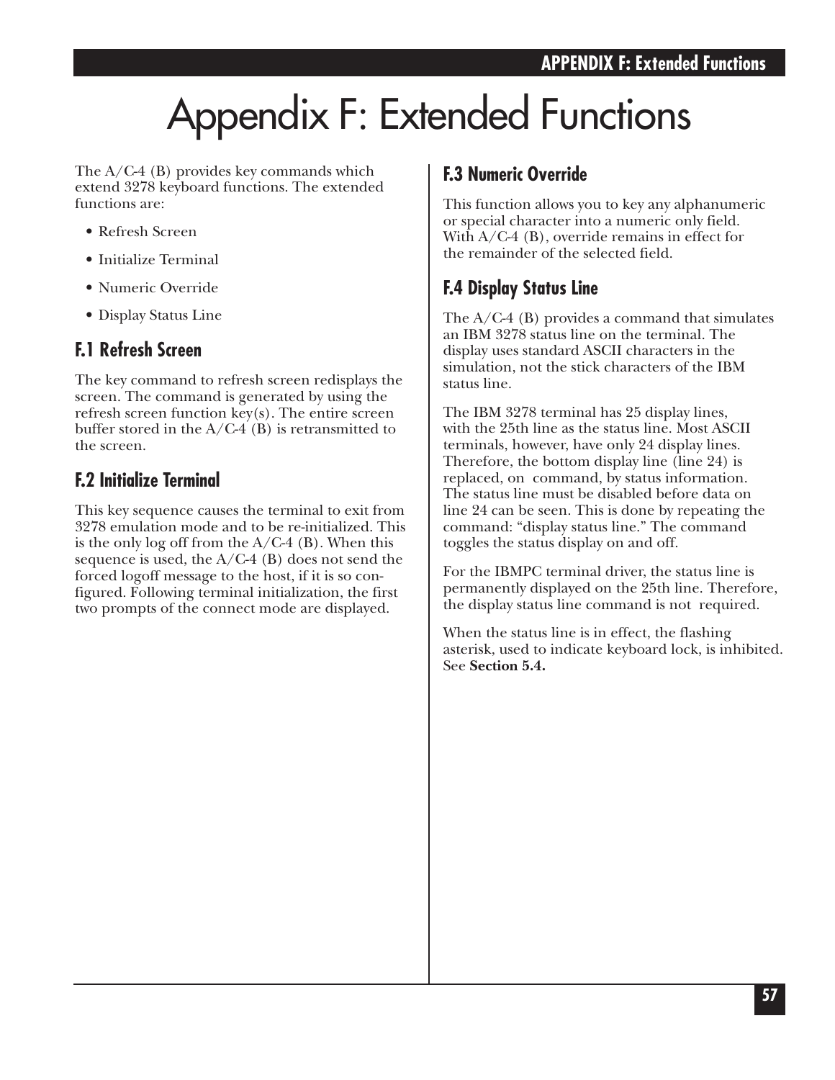# Appendix F: Extended Functions

The A/C-4 (B) provides key commands which extend 3278 keyboard functions. The extended functions are:

- Refresh Screen
- Initialize Terminal
- Numeric Override
- Display Status Line

## **F.1 Refresh Screen**

The key command to refresh screen redisplays the screen. The command is generated by using the refresh screen function key(s). The entire screen buffer stored in the  $A/C-4$  (B) is retransmitted to the screen.

## **F.2 Initialize Terminal**

This key sequence causes the terminal to exit from 3278 emulation mode and to be re-initialized. This is the only log off from the  $A/C-4$  (B). When this sequence is used, the  $A/C-4$  (B) does not send the forced logoff message to the host, if it is so configured. Following terminal initialization, the first two prompts of the connect mode are displayed.

## **F.3 Numeric Override**

This function allows you to key any alphanumeric or special character into a numeric only field. With A/C-4 (B), override remains in effect for the remainder of the selected field.

## **F.4 Display Status Line**

The A/C-4 (B) provides a command that simulates an IBM 3278 status line on the terminal. The display uses standard ASCII characters in the simulation, not the stick characters of the IBM status line.

The IBM 3278 terminal has 25 display lines, with the 25th line as the status line. Most ASCII terminals, however, have only 24 display lines. Therefore, the bottom display line (line 24) is replaced, on command, by status information. The status line must be disabled before data on line 24 can be seen. This is done by repeating the command: "display status line." The command toggles the status display on and off.

For the IBMPC terminal driver, the status line is permanently displayed on the 25th line. Therefore, the display status line command is not required.

When the status line is in effect, the flashing asterisk, used to indicate keyboard lock, is inhibited. See **Section 5.4.**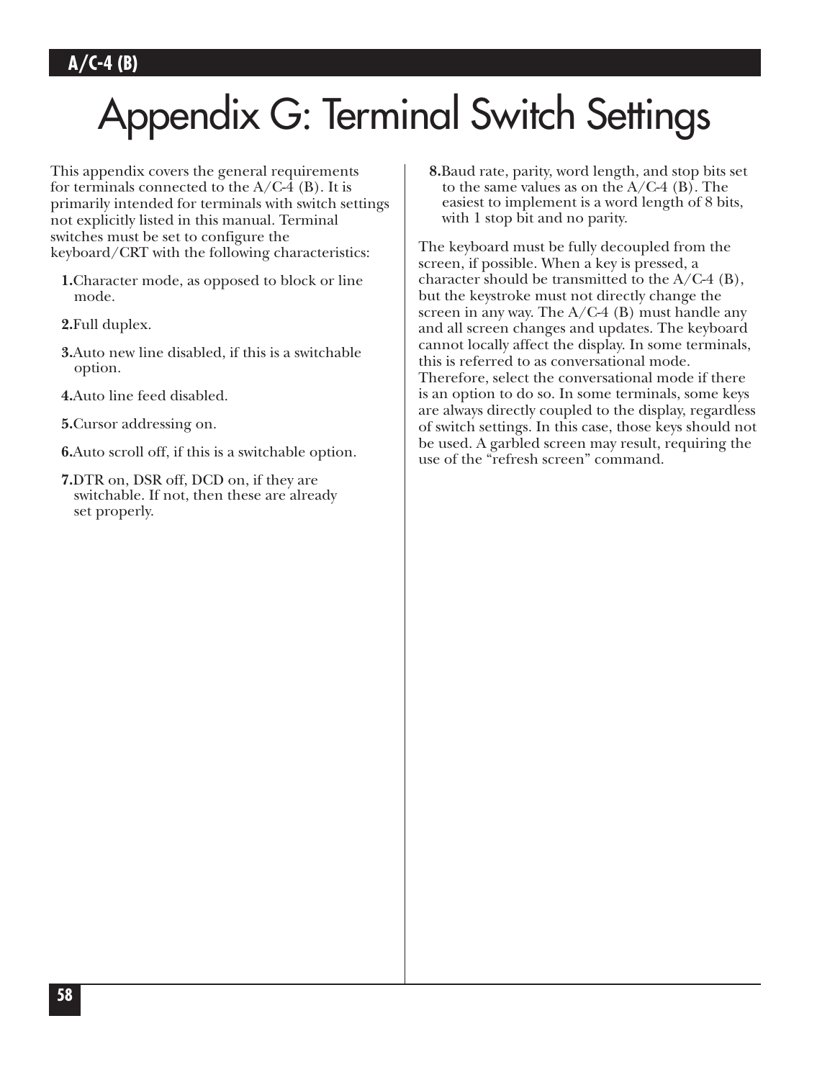# Appendix G: Terminal Switch Settings

This appendix covers the general requirements for terminals connected to the  $A/C-4$  (B). It is primarily intended for terminals with switch settings not explicitly listed in this manual. Terminal switches must be set to configure the keyboard/CRT with the following characteristics:

- **1.**Character mode, as opposed to block or line mode.
- **2.**Full duplex.
- **3.**Auto new line disabled, if this is a switchable option.
- **4.**Auto line feed disabled.
- **5.**Cursor addressing on.
- **6.**Auto scroll off, if this is a switchable option.
- **7.**DTR on, DSR off, DCD on, if they are switchable. If not, then these are already set properly.

**8.**Baud rate, parity, word length, and stop bits set to the same values as on the  $A/C-4$  (B). The easiest to implement is a word length of 8 bits, with 1 stop bit and no parity.

The keyboard must be fully decoupled from the screen, if possible. When a key is pressed, a character should be transmitted to the  $A/C-4$  (B), but the keystroke must not directly change the screen in any way. The  $A/C-4$  (B) must handle any and all screen changes and updates. The keyboard cannot locally affect the display. In some terminals, this is referred to as conversational mode. Therefore, select the conversational mode if there is an option to do so. In some terminals, some keys are always directly coupled to the display, regardless of switch settings. In this case, those keys should not be used. A garbled screen may result, requiring the use of the "refresh screen" command.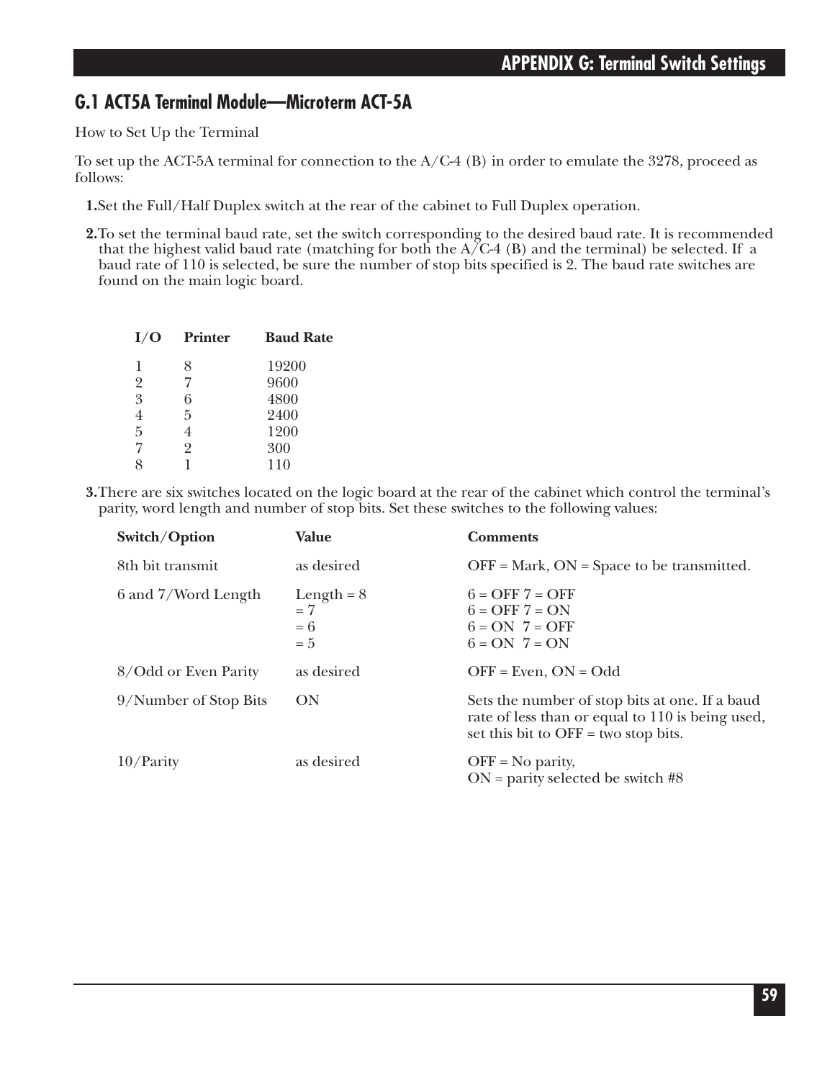## **G.1 ACT5A Terminal Module—Microterm ACT-5A**

How to Set Up the Terminal

To set up the ACT-5A terminal for connection to the  $A/C-4$  (B) in order to emulate the 3278, proceed as follows:

- **1.**Set the Full/Half Duplex switch at the rear of the cabinet to Full Duplex operation.
- **2.**To set the terminal baud rate, set the switch corresponding to the desired baud rate. It is recommended that the highest valid baud rate (matching for both the  $A/C-4$  (B) and the terminal) be selected. If a baud rate of 110 is selected, be sure the number of stop bits specified is 2. The baud rate switches are found on the main logic board.

| I/O            | <b>Printer</b> | <b>Baud Rate</b> |
|----------------|----------------|------------------|
| 1              | 8              | 19200            |
| $\overline{2}$ | 7              | 9600             |
| 3              | 6              | 4800             |
| 4              | 5              | 2400             |
| 5              | 4              | 1200             |
| 7              | 2              | 300              |
| 8              |                | 110              |
|                |                |                  |

**3.**There are six switches located on the logic board at the rear of the cabinet which control the terminal's parity, word length and number of stop bits. Set these switches to the following values:

| Switch/Option         | <b>Value</b>                           | <b>Comments</b>                                                                                                                            |
|-----------------------|----------------------------------------|--------------------------------------------------------------------------------------------------------------------------------------------|
| 8th bit transmit      | as desired                             | $OFF = Mark$ , $ON = Space$ to be transmitted.                                                                                             |
| 6 and 7/Word Length   | Length = $8$<br>$=7$<br>$= 6$<br>$= 5$ | $6 = OFF 7 = OFF$<br>$6 = OFF 7 = ON$<br>$6 = ON$ $7 = OFF$<br>$6 = ON \ 7 = ON$                                                           |
| 8/Odd or Even Parity  | as desired                             | $OFF = Even, ON = Odd$                                                                                                                     |
| 9/Number of Stop Bits | ON                                     | Sets the number of stop bits at one. If a baud<br>rate of less than or equal to 110 is being used,<br>set this bit to OFF = two stop bits. |
| $10$ /Parity          | as desired                             | $OFF = No$ parity,<br>$ON =$ parity selected be switch #8                                                                                  |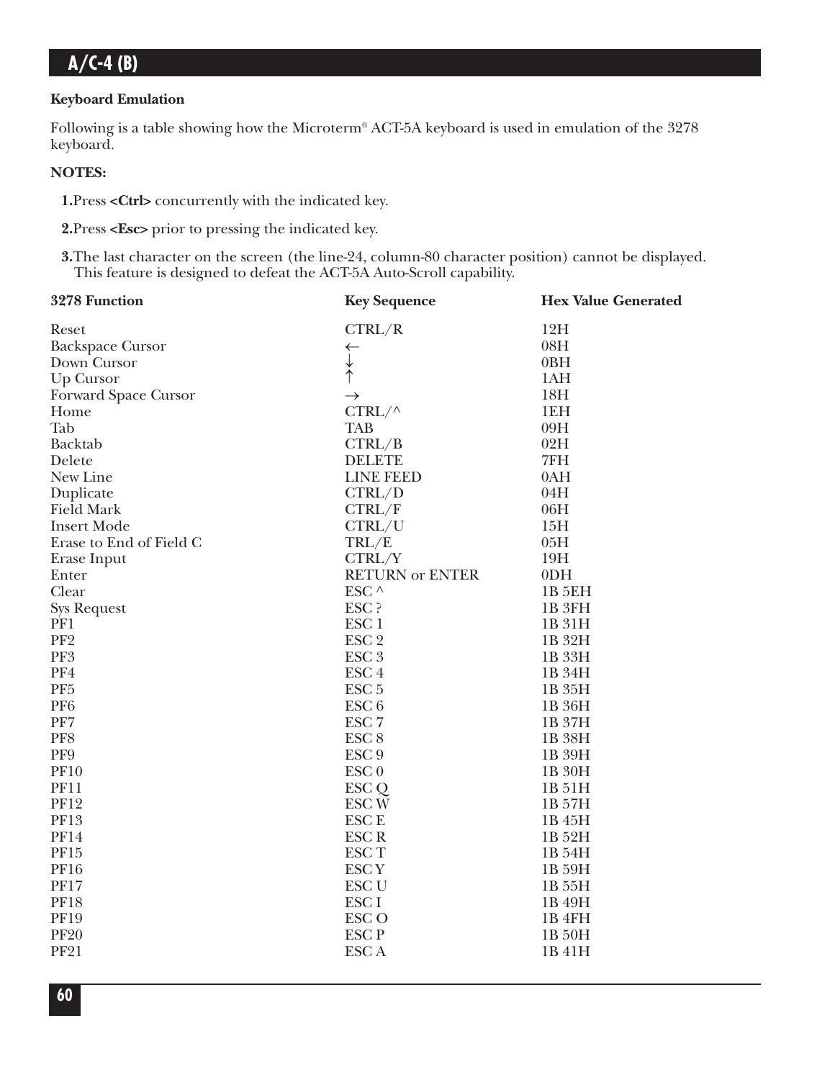#### **Keyboard Emulation**

Following is a table showing how the Microterm® ACT-5A keyboard is used in emulation of the 3278 keyboard.

#### **NOTES:**

**1.**Press **<Ctrl>** concurrently with the indicated key.

**2.**Press **<Esc>** prior to pressing the indicated key.

**3.**The last character on the screen (the line-24, column-80 character position) cannot be displayed. This feature is designed to defeat the ACT-5A Auto-Scroll capability.

| 3278 Function           | <b>Key Sequence</b>    | <b>Hex Value Generated</b> |
|-------------------------|------------------------|----------------------------|
| Reset                   | CTRL/R                 | 12H                        |
| <b>Backspace Cursor</b> | $\leftarrow$           | 08H                        |
| Down Cursor             | $\downarrow$           | 0BH                        |
| Up Cursor               |                        | 1AH                        |
| Forward Space Cursor    | $\rightarrow$          | 18H                        |
| Home                    | $CTRL/\wedge$          | 1EH                        |
| Tab                     | <b>TAB</b>             | 09H                        |
| Backtab                 | CTRL/B                 | 02H                        |
| Delete                  | <b>DELETE</b>          | 7FH                        |
| New Line                | <b>LINE FEED</b>       | 0AH                        |
| Duplicate               | CTRL/D                 | 04H                        |
| <b>Field Mark</b>       | CTRL/F                 | 06H                        |
| <b>Insert Mode</b>      | CTRL/U                 | 15H                        |
| Erase to End of Field C | TRL/E                  | 05H                        |
| Erase Input             | CTRL/Y                 | 19H                        |
| Enter                   | <b>RETURN or ENTER</b> | 0 <sub>DH</sub>            |
| Clear                   | ESC $\wedge$           | 1B <sub>5EH</sub>          |
| <b>Sys Request</b>      | ESC ?                  | 1B <sub>3FH</sub>          |
| PF1                     | ESC <sub>1</sub>       | 1B 31H                     |
| PF <sub>2</sub>         | ESC <sub>2</sub>       | 1B 32H                     |
| PF <sub>3</sub>         | ESC <sub>3</sub>       | 1B 33H                     |
| PF4                     | ESC <sub>4</sub>       | 1B 34H                     |
| PF <sub>5</sub>         | ESC <sub>5</sub>       | 1B 35H                     |
| PF <sub>6</sub>         | ESC <sub>6</sub>       | 1B 36H                     |
| PF7                     | ESC <sub>7</sub>       | 1B 37H                     |
| PF8                     | ESC <sub>8</sub>       | 1B 38H                     |
| PF9                     | ESC <sub>9</sub>       | 1B 39H                     |
| <b>PF10</b>             | ESC <sub>0</sub>       | 1B 30H                     |
| <b>PF11</b>             | ESC Q                  | 1B 51H                     |
| <b>PF12</b>             | ESC <sub>W</sub>       | 1B 57H                     |
| <b>PF13</b>             | <b>ESCE</b>            | 1B 45H                     |
| <b>PF14</b>             | <b>ESCR</b>            | 1B 52H                     |
| PF15                    | <b>ESCT</b>            | 1B 54H                     |
| <b>PF16</b>             | <b>ESCY</b>            | 1B 59H                     |
| <b>PF17</b>             | <b>ESC U</b>           | 1B 55H                     |
| <b>PF18</b>             | <b>ESCI</b>            | 1B 49H                     |
| <b>PF19</b>             | <b>ESCO</b>            | 1B <sub>4FH</sub>          |
| <b>PF20</b>             | <b>ESCP</b>            | 1B 50H                     |
| <b>PF21</b>             | <b>ESCA</b>            | 1B 41H                     |
|                         |                        |                            |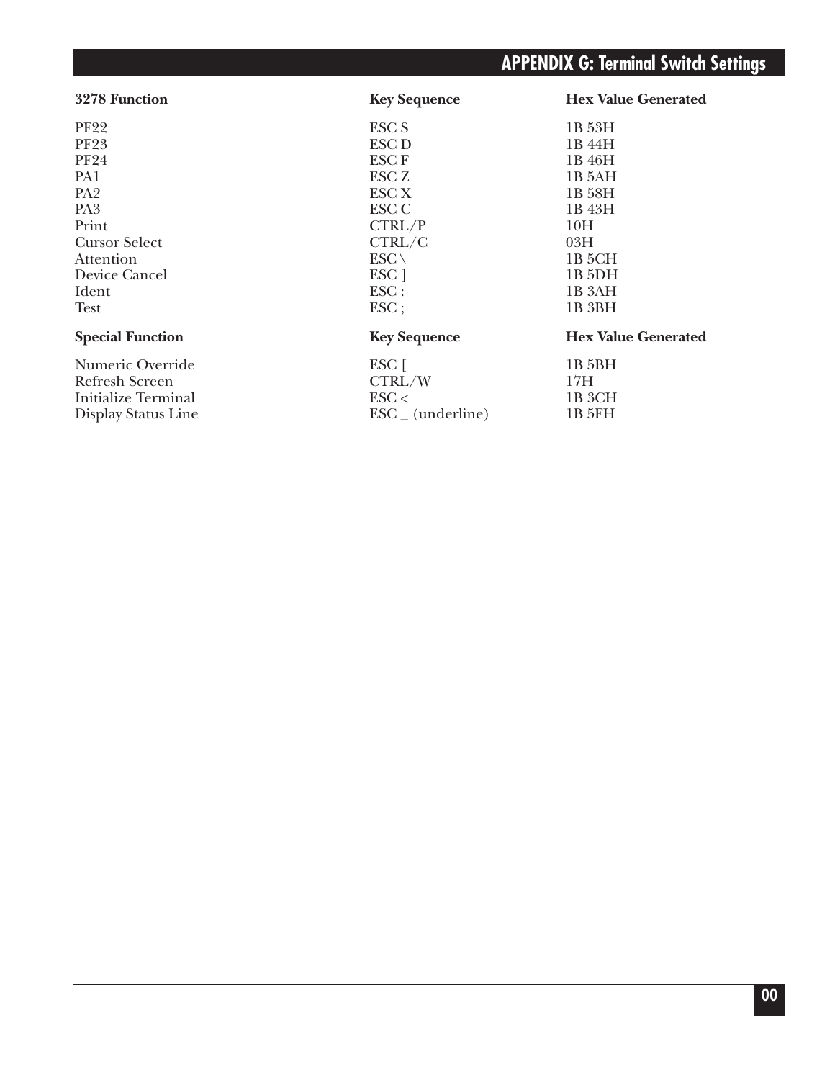# **APPENDIX G: Terminal Switch Settings**

| 3278 Function           | <b>Key Sequence</b>         | <b>Hex Value Generated</b> |
|-------------------------|-----------------------------|----------------------------|
| <b>PF22</b>             | <b>ESC S</b>                | 1B 53H                     |
| <b>PF23</b>             | ESC D                       | 1B 44H                     |
| <b>PF24</b>             | <b>ESCF</b>                 | 1B 46H                     |
| PA1                     | ESC Z                       | 1B 5AH                     |
| PA <sub>2</sub>         | ESC X                       | 1B 58H                     |
| PA <sub>3</sub>         | ESC C                       | 1B 43H                     |
| Print                   | CTRL/P                      | 10H                        |
| <b>Cursor Select</b>    | CTRL/C                      | 03H                        |
| Attention               | $ESC \setminus$             | 1B 5CH                     |
| Device Cancel           | ESC <sub>1</sub>            | 1B <sub>5</sub> DH         |
| Ident                   | $\text{ESC}$ :              | 1B 3AH                     |
| Test                    | $\text{ESC}$ ;              | 1B <sub>3BH</sub>          |
| <b>Special Function</b> | <b>Key Sequence</b>         | <b>Hex Value Generated</b> |
| Numeric Override        | $\mathop{\hbox{\rm ESC}}$ [ | 1B 5BH                     |
| <b>Refresh Screen</b>   | CTRL/W                      | 17H                        |
| Initialize Terminal     | $\text{ESC}$                | 1B <sub>3</sub> CH         |

Display Status Line  $\rm{ESC\_ (underline)}$  1B 5FH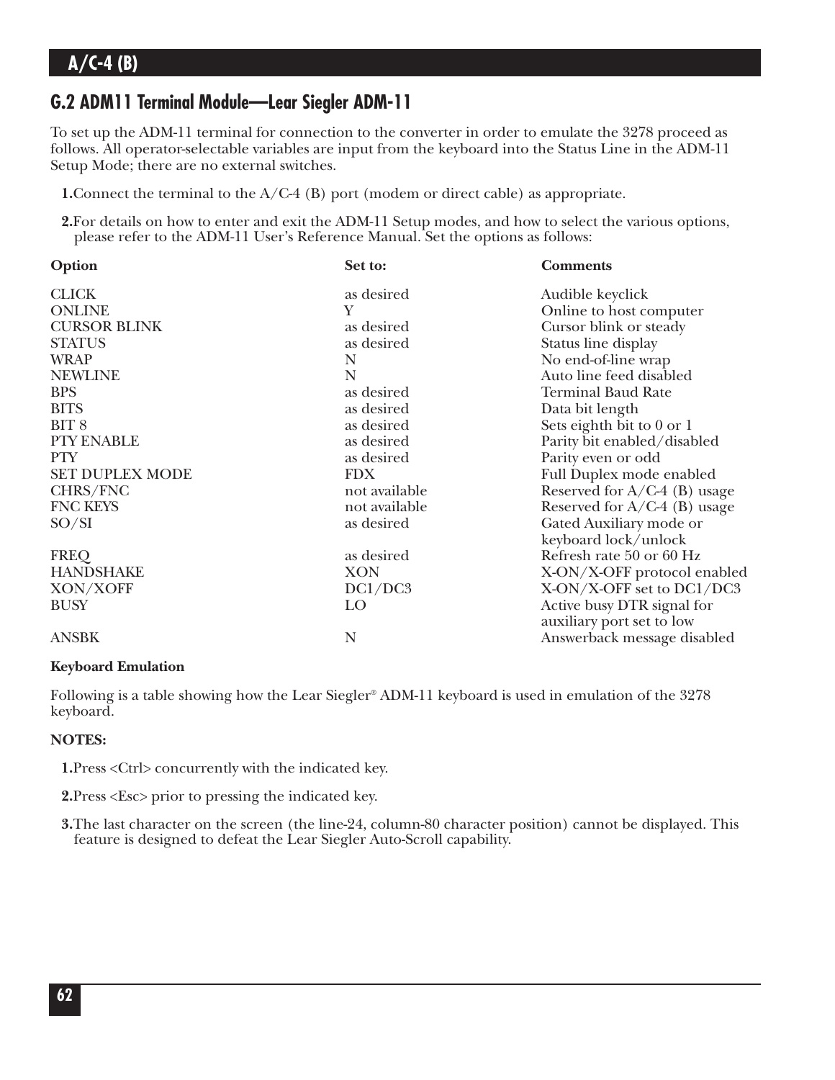## **G.2 ADM11 Terminal Module—Lear Siegler ADM-11**

To set up the ADM-11 terminal for connection to the converter in order to emulate the 3278 proceed as follows. All operator-selectable variables are input from the keyboard into the Status Line in the ADM-11 Setup Mode; there are no external switches.

**1.** Connect the terminal to the A/C-4 (B) port (modem or direct cable) as appropriate.

**2.**For details on how to enter and exit the ADM-11 Setup modes, and how to select the various options, please refer to the ADM-11 User's Reference Manual. Set the options as follows:

| Option              | Set to:       | <b>Comments</b>                |
|---------------------|---------------|--------------------------------|
| <b>CLICK</b>        | as desired    | Audible keyclick               |
| <b>ONLINE</b>       | Υ             | Online to host computer        |
| <b>CURSOR BLINK</b> | as desired    | Cursor blink or steady         |
| <b>STATUS</b>       | as desired    | Status line display            |
| <b>WRAP</b>         | N             | No end-of-line wrap            |
| <b>NEWLINE</b>      | N             | Auto line feed disabled        |
| <b>BPS</b>          | as desired    | <b>Terminal Baud Rate</b>      |
| <b>BITS</b>         | as desired    | Data bit length                |
| BIT <sub>8</sub>    | as desired    | Sets eighth bit to 0 or 1      |
| <b>PTY ENABLE</b>   | as desired    | Parity bit enabled/disabled    |
| <b>PTY</b>          | as desired    | Parity even or odd             |
| SET DUPLEX MODE     | <b>FDX</b>    | Full Duplex mode enabled       |
| CHRS/FNC            | not available | Reserved for $A/C-4$ (B) usage |
| <b>FNC KEYS</b>     | not available | Reserved for $A/C-4$ (B) usage |
| SO/SI               | as desired    | Gated Auxiliary mode or        |
|                     |               | keyboard lock/unlock           |
| <b>FREQ</b>         | as desired    | Refresh rate 50 or 60 Hz       |
| <b>HANDSHAKE</b>    | <b>XON</b>    | X-ON/X-OFF protocol enabled    |
| XON/XOFF            | DC1/DC3       | X-ON/X-OFF set to DC1/DC3      |
| <b>BUSY</b>         | LO            | Active busy DTR signal for     |
|                     |               | auxiliary port set to low      |
| <b>ANSBK</b>        | N             | Answerback message disabled    |

#### **Keyboard Emulation**

Following is a table showing how the Lear Siegler® ADM-11 keyboard is used in emulation of the 3278 keyboard.

#### **NOTES:**

**1.**Press <Ctrl> concurrently with the indicated key.

**2.**Press <Esc> prior to pressing the indicated key.

**3.**The last character on the screen (the line-24, column-80 character position) cannot be displayed. This feature is designed to defeat the Lear Siegler Auto-Scroll capability.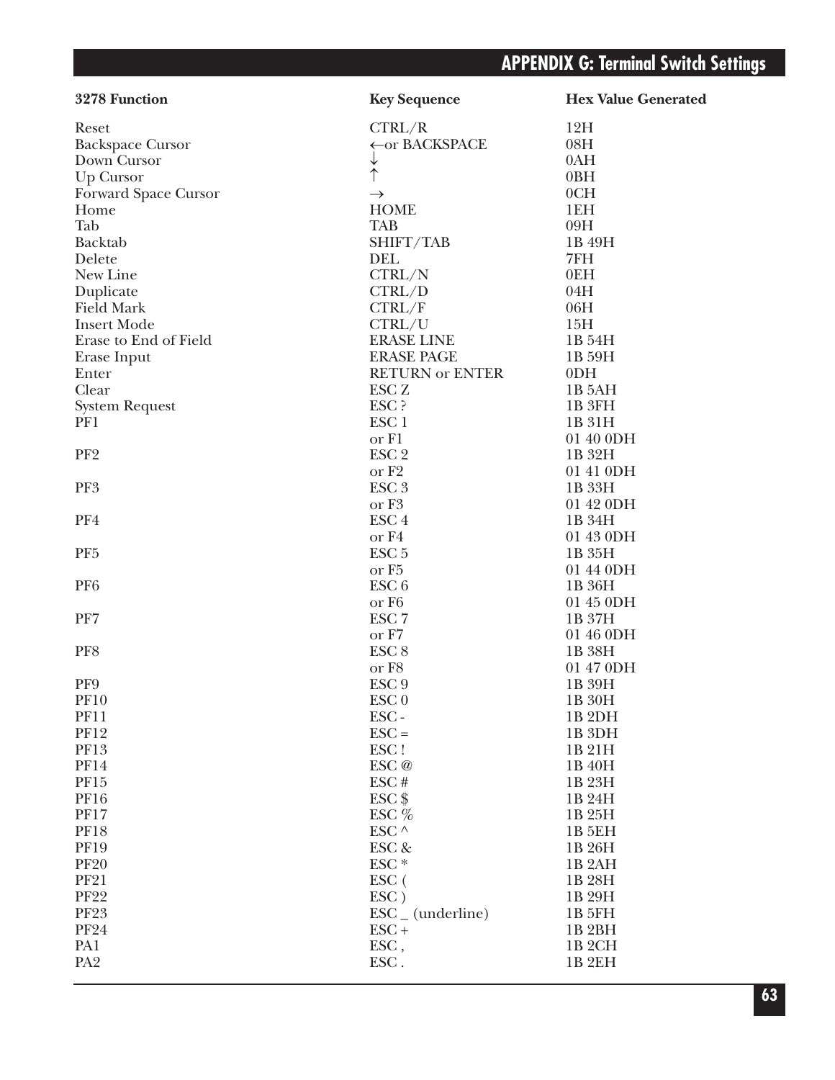| 3278 Function           | <b>Key Sequence</b>          | <b>Hex Value Generated</b> |
|-------------------------|------------------------------|----------------------------|
| Reset                   | CTRL/R                       | 12H                        |
| <b>Backspace Cursor</b> | ← or BACKSPACE               | 08H                        |
| Down Cursor             | ↓                            | 0AH                        |
| Up Cursor               |                              | 0BH                        |
| Forward Space Cursor    | $\rightarrow$                | 0CH                        |
| Home                    | <b>HOME</b>                  | 1EH                        |
| Tab                     | <b>TAB</b>                   | 09H                        |
| Backtab                 | SHIFT/TAB                    | 1B 49H                     |
| Delete                  | <b>DEL</b>                   | 7FH                        |
| New Line                | CTRL/N                       | 0EH                        |
| Duplicate               | CTRL/D                       | 04H                        |
| <b>Field Mark</b>       | CTRL/F                       | 06H                        |
| <b>Insert Mode</b>      | CTRL/U                       | 15H                        |
| Erase to End of Field   | <b>ERASE LINE</b>            | 1B 54H                     |
| Erase Input             | <b>ERASE PAGE</b>            | 1B 59H                     |
| Enter                   | <b>RETURN or ENTER</b>       | 0 <sub>DH</sub>            |
| Clear                   | ESC <sub>Z</sub>             | 1B <sub>5</sub> AH         |
| <b>System Request</b>   | ESC ?                        | 1B 3FH                     |
| PF1                     | ESC <sub>1</sub>             | 1B 31H                     |
|                         | or F1                        | 01 40 0DH                  |
| PF <sub>2</sub>         | ESC <sub>2</sub>             | 1B 32H                     |
|                         | or F <sub>2</sub>            | 01 41 0DH                  |
| PF3                     | ESC <sub>3</sub>             | 1B 33H                     |
|                         | or F <sub>3</sub>            | 01 42 0DH                  |
| PF4                     | ESC <sub>4</sub>             | 1B 34H                     |
|                         | or F4                        | 01 43 0DH                  |
| PF <sub>5</sub>         | ESC <sub>5</sub>             | 1B 35H                     |
|                         | or F <sub>5</sub>            | 01 44 0DH                  |
| PF <sub>6</sub>         | ESC <sub>6</sub>             | 1B 36H                     |
|                         | or F <sub>6</sub>            | 01 45 0DH                  |
| PF7                     | ESC <sub>7</sub>             | 1B 37H                     |
|                         | or F7                        | 01 46 0DH                  |
| PF8                     | ESC <sub>8</sub>             | 1B 38H                     |
|                         | or F8                        | 01 47 0DH                  |
| PF9                     | ESC <sub>9</sub>             | 1B 39H                     |
|                         |                              |                            |
| PF10                    | ESC <sub>0</sub>             | 1B 30H                     |
| <b>PF11</b>             | ESC-                         | 1B <sub>2</sub> DH         |
| <b>PF12</b>             | $\text{ESC} =$               | 1B <sub>3DH</sub>          |
| PF13                    | ESC!                         | 1B 21H                     |
| <b>PF14</b>             | ESC @                        | 1B 40H                     |
| <b>PF15</b>             | ESC#                         | 1B 23H                     |
| <b>PF16</b>             | $ESC$ \$                     | 1B 24H                     |
| <b>PF17</b>             | ESC $%$                      | 1B 25H                     |
| <b>PF18</b>             | ESC $^\wedge$                | <b>1B 5EH</b>              |
| <b>PF19</b>             | ESC &                        | 1B 26H                     |
| <b>PF20</b>             | ESC <sup>*</sup>             | 1B <sub>2</sub> AH         |
| <b>PF21</b>             | ESC (                        | 1B 28H                     |
| <b>PF22</b>             | ESC)                         | 1B 29H                     |
| <b>PF23</b>             | $\text{ESC}_{-}$ (underline) | 1B 5FH                     |
| <b>PF24</b>             | $\text{ESC}$ +               | 1B <sub>2</sub> BH         |
| PA1                     | ESC,                         | 1B <sub>2</sub> CH         |
| PA <sub>2</sub>         | ESC.                         | 1B <sub>2EH</sub>          |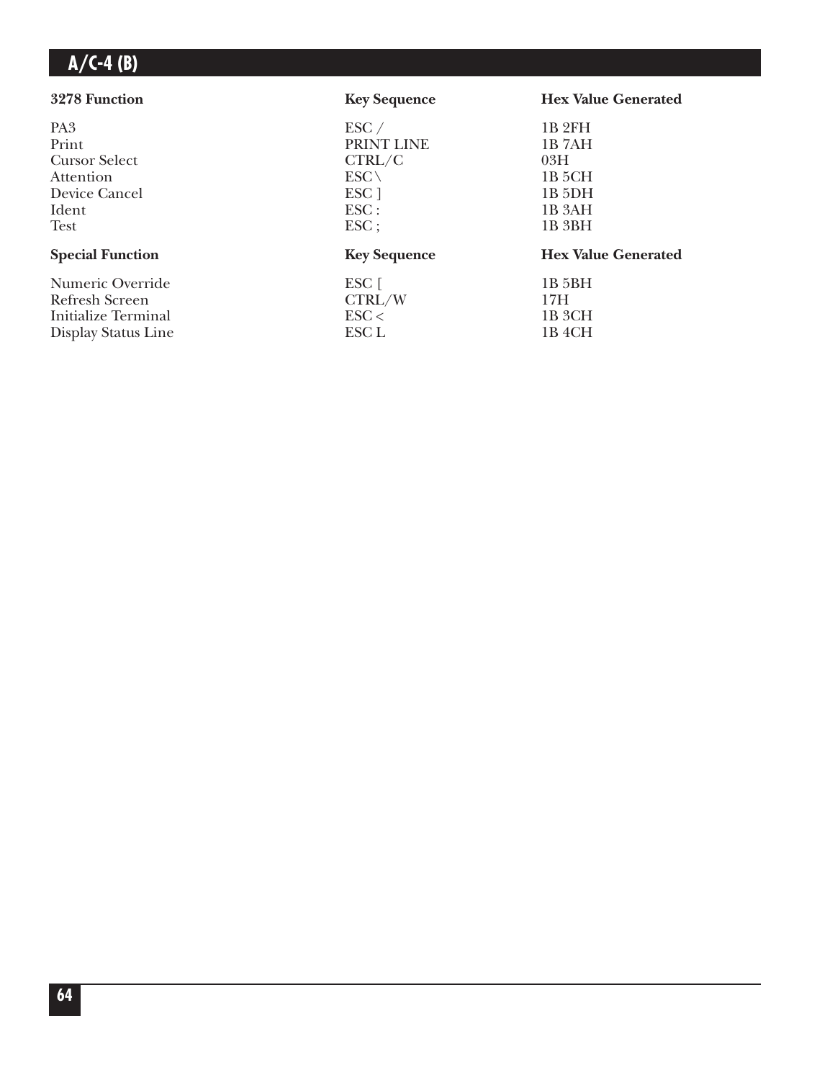| 3278 Function           | <b>Key Sequence</b> | <b>Hex Value Generated</b> |
|-------------------------|---------------------|----------------------------|
| PA <sub>3</sub>         | $\text{ESC}$ /      | 1B <sub>2FH</sub>          |
| Print                   | PRINT LINE          | 1B <sub>7</sub> AH         |
| <b>Cursor Select</b>    | CTRL/C              | 03H                        |
| Attention               | $ESC \setminus$     | 1B 5CH                     |
| Device Cancel           | ESC <sub>1</sub>    | $1B$ 5DH                   |
| Ident                   | $\text{ESC}$ :      | 1B <sub>3</sub> AH         |
| <b>Test</b>             | $\text{ESC}$ ;      | 1B 3BH                     |
| <b>Special Function</b> | <b>Key Sequence</b> | <b>Hex Value Generated</b> |
| Numeric Override        | ESC [               | 1B 5BH                     |
| Refresh Screen          | CTRL/W              | 17H                        |
| Initialize Terminal     | $\text{ESC}$        | 1B 3CH                     |
| Display Status Line     | ESC L               | 1B 4CH                     |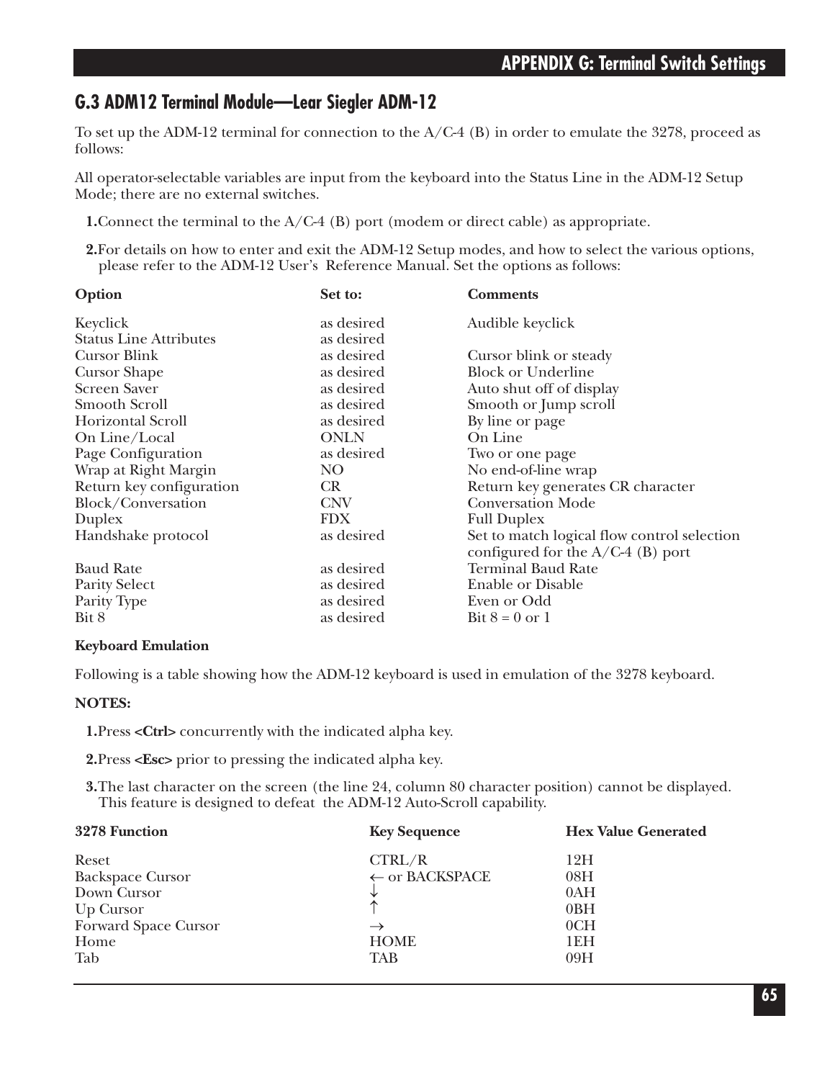## **G.3 ADM12 Terminal Module—Lear Siegler ADM-12**

To set up the ADM-12 terminal for connection to the A/C-4 (B) in order to emulate the 3278, proceed as follows:

All operator-selectable variables are input from the keyboard into the Status Line in the ADM-12 Setup Mode; there are no external switches.

**1.**Connect the terminal to the A/C-4 (B) port (modem or direct cable) as appropriate.

**2.**For details on how to enter and exit the ADM-12 Setup modes, and how to select the various options, please refer to the ADM-12 User's Reference Manual. Set the options as follows:

| Option                        | Set to:     | <b>Comments</b>                                                                    |
|-------------------------------|-------------|------------------------------------------------------------------------------------|
| Keyclick                      | as desired  | Audible keyclick                                                                   |
| <b>Status Line Attributes</b> | as desired  |                                                                                    |
| Cursor Blink                  | as desired  | Cursor blink or steady                                                             |
| <b>Cursor Shape</b>           | as desired  | <b>Block or Underline</b>                                                          |
| <b>Screen Saver</b>           | as desired  | Auto shut off of display                                                           |
| Smooth Scroll                 | as desired  | Smooth or Jump scroll                                                              |
| Horizontal Scroll             | as desired  | By line or page                                                                    |
| On Line/Local                 | <b>ONLN</b> | On Line                                                                            |
| Page Configuration            | as desired  | Two or one page                                                                    |
| Wrap at Right Margin          | NO.         | No end-of-line wrap                                                                |
| Return key configuration      | CR          | Return key generates CR character                                                  |
| Block/Conversation            | <b>CNV</b>  | <b>Conversation Mode</b>                                                           |
| Duplex                        | <b>FDX</b>  | <b>Full Duplex</b>                                                                 |
| Handshake protocol            | as desired  | Set to match logical flow control selection<br>configured for the $A/C-4$ (B) port |
| <b>Baud Rate</b>              | as desired  | <b>Terminal Baud Rate</b>                                                          |
| <b>Parity Select</b>          | as desired  | <b>Enable or Disable</b>                                                           |
| Parity Type                   | as desired  | Even or Odd                                                                        |
| Bit 8                         | as desired  | Bit $8 = 0$ or 1                                                                   |

#### **Keyboard Emulation**

Following is a table showing how the ADM-12 keyboard is used in emulation of the 3278 keyboard.

#### **NOTES:**

**1.**Press **<Ctrl>** concurrently with the indicated alpha key.

**2.**Press **<Esc>** prior to pressing the indicated alpha key.

**3.**The last character on the screen (the line 24, column 80 character position) cannot be displayed. This feature is designed to defeat the ADM-12 Auto-Scroll capability.

| 3278 Function                                                                                | <b>Key Sequence</b>                                                 | <b>Hex Value Generated</b>             |
|----------------------------------------------------------------------------------------------|---------------------------------------------------------------------|----------------------------------------|
| Reset<br><b>Backspace Cursor</b><br>Down Cursor<br>Up Cursor<br>Forward Space Cursor<br>Home | CTRL/R<br>$\leftarrow$ or BACKSPACE<br>$\rightarrow$<br><b>HOME</b> | 12H<br>08H<br>0AH<br>0BH<br>0CH<br>1EH |
| Tab                                                                                          | TAB                                                                 | 09H                                    |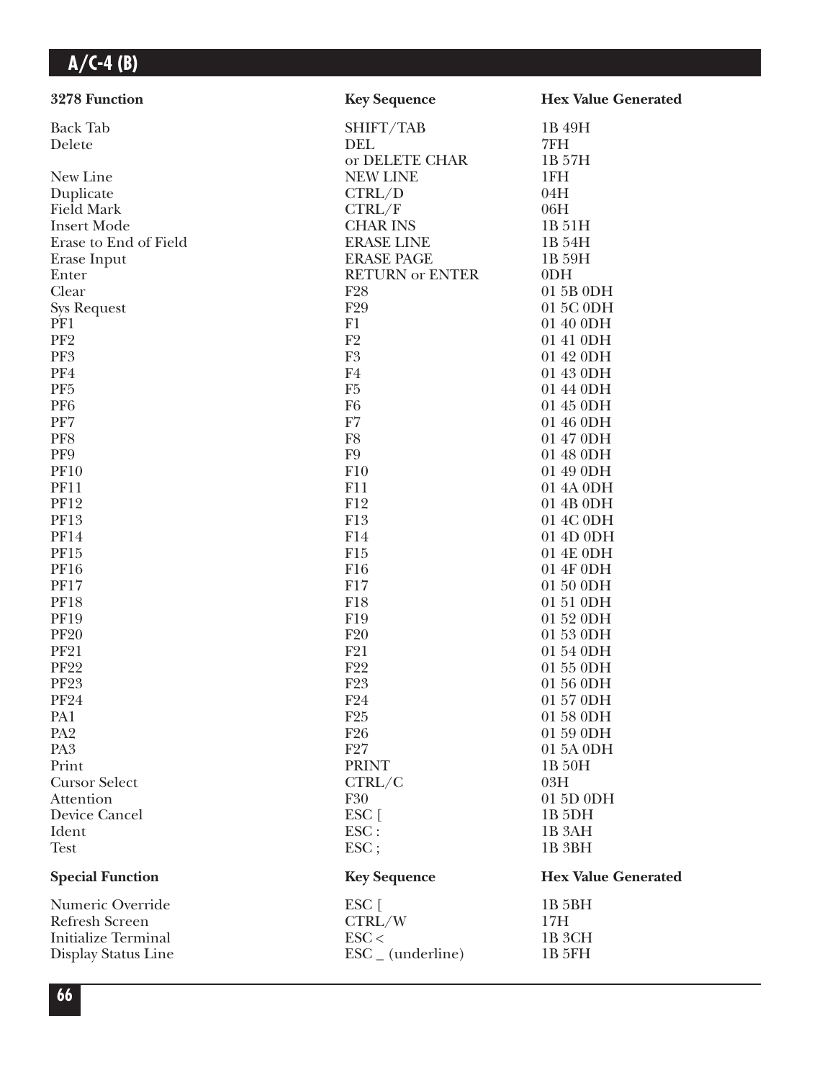| 3278 Function                      | <b>Key Sequence</b>          | <b>Hex Value Generated</b> |
|------------------------------------|------------------------------|----------------------------|
| <b>Back Tab</b>                    | SHIFT/TAB                    | 1B 49H                     |
| Delete                             | DEL                          | 7FH                        |
|                                    | or DELETE CHAR               | 1B 57H                     |
| New Line                           | <b>NEW LINE</b>              | 1FH                        |
| Duplicate                          | CTRL/D                       | 04H                        |
| <b>Field Mark</b>                  | CTRL/F                       | 06H                        |
| <b>Insert Mode</b>                 | <b>CHAR INS</b>              | 1B 51H                     |
| Erase to End of Field              | <b>ERASE LINE</b>            | 1B 54H                     |
| Erase Input                        | <b>ERASE PAGE</b>            | 1B 59H                     |
| Enter                              | <b>RETURN or ENTER</b>       | 0 <sub>DH</sub>            |
| Clear                              | F <sub>28</sub>              | 01 5B 0DH                  |
| <b>Sys Request</b>                 | F29                          | 01 5C 0DH                  |
| PF1                                | F1                           | 01 40 0DH                  |
| PF <sub>2</sub>                    | F2                           | 01 41 0DH                  |
| PF3                                | ${\rm F}3$                   | 01 42 0DH                  |
| PF4                                | F4                           | 01 43 0DH                  |
| PF <sub>5</sub>                    | F <sub>5</sub>               | 01 44 0DH                  |
| PF <sub>6</sub>                    | F <sub>6</sub>               | 01 45 0DH                  |
| PF7                                | F7                           | 01 46 0DH                  |
| PF8                                | ${\rm F}8$                   | 01 47 0DH                  |
| PF9                                | ${\rm F}9$                   | 01 48 0DH                  |
| <b>PF10</b>                        | F10                          | 01 49 0DH                  |
| <b>PF11</b>                        | F11                          | 01 4A 0DH                  |
| <b>PF12</b>                        | F12                          | 01 4B 0DH                  |
| <b>PF13</b>                        | F13                          | 01 4C 0DH                  |
| <b>PF14</b>                        | F14                          | 01 4D 0DH                  |
| PF15                               | F15                          | 01 4E 0DH                  |
| <b>PF16</b>                        | F16                          | 01 4F 0DH                  |
| <b>PF17</b>                        | F17                          | 01 50 0DH                  |
| <b>PF18</b>                        | F18                          | 01 51 0DH                  |
| <b>PF19</b>                        | F19                          | 01 52 0DH                  |
| <b>PF20</b>                        | F20                          | 01 53 0DH                  |
| <b>PF21</b>                        | F21                          | 01 54 0DH                  |
| <b>PF22</b>                        | F22                          | 01 55 0DH                  |
| <b>PF23</b>                        | F <sub>23</sub>              | 01 56 0DH                  |
| ${\rm PF}24$                       | F24                          | 01 57 0DH                  |
| PA1                                | F25                          | 01 58 0DH                  |
| PA <sub>2</sub><br>PA <sub>3</sub> | F <sub>26</sub><br>F27       | 01 59 0DH                  |
| Print                              | <b>PRINT</b>                 | 01 5A 0DH                  |
|                                    | CTRL/C                       | 1B 50H<br>03H              |
| <b>Cursor Select</b><br>Attention  | F30                          | 01 5D 0DH                  |
| Device Cancel                      | ESC [                        | 1B <sub>5DH</sub>          |
| Ident                              | ESC:                         | 1B <sub>3</sub> AH         |
| <b>Test</b>                        | ESC;                         | 1B <sub>3BH</sub>          |
| <b>Special Function</b>            | <b>Key Sequence</b>          | <b>Hex Value Generated</b> |
| Numeric Override                   | ESC [                        | 1B 5BH                     |
| Refresh Screen                     | CTRL/W                       | 17H                        |
| <b>Initialize Terminal</b>         | $\text{ESC}$                 | 1B 3CH                     |
| Display Status Line                | $\text{ESC}_{-}$ (underline) | 1B 5FH                     |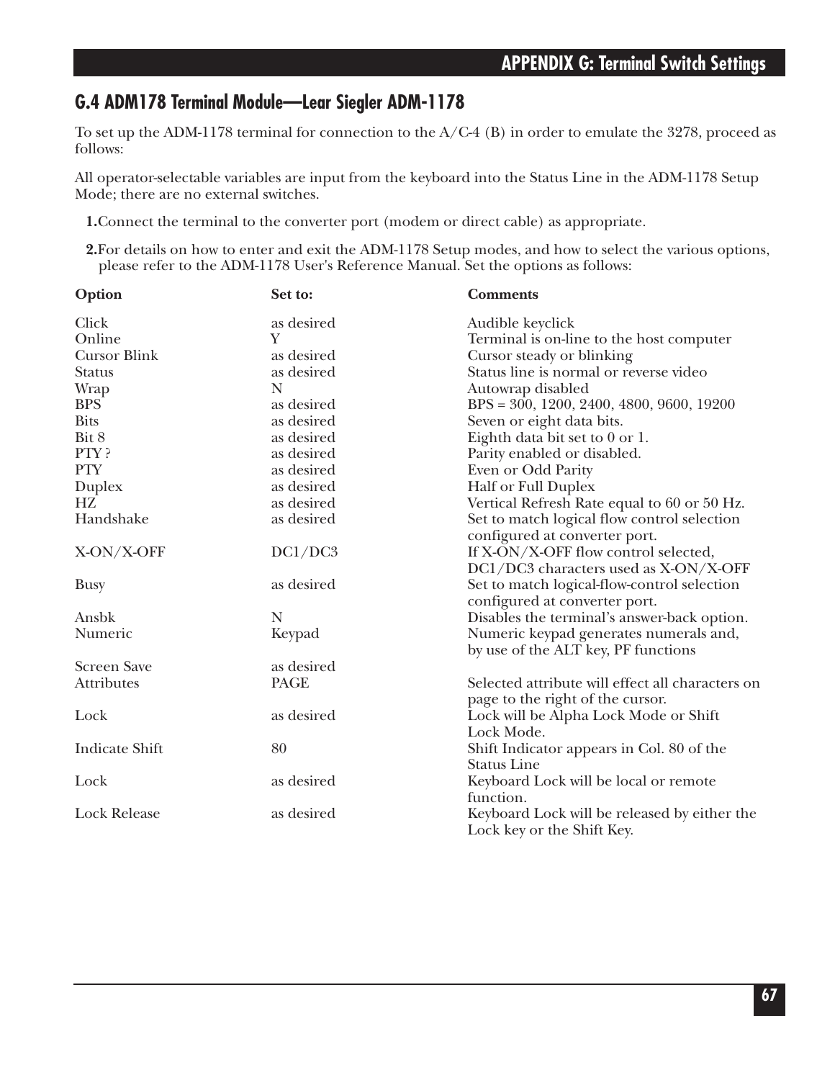## **G.4 ADM178 Terminal Module—Lear Siegler ADM-1178**

To set up the ADM-1178 terminal for connection to the A/C-4 (B) in order to emulate the 3278, proceed as follows:

All operator-selectable variables are input from the keyboard into the Status Line in the ADM-1178 Setup Mode; there are no external switches.

**1.**Connect the terminal to the converter port (modem or direct cable) as appropriate.

**2.**For details on how to enter and exit the ADM-1178 Setup modes, and how to select the various options, please refer to the ADM-1178 User's Reference Manual. Set the options as follows:

| Option                | Set to:     | <b>Comments</b>                                                                      |
|-----------------------|-------------|--------------------------------------------------------------------------------------|
| Click                 | as desired  | Audible keyclick                                                                     |
| Online                | Y           | Terminal is on-line to the host computer                                             |
| <b>Cursor Blink</b>   | as desired  | Cursor steady or blinking                                                            |
| <b>Status</b>         | as desired  | Status line is normal or reverse video                                               |
| <b>Wrap</b>           | N           | Autowrap disabled                                                                    |
| <b>BPS</b>            | as desired  | $BPS = 300, 1200, 2400, 4800, 9600, 19200$                                           |
| <b>Bits</b>           | as desired  | Seven or eight data bits.                                                            |
| Bit 8                 | as desired  | Eighth data bit set to 0 or 1.                                                       |
| PTY?                  | as desired  | Parity enabled or disabled.                                                          |
| <b>PTY</b>            | as desired  | Even or Odd Parity                                                                   |
| Duplex                | as desired  | <b>Half or Full Duplex</b>                                                           |
| HZ.                   | as desired  | Vertical Refresh Rate equal to 60 or 50 Hz.                                          |
| Handshake             | as desired  | Set to match logical flow control selection<br>configured at converter port.         |
| X-ON/X-OFF            | DC1/DC3     | If X-ON/X-OFF flow control selected,                                                 |
| <b>Busy</b>           | as desired  | DC1/DC3 characters used as X-ON/X-OFF<br>Set to match logical-flow-control selection |
|                       |             | configured at converter port.                                                        |
| Ansbk                 | $\mathbf N$ | Disables the terminal's answer-back option.                                          |
| Numeric               | Keypad      | Numeric keypad generates numerals and,<br>by use of the ALT key, PF functions        |
| <b>Screen Save</b>    | as desired  |                                                                                      |
| <b>Attributes</b>     | <b>PAGE</b> | Selected attribute will effect all characters on<br>page to the right of the cursor. |
| Lock                  | as desired  | Lock will be Alpha Lock Mode or Shift<br>Lock Mode.                                  |
| <b>Indicate Shift</b> | 80          | Shift Indicator appears in Col. 80 of the<br><b>Status Line</b>                      |
| Lock                  | as desired  | Keyboard Lock will be local or remote<br>function.                                   |
| <b>Lock Release</b>   | as desired  | Keyboard Lock will be released by either the<br>Lock key or the Shift Key.           |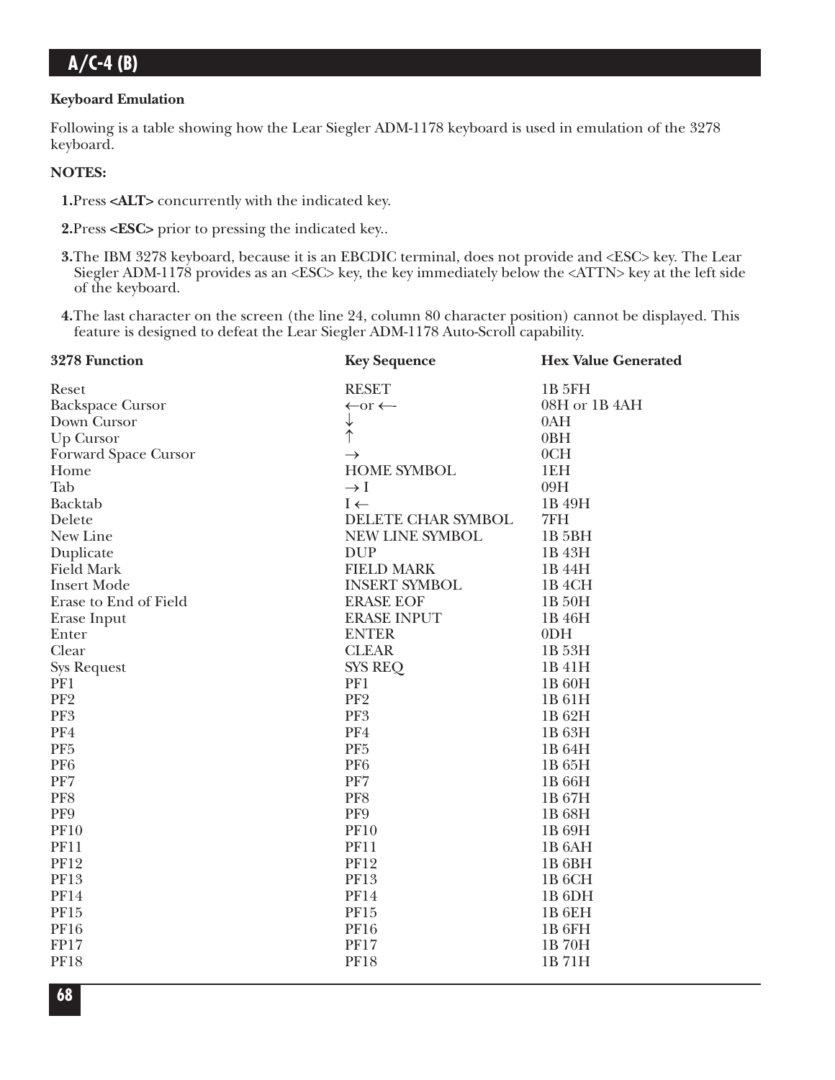#### **Keyboard Emulation**

Following is a table showing how the Lear Siegler ADM-1178 keyboard is used in emulation of the 3278 keyboard.

#### **NOTES:**

- **1.**Press **<ALT>** concurrently with the indicated key.
- **2.**Press **<ESC>** prior to pressing the indicated key..
- **3.**The IBM 3278 keyboard, because it is an EBCDIC terminal, does not provide and <ESC> key. The Lear Siegler ADM-1178 provides as an <ESC> key, the key immediately below the <ATTN> key at the left side of the keyboard.
- **4.**The last character on the screen (the line 24, column 80 character position) cannot be displayed. This feature is designed to defeat the Lear Siegler ADM-1178 Auto-Scroll capability.

| 3278 Function           | <b>Key Sequence</b>          | <b>Hex Value Generated</b> |
|-------------------------|------------------------------|----------------------------|
| Reset                   | <b>RESET</b>                 | <b>1B 5FH</b>              |
| <b>Backspace Cursor</b> | $\leftarrow$ or $\leftarrow$ | 08H or 1B 4AH              |
| Down Cursor             | ↓                            | 0AH                        |
| Up Cursor               | ↑                            | 0BH                        |
| Forward Space Cursor    | $\rightarrow$                | 0CH                        |
| Home                    | <b>HOME SYMBOL</b>           | 1EH                        |
| Tab                     | $\rightarrow$ I              | 09H                        |
| Backtab                 | $I \leftarrow$               | 1B 49H                     |
| Delete                  | DELETE CHAR SYMBOL           | 7FH                        |
| New Line                | NEW LINE SYMBOL              | 1B 5BH                     |
| Duplicate               | <b>DUP</b>                   | 1B 43H                     |
| <b>Field Mark</b>       | <b>FIELD MARK</b>            | 1B 44H                     |
| <b>Insert Mode</b>      | <b>INSERT SYMBOL</b>         | 1B <sub>4</sub> CH         |
| Erase to End of Field   | <b>ERASE EOF</b>             | 1B 50H                     |
| Erase Input             | <b>ERASE INPUT</b>           | 1B 46H                     |
| Enter                   | <b>ENTER</b>                 | 0 <sub>DH</sub>            |
| Clear                   | <b>CLEAR</b>                 | 1B 53H                     |
| <b>Sys Request</b>      | <b>SYS REQ</b>               | 1B 41H                     |
| PF1                     | PF1                          | 1B 60H                     |
| PF <sub>2</sub>         | PF <sub>2</sub>              | 1B 61H                     |
| PF3                     | PF3                          | 1B 62H                     |
| PF4                     | PF4                          | 1B 63H                     |
| PF <sub>5</sub>         | PF <sub>5</sub>              | 1B 64H                     |
| PF <sub>6</sub>         | PF <sub>6</sub>              | 1B 65H                     |
| PF7                     | PF7                          | 1B 66H                     |
| PF8                     | PF8                          | 1B 67H                     |
| PF9                     | PF9                          | 1B 68H                     |
| <b>PF10</b>             | <b>PF10</b>                  | 1B 69H                     |
| <b>PF11</b>             | <b>PF11</b>                  | 1B <sub>6</sub> AH         |
| <b>PF12</b>             | <b>PF12</b>                  | 1B <sub>6BH</sub>          |
| <b>PF13</b>             | <b>PF13</b>                  | 1B <sub>6</sub> CH         |
| <b>PF14</b>             | <b>PF14</b>                  | 1B <sub>6DH</sub>          |
| PF15                    | PF15                         | 1B <sub>6EH</sub>          |
| <b>PF16</b>             | <b>PF16</b>                  | 1B <sub>6FH</sub>          |
| FP17                    | <b>PF17</b>                  | 1B70H                      |
| <b>PF18</b>             | <b>PF18</b>                  | 1B71H                      |
|                         |                              |                            |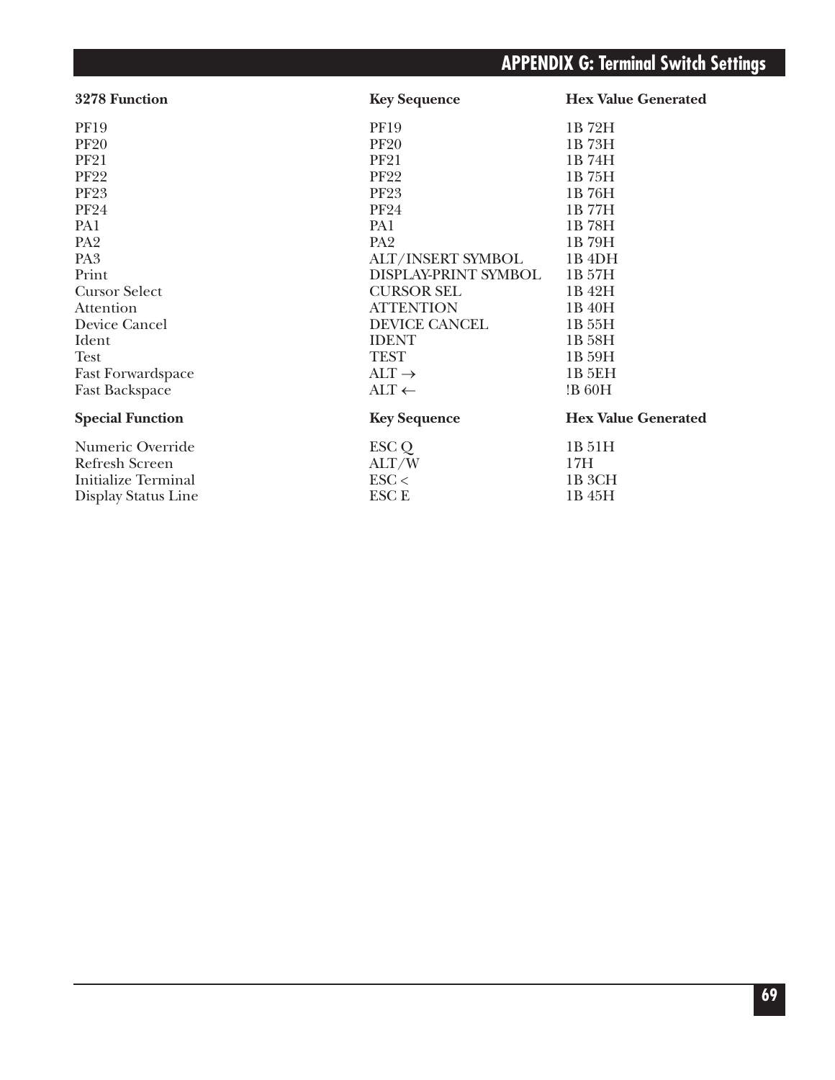# **APPENDIX G: Terminal Switch Settings**

| <b>Key Sequence</b>     | <b>Hex Value Generated</b> |
|-------------------------|----------------------------|
| <b>PF19</b>             | 1B72H                      |
| <b>PF20</b>             | 1B 73H                     |
| <b>PF21</b>             | 1B 74H                     |
| <b>PF22</b>             | 1B 75H                     |
| <b>PF23</b>             | 1B 76H                     |
| <b>PF24</b>             | 1B 77H                     |
| PA1                     | 1B 78H                     |
| PA <sub>2</sub>         | 1B 79H                     |
| ALT/INSERT SYMBOL       | 1B <sub>4DH</sub>          |
| DISPLAY-PRINT SYMBOL    | 1B 57H                     |
| <b>CURSOR SEL</b>       | 1B 42H                     |
| <b>ATTENTION</b>        | 1B 40H                     |
| <b>DEVICE CANCEL</b>    | 1B 55H                     |
| <b>IDENT</b>            | 1B 58H                     |
| <b>TEST</b>             | 1B 59H                     |
| $ALT \rightarrow$       | 1B 5EH                     |
| $\text{ALT} \leftarrow$ | !B 60H                     |
| <b>Key Sequence</b>     | <b>Hex Value Generated</b> |
| ESC Q                   | 1B 51H                     |
| ALT/W                   | 17H                        |
| $\text{ESC}$            | 1B <sub>3</sub> CH         |
| <b>ESCE</b>             | 1B 45H                     |
|                         |                            |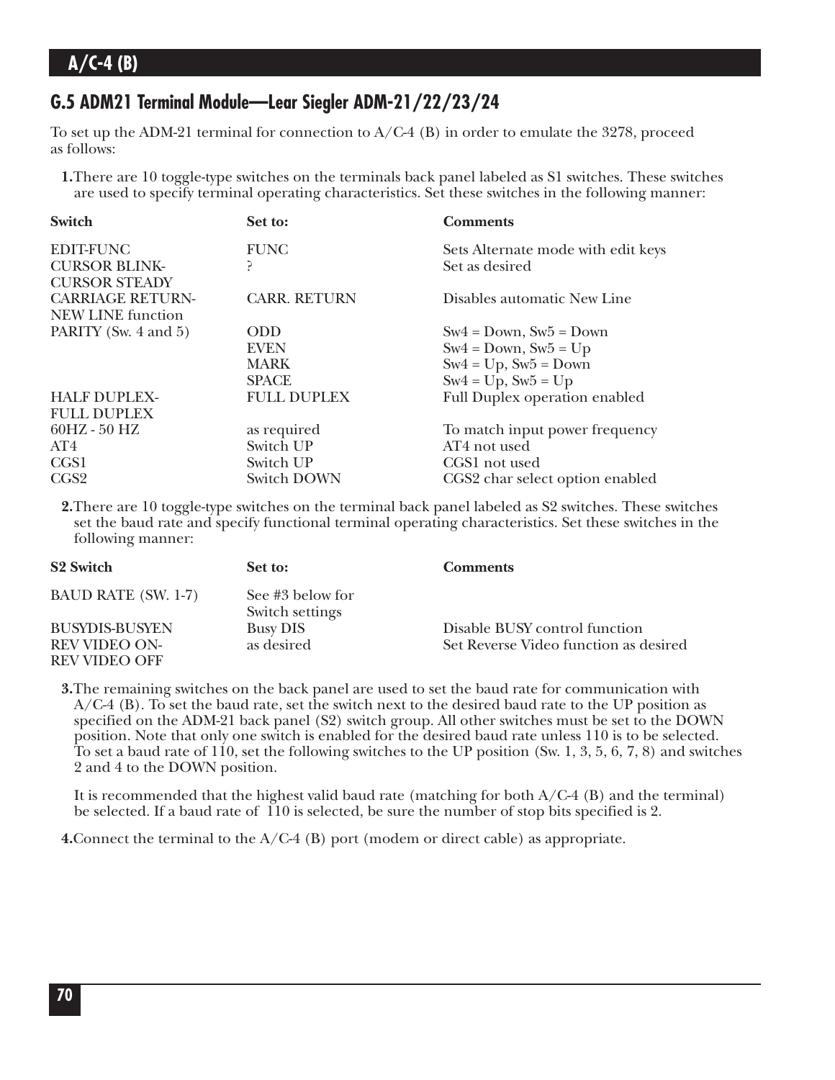## **G.5 ADM21 Terminal Module—Lear Siegler ADM-21/22/23/24**

To set up the ADM-21 terminal for connection to  $A/C-4$  (B) in order to emulate the 3278, proceed as follows:

**1.**There are 10 toggle-type switches on the terminals back panel labeled as S1 switches. These switches are used to specify terminal operating characteristics. Set these switches in the following manner:

| Switch                   | Set to:             | <b>Comments</b>                      |
|--------------------------|---------------------|--------------------------------------|
| <b>EDIT-FUNC</b>         | <b>FUNC</b>         | Sets Alternate mode with edit keys   |
| <b>CURSOR BLINK-</b>     | ς                   | Set as desired                       |
| <b>CURSOR STEADY</b>     |                     |                                      |
| <b>CARRIAGE RETURN-</b>  | <b>CARR. RETURN</b> | Disables automatic New Line          |
| <b>NEW LINE function</b> |                     |                                      |
| PARITY (Sw. 4 and 5)     | <b>ODD</b>          | $Sw4 = Down, Sw5 = Down$             |
|                          | <b>EVEN</b>         | $Sw4 = Down, Sw5 = Up$               |
|                          | <b>MARK</b>         | $Sw4 = Up$ , $Sw5 = Down$            |
|                          | <b>SPACE</b>        | $Sw4 = Up$ , $Sw5 = Up$              |
| <b>HALF DUPLEX-</b>      | <b>FULL DUPLEX</b>  | <b>Full Duplex operation enabled</b> |
| <b>FULL DUPLEX</b>       |                     |                                      |
| $60HZ - 50 HZ$           | as required         | To match input power frequency       |
| AT4                      | Switch UP           | AT4 not used                         |
| CGS1                     | Switch UP           | CGS1 not used                        |
| CGS <sub>2</sub>         | <b>Switch DOWN</b>  | CGS2 char select option enabled      |

**2.**There are 10 toggle-type switches on the terminal back panel labeled as S2 switches. These switches set the baud rate and specify functional terminal operating characteristics. Set these switches in the following manner:

| <b>S2 Switch</b>                      | Set to:                             | <b>Comments</b>                       |
|---------------------------------------|-------------------------------------|---------------------------------------|
| <b>BAUD RATE (SW. 1-7)</b>            | See #3 below for<br>Switch settings |                                       |
| <b>BUSYDIS-BUSYEN</b>                 | <b>Busy DIS</b>                     | Disable BUSY control function         |
| <b>REV VIDEO ON-</b><br>REV VIDEO OFF | as desired                          | Set Reverse Video function as desired |

**3.**The remaining switches on the back panel are used to set the baud rate for communication with A/C-4 (B). To set the baud rate, set the switch next to the desired baud rate to the UP position as specified on the ADM-21 back panel (S2) switch group. All other switches must be set to the DOWN position. Note that only one switch is enabled for the desired baud rate unless 110 is to be selected. To set a baud rate of 110, set the following switches to the UP position (Sw. 1, 3, 5, 6, 7, 8) and switches 2 and 4 to the DOWN position.

It is recommended that the highest valid baud rate (matching for both  $A/C-4$  (B) and the terminal) be selected. If a baud rate of 110 is selected, be sure the number of stop bits specified is 2.

**4.**Connect the terminal to the A/C-4 (B) port (modem or direct cable) as appropriate.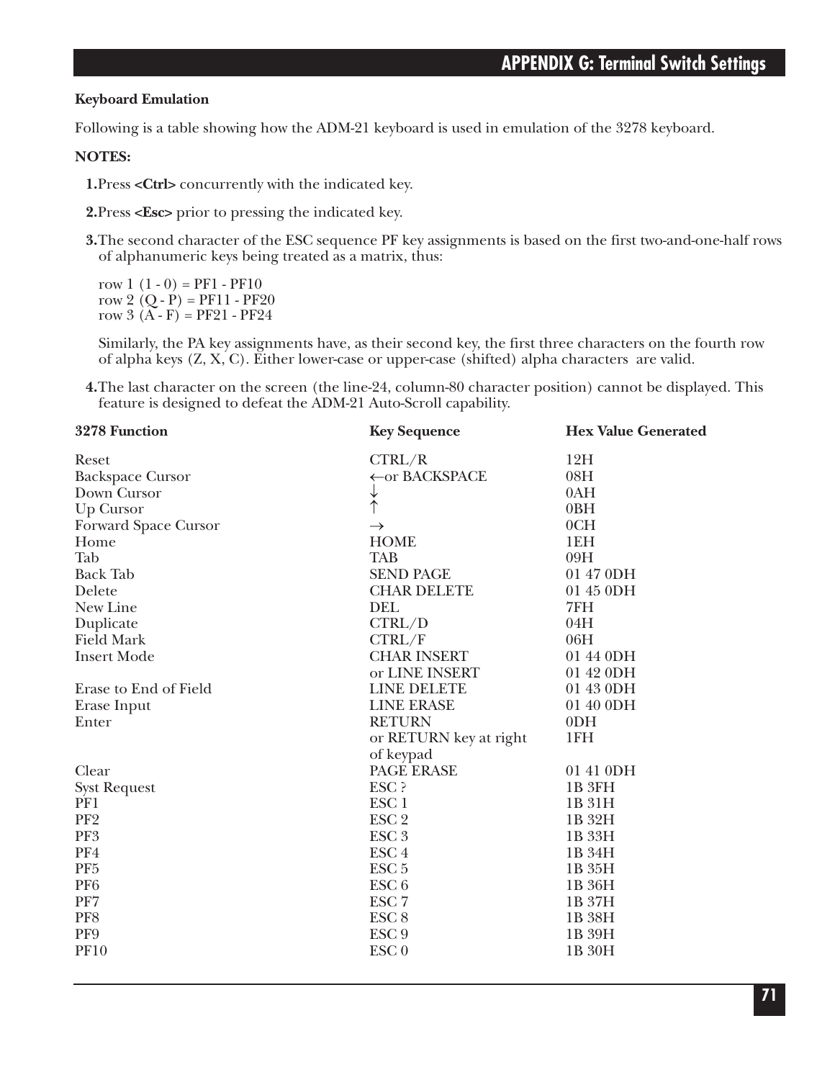#### **Keyboard Emulation**

Following is a table showing how the ADM-21 keyboard is used in emulation of the 3278 keyboard.

#### **NOTES:**

**1.**Press **<Ctrl>** concurrently with the indicated key.

**2.**Press **<Esc>** prior to pressing the indicated key.

**3.**The second character of the ESC sequence PF key assignments is based on the first two-and-one-half rows of alphanumeric keys being treated as a matrix, thus:

row  $1(1-0) = PF1 - PF10$ row 2  $(Q - P) = PF11 - PF20$ row  $3(A - F) = PF21 - PF24$ 

Similarly, the PA key assignments have, as their second key, the first three characters on the fourth row of alpha keys (Z, X, C). Either lower-case or upper-case (shifted) alpha characters are valid.

**4.**The last character on the screen (the line-24, column-80 character position) cannot be displayed. This feature is designed to defeat the ADM-21 Auto-Scroll capability.

| 3278 Function           | <b>Key Sequence</b>    | <b>Hex Value Generated</b> |
|-------------------------|------------------------|----------------------------|
| Reset                   | CTRL/R                 | 12H                        |
| <b>Backspace Cursor</b> | ← or BACKSPACE         | 08H                        |
| Down Cursor             | ↓                      | 0AH                        |
| Up Cursor               | $\uparrow$             | 0BH                        |
| Forward Space Cursor    | $\rightarrow$          | 0CH                        |
| Home                    | <b>HOME</b>            | 1EH                        |
| Tab                     | <b>TAB</b>             | 09H                        |
| <b>Back Tab</b>         | <b>SEND PAGE</b>       | 01 47 0DH                  |
| Delete                  | <b>CHAR DELETE</b>     | 01 45 0DH                  |
| New Line                | DEL                    | 7FH                        |
| Duplicate               | CTRL/D                 | 04H                        |
| <b>Field Mark</b>       | CTRL/F                 | 06H                        |
| <b>Insert Mode</b>      | <b>CHAR INSERT</b>     | 01 44 0DH                  |
|                         | or LINE INSERT         | 01 42 0DH                  |
| Erase to End of Field   | <b>LINE DELETE</b>     | 01 43 0DH                  |
| Erase Input             | <b>LINE ERASE</b>      | 01 40 0DH                  |
| Enter                   | <b>RETURN</b>          | 0 <sub>DH</sub>            |
|                         | or RETURN key at right | 1FH                        |
|                         | of keypad              |                            |
| Clear                   | PAGE ERASE             | 01 41 0DH                  |
| <b>Syst Request</b>     | ESC ?                  | 1B <sub>3FH</sub>          |
| PF1                     | ESC <sub>1</sub>       | 1B 31H                     |
| PF <sub>2</sub>         | ESC <sub>2</sub>       | 1B 32H                     |
| PF <sub>3</sub>         | ESC <sub>3</sub>       | 1B 33H                     |
| PF4                     | ESC <sub>4</sub>       | 1B 34H                     |
| PF <sub>5</sub>         | ESC <sub>5</sub>       | 1B 35H                     |
| PF <sub>6</sub>         | ESC <sub>6</sub>       | 1B 36H                     |
| PF7                     | ESC <sub>7</sub>       | 1B 37H                     |
| PF8                     | ESC <sub>8</sub>       | 1B 38H                     |
| PF9                     | ESC <sub>9</sub>       | 1B 39H                     |
| <b>PF10</b>             | ESC <sub>0</sub>       | 1B 30H                     |
|                         |                        |                            |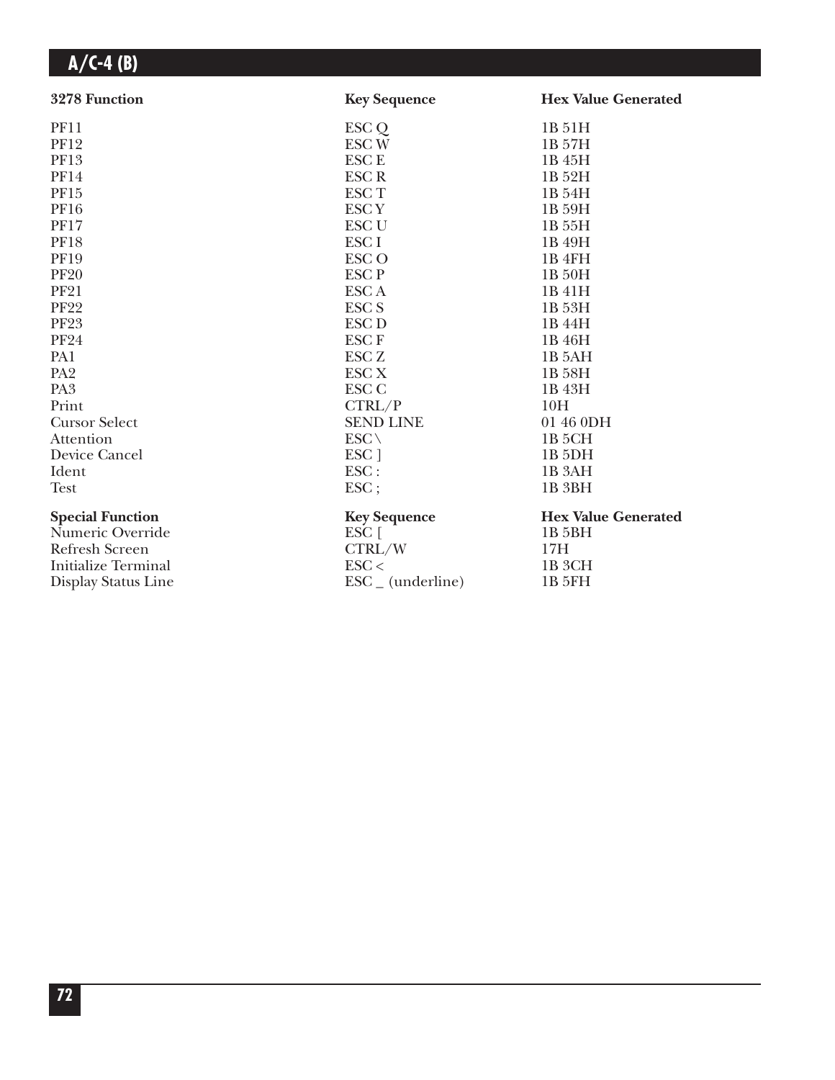| 3278 Function              | <b>Key Sequence</b>          | <b>Hex Value Generated</b> |
|----------------------------|------------------------------|----------------------------|
| <b>PF11</b>                | ESC Q                        | 1B 51H                     |
| <b>PF12</b>                | <b>ESCW</b>                  | 1B 57H                     |
| PF13                       | <b>ESC E</b>                 | 1B 45H                     |
| <b>PF14</b>                | <b>ESCR</b>                  | 1B 52H                     |
| PF15                       | <b>ESCT</b>                  | 1B 54H                     |
| <b>PF16</b>                | <b>ESCY</b>                  | 1B 59H                     |
| <b>PF17</b>                | <b>ESC U</b>                 | 1B 55H                     |
| <b>PF18</b>                | ESC <sub>I</sub>             | 1B 49H                     |
| <b>PF19</b>                | <b>ESCO</b>                  | 1B <sub>4FH</sub>          |
| <b>PF20</b>                | <b>ESCP</b>                  | 1B 50H                     |
| <b>PF21</b>                | <b>ESCA</b>                  | 1B 41H                     |
| <b>PF22</b>                | <b>ESC S</b>                 | 1B 53H                     |
| <b>PF23</b>                | <b>ESC D</b>                 | 1B 44H                     |
| <b>PF24</b>                | <b>ESCF</b>                  | 1B 46H                     |
| PA1                        | <b>ESC Z</b>                 | 1B <sub>5</sub> AH         |
| PA <sub>2</sub>            | <b>ESC X</b>                 | 1B 58H                     |
| PA <sub>3</sub>            | <b>ESC C</b>                 | 1B 43H                     |
| Print                      | CTRL/P                       | 10H                        |
| <b>Cursor Select</b>       | <b>SEND LINE</b>             | 01 46 0DH                  |
| Attention                  | $ESC \setminus$              | 1B <sub>5</sub> CH         |
| Device Cancel              | ESC ]                        | 1B <sub>5DH</sub>          |
| Ident                      | ESC:                         | 1B <sub>3</sub> AH         |
| <b>Test</b>                | ESC;                         | 1B <sub>3BH</sub>          |
| <b>Special Function</b>    | <b>Key Sequence</b>          | <b>Hex Value Generated</b> |
| Numeric Override           | $ESC$ [                      | 1B <sub>5</sub> BH         |
| <b>Refresh Screen</b>      | CTRL/W                       | 17H                        |
| <b>Initialize Terminal</b> | $\text{ESC}$                 | 1B 3CH                     |
| Display Status Line        | $\text{ESC}_{-}$ (underline) | 1B 5FH                     |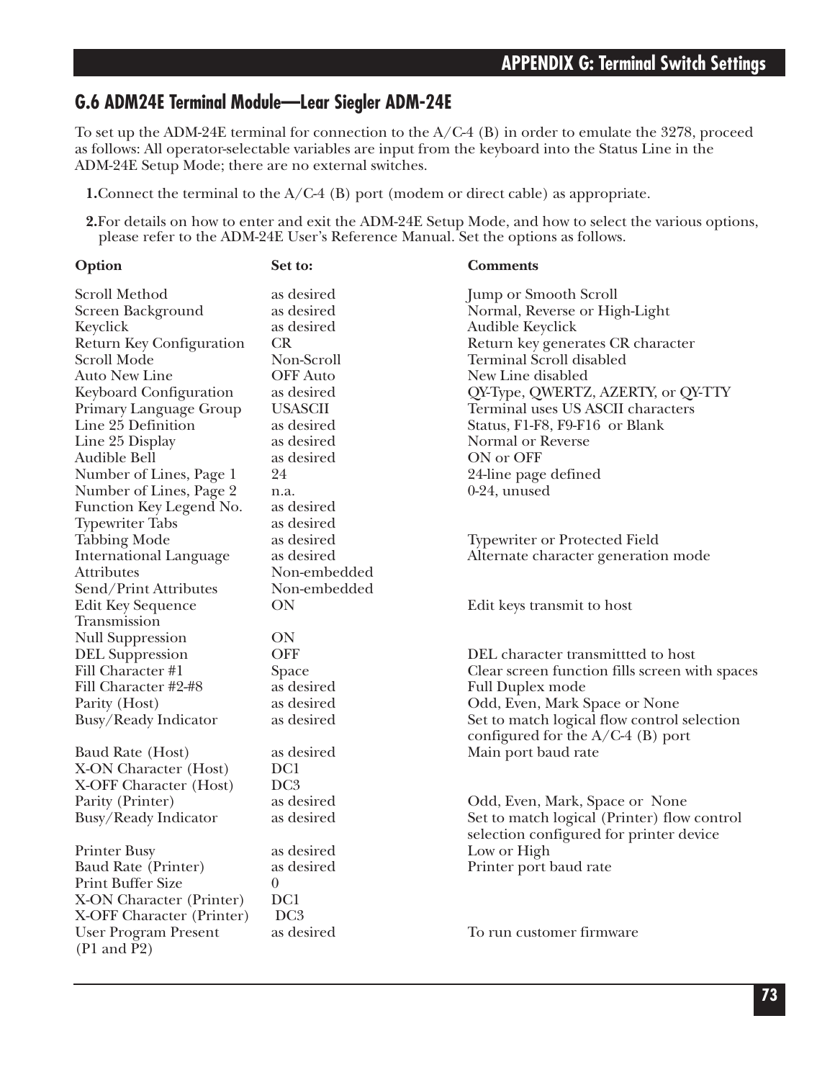### **G.6 ADM24E Terminal Module—Lear Siegler ADM-24E**

To set up the ADM-24E terminal for connection to the A/C-4 (B) in order to emulate the 3278, proceed as follows: All operator-selectable variables are input from the keyboard into the Status Line in the ADM-24E Setup Mode; there are no external switches.

**1.**Connect the terminal to the A/C-4 (B) port (modem or direct cable) as appropriate.

**2.**For details on how to enter and exit the ADM-24E Setup Mode, and how to select the various options, please refer to the ADM-24E User's Reference Manual. Set the options as follows.

| Option                                                | Set to:         | <b>Comments</b>                                |
|-------------------------------------------------------|-----------------|------------------------------------------------|
| Scroll Method                                         | as desired      | <b>Jump or Smooth Scroll</b>                   |
| Screen Background                                     | as desired      | Normal, Reverse or High-Light                  |
| Keyclick                                              | as desired      | Audible Keyclick                               |
| Return Key Configuration                              | CR              | Return key generates CR character              |
| Scroll Mode                                           | Non-Scroll      | <b>Terminal Scroll disabled</b>                |
| Auto New Line                                         | <b>OFF</b> Auto | New Line disabled                              |
| Keyboard Configuration                                | as desired      | QY-Type, QWERTZ, AZERTY, or QY-TTY             |
| Primary Language Group                                | <b>USASCII</b>  | Terminal uses US ASCII characters              |
| Line 25 Definition                                    | as desired      | Status, F1-F8, F9-F16 or Blank                 |
| Line 25 Display                                       | as desired      | Normal or Reverse                              |
| Audible Bell                                          | as desired      | ON or OFF                                      |
| Number of Lines, Page 1                               | 24              | 24-line page defined                           |
| Number of Lines, Page 2                               | n.a.            | $0-24$ , unused                                |
| Function Key Legend No.                               | as desired      |                                                |
| <b>Typewriter Tabs</b>                                | as desired      |                                                |
| <b>Tabbing Mode</b>                                   | as desired      | <b>Typewriter or Protected Field</b>           |
| <b>International Language</b>                         | as desired      | Alternate character generation mode            |
| <b>Attributes</b>                                     | Non-embedded    |                                                |
| Send/Print Attributes                                 | Non-embedded    |                                                |
| Edit Key Sequence                                     | ON              | Edit keys transmit to host                     |
| Transmission                                          |                 |                                                |
| <b>Null Suppression</b>                               | ON              |                                                |
| <b>DEL Suppression</b>                                | <b>OFF</b>      | DEL character transmittted to host             |
| Fill Character #1                                     | Space           | Clear screen function fills screen with spaces |
| Fill Character #2-#8                                  | as desired      | <b>Full Duplex mode</b>                        |
| Parity (Host)                                         | as desired      | Odd, Even, Mark Space or None                  |
| Busy/Ready Indicator                                  | as desired      | Set to match logical flow control selection    |
|                                                       |                 | configured for the $A/C-4$ (B) port            |
| Baud Rate (Host)                                      | as desired      | Main port baud rate                            |
| X-ON Character (Host)                                 | DC1             |                                                |
| X-OFF Character (Host)                                | DC <sub>3</sub> |                                                |
| Parity (Printer)                                      | as desired      | Odd, Even, Mark, Space or None                 |
| Busy/Ready Indicator                                  | as desired      | Set to match logical (Printer) flow control    |
|                                                       |                 | selection configured for printer device        |
| <b>Printer Busy</b>                                   | as desired      | Low or High                                    |
| Baud Rate (Printer)                                   | as desired      | Printer port baud rate                         |
| Print Buffer Size                                     | $\theta$        |                                                |
| X-ON Character (Printer)                              | DC1             |                                                |
| X-OFF Character (Printer)                             | DC <sub>3</sub> |                                                |
| <b>User Program Present</b><br>$(P1 \text{ and } P2)$ | as desired      | To run customer firmware                       |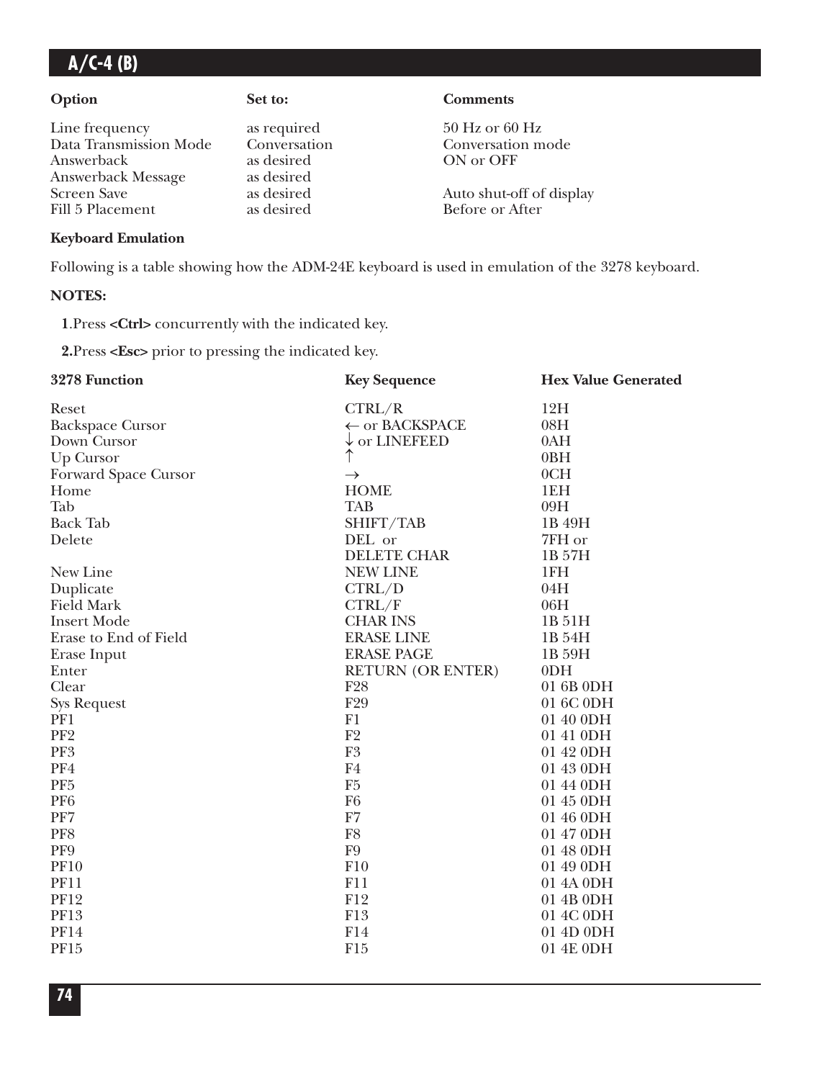Line frequency as required 50 Hz or 60 Hz Data Transmission Mode Conversation Conversation Conversation mode<br>Answerback as desired ON or OFF Answerback Answerback Message as desired Screen Save as desired Auto shut-off of display<br>Fill 5 Placement as desired Before or After

### **Option Set to: Comments**

Before or After

#### **Keyboard Emulation**

Following is a table showing how the ADM-24E keyboard is used in emulation of the 3278 keyboard.

#### **NOTES:**

**1**.Press **<Ctrl>** concurrently with the indicated key.

**2.**Press **<Esc>** prior to pressing the indicated key.

| 3278 Function           | <b>Key Sequence</b>      | <b>Hex Value Generated</b> |
|-------------------------|--------------------------|----------------------------|
| Reset                   | CTRL/R                   | 12H                        |
| <b>Backspace Cursor</b> | ← or BACKSPACE           | 08H                        |
| Down Cursor             | $\downarrow$ or LINEFEED | 0AH                        |
| <b>Up Cursor</b>        |                          | 0 <sub>BH</sub>            |
| Forward Space Cursor    | $\rightarrow$            | 0CH                        |
| Home                    | <b>HOME</b>              | 1EH                        |
| Tab                     | <b>TAB</b>               | 09H                        |
| <b>Back Tab</b>         | SHIFT/TAB                | 1B 49H                     |
| Delete                  | DEL or                   | 7FH or                     |
|                         | DELETE CHAR              | 1B 57H                     |
| New Line                | <b>NEW LINE</b>          | 1FH                        |
| Duplicate               | CTRL/D                   | 04H                        |
| <b>Field Mark</b>       | CTRL/F                   | 06H                        |
| <b>Insert Mode</b>      | <b>CHAR INS</b>          | 1B 51H                     |
| Erase to End of Field   | <b>ERASE LINE</b>        | 1B 54H                     |
| Erase Input             | <b>ERASE PAGE</b>        | 1B 59H                     |
| Enter                   | <b>RETURN (OR ENTER)</b> | 0 <sub>DH</sub>            |
| Clear                   | F <sub>28</sub>          | 01 6B 0DH                  |
| <b>Sys Request</b>      | F29                      | 01 6C 0DH                  |
| PF1                     | F1                       | 01 40 0DH                  |
| PF <sub>2</sub>         | F2                       | 01 41 0DH                  |
| PF3                     | F <sub>3</sub>           | 01 42 0DH                  |
| PF4                     | F <sub>4</sub>           | 01 43 0DH                  |
| PF <sub>5</sub>         | F <sub>5</sub>           | 01 44 0DH                  |
| PF <sub>6</sub>         | F <sub>6</sub>           | 01 45 0DH                  |
| PF7                     | ${\rm F}7$               | 01 46 0DH                  |
| PF8                     | F8                       | 01 47 0DH                  |
| PF9                     | F <sub>9</sub>           | 01 48 0DH                  |
| <b>PF10</b>             | F10                      | 01 49 0DH                  |
| <b>PF11</b>             | F11                      | 01 4A 0DH                  |
| <b>PF12</b>             | F12                      | 01 4B 0DH                  |
| <b>PF13</b>             | F13                      | 01 4C 0DH                  |
| <b>PF14</b>             | F14                      | 01 4D 0DH                  |
| PF15                    | F15                      | 01 4E 0DH                  |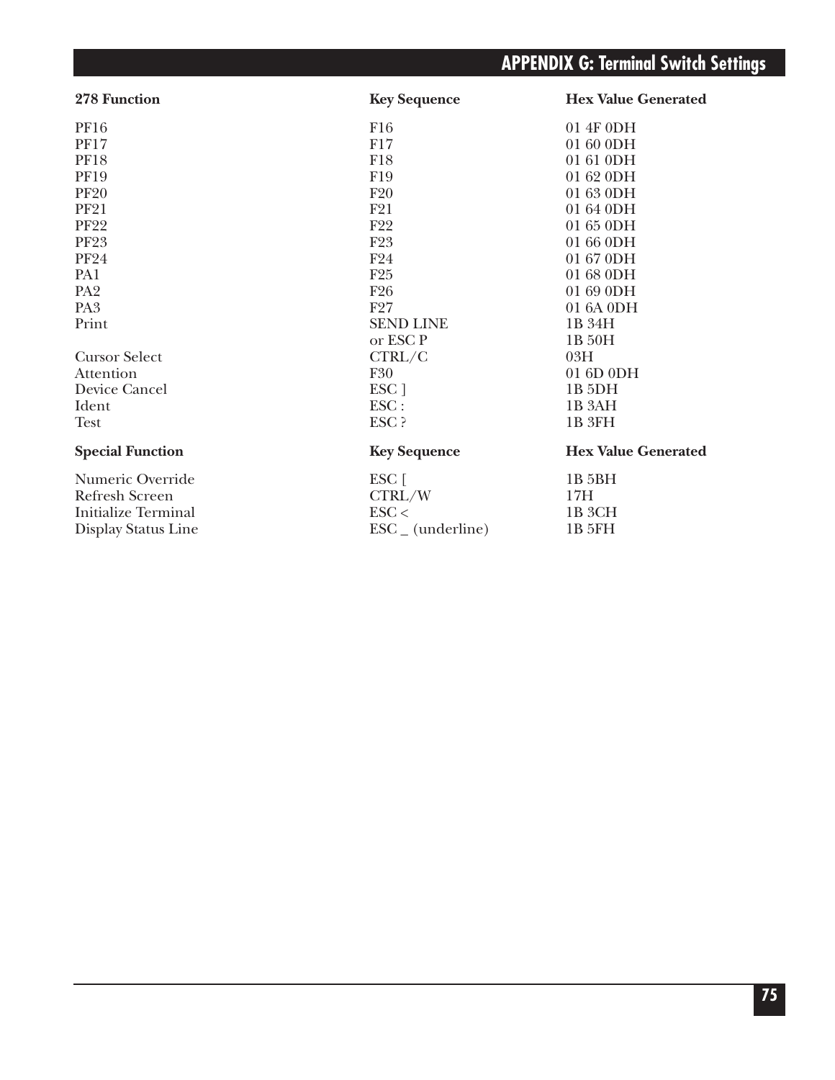# **APPENDIX G: Terminal Switch Settings**

| 278 Function            | <b>Key Sequence</b>          | <b>Hex Value Generated</b> |
|-------------------------|------------------------------|----------------------------|
| PF16                    | F16                          | 01 4F 0DH                  |
| <b>PF17</b>             | F17                          | 01 60 0DH                  |
| <b>PF18</b>             | F18                          | 01 61 0DH                  |
| <b>PF19</b>             | F19                          | 01 62 0DH                  |
| <b>PF20</b>             | F20                          | 01 63 0DH                  |
| <b>PF21</b>             | F21                          | 01 64 0DH                  |
| <b>PF22</b>             | F <sub>22</sub>              | $01650$ DH                 |
| <b>PF23</b>             | F <sub>23</sub>              | 01 66 0DH                  |
| <b>PF24</b>             | F24                          | 01 67 0DH                  |
| PA1                     | F25                          | 01 68 0DH                  |
| PA <sub>2</sub>         | F <sub>26</sub>              | 01 69 0DH                  |
| PA <sub>3</sub>         | F27                          | 01 6A 0DH                  |
| Print                   | <b>SEND LINE</b>             | 1B 34H                     |
|                         | or ESC P                     | 1B 50H                     |
| <b>Cursor Select</b>    | CTRL/C                       | 03H                        |
| Attention               | <b>F30</b>                   | 01 6D 0DH                  |
| Device Cancel           | ESC ]                        | 1B <sub>5DH</sub>          |
| Ident                   | $\text{ESC}$ :               | 1B <sub>3</sub> AH         |
| <b>Test</b>             | ESC ?                        | 1B 3FH                     |
| <b>Special Function</b> | <b>Key Sequence</b>          | <b>Hex Value Generated</b> |
| Numeric Override        | $ESC$ [                      | 1B 5BH                     |
| Refresh Screen          | CTRL/W                       | 17H                        |
| Initialize Terminal     | $\text{ESC}$                 | 1B 3CH                     |
| Display Status Line     | $\text{ESC}_{-}$ (underline) | 1B 5FH                     |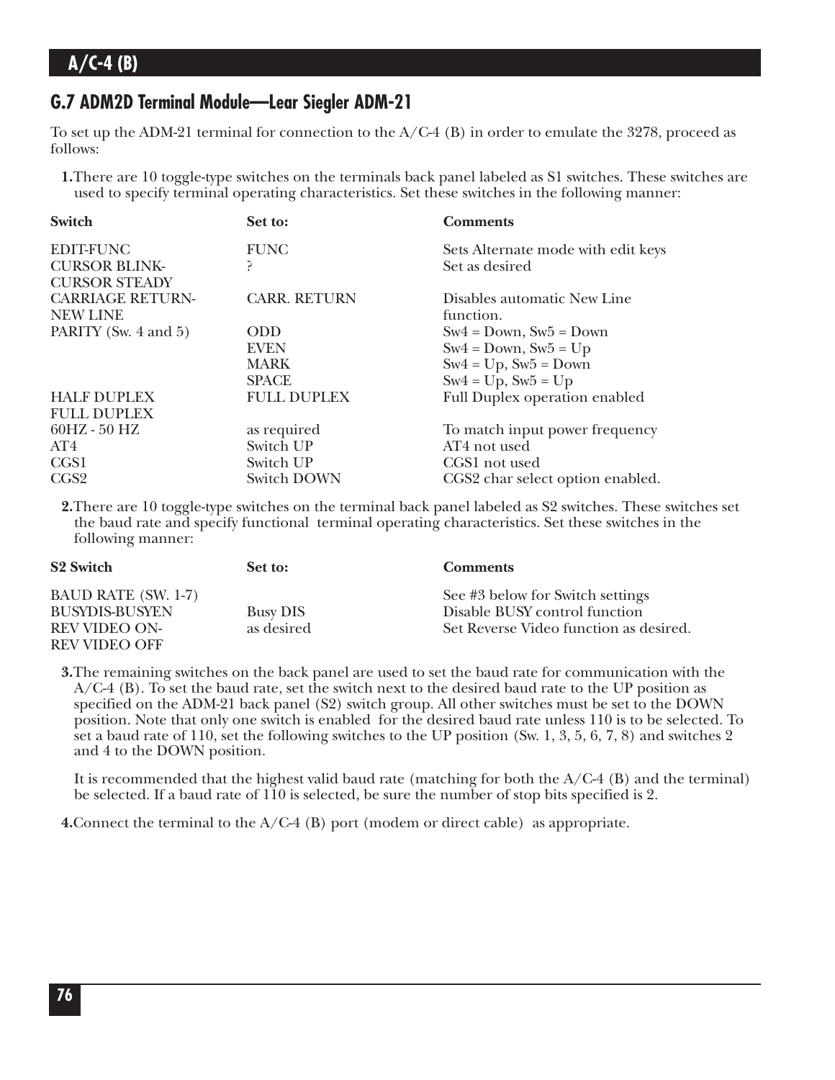### **G.7 ADM2D Terminal Module—Lear Siegler ADM-21**

To set up the ADM-21 terminal for connection to the A/C-4 (B) in order to emulate the 3278, proceed as follows:

**1.**There are 10 toggle-type switches on the terminals back panel labeled as S1 switches. These switches are used to specify terminal operating characteristics. Set these switches in the following manner:

| <b>Switch</b>           | Set to:             | <b>Comments</b>                      |
|-------------------------|---------------------|--------------------------------------|
| <b>EDIT-FUNC</b>        | <b>FUNC</b>         | Sets Alternate mode with edit keys   |
| <b>CURSOR BLINK-</b>    | Ρ                   | Set as desired                       |
| <b>CURSOR STEADY</b>    |                     |                                      |
| <b>CARRIAGE RETURN-</b> | <b>CARR. RETURN</b> | Disables automatic New Line          |
| <b>NEW LINE</b>         |                     | function.                            |
| PARITY (Sw. 4 and 5)    | <b>ODD</b>          | $Sw4 = Down$ , $Sw5 = Down$          |
|                         | <b>EVEN</b>         | $Sw4 = Down, Sw5 = Up$               |
|                         | <b>MARK</b>         | $Sw4 = Up$ , $Sw5 = Down$            |
|                         | <b>SPACE</b>        | $Sw4 = Up$ , $Sw5 = Up$              |
| <b>HALF DUPLEX</b>      | <b>FULL DUPLEX</b>  | <b>Full Duplex operation enabled</b> |
| <b>FULL DUPLEX</b>      |                     |                                      |
| $60HZ - 50 HZ$          | as required         | To match input power frequency       |
| AT4                     | Switch UP           | AT4 not used                         |
| CGS1                    | Switch UP           | CGS1 not used                        |
| CGS <sub>2</sub>        | Switch DOWN         | CGS2 char select option enabled.     |

**2.**There are 10 toggle-type switches on the terminal back panel labeled as S2 switches. These switches set the baud rate and specify functional terminal operating characteristics. Set these switches in the following manner:

| <b>S2 Switch</b>           | Set to:         | <b>Comments</b>                        |
|----------------------------|-----------------|----------------------------------------|
| <b>BAUD RATE (SW. 1-7)</b> |                 | See #3 below for Switch settings       |
| <b>BUSYDIS-BUSYEN</b>      | <b>Busy DIS</b> | Disable BUSY control function          |
| <b>REV VIDEO ON-</b>       | as desired      | Set Reverse Video function as desired. |
| <b>REV VIDEO OFF</b>       |                 |                                        |

**3.**The remaining switches on the back panel are used to set the baud rate for communication with the A/C-4 (B). To set the baud rate, set the switch next to the desired baud rate to the UP position as specified on the ADM-21 back panel (S2) switch group. All other switches must be set to the DOWN position. Note that only one switch is enabled for the desired baud rate unless 110 is to be selected. To set a baud rate of 110, set the following switches to the UP position (Sw. 1, 3, 5, 6, 7, 8) and switches 2 and 4 to the DOWN position.

It is recommended that the highest valid baud rate (matching for both the A/C-4 (B) and the terminal) be selected. If a baud rate of 110 is selected, be sure the number of stop bits specified is 2.

**4.**Connect the terminal to the A/C-4 (B) port (modem or direct cable) as appropriate.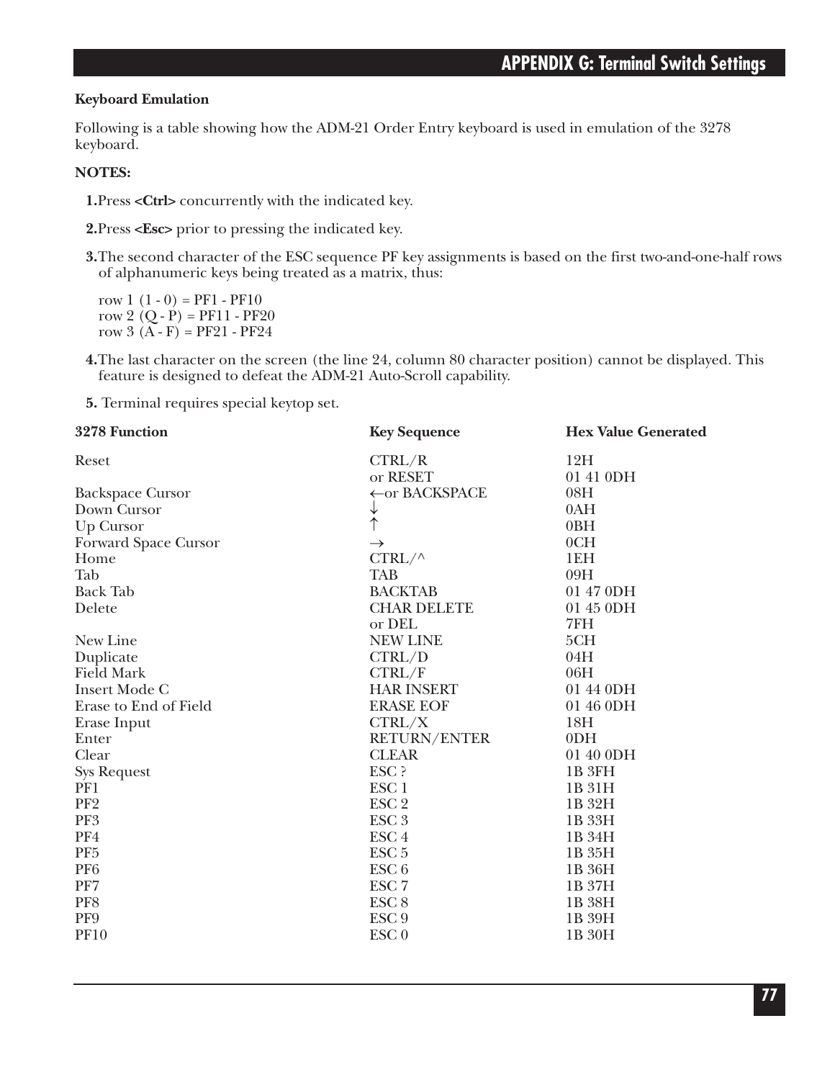### **Keyboard Emulation**

Following is a table showing how the ADM-21 Order Entry keyboard is used in emulation of the 3278 keyboard.

### **NOTES:**

**1.**Press **<Ctrl>** concurrently with the indicated key.

**2.**Press **<Esc>** prior to pressing the indicated key.

**3.**The second character of the ESC sequence PF key assignments is based on the first two-and-one-half rows of alphanumeric keys being treated as a matrix, thus:

row  $1(1-0) = PF1 - PF10$ row 2  $(O - P) = PF11 - PF20$ row  $3(A - F) = PF21 - PF24$ 

**4.**The last character on the screen (the line 24, column 80 character position) cannot be displayed. This feature is designed to defeat the ADM-21 Auto-Scroll capability.

**5.** Terminal requires special keytop set.

| 3278 Function           | <b>Key Sequence</b> | <b>Hex Value Generated</b> |
|-------------------------|---------------------|----------------------------|
| Reset                   | CTRL/R              | 12H                        |
|                         | or RESET            | 01 41 0DH                  |
| <b>Backspace Cursor</b> | ←or BACKSPACE       | 08H                        |
| Down Cursor             | ↓                   | 0AH                        |
| Up Cursor               | $\uparrow$          | 0BH                        |
| Forward Space Cursor    | $\rightarrow$       | 0CH                        |
| Home                    | $CTRL/\wedge$       | 1EH                        |
| Tab                     | <b>TAB</b>          | 09H                        |
| <b>Back Tab</b>         | <b>BACKTAB</b>      | 01 47 0DH                  |
| Delete                  | <b>CHAR DELETE</b>  | 01 45 0DH                  |
|                         | or DEL              | 7FH                        |
| New Line                | <b>NEW LINE</b>     | 5CH                        |
| Duplicate               | CTRL/D              | 04H                        |
| <b>Field Mark</b>       | CTRL/F              | 06H                        |
| <b>Insert Mode C</b>    | <b>HAR INSERT</b>   | 01 44 0DH                  |
| Erase to End of Field   | <b>ERASE EOF</b>    | 01 46 0DH                  |
| Erase Input             | CTRL/X              | 18H                        |
| Enter                   | <b>RETURN/ENTER</b> | 0 <sub>D</sub> H           |
| Clear                   | <b>CLEAR</b>        | 01 40 0DH                  |
| <b>Sys Request</b>      | ESC ?               | 1B 3FH                     |
| PF1                     | ESC <sub>1</sub>    | 1B 31H                     |
| PF <sub>2</sub>         | ESC <sub>2</sub>    | 1B 32H                     |
| PF3                     | ESC <sub>3</sub>    | 1B 33H                     |
| PF4                     | ESC <sub>4</sub>    | 1B 34H                     |
| PF <sub>5</sub>         | ESC <sub>5</sub>    | 1B 35H                     |
| PF <sub>6</sub>         | ESC <sub>6</sub>    | 1B 36H                     |
| PF7                     | ESC <sub>7</sub>    | 1B 37H                     |
| PF8                     | ESC <sub>8</sub>    | 1B 38H                     |
| PF9                     | ESC <sub>9</sub>    | 1B 39H                     |
| <b>PF10</b>             | ESC <sub>0</sub>    | 1B 30H                     |
|                         |                     |                            |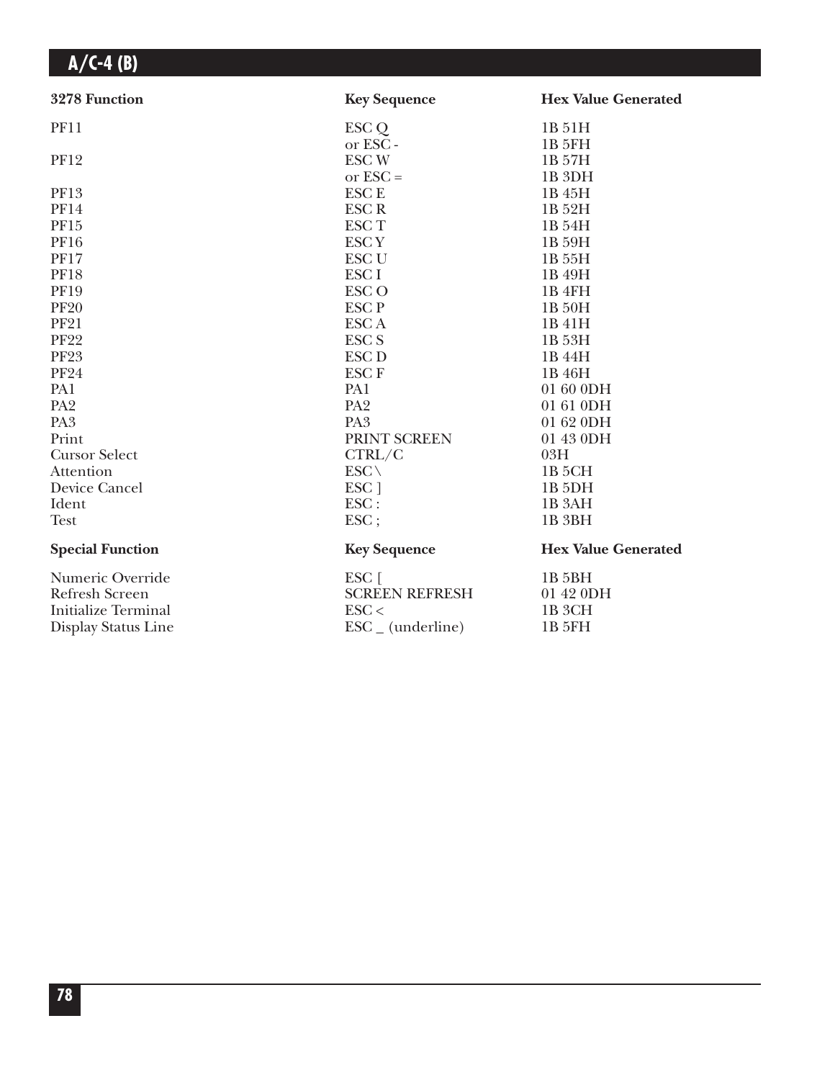| 3278 Function           | <b>Key Sequence</b>          | <b>Hex Value Generated</b> |
|-------------------------|------------------------------|----------------------------|
| <b>PF11</b>             | ESC Q                        | 1B 51H                     |
|                         | or ESC-                      | 1B <sub>5FH</sub>          |
| <b>PF12</b>             | <b>ESCW</b>                  | 1B 57H                     |
|                         | or $\text{ESC} =$            | 1B <sub>3DH</sub>          |
| PF13                    | <b>ESCE</b>                  | 1B 45H                     |
| <b>PF14</b>             | <b>ESCR</b>                  | 1B 52H                     |
| PF15                    | <b>ESCT</b>                  | 1B 54H                     |
| <b>PF16</b>             | <b>ESCY</b>                  | 1B 59H                     |
| <b>PF17</b>             | <b>ESC U</b>                 | 1B 55H                     |
| <b>PF18</b>             | ESC <sub>I</sub>             | 1B 49H                     |
| <b>PF19</b>             | <b>ESCO</b>                  | 1B <sub>4FH</sub>          |
| <b>PF20</b>             | <b>ESCP</b>                  | 1B 50H                     |
| <b>PF21</b>             | <b>ESCA</b>                  | 1B 41H                     |
| <b>PF22</b>             | <b>ESC S</b>                 | 1B 53H                     |
| <b>PF23</b>             | <b>ESC D</b>                 | 1B 44H                     |
| <b>PF24</b>             | <b>ESCF</b>                  | 1B 46H                     |
| PA1                     | PA1                          | 01 60 0DH                  |
| PA <sub>2</sub>         | PA <sub>2</sub>              | 01 61 0DH                  |
| PA <sub>3</sub>         | PA <sub>3</sub>              | 01 62 0DH                  |
| Print                   | PRINT SCREEN                 | 01 43 0DH                  |
| <b>Cursor Select</b>    | CTRL/C                       | 03H                        |
| Attention               | ESC\                         | 1B <sub>5</sub> CH         |
| Device Cancel           | ESC ]                        | 1B 5DH                     |
| Ident                   | ESC:                         | 1B <sub>3</sub> AH         |
| <b>Test</b>             | ESC;                         | 1B <sub>3BH</sub>          |
| <b>Special Function</b> | <b>Key Sequence</b>          | <b>Hex Value Generated</b> |
| Numeric Override        | ESC [                        | 1B <sub>5</sub> BH         |
| <b>Refresh Screen</b>   | <b>SCREEN REFRESH</b>        | 01 42 0DH                  |
| Initialize Terminal     | $\text{ESC}$                 | 1B <sub>3</sub> CH         |
| Display Status Line     | $\text{ESC}_{-}$ (underline) | 1B 5FH                     |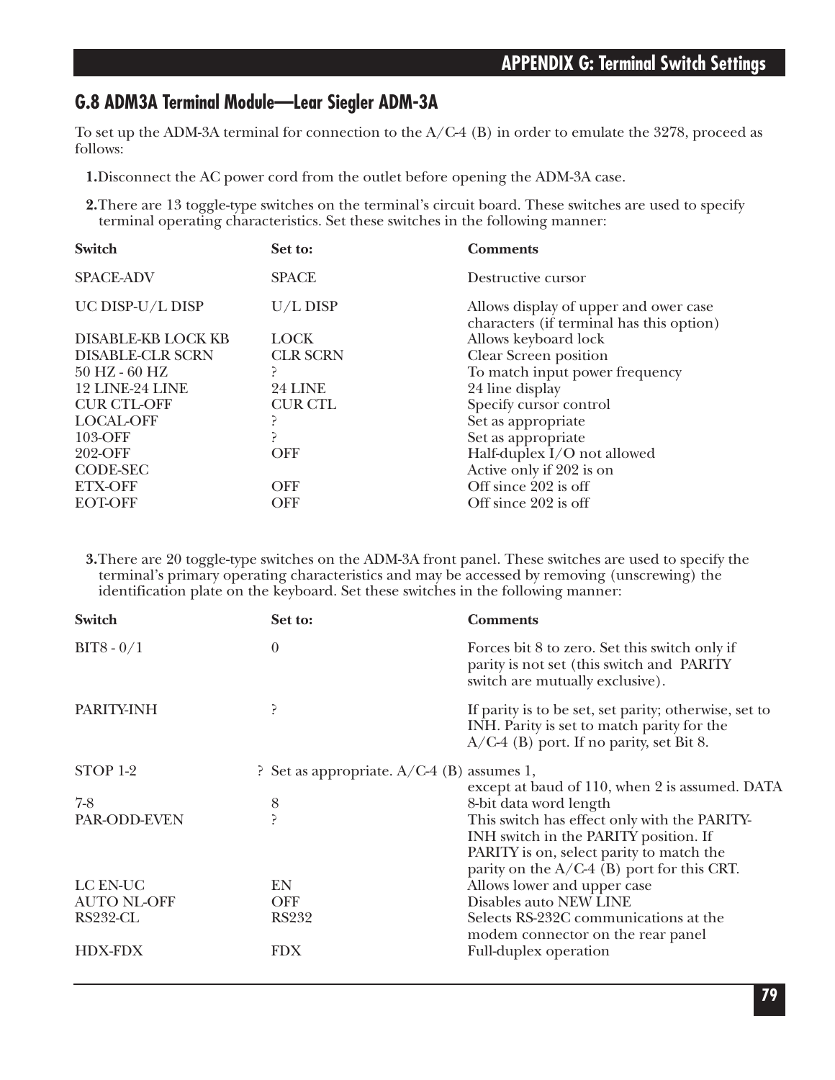### **G.8 ADM3A Terminal Module—Lear Siegler ADM-3A**

To set up the ADM-3A terminal for connection to the A/C-4 (B) in order to emulate the 3278, proceed as follows:

**1.**Disconnect the AC power cord from the outlet before opening the ADM-3A case.

**2.**There are 13 toggle-type switches on the terminal's circuit board. These switches are used to specify terminal operating characteristics. Set these switches in the following manner:

| Switch                    | Set to:         | <b>Comments</b>                                                                   |
|---------------------------|-----------------|-----------------------------------------------------------------------------------|
| <b>SPACE-ADV</b>          | <b>SPACE</b>    | Destructive cursor                                                                |
| UC DISP-U/L DISP          | U/L DISP        | Allows display of upper and ower case<br>characters (if terminal has this option) |
| <b>DISABLE-KB LOCK KB</b> | <b>LOCK</b>     | Allows keyboard lock                                                              |
| <b>DISABLE-CLR SCRN</b>   | <b>CLR SCRN</b> | Clear Screen position                                                             |
| $50$ HZ - $60$ HZ         |                 | To match input power frequency                                                    |
| 12 LINE-24 LINE           | 24 LINE         | 24 line display                                                                   |
| <b>CUR CTL-OFF</b>        | <b>CUR CTL</b>  | Specify cursor control                                                            |
| <b>LOCAL-OFF</b>          |                 | Set as appropriate                                                                |
| 103-OFF                   |                 | Set as appropriate                                                                |
| 202-OFF                   | <b>OFF</b>      | Half-duplex I/O not allowed                                                       |
| <b>CODE-SEC</b>           |                 | Active only if 202 is on                                                          |
| <b>ETX-OFF</b>            | <b>OFF</b>      | Off since 202 is off                                                              |
| <b>EOT-OFF</b>            | OFF             | Off since 202 is off                                                              |
|                           |                 |                                                                                   |

**3.**There are 20 toggle-type switches on the ADM-3A front panel. These switches are used to specify the terminal's primary operating characteristics and may be accessed by removing (unscrewing) the identification plate on the keyboard. Set these switches in the following manner:

| Switch             | Set to:                                    | <b>Comments</b>                                                                                                                                                                   |
|--------------------|--------------------------------------------|-----------------------------------------------------------------------------------------------------------------------------------------------------------------------------------|
| $BIT8 - 0/1$       | $\theta$                                   | Forces bit 8 to zero. Set this switch only if<br>parity is not set (this switch and PARITY<br>switch are mutually exclusive).                                                     |
| PARITY-INH         | ?                                          | If parity is to be set, set parity; otherwise, set to<br>INH. Parity is set to match parity for the<br>$A/C-4$ (B) port. If no parity, set Bit 8.                                 |
| STOP 1-2           | ? Set as appropriate. A/C-4 (B) assumes 1, | except at baud of 110, when 2 is assumed. DATA                                                                                                                                    |
| $7-8$              | 8                                          | 8-bit data word length                                                                                                                                                            |
| PAR-ODD-EVEN       |                                            | This switch has effect only with the PARITY-<br>INH switch in the PARITY position. If<br>PARITY is on, select parity to match the<br>parity on the $A/C-4$ (B) port for this CRT. |
| LC EN-UC           | EN                                         | Allows lower and upper case                                                                                                                                                       |
| <b>AUTO NL-OFF</b> | <b>OFF</b>                                 | Disables auto NEW LINE                                                                                                                                                            |
| RS232-CL           | <b>RS232</b>                               | Selects RS-232C communications at the<br>modem connector on the rear panel                                                                                                        |
| <b>HDX-FDX</b>     | <b>FDX</b>                                 | Full-duplex operation                                                                                                                                                             |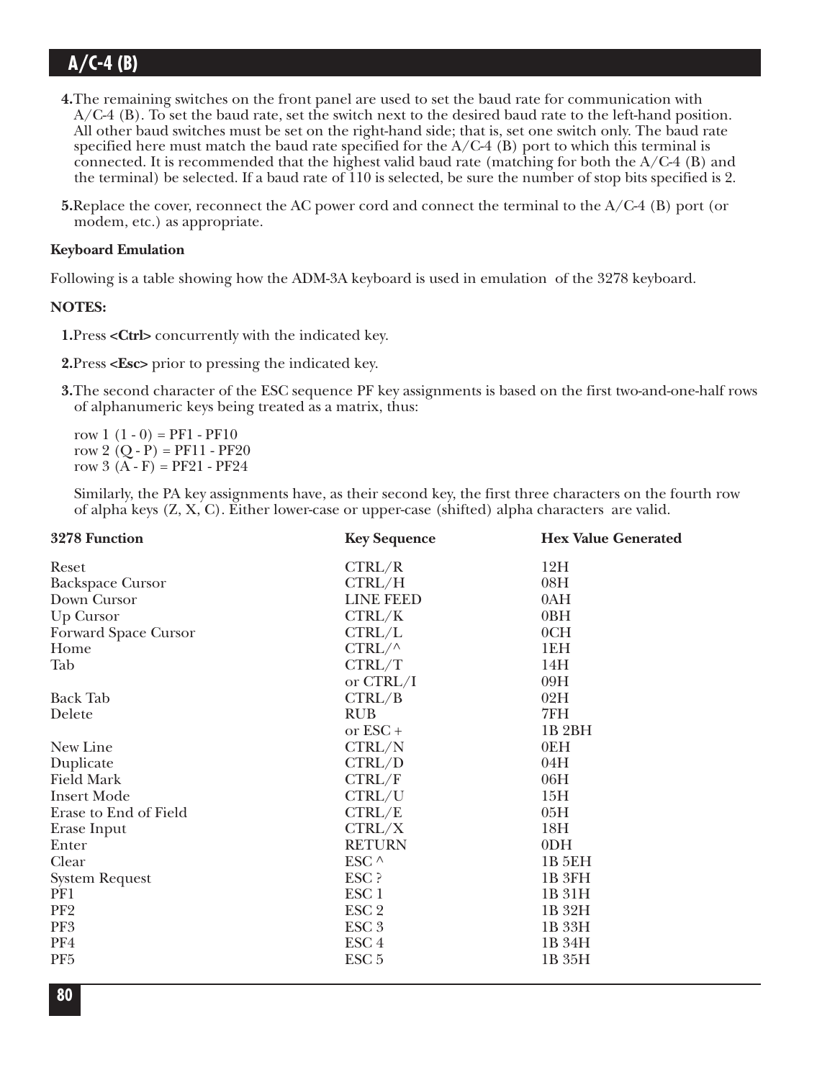- **4.**The remaining switches on the front panel are used to set the baud rate for communication with A/C-4 (B). To set the baud rate, set the switch next to the desired baud rate to the left-hand position. All other baud switches must be set on the right-hand side; that is, set one switch only. The baud rate specified here must match the baud rate specified for the  $A/C-4$  (B) port to which this terminal is connected. It is recommended that the highest valid baud rate (matching for both the  $A/C-4$  (B) and the terminal) be selected. If a baud rate of 110 is selected, be sure the number of stop bits specified is 2.
- **5.**Replace the cover, reconnect the AC power cord and connect the terminal to the A/C-4 (B) port (or modem, etc.) as appropriate.

#### **Keyboard Emulation**

Following is a table showing how the ADM-3A keyboard is used in emulation of the 3278 keyboard.

### **NOTES:**

**1.**Press **<Ctrl>** concurrently with the indicated key.

**2.**Press **<Esc>** prior to pressing the indicated key.

**3.**The second character of the ESC sequence PF key assignments is based on the first two-and-one-half rows of alphanumeric keys being treated as a matrix, thus:

row  $1(1-0) = PF1 - PF10$ row 2  $(Q - P) = PF11 - PF20$ row  $3(A - F) = PF21 - PF24$ 

Similarly, the PA key assignments have, as their second key, the first three characters on the fourth row of alpha keys (Z, X, C). Either lower-case or upper-case (shifted) alpha characters are valid.

| 3278 Function           | <b>Key Sequence</b> | <b>Hex Value Generated</b> |
|-------------------------|---------------------|----------------------------|
| Reset                   | CTRL/R              | 12H                        |
| <b>Backspace Cursor</b> | CTRL/H              | 08H                        |
| Down Cursor             | <b>LINE FEED</b>    | 0AH                        |
| Up Cursor               | CTRL/K              | 0BH                        |
| Forward Space Cursor    | CTRL/L              | 0CH                        |
| Home                    | $CTRL/\wedge$       | 1EH                        |
| Tab                     | CTRL/T              | 14H                        |
|                         | or CTRL/I           | 09H                        |
| <b>Back Tab</b>         | CTRL/B              | 02H                        |
| Delete                  | <b>RUB</b>          | 7FH                        |
|                         | or $\text{ESC}$ +   | 1B <sub>2</sub> BH         |
| New Line                | CTRL/N              | 0EH                        |
| Duplicate               | CTRL/D              | 04H                        |
| <b>Field Mark</b>       | CTRL/F              | 06H                        |
| <b>Insert Mode</b>      | CTRL/U              | 15H                        |
| Erase to End of Field   | CTRL/E              | 05H                        |
| Erase Input             | CTRL/X              | 18H                        |
| Enter                   | <b>RETURN</b>       | 0 <sub>DH</sub>            |
| Clear                   | ESC ^               | 1B 5EH                     |
| <b>System Request</b>   | ESC ?               | 1B 3FH                     |
| PF1                     | ESC <sub>1</sub>    | 1B 31H                     |
| PF <sub>2</sub>         | ESC <sub>2</sub>    | 1B 32H                     |
| PF3                     | ESC <sub>3</sub>    | 1B 33H                     |
| PF4                     | ESC <sub>4</sub>    | 1B 34H                     |
| PF <sub>5</sub>         | ESC <sub>5</sub>    | 1B 35H                     |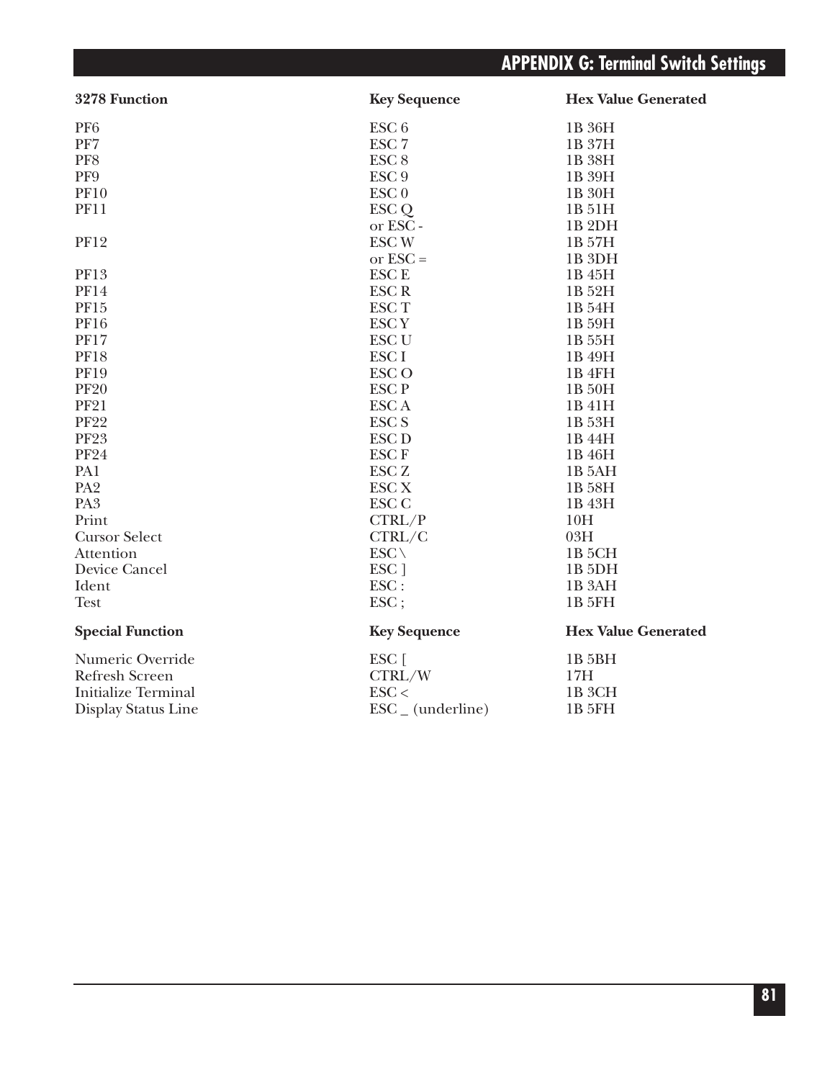# **APPENDIX G: Terminal Switch Settings**

| 3278 Function              | <b>Key Sequence</b>          | <b>Hex Value Generated</b> |
|----------------------------|------------------------------|----------------------------|
| PF <sub>6</sub>            | ESC <sub>6</sub>             | 1B 36H                     |
| $\rm PF7$                  | ESC <sub>7</sub>             | 1B 37H                     |
| PF8                        | ESC <sub>8</sub>             | 1B 38H                     |
| PF9                        | ESC <sub>9</sub>             | 1B 39H                     |
| <b>PF10</b>                | $\text{ESC}$ <sub>0</sub>    | 1B 30H                     |
| <b>PF11</b>                | ESC <sub>Q</sub>             | 1B 51H                     |
|                            | or ESC-                      | 1B <sub>2DH</sub>          |
| <b>PF12</b>                | <b>ESCW</b>                  | 1B 57H                     |
|                            | or $\text{ESC} =$            | 1B <sub>3DH</sub>          |
| PF13                       | <b>ESCE</b>                  | 1B 45H                     |
| <b>PF14</b>                | <b>ESCR</b>                  | 1B 52H                     |
| PF15                       | <b>ESCT</b>                  | 1B 54H                     |
| <b>PF16</b>                | <b>ESCY</b>                  | 1B 59H                     |
| <b>PF17</b>                | <b>ESC U</b>                 | 1B 55H                     |
| <b>PF18</b>                | ESC <sub>I</sub>             | 1B 49H                     |
| <b>PF19</b>                | <b>ESCO</b>                  | 1B <sub>4FH</sub>          |
| <b>PF20</b>                | <b>ESCP</b>                  | 1B 50H                     |
| <b>PF21</b>                | <b>ESCA</b>                  | 1B 41H                     |
| <b>PF22</b>                | <b>ESC S</b>                 | 1B 53H                     |
| <b>PF23</b>                | <b>ESC D</b>                 | 1B 44H                     |
| <b>PF24</b>                | <b>ESCF</b>                  | 1B 46H                     |
| PA1                        | ESC <sub>Z</sub>             | 1B 5AH                     |
| PA <sub>2</sub>            | <b>ESC X</b>                 | 1B 58H                     |
| PA <sub>3</sub>            | <b>ESC C</b>                 | 1B 43H                     |
| Print                      | CTRL/P                       | 10H                        |
| <b>Cursor Select</b>       | CTRL/C                       | 03H                        |
| Attention                  | $ESC \setminus$              | 1B <sub>5</sub> CH         |
| Device Cancel              | ESC <sub>1</sub>             | 1B 5DH                     |
| Ident                      | $\text{ESC}$ :               | 1B <sub>3</sub> AH         |
| <b>Test</b>                | $\text{ESC}$ ;               | <b>1B 5FH</b>              |
| <b>Special Function</b>    | <b>Key Sequence</b>          | <b>Hex Value Generated</b> |
| Numeric Override           | ESC [                        | 1B 5BH                     |
| <b>Refresh Screen</b>      | CTRL/W                       | 17H                        |
| <b>Initialize Terminal</b> | $\text{ESC}$                 | 1B <sub>3</sub> CH         |
| Display Status Line        | $\text{ESC}_{-}$ (underline) | 1B 5FH                     |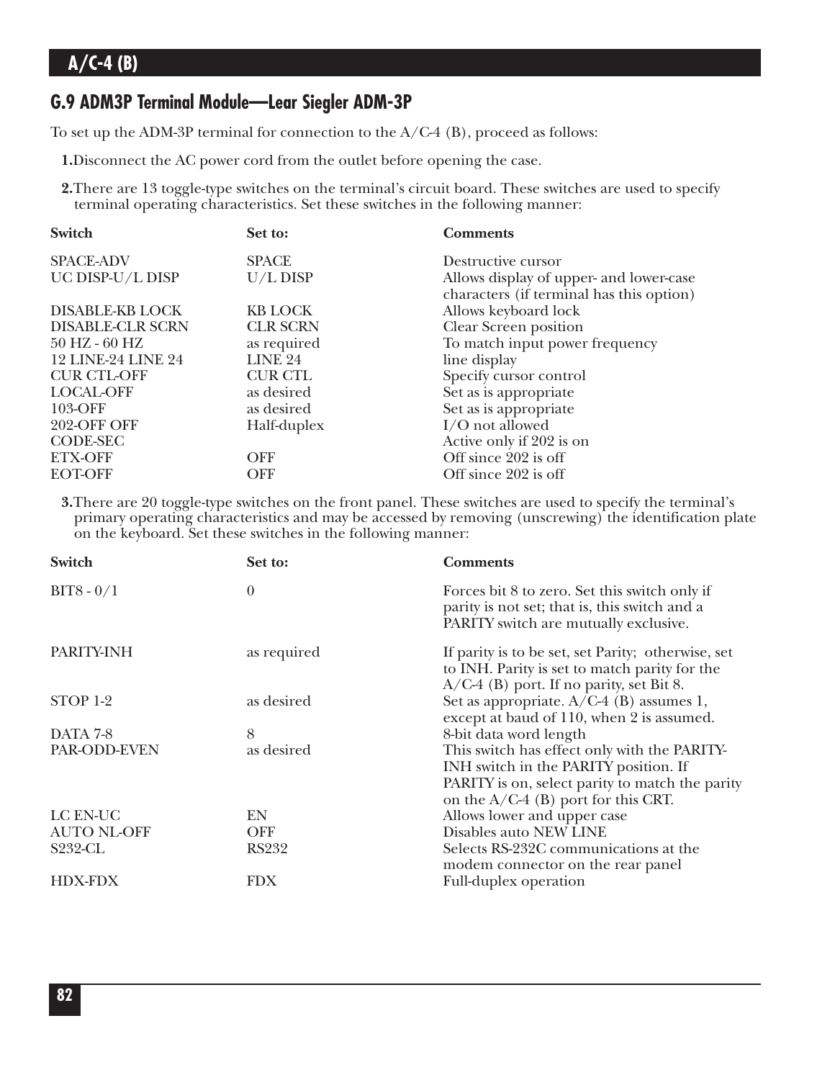### **G.9 ADM3P Terminal Module—Lear Siegler ADM-3P**

To set up the ADM-3P terminal for connection to the A/C-4 (B), proceed as follows:

**1.**Disconnect the AC power cord from the outlet before opening the case.

**2.**There are 13 toggle-type switches on the terminal's circuit board. These switches are used to specify terminal operating characteristics. Set these switches in the following manner:

| Set to:         | <b>Comments</b>                          |
|-----------------|------------------------------------------|
| <b>SPACE</b>    | Destructive cursor                       |
| U/L DISP        | Allows display of upper- and lower-case  |
|                 | characters (if terminal has this option) |
| <b>KB LOCK</b>  | Allows keyboard lock                     |
| <b>CLR SCRN</b> | Clear Screen position                    |
| as required     | To match input power frequency           |
| <b>LINE 24</b>  | line display                             |
| <b>CUR CTL</b>  | Specify cursor control                   |
| as desired      | Set as is appropriate                    |
| as desired      | Set as is appropriate                    |
| Half-duplex     | I/O not allowed                          |
|                 | Active only if 202 is on                 |
| <b>OFF</b>      | Off since 202 is off                     |
| <b>OFF</b>      | Off since 202 is off                     |
|                 |                                          |

**3.**There are 20 toggle-type switches on the front panel. These switches are used to specify the terminal's primary operating characteristics and may be accessed by removing (unscrewing) the identification plate on the keyboard. Set these switches in the following manner:

| <b>Switch</b>      | Set to:     | <b>Comments</b>                                                                                                                                                                   |
|--------------------|-------------|-----------------------------------------------------------------------------------------------------------------------------------------------------------------------------------|
| $BIT8 - 0/1$       | $\theta$    | Forces bit 8 to zero. Set this switch only if<br>parity is not set; that is, this switch and a<br>PARITY switch are mutually exclusive.                                           |
| PARITY-INH         | as required | If parity is to be set, set Parity; otherwise, set<br>to INH. Parity is set to match parity for the<br>$A/C-4$ (B) port. If no parity, set Bit 8.                                 |
| STOP 1-2           | as desired  | Set as appropriate. A/C-4 (B) assumes 1,<br>except at baud of 110, when 2 is assumed.                                                                                             |
| DATA 7-8           | 8           | 8-bit data word length                                                                                                                                                            |
| PAR-ODD-EVEN       | as desired  | This switch has effect only with the PARITY-<br>INH switch in the PARITY position. If<br>PARITY is on, select parity to match the parity<br>on the $A/C-4$ (B) port for this CRT. |
| LC EN-UC           | EN          | Allows lower and upper case                                                                                                                                                       |
| <b>AUTO NL-OFF</b> | <b>OFF</b>  | Disables auto NEW LINE                                                                                                                                                            |
| <b>S232-CL</b>     | RS232       | Selects RS-232C communications at the<br>modem connector on the rear panel                                                                                                        |
| <b>HDX-FDX</b>     | <b>FDX</b>  | Full-duplex operation                                                                                                                                                             |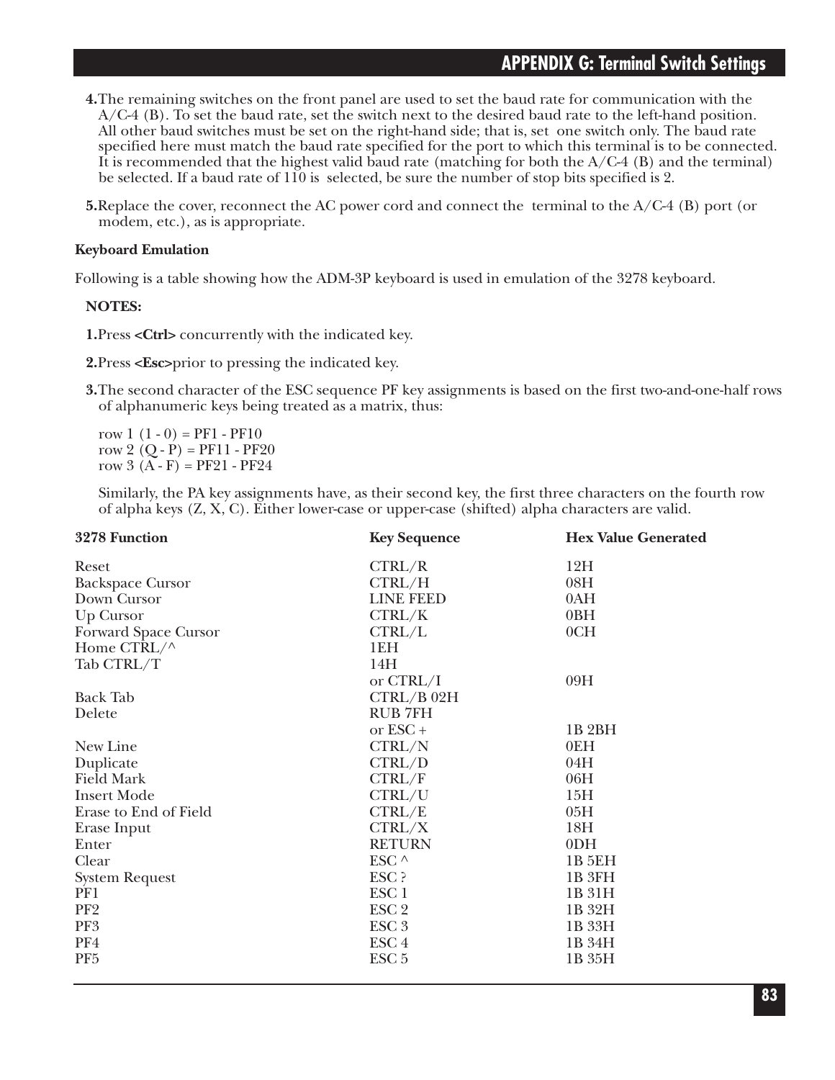- **4.**The remaining switches on the front panel are used to set the baud rate for communication with the A/C-4 (B). To set the baud rate, set the switch next to the desired baud rate to the left-hand position. All other baud switches must be set on the right-hand side; that is, set one switch only. The baud rate specified here must match the baud rate specified for the port to which this terminal is to be connected. It is recommended that the highest valid baud rate (matching for both the  $A/C-4$  (B) and the terminal) be selected. If a baud rate of 110 is selected, be sure the number of stop bits specified is 2.
- **5.**Replace the cover, reconnect the AC power cord and connect the terminal to the A/C-4 (B) port (or modem, etc.), as is appropriate.

#### **Keyboard Emulation**

Following is a table showing how the ADM-3P keyboard is used in emulation of the 3278 keyboard.

#### **NOTES:**

**1.**Press **<Ctrl>** concurrently with the indicated key.

- **2.**Press **<Esc>**prior to pressing the indicated key.
- **3.**The second character of the ESC sequence PF key assignments is based on the first two-and-one-half rows of alphanumeric keys being treated as a matrix, thus:

row  $1(1-0) = PF1 - PF10$ row 2  $(Q - P) = PF11 - PF20$ row  $3(A - F) = PF21 - PF24$ 

Similarly, the PA key assignments have, as their second key, the first three characters on the fourth row of alpha keys (Z, X, C). Either lower-case or upper-case (shifted) alpha characters are valid.

| 3278 Function           | <b>Key Sequence</b> | <b>Hex Value Generated</b> |
|-------------------------|---------------------|----------------------------|
| Reset                   | CTRL/R              | 12H                        |
| <b>Backspace Cursor</b> | CTRL/H              | 08H                        |
| Down Cursor             | <b>LINE FEED</b>    | 0AH                        |
| Up Cursor               | CTRL/K              | 0BH                        |
| Forward Space Cursor    | CTRL/L              | 0CH                        |
| Home CTRL/^             | 1EH                 |                            |
| Tab CTRL/T              | 14H                 |                            |
|                         | or $CTRL/I$         | 09H                        |
| <b>Back Tab</b>         | $CTRL/B$ 02H        |                            |
| Delete                  | <b>RUB 7FH</b>      |                            |
|                         | or ESC+             | 1B <sub>2</sub> BH         |
| New Line                | CTRL/N              | 0EH                        |
| Duplicate               | CTRL/D              | 04H                        |
| <b>Field Mark</b>       | CTRL/F              | 06H                        |
| <b>Insert Mode</b>      | CTRL/U              | 15H                        |
| Erase to End of Field   | CTRL/E              | 05H                        |
| Erase Input             | CTRL/X              | 18H                        |
| Enter                   | <b>RETURN</b>       | 0 <sub>DH</sub>            |
| Clear                   | ESC $\wedge$        | 1B 5EH                     |
| <b>System Request</b>   | ESC ?               | 1B 3FH                     |
| PF1                     | ESC <sub>1</sub>    | 1B 31H                     |
| PF <sub>2</sub>         | ESC <sub>2</sub>    | 1B 32H                     |
| PF3                     | ESC <sub>3</sub>    | 1B 33H                     |
| PF4                     | ESC <sub>4</sub>    | 1B 34H                     |
| PF <sub>5</sub>         | ESC <sub>5</sub>    | 1B 35H                     |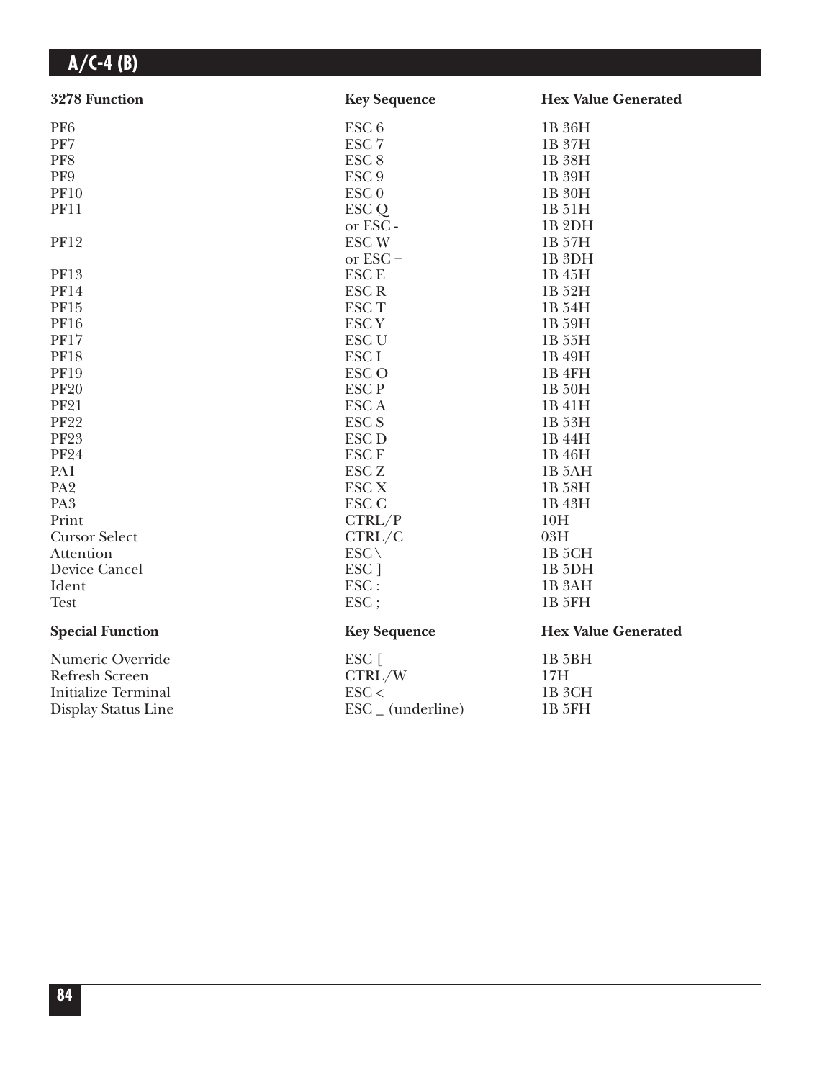| 3278 Function              | <b>Key Sequence</b>          | <b>Hex Value Generated</b> |
|----------------------------|------------------------------|----------------------------|
| PF <sub>6</sub>            | ESC <sub>6</sub>             | 1B 36H                     |
| PF7                        | ESC <sub>7</sub>             | 1B 37H                     |
| PF8                        | ESC <sub>8</sub>             | 1B 38H                     |
| PF9                        | ESC <sub>9</sub>             | 1B 39H                     |
| <b>PF10</b>                | $\text{ESC}$ <sub>0</sub>    | 1B 30H                     |
| <b>PF11</b>                | ESC <sub>Q</sub>             | 1B 51H                     |
|                            | or ESC-                      | 1B <sub>2DH</sub>          |
| <b>PF12</b>                | <b>ESCW</b>                  | 1B 57H                     |
|                            | or $\text{ESC} =$            | 1B <sub>3DH</sub>          |
| <b>PF13</b>                | <b>ESC E</b>                 | 1B 45H                     |
| <b>PF14</b>                | <b>ESCR</b>                  | 1B 52H                     |
| PF15                       | <b>ESCT</b>                  | 1B 54H                     |
| <b>PF16</b>                | <b>ESCY</b>                  | 1B 59H                     |
| <b>PF17</b>                | <b>ESC U</b>                 | 1B 55H                     |
| <b>PF18</b>                | <b>ESCI</b>                  | 1B 49H                     |
| <b>PF19</b>                | <b>ESCO</b>                  | 1B <sub>4FH</sub>          |
| <b>PF20</b>                | <b>ESCP</b>                  | 1B 50H                     |
| <b>PF21</b>                | <b>ESCA</b>                  | 1B 41H                     |
| <b>PF22</b>                | ESC <sub>S</sub>             | 1B 53H                     |
| <b>PF23</b>                | <b>ESC D</b>                 | 1B 44H                     |
| <b>PF24</b>                | <b>ESCF</b>                  | 1B 46H                     |
| PA1                        | <b>ESC Z</b>                 | 1B 5AH                     |
| PA <sub>2</sub>            | <b>ESC X</b>                 | 1B 58H                     |
| PA <sub>3</sub>            | <b>ESC C</b>                 | 1B 43H                     |
| Print                      | CTRL/P                       | 10H                        |
| <b>Cursor Select</b>       | CTRL/C                       | 03H                        |
| Attention                  | $ESC \setminus$              | 1B <sub>5</sub> CH         |
| Device Cancel              | ESC ]                        | 1B <sub>5DH</sub>          |
| Ident                      | ESC:                         | 1B <sub>3</sub> AH         |
| <b>Test</b>                | ESC;                         | 1B 5FH                     |
| <b>Special Function</b>    | <b>Key Sequence</b>          | <b>Hex Value Generated</b> |
| Numeric Override           | ESC [                        | 1B <sub>5BH</sub>          |
| Refresh Screen             | CTRL/W                       | 17H                        |
| <b>Initialize Terminal</b> | $\text{ESC}$                 | 1B <sub>3</sub> CH         |
| Display Status Line        | $\text{ESC}_{-}$ (underline) | 1B 5FH                     |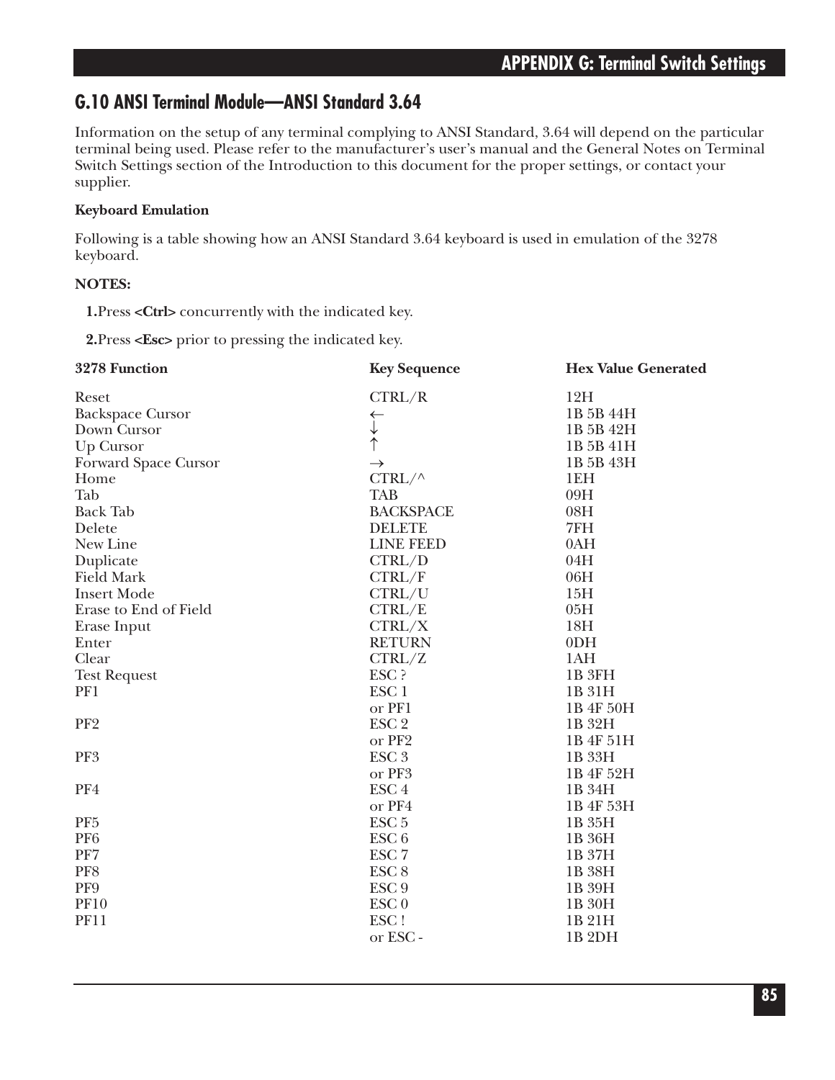### **G.10 ANSI Terminal Module—ANSI Standard 3.64**

Information on the setup of any terminal complying to ANSI Standard, 3.64 will depend on the particular terminal being used. Please refer to the manufacturer's user's manual and the General Notes on Terminal Switch Settings section of the Introduction to this document for the proper settings, or contact your supplier.

### **Keyboard Emulation**

Following is a table showing how an ANSI Standard 3.64 keyboard is used in emulation of the 3278 keyboard.

### **NOTES:**

**1.**Press **<Ctrl>** concurrently with the indicated key.

**2.**Press **<Esc>** prior to pressing the indicated key.

| 3278 Function               | <b>Key Sequence</b> | <b>Hex Value Generated</b> |
|-----------------------------|---------------------|----------------------------|
| Reset                       | CTRL/R              | 12H                        |
| <b>Backspace Cursor</b>     | $\leftarrow$        | 1B 5B 44H                  |
| Down Cursor                 | $\downarrow$        | 1B 5B 42H                  |
| Up Cursor                   |                     | 1B 5B 41H                  |
| <b>Forward Space Cursor</b> | $\rightarrow$       | 1B 5B 43H                  |
| Home                        | $CTRL/\wedge$       | 1EH                        |
| Tab                         | <b>TAB</b>          | 09H                        |
| <b>Back Tab</b>             | <b>BACKSPACE</b>    | 08H                        |
| Delete                      | <b>DELETE</b>       | 7FH                        |
| New Line                    | <b>LINE FEED</b>    | 0AH                        |
| Duplicate                   | CTRL/D              | 04H                        |
| <b>Field Mark</b>           | CTRL/F              | 06H                        |
| <b>Insert Mode</b>          | CTRL/U              | 15H                        |
| Erase to End of Field       | CTRL/E              | 05H                        |
| Erase Input                 | CTRL/X              | 18H                        |
| Enter                       | <b>RETURN</b>       | 0 <sub>DH</sub>            |
| Clear                       | CTRL/Z              | 1AH                        |
| <b>Test Request</b>         | ESC ?               | 1B <sub>3FH</sub>          |
| PF1                         | ESC <sub>1</sub>    | 1B 31H                     |
|                             | or PF1              | 1B 4F 50H                  |
| PF <sub>2</sub>             | ESC <sub>2</sub>    | 1B 32H                     |
|                             | or PF2              | 1B 4F 51H                  |
| PF3                         | ESC <sub>3</sub>    | 1B 33H                     |
|                             | or PF3              | 1B 4F 52H                  |
| PF4                         | ESC <sub>4</sub>    | 1B 34H                     |
|                             | or PF4              | 1B 4F 53H                  |
| PF <sub>5</sub>             | ESC <sub>5</sub>    | 1B 35H                     |
| PF <sub>6</sub>             | ESC <sub>6</sub>    | 1B 36H                     |
| PF7                         | ESC <sub>7</sub>    | 1B 37H                     |
| PF8                         | ESC <sub>8</sub>    | 1B 38H                     |
| PF9                         | ESC <sub>9</sub>    | 1B 39H                     |
| <b>PF10</b>                 | ESC <sub>0</sub>    | 1B 30H                     |
| <b>PF11</b>                 | ESC!                | 1B 21H                     |
|                             | or ESC-             | 1B <sub>2DH</sub>          |
|                             |                     |                            |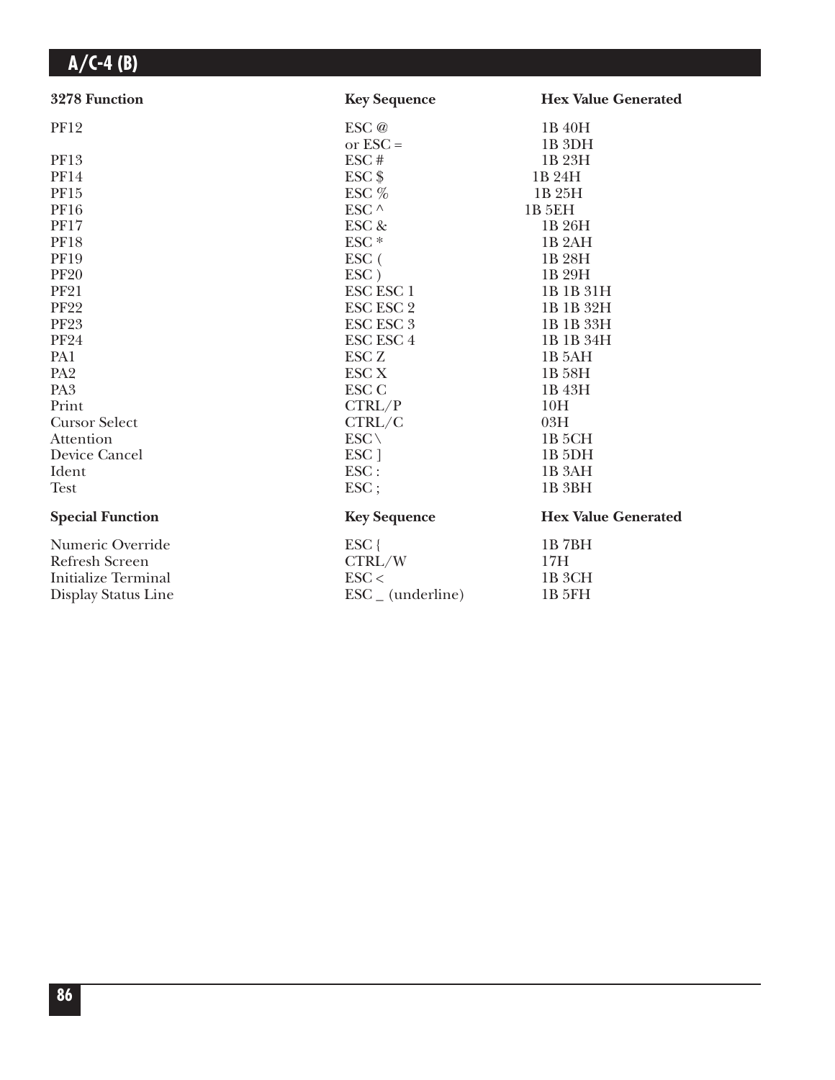| 3278 Function              | <b>Key Sequence</b>          | <b>Hex Value Generated</b> |
|----------------------------|------------------------------|----------------------------|
| <b>PF12</b>                | ESC @                        | 1B 40H                     |
|                            | or $\text{ESC} =$            | 1B <sub>3DH</sub>          |
| PF13                       | ESC#                         | 1B 23H                     |
| <b>PF14</b>                | $\text{ESC}$ \$              | 1B 24H                     |
| PF15                       | ESC $%$                      | 1B 25H                     |
| <b>PF16</b>                | ESC ^                        | <b>1B 5EH</b>              |
| <b>PF17</b>                | ESC &                        | 1B 26H                     |
| <b>PF18</b>                | ESC <sup>*</sup>             | 1B <sub>2</sub> AH         |
| <b>PF19</b>                | $\rm{ESC}$ (                 | 1B 28H                     |
| <b>PF20</b>                | $\text{ESC}$ )               | 1B 29H                     |
| <b>PF21</b>                | <b>ESC ESC 1</b>             | 1B 1B 31H                  |
| <b>PF22</b>                | <b>ESC ESC 2</b>             | 1B 1B 32H                  |
| <b>PF23</b>                | <b>ESC ESC 3</b>             | 1B 1B 33H                  |
| <b>PF24</b>                | <b>ESC ESC 4</b>             | 1B 1B 34H                  |
| PA1                        | ESC <sub>Z</sub>             | 1B 5AH                     |
| PA <sub>2</sub>            | <b>ESC X</b>                 | 1B 58H                     |
| PA <sub>3</sub>            | <b>ESC C</b>                 | 1B 43H                     |
| Print                      | CTRL/P                       | 10H                        |
| <b>Cursor Select</b>       | CTRL/C                       | 03H                        |
| Attention                  | $ESC \setminus$              | 1B <sub>5</sub> CH         |
| Device Cancel              | ESC ]                        | 1B <sub>5</sub> DH         |
| Ident                      | $\text{ESC}$ :               | 1B <sub>3</sub> AH         |
| <b>Test</b>                | ESC;                         | 1B <sub>3</sub> BH         |
| <b>Special Function</b>    | <b>Key Sequence</b>          | <b>Hex Value Generated</b> |
| Numeric Override           | ESC {                        | 1B7BH                      |
| <b>Refresh Screen</b>      | CTRL/W                       | 17H                        |
| <b>Initialize Terminal</b> | $\text{ESC}$                 | 1B <sub>3</sub> CH         |
| Display Status Line        | $\text{ESC}_{-}$ (underline) | 1B 5FH                     |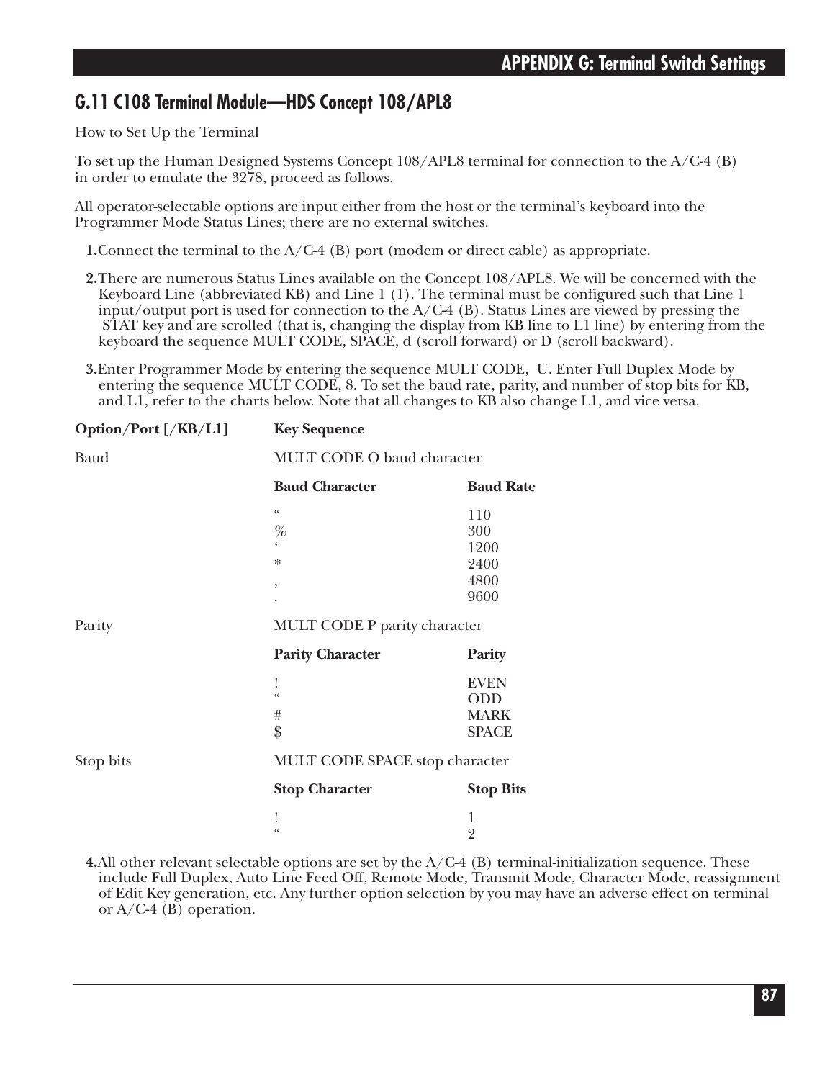### **G.11 C108 Terminal Module—HDS Concept 108/APL8**

How to Set Up the Terminal

To set up the Human Designed Systems Concept 108/APL8 terminal for connection to the A/C-4 (B) in order to emulate the 3278, proceed as follows.

All operator-selectable options are input either from the host or the terminal's keyboard into the Programmer Mode Status Lines; there are no external switches.

**1.**Connect the terminal to the A/C-4 (B) port (modem or direct cable) as appropriate.

**2.**There are numerous Status Lines available on the Concept 108/APL8. We will be concerned with the Keyboard Line (abbreviated KB) and Line 1 (1). The terminal must be configured such that Line 1 input/output port is used for connection to the  $A/C-4$  (B). Status Lines are viewed by pressing the STAT key and are scrolled (that is, changing the display from KB line to L1 line) by entering from the keyboard the sequence MULT CODE, SPACE, d (scroll forward) or D (scroll backward).

**3.**Enter Programmer Mode by entering the sequence MULT CODE, U. Enter Full Duplex Mode by entering the sequence MULT CODE, 8. To set the baud rate, parity, and number of stop bits for KB, and L1, refer to the charts below. Note that all changes to KB also change L1, and vice versa.

| Option/Port [/KB/L1] | <b>Key Sequence</b>            |                  |  |
|----------------------|--------------------------------|------------------|--|
| Baud                 | MULT CODE O baud character     |                  |  |
|                      | <b>Baud Character</b>          | <b>Baud Rate</b> |  |
|                      | $\zeta\,\zeta$                 | 110              |  |
|                      | %                              | 300              |  |
|                      |                                | 1200             |  |
|                      | $\ast$                         | 2400             |  |
|                      | $\,$                           | 4800             |  |
|                      |                                | 9600             |  |
| Parity               | MULT CODE P parity character   |                  |  |
|                      | <b>Parity Character</b>        | Parity           |  |
|                      |                                | <b>EVEN</b>      |  |
|                      | $\epsilon$                     | ODD              |  |
|                      | #                              | <b>MARK</b>      |  |
|                      | \$                             | <b>SPACE</b>     |  |
| Stop bits            | MULT CODE SPACE stop character |                  |  |
|                      | <b>Stop Character</b>          | <b>Stop Bits</b> |  |
|                      |                                | 1                |  |
|                      | $\epsilon$                     | $\overline{2}$   |  |
|                      |                                |                  |  |

**4.**All other relevant selectable options are set by the A/C-4 (B) terminal-initialization sequence. These include Full Duplex, Auto Line Feed Off, Remote Mode, Transmit Mode, Character Mode, reassignment of Edit Key generation, etc. Any further option selection by you may have an adverse effect on terminal or  $A/C-4$  (B) operation.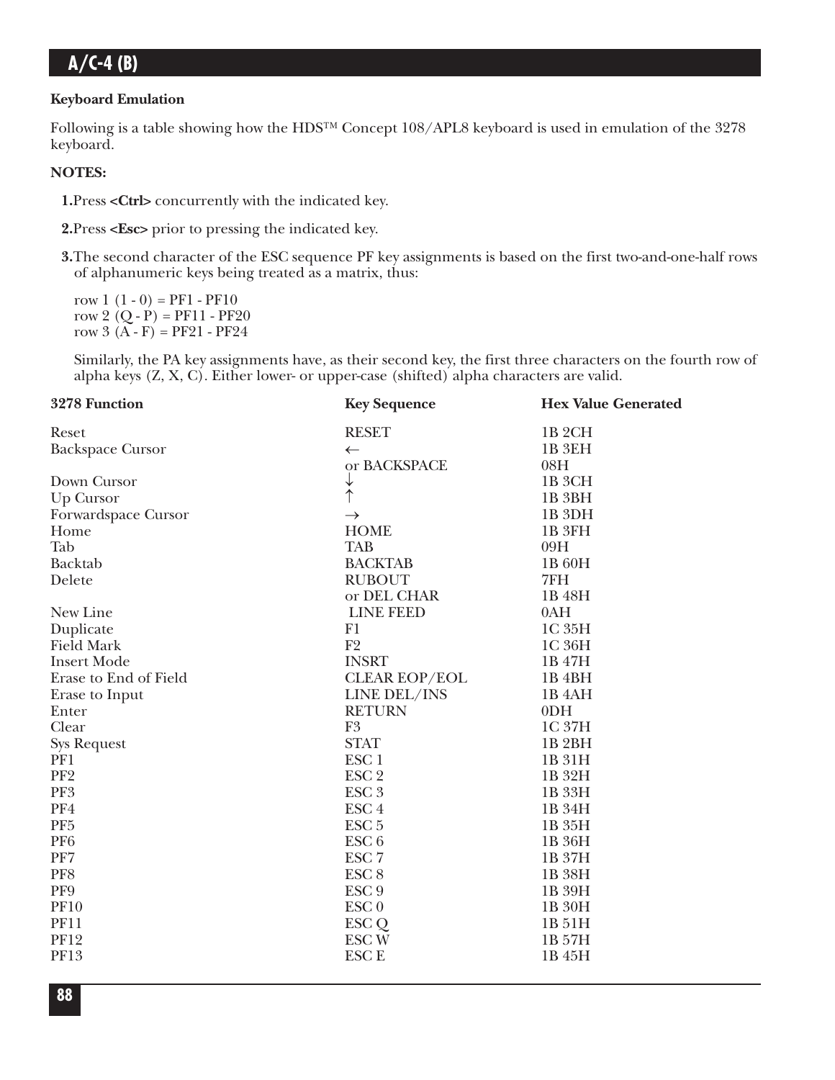### **Keyboard Emulation**

Following is a table showing how the HDS™ Concept 108/APL8 keyboard is used in emulation of the 3278 keyboard.

#### **NOTES:**

**1.**Press **<Ctrl>** concurrently with the indicated key.

**2.**Press **<Esc>** prior to pressing the indicated key.

**3.**The second character of the ESC sequence PF key assignments is based on the first two-and-one-half rows of alphanumeric keys being treated as a matrix, thus:

row  $1(1-0) = PF1 - PF10$ row 2  $(Q - P) = PF11 - PF20$ row  $3(A - F) = PF21 - PF24$ 

Similarly, the PA key assignments have, as their second key, the first three characters on the fourth row of alpha keys (Z, X, C). Either lower- or upper-case (shifted) alpha characters are valid.

| 3278 Function           | <b>Key Sequence</b>  | <b>Hex Value Generated</b> |
|-------------------------|----------------------|----------------------------|
| Reset                   | <b>RESET</b>         | 1B <sub>2</sub> CH         |
| <b>Backspace Cursor</b> | $\leftarrow$         | 1B <sub>3EH</sub>          |
|                         | or BACKSPACE         | 08H                        |
| Down Cursor             | $\downarrow$         | 1B <sub>3</sub> CH         |
| Up Cursor               |                      | 1B <sub>3BH</sub>          |
| Forwardspace Cursor     | $\rightarrow$        | 1B <sub>3DH</sub>          |
| Home                    | <b>HOME</b>          | 1B 3FH                     |
| Tab                     | <b>TAB</b>           | 09H                        |
| <b>Backtab</b>          | <b>BACKTAB</b>       | 1B 60H                     |
| Delete                  | <b>RUBOUT</b>        | 7FH                        |
|                         | or DEL CHAR          | 1B 48H                     |
| New Line                | <b>LINE FEED</b>     | 0AH                        |
| Duplicate               | F1                   | 1C 35H                     |
| <b>Field Mark</b>       | F <sub>2</sub>       | 1C 36H                     |
| <b>Insert Mode</b>      | <b>INSRT</b>         | 1B 47H                     |
| Erase to End of Field   | <b>CLEAR EOP/EOL</b> | 1B <sub>4BH</sub>          |
| Erase to Input          | <b>LINE DEL/INS</b>  | 1B <sub>4</sub> AH         |
| Enter                   | <b>RETURN</b>        | 0 <sub>DH</sub>            |
| Clear                   | F <sub>3</sub>       | 1C 37H                     |
| <b>Sys Request</b>      | <b>STAT</b>          | 1B <sub>2</sub> BH         |
| PF1                     | ESC <sub>1</sub>     | 1B 31H                     |
| PF <sub>2</sub>         | ESC <sub>2</sub>     | 1B 32H                     |
| PF3                     | ESC <sub>3</sub>     | 1B 33H                     |
| PF4                     | ESC <sub>4</sub>     | 1B 34H                     |
| PF <sub>5</sub>         | ESC <sub>5</sub>     | 1B 35H                     |
| PF <sub>6</sub>         | ESC <sub>6</sub>     | 1B 36H                     |
| PF7                     | ESC <sub>7</sub>     | 1B 37H                     |
| PF8                     | ESC <sub>8</sub>     | 1B 38H                     |
| PF9                     | ESC <sub>9</sub>     | 1B 39H                     |
| <b>PF10</b>             | ESC <sub>0</sub>     | 1B 30H                     |
| <b>PF11</b>             | ESC <sub>Q</sub>     | 1B 51H                     |
| <b>PF12</b>             | <b>ESCW</b>          | 1B 57H                     |
| PF13                    | <b>ESCE</b>          | 1B 45H                     |
|                         |                      |                            |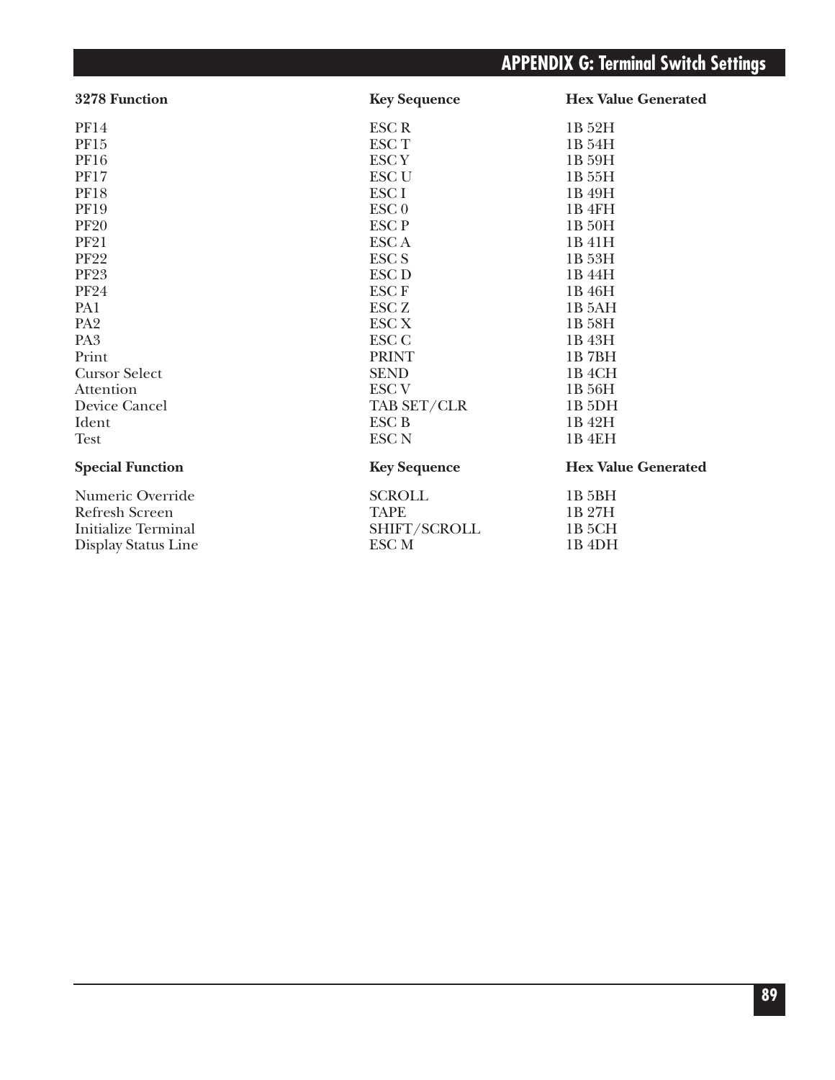# **APPENDIX G: Terminal Switch Settings**

| 3278 Function           | <b>Key Sequence</b> | <b>Hex Value Generated</b> |
|-------------------------|---------------------|----------------------------|
| <b>PF14</b>             | <b>ESCR</b>         | 1B 52H                     |
| PF15                    | <b>ESCT</b>         | 1B 54H                     |
| <b>PF16</b>             | <b>ESCY</b>         | 1B 59H                     |
| <b>PF17</b>             | <b>ESC U</b>        | 1B 55H                     |
| <b>PF18</b>             | ESC <sub>I</sub>    | 1B 49H                     |
| <b>PF19</b>             | ESC <sub>0</sub>    | 1B 4FH                     |
| <b>PF20</b>             | <b>ESCP</b>         | 1B 50H                     |
| <b>PF21</b>             | ESC A               | 1B 41H                     |
| <b>PF22</b>             | <b>ESC S</b>        | 1B 53H                     |
| <b>PF23</b>             | <b>ESC D</b>        | 1B 44H                     |
| <b>PF24</b>             | <b>ESCF</b>         | 1B 46H                     |
| PA1                     | <b>ESC Z</b>        | 1B 5AH                     |
| PA <sub>2</sub>         | <b>ESC X</b>        | 1B 58H                     |
| PA <sub>3</sub>         | <b>ESC C</b>        | 1B 43H                     |
| Print                   | <b>PRINT</b>        | 1B7BH                      |
| <b>Cursor Select</b>    | <b>SEND</b>         | 1B <sub>4</sub> CH         |
| Attention               | <b>ESC V</b>        | 1B 56H                     |
| Device Cancel           | TAB SET/CLR         | 1B <sub>5</sub> DH         |
| Ident                   | <b>ESC B</b>        | 1B 42H                     |
| <b>Test</b>             | <b>ESC N</b>        | 1B 4EH                     |
| <b>Special Function</b> | <b>Key Sequence</b> | <b>Hex Value Generated</b> |
| Numeric Override        | <b>SCROLL</b>       | 1B 5BH                     |
| <b>Refresh Screen</b>   | <b>TAPE</b>         | 1B 27H                     |
| Initialize Terminal     | SHIFT/SCROLL        | 1B <sub>5</sub> CH         |
| Display Status Line     | ESC <sub>M</sub>    | 1B <sub>4DH</sub>          |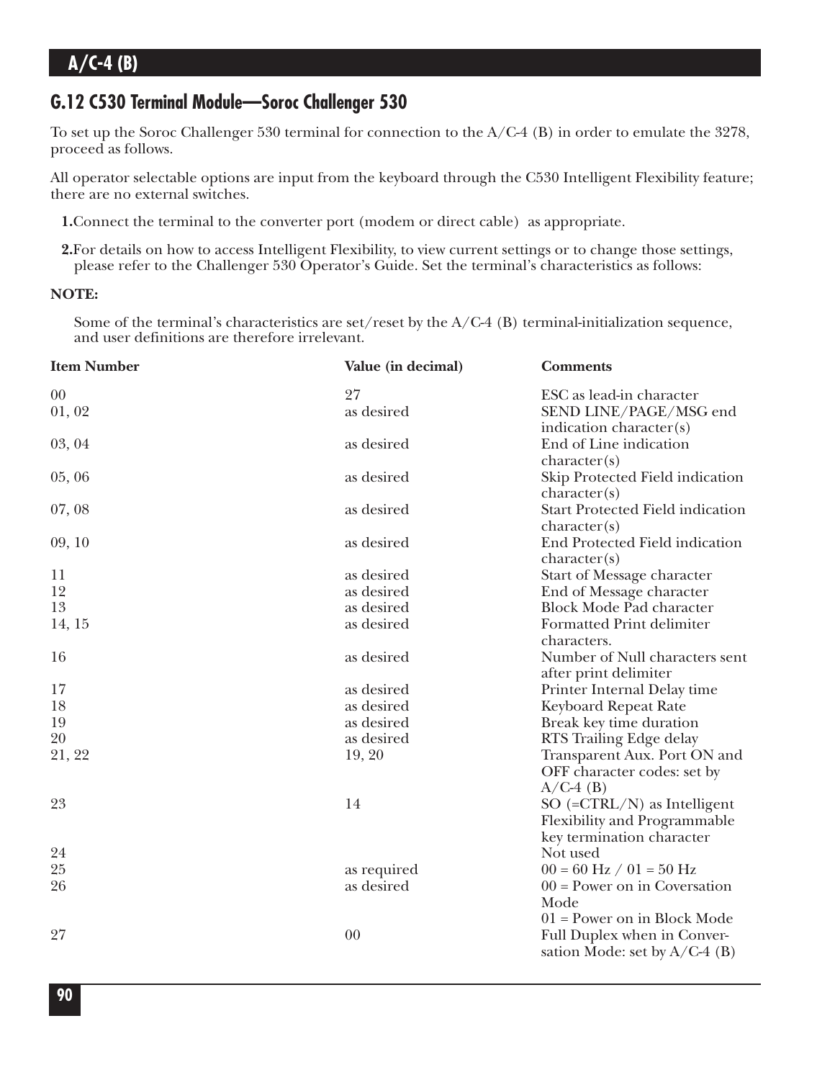### **G.12 C530 Terminal Module—Soroc Challenger 530**

To set up the Soroc Challenger 530 terminal for connection to the A/C-4 (B) in order to emulate the 3278, proceed as follows.

All operator selectable options are input from the keyboard through the C530 Intelligent Flexibility feature; there are no external switches.

**1.**Connect the terminal to the converter port (modem or direct cable) as appropriate.

**2.**For details on how to access Intelligent Flexibility, to view current settings or to change those settings, please refer to the Challenger 530 Operator's Guide. Set the terminal's characteristics as follows:

#### **NOTE:**

Some of the terminal's characteristics are set/reset by the A/C-4 (B) terminal-initialization sequence, and user definitions are therefore irrelevant.

| <b>Item Number</b> | Value (in decimal) | <b>Comments</b>                                                                            |
|--------------------|--------------------|--------------------------------------------------------------------------------------------|
| 00                 | 27                 | ESC as lead-in character                                                                   |
| 01,02              | as desired         | SEND LINE/PAGE/MSG end<br>indication character(s)                                          |
| 03, 04             | as desired         | End of Line indication<br>character(s)                                                     |
| 05,06              | as desired         | Skip Protected Field indication<br>character(s)                                            |
| 07,08              | as desired         | Start Protected Field indication<br>character(s)                                           |
| 09, 10             | as desired         | End Protected Field indication<br>character(s)                                             |
| 11                 | as desired         | Start of Message character                                                                 |
| 12                 | as desired         | End of Message character                                                                   |
| 13                 | as desired         | <b>Block Mode Pad character</b>                                                            |
| 14, 15             | as desired         | <b>Formatted Print delimiter</b><br>characters.                                            |
| 16                 | as desired         | Number of Null characters sent<br>after print delimiter                                    |
| 17                 | as desired         | Printer Internal Delay time                                                                |
| 18                 | as desired         | Keyboard Repeat Rate                                                                       |
| 19                 | as desired         | Break key time duration                                                                    |
| 20                 | as desired         | RTS Trailing Edge delay                                                                    |
| 21, 22             | 19, 20             | Transparent Aux. Port ON and<br>OFF character codes: set by<br>$A/C-4$ (B)                 |
| 23                 | 14                 | SO $(=CTRL/N)$ as Intelligent<br>Flexibility and Programmable<br>key termination character |
| 24                 |                    | Not used                                                                                   |
| 25                 | as required        | $00 = 60$ Hz $/ 01 = 50$ Hz                                                                |
| 26                 | as desired         | $00 = Power on in Covensation$<br>Mode<br>$01$ = Power on in Block Mode                    |
| 27                 | 00                 | Full Duplex when in Conver-<br>sation Mode: set by $A/C-4$ (B)                             |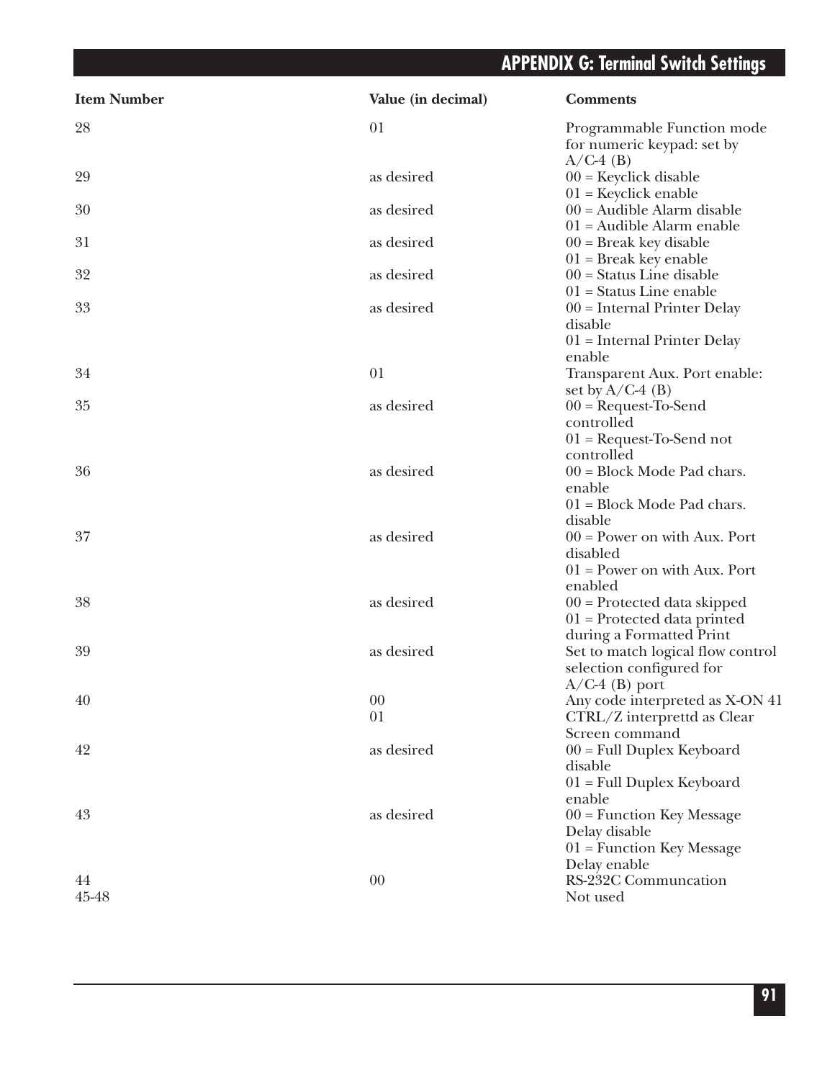# **APPENDIX G: Terminal Switch Settings**

| 01<br>Programmable Function mode<br>for numeric keypad: set by<br>$A/C-4$ (B)<br>29<br>as desired<br>$00$ = Keyclick disable<br>$01$ = Keyclick enable<br>30<br>$00 =$ Audible Alarm disable<br>as desired<br>$01$ = Audible Alarm enable<br>31<br>as desired<br>$00 =$ Break key disable<br>$01$ = Break key enable<br>32<br>$00 =$ Status Line disable<br>as desired<br>$01$ = Status Line enable<br>33<br>as desired<br>$00 =$ Internal Printer Delay<br>disable<br>$01$ = Internal Printer Delay<br>enable<br>34<br>01<br>Transparent Aux. Port enable:<br>set by $A/C-4$ (B)<br>35<br>as desired<br>$00 = RequestTo-Send$<br>controlled<br>$01$ = Request-To-Send not<br>controlled<br>36<br>$00 = Block$ Mode Pad chars.<br>as desired<br>enable<br>$01 = Block Mode$ Pad chars.<br>disable<br>37<br>as desired<br>$00 = Power$ on with Aux. Port<br>disabled<br>$01$ = Power on with Aux. Port<br>enabled<br>38<br>as desired<br>$00$ = Protected data skipped<br>$01$ = Protected data printed<br>during a Formatted Print<br>39<br>as desired<br>Set to match logical flow control<br>selection configured for<br>$A/C-4$ (B) port<br>40<br>$00\,$<br>Any code interpreted as X-ON 41<br>CTRL/Z interprettd as Clear<br>01<br>Screen command<br>42<br>as desired<br>$00 =$ Full Duplex Keyboard<br>disable<br>$01$ = Full Duplex Keyboard<br>enable<br>43<br>as desired<br>$00$ = Function Key Message<br>Delay disable<br>$01$ = Function Key Message<br>Delay enable<br>RS-232C Communcation<br>00<br>45-48<br>Not used | <b>Item Number</b> | Value (in decimal) | <b>Comments</b> |
|------------------------------------------------------------------------------------------------------------------------------------------------------------------------------------------------------------------------------------------------------------------------------------------------------------------------------------------------------------------------------------------------------------------------------------------------------------------------------------------------------------------------------------------------------------------------------------------------------------------------------------------------------------------------------------------------------------------------------------------------------------------------------------------------------------------------------------------------------------------------------------------------------------------------------------------------------------------------------------------------------------------------------------------------------------------------------------------------------------------------------------------------------------------------------------------------------------------------------------------------------------------------------------------------------------------------------------------------------------------------------------------------------------------------------------------------------------------------------------------------------------------------------------|--------------------|--------------------|-----------------|
|                                                                                                                                                                                                                                                                                                                                                                                                                                                                                                                                                                                                                                                                                                                                                                                                                                                                                                                                                                                                                                                                                                                                                                                                                                                                                                                                                                                                                                                                                                                                    | 28                 |                    |                 |
|                                                                                                                                                                                                                                                                                                                                                                                                                                                                                                                                                                                                                                                                                                                                                                                                                                                                                                                                                                                                                                                                                                                                                                                                                                                                                                                                                                                                                                                                                                                                    |                    |                    |                 |
|                                                                                                                                                                                                                                                                                                                                                                                                                                                                                                                                                                                                                                                                                                                                                                                                                                                                                                                                                                                                                                                                                                                                                                                                                                                                                                                                                                                                                                                                                                                                    |                    |                    |                 |
|                                                                                                                                                                                                                                                                                                                                                                                                                                                                                                                                                                                                                                                                                                                                                                                                                                                                                                                                                                                                                                                                                                                                                                                                                                                                                                                                                                                                                                                                                                                                    |                    |                    |                 |
|                                                                                                                                                                                                                                                                                                                                                                                                                                                                                                                                                                                                                                                                                                                                                                                                                                                                                                                                                                                                                                                                                                                                                                                                                                                                                                                                                                                                                                                                                                                                    |                    |                    |                 |
|                                                                                                                                                                                                                                                                                                                                                                                                                                                                                                                                                                                                                                                                                                                                                                                                                                                                                                                                                                                                                                                                                                                                                                                                                                                                                                                                                                                                                                                                                                                                    |                    |                    |                 |
|                                                                                                                                                                                                                                                                                                                                                                                                                                                                                                                                                                                                                                                                                                                                                                                                                                                                                                                                                                                                                                                                                                                                                                                                                                                                                                                                                                                                                                                                                                                                    |                    |                    |                 |
|                                                                                                                                                                                                                                                                                                                                                                                                                                                                                                                                                                                                                                                                                                                                                                                                                                                                                                                                                                                                                                                                                                                                                                                                                                                                                                                                                                                                                                                                                                                                    |                    |                    |                 |
|                                                                                                                                                                                                                                                                                                                                                                                                                                                                                                                                                                                                                                                                                                                                                                                                                                                                                                                                                                                                                                                                                                                                                                                                                                                                                                                                                                                                                                                                                                                                    |                    |                    |                 |
|                                                                                                                                                                                                                                                                                                                                                                                                                                                                                                                                                                                                                                                                                                                                                                                                                                                                                                                                                                                                                                                                                                                                                                                                                                                                                                                                                                                                                                                                                                                                    |                    |                    |                 |
|                                                                                                                                                                                                                                                                                                                                                                                                                                                                                                                                                                                                                                                                                                                                                                                                                                                                                                                                                                                                                                                                                                                                                                                                                                                                                                                                                                                                                                                                                                                                    |                    |                    |                 |
|                                                                                                                                                                                                                                                                                                                                                                                                                                                                                                                                                                                                                                                                                                                                                                                                                                                                                                                                                                                                                                                                                                                                                                                                                                                                                                                                                                                                                                                                                                                                    |                    |                    |                 |
|                                                                                                                                                                                                                                                                                                                                                                                                                                                                                                                                                                                                                                                                                                                                                                                                                                                                                                                                                                                                                                                                                                                                                                                                                                                                                                                                                                                                                                                                                                                                    |                    |                    |                 |
|                                                                                                                                                                                                                                                                                                                                                                                                                                                                                                                                                                                                                                                                                                                                                                                                                                                                                                                                                                                                                                                                                                                                                                                                                                                                                                                                                                                                                                                                                                                                    |                    |                    |                 |
|                                                                                                                                                                                                                                                                                                                                                                                                                                                                                                                                                                                                                                                                                                                                                                                                                                                                                                                                                                                                                                                                                                                                                                                                                                                                                                                                                                                                                                                                                                                                    |                    |                    |                 |
|                                                                                                                                                                                                                                                                                                                                                                                                                                                                                                                                                                                                                                                                                                                                                                                                                                                                                                                                                                                                                                                                                                                                                                                                                                                                                                                                                                                                                                                                                                                                    |                    |                    |                 |
|                                                                                                                                                                                                                                                                                                                                                                                                                                                                                                                                                                                                                                                                                                                                                                                                                                                                                                                                                                                                                                                                                                                                                                                                                                                                                                                                                                                                                                                                                                                                    |                    |                    |                 |
|                                                                                                                                                                                                                                                                                                                                                                                                                                                                                                                                                                                                                                                                                                                                                                                                                                                                                                                                                                                                                                                                                                                                                                                                                                                                                                                                                                                                                                                                                                                                    |                    |                    |                 |
|                                                                                                                                                                                                                                                                                                                                                                                                                                                                                                                                                                                                                                                                                                                                                                                                                                                                                                                                                                                                                                                                                                                                                                                                                                                                                                                                                                                                                                                                                                                                    |                    |                    |                 |
|                                                                                                                                                                                                                                                                                                                                                                                                                                                                                                                                                                                                                                                                                                                                                                                                                                                                                                                                                                                                                                                                                                                                                                                                                                                                                                                                                                                                                                                                                                                                    |                    |                    |                 |
|                                                                                                                                                                                                                                                                                                                                                                                                                                                                                                                                                                                                                                                                                                                                                                                                                                                                                                                                                                                                                                                                                                                                                                                                                                                                                                                                                                                                                                                                                                                                    |                    |                    |                 |
|                                                                                                                                                                                                                                                                                                                                                                                                                                                                                                                                                                                                                                                                                                                                                                                                                                                                                                                                                                                                                                                                                                                                                                                                                                                                                                                                                                                                                                                                                                                                    | 44                 |                    |                 |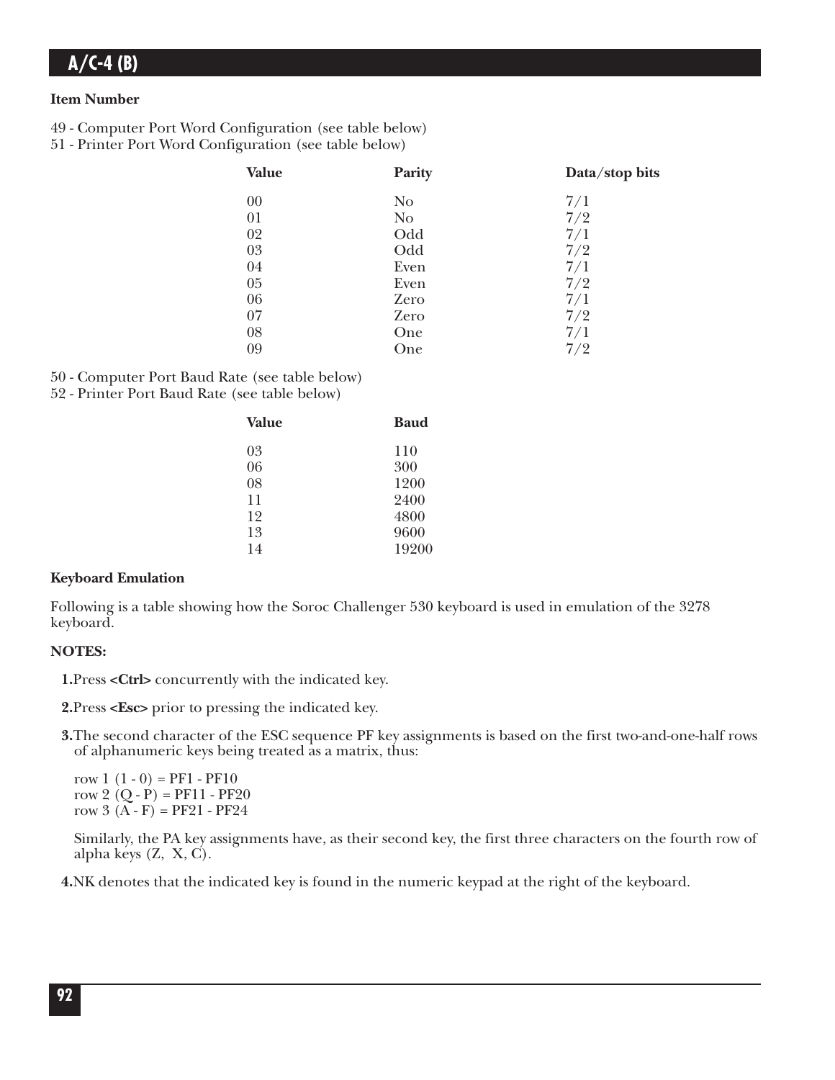#### **Item Number**

- 49 Computer Port Word Configuration (see table below)
- 51 Printer Port Word Configuration (see table below)

| <b>Value</b> | Parity         | Data/stop bits |
|--------------|----------------|----------------|
| 00           | N <sub>o</sub> | 7/1            |
| 01           | N <sub>o</sub> | 7/2            |
| 02           | Odd            | 7/1            |
| 03           | Odd            | 7/2            |
| 04           | Even           | 7/1            |
| 05           | Even           | 7/2            |
| 06           | Zero           | 7/1            |
| 07           | Zero           | 7/2            |
| 08           | One            | 7/1            |
| 09           | One            | 7/2            |

50 - Computer Port Baud Rate (see table below)

52 - Printer Port Baud Rate (see table below)

| Value | <b>Baud</b> |
|-------|-------------|
| 03    | 110         |
| 06    | 300         |
| 08    | 1200        |
| 11    | 2400        |
| 12    | 4800        |
| 13    | 9600        |
| 14    | 19200       |
|       |             |

### **Keyboard Emulation**

Following is a table showing how the Soroc Challenger 530 keyboard is used in emulation of the 3278 keyboard.

### **NOTES:**

**1.**Press **<Ctrl>** concurrently with the indicated key.

**2.**Press **<Esc>** prior to pressing the indicated key.

**3.**The second character of the ESC sequence PF key assignments is based on the first two-and-one-half rows of alphanumeric keys being treated as a matrix, thus:

row  $1(1-0) = PF1 - PF10$ row 2  $(Q - P) = PF11 - PF20$ row  $3(A - F) = PF21 - PF24$ 

Similarly, the PA key assignments have, as their second key, the first three characters on the fourth row of alpha keys (Z, X, C).

**4.**NK denotes that the indicated key is found in the numeric keypad at the right of the keyboard.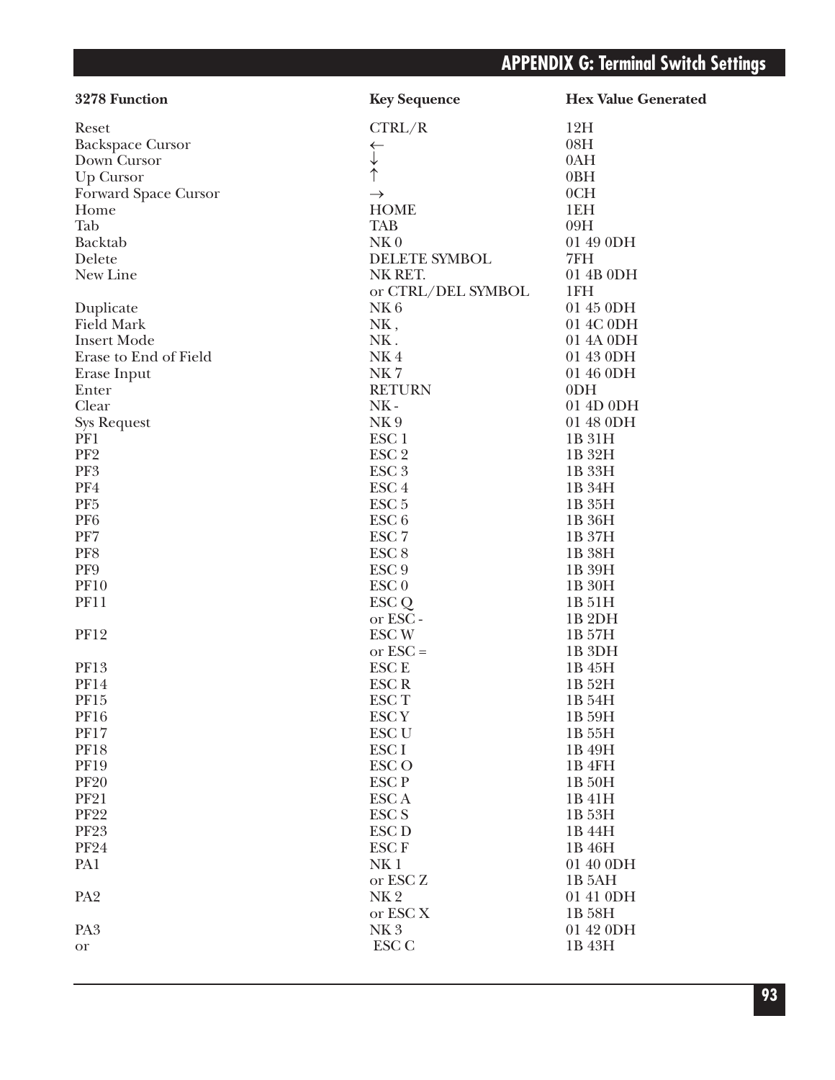| 3278 Function           | <b>Key Sequence</b>  | <b>Hex Value Generated</b> |
|-------------------------|----------------------|----------------------------|
| Reset                   | CTRL/R               | 12H                        |
| <b>Backspace Cursor</b> | $\leftarrow$         | 08H                        |
| Down Cursor             |                      | 0AH                        |
| Up Cursor               | $\uparrow$           | 0BH                        |
| Forward Space Cursor    | $\rightarrow$        | 0CH                        |
| Home                    | <b>HOME</b>          | 1EH                        |
| Tab                     | <b>TAB</b>           | 09H                        |
| Backtab                 | NK <sub>0</sub>      | 01 49 0DH                  |
| Delete                  | <b>DELETE SYMBOL</b> | 7FH                        |
| New Line                | NK RET.              | 01 4B 0DH                  |
|                         | or CTRL/DEL SYMBOL   | 1FH                        |
| Duplicate               | NK <sub>6</sub>      | 01 45 0DH                  |
| <b>Field Mark</b>       | NK,                  | 01 4C 0DH                  |
| <b>Insert Mode</b>      | NK.                  | 01 4A 0DH                  |
| Erase to End of Field   | NK4                  | 01 43 0DH                  |
| Erase Input             | NK7                  | 01 46 0DH                  |
| Enter                   | <b>RETURN</b>        | 0 <sub>DH</sub>            |
| Clear                   | $NK -$               | 01 4D 0DH                  |
| <b>Sys Request</b>      | NK9                  | 01 48 0DH                  |
| PF1                     | ESC <sub>1</sub>     | 1B 31H                     |
| PF <sub>2</sub>         | ESC <sub>2</sub>     | 1B 32H                     |
| PF3                     | ESC <sub>3</sub>     | 1B 33H                     |
| PF4                     | ESC <sub>4</sub>     | 1B 34H                     |
| PF <sub>5</sub>         | ESC <sub>5</sub>     | 1B 35H                     |
| PF <sub>6</sub>         | ESC <sub>6</sub>     | 1B 36H                     |
| PF7                     | ESC <sub>7</sub>     |                            |
|                         |                      | 1B 37H                     |
| PF8                     | ESC <sub>8</sub>     | 1B 38H                     |
| PF9                     | ESC <sub>9</sub>     | 1B 39H                     |
| <b>PF10</b>             | ESC <sub>0</sub>     | 1B 30H                     |
| <b>PF11</b>             | ESC Q                | 1B 51H                     |
|                         | or ESC -             | 1B <sub>2DH</sub>          |
| <b>PF12</b>             | <b>ESC W</b>         | 1B 57H                     |
|                         | or $\text{ESC} =$    | 1B <sub>3DH</sub>          |
| PF13                    | <b>ESC E</b>         | 1B 45H                     |
| <b>PF14</b>             | <b>ESCR</b>          | 1B 52H                     |
| PF15                    | ESC <sub>T</sub>     | 1B 54H                     |
| <b>PF16</b>             | <b>ESCY</b>          | 1B 59H                     |
| <b>PF17</b>             | <b>ESC U</b>         | 1B 55H                     |
| <b>PF18</b>             | ESC I                | 1B 49H                     |
| <b>PF19</b>             | <b>ESCO</b>          | 1B 4FH                     |
| <b>PF20</b>             | <b>ESCP</b>          | 1B 50H                     |
| <b>PF21</b>             | <b>ESCA</b>          | 1B 41H                     |
| <b>PF22</b>             | <b>ESC S</b>         | 1B 53H                     |
| <b>PF23</b>             | <b>ESC D</b>         | 1B 44H                     |
| <b>PF24</b>             | <b>ESCF</b>          | 1B 46H                     |
| PA1                     | NK <sub>1</sub>      | 01 40 0DH                  |
|                         | or ESC <sub>Z</sub>  | 1B 5AH                     |
| PA <sub>2</sub>         | NK <sub>2</sub>      | 01 41 0DH                  |
|                         | or ESC <sub>X</sub>  | 1B 58H                     |
| PA <sub>3</sub>         | NK <sub>3</sub>      | 01 42 0DH                  |
| <b>or</b>               | ESC <sub>C</sub>     | 1B 43H                     |
|                         |                      |                            |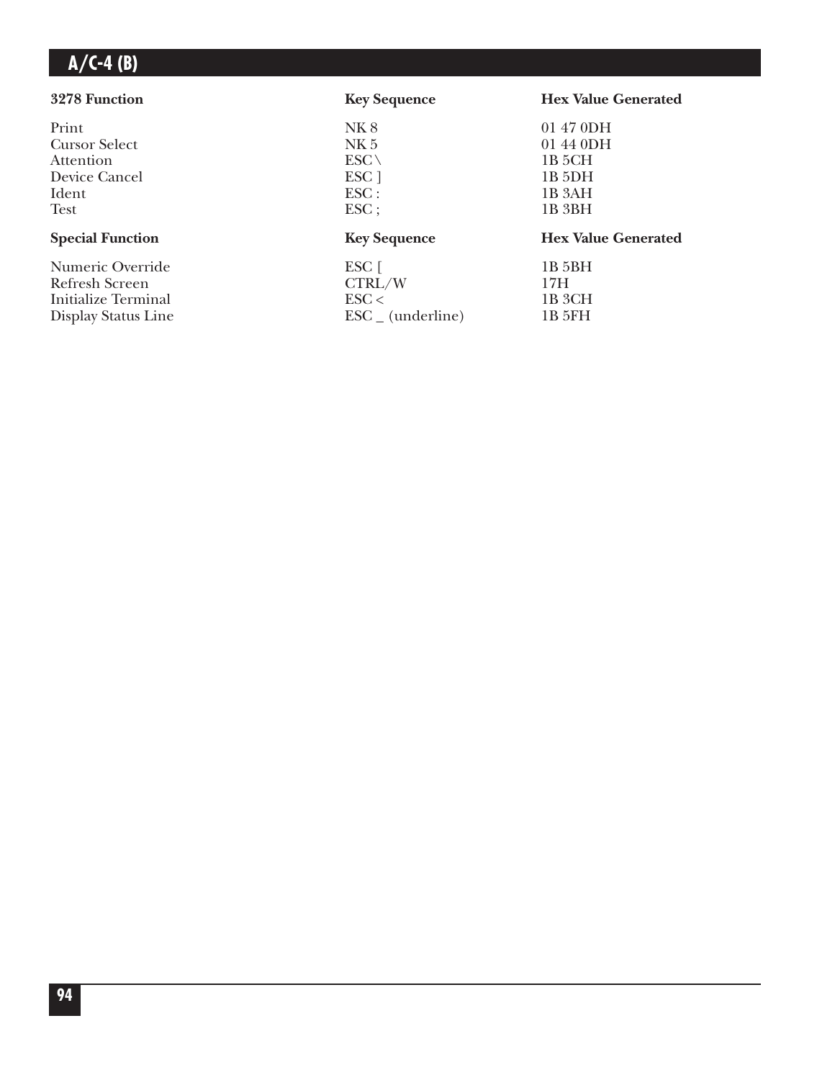### **3278 Function Key Sequence Hex Value Generated** Print NK 8 01 47 0DH<br>Cursor Select NK 5 01 44 0DH Cursor Select NK 5 01 44 0D<br>Attention ESC 1B 5CH Attention  $\text{ESC} \setminus 1B\text{ 5CH}$ Device Cancel ESC ] 1B 5DH<br>Ident ESC : 1B 3AH Ident 1B 3AH Test 1B 3BH Special Function **Key Sequence Hex Value Generated** Numeric Override ESC [ 1B 5BH<br>Refresh Screen CTRL/W 17H Refresh Screen CTRL/W 17H<br>Initialize Terminal ESC < 1B 3CH Initialize Terminal ESC < 1B 3CH<br>Display Status Line ESC (underline) 1B 5FH  $\text{ESC}_{-}$  (underline)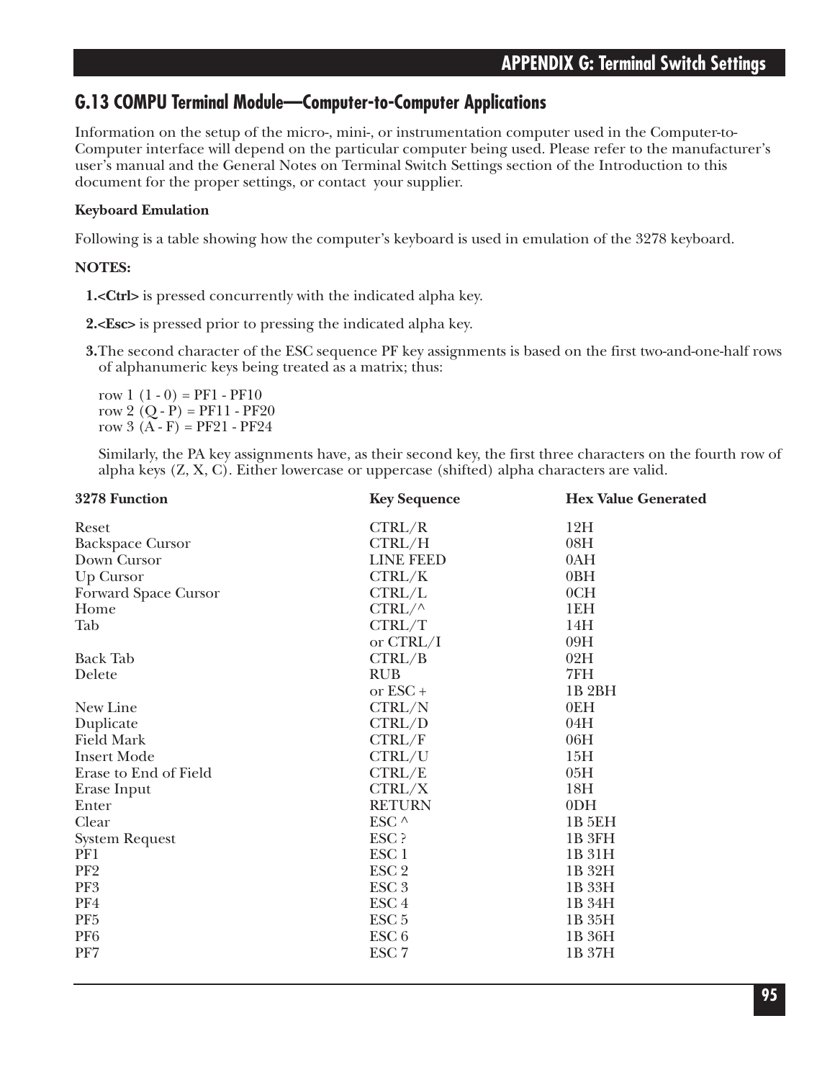### **G.13 COMPU Terminal Module—Computer-to-Computer Applications**

Information on the setup of the micro-, mini-, or instrumentation computer used in the Computer-to-Computer interface will depend on the particular computer being used. Please refer to the manufacturer's user's manual and the General Notes on Terminal Switch Settings section of the Introduction to this document for the proper settings, or contact your supplier.

### **Keyboard Emulation**

Following is a table showing how the computer's keyboard is used in emulation of the 3278 keyboard.

### **NOTES:**

**1.<Ctrl>** is pressed concurrently with the indicated alpha key.

**2.<Esc>** is pressed prior to pressing the indicated alpha key.

**3.**The second character of the ESC sequence PF key assignments is based on the first two-and-one-half rows of alphanumeric keys being treated as a matrix; thus:

row  $1(1-0) = PFI - PF10$ row 2  $(Q - P) = PF11 - PF20$ row 3  $(A - F) = PF21 - PF24$ 

Similarly, the PA key assignments have, as their second key, the first three characters on the fourth row of alpha keys (Z, X, C). Either lowercase or uppercase (shifted) alpha characters are valid.

| 3278 Function           | <b>Key Sequence</b> | <b>Hex Value Generated</b> |
|-------------------------|---------------------|----------------------------|
| Reset                   | CTRL/R              | 12H                        |
| <b>Backspace Cursor</b> | CTRL/H              | 08H                        |
| Down Cursor             | <b>LINE FEED</b>    | 0AH                        |
| Up Cursor               | CTRL/K              | 0BH                        |
| Forward Space Cursor    | CTRL/L              | 0CH                        |
| Home                    | $CTRL/\wedge$       | 1EH                        |
| Tab                     | CTRL/T              | 14H                        |
|                         | or CTRL/I           | 09H                        |
| <b>Back Tab</b>         | CTRL/B              | 02H                        |
| Delete                  | <b>RUB</b>          | 7FH                        |
|                         | or $\text{ESC}$ +   | 1B <sub>2</sub> BH         |
| New Line                | CTRL/N              | 0EH                        |
| Duplicate               | CTRL/D              | 04H                        |
| <b>Field Mark</b>       | CTRL/F              | 06H                        |
| <b>Insert Mode</b>      | CTRL/U              | 15H                        |
| Erase to End of Field   | CTRL/E              | 05H                        |
| Erase Input             | CTRL/X              | 18H                        |
| Enter                   | <b>RETURN</b>       | 0 <sub>DH</sub>            |
| Clear                   | ESC ^               | <b>1B 5EH</b>              |
| <b>System Request</b>   | ESC ?               | 1B <sub>3FH</sub>          |
| PF1                     | ESC <sub>1</sub>    | 1B 31H                     |
| PF <sub>2</sub>         | ESC <sub>2</sub>    | 1B 32H                     |
| PF3                     | ESC <sub>3</sub>    | 1B 33H                     |
| PF4                     | ESC <sub>4</sub>    | 1B 34H                     |
| PF <sub>5</sub>         | ESC <sub>5</sub>    | 1B 35H                     |
| PF <sub>6</sub>         | ESC <sub>6</sub>    | 1B 36H                     |
| PF7                     | ESC <sub>7</sub>    | 1B 37H                     |
|                         |                     |                            |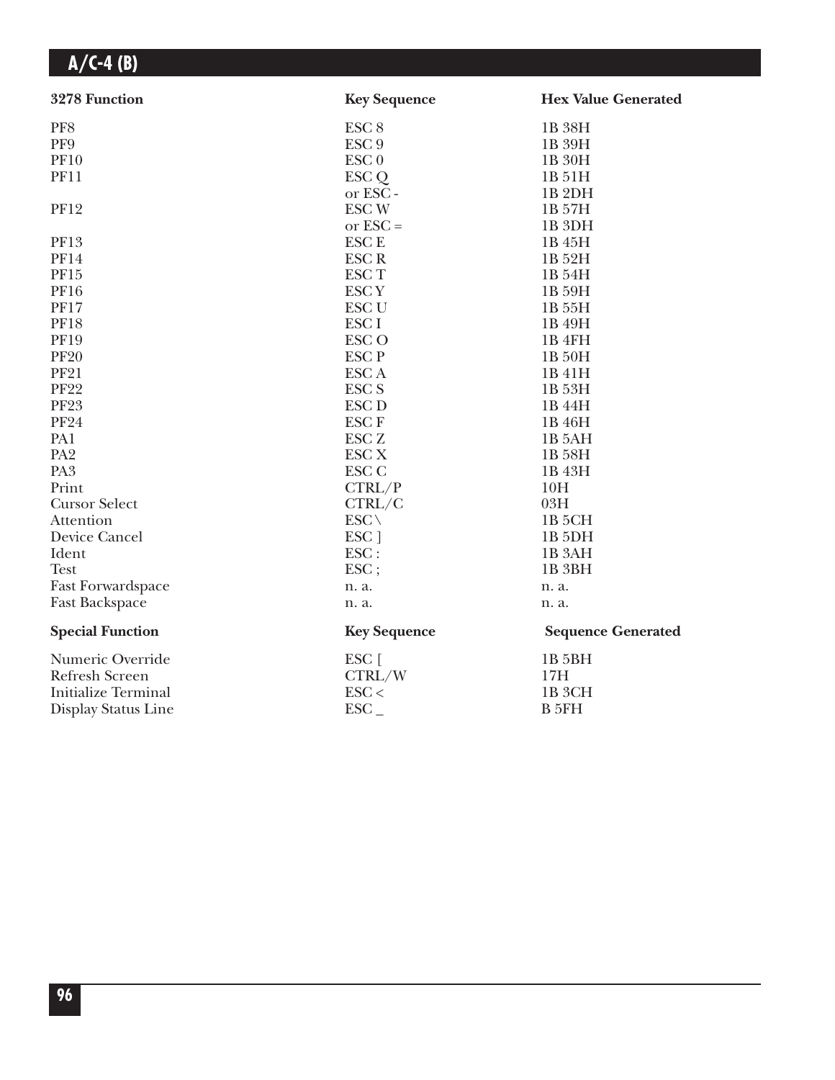| 3278 Function              | <b>Key Sequence</b> | <b>Hex Value Generated</b> |
|----------------------------|---------------------|----------------------------|
| PF8                        | ESC <sub>8</sub>    | 1B 38H                     |
| PF9                        | ESC <sub>9</sub>    | 1B 39H                     |
| <b>PF10</b>                | ESC <sub>0</sub>    | 1B 30H                     |
| <b>PF11</b>                | ESC Q               | 1B 51H                     |
|                            | or ESC-             | 1B <sub>2DH</sub>          |
| <b>PF12</b>                | <b>ESCW</b>         | 1B 57H                     |
|                            | or $\text{ESC} =$   | 1B <sub>3DH</sub>          |
| PF13                       | <b>ESCE</b>         | 1B 45H                     |
| <b>PF14</b>                | <b>ESCR</b>         | 1B 52H                     |
| PF15                       | <b>ESCT</b>         | 1B 54H                     |
| <b>PF16</b>                | <b>ESCY</b>         | 1B 59H                     |
| <b>PF17</b>                | <b>ESC U</b>        | 1B 55H                     |
| <b>PF18</b>                | ESC <sub>I</sub>    | 1B 49H                     |
| <b>PF19</b>                | <b>ESCO</b>         | 1B 4FH                     |
| <b>PF20</b>                | <b>ESCP</b>         | 1B 50H                     |
| <b>PF21</b>                | <b>ESCA</b>         | 1B 41H                     |
| <b>PF22</b>                | <b>ESC S</b>        | 1B 53H                     |
| <b>PF23</b>                | <b>ESC D</b>        | 1B 44H                     |
| <b>PF24</b>                | <b>ESCF</b>         | 1B 46H                     |
| PA1                        | ESC <sub>Z</sub>    | 1B 5AH                     |
| PA <sub>2</sub>            | <b>ESC X</b>        | 1B 58H                     |
| PA <sub>3</sub>            | ESC <sub>C</sub>    | 1B 43H                     |
| Print                      | CTRL/P              | 10H                        |
| <b>Cursor Select</b>       | CTRL/C              | 03H                        |
| Attention                  | $ESC \setminus$     | 1B <sub>5</sub> CH         |
| Device Cancel              | ESC ]               | 1B <sub>5</sub> DH         |
| Ident                      | ESC:                | 1B <sub>3</sub> AH         |
| <b>Test</b>                | ESC;                | 1B <sub>3BH</sub>          |
| <b>Fast Forwardspace</b>   | n. a.               | n. a.                      |
| Fast Backspace             | n. a.               | n. a.                      |
| <b>Special Function</b>    | <b>Key Sequence</b> | <b>Sequence Generated</b>  |
| Numeric Override           | ESC [               | 1B 5BH                     |
| <b>Refresh Screen</b>      | CTRL/W              | 17H                        |
| <b>Initialize Terminal</b> | $\text{ESC}$        | 1B <sub>3</sub> CH         |
| Display Status Line        | $\text{ESC}_{-}$    | B 5FH                      |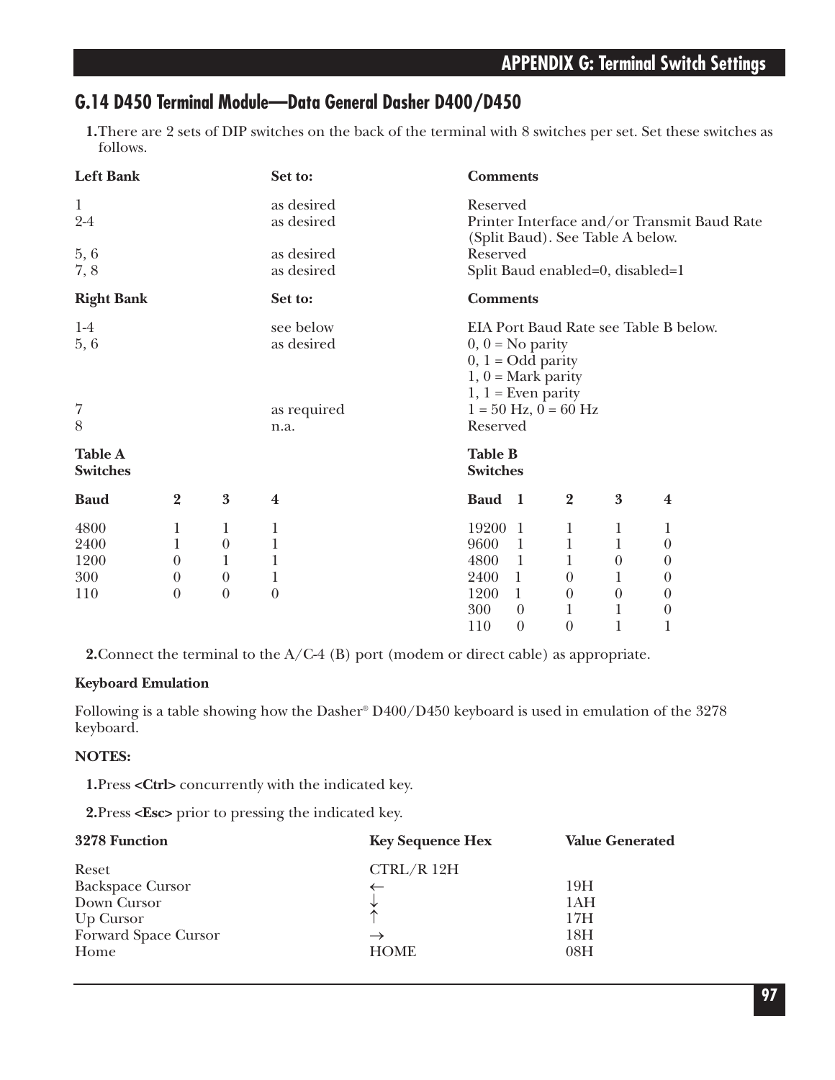### **G.14 D450 Terminal Module—Data General Dasher D400/D450**

**1.**There are 2 sets of DIP switches on the back of the terminal with 8 switches per set. Set these switches as follows.

| <b>Left Bank</b>  |                |                  | Set to:        | <b>Comments</b>                                                                 |
|-------------------|----------------|------------------|----------------|---------------------------------------------------------------------------------|
| $\mathbf{1}$      |                |                  | as desired     | Reserved                                                                        |
| $2-4$             |                |                  | as desired     | Printer Interface and/or Transmit Baud Rate<br>(Split Baud). See Table A below. |
| 5,6               |                |                  | as desired     | Reserved                                                                        |
| 7,8               |                |                  | as desired     | Split Baud enabled=0, disabled=1                                                |
| <b>Right Bank</b> |                |                  | Set to:        | <b>Comments</b>                                                                 |
| $1-4$             |                |                  | see below      | EIA Port Baud Rate see Table B below.                                           |
| 5, 6              |                |                  | as desired     | $0, 0 = No$ parity                                                              |
|                   |                |                  |                | $0, 1 = Odd$ parity                                                             |
|                   |                |                  |                | $1, 0$ = Mark parity                                                            |
|                   |                |                  |                | $1, 1$ = Even parity                                                            |
| $\overline{7}$    |                |                  | as required    | $1 = 50$ Hz, $0 = 60$ Hz                                                        |
| 8                 |                |                  | n.a.           | Reserved                                                                        |
| <b>Table A</b>    |                |                  |                | <b>Table B</b>                                                                  |
| <b>Switches</b>   |                |                  |                | <b>Switches</b>                                                                 |
| <b>Baud</b>       | $\overline{2}$ | $\boldsymbol{3}$ | $\bf{4}$       | $\overline{2}$<br>3<br>Baud 1<br>$\boldsymbol{4}$                               |
| 4800              | 1              | 1                | 1              | 19200<br>$\mathbf{1}$<br>1<br>1<br>1                                            |
| 2400              | 1              | $\theta$         | $\mathbf{1}$   | $\mathbf{1}$<br>$\mathbf{1}$<br>9600<br>$\mathbf{1}$<br>$\theta$                |
| 1200              | $\theta$       | 1                | 1              | 4800<br>$\mathbf{1}$<br>1<br>$\theta$<br>$\theta$                               |
| 300               | $\theta$       | $\theta$         | $\mathbf 1$    | 2400<br>$\mathbf{1}$<br>$\theta$<br>1<br>$\theta$                               |
| 110               | $\theta$       | $\boldsymbol{0}$ | $\overline{0}$ | 1200<br>$\mathbf{1}$<br>$\boldsymbol{0}$<br>$\boldsymbol{0}$<br>$\theta$        |
|                   |                |                  |                | 300<br>$\boldsymbol{0}$<br>1<br>$\mathbf{1}$<br>$\theta$                        |
|                   |                |                  |                | 1<br>$\boldsymbol{0}$<br>$\boldsymbol{0}$<br>110<br>1                           |

**2.**Connect the terminal to the A/C-4 (B) port (modem or direct cable) as appropriate.

### **Keyboard Emulation**

Following is a table showing how the Dasher® D400/D450 keyboard is used in emulation of the 3278 keyboard.

### **NOTES:**

**1.**Press **<Ctrl>** concurrently with the indicated key.

**2.**Press **<Esc>** prior to pressing the indicated key.

| 3278 Function                                                                                | <b>Key Sequence Hex</b>                                 | <b>Value Generated</b>                      |
|----------------------------------------------------------------------------------------------|---------------------------------------------------------|---------------------------------------------|
| Reset<br><b>Backspace Cursor</b><br>Down Cursor<br>Up Cursor<br>Forward Space Cursor<br>Home | CTRL/R12H<br>$\uparrow$<br>$\rightarrow$<br><b>HOME</b> | 19H<br>1AH<br>17H<br>18 <sub>H</sub><br>08H |
|                                                                                              |                                                         |                                             |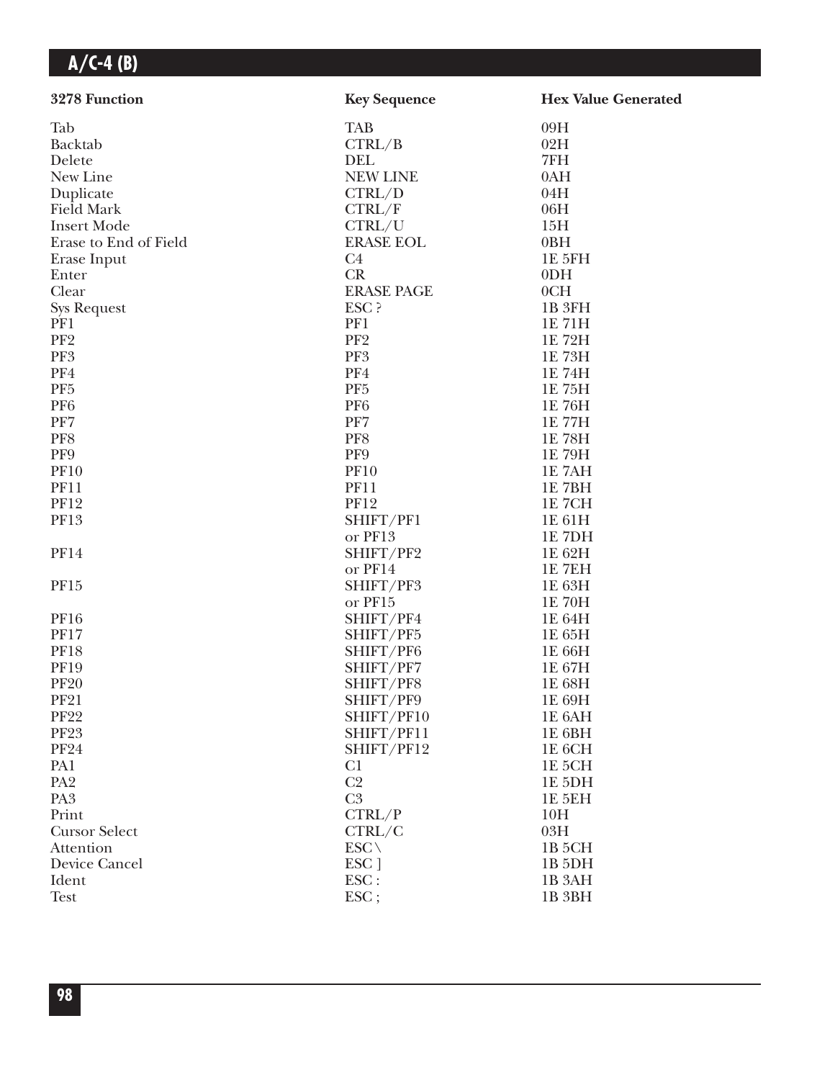| 3278 Function          | <b>Key Sequence</b>              | <b>Hex Value Generated</b> |
|------------------------|----------------------------------|----------------------------|
| Tab                    | <b>TAB</b>                       | 09H                        |
| Backtab                | CTRL/B                           | 02H                        |
| Delete                 | <b>DEL</b>                       | 7FH                        |
| New Line               | <b>NEW LINE</b>                  | 0AH                        |
| Duplicate              | CTRL/D                           | 04H                        |
| <b>Field Mark</b>      | CTRL/F                           | 06H                        |
| <b>Insert Mode</b>     | CTRL/U                           | 15H                        |
| Erase to End of Field  | <b>ERASE EOL</b>                 | 0BH                        |
| Erase Input            | C4                               | 1E 5FH                     |
| Enter                  | CR                               | 0 <sub>DH</sub>            |
| Clear                  | <b>ERASE PAGE</b>                | 0CH                        |
| <b>Sys Request</b>     | ESC ?                            | 1B <sub>3FH</sub>          |
| PF1                    | PF1                              | 1E 71H                     |
| PF <sub>2</sub>        | PF <sub>2</sub>                  | 1E 72H                     |
| PF3                    | PF3                              | 1E 73H                     |
| PF4                    | PF4                              | 1E 74H                     |
| PF <sub>5</sub>        | PF <sub>5</sub>                  | 1E 75H                     |
| PF <sub>6</sub>        | PF <sub>6</sub>                  | 1E 76H                     |
| PF7                    | PF7                              | 1E 77H                     |
| PF8                    | PF8                              | 1E 78H                     |
| PF9                    | PF9                              | 1E 79H                     |
| <b>PF10</b>            | <b>PF10</b>                      | 1E 7AH                     |
| <b>PF11</b>            | <b>PF11</b>                      | 1E 7BH                     |
| <b>PF12</b>            | <b>PF12</b>                      | <b>1E 7CH</b>              |
| PF13                   | SHIFT/PF1                        | 1E 61H                     |
|                        | or PF13                          | 1E 7DH                     |
| <b>PF14</b>            | SHIFT/PF2                        | 1E 62H                     |
|                        | or PF14                          | 1E 7EH                     |
| PF15                   | SHIFT/PF3                        | 1E 63H                     |
|                        | or PF15                          | 1E 70H                     |
| <b>PF16</b>            | SHIFT/PF4                        | 1E 64H                     |
| <b>PF17</b>            | SHIFT/PF5                        | 1E 65H                     |
| <b>PF18</b>            | SHIFT/PF6                        | 1E 66H                     |
| <b>PF19</b>            | SHIFT/PF7                        | 1E 67H                     |
| <b>PF20</b>            | SHIFT/PF8                        | 1E 68H                     |
| <b>PF21</b>            | SHIFT/PF9                        | 1E 69H                     |
| <b>PF22</b>            | SHIFT/PF10                       | 1E 6AH                     |
| <b>PF23</b>            | SHIFT/PF11                       | 1E 6BH                     |
| <b>PF24</b>            | SHIFT/PF12                       |                            |
|                        |                                  | 1E 6CH                     |
| PA1<br>PA <sub>2</sub> | C <sub>1</sub><br>C <sub>2</sub> | 1E 5CH                     |
| PA <sub>3</sub>        | C <sub>3</sub>                   | 1E 5DH                     |
|                        |                                  | <b>1E 5EH</b>              |
| Print                  | CTRL/P                           | 10H                        |
| <b>Cursor Select</b>   | CTRL/C                           | 03H                        |
| Attention              | $ESC \setminus$                  | 1B <sub>5</sub> CH         |
| Device Cancel          | ESC ]                            | 1B <sub>5</sub> DH         |
| Ident                  | ESC:                             | 1B 3AH                     |
| <b>Test</b>            | $\text{ESC}$ ;                   | 1B <sub>3BH</sub>          |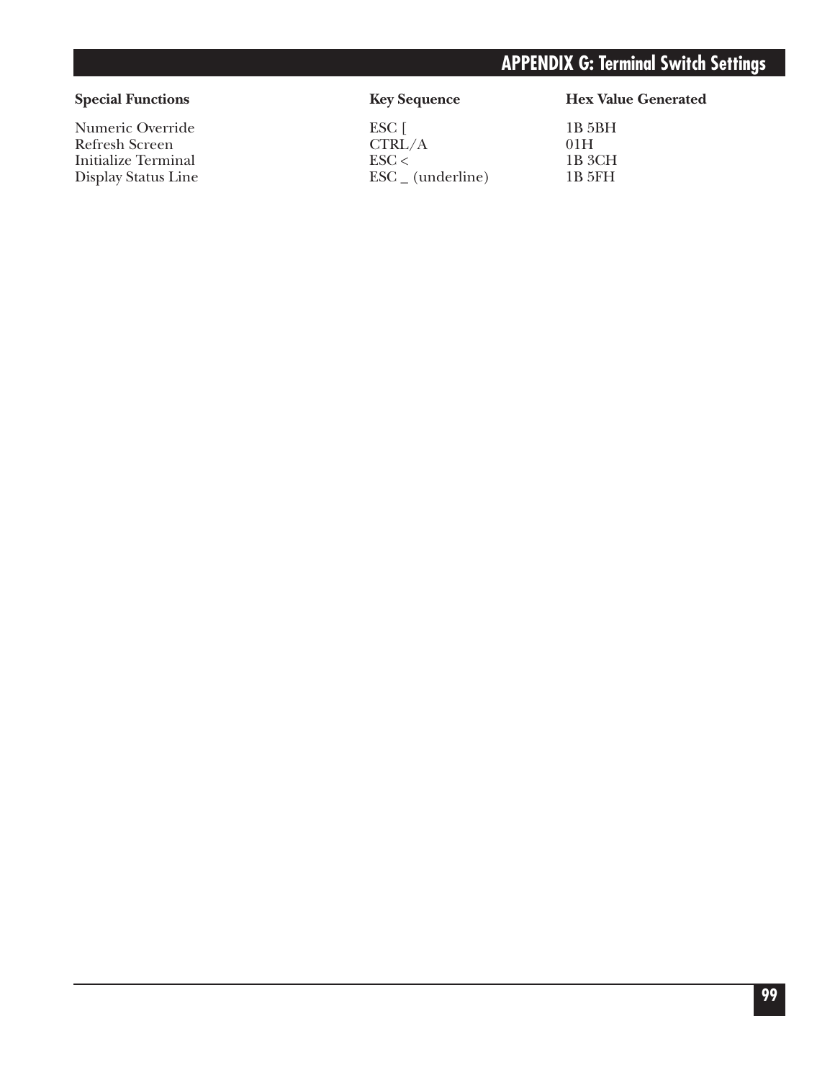## **APPENDIX G: Terminal Switch Settings**

Refresh Screen<br>
Initialize Terminal<br>
ESC <

Numeric Override ESC [ 1B 5BH<br>Refresh Screen CTRL/A 01H Initialize Terminal ESC < 1B 3CH<br>Display Status Line ESC (underline) 1B 5FH  $\text{ESC}_{-}$  (underline)

### Special Functions **Key Sequence** Hex Value Generated

| 1B 5BF |
|--------|
| 01H    |
| 1B 3CF |
| 1B 5FF |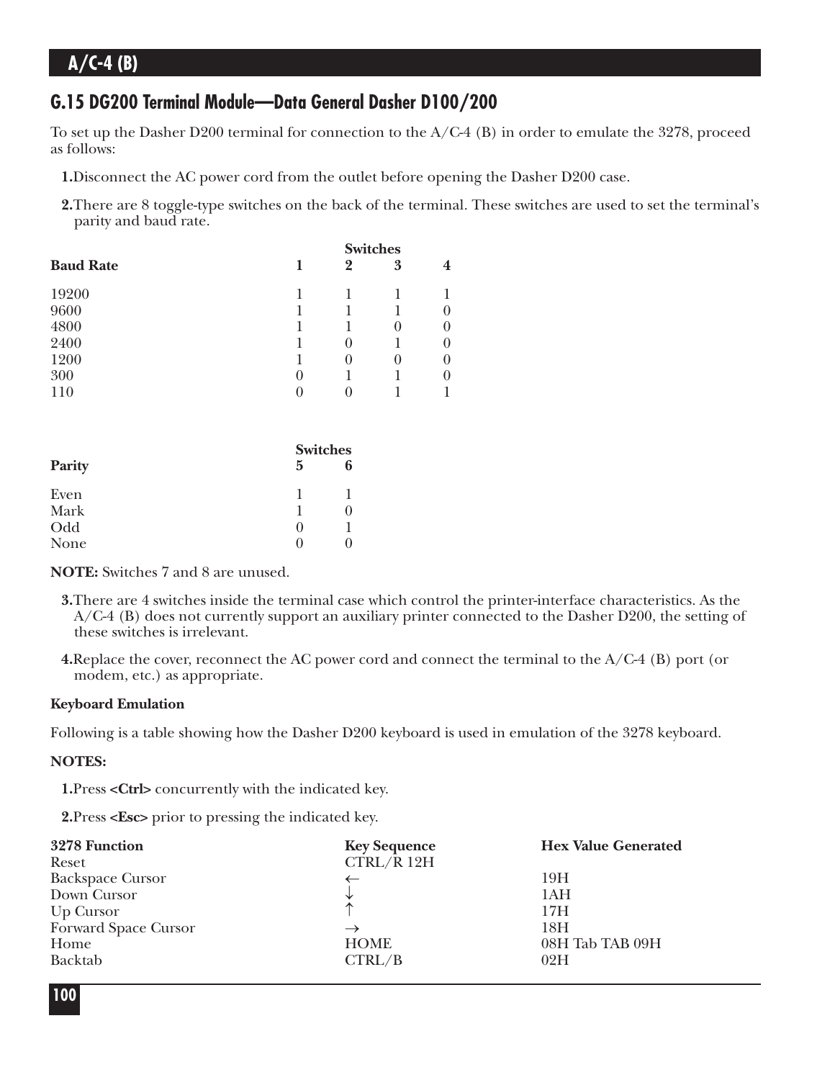### **G.15 DG200 Terminal Module—Data General Dasher D100/200**

To set up the Dasher D200 terminal for connection to the A/C-4 (B) in order to emulate the 3278, proceed as follows:

- **1.**Disconnect the AC power cord from the outlet before opening the Dasher D200 case.
- **2.**There are 8 toggle-type switches on the back of the terminal. These switches are used to set the terminal's parity and baud rate.

| 1                 | $\bf{2}$          | 3        | 4               |
|-------------------|-------------------|----------|-----------------|
|                   |                   |          |                 |
|                   |                   |          | $\theta$        |
|                   |                   | $\theta$ | $\theta$        |
|                   | $\theta$          |          | $\theta$        |
|                   | $\mathbf{\Omega}$ | $_{0}$   | $\theta$        |
| $_{0}$            |                   |          | $\theta$        |
| $\mathbf{\Omega}$ |                   |          |                 |
|                   |                   |          | <b>Switches</b> |

|        |        | <b>Switches</b> |
|--------|--------|-----------------|
| Parity | 5      | 6               |
| Even   |        |                 |
| Mark   |        |                 |
| Odd    | $\cup$ |                 |
| None   |        |                 |

**NOTE:** Switches 7 and 8 are unused.

- **3.**There are 4 switches inside the terminal case which control the printer-interface characteristics. As the A/C-4 (B) does not currently support an auxiliary printer connected to the Dasher D200, the setting of these switches is irrelevant.
- **4.**Replace the cover, reconnect the AC power cord and connect the terminal to the A/C-4 (B) port (or modem, etc.) as appropriate.

#### **Keyboard Emulation**

Following is a table showing how the Dasher D200 keyboard is used in emulation of the 3278 keyboard.

#### **NOTES:**

**1.**Press **<Ctrl>** concurrently with the indicated key.

**2.**Press **<Esc>** prior to pressing the indicated key.

| 3278 Function           | <b>Key Sequence</b> | <b>Hex Value Generated</b> |
|-------------------------|---------------------|----------------------------|
| Reset                   | CTRL/R 12H          |                            |
| <b>Backspace Cursor</b> |                     | 19H                        |
| Down Cursor             |                     | 1AH                        |
| Up Cursor               | ∧                   | 17H                        |
| Forward Space Cursor    | $\rightarrow$       | 18H                        |
| Home                    | <b>HOME</b>         | 08H Tab TAB 09H            |
| Backtab                 | CTRL/B              | 02H                        |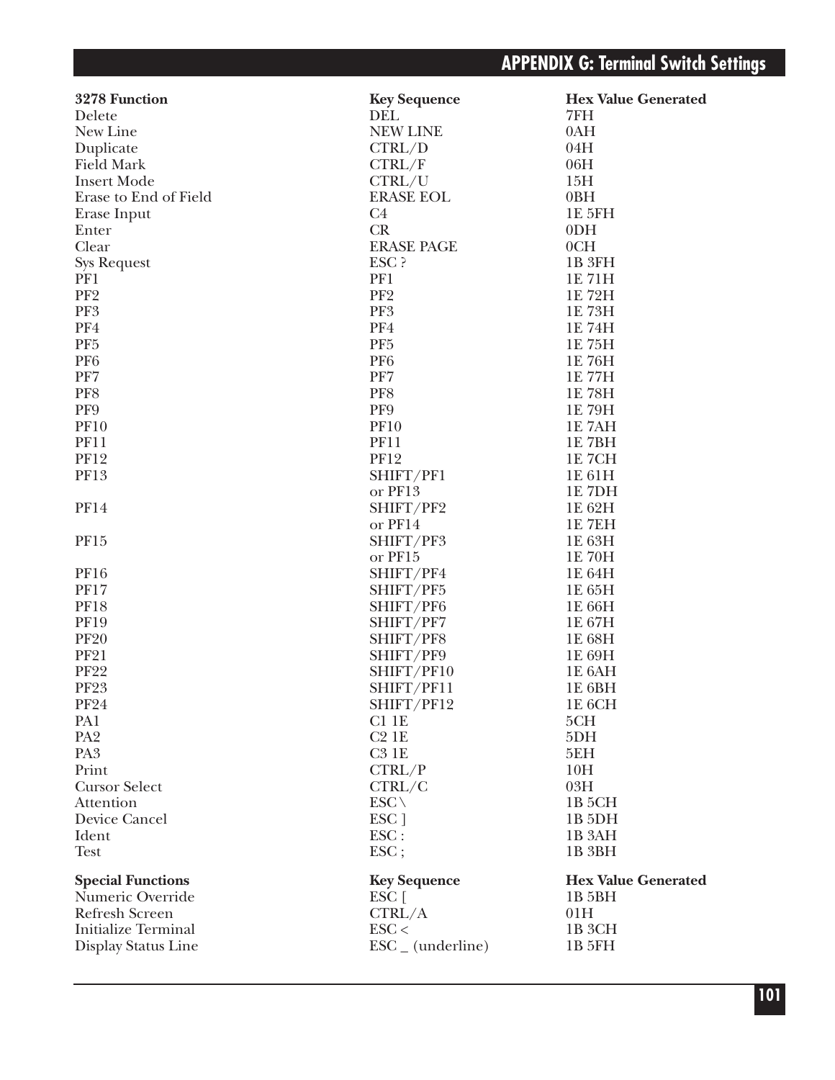| 3278 Function              | <b>Key Sequence</b>          | <b>Hex Value Generated</b> |
|----------------------------|------------------------------|----------------------------|
| Delete                     | DEL                          | 7FH                        |
| New Line                   | <b>NEW LINE</b>              | 0AH                        |
| Duplicate                  | CTRL/D                       | 04H                        |
| <b>Field Mark</b>          | CTRL/F                       | 06H                        |
| <b>Insert Mode</b>         | CTRL/U                       | 15H                        |
| Erase to End of Field      | <b>ERASE EOL</b>             | 0BH                        |
| Erase Input                | C <sub>4</sub>               | 1E 5FH                     |
| Enter                      | CR                           | 0 <sub>DH</sub>            |
| Clear                      | <b>ERASE PAGE</b>            | 0CH                        |
| <b>Sys Request</b>         | ESC ?                        | 1B <sub>3FH</sub>          |
| PF1                        | PF1                          | 1E 71H                     |
| PF <sub>2</sub>            | PF <sub>2</sub>              | 1E 72H                     |
| PF3                        | PF3                          | 1E 73H                     |
| PF4                        | PF4                          | 1E 74H                     |
| PF <sub>5</sub>            | PF <sub>5</sub>              | 1E 75H                     |
| PF <sub>6</sub>            | PF <sub>6</sub>              | 1E 76H                     |
| PF7                        | PF7                          | 1E 77H                     |
| PF8                        | PF8                          | 1E 78H                     |
| PF9                        | PF9                          | 1E 79H                     |
| <b>PF10</b>                | <b>PF10</b>                  | 1E 7AH                     |
| <b>PF11</b>                | <b>PF11</b>                  | 1E 7BH                     |
| <b>PF12</b>                | <b>PF12</b>                  | <b>1E 7CH</b>              |
| <b>PF13</b>                | SHIFT/PF1                    | 1E 61H                     |
|                            | or PF13                      | 1E 7DH                     |
| <b>PF14</b>                | SHIFT/PF2                    | 1E 62H                     |
|                            | or PF14                      | 1E 7EH                     |
| PF15                       | SHIFT/PF3                    | 1E 63H                     |
|                            | or PF15                      | 1E 70H                     |
| <b>PF16</b>                | SHIFT/PF4                    | 1E 64H                     |
| <b>PF17</b>                | SHIFT/PF5                    | 1E 65H                     |
| <b>PF18</b>                | SHIFT/PF6                    | 1E 66H                     |
| <b>PF19</b>                | SHIFT/PF7                    | 1E 67H                     |
| <b>PF20</b>                | SHIFT/PF8                    | 1E 68H                     |
|                            |                              |                            |
| <b>PF21</b>                | SHIFT/PF9                    | 1E 69H                     |
| <b>PF22</b>                | SHIFT/PF10                   | 1E 6AH                     |
| <b>PF23</b>                | SHIFT/PF11                   | 1E 6BH                     |
| PF24                       | SHIFT/PF12                   | 1E 6CH                     |
| PA1                        | C1 1E                        | 5CH                        |
| PA <sub>2</sub>            | C21E                         | 5 <sub>DH</sub>            |
| PA <sub>3</sub>            | C31E                         | 5EH                        |
| Print                      | CTRL/P                       | 10H                        |
| <b>Cursor Select</b>       | CTRL/C                       | 03H                        |
| Attention                  | $ESC \setminus$              | 1B <sub>5</sub> CH         |
| Device Cancel              | ESC <sub>1</sub>             | 1B <sub>5</sub> DH         |
| Ident                      | ESC:                         | 1B <sub>3</sub> AH         |
| <b>Test</b>                | ESC;                         | 1B 3BH                     |
| <b>Special Functions</b>   | <b>Key Sequence</b>          | <b>Hex Value Generated</b> |
| Numeric Override           | ESC [                        | 1B 5BH                     |
| <b>Refresh Screen</b>      | CTRL/A                       | 01H                        |
| <b>Initialize Terminal</b> | $\text{ESC}$                 | 1B 3CH                     |
| Display Status Line        | $\text{ESC}_{-}$ (underline) | 1B 5FH                     |
|                            |                              |                            |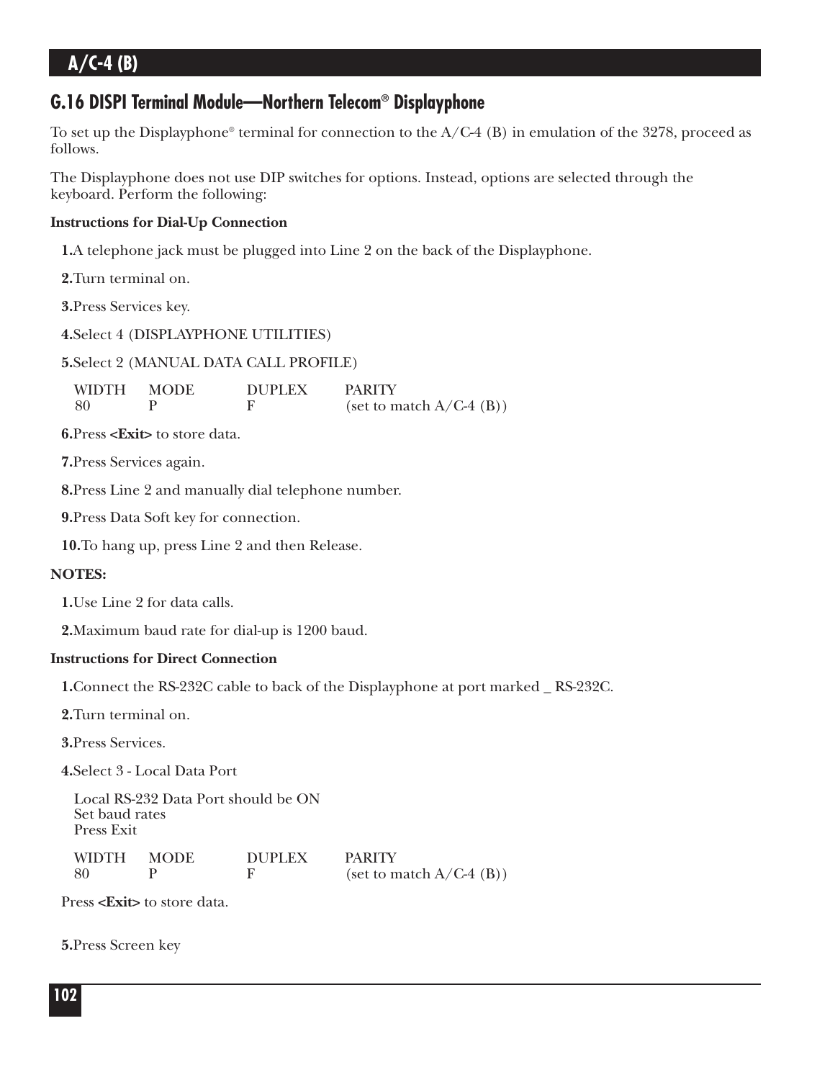### **G.16 DISPI Terminal Module—Northern Telecom® Displayphone**

To set up the Displayphone<sup>®</sup> terminal for connection to the  $A/C-4$  (B) in emulation of the 3278, proceed as follows.

The Displayphone does not use DIP switches for options. Instead, options are selected through the keyboard. Perform the following:

### **Instructions for Dial-Up Connection**

**1.**A telephone jack must be plugged into Line 2 on the back of the Displayphone.

**2.**Turn terminal on.

**3.**Press Services key.

**4.**Select 4 (DISPLAYPHONE UTILITIES)

**5.**Select 2 (MANUAL DATA CALL PROFILE)

WIDTH MODE DUPLEX PARITY 80 P F (set to match  $A/C-4$  (B))

**6.**Press **<Exit>** to store data.

**7.**Press Services again.

**8.**Press Line 2 and manually dial telephone number.

**9.**Press Data Soft key for connection.

**10.**To hang up, press Line 2 and then Release.

### **NOTES:**

**1.**Use Line 2 for data calls.

**2.**Maximum baud rate for dial-up is 1200 baud.

### **Instructions for Direct Connection**

**1.**Connect the RS-232C cable to back of the Displayphone at port marked \_ RS-232C.

**2.**Turn terminal on.

**3.**Press Services.

**4.**Select 3 - Local Data Port

Local RS-232 Data Port should be ON Set baud rates Press Exit

| <b>WIDTH</b> | <b>MODE</b> | DUPLEX | <b>PARITY</b>              |
|--------------|-------------|--------|----------------------------|
| -80          |             |        | (set to match $A/C-4$ (B)) |

Press **<Exit>** to store data.

**5.**Press Screen key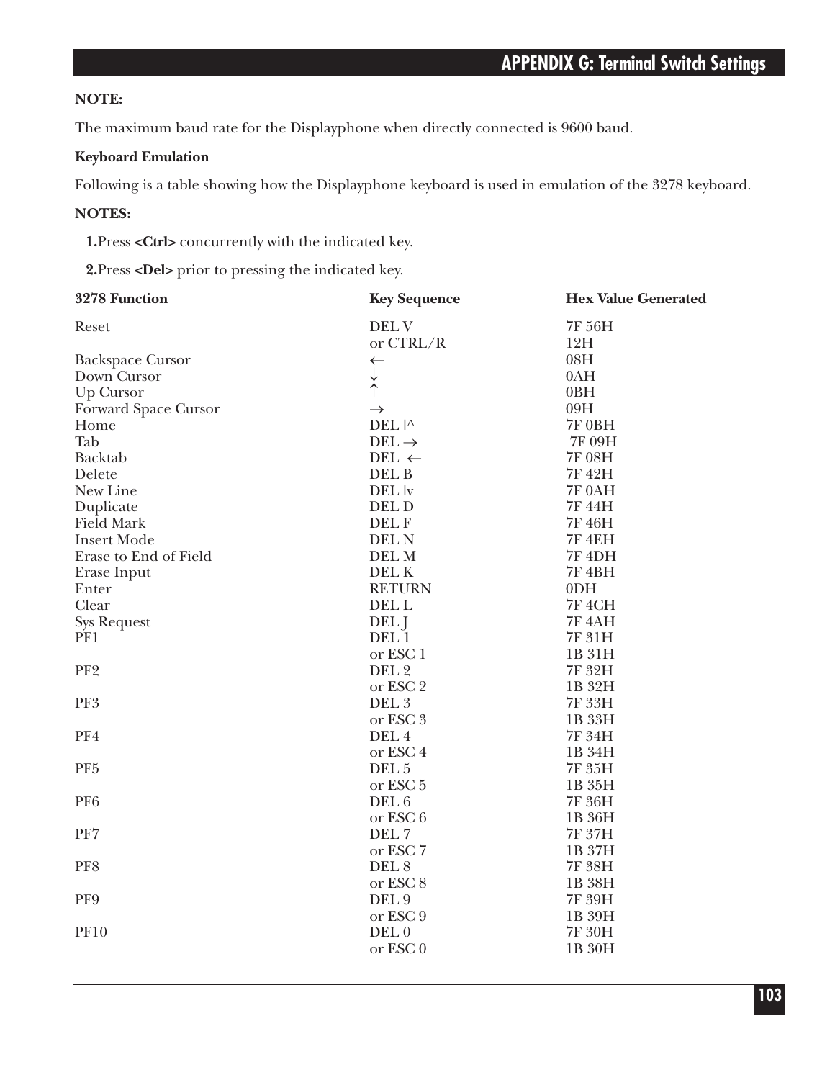### **NOTE:**

The maximum baud rate for the Displayphone when directly connected is 9600 baud.

### **Keyboard Emulation**

Following is a table showing how the Displayphone keyboard is used in emulation of the 3278 keyboard.

### **NOTES:**

**1.**Press **<Ctrl>** concurrently with the indicated key.

**2.**Press **<Del>** prior to pressing the indicated key.

| 3278 Function           | <b>Key Sequence</b> | <b>Hex Value Generated</b> |
|-------------------------|---------------------|----------------------------|
| Reset                   | DEL V               | 7F 56H                     |
|                         | or CTRL/R           | 12H                        |
| <b>Backspace Cursor</b> | $\leftarrow$        | 08H                        |
| Down Cursor             | $\downarrow$        | 0AH                        |
| <b>Up Cursor</b>        |                     | 0BH                        |
| Forward Space Cursor    | $\rightarrow$       | 09H                        |
| Home                    | DEL I^              | 7F 0BH                     |
| Tab                     | $DEL \rightarrow$   | 7F 09H                     |
| Backtab                 | DEL $\leftarrow$    | 7F 08H                     |
| Delete                  | DEL B               | 7F 42H                     |
| New Line                | DEL <i>v</i>        | 7F 0AH                     |
| Duplicate               | DEL D               | 7F 44H                     |
| <b>Field Mark</b>       | DEL F               | 7F 46H                     |
| <b>Insert Mode</b>      | DEL N               | 7F 4EH                     |
| Erase to End of Field   | DEL M               | <b>7F 4DH</b>              |
| Erase Input             | DEL K               | <b>7F 4BH</b>              |
| Enter                   | <b>RETURN</b>       | 0 <sub>DH</sub>            |
| Clear                   | DEL L               | <b>7F 4CH</b>              |
| <b>Sys Request</b>      | DEL J               | <b>7F 4AH</b>              |
| PF1                     | DEL 1               | 7F 31H                     |
|                         | or ESC <sub>1</sub> | 1B 31H                     |
| PF <sub>2</sub>         | DEL <sub>2</sub>    | 7F 32H                     |
|                         | or ESC 2            | 1B 32H                     |
| PF3                     | DEL <sub>3</sub>    | 7F 33H                     |
|                         | or ESC <sub>3</sub> | 1B 33H                     |
| PF4                     | DEL 4               | 7F 34H                     |
|                         | or ESC <sub>4</sub> | 1B 34H                     |
| PF <sub>5</sub>         | DEL <sub>5</sub>    | 7F 35H                     |
|                         | or ESC <sub>5</sub> | 1B 35H                     |
| PF <sub>6</sub>         | DEL 6               | 7F 36H                     |
|                         | or ESC 6            | 1B 36H                     |
| PF7                     | DEL 7               | 7F 37H                     |
|                         | or ESC <sub>7</sub> | 1B 37H                     |
| PF8                     | DEL <sub>8</sub>    | 7F 38H                     |
|                         | or ESC <sub>8</sub> | 1B 38H                     |
| PF9                     | DEL 9               | 7F 39H                     |
|                         | or ESC 9            | 1B 39H                     |
| <b>PF10</b>             | DEL <sub>0</sub>    | 7F 30H                     |
|                         | or ESC <sub>0</sub> | 1B 30H                     |
|                         |                     |                            |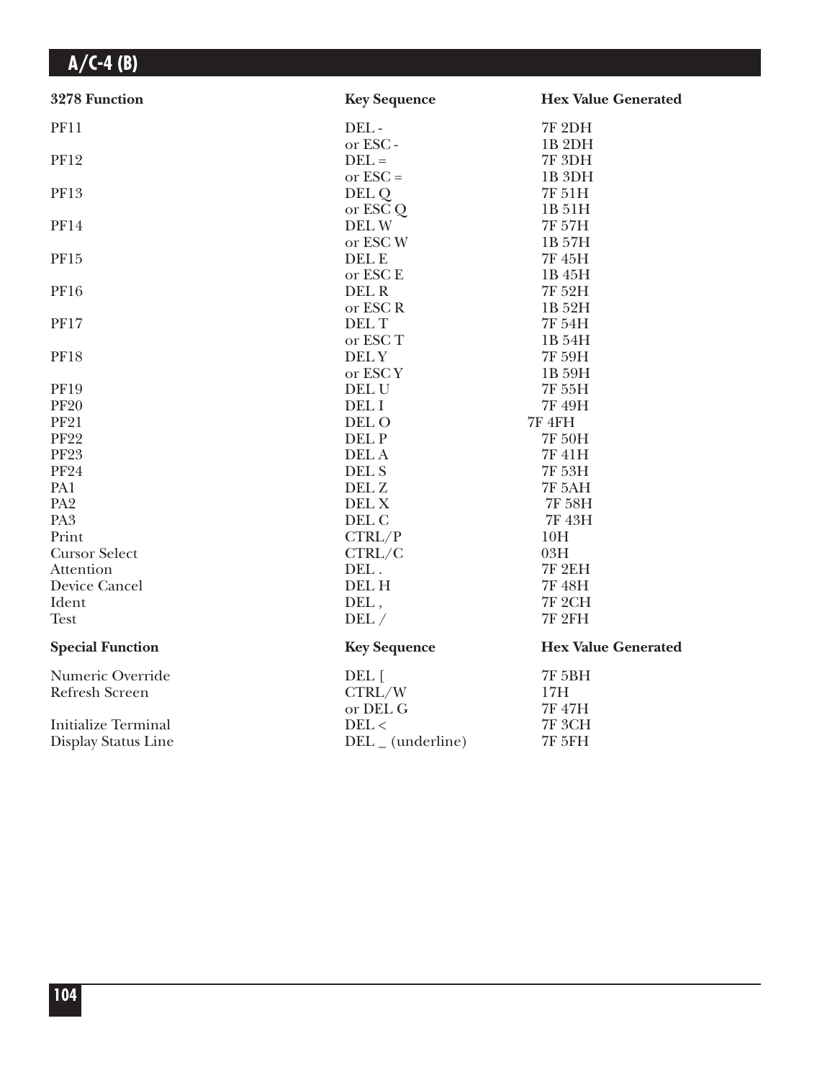| 3278 Function              | <b>Key Sequence</b> | <b>Hex Value Generated</b> |
|----------------------------|---------------------|----------------------------|
| <b>PF11</b>                | DEL-                | <b>7F 2DH</b>              |
|                            | or ESC-             | 1B 2DH                     |
| <b>PF12</b>                | $DEL =$             | <b>7F 3DH</b>              |
|                            | or $\text{ESC} =$   | 1B <sub>3DH</sub>          |
| <b>PF13</b>                | DEL Q               | 7F 51H                     |
|                            | or ESC Q            | 1B 51H                     |
| <b>PF14</b>                | DEL W               | 7F 57H                     |
|                            | or ESC W            | 1B 57H                     |
| PF15                       | DEL E               | 7F 45H                     |
|                            | or ESC E            | 1B 45H                     |
| <b>PF16</b>                | DEL R               | 7F 52H                     |
|                            | or ESC R            | 1B 52H                     |
| <b>PF17</b>                | <b>DELT</b>         | 7F 54H                     |
|                            | or ESC T            | 1B 54H                     |
| <b>PF18</b>                | <b>DELY</b>         | 7F 59H                     |
|                            | or ESCY             | 1B 59H                     |
| <b>PF19</b>                | DEL U               | 7F 55H                     |
| <b>PF20</b>                | DEL I               | 7F 49H                     |
| <b>PF21</b>                | DEL O               | <b>7F 4FH</b>              |
| <b>PF22</b>                | DEL P               | 7F 50H                     |
| <b>PF23</b>                | DEL A               | 7F 41H                     |
| <b>PF24</b>                | DEL S               | 7F 53H                     |
| PA1                        | DEL Z               | <b>7F 5AH</b>              |
| PA <sub>2</sub>            | DEL X               | <b>7F 58H</b>              |
| PA <sub>3</sub>            | DEL C               | 7F 43H                     |
| Print                      | CTRL/P              | 10H                        |
| <b>Cursor Select</b>       | CTRL/C              | 03H                        |
| Attention                  | DEL.                | <b>7F 2EH</b>              |
| <b>Device Cancel</b>       | <b>DELH</b>         | 7F 48H                     |
| Ident                      | DEL,                | <b>7F 2CH</b>              |
| <b>Test</b>                | DEL/                | <b>7F 2FH</b>              |
| <b>Special Function</b>    | <b>Key Sequence</b> | <b>Hex Value Generated</b> |
| Numeric Override           | DEL [               | <b>7F 5BH</b>              |
| Refresh Screen             | CTRL/W              | 17H                        |
|                            | or DEL G            | 7F 47H                     |
| <b>Initialize Terminal</b> | DEL <               | <b>7F 3CH</b>              |
| Display Status Line        | $DEL$ (underline)   | <b>7F 5FH</b>              |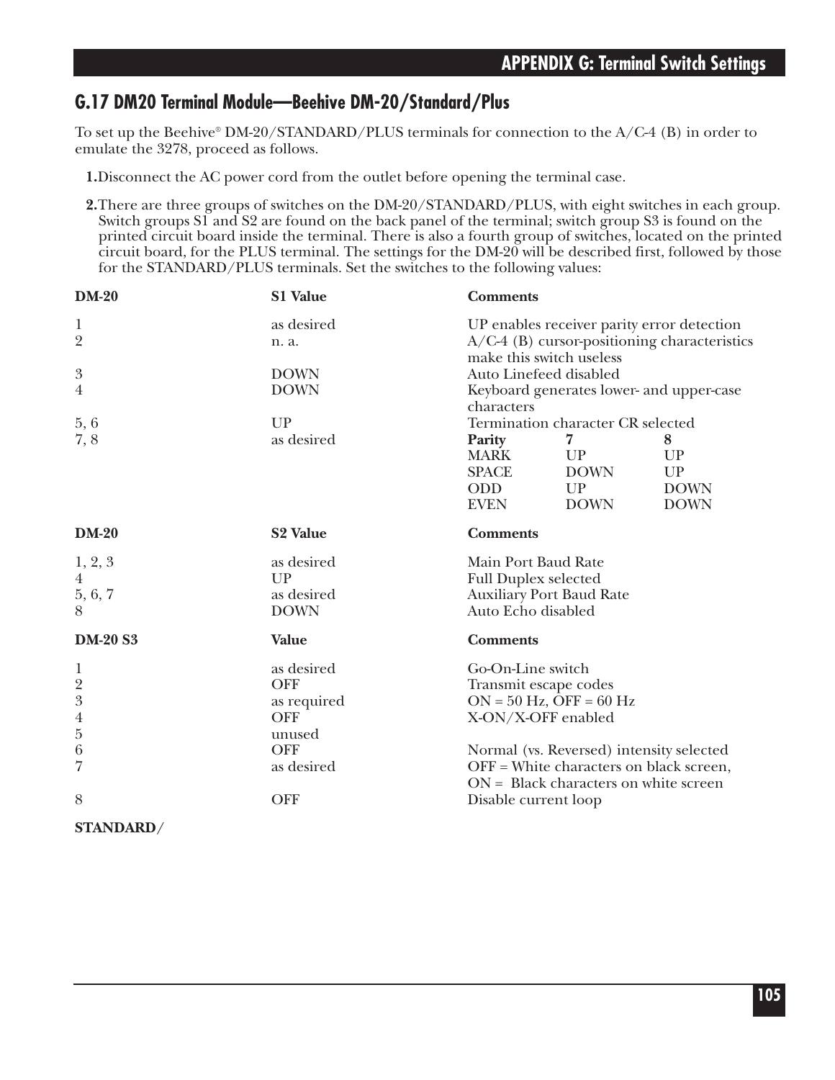### **G.17 DM20 Terminal Module—Beehive DM-20/Standard/Plus**

To set up the Beehive® DM-20/STANDARD/PLUS terminals for connection to the A/C-4 (B) in order to emulate the 3278, proceed as follows.

- **1.**Disconnect the AC power cord from the outlet before opening the terminal case.
- **2.**There are three groups of switches on the DM-20/STANDARD/PLUS, with eight switches in each group. Switch groups S1 and S2 are found on the back panel of the terminal; switch group S3 is found on the printed circuit board inside the terminal. There is also a fourth group of switches, located on the printed circuit board, for the PLUS terminal. The settings for the DM-20 will be described first, followed by those for the STANDARD/PLUS terminals. Set the switches to the following values:

| <b>DM-20</b>     | S1 Value                   | <b>Comments</b>                                                    |                                                                                    |             |
|------------------|----------------------------|--------------------------------------------------------------------|------------------------------------------------------------------------------------|-------------|
| 1                | as desired                 | UP enables receiver parity error detection                         |                                                                                    |             |
| $\overline{2}$   | n. a.                      | A/C-4 (B) cursor-positioning characteristics                       |                                                                                    |             |
|                  |                            | make this switch useless                                           |                                                                                    |             |
| $\boldsymbol{3}$ | <b>DOWN</b><br><b>DOWN</b> | Auto Linefeed disabled<br>Keyboard generates lower- and upper-case |                                                                                    |             |
| 4                |                            | characters                                                         |                                                                                    |             |
| 5,6              | UP                         |                                                                    |                                                                                    |             |
| 7,8              | as desired                 | Termination character CR selected<br>7<br>Parity                   |                                                                                    | 8           |
|                  |                            | <b>MARK</b>                                                        | UP                                                                                 | UP          |
|                  |                            | <b>SPACE</b>                                                       | <b>DOWN</b>                                                                        | UP          |
|                  |                            | <b>ODD</b>                                                         | UP                                                                                 | <b>DOWN</b> |
|                  |                            | <b>EVEN</b>                                                        | <b>DOWN</b>                                                                        | <b>DOWN</b> |
| <b>DM-20</b>     | <b>S2 Value</b>            | <b>Comments</b>                                                    |                                                                                    |             |
| 1, 2, 3          | as desired                 | Main Port Baud Rate                                                |                                                                                    |             |
| $\overline{4}$   | UP                         | <b>Full Duplex selected</b>                                        |                                                                                    |             |
| 5, 6, 7          | as desired                 | <b>Auxiliary Port Baud Rate</b>                                    |                                                                                    |             |
|                  | <b>DOWN</b>                | Auto Echo disabled                                                 |                                                                                    |             |
| <b>DM-20 S3</b>  | <b>Value</b>               | <b>Comments</b>                                                    |                                                                                    |             |
| 1                | as desired                 | Go-On-Line switch                                                  |                                                                                    |             |
| $\overline{2}$   | <b>OFF</b>                 | Transmit escape codes                                              |                                                                                    |             |
| $\sqrt{3}$       | as required                | $ON = 50$ Hz, OFF = 60 Hz                                          |                                                                                    |             |
| $\,4\,$          | <b>OFF</b>                 |                                                                    | X-ON/X-OFF enabled                                                                 |             |
| $\bf 5$          | unused                     |                                                                    |                                                                                    |             |
| 6                | <b>OFF</b>                 |                                                                    | Normal (vs. Reversed) intensity selected                                           |             |
| 7                | as desired                 |                                                                    | OFF = White characters on black screen,<br>$ON = Black characters on white screen$ |             |
| 8                | <b>OFF</b>                 | Disable current loop                                               |                                                                                    |             |
| STANDARD/        |                            |                                                                    |                                                                                    |             |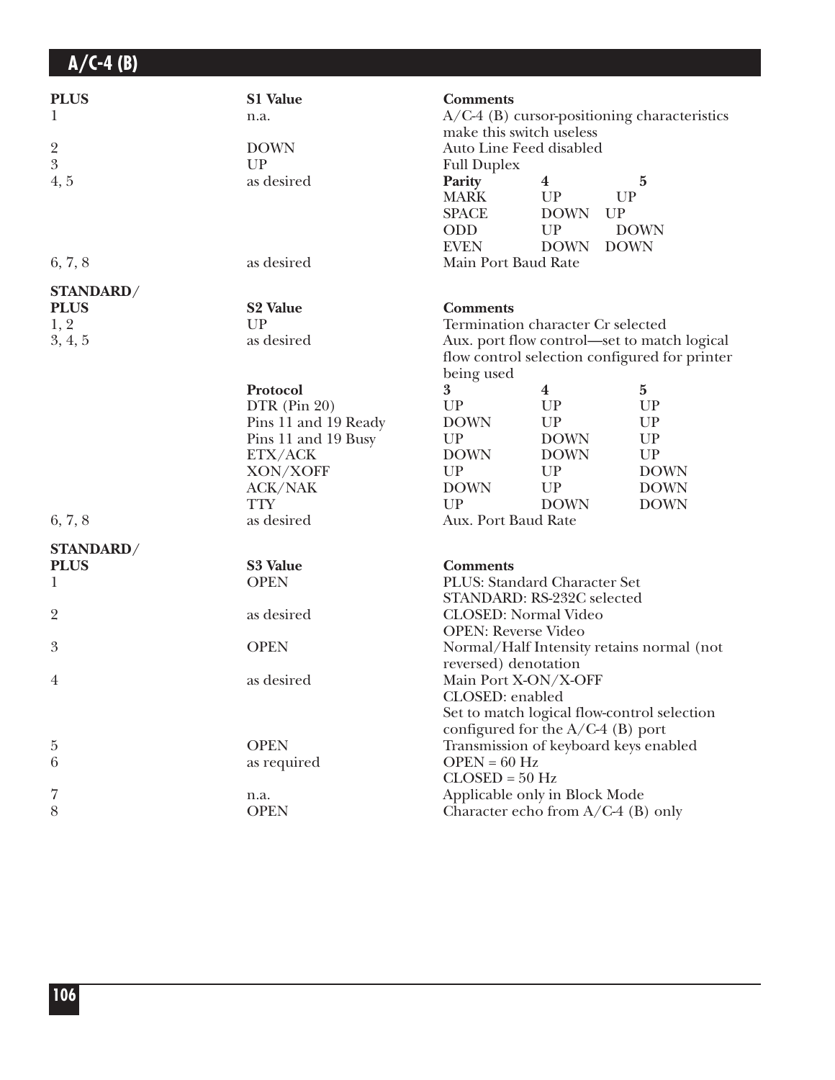| <b>PLUS</b><br>1                 | S1 Value<br>n.a.     | <b>Comments</b><br>make this switch useless                                                                |                                                            | $A/C-4$ (B) cursor-positioning characteristics         |
|----------------------------------|----------------------|------------------------------------------------------------------------------------------------------------|------------------------------------------------------------|--------------------------------------------------------|
| $\overline{2}$<br>$\overline{3}$ | <b>DOWN</b>          | Auto Line Feed disabled                                                                                    |                                                            |                                                        |
| 4, 5                             | UP<br>as desired     | <b>Full Duplex</b><br>Parity<br><b>MARK</b><br><b>SPACE</b><br><b>ODD</b><br><b>EVEN</b>                   | $\boldsymbol{4}$<br>UP<br><b>DOWN</b><br>UP<br><b>DOWN</b> | $\mathbf{5}$<br>UP<br>UP<br><b>DOWN</b><br><b>DOWN</b> |
| 6, 7, 8                          | as desired           | Main Port Baud Rate                                                                                        |                                                            |                                                        |
| STANDARD/                        |                      |                                                                                                            |                                                            |                                                        |
| <b>PLUS</b>                      | <b>S2 Value</b>      | <b>Comments</b>                                                                                            |                                                            |                                                        |
| 1, 2                             | UP                   | Termination character Cr selected                                                                          |                                                            |                                                        |
| 3, 4, 5                          | as desired           | Aux. port flow control—set to match logical<br>flow control selection configured for printer<br>being used |                                                            |                                                        |
|                                  | Protocol             | 3                                                                                                          | 4                                                          | 5                                                      |
|                                  | DTR (Pin 20)         | UP                                                                                                         | UP                                                         | UP                                                     |
|                                  | Pins 11 and 19 Ready | <b>DOWN</b>                                                                                                | UP                                                         | UP                                                     |
|                                  | Pins 11 and 19 Busy  | UP                                                                                                         | <b>DOWN</b>                                                | UP                                                     |
|                                  | ETX/ACK              | <b>DOWN</b>                                                                                                | <b>DOWN</b>                                                | UP                                                     |
|                                  | XON/XOFF             | UP                                                                                                         | UP                                                         | <b>DOWN</b>                                            |
|                                  | <b>ACK/NAK</b>       | <b>DOWN</b>                                                                                                | UP                                                         | <b>DOWN</b>                                            |
|                                  | <b>TTY</b>           | UP                                                                                                         | <b>DOWN</b>                                                | <b>DOWN</b>                                            |
| 6, 7, 8                          | as desired           | Aux. Port Baud Rate                                                                                        |                                                            |                                                        |
| STANDARD/                        |                      |                                                                                                            |                                                            |                                                        |
| <b>PLUS</b>                      | S3 Value             | <b>Comments</b>                                                                                            |                                                            |                                                        |
| 1                                | <b>OPEN</b>          | PLUS: Standard Character Set                                                                               |                                                            |                                                        |
|                                  |                      | STANDARD: RS-232C selected                                                                                 |                                                            |                                                        |
| $\overline{2}$                   | as desired           | <b>CLOSED:</b> Normal Video                                                                                |                                                            |                                                        |
|                                  | <b>OPEN</b>          | <b>OPEN: Reverse Video</b>                                                                                 |                                                            |                                                        |
| 3                                |                      | reversed) denotation                                                                                       |                                                            | Normal/Half Intensity retains normal (not              |
| $\overline{4}$                   | as desired           | Main Port X-ON/X-OFF                                                                                       |                                                            |                                                        |
|                                  |                      | CLOSED: enabled                                                                                            |                                                            |                                                        |
|                                  |                      |                                                                                                            |                                                            | Set to match logical flow-control selection            |
|                                  |                      | configured for the $A/C-4$ (B) port                                                                        |                                                            |                                                        |
| 5                                | <b>OPEN</b>          | Transmission of keyboard keys enabled                                                                      |                                                            |                                                        |
| 6                                | as required          | $OPEN = 60 Hz$                                                                                             |                                                            |                                                        |
|                                  |                      | $CLOSED = 50 Hz$                                                                                           |                                                            |                                                        |
| 7                                | n.a.                 | Applicable only in Block Mode                                                                              |                                                            |                                                        |
| 8                                | <b>OPEN</b>          | Character echo from $A/C-4$ (B) only                                                                       |                                                            |                                                        |
|                                  |                      |                                                                                                            |                                                            |                                                        |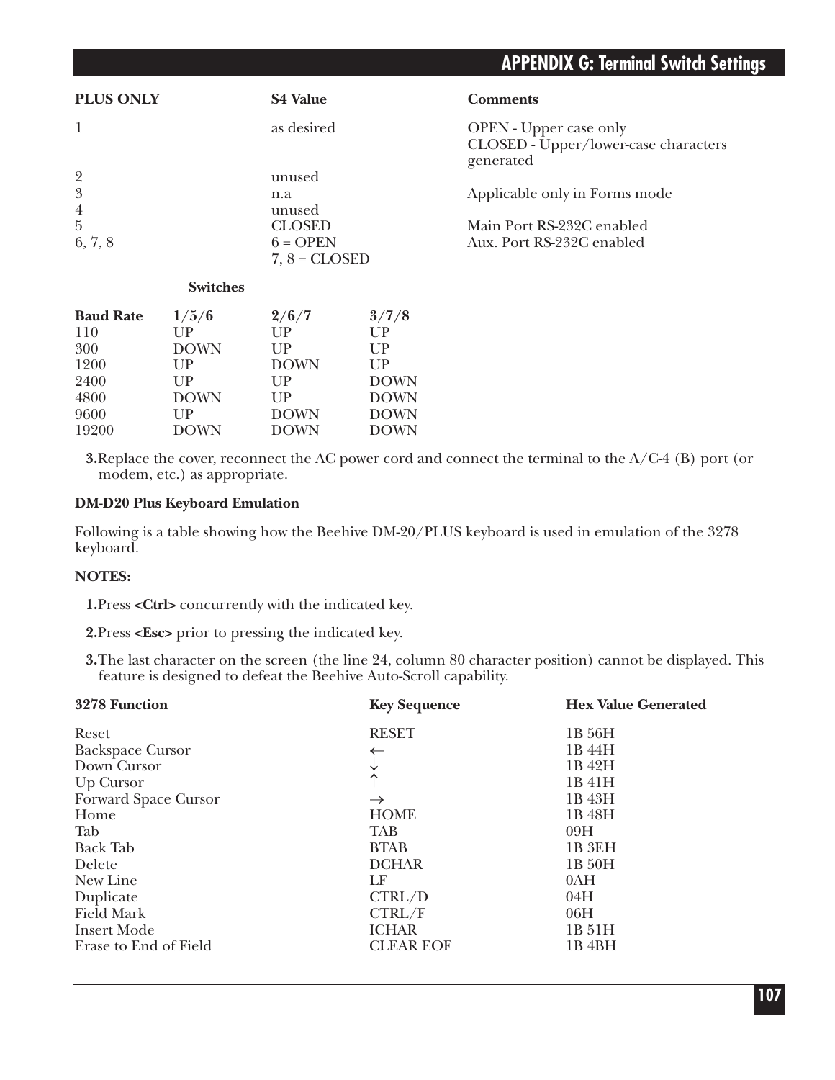## **APPENDIX G: Terminal Switch Settings**

| <b>PLUS ONLY</b> | <b>S4 Value</b>               | <b>Comments</b>                                                                    |
|------------------|-------------------------------|------------------------------------------------------------------------------------|
|                  | as desired                    | <b>OPEN</b> - Upper case only<br>CLOSED - Upper/lower-case characters<br>generated |
| $\overline{2}$   | unused                        |                                                                                    |
| 3                | n.a                           | Applicable only in Forms mode                                                      |
| $\overline{4}$   | unused                        |                                                                                    |
| $\overline{5}$   | <b>CLOSED</b>                 | Main Port RS-232C enabled                                                          |
| 6, 7, 8          | $6 =$ OPEN<br>$7, 8 = CLOSED$ | Aux. Port RS-232C enabled                                                          |

#### **Switches**

| <b>Baud Rate</b> | 1/5/6       | 2/6/7          | 3/7/8          |
|------------------|-------------|----------------|----------------|
| 110              | $_{\rm UP}$ | UP             | UP             |
| 300              | <b>DOWN</b> | $_{\text{HP}}$ | $_{\text{HP}}$ |
| 1200             | UP          | <b>DOWN</b>    | UP             |
| 2400             | UP          | UP             | <b>DOWN</b>    |
| 4800             | <b>DOWN</b> | UP             | <b>DOWN</b>    |
| 9600             | $_{\rm UP}$ | <b>DOWN</b>    | <b>DOWN</b>    |
| 19200            | <b>DOWN</b> | <b>DOWN</b>    | <b>DOWN</b>    |

**3.**Replace the cover, reconnect the AC power cord and connect the terminal to the A/C-4 (B) port (or modem, etc.) as appropriate.

### **DM-D20 Plus Keyboard Emulation**

Following is a table showing how the Beehive DM-20/PLUS keyboard is used in emulation of the 3278 keyboard.

#### **NOTES:**

**1.**Press **<Ctrl>** concurrently with the indicated key.

**2.**Press **<Esc>** prior to pressing the indicated key.

**3.**The last character on the screen (the line 24, column 80 character position) cannot be displayed. This feature is designed to defeat the Beehive Auto-Scroll capability.

| 3278 Function           | <b>Key Sequence</b> | <b>Hex Value Generated</b> |
|-------------------------|---------------------|----------------------------|
| Reset                   | <b>RESET</b>        | 1B 56H                     |
| <b>Backspace Cursor</b> |                     | 1B 44H                     |
| Down Cursor             |                     | 1B 42H                     |
| Up Cursor               |                     | 1B 41H                     |
| Forward Space Cursor    | $\rightarrow$       | 1B 43H                     |
| Home                    | <b>HOME</b>         | 1B 48H                     |
| Tab                     | <b>TAB</b>          | 09H                        |
| <b>Back Tab</b>         | <b>BTAB</b>         | 1B 3EH                     |
| Delete                  | <b>DCHAR</b>        | 1B 50H                     |
| New Line                | LF                  | 0AH                        |
| Duplicate               | CTRL/D              | 04H                        |
| <b>Field Mark</b>       | CTRL/F              | 06H                        |
| <b>Insert Mode</b>      | <b>ICHAR</b>        | 1B 51H                     |
| Erase to End of Field   | <b>CLEAR EOF</b>    | 1B <sub>4</sub> BH         |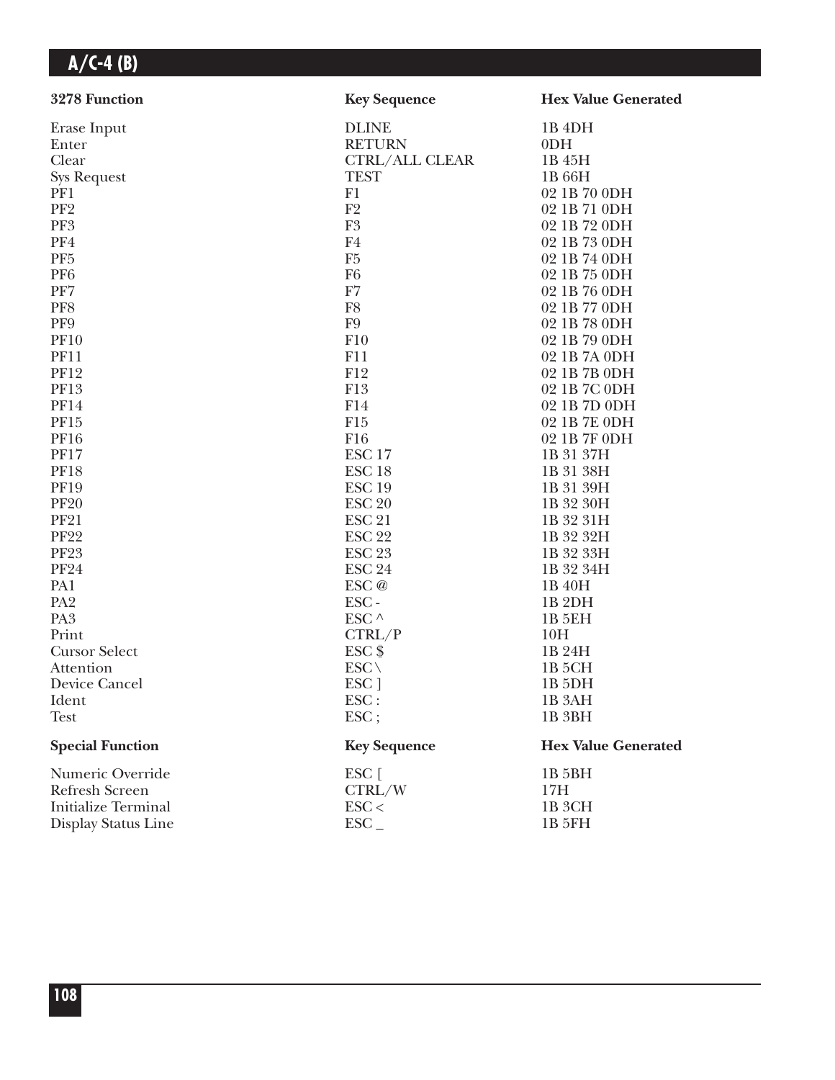| 3278 Function              | <b>Key Sequence</b>   | <b>Hex Value Generated</b> |
|----------------------------|-----------------------|----------------------------|
| Erase Input                | <b>DLINE</b>          | 1B <sub>4DH</sub>          |
| Enter                      | <b>RETURN</b>         | 0 <sub>DH</sub>            |
| Clear                      | <b>CTRL/ALL CLEAR</b> | 1B 45H                     |
| <b>Sys Request</b>         | <b>TEST</b>           | 1B 66H                     |
| PF1                        | F1                    | 02 1B 70 0DH               |
| PF <sub>2</sub>            | F <sub>2</sub>        | 02 1B 71 0DH               |
| PF3                        | ${\rm F}3$            | 02 1B 72 0DH               |
| PF4                        | F4                    | 02 1B 73 0DH               |
| PF <sub>5</sub>            | F <sub>5</sub>        | 02 1B 74 0DH               |
| PF <sub>6</sub>            | F <sub>6</sub>        | 02 1B 75 0DH               |
| PF7                        | F7                    | 02 1B 76 0DH               |
| PF8                        | F8                    | 02 1B 77 0DH               |
| PF9                        | F <sub>9</sub>        | 02 1B 78 0DH               |
| <b>PF10</b>                | F10                   | 02 1B 79 0DH               |
| <b>PF11</b>                | F11                   | 02 1B 7A 0DH               |
| <b>PF12</b>                | F12                   | 02 1B 7B 0DH               |
| <b>PF13</b>                | F13                   | 02 1B 7C 0DH               |
| <b>PF14</b>                | F14                   | 02 1B 7D 0DH               |
| PF15                       | F15                   | 02 1B 7E 0DH               |
| <b>PF16</b>                | F16                   | 02 1B 7F 0DH               |
| <b>PF17</b>                | ESC <sub>17</sub>     | 1B 31 37H                  |
| <b>PF18</b>                | ESC <sub>18</sub>     | 1B 31 38H                  |
| <b>PF19</b>                | ESC <sub>19</sub>     | 1B 31 39H                  |
| <b>PF20</b>                | <b>ESC 20</b>         | 1B 32 30H                  |
| <b>PF21</b>                | <b>ESC 21</b>         | 1B 32 31H                  |
| <b>PF22</b>                | <b>ESC 22</b>         | 1B 32 32H                  |
| <b>PF23</b>                | <b>ESC 23</b>         | 1B 32 33H                  |
| <b>PF24</b>                | <b>ESC 24</b>         | 1B 32 34H                  |
| PA1                        | ESC @                 | 1B 40H                     |
| PA <sub>2</sub>            | ESC-                  | 1B <sub>2DH</sub>          |
| PA <sub>3</sub>            | ESC $\wedge$          | <b>1B 5EH</b>              |
| Print                      | CTRL/P                | 10H                        |
| <b>Cursor Select</b>       | $ESC$ \$              | 1B 24H                     |
| Attention                  | $ESC \setminus$       | 1B <sub>5</sub> CH         |
| Device Cancel              | ESC <sub>1</sub>      | 1B <sub>5DH</sub>          |
| Ident                      | ESC:                  | 1B <sub>3</sub> AH         |
| <b>Test</b>                | $\text{ESC}$ ;        | 1B <sub>3BH</sub>          |
| <b>Special Function</b>    | <b>Key Sequence</b>   | <b>Hex Value Generated</b> |
| Numeric Override           | ESC [                 | 1B 5BH                     |
| Refresh Screen             | CTRL/W                | 17H                        |
| <b>Initialize Terminal</b> | $\text{ESC}$          | 1B <sub>3</sub> CH         |
| Display Status Line        | $\text{ESC}_{-}$      | 1B 5FH                     |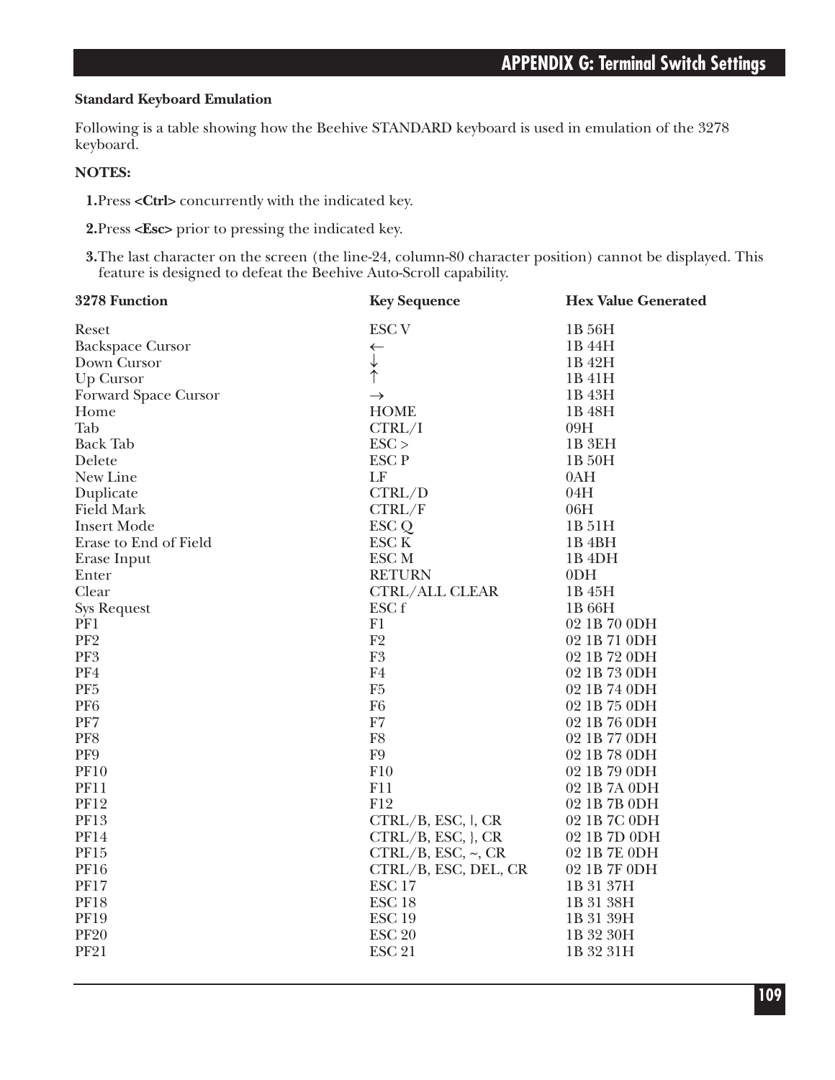#### **Standard Keyboard Emulation**

Following is a table showing how the Beehive STANDARD keyboard is used in emulation of the 3278 keyboard.

#### **NOTES:**

**1.**Press **<Ctrl>** concurrently with the indicated key.

**2.**Press **<Esc>** prior to pressing the indicated key.

**3.**The last character on the screen (the line-24, column-80 character position) cannot be displayed. This feature is designed to defeat the Beehive Auto-Scroll capability.

| 3278 Function           | <b>Key Sequence</b>    | <b>Hex Value Generated</b> |
|-------------------------|------------------------|----------------------------|
| Reset                   | <b>ESC V</b>           | 1B 56H                     |
| <b>Backspace Cursor</b> | $\leftarrow$           | 1B 44H                     |
| Down Cursor             | $\downarrow$           | 1B 42H                     |
| Up Cursor               |                        | 1B 41H                     |
| Forward Space Cursor    | $\rightarrow$          | 1B 43H                     |
| Home                    | <b>HOME</b>            | 1B 48H                     |
| Tab                     | CTRL/I                 | 09H                        |
| <b>Back Tab</b>         | $\text{ESC}$           | 1B <sub>3EH</sub>          |
| Delete                  | <b>ESCP</b>            | 1B 50H                     |
| New Line                | LF                     | 0AH                        |
| Duplicate               | CTRL/D                 | 04H                        |
| <b>Field Mark</b>       | CTRL/F                 | 06H                        |
| <b>Insert Mode</b>      | ESC <sub>Q</sub>       | 1B 51H                     |
| Erase to End of Field   | ESC <sub>K</sub>       | 1B <sub>4</sub> BH         |
| Erase Input             | ESC <sub>M</sub>       | 1B <sub>4DH</sub>          |
| Enter                   | <b>RETURN</b>          | 0 <sub>DH</sub>            |
| Clear                   | <b>CTRL/ALL CLEAR</b>  | 1B 45H                     |
| <b>Sys Request</b>      | ESC f                  | 1B 66H                     |
| PF1                     | F1                     | 02 1B 70 0DH               |
| PF <sub>2</sub>         | F2                     | 02 1B 71 0DH               |
| PF3                     | ${\rm F}3$             | 02 1B 72 0DH               |
| PF4                     | F <sub>4</sub>         | 02 1B 73 0DH               |
| PF <sub>5</sub>         | F <sub>5</sub>         | 02 1B 74 0DH               |
| PF <sub>6</sub>         | F <sub>6</sub>         | 02 1B 75 0DH               |
| PF7                     | F7                     | 02 1B 76 0DH               |
| PF8                     | F <sub>8</sub>         | 02 1B 77 0DH               |
| PF9                     | F9                     | 02 1B 78 0DH               |
| <b>PF10</b>             | F10                    | 02 1B 79 0DH               |
| <b>PF11</b>             | F11                    | 02 1B 7A 0DH               |
| <b>PF12</b>             | F12                    | 02 1B 7B 0DH               |
| <b>PF13</b>             | CTRL/B, ESC, I, CR     | 02 1B 7C 0DH               |
| <b>PF14</b>             | $CTRL/B, ESC, \}$ , CR | 02 1B 7D 0DH               |
| PF15                    | CTRL/B, ESC, ~C, CR    | 02 1B 7E 0DH               |
| <b>PF16</b>             | CTRL/B, ESC, DEL, CR   | 02 1B 7F 0DH               |
| <b>PF17</b>             | ESC <sub>17</sub>      | 1B 31 37H                  |
| <b>PF18</b>             | ESC <sub>18</sub>      | 1B 31 38H                  |
| <b>PF19</b>             | <b>ESC 19</b>          | 1B 31 39H                  |
| <b>PF20</b>             | <b>ESC 20</b>          | 1B 32 30H                  |
| <b>PF21</b>             | <b>ESC 21</b>          | 1B 32 31H                  |
|                         |                        |                            |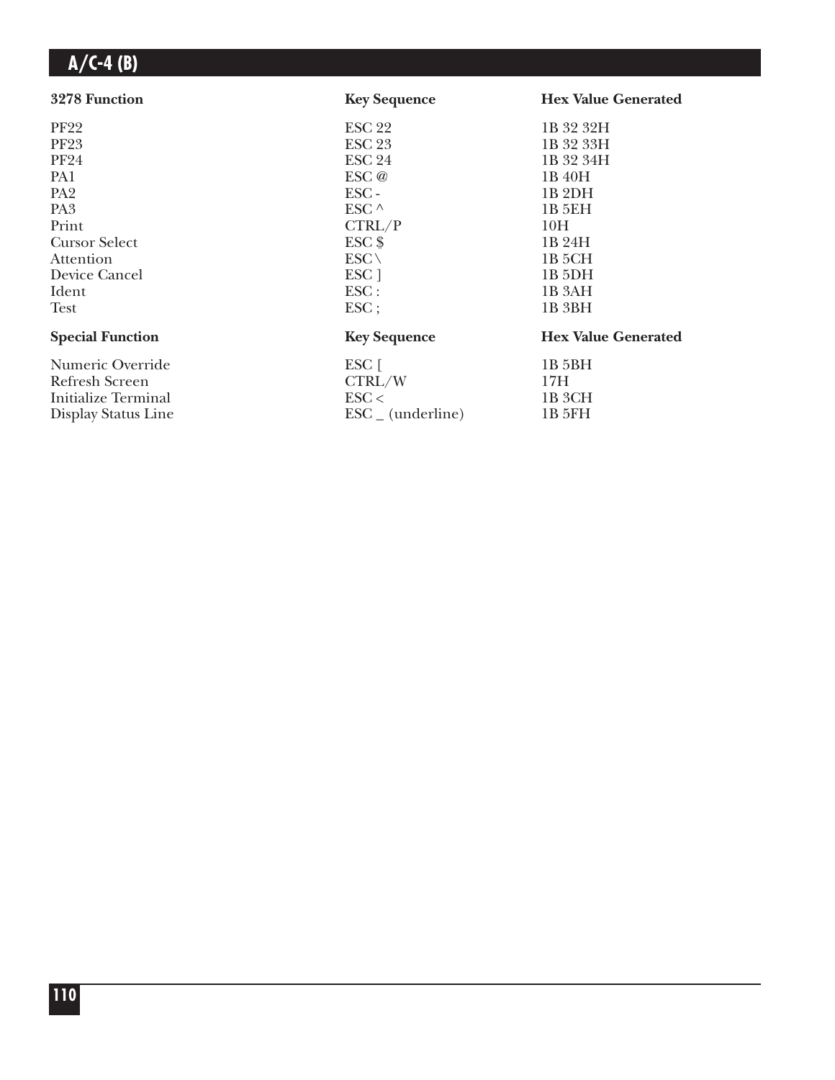| 3278 Function           | <b>Key Sequence</b>          | <b>Hex Value Generated</b> |
|-------------------------|------------------------------|----------------------------|
| <b>PF22</b>             | <b>ESC 22</b>                | 1B 32 32H                  |
| <b>PF23</b>             | <b>ESC 23</b>                | 1B 32 33H                  |
| <b>PF24</b>             | <b>ESC 24</b>                | 1B 32 34H                  |
| PA1                     | ESC @                        | 1B 40H                     |
| PA <sub>2</sub>         | $\text{ESC}$ -               | 1B <sub>2</sub> DH         |
| PA <sub>3</sub>         | ESC ^                        | 1B 5EH                     |
| Print                   | CTRL/P                       | 10H                        |
| <b>Cursor Select</b>    | $ESC$ \$                     | 1B 24H                     |
| Attention               | $ESC \setminus$              | 1B 5CH                     |
| Device Cancel           | ESC <sub>1</sub>             | 1B <sub>5</sub> DH         |
| Ident                   | $\text{ESC}$ :               | 1B 3AH                     |
| Test                    | $\text{ESC}$                 | 1B 3BH                     |
| <b>Special Function</b> | <b>Key Sequence</b>          | <b>Hex Value Generated</b> |
| Numeric Override        | $ESC$ $\lceil$               | 1B 5BH                     |
| Refresh Screen          | CTRL/W                       | 17H                        |
| Initialize Terminal     | $\text{ESC}$                 | 1B <sub>3</sub> CH         |
| Display Status Line     | $\text{ESC}_{-}$ (underline) | 1B 5FH                     |
|                         |                              |                            |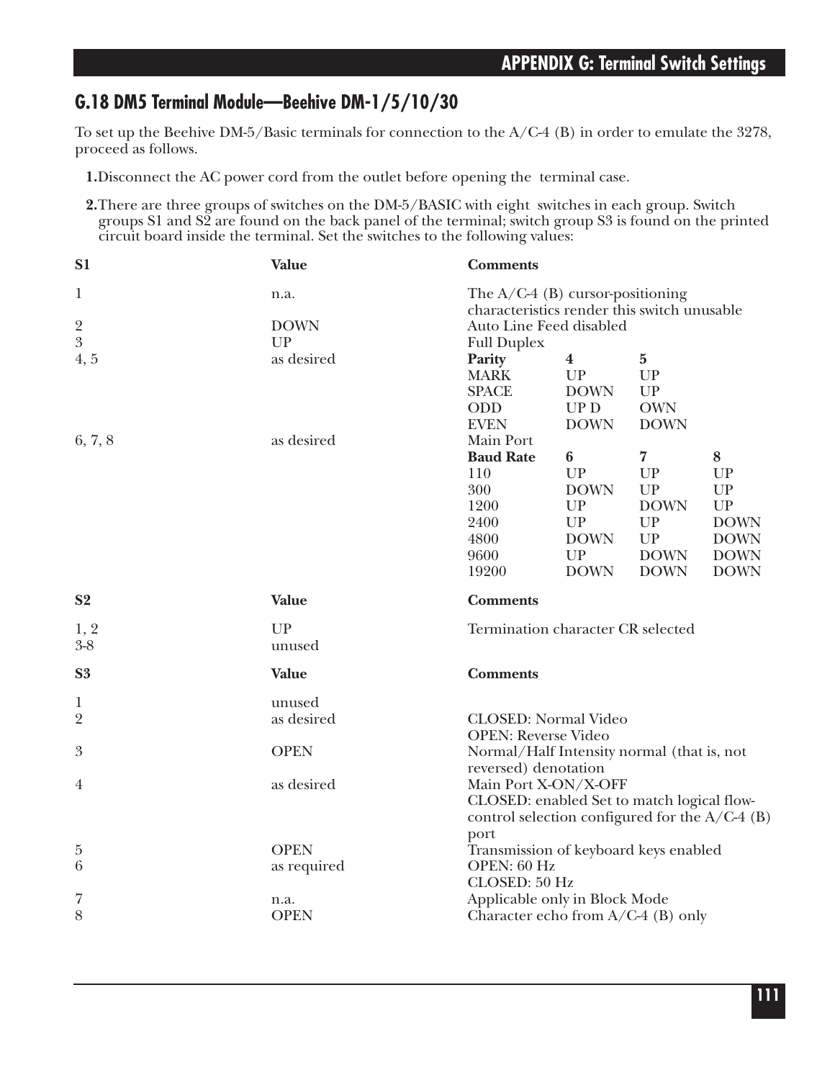## **G.18 DM5 Terminal Module—Beehive DM-1/5/10/30**

To set up the Beehive DM-5/Basic terminals for connection to the A/C-4 (B) in order to emulate the 3278, proceed as follows.

- **1.**Disconnect the AC power cord from the outlet before opening the terminal case.
- **2.**There are three groups of switches on the DM-5/BASIC with eight switches in each group. Switch groups S1 and S2 are found on the back panel of the terminal; switch group S3 is found on the printed circuit board inside the terminal. Set the switches to the following values:

| S <sub>1</sub>                | <b>Value</b>              | <b>Comments</b>                                                                                                                    |             |                      |             |
|-------------------------------|---------------------------|------------------------------------------------------------------------------------------------------------------------------------|-------------|----------------------|-------------|
| $\mathbf{1}$<br>$\frac{2}{3}$ | n.a.<br><b>DOWN</b><br>UP | The $A/C-4$ (B) cursor-positioning<br>characteristics render this switch unusable<br>Auto Line Feed disabled<br><b>Full Duplex</b> |             |                      |             |
| 4, 5                          | as desired                | Parity                                                                                                                             | $\bf{4}$    | $\bf{5}$             |             |
|                               |                           | <b>MARK</b>                                                                                                                        | UP          | UP                   |             |
|                               |                           | <b>SPACE</b>                                                                                                                       | <b>DOWN</b> | UP                   |             |
|                               |                           | ODD                                                                                                                                | UPD         | <b>OWN</b>           |             |
|                               |                           | <b>EVEN</b>                                                                                                                        | <b>DOWN</b> | <b>DOWN</b>          |             |
| 6, 7, 8                       | as desired                | Main Port                                                                                                                          |             |                      |             |
|                               |                           | <b>Baud Rate</b>                                                                                                                   | 6<br>UP     | $\overline{7}$<br>UP | $\bf 8$     |
|                               |                           | 110<br>300                                                                                                                         | <b>DOWN</b> | UP                   | UP<br>UP    |
|                               |                           | 1200                                                                                                                               | UP          | <b>DOWN</b>          | <b>UP</b>   |
|                               |                           | 2400                                                                                                                               | UP          | UP                   | <b>DOWN</b> |
|                               |                           | 4800                                                                                                                               | <b>DOWN</b> | ${\cal UP}$          | <b>DOWN</b> |
|                               |                           | 9600                                                                                                                               | <b>UP</b>   | <b>DOWN</b>          | <b>DOWN</b> |
|                               |                           | 19200                                                                                                                              | <b>DOWN</b> | <b>DOWN</b>          | <b>DOWN</b> |
|                               |                           |                                                                                                                                    |             |                      |             |
| S <sub>2</sub>                | <b>Value</b>              | <b>Comments</b>                                                                                                                    |             |                      |             |
|                               |                           |                                                                                                                                    |             |                      |             |
| 1, 2<br>$3 - 8$               | UP<br>unused              | Termination character CR selected                                                                                                  |             |                      |             |
| S <sub>3</sub>                | Value                     | <b>Comments</b>                                                                                                                    |             |                      |             |
| 1                             | unused                    |                                                                                                                                    |             |                      |             |
| $\overline{2}$                | as desired                | <b>CLOSED:</b> Normal Video                                                                                                        |             |                      |             |
|                               |                           | <b>OPEN: Reverse Video</b>                                                                                                         |             |                      |             |
| $\boldsymbol{3}$              | <b>OPEN</b>               | Normal/Half Intensity normal (that is, not                                                                                         |             |                      |             |
| 4                             | as desired                | reversed) denotation                                                                                                               |             |                      |             |
|                               |                           | Main Port X-ON/X-OFF<br>CLOSED: enabled Set to match logical flow-<br>control selection configured for the $A/C-4$ (B)             |             |                      |             |
|                               |                           | port                                                                                                                               |             |                      |             |
| 5                             | <b>OPEN</b>               | Transmission of keyboard keys enabled                                                                                              |             |                      |             |
| 6                             | as required               | OPEN: 60 Hz                                                                                                                        |             |                      |             |
|                               |                           | CLOSED: 50 Hz                                                                                                                      |             |                      |             |
| 7<br>8                        | n.a.<br><b>OPEN</b>       | Applicable only in Block Mode<br>Character echo from $A/C-4$ (B) only                                                              |             |                      |             |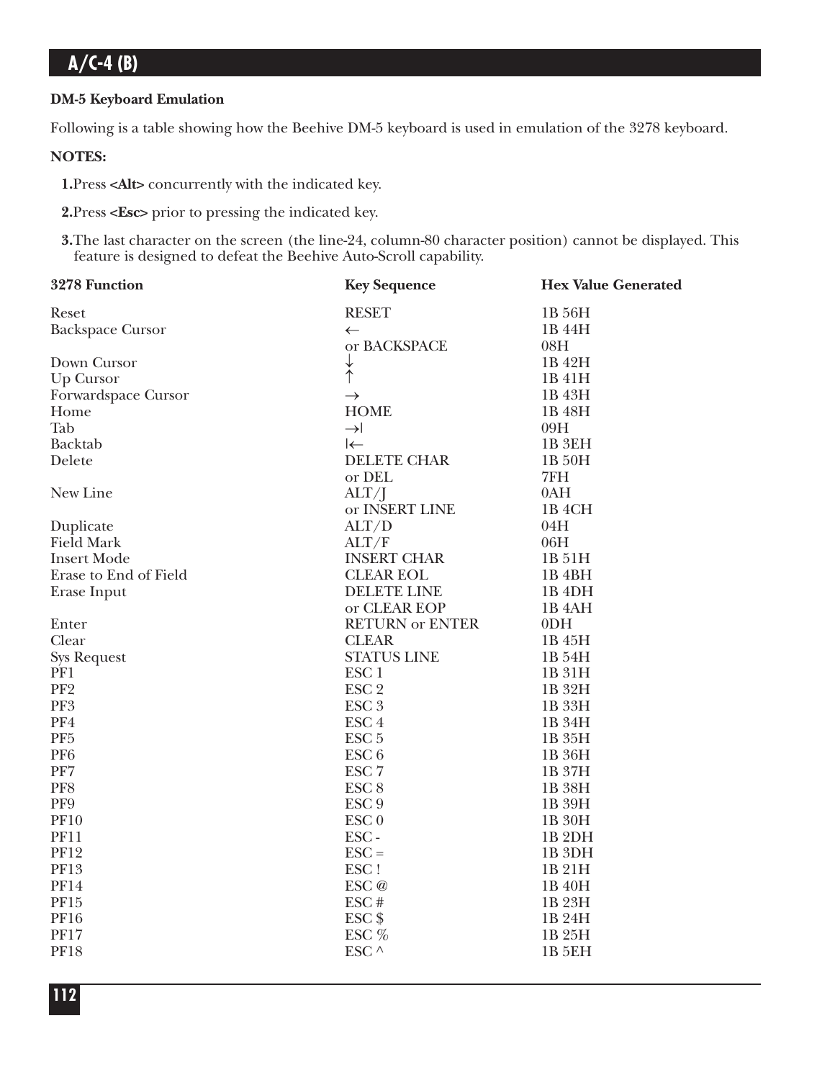### **DM-5 Keyboard Emulation**

Following is a table showing how the Beehive DM-5 keyboard is used in emulation of the 3278 keyboard.

### **NOTES:**

**1.**Press **<Alt>** concurrently with the indicated key.

**2.**Press **<Esc>** prior to pressing the indicated key.

**3.**The last character on the screen (the line-24, column-80 character position) cannot be displayed. This feature is designed to defeat the Beehive Auto-Scroll capability.

| 3278 Function           | <b>Key Sequence</b>    | <b>Hex Value Generated</b> |
|-------------------------|------------------------|----------------------------|
| Reset                   | <b>RESET</b>           | 1B 56H                     |
| <b>Backspace Cursor</b> | $\leftarrow$           | 1B 44H                     |
|                         | or BACKSPACE           | 08H                        |
| Down Cursor             | $\downarrow$           | 1B 42H                     |
| Up Cursor               | $\hat{\uparrow}$       | 1B 41H                     |
| Forwardspace Cursor     | $\rightarrow$          | 1B 43H                     |
| Home                    | <b>HOME</b>            | 1B 48H                     |
| Tab                     | $\rightarrow$          | 09H                        |
| Backtab                 | $\leftarrow$           | 1B <sub>3EH</sub>          |
| Delete                  | <b>DELETE CHAR</b>     | 1B 50H                     |
|                         | or DEL                 | 7FH                        |
| New Line                | $\text{ALT}/\text{I}$  | 0AH                        |
|                         | or INSERT LINE         | 1B <sub>4</sub> CH         |
| Duplicate               | ALT/D                  | 04H                        |
| Field Mark              | ALT/F                  | 06H                        |
| <b>Insert Mode</b>      | <b>INSERT CHAR</b>     | 1B 51H                     |
| Erase to End of Field   | <b>CLEAR EOL</b>       | 1B <sub>4BH</sub>          |
| Erase Input             | <b>DELETE LINE</b>     | 1B <sub>4DH</sub>          |
|                         | or CLEAR EOP           | 1B <sub>4</sub> AH         |
| Enter                   | <b>RETURN or ENTER</b> | 0 <sub>DH</sub>            |
| Clear                   | <b>CLEAR</b>           | 1B 45H                     |
| <b>Sys Request</b>      | <b>STATUS LINE</b>     | 1B 54H                     |
| PF1                     | ESC <sub>1</sub>       | 1B 31H                     |
| PF <sub>2</sub>         | ESC <sub>2</sub>       | 1B 32H                     |
| PF3                     | ESC <sub>3</sub>       | 1B 33H                     |
| PF4                     | ESC <sub>4</sub>       | 1B 34H                     |
| PF <sub>5</sub>         | ESC <sub>5</sub>       | 1B 35H                     |
| PF <sub>6</sub>         | ESC <sub>6</sub>       | 1B 36H                     |
| PF7                     | ESC <sub>7</sub>       | 1B 37H                     |
| PF8                     | ESC <sub>8</sub>       | 1B 38H                     |
| PF9                     | ESC <sub>9</sub>       | 1B 39H                     |
| <b>PF10</b>             | ESC <sub>0</sub>       | 1B 30H                     |
| <b>PF11</b>             | ESC-                   | 1B <sub>2DH</sub>          |
| <b>PF12</b>             | $\text{ESC} =$         | 1B <sub>3DH</sub>          |
| <b>PF13</b>             | ESC!                   | 1B 21H                     |
| <b>PF14</b>             | $\text{ESC} \oslash$   | 1B 40H                     |
| PF15                    | ESC#                   | 1B 23H                     |
| <b>PF16</b>             | $ESC$ \$               | 1B 24H                     |
| <b>PF17</b>             | ESC %                  | 1B 25H                     |
| <b>PF18</b>             | ESC $\land$            | <b>1B 5EH</b>              |
|                         |                        |                            |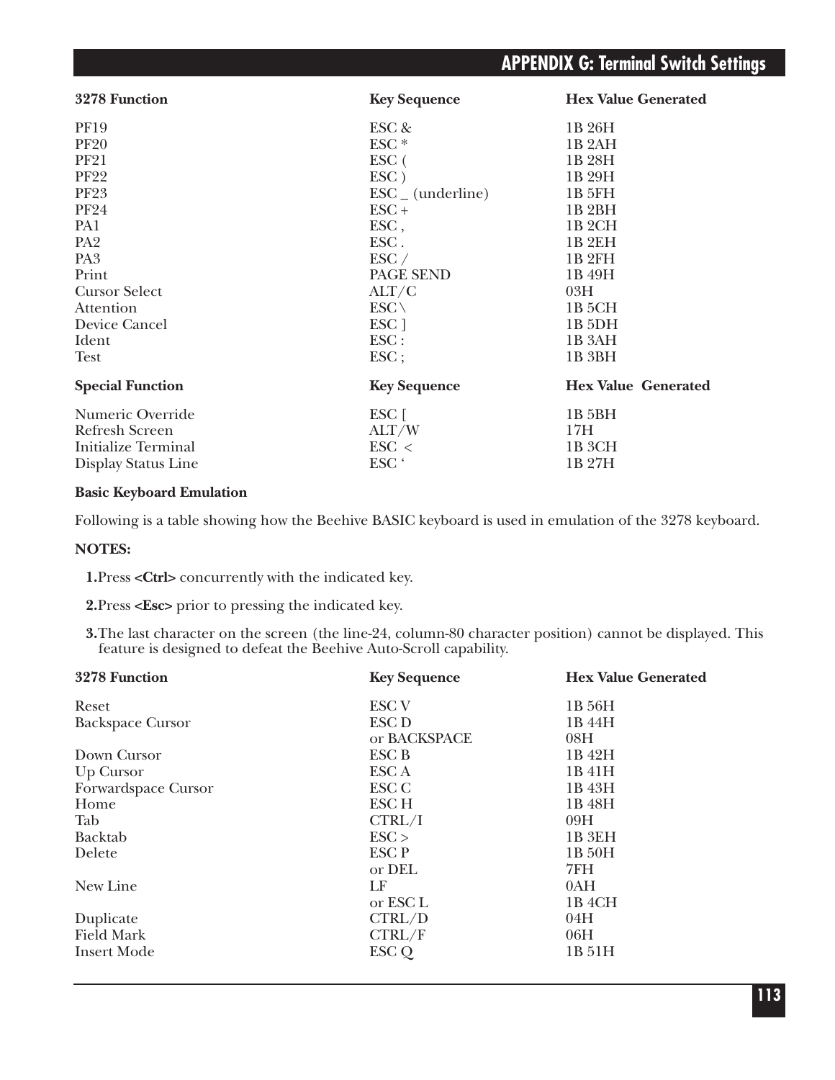| 3278 Function              | <b>Key Sequence</b>          | <b>Hex Value Generated</b> |
|----------------------------|------------------------------|----------------------------|
| <b>PF19</b>                | ESC &                        | 1B 26H                     |
| <b>PF20</b>                | ESC <sup>*</sup>             | 1B <sub>2</sub> AH         |
| <b>PF21</b>                | $\rm{ESC}$ (                 | 1B 28H                     |
| <b>PF22</b>                | $\text{ESC}$ )               | 1B 29H                     |
| <b>PF23</b>                | $\text{ESC}_{-}$ (underline) | 1B 5FH                     |
| <b>PF24</b>                | $\text{ESC} +$               | 1B <sub>2</sub> BH         |
| PA1                        | $\text{ESC}$ ,               | 1B <sub>2</sub> CH         |
| PA <sub>2</sub>            | ESC.                         | 1B 2EH                     |
| PA <sub>3</sub>            | $\text{ESC} /$               | 1B <sub>2FH</sub>          |
| Print                      | PAGE SEND                    | 1B 49H                     |
| <b>Cursor Select</b>       | ALT/C                        | 03H                        |
| Attention                  | $ESC \setminus$              | 1B 5CH                     |
| Device Cancel              | ESC ]                        | 1B <sub>5</sub> DH         |
| Ident                      | $\text{ESC}$ :               | 1B <sub>3</sub> AH         |
| Test                       | $\text{ESC}$ ;               | 1B 3BH                     |
| <b>Special Function</b>    | <b>Key Sequence</b>          | <b>Hex Value Generated</b> |
| Numeric Override           | $ESC$ [                      | 1B 5BH                     |
| <b>Refresh Screen</b>      | ALT/W                        | 17H                        |
| <b>Initialize Terminal</b> | $\text{ESC}$ <               | 1B <sub>3</sub> CH         |
| Display Status Line        | ESC <sup>'</sup>             | 1B 27H                     |

#### **Basic Keyboard Emulation**

Following is a table showing how the Beehive BASIC keyboard is used in emulation of the 3278 keyboard.

#### **NOTES:**

**1.**Press **<Ctrl>** concurrently with the indicated key.

**2.**Press **<Esc>** prior to pressing the indicated key.

**3.**The last character on the screen (the line-24, column-80 character position) cannot be displayed. This feature is designed to defeat the Beehive Auto-Scroll capability.

| 3278 Function           | <b>Key Sequence</b> | <b>Hex Value Generated</b> |
|-------------------------|---------------------|----------------------------|
| Reset                   | <b>ESC V</b>        | 1B 56H                     |
| <b>Backspace Cursor</b> | <b>ESC D</b>        | 1B 44H                     |
|                         | or BACKSPACE        | 08H                        |
| Down Cursor             | ESC B               | 1B 42H                     |
| Up Cursor               | ESC A               | 1B 41H                     |
| Forwardspace Cursor     | ESC C               | 1B 43H                     |
| Home                    | ESC <sub>H</sub>    | 1B 48H                     |
| Tab                     | CTRL/I              | 09H                        |
| Backtab                 | ESC                 | 1B <sub>3EH</sub>          |
| Delete                  | ESC P               | 1B 50H                     |
|                         | or DEL              | 7FH                        |
| New Line                | LF                  | 0AH                        |
|                         | or ESC L            | 1B 4CH                     |
| Duplicate               | CTRL/D              | 04H                        |
| <b>Field Mark</b>       | CTRL/F              | 06H                        |
| <b>Insert Mode</b>      | ESC <sub>Q</sub>    | 1B 51H                     |
|                         |                     |                            |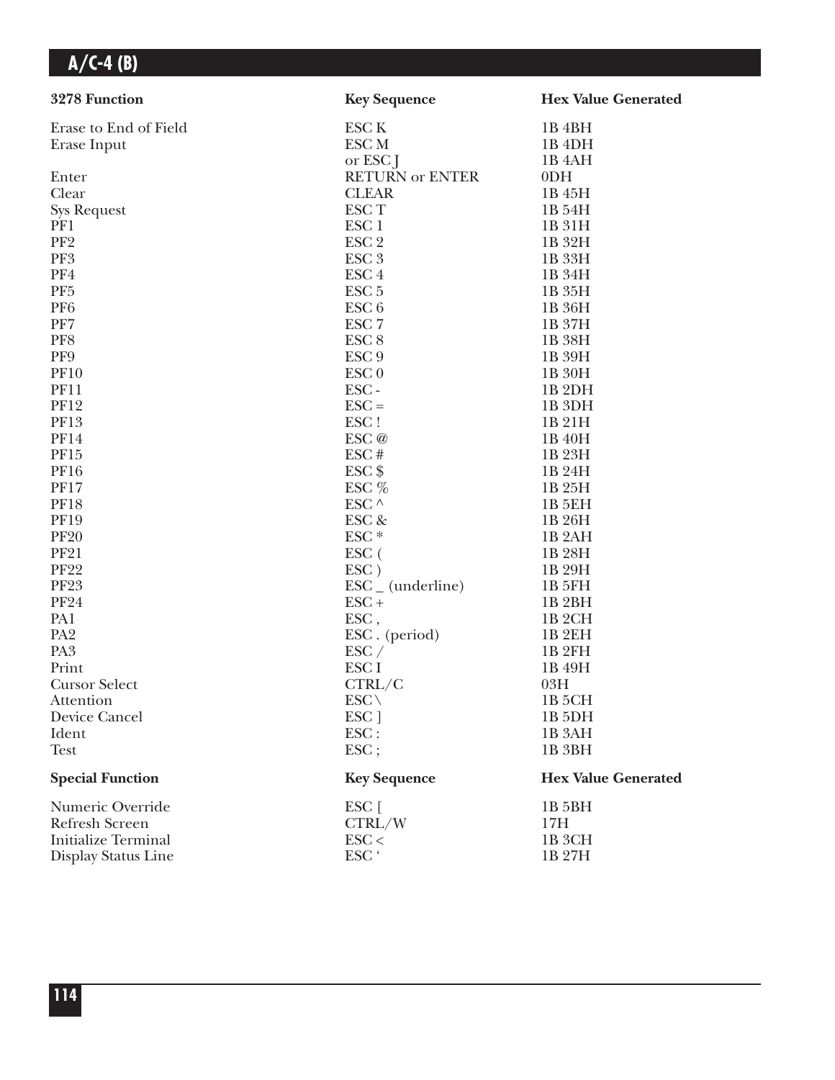| 3278 Function              | <b>Key Sequence</b>          | <b>Hex Value Generated</b> |
|----------------------------|------------------------------|----------------------------|
| Erase to End of Field      | <b>ESC K</b>                 | 1B <sub>4</sub> BH         |
| Erase Input                | ESC <sub>M</sub>             | 1B <sub>4DH</sub>          |
|                            | or ESC J                     | 1B <sub>4</sub> AH         |
| Enter                      | <b>RETURN or ENTER</b>       | 0 <sub>DH</sub>            |
| Clear                      | <b>CLEAR</b>                 | 1B 45H                     |
| <b>Sys Request</b>         | ESC <sub>T</sub>             | 1B 54H                     |
| PF1                        | ESC <sub>1</sub>             | 1B 31H                     |
| PF <sub>2</sub>            | ESC <sub>2</sub>             | 1B 32H                     |
| PF3                        | ESC <sub>3</sub>             | 1B 33H                     |
| PF4                        | ESC <sub>4</sub>             | 1B 34H                     |
| PF <sub>5</sub>            | ESC <sub>5</sub>             | 1B 35H                     |
| PF <sub>6</sub>            | ESC <sub>6</sub>             | 1B 36H                     |
| PF7                        | ESC <sub>7</sub>             | 1B 37H                     |
| PF8                        | ESC <sub>8</sub>             | 1B 38H                     |
| PF9                        | ESC <sub>9</sub>             | 1B 39H                     |
| <b>PF10</b>                | ESC <sub>0</sub>             | 1B 30H                     |
| <b>PF11</b>                | ESC-                         | 1B <sub>2DH</sub>          |
| <b>PF12</b>                | $\text{ESC} =$               | 1B <sub>3DH</sub>          |
| <b>PF13</b>                | ESC!                         | 1B 21H                     |
| <b>PF14</b>                | ESC@                         | 1B 40H                     |
| PF15                       | ESC#                         | 1B 23H                     |
| <b>PF16</b>                | $ESC$ \$                     | 1B 24H                     |
| <b>PF17</b>                | ESC %                        | 1B 25H                     |
| <b>PF18</b>                | ESC $^\wedge$                | 1B <sub>5EH</sub>          |
| <b>PF19</b>                | ESC &                        | 1B 26H                     |
| <b>PF20</b>                | $ESC*$                       | 1B <sub>2</sub> AH         |
| <b>PF21</b>                | ESC (                        | 1B 28H                     |
| <b>PF22</b>                | ESC)                         | 1B 29H                     |
| <b>PF23</b>                | $\text{ESC}_{-}$ (underline) | 1B 5FH                     |
| <b>PF24</b>                | $ESC +$                      | 1B <sub>2</sub> BH         |
| PA1                        | ESC,                         | 1B <sub>2</sub> CH         |
| PA <sub>2</sub>            | ESC. (period)                | <b>1B2EH</b>               |
| PA <sub>3</sub>            | $\text{ESC} /$               | 1B <sub>2FH</sub>          |
| Print                      | ESC <sub>I</sub>             | 1B 49H                     |
| <b>Cursor Select</b>       | CTRL/C                       | 03H                        |
| Attention                  | $ESC \setminus$              | 1B 5CH                     |
| Device Cancel              | ESC ]                        | 1B <sub>5DH</sub>          |
| Ident                      | ESC:                         | 1B <sub>3</sub> AH         |
| <b>Test</b>                | ESC;                         | 1B <sub>3</sub> BH         |
| <b>Special Function</b>    | <b>Key Sequence</b>          | <b>Hex Value Generated</b> |
| Numeric Override           | $ESC$ [                      | 1B <sub>5</sub> BH         |
| <b>Refresh Screen</b>      | CTRL/W                       | 17H                        |
| <b>Initialize Terminal</b> | $\text{ESC}$                 | 1B <sub>3</sub> CH         |
| Display Status Line        | ESC <sup>'</sup>             | 1B 27H                     |
|                            |                              |                            |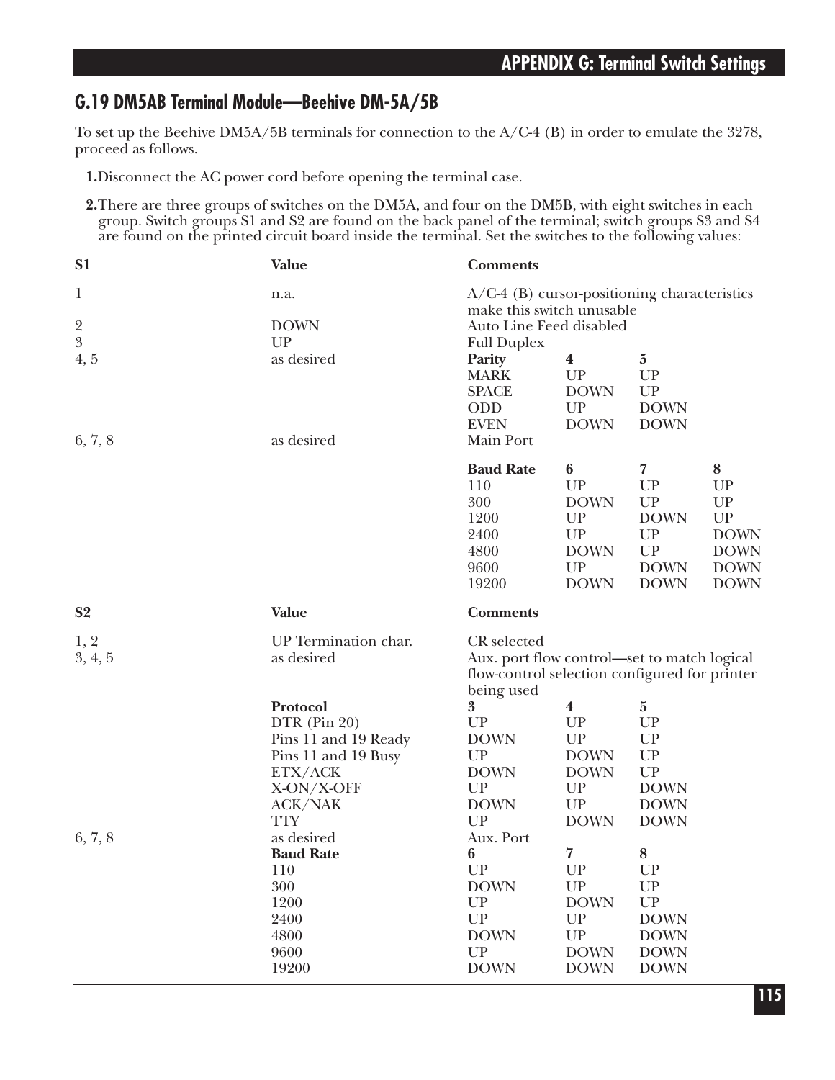## **G.19 DM5AB Terminal Module—Beehive DM-5A/5B**

To set up the Beehive DM5A/5B terminals for connection to the A/C-4 (B) in order to emulate the 3278, proceed as follows.

- **1.**Disconnect the AC power cord before opening the terminal case.
- **2.**There are three groups of switches on the DM5A, and four on the DM5B, with eight switches in each group. Switch groups S1 and S2 are found on the back panel of the terminal; switch groups S3 and S4 are found on the printed circuit board inside the terminal. Set the switches to the following values:

| S <sub>1</sub>                         | <b>Value</b>                                                                                                                                                              | <b>Comments</b>                                                                                                           |                                                                                                                                                                  |                                                                                                                     |                                                                                       |
|----------------------------------------|---------------------------------------------------------------------------------------------------------------------------------------------------------------------------|---------------------------------------------------------------------------------------------------------------------------|------------------------------------------------------------------------------------------------------------------------------------------------------------------|---------------------------------------------------------------------------------------------------------------------|---------------------------------------------------------------------------------------|
| $\mathbf 1$<br>$\overline{\mathbf{c}}$ | n.a.<br><b>DOWN</b>                                                                                                                                                       | $A/C-4$ (B) cursor-positioning characteristics<br>make this switch unusable<br>Auto Line Feed disabled                    |                                                                                                                                                                  |                                                                                                                     |                                                                                       |
| $\overline{3}$                         | UP                                                                                                                                                                        | <b>Full Duplex</b>                                                                                                        |                                                                                                                                                                  |                                                                                                                     |                                                                                       |
| 4, 5<br>6, 7, 8                        | as desired<br>as desired                                                                                                                                                  | Parity<br><b>MARK</b><br><b>SPACE</b><br>ODD<br><b>EVEN</b><br>Main Port                                                  | $\boldsymbol{4}$<br>UP<br><b>DOWN</b><br>UP<br><b>DOWN</b>                                                                                                       | $\mathbf{5}$<br><b>UP</b><br><b>UP</b><br><b>DOWN</b><br><b>DOWN</b>                                                |                                                                                       |
|                                        |                                                                                                                                                                           | <b>Baud Rate</b><br>110<br>300<br>1200<br>2400<br>4800<br>9600<br>19200                                                   | $\boldsymbol{6}$<br>UP<br><b>DOWN</b><br>UP<br>$\ensuremath{\mathrm{UP}}$<br><b>DOWN</b><br>UP<br><b>DOWN</b>                                                    | $\overline{7}$<br>UP<br>${\cal UP}$<br><b>DOWN</b><br>UP<br>${\cal UP}$<br><b>DOWN</b><br><b>DOWN</b>               | $\bf 8$<br>UP<br>UP<br>UP<br><b>DOWN</b><br><b>DOWN</b><br><b>DOWN</b><br><b>DOWN</b> |
| S <sub>2</sub>                         | Value                                                                                                                                                                     | <b>Comments</b>                                                                                                           |                                                                                                                                                                  |                                                                                                                     |                                                                                       |
| 1, 2<br>3, 4, 5                        | UP Termination char.<br>as desired                                                                                                                                        | CR selected<br>Aux. port flow control—set to match logical<br>flow-control selection configured for printer<br>being used |                                                                                                                                                                  |                                                                                                                     |                                                                                       |
| 6, 7, 8                                | Protocol<br>DTR (Pin 20)<br>Pins 11 and 19 Ready<br>Pins 11 and 19 Busy<br>ETX/ACK<br>X-ON/X-OFF<br><b>ACK/NAK</b><br><b>TTY</b><br>as desired<br><b>Baud Rate</b><br>110 | 3<br>UP<br><b>DOWN</b><br>UP<br><b>DOWN</b><br>UP<br><b>DOWN</b><br>UP<br>Aux. Port<br>6<br>UP                            | $\boldsymbol{4}$<br>UP<br>$\ensuremath{\mathrm{UP}}$<br><b>DOWN</b><br><b>DOWN</b><br>UP<br>${\cal UP}$<br><b>DOWN</b><br>$\overline{\mathbf{7}}$<br>${\cal UP}$ | $\bf{5}$<br>UP<br>UP<br>${\cal UP}$<br>${\cal UP}$<br><b>DOWN</b><br><b>DOWN</b><br><b>DOWN</b><br>8<br>${\cal UP}$ |                                                                                       |
|                                        | 300<br>1200<br>2400<br>4800<br>9600<br>19200                                                                                                                              | <b>DOWN</b><br>UP<br>UP<br><b>DOWN</b><br>UP<br><b>DOWN</b>                                                               | UP<br><b>DOWN</b><br>${\cal UP}$<br>${\cal UP}$<br><b>DOWN</b><br><b>DOWN</b>                                                                                    | ${\cal UP}$<br>${\cal UP}$<br><b>DOWN</b><br><b>DOWN</b><br><b>DOWN</b><br><b>DOWN</b>                              |                                                                                       |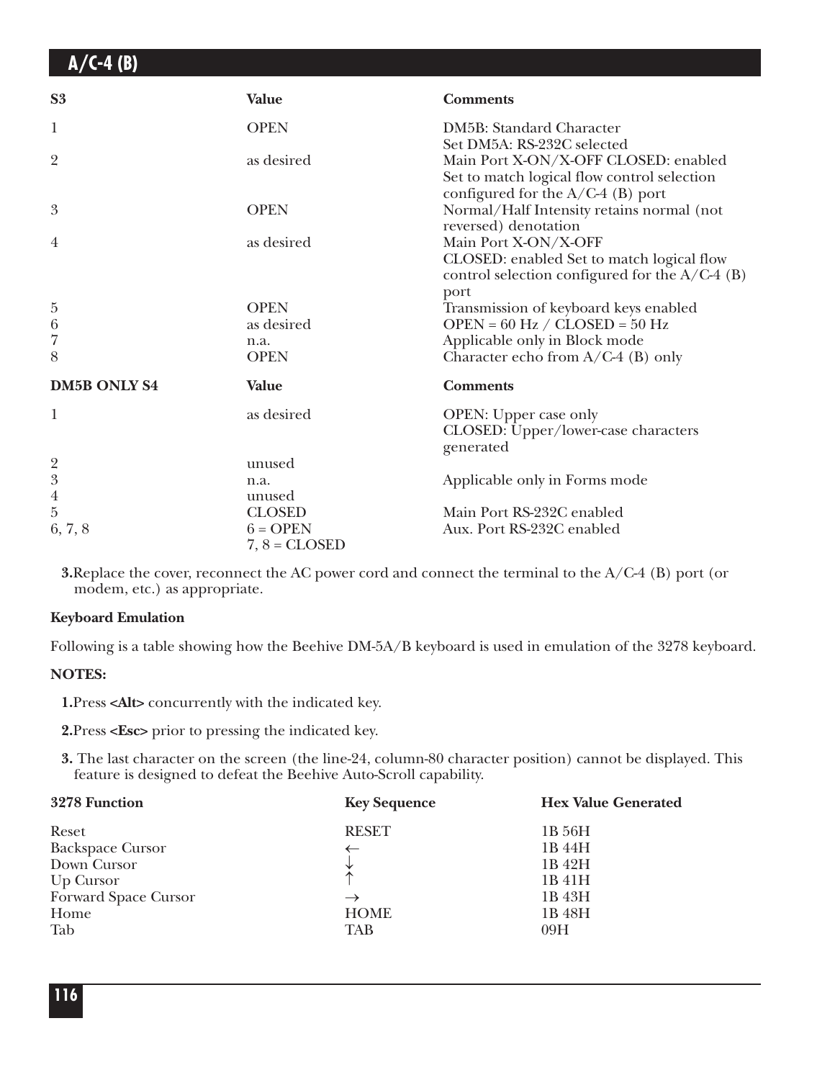| S <sub>3</sub>      | <b>Value</b>    | <b>Comments</b>                                                                                                               |
|---------------------|-----------------|-------------------------------------------------------------------------------------------------------------------------------|
| 1                   | <b>OPEN</b>     | DM5B: Standard Character<br>Set DM5A: RS-232C selected                                                                        |
| $\overline{2}$      | as desired      | Main Port X-ON/X-OFF CLOSED: enabled<br>Set to match logical flow control selection<br>configured for the $A/C-4$ (B) port    |
| $\boldsymbol{3}$    | <b>OPEN</b>     | Normal/Half Intensity retains normal (not<br>reversed) denotation                                                             |
| $\overline{4}$      | as desired      | Main Port X-ON/X-OFF<br>CLOSED: enabled Set to match logical flow<br>control selection configured for the $A/C-4$ (B)<br>port |
| $\bf 5$             | <b>OPEN</b>     | Transmission of keyboard keys enabled                                                                                         |
| $\boldsymbol{6}$    | as desired      | OPEN = $60$ Hz / CLOSED = $50$ Hz                                                                                             |
| $\overline{7}$      | n.a.            | Applicable only in Block mode                                                                                                 |
| 8                   | <b>OPEN</b>     | Character echo from A/C-4 (B) only                                                                                            |
| <b>DM5B ONLY S4</b> | <b>Value</b>    | <b>Comments</b>                                                                                                               |
| $\mathbf{1}$        | as desired      | OPEN: Upper case only<br>CLOSED: Upper/lower-case characters<br>generated                                                     |
| $\frac{2}{3}$       | unused          |                                                                                                                               |
|                     | n.a.            | Applicable only in Forms mode                                                                                                 |
| $\overline{4}$      | unused          |                                                                                                                               |
| $\rm 5$             | <b>CLOSED</b>   | Main Port RS-232C enabled                                                                                                     |
| 6, 7, 8             | $6 = OPER$      | Aux. Port RS-232C enabled                                                                                                     |
|                     | $7, 8 = CLOSED$ |                                                                                                                               |

**3.**Replace the cover, reconnect the AC power cord and connect the terminal to the A/C-4 (B) port (or modem, etc.) as appropriate.

### **Keyboard Emulation**

Following is a table showing how the Beehive DM-5A/B keyboard is used in emulation of the 3278 keyboard.

#### **NOTES:**

**1.**Press **<Alt>** concurrently with the indicated key.

**2.**Press **<Esc>** prior to pressing the indicated key.

**3.** The last character on the screen (the line-24, column-80 character position) cannot be displayed. This feature is designed to defeat the Beehive Auto-Scroll capability.

| 3278 Function           | <b>Key Sequence</b> | <b>Hex Value Generated</b> |
|-------------------------|---------------------|----------------------------|
| Reset                   | <b>RESET</b>        | 1B 56H                     |
| <b>Backspace Cursor</b> |                     | 1B 44H                     |
| Down Cursor             |                     | 1B 42H                     |
| Up Cursor               | $\uparrow$          | 1B 41H                     |
| Forward Space Cursor    | $\rightarrow$       | 1B 43H                     |
| Home                    | <b>HOME</b>         | 1B 48H                     |
| Tab                     | TAB                 | 09H                        |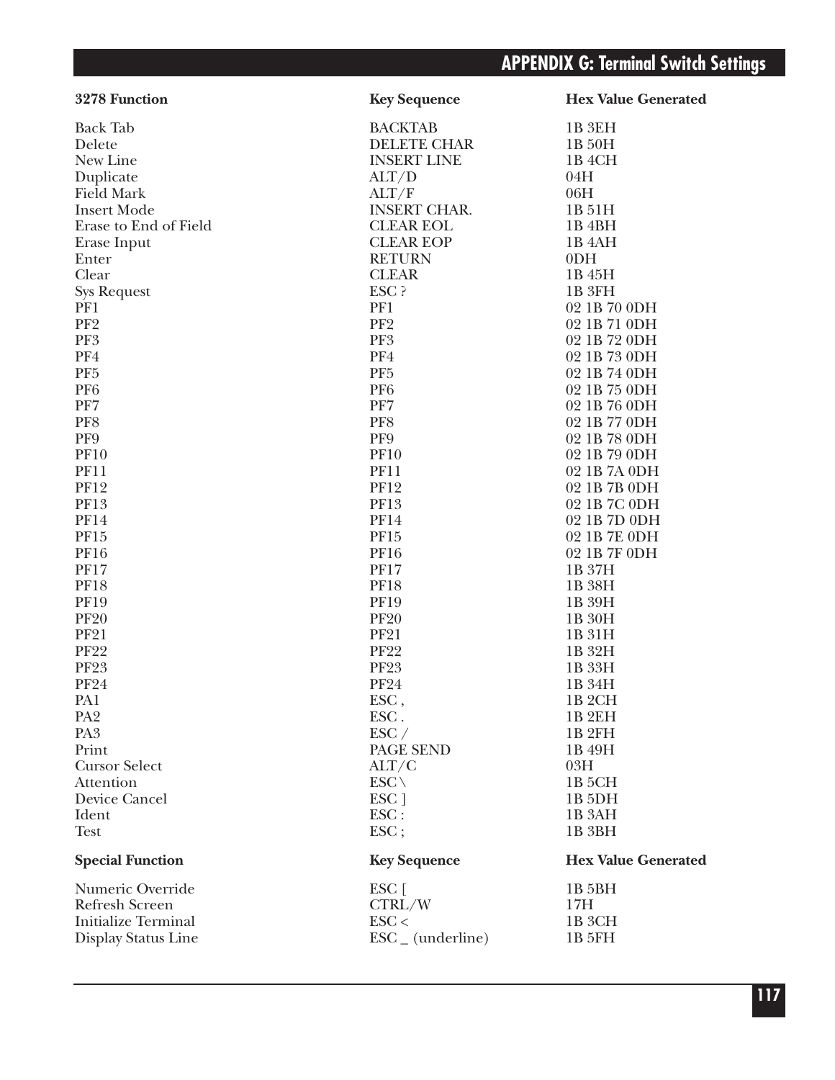| 3278 Function              | <b>Key Sequence</b>          | <b>Hex Value Generated</b> |
|----------------------------|------------------------------|----------------------------|
| <b>Back Tab</b>            | <b>BACKTAB</b>               | 1B 3EH                     |
| Delete                     | <b>DELETE CHAR</b>           | 1B 50H                     |
| New Line                   | <b>INSERT LINE</b>           | 1B <sub>4</sub> CH         |
| Duplicate                  | ALT/D                        | 04H                        |
| <b>Field Mark</b>          | ALT/F                        | 06H                        |
| <b>Insert Mode</b>         | <b>INSERT CHAR.</b>          | 1B 51H                     |
| Erase to End of Field      | <b>CLEAR EOL</b>             | 1B 4BH                     |
| Erase Input                | <b>CLEAR EOP</b>             | 1B <sub>4</sub> AH         |
| Enter                      | <b>RETURN</b>                | 0 <sub>DH</sub>            |
| Clear                      | <b>CLEAR</b>                 | 1B 45H                     |
| <b>Sys Request</b>         | ESC ?                        | 1B <sub>3FH</sub>          |
| PF1                        | PF1                          | 02 1B 70 0DH               |
| PF <sub>2</sub>            | PF <sub>2</sub>              | 02 1B 71 0DH               |
| PF3                        | PF <sub>3</sub>              | 02 1B 72 0DH               |
| PF4                        | PF4                          | 02 1B 73 0DH               |
| PF <sub>5</sub>            | PF <sub>5</sub>              | 02 1B 74 0DH               |
| PF <sub>6</sub>            | PF <sub>6</sub>              | 02 1B 75 0DH               |
| PF7                        | PF7                          | 02 1B 76 0DH               |
| PF8                        | PF8                          | 02 1B 77 0DH               |
| PF9                        | PF9                          | 02 1B 78 0DH               |
| <b>PF10</b>                | <b>PF10</b>                  | 02 1B 79 0DH               |
| <b>PF11</b>                | <b>PF11</b>                  | 02 1B 7A 0DH               |
| <b>PF12</b>                | <b>PF12</b>                  | 02 1B 7B 0DH               |
| <b>PF13</b>                | PF13                         | 02 1B 7C 0DH               |
| <b>PF14</b>                | <b>PF14</b>                  | 02 1B 7D 0DH               |
| PF15                       | PF15                         | 02 1B 7E 0DH               |
| <b>PF16</b>                | <b>PF16</b>                  | 02 1B 7F 0DH               |
| <b>PF17</b>                | <b>PF17</b>                  | 1B 37H                     |
| <b>PF18</b>                | <b>PF18</b>                  | 1B 38H                     |
| <b>PF19</b>                | <b>PF19</b>                  | 1B 39H                     |
| <b>PF20</b>                | <b>PF20</b>                  | 1B 30H                     |
| <b>PF21</b>                | <b>PF21</b>                  | 1B 31H                     |
| <b>PF22</b>                | <b>PF22</b>                  | 1B 32H                     |
| <b>PF23</b>                | <b>PF23</b>                  | 1B 33H                     |
| <b>PF24</b>                | <b>PF24</b>                  | 1B 34H                     |
| PA <sub>1</sub>            | ESC,                         | 1B 2CH                     |
| PA <sub>2</sub>            | ESC.                         | 1B <sub>2EH</sub>          |
| PA <sub>3</sub>            | $\text{ESC}$ /               | 1B <sub>2FH</sub>          |
| Print                      | PAGE SEND                    | 1B 49H                     |
| <b>Cursor Select</b>       | ALT/C                        | 03H                        |
| Attention                  | $ESC \setminus$              | 1B <sub>5</sub> CH         |
| Device Cancel              | ESC ]                        | 1B <sub>5</sub> DH         |
| Ident                      | $\text{ESC}$ :               | 1B 3AH                     |
| <b>Test</b>                | $\text{ESC}$                 | 1B 3BH                     |
| <b>Special Function</b>    | <b>Key Sequence</b>          | <b>Hex Value Generated</b> |
| Numeric Override           | ESC [                        | 1B <sub>5</sub> BH         |
| <b>Refresh Screen</b>      | CTRL/W                       | 17H                        |
| <b>Initialize Terminal</b> | $\text{ESC}$                 | 1B 3CH                     |
| Display Status Line        | $\text{ESC}_{-}$ (underline) | 1B 5FH                     |
|                            |                              |                            |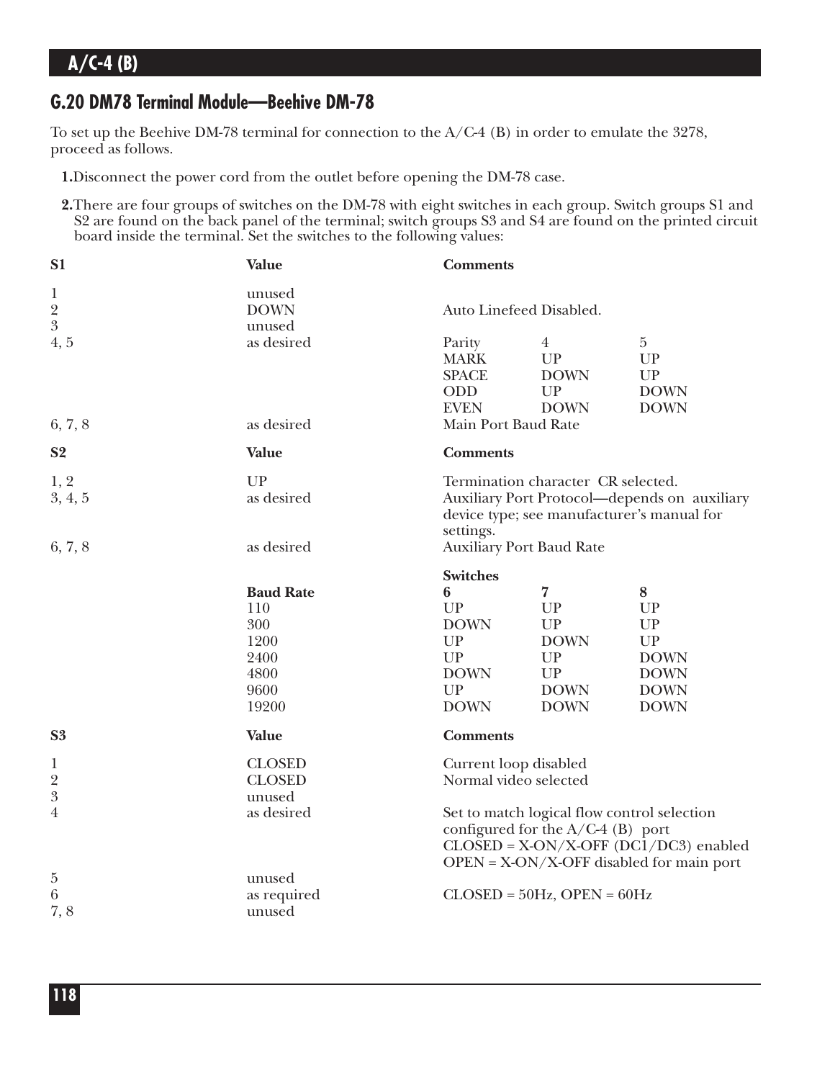## **G.20 DM78 Terminal Module—Beehive DM-78**

To set up the Beehive DM-78 terminal for connection to the A/C-4 (B) in order to emulate the 3278, proceed as follows.

- **1.**Disconnect the power cord from the outlet before opening the DM-78 case.
- **2.**There are four groups of switches on the DM-78 with eight switches in each group. Switch groups S1 and S2 are found on the back panel of the terminal; switch groups S3 and S4 are found on the printed circuit board inside the terminal. Set the switches to the following values:

| S <sub>1</sub>                                  | <b>Value</b>                                           | <b>Comments</b>                                                                   |                                                                                  |                                                                                                           |
|-------------------------------------------------|--------------------------------------------------------|-----------------------------------------------------------------------------------|----------------------------------------------------------------------------------|-----------------------------------------------------------------------------------------------------------|
| $\mathbf{1}$<br>$\frac{2}{3}$                   | unused<br><b>DOWN</b><br>unused                        | Auto Linefeed Disabled.                                                           |                                                                                  |                                                                                                           |
| 4, 5                                            | as desired                                             | Parity<br><b>MARK</b><br><b>SPACE</b><br>ODD<br><b>EVEN</b>                       | $\overline{4}$<br>UP<br><b>DOWN</b><br>UP<br><b>DOWN</b>                         | $\bf 5$<br>UP<br>UP<br><b>DOWN</b><br><b>DOWN</b>                                                         |
| 6, 7, 8                                         | as desired                                             | Main Port Baud Rate                                                               |                                                                                  |                                                                                                           |
| S <sub>2</sub>                                  | Value                                                  | <b>Comments</b>                                                                   |                                                                                  |                                                                                                           |
| 1, 2<br>3, 4, 5                                 | UP<br>as desired                                       | settings.                                                                         | Termination character CR selected.<br>device type; see manufacturer's manual for | Auxiliary Port Protocol-depends on auxiliary                                                              |
| 6, 7, 8                                         | as desired                                             | <b>Auxiliary Port Baud Rate</b>                                                   |                                                                                  |                                                                                                           |
|                                                 | <b>Baud Rate</b>                                       | <b>Switches</b><br>6                                                              | 7                                                                                | 8                                                                                                         |
|                                                 | 110<br>300<br>1200<br>2400<br>4800<br>9600<br>19200    | UP<br><b>DOWN</b><br>${\cal UP}$<br><b>UP</b><br><b>DOWN</b><br>UP<br><b>DOWN</b> | UP<br>UP<br><b>DOWN</b><br>UP<br>UP<br><b>DOWN</b><br><b>DOWN</b>                | <b>UP</b><br>UP<br>$\ensuremath{\mathrm{UP}}$<br><b>DOWN</b><br><b>DOWN</b><br><b>DOWN</b><br><b>DOWN</b> |
| S <sub>3</sub>                                  | Value                                                  | <b>Comments</b>                                                                   |                                                                                  |                                                                                                           |
| $\mathbf{1}$<br>$\frac{2}{3}$<br>$\overline{4}$ | <b>CLOSED</b><br><b>CLOSED</b><br>unused<br>as desired | Current loop disabled<br>Normal video selected                                    | Set to match logical flow control selection                                      |                                                                                                           |
|                                                 |                                                        |                                                                                   | configured for the $A/C-4$ (B) port                                              | $CLOSED = X-ON/X-OFF (DCl/DC3)$ enabled<br>$OPEN = X-ON/X-OFF$ disabled for main port                     |
| 5<br>$\,6\,$<br>7,8                             | unused<br>as required<br>unused                        |                                                                                   | $CLOSED = 50Hz$ , OPEN = 60Hz                                                    |                                                                                                           |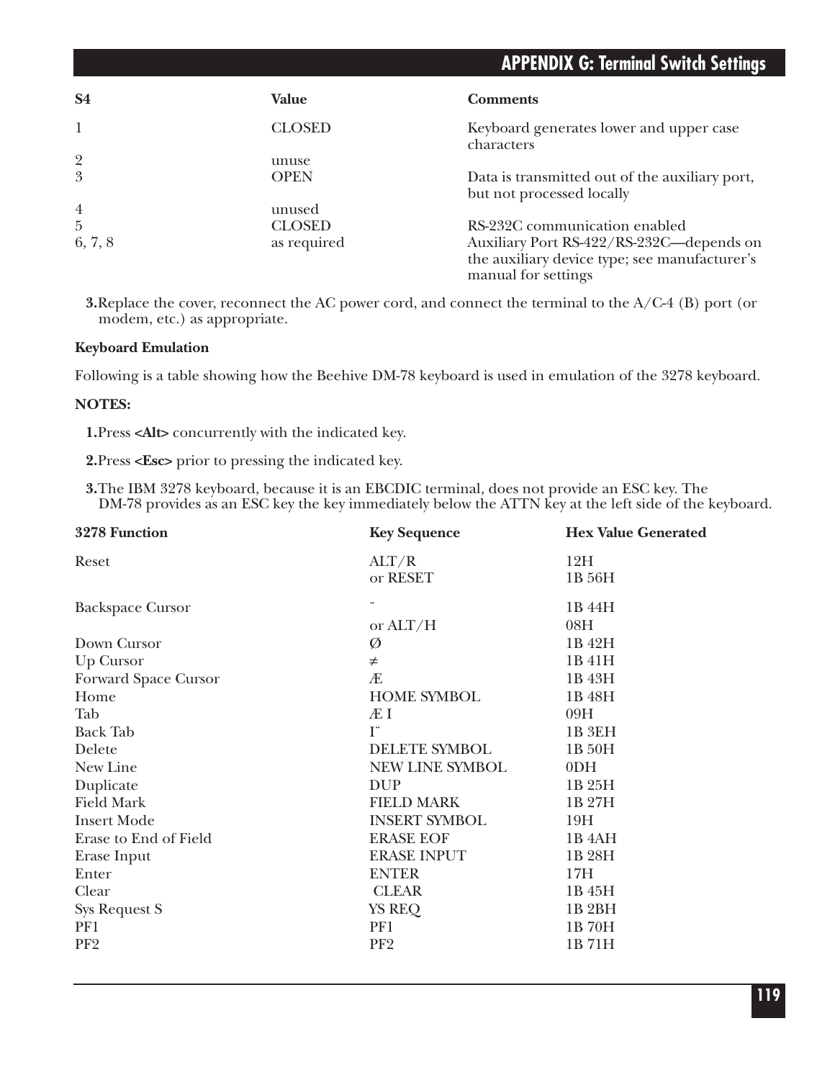| <b>S4</b>      | Value         | <b>Comments</b>                                                      |
|----------------|---------------|----------------------------------------------------------------------|
|                | <b>CLOSED</b> | Keyboard generates lower and upper case<br>characters                |
| $\overline{2}$ | unuse         |                                                                      |
| 3              | <b>OPEN</b>   | Data is transmitted out of the auxiliary port,                       |
|                |               | but not processed locally                                            |
| $\overline{4}$ | unused        |                                                                      |
| $\overline{5}$ | <b>CLOSED</b> | RS-232C communication enabled                                        |
| 6, 7, 8        | as required   | Auxiliary Port RS-422/RS-232C—depends on                             |
|                |               | the auxiliary device type; see manufacturer's<br>manual for settings |

**3.**Replace the cover, reconnect the AC power cord, and connect the terminal to the A/C-4 (B) port (or modem, etc.) as appropriate.

#### **Keyboard Emulation**

Following is a table showing how the Beehive DM-78 keyboard is used in emulation of the 3278 keyboard.

#### **NOTES:**

**1.**Press **<Alt>** concurrently with the indicated key.

**2.**Press **<Esc>** prior to pressing the indicated key.

**3.**The IBM 3278 keyboard, because it is an EBCDIC terminal, does not provide an ESC key. The DM-78 provides as an ESC key the key immediately below the ATTN key at the left side of the keyboard.

| 3278 Function           | <b>Key Sequence</b>                   | <b>Hex Value Generated</b> |
|-------------------------|---------------------------------------|----------------------------|
| Reset                   | ALT/R<br>or RESET                     | 12H<br>1B 56H              |
| <b>Backspace Cursor</b> | $\ddotsc$<br>or $\text{ALT}/\text{H}$ | 1B 44H<br>08H              |
| Down Cursor             | Ø                                     | 1B 42H                     |
| Up Cursor               | $\neq$                                | 1B 41H                     |
| Forward Space Cursor    | Æ                                     | 1B 43H                     |
| Home                    | <b>HOME SYMBOL</b>                    | 1B 48H                     |
| Tab                     | ÆI                                    | 09H                        |
| <b>Back Tab</b>         | $\mathbf{I}^{\cdot\cdot}$             | 1B 3EH                     |
| Delete                  | <b>DELETE SYMBOL</b>                  | 1B 50H                     |
| New Line                | NEW LINE SYMBOL                       | 0 <sub>DH</sub>            |
| Duplicate               | <b>DUP</b>                            | 1B 25H                     |
| <b>Field Mark</b>       | <b>FIELD MARK</b>                     | 1B 27H                     |
| <b>Insert Mode</b>      | <b>INSERT SYMBOL</b>                  | 19H                        |
| Erase to End of Field   | <b>ERASE EOF</b>                      | 1B <sub>4</sub> AH         |
| Erase Input             | <b>ERASE INPUT</b>                    | 1B 28H                     |
| Enter                   | <b>ENTER</b>                          | 17H                        |
| Clear                   | <b>CLEAR</b>                          | 1B 45H                     |
| Sys Request S           | <b>YS REQ</b>                         | 1B <sub>2</sub> BH         |
| PF1                     | PF1                                   | 1B 70H                     |
| PF <sub>2</sub>         | PF <sub>2</sub>                       | 1B71H                      |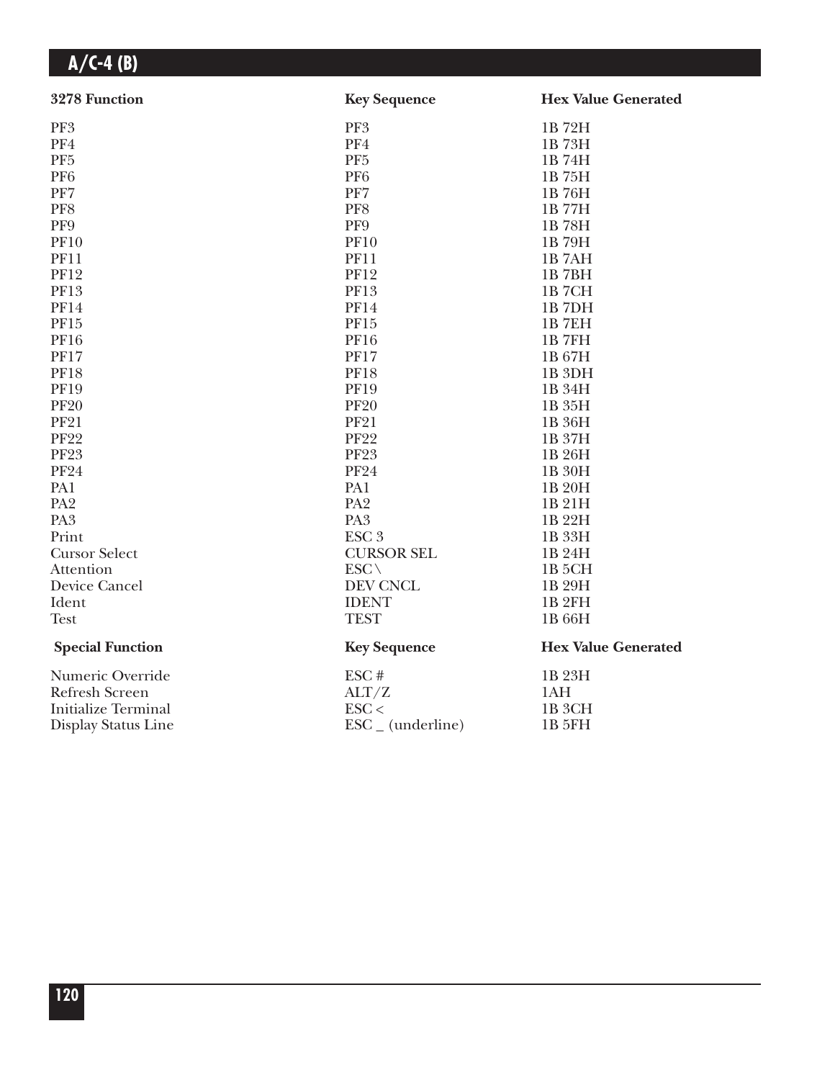| 3278 Function              | <b>Key Sequence</b>          | <b>Hex Value Generated</b> |
|----------------------------|------------------------------|----------------------------|
| PF3                        | PF3                          | 1B72H                      |
| PF4                        | PF4                          | 1B73H                      |
| PF <sub>5</sub>            | PF <sub>5</sub>              | 1B 74H                     |
| PF <sub>6</sub>            | PF <sub>6</sub>              | 1B 75H                     |
| PF7                        | PF7                          | 1B 76H                     |
| PF8                        | PF8                          | 1B77H                      |
| PF9                        | PF9                          | 1B78H                      |
| <b>PF10</b>                | <b>PF10</b>                  | 1B79H                      |
| <b>PF11</b>                | <b>PF11</b>                  | 1B7AH                      |
| <b>PF12</b>                | <b>PF12</b>                  | 1B7BH                      |
| <b>PF13</b>                | <b>PF13</b>                  | <b>1B7CH</b>               |
| <b>PF14</b>                | <b>PF14</b>                  | 1B7DH                      |
| PF15                       | <b>PF15</b>                  | <b>1B7EH</b>               |
| <b>PF16</b>                | <b>PF16</b>                  | <b>1B7FH</b>               |
| <b>PF17</b>                | <b>PF17</b>                  | 1B 67H                     |
| <b>PF18</b>                | <b>PF18</b>                  | 1B <sub>3DH</sub>          |
| <b>PF19</b>                | <b>PF19</b>                  | 1B 34H                     |
| <b>PF20</b>                | <b>PF20</b>                  | 1B 35H                     |
| <b>PF21</b>                | <b>PF21</b>                  | 1B 36H                     |
| <b>PF22</b>                | <b>PF22</b>                  | 1B 37H                     |
| <b>PF23</b>                | <b>PF23</b>                  | 1B 26H                     |
| <b>PF24</b>                | <b>PF24</b>                  | 1B 30H                     |
| PA1                        | PA1                          | 1B 20H                     |
| PA <sub>2</sub>            | PA <sub>2</sub>              | 1B 21H                     |
| PA <sub>3</sub>            | PA <sub>3</sub>              | 1B 22H                     |
| Print                      | ESC <sub>3</sub>             | 1B 33H                     |
| <b>Cursor Select</b>       | <b>CURSOR SEL</b>            | 1B 24H                     |
| Attention                  | $ESC \setminus$              | 1B 5CH                     |
| Device Cancel              | DEV CNCL                     | 1B 29H                     |
| Ident                      | <b>IDENT</b>                 | <b>1B2FH</b>               |
| <b>Test</b>                | <b>TEST</b>                  | 1B 66H                     |
| <b>Special Function</b>    | <b>Key Sequence</b>          | <b>Hex Value Generated</b> |
| Numeric Override           | ESC#                         | 1B 23H                     |
| <b>Refresh Screen</b>      | ALT/Z                        | 1AH                        |
| <b>Initialize Terminal</b> | $\text{ESC}$                 | 1B <sub>3</sub> CH         |
| Display Status Line        | $\text{ESC}_{-}$ (underline) | 1B 5FH                     |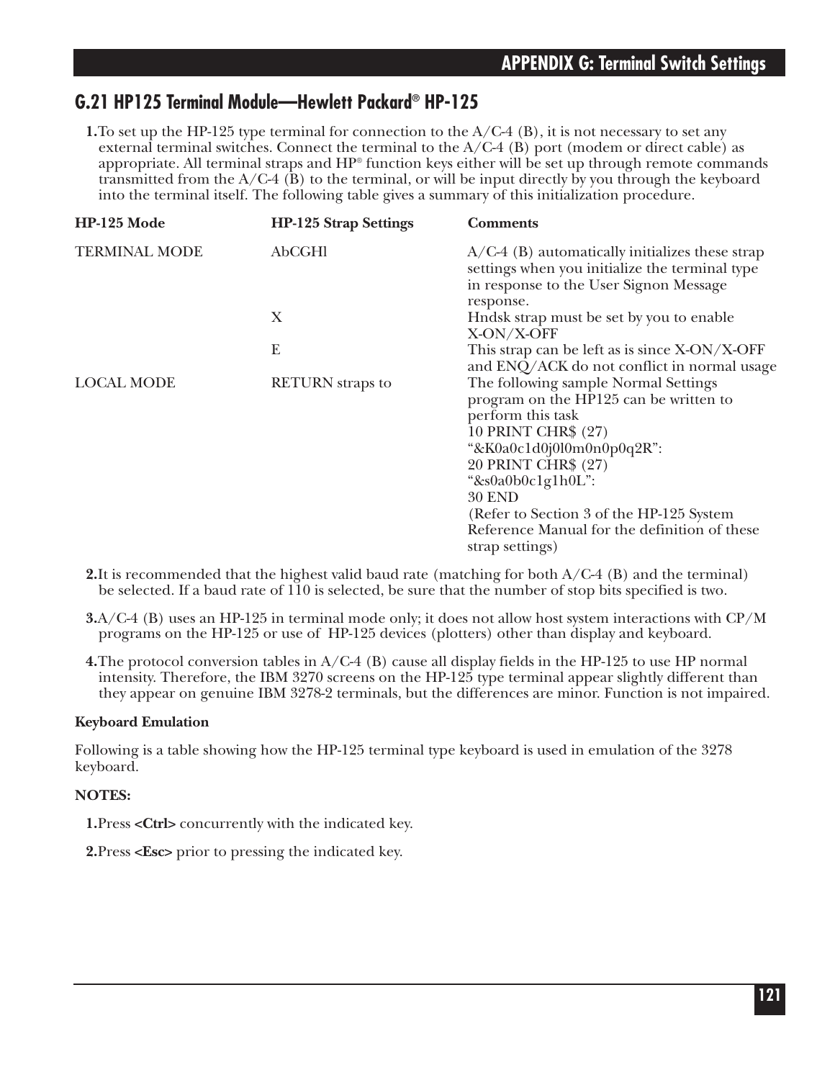### **G.21 HP125 Terminal Module—Hewlett Packard® HP-125**

**1.**To set up the HP-125 type terminal for connection to the A/C-4 (B), it is not necessary to set any external terminal switches. Connect the terminal to the  $A/C-4$  (B) port (modem or direct cable) as appropriate. All terminal straps and HP® function keys either will be set up through remote commands transmitted from the  $A/C-4$  (B) to the terminal, or will be input directly by you through the keyboard into the terminal itself. The following table gives a summary of this initialization procedure.

| HP-125 Mode          | <b>HP-125 Strap Settings</b> | <b>Comments</b>                                                                                                                                                                                                                                                                                                                      |
|----------------------|------------------------------|--------------------------------------------------------------------------------------------------------------------------------------------------------------------------------------------------------------------------------------------------------------------------------------------------------------------------------------|
| <b>TERMINAL MODE</b> | AbCGHI                       | $A/C-4$ (B) automatically initializes these strap<br>settings when you initialize the terminal type<br>in response to the User Signon Message<br>response.                                                                                                                                                                           |
|                      | X                            | Hndsk strap must be set by you to enable<br>X-ON/X-OFF                                                                                                                                                                                                                                                                               |
|                      | E                            | This strap can be left as is since X-ON/X-OFF<br>and ENQ/ACK do not conflict in normal usage                                                                                                                                                                                                                                         |
| <b>LOCAL MODE</b>    | <b>RETURN</b> straps to      | The following sample Normal Settings<br>program on the HP125 can be written to<br>perform this task<br>10 PRINT CHR\$ (27)<br>"&K0a0c1d0j0l0m0n0p0q2R":<br>20 PRINT CHR\$ (27)<br>"&s0a0b0c1g1h0L":<br><b>30 END</b><br>(Refer to Section 3 of the HP-125 System)<br>Reference Manual for the definition of these<br>strap settings) |

**2.**It is recommended that the highest valid baud rate (matching for both A/C-4 (B) and the terminal) be selected. If a baud rate of 110 is selected, be sure that the number of stop bits specified is two.

- **3.**A/C-4 (B) uses an HP-125 in terminal mode only; it does not allow host system interactions with CP/M programs on the HP-125 or use of HP-125 devices (plotters) other than display and keyboard.
- **4.**The protocol conversion tables in A/C-4 (B) cause all display fields in the HP-125 to use HP normal intensity. Therefore, the IBM 3270 screens on the HP-125 type terminal appear slightly different than they appear on genuine IBM 3278-2 terminals, but the differences are minor. Function is not impaired.

### **Keyboard Emulation**

Following is a table showing how the HP-125 terminal type keyboard is used in emulation of the 3278 keyboard.

### **NOTES:**

**1.**Press **<Ctrl>** concurrently with the indicated key.

**2.**Press **<Esc>** prior to pressing the indicated key.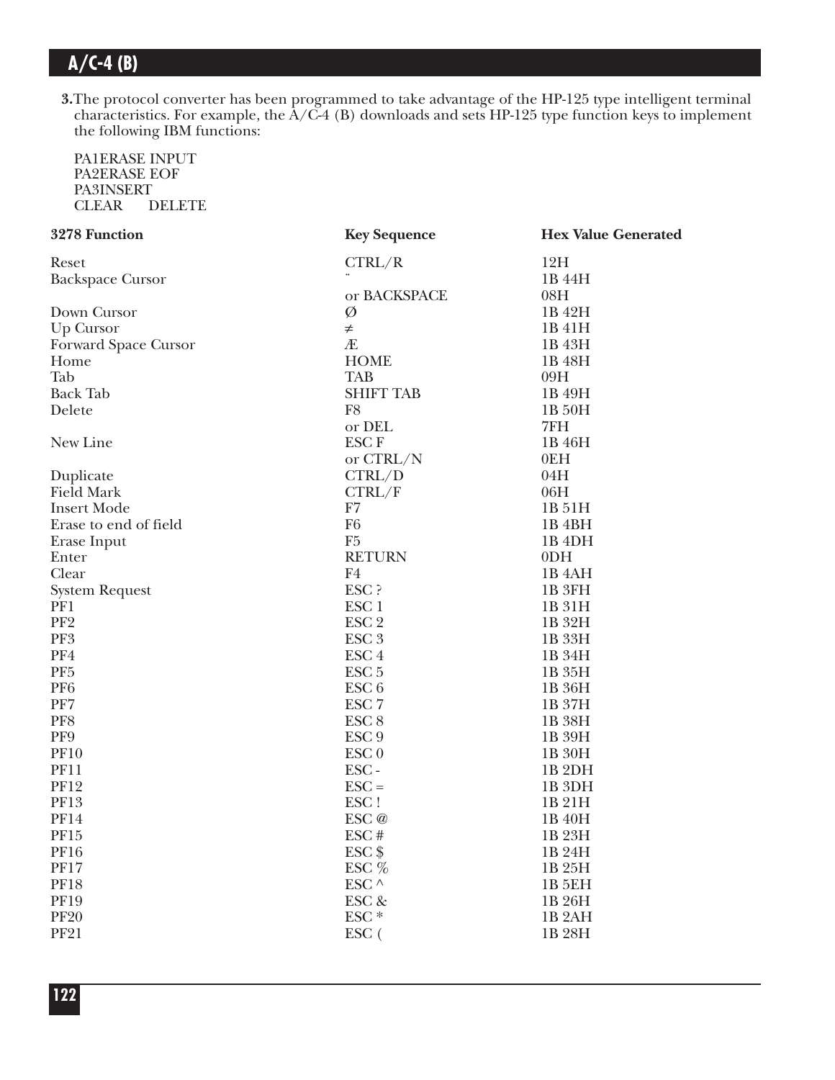**3.**The protocol converter has been programmed to take advantage of the HP-125 type intelligent terminal characteristics. For example, the A/C-4 (B) downloads and sets HP-125 type function keys to implement the following IBM functions:

PA1ERASE INPUT PA2ERASE EOF PA3INSERT<br>CLEAR D DELETE

| 3278 Function<br><b>Key Sequence</b>                          | <b>Hex Value Generated</b> |
|---------------------------------------------------------------|----------------------------|
| CTRL/R<br>12H<br>Reset                                        |                            |
| <b>Backspace Cursor</b><br>1B 44H                             |                            |
| or BACKSPACE<br>08H                                           |                            |
| Ø<br>Down Cursor<br>1B 42H                                    |                            |
| Up Cursor<br>1B 41H<br>$\neq$                                 |                            |
| Æ<br>Forward Space Cursor<br>1B 43H                           |                            |
| <b>HOME</b><br>Home<br>1B 48H                                 |                            |
| Tab<br><b>TAB</b><br>09H                                      |                            |
| <b>Back Tab</b><br><b>SHIFT TAB</b><br>1B 49H                 |                            |
| F <sub>8</sub><br>Delete<br>1B 50H                            |                            |
| 7FH<br>or DEL                                                 |                            |
| New Line<br><b>ESCF</b><br>1B 46H                             |                            |
| 0EH<br>or CTRL/N                                              |                            |
| CTRL/D<br>04H<br>Duplicate                                    |                            |
| <b>Field Mark</b><br>CTRL/F<br>06H                            |                            |
| <b>Insert Mode</b><br>F7<br>1B 51H                            |                            |
| F <sub>6</sub><br>Erase to end of field<br>1B <sub>4</sub> BH |                            |
| F <sub>5</sub><br>1B <sub>4DH</sub><br>Erase Input            |                            |
| <b>RETURN</b><br>0 <sub>DH</sub><br>Enter                     |                            |
| Clear<br>F4<br>1B <sub>4</sub> AH                             |                            |
| ESC ?<br>1B 3FH<br><b>System Request</b>                      |                            |
| PF1<br>ESC <sub>1</sub><br>1B 31H                             |                            |
| PF <sub>2</sub><br>ESC <sub>2</sub><br>1B 32H                 |                            |
| PF3<br>ESC <sub>3</sub><br>1B 33H                             |                            |
| PF4<br>ESC <sub>4</sub><br>1B 34H                             |                            |
| PF <sub>5</sub><br>ESC <sub>5</sub><br>1B 35H                 |                            |
| PF <sub>6</sub><br>ESC <sub>6</sub><br>1B 36H                 |                            |
| PF7<br>ESC <sub>7</sub><br>1B 37H                             |                            |
| PF8<br>ESC <sub>8</sub><br>1B 38H                             |                            |
| PF9<br>ESC <sub>9</sub><br>1B 39H                             |                            |
| <b>PF10</b><br>ESC <sub>0</sub><br>1B 30H                     |                            |
| <b>PF11</b><br>ESC-<br>1B <sub>2DH</sub>                      |                            |
| <b>PF12</b><br>$\text{ESC} =$<br>1B <sub>3DH</sub>            |                            |
| <b>PF13</b><br>ESC!<br>1B 21H                                 |                            |
| <b>PF14</b><br>ESC <sub>@</sub><br>1B 40H                     |                            |
| <b>PF15</b><br>ESC#<br>1B 23H                                 |                            |
| $ESC$ \$<br><b>PF16</b><br>1B 24H                             |                            |
| <b>PF17</b><br>ESC %<br>1B 25H                                |                            |
| <b>PF18</b><br>ESC ^<br><b>1B 5EH</b>                         |                            |
| <b>PF19</b><br>ESC &<br>1B 26H                                |                            |
| ESC <sup>*</sup><br><b>PF20</b><br>1B <sub>2</sub> AH         |                            |
| <b>PF21</b><br>ESC (<br>1B 28H                                |                            |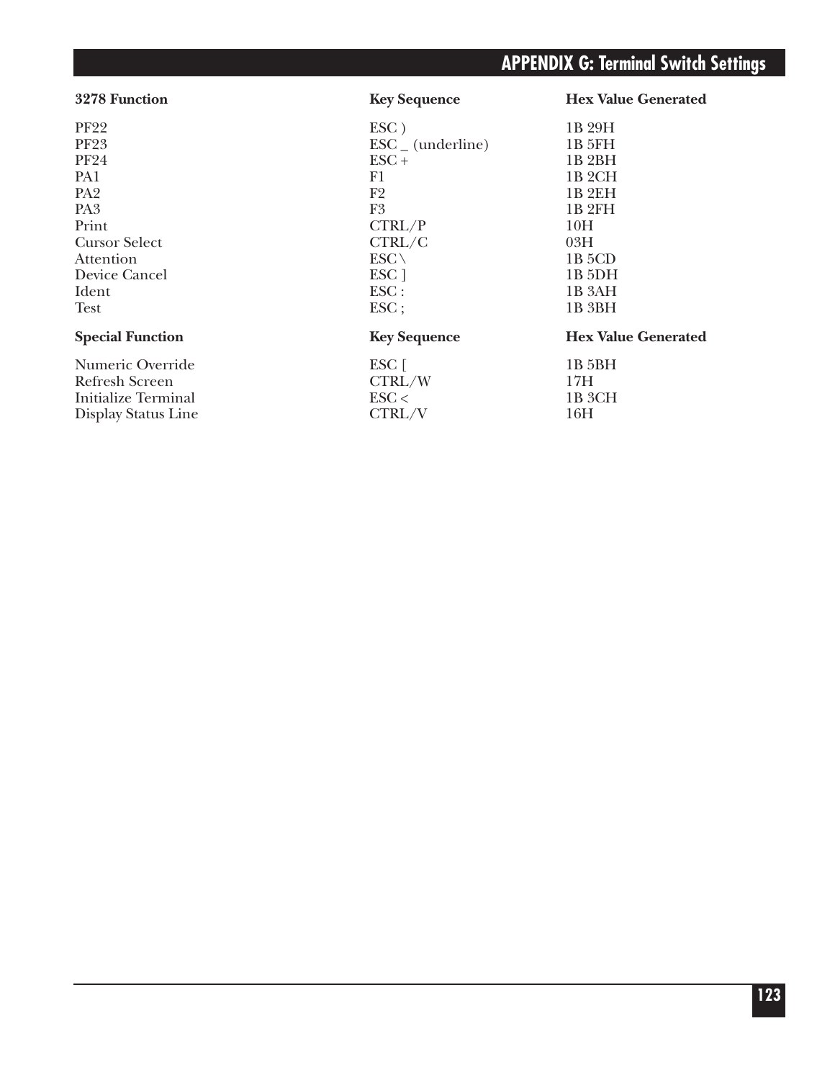### **3278 Function Key Sequence Hex Value Generated**   $P$ F22 ESC ) 1B 29H  $\overline{P}$ F23 ESC (underline) 1B 5FH<br>PF24 ESC + 1B 2BH  $\text{PF24}$  and  $\text{PST} + \text{PST}$  and  $\text{PST} + \text{PST} + \text{PST} + \text{PST} + \text{PST} + \text{PST} + \text{PST} + \text{PST} + \text{PST} + \text{PST} + \text{PST} + \text{PST} + \text{PST} + \text{PST} + \text{PST} + \text{PST} + \text{PST} + \text{PST} + \text{PST} + \text{PST} + \text{PST} + \text{PST} + \text{PST} + \text{PST} + \text{PST} + \text{PST} + \text{$  $P$ A1 1B 2CH  $P_A$  F2 1B 2EH  $P_A3$  F3 1B 2FH Print  $CTRL/P$  10H Cursor Select CTRL/C 03H Attention  $\text{ESC} \setminus 1B\text{ 5CD}$ Device Cancel ESC ] 1B 5DH Ident 1B 3AH Test 1B 3BH **Special Function Key Sequence Hex Value Generated** Numeric Override ESC [ 1B 5BH<br>Refresh Screen CTRL/W 17H Refresh Screen CTRL/W 17H<br>
Initialize Terminal ESC < 1B 3CH Initialize Terminal<br>Display Status Line<br>CTRL/V

Display Status Line CTRL/V 16H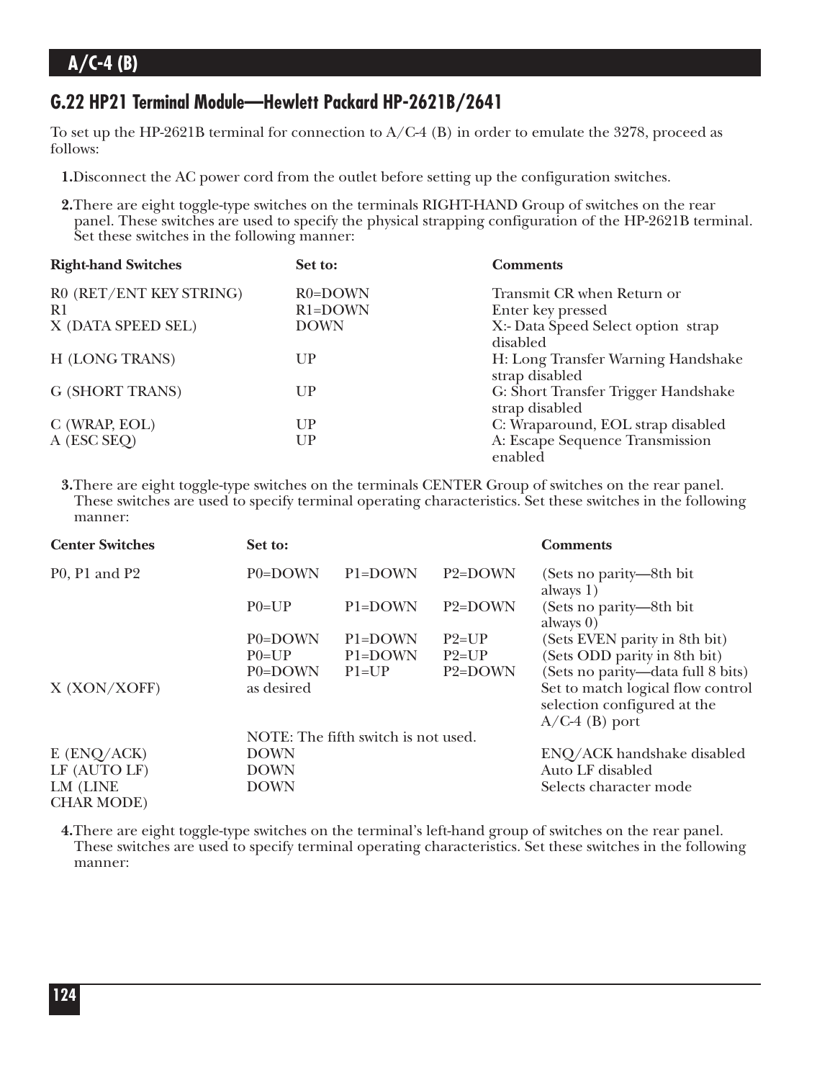### **G.22 HP21 Terminal Module—Hewlett Packard HP-2621B/2641**

To set up the HP-2621B terminal for connection to  $A/C-4$  (B) in order to emulate the 3278, proceed as follows:

- **1.**Disconnect the AC power cord from the outlet before setting up the configuration switches.
- **2.**There are eight toggle-type switches on the terminals RIGHT-HAND Group of switches on the rear panel. These switches are used to specify the physical strapping configuration of the HP-2621B terminal. Set these switches in the following manner:

| <b>Right-hand Switches</b> | Set to:     | <b>Comments</b>                                       |
|----------------------------|-------------|-------------------------------------------------------|
| R0 (RET/ENT KEY STRING)    | $R0 = DOWN$ | Transmit CR when Return or                            |
| R <sub>1</sub>             | $R1 = DOWN$ | Enter key pressed                                     |
| X (DATA SPEED SEL)         | <b>DOWN</b> | X:- Data Speed Select option strap<br>disabled        |
| H (LONG TRANS)             | UР          | H: Long Transfer Warning Handshake<br>strap disabled  |
| <b>G (SHORT TRANS)</b>     | UP          | G: Short Transfer Trigger Handshake<br>strap disabled |
| C (WRAP, EOL)              | UP          | C: Wraparound, EOL strap disabled                     |
| A (ESC SEQ)                | UP          | A: Escape Sequence Transmission<br>enabled            |

**3.**There are eight toggle-type switches on the terminals CENTER Group of switches on the rear panel. These switches are used to specify terminal operating characteristics. Set these switches in the following manner:

| <b>Center Switches</b>        | Set to:     |                                     |                      | <b>Comments</b>                                                                      |
|-------------------------------|-------------|-------------------------------------|----------------------|--------------------------------------------------------------------------------------|
| P0, P1 and P2                 | P0=DOWN     | P1=DOWN                             | $P2 = DOWN$          | (Sets no parity—8th bit)<br>always 1)                                                |
|                               | $P()=UP$    | P1=DOWN                             | P <sub>2</sub> =DOWN | (Sets no parity—8th bit)<br>always $0)$                                              |
|                               | P0=DOWN     | P1=DOWN                             | $P2=UP$              | (Sets EVEN parity in 8th bit)                                                        |
|                               | $P()=UP$    | P1=DOWN                             | $P2=UP$              | (Sets ODD parity in 8th bit)                                                         |
|                               | P0=DOWN     | $P1=UP$                             | P2=DOWN              | (Sets no parity—data full 8 bits)                                                    |
| X (XON/XOFF)                  | as desired  |                                     |                      | Set to match logical flow control<br>selection configured at the<br>$A/C-4$ (B) port |
|                               |             | NOTE: The fifth switch is not used. |                      |                                                                                      |
| $E$ (ENQ/ACK)                 | <b>DOWN</b> |                                     |                      | ENQ/ACK handshake disabled                                                           |
| LF (AUTO LF)                  | <b>DOWN</b> |                                     |                      | Auto LF disabled                                                                     |
| LM (LINE<br><b>CHAR MODE)</b> | <b>DOWN</b> |                                     |                      | Selects character mode                                                               |

**4.**There are eight toggle-type switches on the terminal's left-hand group of switches on the rear panel. These switches are used to specify terminal operating characteristics. Set these switches in the following manner: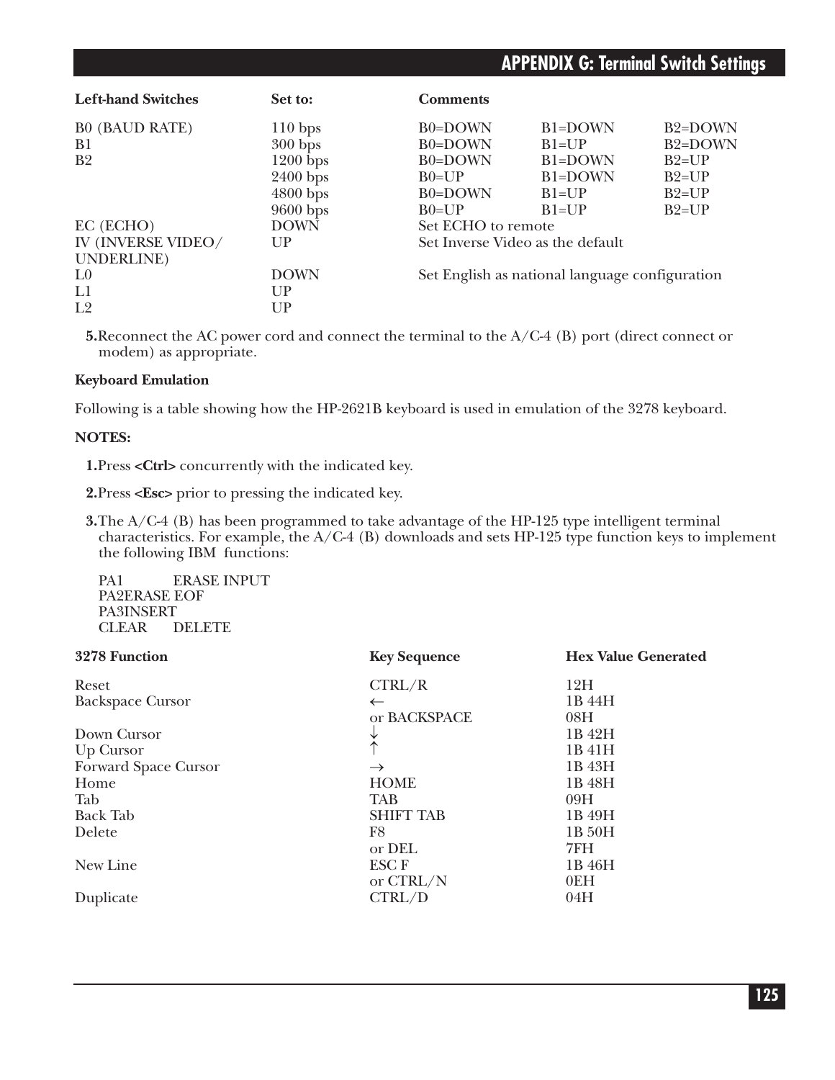| <b>Left-hand Switches</b> | Set to:     | <b>Comments</b>                  |                                                |                      |
|---------------------------|-------------|----------------------------------|------------------------------------------------|----------------------|
| <b>B0 (BAUD RATE)</b>     | $110$ bps   | B0=DOWN                          | B1=DOWN                                        | B <sub>2</sub> =DOWN |
| B <sub>1</sub>            | $300$ bps   | B0=DOWN                          | $B1=UP$                                        | B <sub>2</sub> =DOWN |
| B <sub>2</sub>            | $1200$ bps  | B0=DOWN                          | B1=DOWN                                        | $B2=UP$              |
|                           | $2400$ bps  | $B0=UP$                          | B1=DOWN                                        | $B2=UP$              |
|                           | $4800$ bps  | B0=DOWN                          | $B1=UP$                                        | $B2=UP$              |
|                           | 9600 bps    | $B0=UP$                          | $B1=UP$                                        | $B2=UP$              |
| EC (ECHO)                 | <b>DOWN</b> | Set ECHO to remote               |                                                |                      |
| IV (INVERSE VIDEO/        | UP          | Set Inverse Video as the default |                                                |                      |
| UNDERLINE)                |             |                                  |                                                |                      |
| $I_{0}$                   | <b>DOWN</b> |                                  | Set English as national language configuration |                      |
| L1                        | UP          |                                  |                                                |                      |
| L <sub>2</sub>            | UP          |                                  |                                                |                      |

**5.**Reconnect the AC power cord and connect the terminal to the A/C-4 (B) port (direct connect or modem) as appropriate.

#### **Keyboard Emulation**

Following is a table showing how the HP-2621B keyboard is used in emulation of the 3278 keyboard.

#### **NOTES:**

**1.**Press **<Ctrl>** concurrently with the indicated key.

**2.**Press **<Esc>** prior to pressing the indicated key.

**3.**The A/C-4 (B) has been programmed to take advantage of the HP-125 type intelligent terminal characteristics. For example, the A/C-4 (B) downloads and sets HP-125 type function keys to implement the following IBM functions:

PA1 ERASE INPUT PA2ERASE EOF PA3INSERT CLEAR DELETE

| <b>Key Sequence</b> | <b>Hex Value Generated</b> |
|---------------------|----------------------------|
| CTRL/R              | 12H                        |
| $\leftarrow$        | 1B 44H                     |
| or BACKSPACE        | 08H                        |
| V                   | 1B 42H                     |
|                     | 1B 41H                     |
| $\rightarrow$       | 1B 43H                     |
| <b>HOME</b>         | 1B 48H                     |
| <b>TAB</b>          | 09H                        |
| <b>SHIFT TAB</b>    | 1B 49H                     |
| F <sub>8</sub>      | 1B 50H                     |
| or DEL              | 7FH                        |
| <b>ESCF</b>         | 1B 46H                     |
| or CTRL/N           | 0EH                        |
| CTRL/D              | 04H                        |
|                     |                            |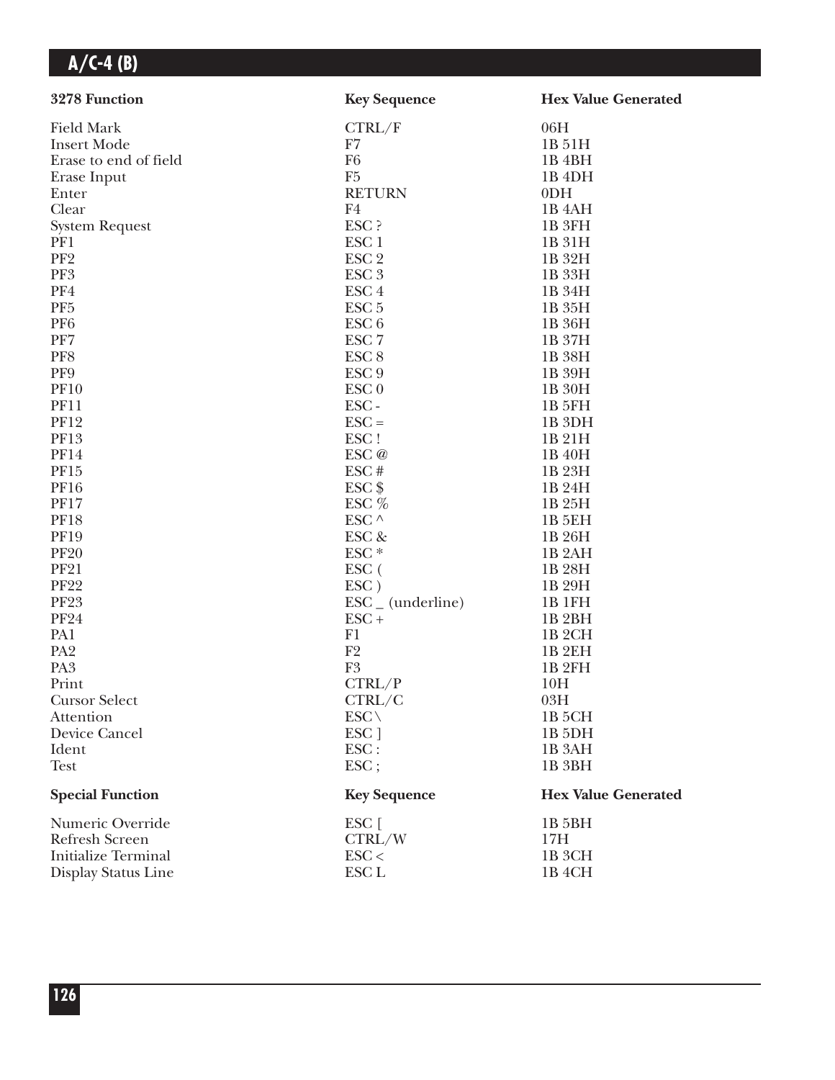| 3278 Function              | <b>Key Sequence</b>          | <b>Hex Value Generated</b> |
|----------------------------|------------------------------|----------------------------|
| <b>Field Mark</b>          | CTRL/F                       | 06H                        |
| <b>Insert Mode</b>         | F7                           | 1B 51H                     |
| Erase to end of field      | F <sub>6</sub>               | 1B 4BH                     |
| Erase Input                | F <sub>5</sub>               | 1B <sub>4</sub> DH         |
| Enter                      | <b>RETURN</b>                | 0 <sub>DH</sub>            |
| Clear                      | F4                           | 1B <sub>4</sub> AH         |
| <b>System Request</b>      | ESC ?                        | 1B 3FH                     |
| PF1                        | ESC <sub>1</sub>             | 1B 31H                     |
| PF <sub>2</sub>            | ESC <sub>2</sub>             | 1B 32H                     |
| PF3                        | ESC <sub>3</sub>             | 1B 33H                     |
| PF4                        | ESC <sub>4</sub>             | 1B 34H                     |
| PF <sub>5</sub>            | ESC <sub>5</sub>             | 1B 35H                     |
| PF <sub>6</sub>            | ESC <sub>6</sub>             | 1B 36H                     |
| PF7                        | ESC <sub>7</sub>             | 1B 37H                     |
| PF8                        | ESC <sub>8</sub>             | 1B 38H                     |
| PF9                        | ESC <sub>9</sub>             | 1B 39H                     |
| <b>PF10</b>                | ESC <sub>0</sub>             | 1B 30H                     |
| <b>PF11</b>                | ESC-                         | <b>1B 5FH</b>              |
| <b>PF12</b>                | $\text{ESC} =$               | 1B 3DH                     |
| <b>PF13</b>                | ESC!                         | 1B 21H                     |
| <b>PF14</b>                | ESC @                        | 1B 40H                     |
| <b>PF15</b>                | ESC#                         | 1B 23H                     |
| <b>PF16</b>                | $ESC$ \$                     | 1B 24H                     |
| <b>PF17</b>                | $\rm{ESC} \ \%$              | 1B 25H                     |
| <b>PF18</b>                | ESC $\land$                  | <b>1B 5EH</b>              |
| <b>PF19</b>                | ESC &                        | 1B 26H                     |
| <b>PF20</b>                | ESC <sup>*</sup>             | 1B <sub>2</sub> AH         |
| <b>PF21</b>                | ESC (                        | 1B 28H                     |
| <b>PF22</b>                | ESC)                         | 1B 29H                     |
| <b>PF23</b>                | $\text{ESC}_{-}$ (underline) | 1B 1FH                     |
| <b>PF24</b>                | $ESC +$                      | 1B <sub>2</sub> BH         |
| PA1                        | F1                           | 1B <sub>2</sub> CH         |
| PA <sub>2</sub>            | F2                           | 1B <sub>2EH</sub>          |
| PA <sub>3</sub>            | ${\rm F}3$                   | <b>1B 2FH</b>              |
| Print                      | CTRL/P                       | 10H                        |
| <b>Cursor Select</b>       | CTRL/C                       | 03H                        |
| Attention                  | $ESC \setminus$              | 1B <sub>5</sub> CH         |
| Device Cancel              | ESC ]                        | 1B <sub>5DH</sub>          |
| Ident                      | $\text{ESC}$ :               | 1B 3AH                     |
| <b>Test</b>                | $\text{ESC}$ ;               | 1B 3BH                     |
| <b>Special Function</b>    | <b>Key Sequence</b>          | <b>Hex Value Generated</b> |
| Numeric Override           | $ESC$ [                      | 1B 5BH                     |
| <b>Refresh Screen</b>      | CTRL/W                       | 17H                        |
| <b>Initialize Terminal</b> | $\text{ESC}$                 | 1B <sub>3</sub> CH         |
| Display Status Line        | ESC <sub>L</sub>             | 1B <sub>4</sub> CH         |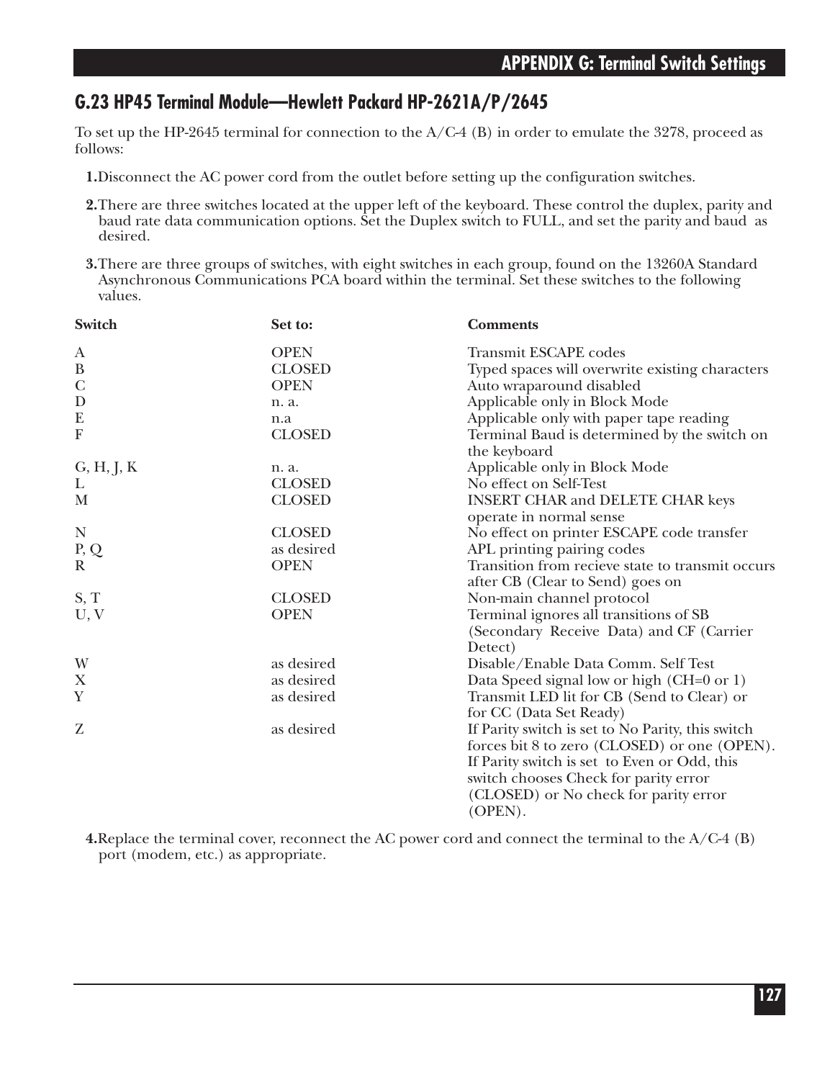## **G.23 HP45 Terminal Module—Hewlett Packard HP-2621A/P/2645**

To set up the HP-2645 terminal for connection to the A/C-4 (B) in order to emulate the 3278, proceed as follows:

- **1.**Disconnect the AC power cord from the outlet before setting up the configuration switches.
- **2.**There are three switches located at the upper left of the keyboard. These control the duplex, parity and baud rate data communication options. Set the Duplex switch to FULL, and set the parity and baud as desired.
- **3.**There are three groups of switches, with eight switches in each group, found on the 13260A Standard Asynchronous Communications PCA board within the terminal. Set these switches to the following values.

| Switch                    | Set to:       | <b>Comments</b>                                                       |
|---------------------------|---------------|-----------------------------------------------------------------------|
| A                         | <b>OPEN</b>   | <b>Transmit ESCAPE</b> codes                                          |
| $\, {\bf B}$              | <b>CLOSED</b> | Typed spaces will overwrite existing characters                       |
| $\mathcal{C}$             | <b>OPEN</b>   | Auto wraparound disabled                                              |
| D                         | n. a.         | Applicable only in Block Mode                                         |
| E                         | n.a           | Applicable only with paper tape reading                               |
| $\boldsymbol{\mathrm{F}}$ | <b>CLOSED</b> | Terminal Baud is determined by the switch on<br>the keyboard          |
| G, H, J, K                | n. a.         | Applicable only in Block Mode                                         |
| L                         | <b>CLOSED</b> | No effect on Self-Test                                                |
| M                         | <b>CLOSED</b> | <b>INSERT CHAR and DELETE CHAR keys</b><br>operate in normal sense    |
| N                         | <b>CLOSED</b> | No effect on printer ESCAPE code transfer                             |
| P, Q                      | as desired    | APL printing pairing codes                                            |
| $\mathbf R$               | <b>OPEN</b>   | Transition from recieve state to transmit occurs                      |
|                           |               | after CB (Clear to Send) goes on                                      |
| S, T                      | <b>CLOSED</b> | Non-main channel protocol                                             |
| U, V                      | <b>OPEN</b>   | Terminal ignores all transitions of SB                                |
|                           |               | (Secondary Receive Data) and CF (Carrier                              |
|                           |               | Detect)                                                               |
| W                         | as desired    | Disable/Enable Data Comm. Self Test                                   |
| X                         | as desired    | Data Speed signal low or high (CH=0 or 1)                             |
| $\mathbf Y$               | as desired    | Transmit LED lit for CB (Send to Clear) or<br>for CC (Data Set Ready) |
| Z                         | as desired    | If Parity switch is set to No Parity, this switch                     |
|                           |               | forces bit 8 to zero (CLOSED) or one (OPEN).                          |
|                           |               | If Parity switch is set to Even or Odd, this                          |
|                           |               | switch chooses Check for parity error                                 |
|                           |               | (CLOSED) or No check for parity error<br>(OPEN).                      |
|                           |               |                                                                       |

**4.**Replace the terminal cover, reconnect the AC power cord and connect the terminal to the A/C-4 (B) port (modem, etc.) as appropriate.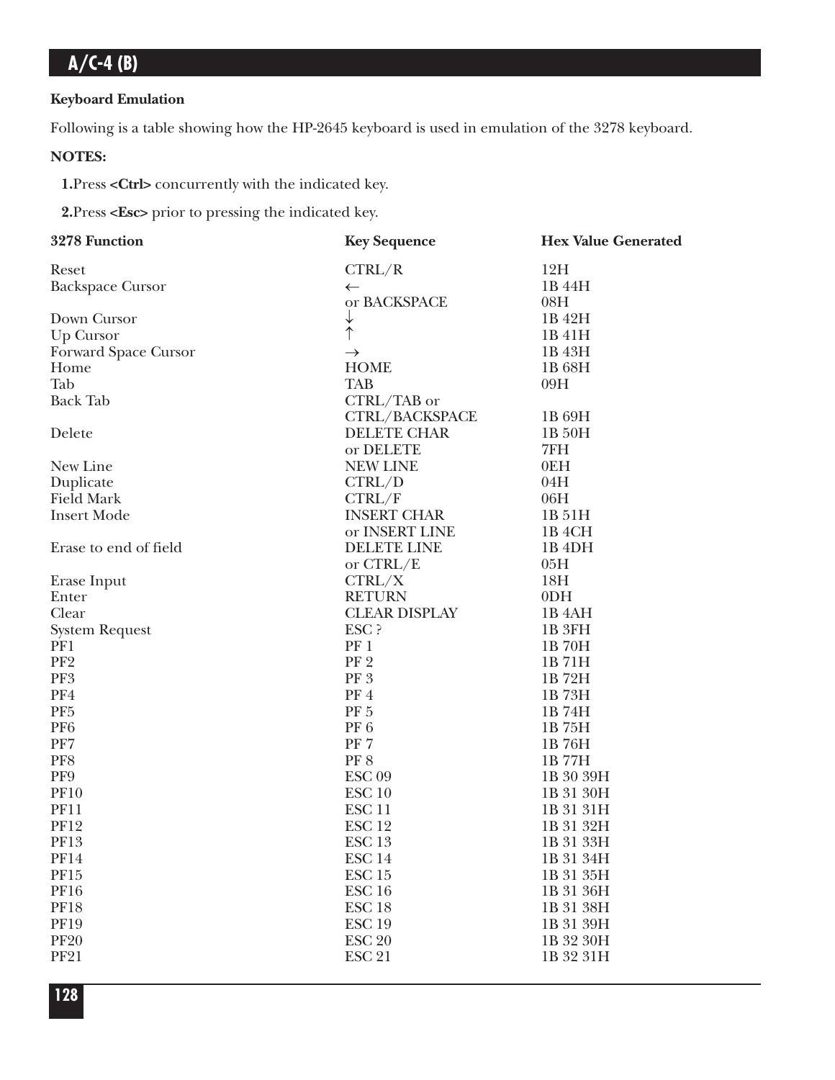### **Keyboard Emulation**

Following is a table showing how the HP-2645 keyboard is used in emulation of the 3278 keyboard.

### **NOTES:**

**1.**Press **<Ctrl>** concurrently with the indicated key.

**2.**Press **<Esc>** prior to pressing the indicated key.

| Reset                   | CTRL/R                  | 12H                |
|-------------------------|-------------------------|--------------------|
| <b>Backspace Cursor</b> | $\leftarrow$            | 1B 44H             |
|                         | or BACKSPACE            | 08H                |
| Down Cursor             | $\downarrow$            | 1B 42H             |
| Up Cursor               | $\dot{\uparrow}$        | 1B 41H             |
| Forward Space Cursor    | $\rightarrow$           | 1B 43H             |
| Home                    | <b>HOME</b>             | 1B 68H             |
| Tab                     | <b>TAB</b>              | 09H                |
| <b>Back Tab</b>         | CTRL/TAB or             |                    |
|                         | CTRL/BACKSPACE          | 1B 69H             |
| Delete                  | <b>DELETE CHAR</b>      | 1B 50H             |
|                         | or DELETE               | 7FH                |
| New Line                | <b>NEW LINE</b>         | 0EH                |
| Duplicate               | CTRL/D                  | 04H                |
| <b>Field Mark</b>       | CTRL/F                  | 06H                |
| <b>Insert Mode</b>      | <b>INSERT CHAR</b>      | 1B 51H             |
|                         | or INSERT LINE          | 1B <sub>4</sub> CH |
| Erase to end of field   | <b>DELETE LINE</b>      | 1B <sub>4DH</sub>  |
|                         | or CTRL/E               | 05H                |
| Erase Input             | CTRL/X                  | 18H                |
| Enter                   | <b>RETURN</b>           | 0 <sub>DH</sub>    |
| Clear                   | <b>CLEAR DISPLAY</b>    | 1B <sub>4</sub> AH |
| <b>System Request</b>   | ESC ?                   | 1B 3FH             |
| PF1                     | PF 1                    | 1B 70H             |
| PF <sub>2</sub>         | PF <sub>2</sub>         | 1B71H              |
| PF3                     | PF <sub>3</sub>         | 1B72H              |
| PF4                     | PF4                     | 1B73H              |
| PF <sub>5</sub>         | $\rm PF$ $5$            | 1B 74H             |
| PF <sub>6</sub>         | PF <sub>6</sub>         | 1B 75H             |
| PF7                     | PF <sub>7</sub>         | 1B76H              |
| PF8                     | <b>PF8</b>              | 1B 77H             |
| PF9                     | $\operatorname{ESC}$ 09 | 1B 30 39H          |
| <b>PF10</b>             | ESC <sub>10</sub>       | 1B 31 30H          |
| <b>PF11</b>             | ESC <sub>11</sub>       | 1B 31 31H          |
| <b>PF12</b>             | ESC <sub>12</sub>       | 1B 31 32H          |
| <b>PF13</b>             | ESC <sub>13</sub>       | 1B 31 33H          |
| <b>PF14</b>             | ESC <sub>14</sub>       | 1B 31 34H          |
| PF15                    | ESC <sub>15</sub>       | 1B 31 35H          |
| <b>PF16</b>             | ESC <sub>16</sub>       | 1B 31 36H          |
| <b>PF18</b>             | ESC <sub>18</sub>       | 1B 31 38H          |
| <b>PF19</b>             | <b>ESC 19</b>           | 1B 31 39H          |
| <b>PF20</b>             | <b>ESC 20</b>           | 1B 32 30H          |
| <b>PF21</b>             | <b>ESC 21</b>           | 1B 32 31H          |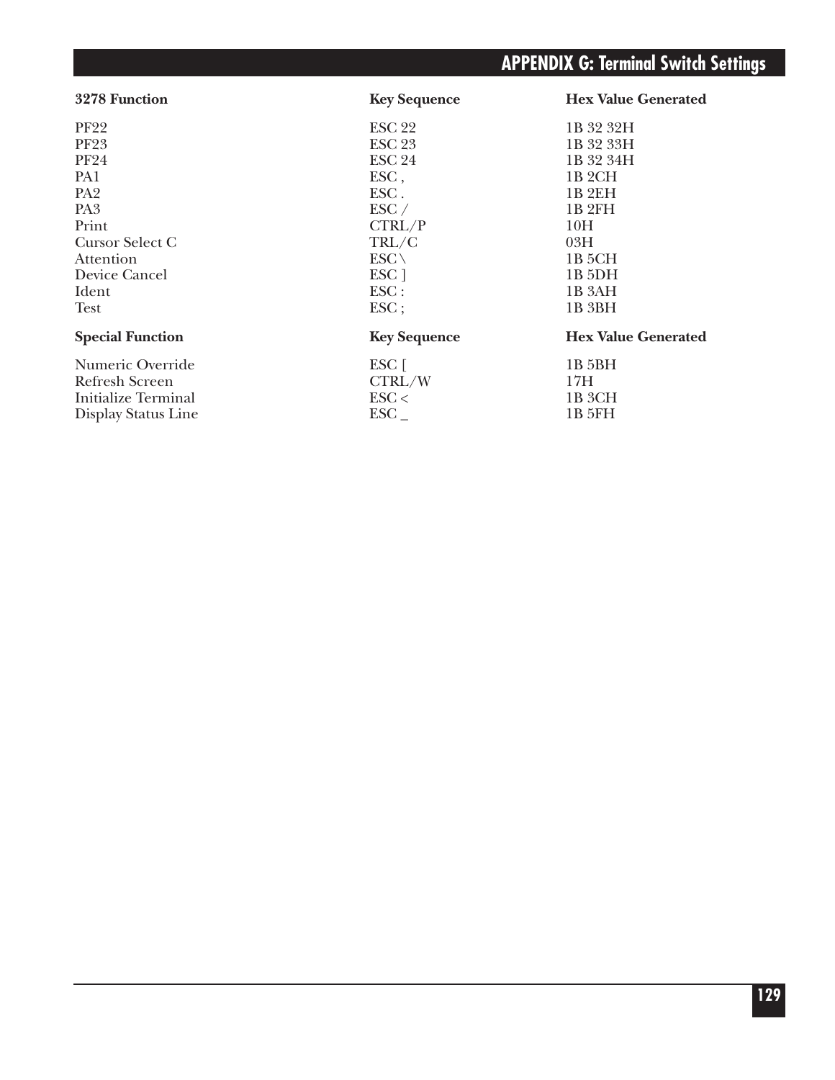| 3278 Function           | <b>Key Sequence</b> | <b>Hex Value Generated</b> |
|-------------------------|---------------------|----------------------------|
| <b>PF22</b>             | <b>ESC 22</b>       | 1B 32 32H                  |
| <b>PF23</b>             | <b>ESC 23</b>       | 1B 32 33H                  |
| <b>PF24</b>             | <b>ESC 24</b>       | 1B 32 34H                  |
| PA1                     | ESC,                | 1B <sub>2</sub> CH         |
| PA <sub>2</sub>         | ESC.                | 1B <sub>2EH</sub>          |
| PA <sub>3</sub>         | $\text{ESC} /$      | 1B <sub>2FH</sub>          |
| Print                   | CTRL/P              | 10H                        |
| Cursor Select C         | TRL/C               | 03H                        |
| Attention               | $ESC \setminus$     | 1B 5CH                     |
| Device Cancel           | ESC <sub>1</sub>    | 1B 5DH                     |
| Ident                   | $\text{ESC}$ :      | 1B <sub>3</sub> AH         |
| Test                    | $\text{ESC}$ ;      | 1B 3BH                     |
| <b>Special Function</b> | <b>Key Sequence</b> | <b>Hex Value Generated</b> |
| Numeric Override        | ESC [               | 1B <sub>5</sub> BH         |
| Refresh Screen          | CTRL/W              | 17H                        |
| Initialize Terminal     | $\text{ESC}$        | 1B 3CH                     |
| Display Status Line     | ${_{\mathrm{ESC}}}$ | 1B 5FH                     |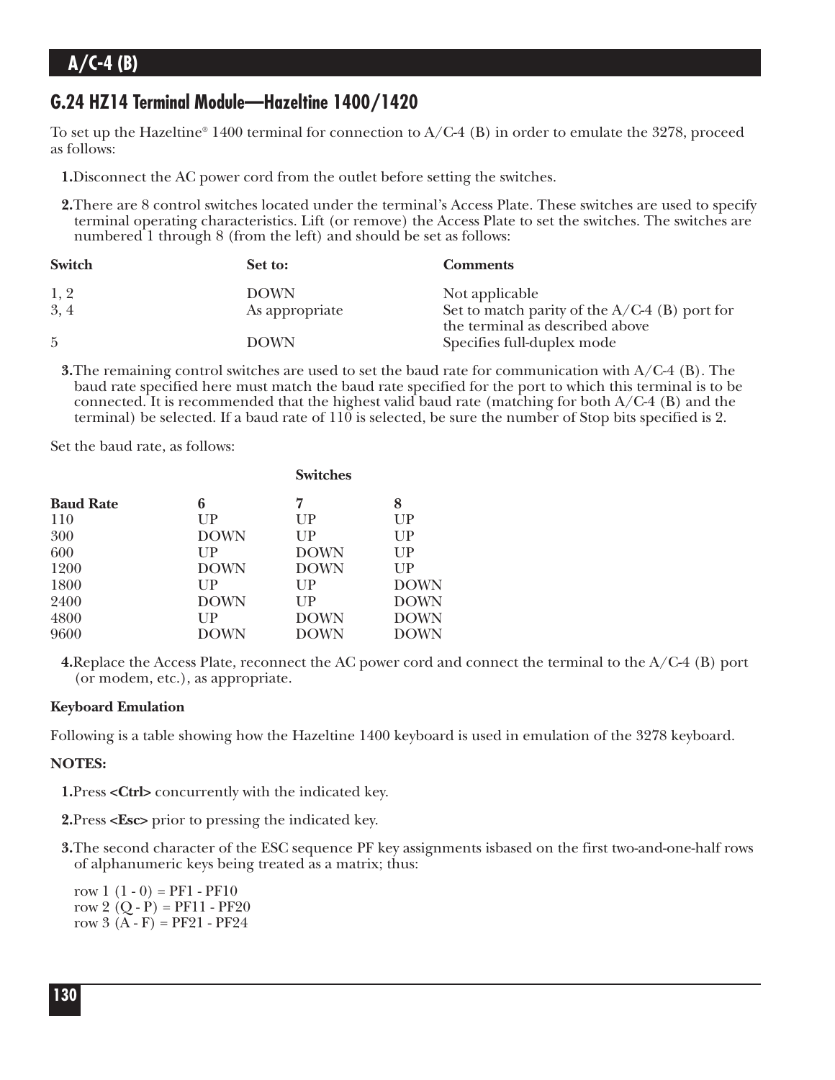### **G.24 HZ14 Terminal Module—Hazeltine 1400/1420**

To set up the Hazeltine<sup>®</sup> 1400 terminal for connection to A/C-4 (B) in order to emulate the 3278, proceed as follows:

**1.**Disconnect the AC power cord from the outlet before setting the switches.

**2.**There are 8 control switches located under the terminal's Access Plate. These switches are used to specify terminal operating characteristics. Lift (or remove) the Access Plate to set the switches. The switches are numbered 1 through 8 (from the left) and should be set as follows:

| Switch         | Set to:        | <b>Comments</b>                                                                    |
|----------------|----------------|------------------------------------------------------------------------------------|
| 1, 2           | <b>DOWN</b>    | Not applicable                                                                     |
| 3, 4           | As appropriate | Set to match parity of the $A/C-4$ (B) port for<br>the terminal as described above |
| $\overline{5}$ | <b>DOWN</b>    | Specifies full-duplex mode                                                         |

**3.**The remaining control switches are used to set the baud rate for communication with A/C-4 (B). The baud rate specified here must match the baud rate specified for the port to which this terminal is to be connected. It is recommended that the highest valid baud rate (matching for both  $A/C-4$  (B) and the terminal) be selected. If a baud rate of 110 is selected, be sure the number of Stop bits specified is 2.

Set the baud rate, as follows:

| <b>Baud Rate</b> | 6           | 7           | 8           |
|------------------|-------------|-------------|-------------|
| 110              | UP          | UP          | UP          |
| 300              | <b>DOWN</b> | $_{\rm UP}$ | UP          |
| 600              | $_{\rm UP}$ | <b>DOWN</b> | UP          |
| 1200             | <b>DOWN</b> | <b>DOWN</b> | UP          |
| 1800             | $_{\rm UP}$ | $_{\rm UP}$ | <b>DOWN</b> |
| 2400             | <b>DOWN</b> | $_{\rm UP}$ | <b>DOWN</b> |
| 4800             | $_{\rm UP}$ | <b>DOWN</b> | <b>DOWN</b> |
| 9600             | <b>DOWN</b> | <b>DOWN</b> | <b>DOWN</b> |
|                  |             |             |             |

**4.**Replace the Access Plate, reconnect the AC power cord and connect the terminal to the A/C-4 (B) port (or modem, etc.), as appropriate.

### **Keyboard Emulation**

Following is a table showing how the Hazeltine 1400 keyboard is used in emulation of the 3278 keyboard.

### **NOTES:**

**1.**Press **<Ctrl>** concurrently with the indicated key.

**2.**Press **<Esc>** prior to pressing the indicated key.

**3.**The second character of the ESC sequence PF key assignments isbased on the first two-and-one-half rows of alphanumeric keys being treated as a matrix; thus:

row  $1(1-0) = PF1 - PF10$ row 2  $(Q - P) = PF11 - PF20$ row  $3(A - F) = PF21 - PF24$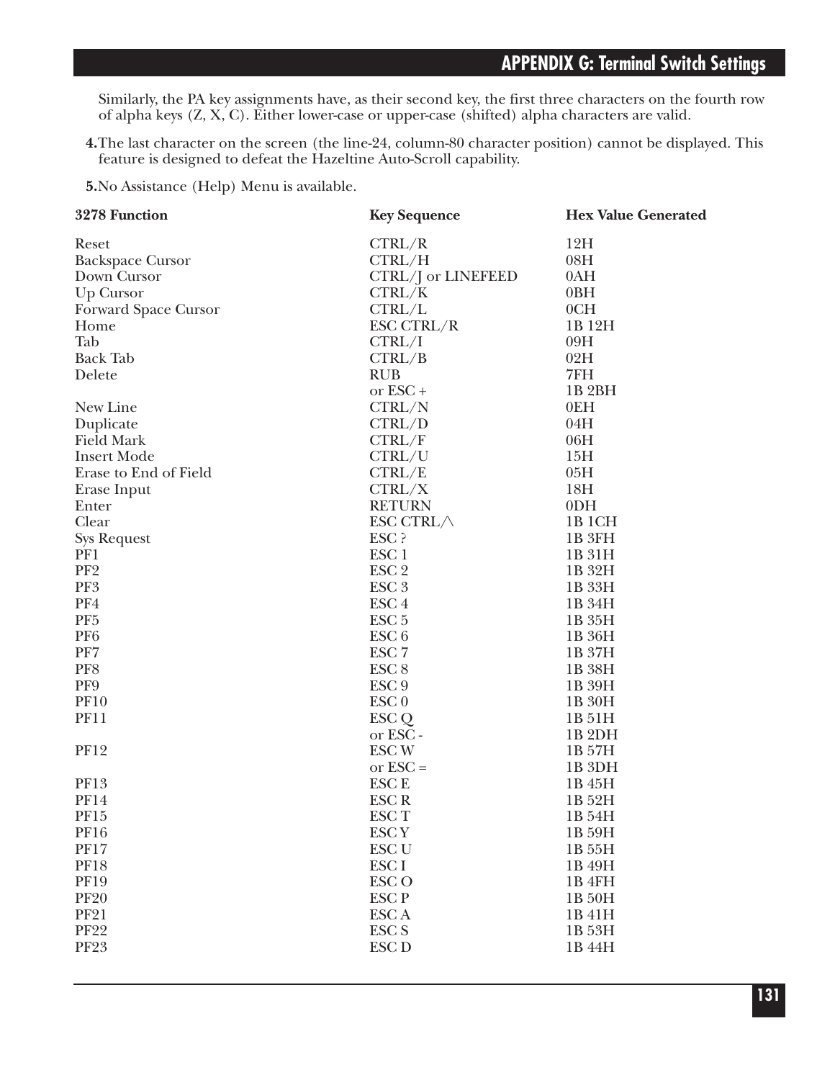Similarly, the PA key assignments have, as their second key, the first three characters on the fourth row of alpha keys (Z, X, C). Either lower-case or upper-case (shifted) alpha characters are valid.

**4.**The last character on the screen (the line-24, column-80 character position) cannot be displayed. This feature is designed to defeat the Hazeltine Auto-Scroll capability.

**5.**No Assistance (Help) Menu is available.

| 3278 Function              | <b>Key Sequence</b>              | <b>Hex Value Generated</b> |
|----------------------------|----------------------------------|----------------------------|
| Reset                      | CTRL/R                           | 12H                        |
| <b>Backspace Cursor</b>    | CTRL/H                           | 08H                        |
| Down Cursor                | CTRL/J or LINEFEED               | 0AH                        |
| <b>Up Cursor</b>           | CTRL/K                           | 0BH                        |
| Forward Space Cursor       | CTRL/L                           | 0CH                        |
| Home                       | ESC CTRL/R                       | 1B 12H                     |
| Tab                        | CTRL/I                           | 09H                        |
| <b>Back Tab</b>            | CTRL/B                           | 02H                        |
| Delete                     | <b>RUB</b>                       | 7FH                        |
|                            | or ESC+                          | 1B <sub>2</sub> BH         |
| New Line                   | CTRL/N                           | 0EH                        |
| Duplicate                  | CTRL/D                           | 04H                        |
| <b>Field Mark</b>          | CTRL/F                           | 06H                        |
| <b>Insert Mode</b>         | CTRL/U                           | 15H                        |
| Erase to End of Field      | CTRL/E                           | 05H                        |
| Erase Input                | CTRL/X                           | 18H                        |
| Enter                      | <b>RETURN</b>                    | 0 <sub>DH</sub>            |
| Clear                      | ESC CTRL/                        | 1B <sub>1</sub> CH         |
| <b>Sys Request</b>         | ESC ?                            | 1B 3FH                     |
| PF1                        | ESC <sub>1</sub>                 | 1B 31H                     |
| PF <sub>2</sub>            | ESC <sub>2</sub>                 | 1B 32H                     |
| PF3                        | ESC <sub>3</sub>                 | 1B 33H                     |
| PF4                        | ESC <sub>4</sub>                 | 1B 34H                     |
| PF <sub>5</sub>            | ESC <sub>5</sub>                 | 1B 35H                     |
| PF <sub>6</sub>            | ESC <sub>6</sub>                 | 1B 36H                     |
| PF7                        | ESC <sub>7</sub>                 | 1B 37H                     |
| PF8                        | ESC <sub>8</sub>                 | 1B 38H                     |
| PF9                        | ESC <sub>9</sub>                 | 1B 39H                     |
| <b>PF10</b>                | ESC <sub>0</sub>                 | 1B 30H                     |
| <b>PF11</b>                | ESC Q                            | 1B 51H                     |
|                            | or ESC -                         | 1B <sub>2DH</sub>          |
| <b>PF12</b>                | <b>ESCW</b>                      | 1B 57H                     |
|                            | or $\text{ESC} =$                | 1B 3DH                     |
| <b>PF13</b>                | <b>ESCE</b>                      | 1B 45H                     |
| <b>PF14</b>                | <b>ESCR</b>                      | 1B 52H                     |
|                            |                                  | 1B 54H                     |
| PF15                       | ESC <sub>T</sub>                 | 1B 59H                     |
| <b>PF16</b><br><b>PF17</b> | ESC <sub>Y</sub><br><b>ESC U</b> |                            |
| <b>PF18</b>                | ESC I                            | 1B 55H                     |
|                            | <b>ESCO</b>                      | 1B 49H                     |
| <b>PF19</b>                |                                  | 1B 4FH                     |
| <b>PF20</b>                | ESC <sub>P</sub>                 | 1B 50H                     |
| <b>PF21</b>                | ESC A                            | 1B 41H                     |
| <b>PF22</b>                | <b>ESC S</b>                     | 1B 53H                     |
| <b>PF23</b>                | <b>ESC D</b>                     | 1B 44H                     |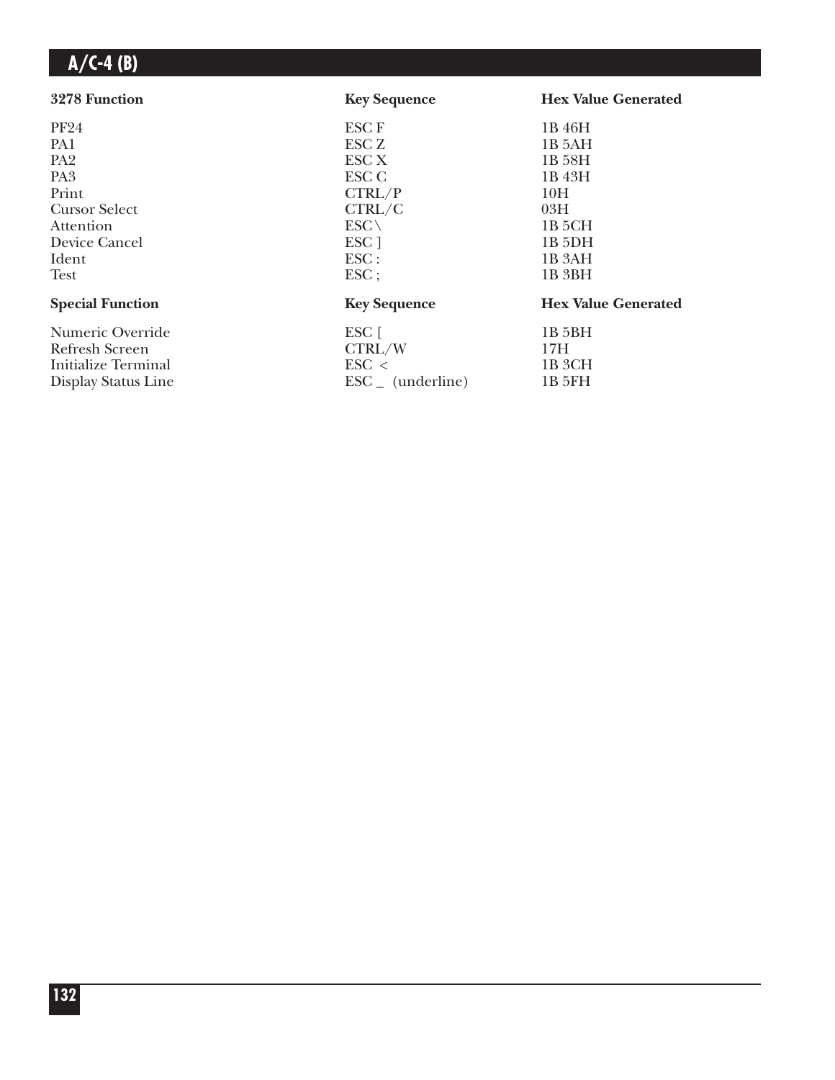| 3278 Function           | <b>Key Sequence</b>          | <b>Hex Value Generated</b> |
|-------------------------|------------------------------|----------------------------|
| <b>PF24</b>             | <b>ESCF</b>                  | 1B 46H                     |
| PA1                     | ESC <sub>Z</sub>             | 1B 5AH                     |
| PA <sub>2</sub>         | ESC X                        | 1B 58H                     |
| PA <sub>3</sub>         | ESC C                        | 1B 43H                     |
| Print                   | CTRL/P                       | 10H                        |
| <b>Cursor Select</b>    | CTRL/C                       | 03H                        |
| Attention               | $ESC \setminus$              | 1B 5CH                     |
| Device Cancel           | ESC ]                        | $1B$ 5DH                   |
| Ident                   | $\text{ESC}$ :               | 1B 3AH                     |
| <b>Test</b>             | $\text{ESC}$ ;               | 1B <sub>3</sub> BH         |
| <b>Special Function</b> | <b>Key Sequence</b>          | <b>Hex Value Generated</b> |
| Numeric Override        | ESC [                        | 1B 5BH                     |
| Refresh Screen          | CTRL/W                       | 17H                        |
| Initialize Terminal     | $\text{ESC}$ <               | 1B 3CH                     |
| Display Status Line     | $\text{ESC}_{-}$ (underline) | 1B 5FH                     |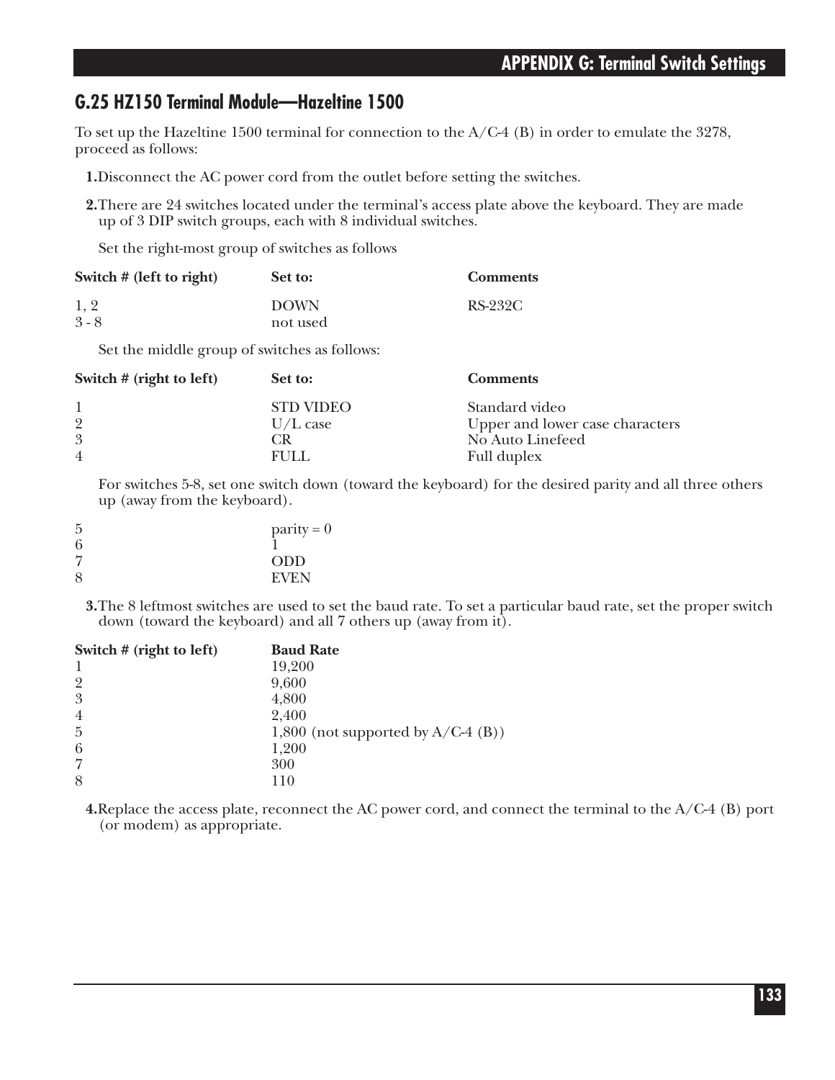### **G.25 HZ150 Terminal Module—Hazeltine 1500**

To set up the Hazeltine 1500 terminal for connection to the  $A/C-4$  (B) in order to emulate the 3278, proceed as follows:

- **1.**Disconnect the AC power cord from the outlet before setting the switches.
- **2.**There are 24 switches located under the terminal's access plate above the keyboard. They are made up of 3 DIP switch groups, each with 8 individual switches.

Set the right-most group of switches as follows

| Switch # (left to right)                     | Set to:                                               | <b>Comments</b>  |  |
|----------------------------------------------|-------------------------------------------------------|------------------|--|
| 1, 2<br>$3 - 8$                              | <b>DOWN</b><br>not used                               | RS-232C          |  |
| Set the middle group of switches as follows: |                                                       |                  |  |
| $Cwidth + (work + c)$                        | $\mathbf{C}_{\mathbf{A}}$ + $\mathbf{A}_{\mathbf{A}}$ | $\Gamma$ ommonta |  |

| Set to:          | Comments                        |
|------------------|---------------------------------|
| <b>STD VIDEO</b> | Standard video                  |
| $U/L$ case       | Upper and lower case characters |
| CR.              | No Auto Linefeed                |
| FULL.            | Full duplex                     |
|                  |                                 |

For switches 5-8, set one switch down (toward the keyboard) for the desired parity and all three others up (away from the keyboard).

| 5 | $parity = 0$ |
|---|--------------|
| 6 |              |
| 7 | <b>ODD</b>   |
| 8 | <b>EVEN</b>  |

**3.**The 8 leftmost switches are used to set the baud rate. To set a particular baud rate, set the proper switch down (toward the keyboard) and all 7 others up (away from it).

| Switch $#$ (right to left) | <b>Baud Rate</b>                     |
|----------------------------|--------------------------------------|
| 1                          | 19,200                               |
| $\overline{2}$             | 9,600                                |
| 3                          | 4,800                                |
| $\overline{4}$             | 2,400                                |
| $\overline{5}$             | 1,800 (not supported by $A/C-4$ (B)) |
| 6                          | 1,200                                |
| $\overline{7}$             | 300                                  |
| 8                          | 110                                  |

**4.**Replace the access plate, reconnect the AC power cord, and connect the terminal to the A/C-4 (B) port (or modem) as appropriate.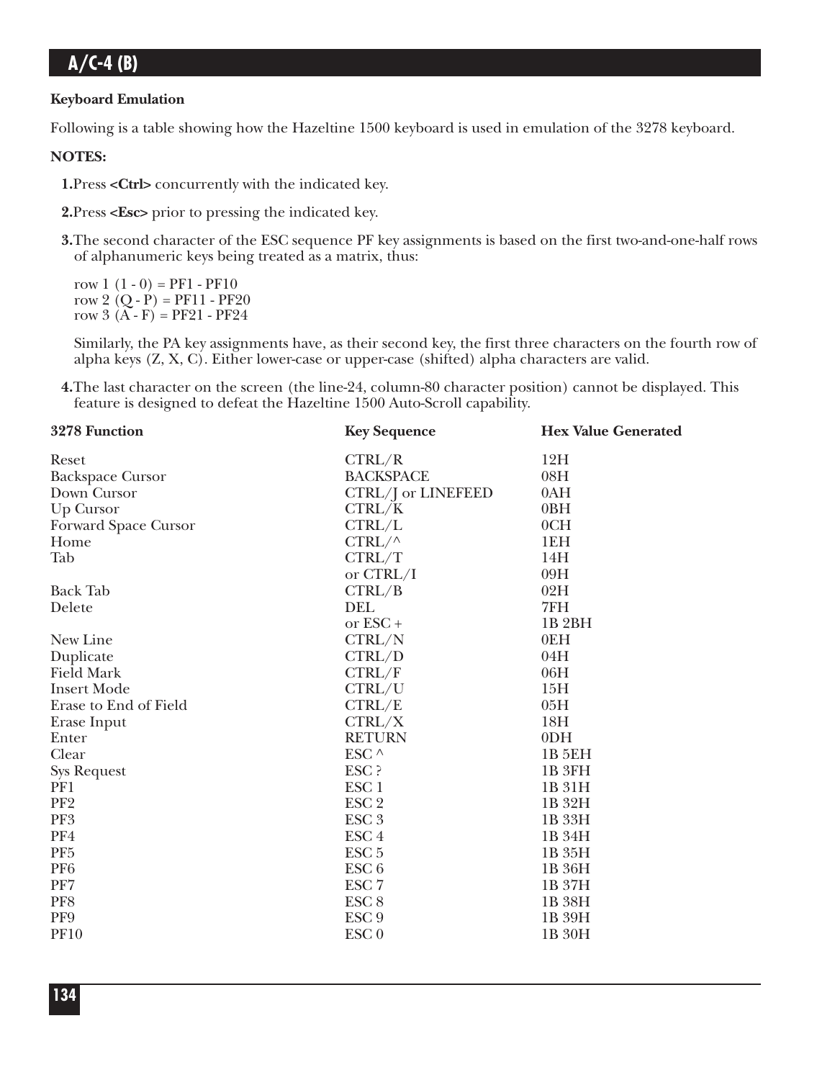### **Keyboard Emulation**

Following is a table showing how the Hazeltine 1500 keyboard is used in emulation of the 3278 keyboard.

### **NOTES:**

**1.**Press **<Ctrl>** concurrently with the indicated key.

**2.**Press **<Esc>** prior to pressing the indicated key.

**3.**The second character of the ESC sequence PF key assignments is based on the first two-and-one-half rows of alphanumeric keys being treated as a matrix, thus:

row  $1(1-0) = PF1 - PF10$ row 2  $(Q - P) = PF11 - PF20$ row  $3(A - F) = PF21 - PF24$ 

Similarly, the PA key assignments have, as their second key, the first three characters on the fourth row of alpha keys (Z, X, C). Either lower-case or upper-case (shifted) alpha characters are valid.

**4.**The last character on the screen (the line-24, column-80 character position) cannot be displayed. This feature is designed to defeat the Hazeltine 1500 Auto-Scroll capability.

| 3278 Function           | <b>Key Sequence</b> | <b>Hex Value Generated</b> |
|-------------------------|---------------------|----------------------------|
| Reset                   | CTRL/R              | 12H                        |
| <b>Backspace Cursor</b> | <b>BACKSPACE</b>    | 08H                        |
| Down Cursor             | CTRL/J or LINEFEED  | 0AH                        |
| Up Cursor               | CTRL/K              | 0 <sub>BH</sub>            |
| Forward Space Cursor    | CTRL/L              | 0CH                        |
| Home                    | $CTRL/\wedge$       | 1EH                        |
| Tab                     | CTRL/T              | 14H                        |
|                         | or CTRL/I           | 09H                        |
| <b>Back Tab</b>         | CTRL/B              | 02H                        |
| Delete                  | DEL                 | 7FH                        |
|                         | or ESC+             | 1B <sub>2BH</sub>          |
| New Line                | CTRL/N              | 0EH                        |
| Duplicate               | CTRL/D              | 04H                        |
| <b>Field Mark</b>       | CTRL/F              | 06H                        |
| <b>Insert Mode</b>      | CTRL/U              | 15H                        |
| Erase to End of Field   | CTRL/E              | 05H                        |
| Erase Input             | CTRL/X              | 18H                        |
| Enter                   | <b>RETURN</b>       | 0 <sub>DH</sub>            |
| Clear                   | ESC $\wedge$        | <b>1B 5EH</b>              |
| <b>Sys Request</b>      | ESC ?               | 1B <sub>3FH</sub>          |
| PF1                     | ESC <sub>1</sub>    | 1B 31H                     |
| PF <sub>2</sub>         | ESC <sub>2</sub>    | 1B 32H                     |
| PF3                     | ESC <sub>3</sub>    | 1B 33H                     |
| PF4                     | ESC <sub>4</sub>    | 1B 34H                     |
| PF <sub>5</sub>         | ESC <sub>5</sub>    | 1B 35H                     |
| PF <sub>6</sub>         | ESC <sub>6</sub>    | 1B 36H                     |
| PF7                     | ESC <sub>7</sub>    | 1B 37H                     |
| PF8                     | ESC <sub>8</sub>    | 1B 38H                     |
| PF9                     | ESC <sub>9</sub>    | 1B 39H                     |
| <b>PF10</b>             | ESC <sub>0</sub>    | 1B 30H                     |
|                         |                     |                            |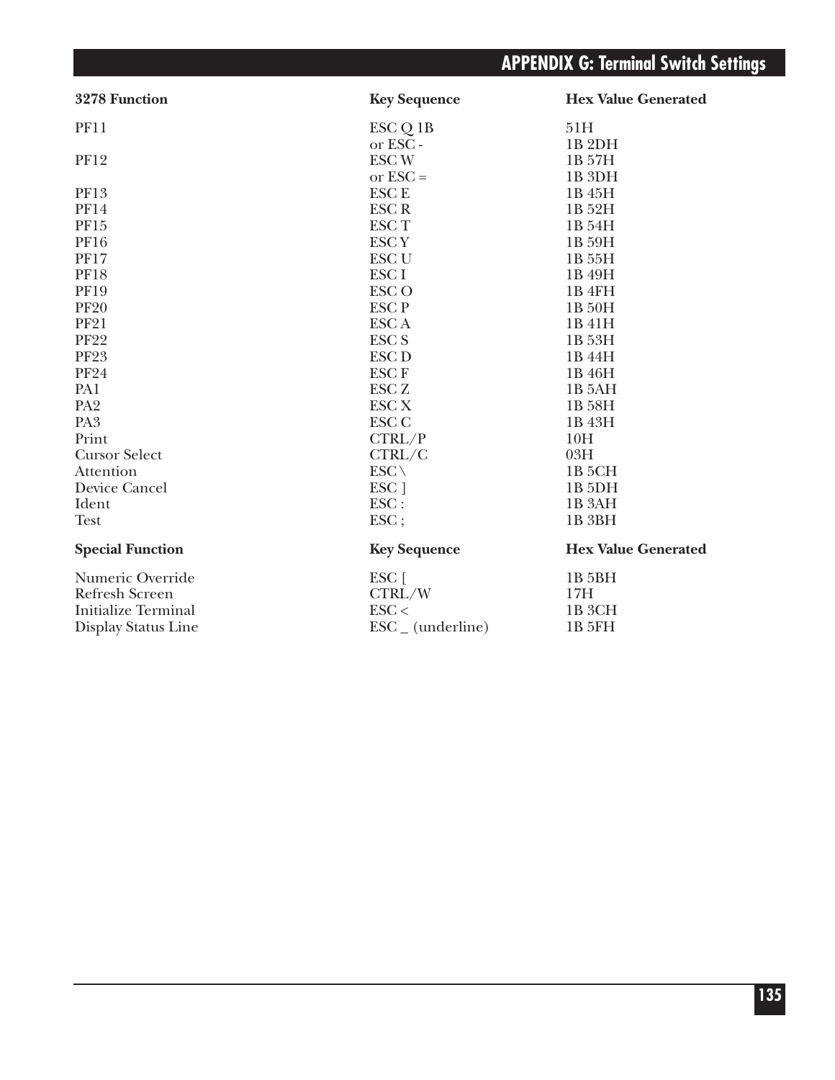| 3278 Function              | <b>Key Sequence</b>          | <b>Hex Value Generated</b> |
|----------------------------|------------------------------|----------------------------|
| <b>PF11</b>                | ESC Q 1B                     | 51H                        |
|                            | or ESC-                      | 1B <sub>2</sub> DH         |
| <b>PF12</b>                | <b>ESCW</b>                  | 1B 57H                     |
|                            | or $\text{ESC} =$            | 1B <sub>3DH</sub>          |
| <b>PF13</b>                | <b>ESCE</b>                  | 1B 45H                     |
| <b>PF14</b>                | <b>ESCR</b>                  | 1B 52H                     |
| PF15                       | <b>ESCT</b>                  | 1B 54H                     |
| <b>PF16</b>                | <b>ESCY</b>                  | 1B 59H                     |
| <b>PF17</b>                | <b>ESC U</b>                 | 1B 55H                     |
| <b>PF18</b>                | ESC <sub>I</sub>             | 1B 49H                     |
| <b>PF19</b>                | <b>ESCO</b>                  | 1B 4FH                     |
| <b>PF20</b>                | <b>ESCP</b>                  | 1B 50H                     |
| <b>PF21</b>                | <b>ESCA</b>                  | 1B 41H                     |
| <b>PF22</b>                | <b>ESCS</b>                  | 1B 53H                     |
| <b>PF23</b>                | <b>ESC D</b>                 | 1B 44H                     |
| <b>PF24</b>                | <b>ESCF</b>                  | 1B 46H                     |
| PA1                        | <b>ESC Z</b>                 | 1B 5AH                     |
| PA <sub>2</sub>            | <b>ESC X</b>                 | 1B 58H                     |
| PA <sub>3</sub>            | <b>ESC C</b>                 | 1B 43H                     |
| Print                      | CTRL/P                       | 10H                        |
| <b>Cursor Select</b>       | CTRL/C                       | 03H                        |
| Attention                  | $ESC \setminus$              | 1B 5CH                     |
| Device Cancel              | ESC <sub>1</sub>             | 1B <sub>5</sub> DH         |
| Ident                      | ESC:                         | 1B <sub>3</sub> AH         |
| <b>Test</b>                | ESC;                         | 1B <sub>3BH</sub>          |
| <b>Special Function</b>    | <b>Key Sequence</b>          | <b>Hex Value Generated</b> |
| Numeric Override           | ESC [                        | 1B <sub>5</sub> BH         |
| <b>Refresh Screen</b>      | CTRL/W                       | 17H                        |
| <b>Initialize Terminal</b> | $\text{ESC}$ <               | 1B <sub>3</sub> CH         |
| Display Status Line        | $\text{ESC}_{-}$ (underline) | 1B 5FH                     |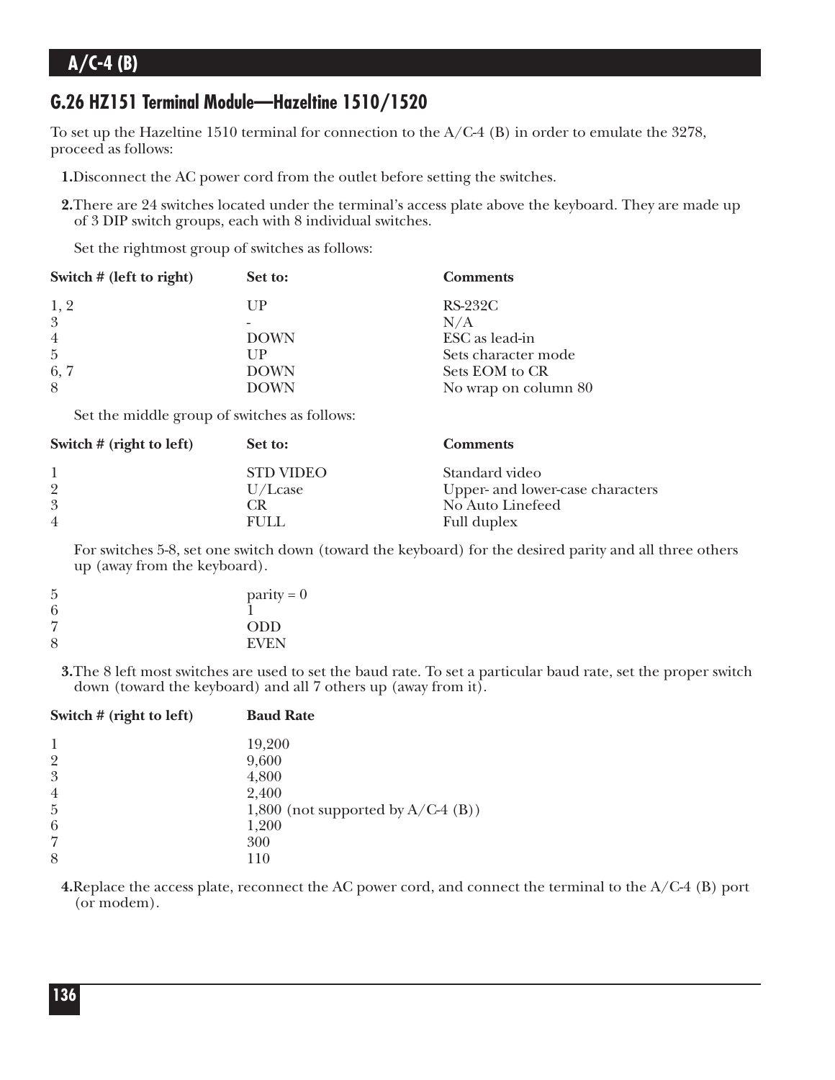## **G.26 HZ151 Terminal Module—Hazeltine 1510/1520**

To set up the Hazeltine 1510 terminal for connection to the  $A/C-4$  (B) in order to emulate the 3278, proceed as follows:

- **1.**Disconnect the AC power cord from the outlet before setting the switches.
- **2.**There are 24 switches located under the terminal's access plate above the keyboard. They are made up of 3 DIP switch groups, each with 8 individual switches.

Set the rightmost group of switches as follows:

| Switch $#$ (left to right) | Set to:     | <b>Comments</b>      |
|----------------------------|-------------|----------------------|
| 1, 2                       | $_{\rm UP}$ | $RS-232C$            |
| 3                          |             | N/A                  |
| $\overline{4}$             | <b>DOWN</b> | ESC as lead-in       |
| $\overline{5}$             | UP          | Sets character mode  |
| 6, 7                       | <b>DOWN</b> | Sets EOM to CR       |
| 8                          | <b>DOWN</b> | No wrap on column 80 |

Set the middle group of switches as follows:

| Switch $#$ (right to left)            | Set to:                                      | <b>Comments</b>                                                                       |
|---------------------------------------|----------------------------------------------|---------------------------------------------------------------------------------------|
| $\overline{2}$<br>3<br>$\overline{4}$ | <b>STD VIDEO</b><br>U/Lcase<br>L'R.<br>FULL. | Standard video<br>Upper- and lower-case characters<br>No Auto Linefeed<br>Full duplex |

For switches 5-8, set one switch down (toward the keyboard) for the desired parity and all three others up (away from the keyboard).

| $parity = 0$ |
|--------------|
|              |
| <b>ODD</b>   |
| <b>EVEN</b>  |
|              |

**3.**The 8 left most switches are used to set the baud rate. To set a particular baud rate, set the proper switch down (toward the keyboard) and all 7 others up (away from it).

| Switch $#$ (right to left) | <b>Baud Rate</b>                     |
|----------------------------|--------------------------------------|
| 1                          | 19,200                               |
| $\overline{2}$             | 9,600                                |
| 3                          | 4,800                                |
| $\overline{4}$             | 2,400                                |
| $\overline{5}$             | 1,800 (not supported by $A/C-4$ (B)) |
| 6                          | 1,200                                |
| $\overline{7}$             | 300                                  |
| 8                          | 110                                  |

**4.**Replace the access plate, reconnect the AC power cord, and connect the terminal to the A/C-4 (B) port (or modem).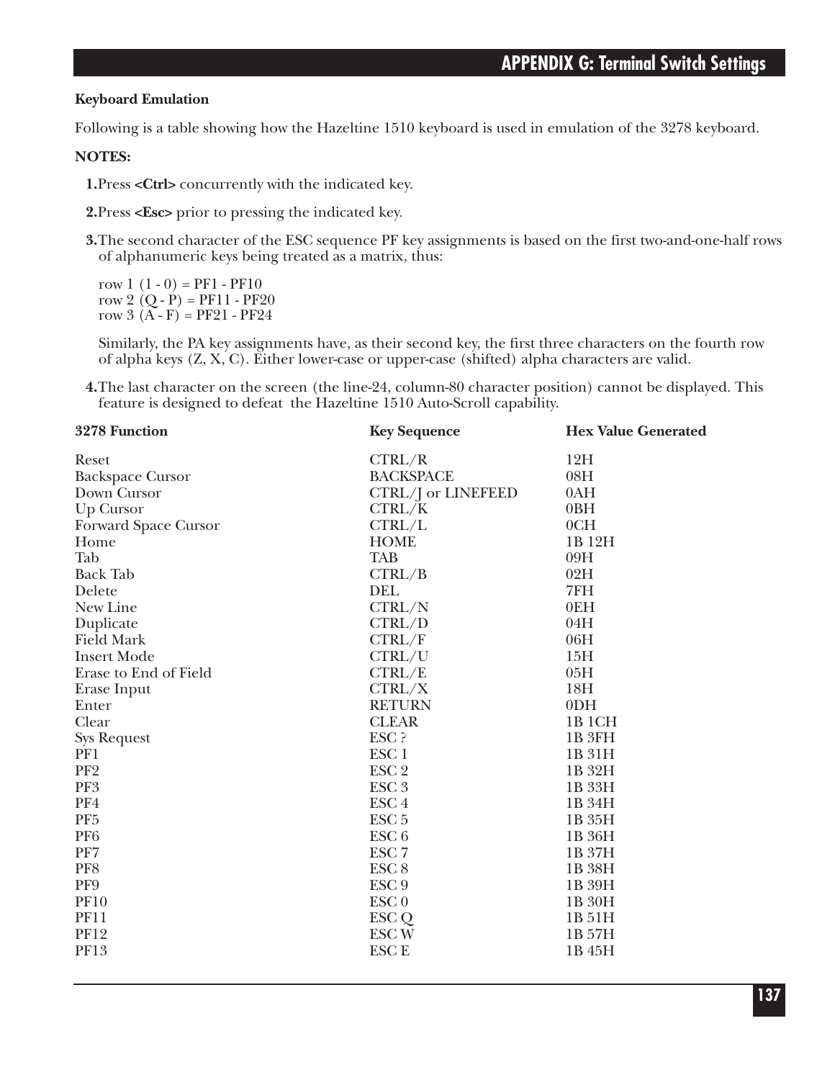### **Keyboard Emulation**

Following is a table showing how the Hazeltine 1510 keyboard is used in emulation of the 3278 keyboard.

### **NOTES:**

**1.**Press **<Ctrl>** concurrently with the indicated key.

**2.**Press **<Esc>** prior to pressing the indicated key.

**3.**The second character of the ESC sequence PF key assignments is based on the first two-and-one-half rows of alphanumeric keys being treated as a matrix, thus:

row  $1(1-0) = PF1 - PF10$ row 2  $(Q - P) = PF11 - PF20$ row  $3(A - F) = PF21 - PF24$ 

Similarly, the PA key assignments have, as their second key, the first three characters on the fourth row of alpha keys (Z, X, C). Either lower-case or upper-case (shifted) alpha characters are valid.

**4.**The last character on the screen (the line-24, column-80 character position) cannot be displayed. This feature is designed to defeat the Hazeltine 1510 Auto-Scroll capability.

| 3278 Function           | <b>Key Sequence</b> | <b>Hex Value Generated</b> |
|-------------------------|---------------------|----------------------------|
| Reset                   | CTRL/R              | 12H                        |
| <b>Backspace Cursor</b> | <b>BACKSPACE</b>    | 08H                        |
| Down Cursor             | CTRL/J or LINEFEED  | 0AH                        |
| Up Cursor               | CTRL/K              | 0BH                        |
| Forward Space Cursor    | CTRL/L              | 0CH                        |
| Home                    | <b>HOME</b>         | 1B 12H                     |
| Tab                     | <b>TAB</b>          | 09H                        |
| <b>Back Tab</b>         | CTRL/B              | 02H                        |
| Delete                  | <b>DEL</b>          | 7FH                        |
| New Line                | CTRL/N              | 0EH                        |
| Duplicate               | CTRL/D              | 04H                        |
| <b>Field Mark</b>       | CTRL/F              | 06H                        |
| <b>Insert Mode</b>      | CTRL/U              | 15H                        |
| Erase to End of Field   | CTRL/E              | 05H                        |
| Erase Input             | CTRL/X              | 18H                        |
| Enter                   | <b>RETURN</b>       | 0 <sub>DH</sub>            |
| Clear                   | <b>CLEAR</b>        | 1B 1CH                     |
| <b>Sys Request</b>      | ESC ?               | 1B <sub>3FH</sub>          |
| PF1                     | ESC <sub>1</sub>    | 1B 31H                     |
| PF <sub>2</sub>         | ESC <sub>2</sub>    | 1B 32H                     |
| PF3                     | ESC <sub>3</sub>    | 1B 33H                     |
| PF4                     | ESC <sub>4</sub>    | 1B 34H                     |
| PF <sub>5</sub>         | ESC <sub>5</sub>    | 1B 35H                     |
| PF <sub>6</sub>         | ESC <sub>6</sub>    | 1B 36H                     |
| PF7                     | ESC <sub>7</sub>    | 1B 37H                     |
| PF8                     | ESC <sub>8</sub>    | 1B 38H                     |
| PF9                     | ESC <sub>9</sub>    | 1B 39H                     |
| <b>PF10</b>             | ESC <sub>0</sub>    | 1B 30H                     |
| <b>PF11</b>             | ESC <sub>Q</sub>    | 1B 51H                     |
| <b>PF12</b>             | <b>ESCW</b>         | 1B 57H                     |
| PF13                    | <b>ESCE</b>         | 1B 45H                     |
|                         |                     |                            |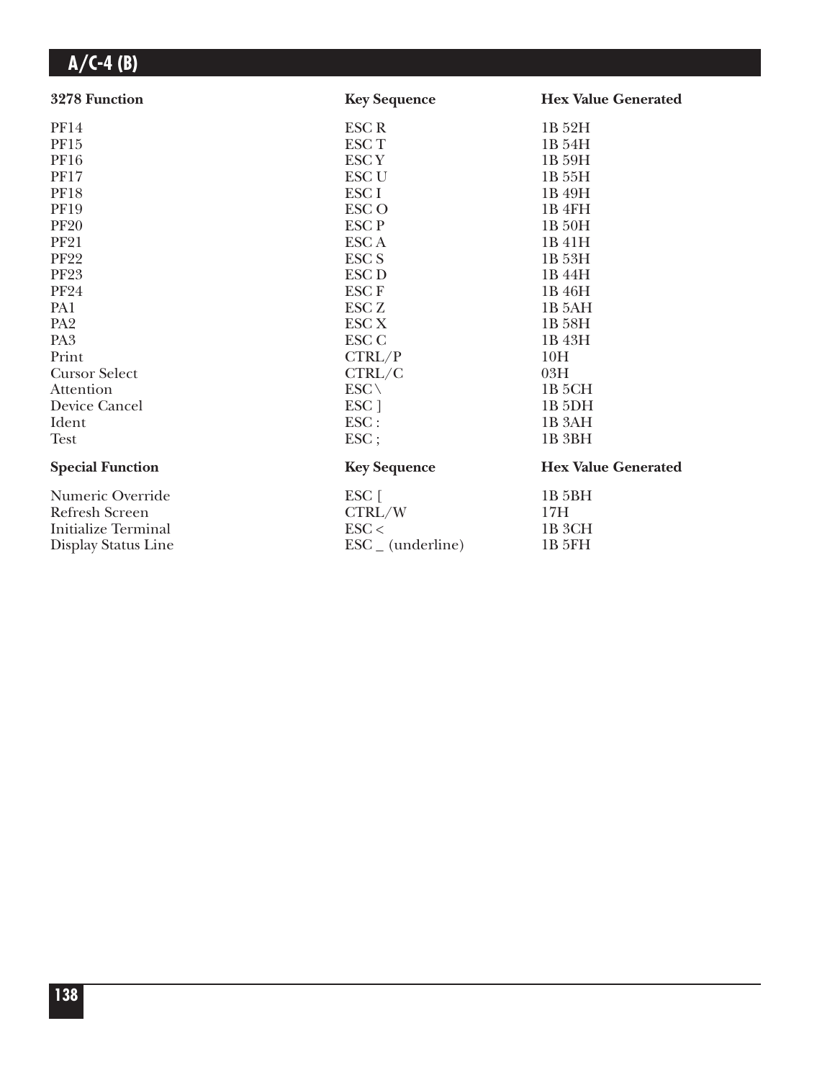| 3278 Function              | <b>Key Sequence</b>          | <b>Hex Value Generated</b> |
|----------------------------|------------------------------|----------------------------|
| <b>PF14</b>                | <b>ESCR</b>                  | 1B 52H                     |
| PF <sub>15</sub>           | <b>ESCT</b>                  | 1B 54H                     |
| <b>PF16</b>                | <b>ESCY</b>                  | 1B 59H                     |
| <b>PF17</b>                | <b>ESC U</b>                 | 1B 55H                     |
| <b>PF18</b>                | ESC <sub>I</sub>             | 1B 49H                     |
| <b>PF19</b>                | <b>ESCO</b>                  | 1B 4FH                     |
| <b>PF20</b>                | <b>ESCP</b>                  | 1B 50H                     |
| <b>PF21</b>                | <b>ESCA</b>                  | 1B 41H                     |
| <b>PF22</b>                | ESC <sub>S</sub>             | 1B 53H                     |
| <b>PF23</b>                | ESC <sub>D</sub>             | 1B 44H                     |
| <b>PF24</b>                | <b>ESCF</b>                  | 1B 46H                     |
| PA1                        | <b>ESC Z</b>                 | 1B 5AH                     |
| PA <sub>2</sub>            | <b>ESC X</b>                 | 1B 58H                     |
| PA <sub>3</sub>            | <b>ESC C</b>                 | 1B 43H                     |
| Print                      | CTRL/P                       | 10H                        |
| <b>Cursor Select</b>       | CTRL/C                       | 03H                        |
| Attention                  | $ESC \setminus$              | 1B <sub>5</sub> CH         |
| Device Cancel              | ESC ]                        | 1B <sub>5</sub> DH         |
| Ident                      | $\text{ESC}$ :               | 1B <sub>3</sub> AH         |
| <b>Test</b>                | ESC;                         | 1B <sub>3BH</sub>          |
| <b>Special Function</b>    | <b>Key Sequence</b>          | <b>Hex Value Generated</b> |
| Numeric Override           | $\text{ESC}$ [               | 1B 5BH                     |
| <b>Refresh Screen</b>      | CTRL/W                       | 17H                        |
| <b>Initialize Terminal</b> | $\text{ESC}$                 | 1B <sub>3</sub> CH         |
| Display Status Line        | $\text{ESC}_{-}$ (underline) | 1B 5FH                     |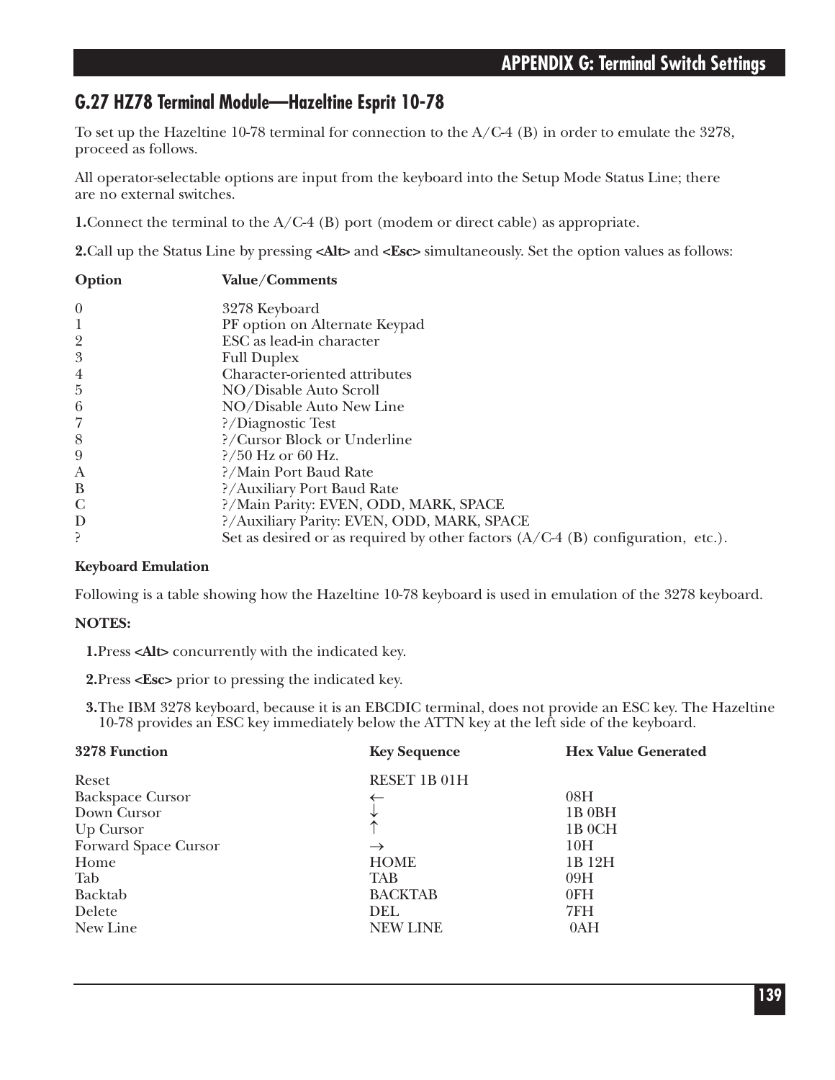### **G.27 HZ78 Terminal Module—Hazeltine Esprit 10-78**

To set up the Hazeltine 10-78 terminal for connection to the  $A/C-4$  (B) in order to emulate the 3278, proceed as follows.

All operator-selectable options are input from the keyboard into the Setup Mode Status Line; there are no external switches.

**1.**Connect the terminal to the A/C-4 (B) port (modem or direct cable) as appropriate.

**2.**Call up the Status Line by pressing **<Alt>** and **<Esc>** simultaneously. Set the option values as follows:

| Option         | Value/Comments                                                                    |
|----------------|-----------------------------------------------------------------------------------|
| $\theta$       | 3278 Keyboard                                                                     |
| 1              | PF option on Alternate Keypad                                                     |
| $\overline{2}$ | ESC as lead-in character                                                          |
| 3              | <b>Full Duplex</b>                                                                |
| $\overline{4}$ | Character-oriented attributes                                                     |
| $\overline{5}$ | NO/Disable Auto Scroll                                                            |
| 6              | NO/Disable Auto New Line                                                          |
| 7              | ?/Diagnostic Test                                                                 |
| 8              | ?/Cursor Block or Underline                                                       |
| 9              | $\frac{2}{50}$ Hz or 60 Hz.                                                       |
| A              | ?/Main Port Baud Rate                                                             |
| B              | ?/Auxiliary Port Baud Rate                                                        |
| $\mathcal{C}$  | ?/Main Parity: EVEN, ODD, MARK, SPACE                                             |
| D              | ?/Auxiliary Parity: EVEN, ODD, MARK, SPACE                                        |
|                | Set as desired or as required by other factors $(A/C-4 (B)$ configuration, etc.). |

### **Keyboard Emulation**

Following is a table showing how the Hazeltine 10-78 keyboard is used in emulation of the 3278 keyboard.

### **NOTES:**

**1.**Press **<Alt>** concurrently with the indicated key.

**2.**Press **<Esc>** prior to pressing the indicated key.

**3.**The IBM 3278 keyboard, because it is an EBCDIC terminal, does not provide an ESC key. The Hazeltine 10-78 provides an ESC key immediately below the ATTN key at the left side of the keyboard.

| 3278 Function           | <b>Key Sequence</b> | <b>Hex Value Generated</b> |
|-------------------------|---------------------|----------------------------|
| Reset                   | RESET 1B 01H        |                            |
| <b>Backspace Cursor</b> |                     | 08H                        |
| Down Cursor             |                     | 1B 0BH                     |
| Up Cursor               |                     | 1B 0CH                     |
| Forward Space Cursor    | $\rightarrow$       | 10H                        |
| Home                    | <b>HOME</b>         | 1B 12H                     |
| Tab                     | <b>TAB</b>          | 09H                        |
| Backtab                 | <b>BACKTAB</b>      | 0FH                        |
| Delete                  | <b>DEL</b>          | 7FH                        |
| New Line                | <b>NEW LINE</b>     | 0AH                        |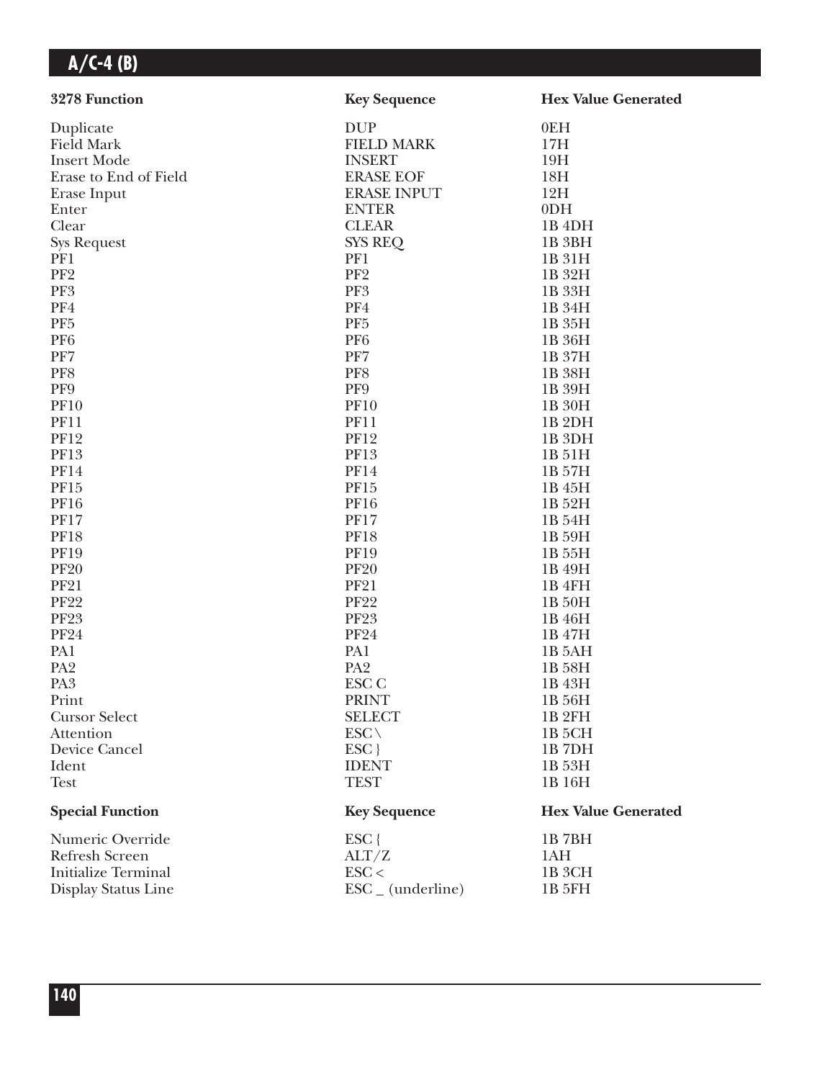| 3278 Function              | <b>Key Sequence</b>          | <b>Hex Value Generated</b> |
|----------------------------|------------------------------|----------------------------|
| Duplicate                  | <b>DUP</b>                   | 0EH                        |
| <b>Field Mark</b>          | <b>FIELD MARK</b>            | 17H                        |
| <b>Insert Mode</b>         | <b>INSERT</b>                | 19H                        |
| Erase to End of Field      | <b>ERASE EOF</b>             | 18H                        |
| Erase Input                | <b>ERASE INPUT</b>           | 12H                        |
| Enter                      | <b>ENTER</b>                 | 0 <sub>DH</sub>            |
| Clear                      | <b>CLEAR</b>                 | 1B <sub>4DH</sub>          |
| <b>Sys Request</b>         | <b>SYS REQ</b>               | 1B <sub>3BH</sub>          |
| PF1                        | PF1                          | 1B 31H                     |
| PF <sub>2</sub>            | PF <sub>2</sub>              | 1B 32H                     |
| PF3                        | PF3                          | 1B 33H                     |
| PF4                        | PF4                          | 1B 34H                     |
| PF <sub>5</sub>            | PF <sub>5</sub>              | 1B 35H                     |
| PF <sub>6</sub>            | PF <sub>6</sub>              | 1B 36H                     |
| PF7                        | PF7                          | 1B 37H                     |
| PF8                        | PF8                          | 1B 38H                     |
| PF9                        | PF9                          | 1B 39H                     |
| <b>PF10</b>                | <b>PF10</b>                  | 1B 30H                     |
| <b>PF11</b>                | <b>PF11</b>                  | 1B <sub>2DH</sub>          |
| <b>PF12</b>                | <b>PF12</b>                  | 1B <sub>3DH</sub>          |
| <b>PF13</b>                | PF13                         | 1B 51H                     |
| <b>PF14</b>                | <b>PF14</b>                  | 1B 57H                     |
| PF15                       | PF15                         | 1B 45H                     |
| <b>PF16</b>                | <b>PF16</b>                  | 1B 52H                     |
| <b>PF17</b>                | <b>PF17</b>                  | 1B 54H                     |
| <b>PF18</b>                | <b>PF18</b>                  | 1B 59H                     |
| <b>PF19</b>                | <b>PF19</b>                  | 1B 55H                     |
| <b>PF20</b>                | <b>PF20</b>                  | 1B 49H                     |
| <b>PF21</b>                | <b>PF21</b>                  | 1B 4FH                     |
| <b>PF22</b>                | <b>PF22</b>                  | 1B 50H                     |
| <b>PF23</b>                | <b>PF23</b>                  | 1B 46H                     |
| <b>PF24</b>                | <b>PF24</b>                  | 1B 47H                     |
| PA1                        | PA1                          | 1B 5AH                     |
| PA <sub>2</sub>            | PA <sub>2</sub>              | 1B 58H                     |
| PA <sub>3</sub>            | <b>ESC C</b>                 | 1B 43H                     |
| Print                      | <b>PRINT</b>                 | 1B 56H                     |
| <b>Cursor Select</b>       | <b>SELECT</b>                | 1B <sub>2FH</sub>          |
| Attention                  | $ESC \setminus$              | 1B <sub>5</sub> CH         |
| Device Cancel              | $ESC$ }                      | 1B7DH                      |
| Ident                      | <b>IDENT</b>                 | 1B 53H                     |
| <b>Test</b>                | <b>TEST</b>                  | 1B 16H                     |
| <b>Special Function</b>    | <b>Key Sequence</b>          | <b>Hex Value Generated</b> |
| Numeric Override           | $ESC$ {                      | 1B7BH                      |
| <b>Refresh Screen</b>      | ALT/Z                        | 1AH                        |
| <b>Initialize Terminal</b> | $\text{ESC}$ <               | 1B 3CH                     |
| Display Status Line        | $\text{ESC}_{-}$ (underline) | 1B 5FH                     |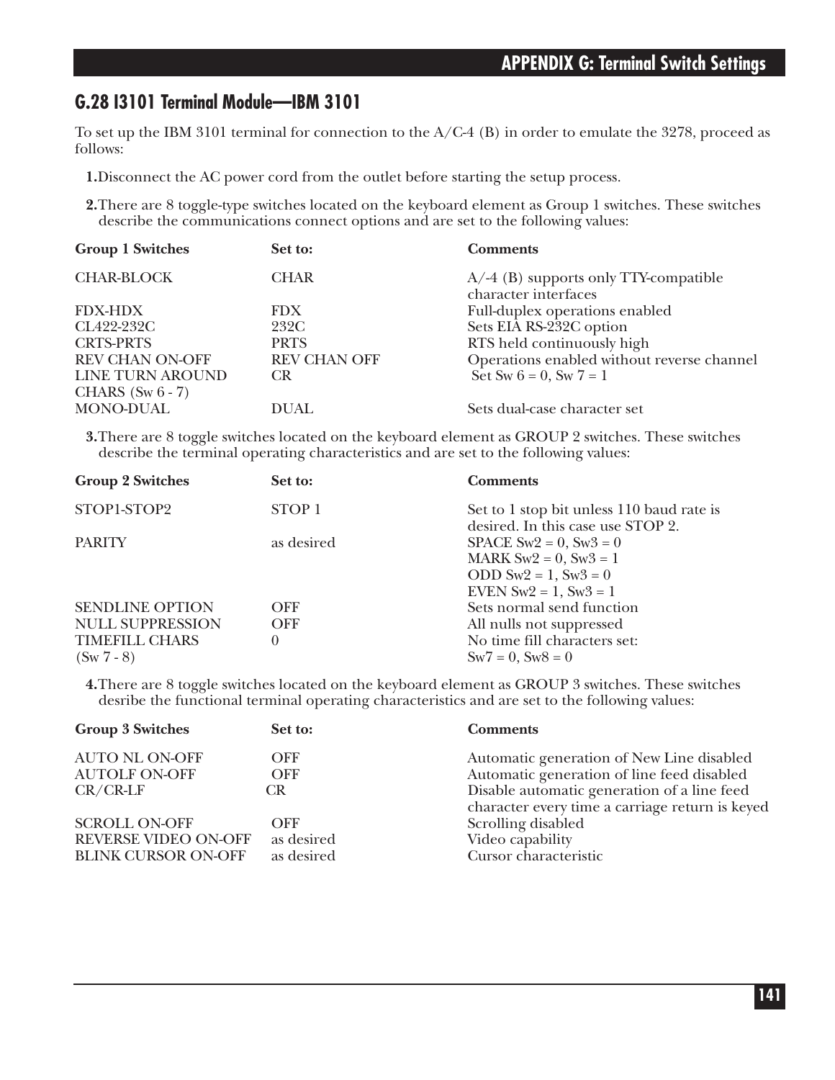### **G.28 I3101 Terminal Module—IBM 3101**

To set up the IBM 3101 terminal for connection to the A/C-4 (B) in order to emulate the 3278, proceed as follows:

**1.**Disconnect the AC power cord from the outlet before starting the setup process.

**2.**There are 8 toggle-type switches located on the keyboard element as Group 1 switches. These switches describe the communications connect options and are set to the following values:

| <b>Group 1 Switches</b> | Set to:             | <b>Comments</b>                                                  |
|-------------------------|---------------------|------------------------------------------------------------------|
| <b>CHAR-BLOCK</b>       | <b>CHAR</b>         | $A$ /-4 (B) supports only TTY-compatible<br>character interfaces |
| <b>FDX-HDX</b>          | <b>FDX</b>          | Full-duplex operations enabled                                   |
| CL422-232C              | 232C                | Sets EIA RS-232C option                                          |
| <b>CRTS-PRTS</b>        | <b>PRTS</b>         | RTS held continuously high                                       |
| <b>REV CHAN ON-OFF</b>  | <b>REV CHAN OFF</b> | Operations enabled without reverse channel                       |
| LINE TURN AROUND        | <b>CR</b>           | Set Sw $6 = 0$ , Sw $7 = 1$                                      |
| CHARS $(Sw 6 - 7)$      |                     |                                                                  |
| MONO-DUAL               | DUAL                | Sets dual-case character set                                     |

**3.**There are 8 toggle switches located on the keyboard element as GROUP 2 switches. These switches describe the terminal operating characteristics and are set to the following values:

| Set to:  | <b>Comments</b>                                                  |
|----------|------------------------------------------------------------------|
| STOP 1   | Set to 1 stop bit unless 110 baud rate is                        |
|          | desired. In this case use STOP 2.<br>SPACE $Sw2 = 0$ , $Sw3 = 0$ |
|          | MARK $Sw2 = 0$ , $Sw3 = 1$                                       |
|          | ODD $Sw2 = 1$ , $Sw3 = 0$                                        |
|          | EVEN $Sw2 = 1$ , $Sw3 = 1$<br>Sets normal send function          |
|          |                                                                  |
|          | All nulls not suppressed                                         |
| $\theta$ | No time fill characters set:                                     |
|          | $Sw7 = 0$ , $Sw8 = 0$                                            |
|          | as desired<br><b>OFF</b><br><b>OFF</b>                           |

**4.**There are 8 toggle switches located on the keyboard element as GROUP 3 switches. These switches desribe the functional terminal operating characteristics and are set to the following values:

| <b>Group 3 Switches</b>     | Set to:    | <b>Comments</b>                                                                                |
|-----------------------------|------------|------------------------------------------------------------------------------------------------|
| <b>AUTO NL ON-OFF</b>       | OFF        | Automatic generation of New Line disabled                                                      |
| <b>AUTOLF ON-OFF</b>        | <b>OFF</b> | Automatic generation of line feed disabled                                                     |
| $CR/CR-LF$                  | CR.        | Disable automatic generation of a line feed<br>character every time a carriage return is keyed |
| <b>SCROLL ON-OFF</b>        | OFF        | Scrolling disabled                                                                             |
| <b>REVERSE VIDEO ON-OFF</b> | as desired | Video capability                                                                               |
| <b>BLINK CURSOR ON-OFF</b>  | as desired | Cursor characteristic                                                                          |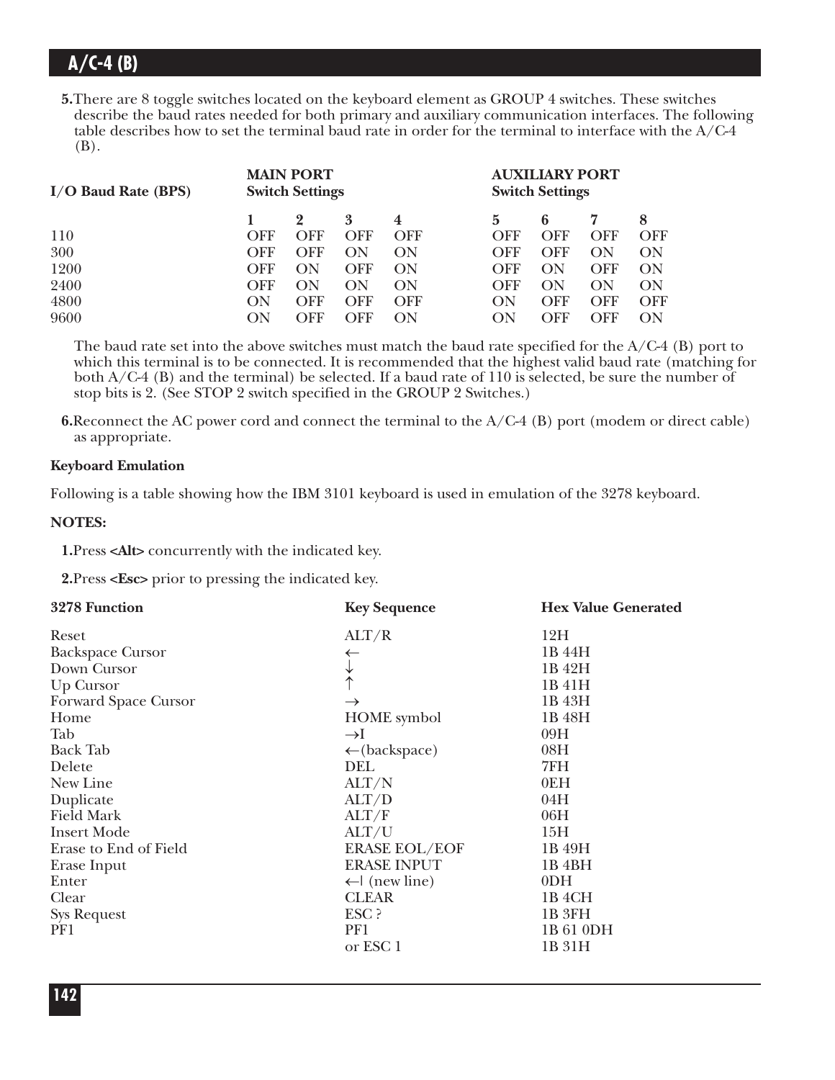**5.**There are 8 toggle switches located on the keyboard element as GROUP 4 switches. These switches describe the baud rates needed for both primary and auxiliary communication interfaces. The following table describes how to set the terminal baud rate in order for the terminal to interface with the A/C-4 (B).

| $I/O$ Baud Rate (BPS) | <b>MAIN PORT</b><br><b>Switch Settings</b> |     |            |            | <b>AUXILIARY PORT</b><br><b>Switch Settings</b> |     |            |     |
|-----------------------|--------------------------------------------|-----|------------|------------|-------------------------------------------------|-----|------------|-----|
|                       |                                            |     | 3          | 4          | 5                                               | 6   |            | 8   |
| 110                   | OFF                                        | OFF | <b>OFF</b> | <b>OFF</b> | OFF                                             | OFF | OFF        | OFF |
| 300                   | OFF                                        | OFF | ON         | ON         | OFF                                             | OFF | ON         | ON  |
| 1200                  | OFF                                        | ON  | OFF        | ON         | OFF                                             | ON  | <b>OFF</b> | ON  |
| 2400                  | OFF                                        | ON  | ON         | ON         | OFF                                             | ON  | ON         | ON  |
| 4800                  | ON                                         | OFF | OFF        | OFF        | ON                                              | OFF | <b>OFF</b> | OFF |
| 9600                  | OΝ                                         | OFF | OFF        | OΝ         | ON                                              | OFF | OFF        | ON  |

The baud rate set into the above switches must match the baud rate specified for the  $A/C-4$  (B) port to which this terminal is to be connected. It is recommended that the highest valid baud rate (matching for both  $A/C-4$  (B) and the terminal) be selected. If a baud rate of 110 is selected, be sure the number of stop bits is 2. (See STOP 2 switch specified in the GROUP 2 Switches.)

**6.**Reconnect the AC power cord and connect the terminal to the A/C-4 (B) port (modem or direct cable) as appropriate.

### **Keyboard Emulation**

Following is a table showing how the IBM 3101 keyboard is used in emulation of the 3278 keyboard.

### **NOTES:**

**1.**Press **<Alt>** concurrently with the indicated key.

**2.**Press **<Esc>** prior to pressing the indicated key.

| 3278 Function           | <b>Key Sequence</b>      | <b>Hex Value Generated</b> |
|-------------------------|--------------------------|----------------------------|
| Reset                   | ALT/R                    | 12H                        |
| <b>Backspace Cursor</b> | ←                        | 1B 44H                     |
| Down Cursor             |                          | 1B 42H                     |
| Up Cursor               |                          | 1B 41H                     |
| Forward Space Cursor    | $\rightarrow$            | 1B 43H                     |
| Home                    | <b>HOME</b> symbol       | 1B 48H                     |
| Tab                     | $\rightarrow$ I          | 09H                        |
| <b>Back Tab</b>         | $\leftarrow$ (backspace) | 08H                        |
| Delete                  | DEL                      | 7FH                        |
| New Line                | ALT/N                    | 0EH                        |
| Duplicate               | ALT/D                    | 04H                        |
| <b>Field Mark</b>       | ALT/F                    | 06H                        |
| <b>Insert Mode</b>      | ALT/U                    | 15H                        |
| Erase to End of Field   | <b>ERASE EOL/EOF</b>     | 1B 49H                     |
| Erase Input             | <b>ERASE INPUT</b>       | 1B <sub>4BH</sub>          |
| Enter                   | $\leftarrow$ (new line)  | 0 <sub>DH</sub>            |
| Clear                   | <b>CLEAR</b>             | 1B <sub>4</sub> CH         |
| <b>Sys Request</b>      | ESC ?                    | 1B 3FH                     |
| PF1                     | PF1                      | 1B 61 0DH                  |
|                         | or ESC 1                 | 1B 31H                     |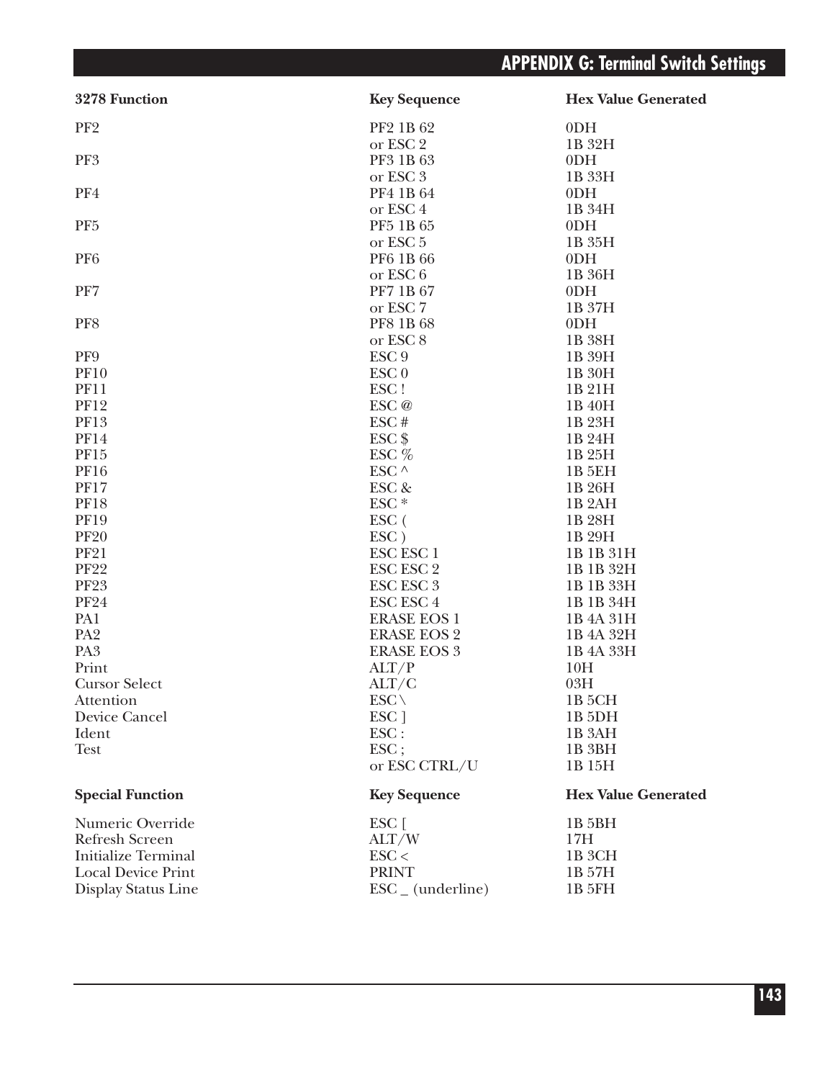| 3278 Function              | <b>Key Sequence</b>          | <b>Hex Value Generated</b> |
|----------------------------|------------------------------|----------------------------|
| PF <sub>2</sub>            | PF2 1B 62                    | 0 <sub>DH</sub>            |
|                            | or ESC 2                     | 1B 32H                     |
| PF3                        | PF3 1B 63                    | 0 <sub>DH</sub>            |
|                            | or ESC 3                     | 1B 33H                     |
| PF4                        | PF4 1B 64                    | 0 <sub>DH</sub>            |
|                            | or ESC <sub>4</sub>          | 1B 34H                     |
| PF <sub>5</sub>            | PF5 1B 65                    | 0 <sub>DH</sub>            |
|                            | or ESC <sub>5</sub>          | 1B 35H                     |
| PF <sub>6</sub>            | PF6 1B 66                    | 0 <sub>DH</sub>            |
|                            | or ESC 6                     | 1B 36H                     |
| PF7                        | PF7 1B 67                    | 0 <sub>DH</sub>            |
|                            | or ESC 7                     | 1B 37H                     |
| PF8                        | PF8 1B 68                    | 0 <sub>DH</sub>            |
|                            | or ESC <sub>8</sub>          | 1B 38H                     |
| PF9                        | ESC <sub>9</sub>             | 1B 39H                     |
| <b>PF10</b>                | ESC <sub>0</sub>             | 1B 30H                     |
| <b>PF11</b>                | ESC!                         | 1B 21H                     |
| <b>PF12</b>                | ESC@                         | 1B 40H                     |
| <b>PF13</b>                | ESC#                         | 1B 23H                     |
| <b>PF14</b>                | $ESC$ \$                     | 1B 24H                     |
| PF15                       | ESC %                        | 1B 25H                     |
| <b>PF16</b>                | ESC $\wedge$                 | 1B 5EH                     |
| <b>PF17</b>                | ESC &                        | 1B 26H                     |
| <b>PF18</b>                | ESC <sup>*</sup>             | 1B <sub>2</sub> AH         |
| <b>PF19</b>                | ESC (                        | 1B 28H                     |
| <b>PF20</b>                | ESC)                         | 1B 29H                     |
| <b>PF21</b>                | ESC ESC 1                    | 1B 1B 31H                  |
| <b>PF22</b>                | <b>ESC ESC 2</b>             | 1B 1B 32H                  |
| <b>PF23</b>                | <b>ESC ESC 3</b>             | 1B 1B 33H                  |
| <b>PF24</b>                | <b>ESC ESC 4</b>             | 1B 1B 34H                  |
| PA1                        | <b>ERASE EOS 1</b>           | 1B 4A 31H                  |
| PA <sub>2</sub>            | <b>ERASE EOS 2</b>           | 1B 4A 32H                  |
| PA <sub>3</sub>            | <b>ERASE EOS 3</b>           | 1B 4A 33H                  |
| Print                      | ALT/P                        | 10H                        |
| <b>Cursor Select</b>       | ALT/C                        | 03H                        |
| Attention                  | $ESC \setminus$              | 1B 5CH                     |
| Device Cancel              | ESC <sub>1</sub>             | 1B <sub>5DH</sub>          |
| Ident                      | $\text{ESC}$ :               | 1B 3AH                     |
| <b>Test</b>                | ESC;                         | 1B <sub>3BH</sub>          |
|                            | or ESC CTRL/U                | 1B 15H                     |
| <b>Special Function</b>    | <b>Key Sequence</b>          | <b>Hex Value Generated</b> |
| Numeric Override           | ESC [                        | 1B 5BH                     |
| <b>Refresh Screen</b>      | ALT/W                        | 17H                        |
| <b>Initialize Terminal</b> | $\text{ESC}$                 | 1B 3CH                     |
| <b>Local Device Print</b>  | <b>PRINT</b>                 | 1B 57H                     |
| Display Status Line        | $\text{ESC}_{-}$ (underline) | 1B 5FH                     |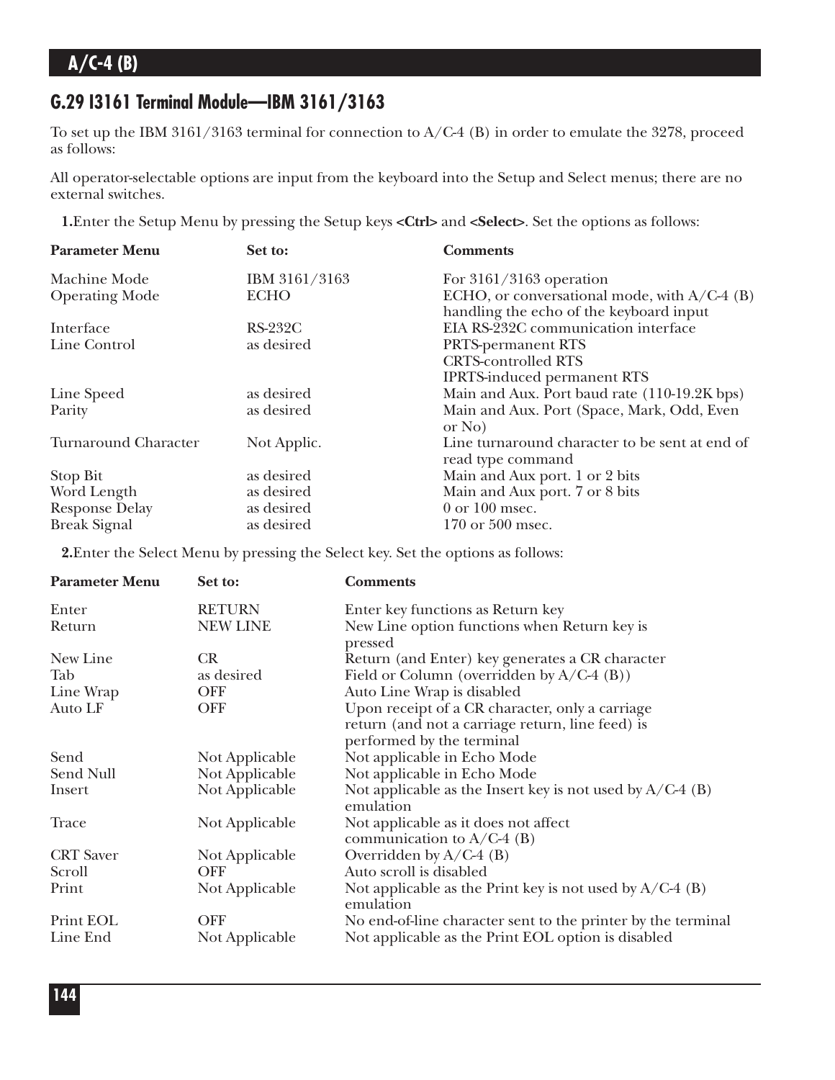### **G.29 I3161 Terminal Module—IBM 3161/3163**

To set up the IBM 3161/3163 terminal for connection to A/C-4 (B) in order to emulate the 3278, proceed as follows:

All operator-selectable options are input from the keyboard into the Setup and Select menus; there are no external switches.

**1.**Enter the Setup Menu by pressing the Setup keys **<Ctrl>** and **<Select>**. Set the options as follows:

| <b>Parameter Menu</b>       | Set to:        | <b>Comments</b>                                                                           |
|-----------------------------|----------------|-------------------------------------------------------------------------------------------|
| Machine Mode                | IBM 3161/3163  | For $3161/3163$ operation                                                                 |
| <b>Operating Mode</b>       | <b>ECHO</b>    | ECHO, or conversational mode, with $A/C-4$ (B)<br>handling the echo of the keyboard input |
| Interface                   | <b>RS-232C</b> | EIA RS-232C communication interface                                                       |
| Line Control                | as desired     | <b>PRTS-permanent RTS</b>                                                                 |
|                             |                | <b>CRTS-controlled RTS</b>                                                                |
|                             |                | <b>IPRTS-induced permanent RTS</b>                                                        |
| Line Speed                  | as desired     | Main and Aux. Port baud rate (110-19.2K bps)                                              |
| Parity                      | as desired     | Main and Aux. Port (Space, Mark, Odd, Even<br>or No                                       |
| <b>Turnaround Character</b> | Not Applic.    | Line turnaround character to be sent at end of<br>read type command                       |
| Stop Bit                    | as desired     | Main and Aux port. 1 or 2 bits                                                            |
| Word Length                 | as desired     | Main and Aux port. 7 or 8 bits                                                            |
| <b>Response Delay</b>       | as desired     | $0$ or $100$ msec.                                                                        |
| <b>Break Signal</b>         | as desired     | 170 or 500 msec.                                                                          |

**2.**Enter the Select Menu by pressing the Select key. Set the options as follows:

| <b>Parameter Menu</b> | Set to:         | <b>Comments</b>                                                          |
|-----------------------|-----------------|--------------------------------------------------------------------------|
| Enter                 | <b>RETURN</b>   | Enter key functions as Return key                                        |
| Return                | <b>NEW LINE</b> | New Line option functions when Return key is<br>pressed                  |
| New Line              | <b>CR</b>       | Return (and Enter) key generates a CR character                          |
| Tab                   | as desired      | Field or Column (overridden by $A/C-4$ (B))                              |
| Line Wrap             | <b>OFF</b>      | Auto Line Wrap is disabled                                               |
| Auto LF               | <b>OFF</b>      | Upon receipt of a CR character, only a carriage                          |
|                       |                 | return (and not a carriage return, line feed) is                         |
|                       |                 | performed by the terminal                                                |
| Send                  | Not Applicable  | Not applicable in Echo Mode                                              |
| Send Null             | Not Applicable  | Not applicable in Echo Mode                                              |
| Insert                | Not Applicable  | Not applicable as the Insert key is not used by $A/C-4$ (B)<br>emulation |
| Trace                 | Not Applicable  | Not applicable as it does not affect<br>communication to $A/C-4$ (B)     |
| <b>CRT</b> Saver      | Not Applicable  | Overridden by $A/C-4$ (B)                                                |
| Scroll                | <b>OFF</b>      | Auto scroll is disabled                                                  |
| Print                 | Not Applicable  | Not applicable as the Print key is not used by $A/C-4$ (B)<br>emulation  |
| Print EOL             | <b>OFF</b>      | No end-of-line character sent to the printer by the terminal             |
| Line End              | Not Applicable  | Not applicable as the Print EOL option is disabled                       |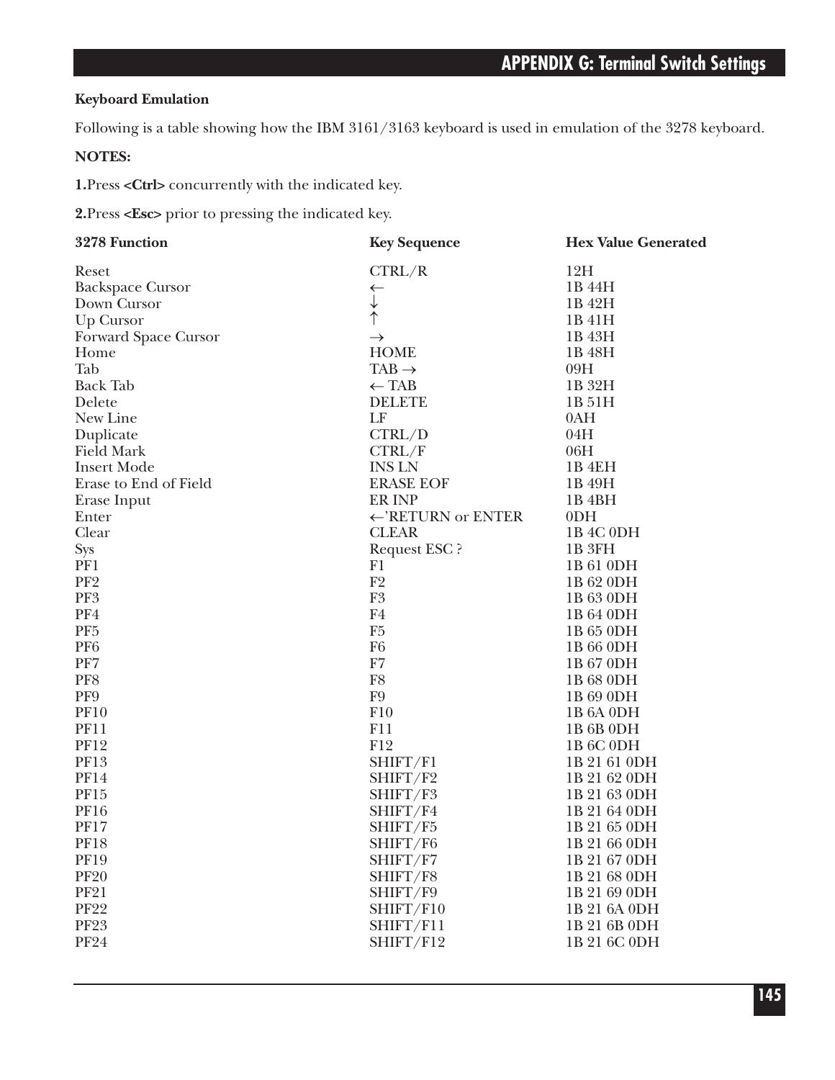### **Keyboard Emulation**

Following is a table showing how the IBM 3161/3163 keyboard is used in emulation of the 3278 keyboard.

#### **NOTES:**

**1.**Press **<Ctrl>** concurrently with the indicated key.

**2.**Press **<Esc>** prior to pressing the indicated key.

| 3278 Function           | <b>Key Sequence</b>           | <b>Hex Value Generated</b>        |
|-------------------------|-------------------------------|-----------------------------------|
| Reset                   | CTRL/R                        | 12H                               |
| <b>Backspace Cursor</b> | ←                             | 1B 44H                            |
| Down Cursor             |                               | 1B 42H                            |
| Up Cursor               | $\uparrow$                    | 1B 41H                            |
| Forward Space Cursor    | $\rightarrow$                 | 1B 43H                            |
| Home                    | <b>HOME</b>                   | 1B 48H                            |
| Tab                     | $TAB \rightarrow$             | 09H                               |
| <b>Back Tab</b>         | $\leftarrow$ TAB              | 1B 32H                            |
| Delete                  | <b>DELETE</b>                 | 1B 51H                            |
| New Line                | LF                            | 0AH                               |
| Duplicate               | CTRL/D                        | 04H                               |
| <b>Field Mark</b>       | CTRL/F                        | 06H                               |
| <b>Insert Mode</b>      | <b>INS LN</b>                 | 1B <sub>4EH</sub>                 |
| Erase to End of Field   | <b>ERASE EOF</b>              | 1B 49H                            |
| Erase Input             | ER INP                        | 1B <sub>4BH</sub>                 |
| Enter                   | $\leftarrow$ 'RETURN or ENTER | 0 <sub>DH</sub>                   |
| Clear                   | <b>CLEAR</b>                  | 1B 4C 0DH                         |
| <b>Sys</b>              | <b>Request ESC?</b>           | 1B <sub>3FH</sub>                 |
| PF1                     | F1                            | 1B 61 0DH                         |
| PF <sub>2</sub>         | F2                            | 1B 62 0DH                         |
| PF3                     | ${\rm F}3$                    | 1B 63 0DH                         |
| PF4                     | F <sub>4</sub>                | 1B 64 0DH                         |
| PF <sub>5</sub>         | F <sub>5</sub>                | 1B 65 0DH                         |
| PF <sub>6</sub>         | F <sub>6</sub>                | 1B 66 0DH                         |
| PF7                     | F7                            | 1B 67 0DH                         |
| PF8                     | F8                            | 1B 68 0DH                         |
| PF9                     | F <sub>9</sub>                | 1B 69 0DH                         |
| <b>PF10</b>             | F10                           | 1B <sub>6</sub> A <sub>0DH</sub>  |
| <b>PF11</b>             | F11                           | 1B 6B 0DH                         |
| <b>PF12</b>             | F12                           | 1B <sub>6</sub> C <sub>0</sub> DH |
| PF13                    | SHIFT/F1                      | 1B 21 61 0DH                      |
| <b>PF14</b>             | SHIFT/F2                      | 1B 21 62 0DH                      |
| PF15                    | SHIFT/F3                      | 1B 21 63 0DH                      |
| <b>PF16</b>             | SHIFT/F4                      | 1B 21 64 0DH                      |
| <b>PF17</b>             | SHIFT/F5                      | 1B 21 65 0DH                      |
| <b>PF18</b>             | SHIFT/F6                      | 1B 21 66 0DH                      |
| <b>PF19</b>             | SHIFT/F7                      | 1B 21 67 0DH                      |
| <b>PF20</b>             | SHIFT/F8                      | 1B 21 68 0DH                      |
| <b>PF21</b>             | SHIFT/F9                      | 1B 21 69 0DH                      |
| <b>PF22</b>             | SHIFT/F10                     | 1B 21 6A 0DH                      |
| <b>PF23</b>             | SHIFT/F11                     | 1B 21 6B 0DH                      |
| <b>PF24</b>             | SHIFT/F12                     | 1B 21 6C 0DH                      |
|                         |                               |                                   |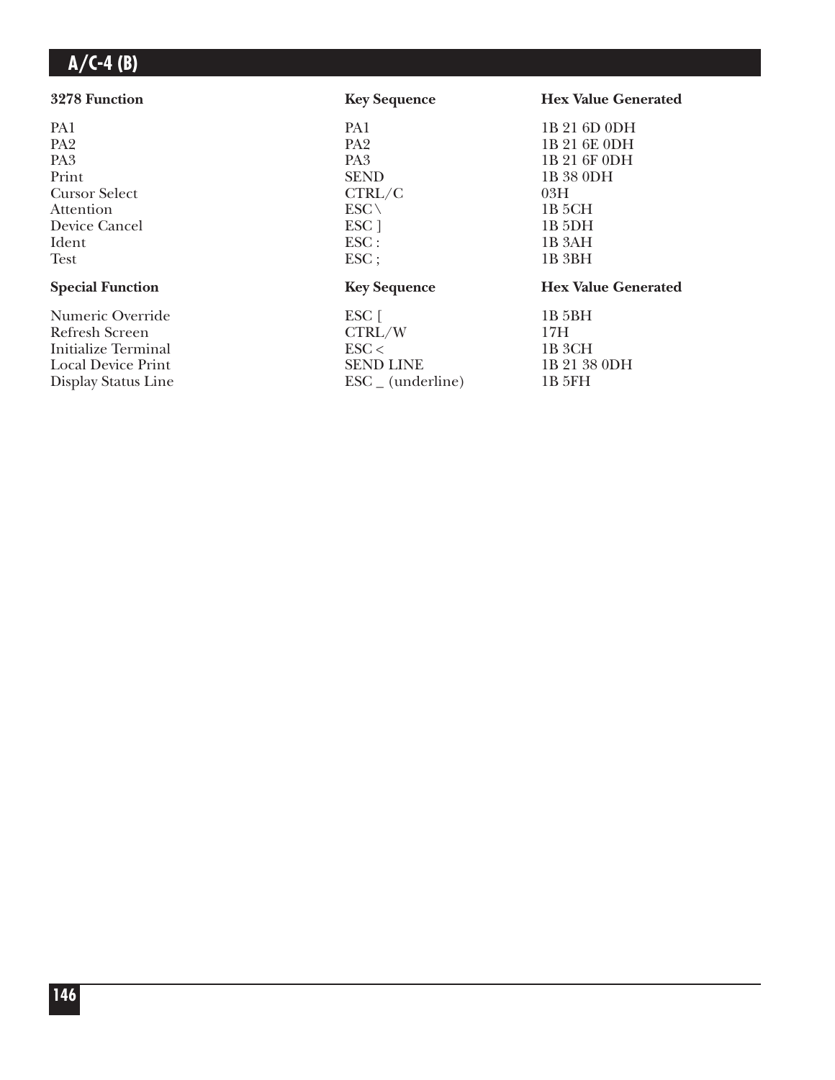| 3278 Function             | <b>Key Sequence</b>          | <b>Hex Value Generated</b> |
|---------------------------|------------------------------|----------------------------|
| PA1                       | PA1                          | 1B 21 6D 0DH               |
| PA <sub>2</sub>           | PA <sub>2</sub>              | 1B 21 6E 0DH               |
| PA <sub>3</sub>           | PA <sub>3</sub>              | 1B 21 6F 0DH               |
| Print                     | <b>SEND</b>                  | 1B 38 0DH                  |
| <b>Cursor Select</b>      | CTRL/C                       | 03H                        |
| Attention                 | $ESC \setminus$              | 1B 5CH                     |
| Device Cancel             | ESC <sub>1</sub>             | 1B <sub>5</sub> DH         |
| Ident                     | $\text{ESC}$ :               | 1B 3AH                     |
| <b>Test</b>               | $\text{ESC}$ ;               | 1B 3BH                     |
| <b>Special Function</b>   | <b>Key Sequence</b>          | <b>Hex Value Generated</b> |
| Numeric Override          | ESC [                        | 1B 5BH                     |
| Refresh Screen            | CTRL/W                       | 17H                        |
| Initialize Terminal       | $\text{ESC}$                 | 1B 3CH                     |
| <b>Local Device Print</b> | <b>SEND LINE</b>             | 1B 21 38 0DH               |
| Display Status Line       | $\text{ESC}_{-}$ (underline) | 1B 5FH                     |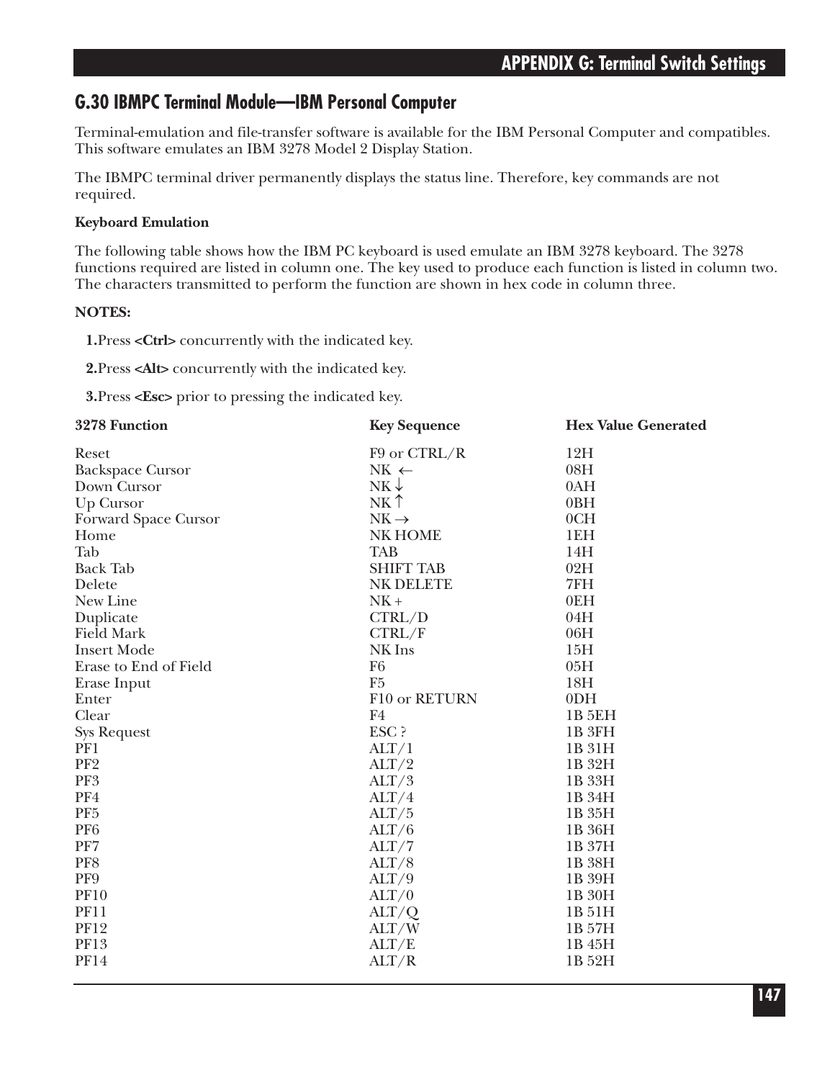### **G.30 IBMPC Terminal Module—IBM Personal Computer**

Terminal-emulation and file-transfer software is available for the IBM Personal Computer and compatibles. This software emulates an IBM 3278 Model 2 Display Station.

The IBMPC terminal driver permanently displays the status line. Therefore, key commands are not required.

#### **Keyboard Emulation**

The following table shows how the IBM PC keyboard is used emulate an IBM 3278 keyboard. The 3278 functions required are listed in column one. The key used to produce each function is listed in column two. The characters transmitted to perform the function are shown in hex code in column three.

#### **NOTES:**

**1.**Press **<Ctrl>** concurrently with the indicated key.

**2.**Press **<Alt>** concurrently with the indicated key.

**3.**Press **<Esc>** prior to pressing the indicated key.

| 3278 Function           | <b>Key Sequence</b>   | <b>Hex Value Generated</b> |
|-------------------------|-----------------------|----------------------------|
| Reset                   | F9 or CTRL/R          | 12H                        |
| <b>Backspace Cursor</b> | $NK \leftarrow$       | 08H                        |
| Down Cursor             | $NK \downarrow$       | 0AH                        |
| Up Cursor               | NK <sup>†</sup>       | 0BH                        |
| Forward Space Cursor    | $NK \rightarrow$      | 0CH                        |
| Home                    | NK HOME               | 1EH                        |
| Tab                     | <b>TAB</b>            | 14H                        |
| <b>Back Tab</b>         | <b>SHIFT TAB</b>      | 02H                        |
| Delete                  | <b>NK DELETE</b>      | 7FH                        |
| New Line                | $NK +$                | 0EH                        |
| Duplicate               | CTRL/D                | 04H                        |
| <b>Field Mark</b>       | CTRL/F                | 06H                        |
| <b>Insert Mode</b>      | NK Ins                | 15H                        |
| Erase to End of Field   | F <sub>6</sub>        | 05H                        |
| Erase Input             | F <sub>5</sub>        | 18H                        |
| Enter                   | F10 or RETURN         | 0 <sub>DH</sub>            |
| Clear                   | F4                    | <b>1B 5EH</b>              |
| <b>Sys Request</b>      | ESC ?                 | 1B 3FH                     |
| PF1                     | ALT/1                 | 1B 31H                     |
| PF <sub>2</sub>         | ALT/2                 | 1B 32H                     |
| PF <sub>3</sub>         | ALT/3                 | 1B 33H                     |
| PF4                     | ALT/4                 | 1B 34H                     |
| PF <sub>5</sub>         | ALT/5                 | 1B 35H                     |
| PF <sub>6</sub>         | ALT/6                 | 1B 36H                     |
| PF7                     | ALT/7                 | 1B 37H                     |
| PF8                     | ALT/8                 | 1B 38H                     |
| PF9                     | ALT/9                 | 1B 39H                     |
| <b>PF10</b>             | ALT/0                 | 1B 30H                     |
| <b>PF11</b>             | $\text{ALT}/\text{Q}$ | 1B 51H                     |
| <b>PF12</b>             | ALT/W                 | 1B 57H                     |
| PF13                    | ALT/E                 | 1B 45H                     |
| <b>PF14</b>             | ALT/R                 | 1B 52H                     |
|                         |                       |                            |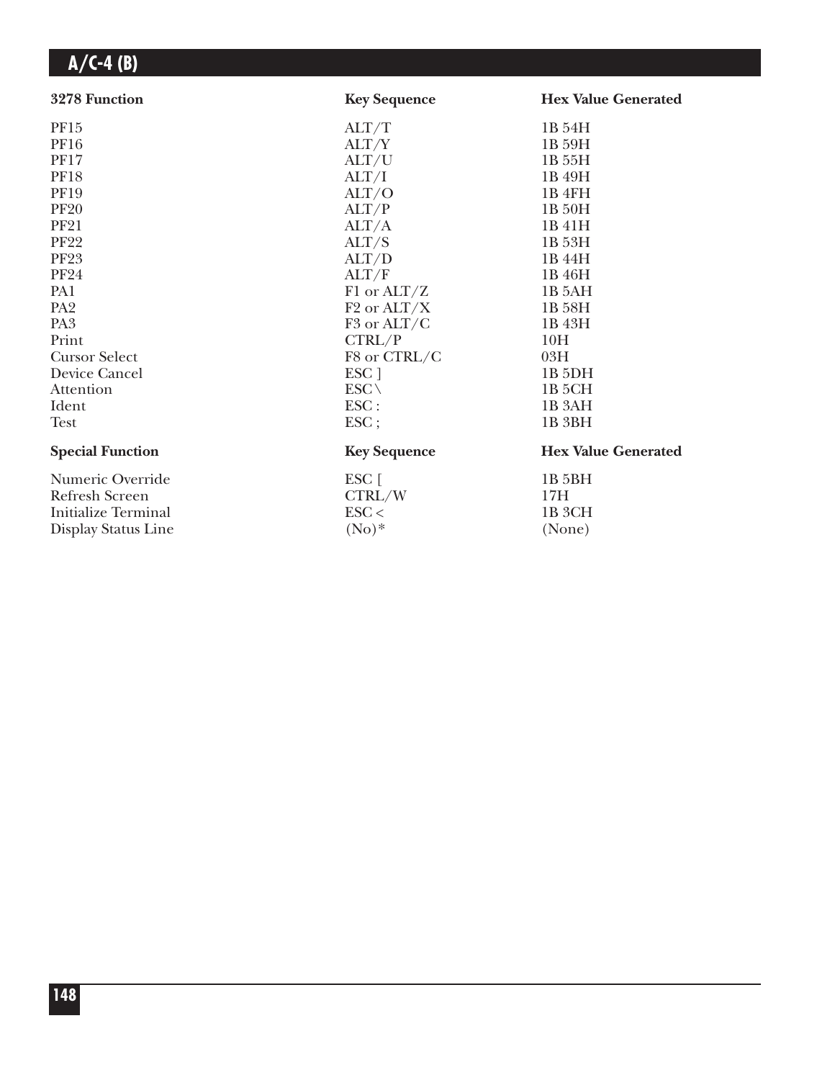| 3278 Function           | <b>Key Sequence</b>     | <b>Hex Value Generated</b> |
|-------------------------|-------------------------|----------------------------|
| PF15                    | ALT/T                   | 1B 54H                     |
| PF16                    | ALT/Y                   | 1B 59H                     |
| <b>PF17</b>             | ALT/U                   | 1B 55H                     |
| <b>PF18</b>             | ALT/I                   | 1B 49H                     |
| <b>PF19</b>             | ALT/O                   | 1B 4FH                     |
| <b>PF20</b>             | ALT/P                   | 1B 50H                     |
| <b>PF21</b>             | ALT/A                   | 1B 41H                     |
| <b>PF22</b>             | ALT/S                   | 1B 53H                     |
| <b>PF23</b>             | ALT/D                   | 1B 44H                     |
| <b>PF24</b>             | ALT/F                   | 1B 46H                     |
| PA1                     | F1 or $ALT/Z$           | 1B 5AH                     |
| PA <sub>2</sub>         | $F2$ or $ALT/X$         | 1B 58H                     |
| PA <sub>3</sub>         | F <sub>3</sub> or ALT/C | 1B 43H                     |
| Print                   | CTRL/P                  | 10H                        |
| <b>Cursor Select</b>    | F8 or CTRL/C            | 03H                        |
| Device Cancel           | ESC ]                   | 1B <sub>5DH</sub>          |
| Attention               | $ESC \setminus$         | 1B <sub>5</sub> CH         |
| Ident                   | ESC:                    | 1B <sub>3</sub> AH         |
| <b>Test</b>             | $\text{ESC}$ ;          | 1B <sub>3BH</sub>          |
| <b>Special Function</b> | <b>Key Sequence</b>     | <b>Hex Value Generated</b> |
| Numeric Override        | ESC [                   | 1B 5BH                     |
| <b>Refresh Screen</b>   | CTRL/W                  | 17H                        |
| Initialize Terminal     | $\text{ESC}$            | 1B 3CH                     |
| Display Status Line     | $(No)*$                 | (None)                     |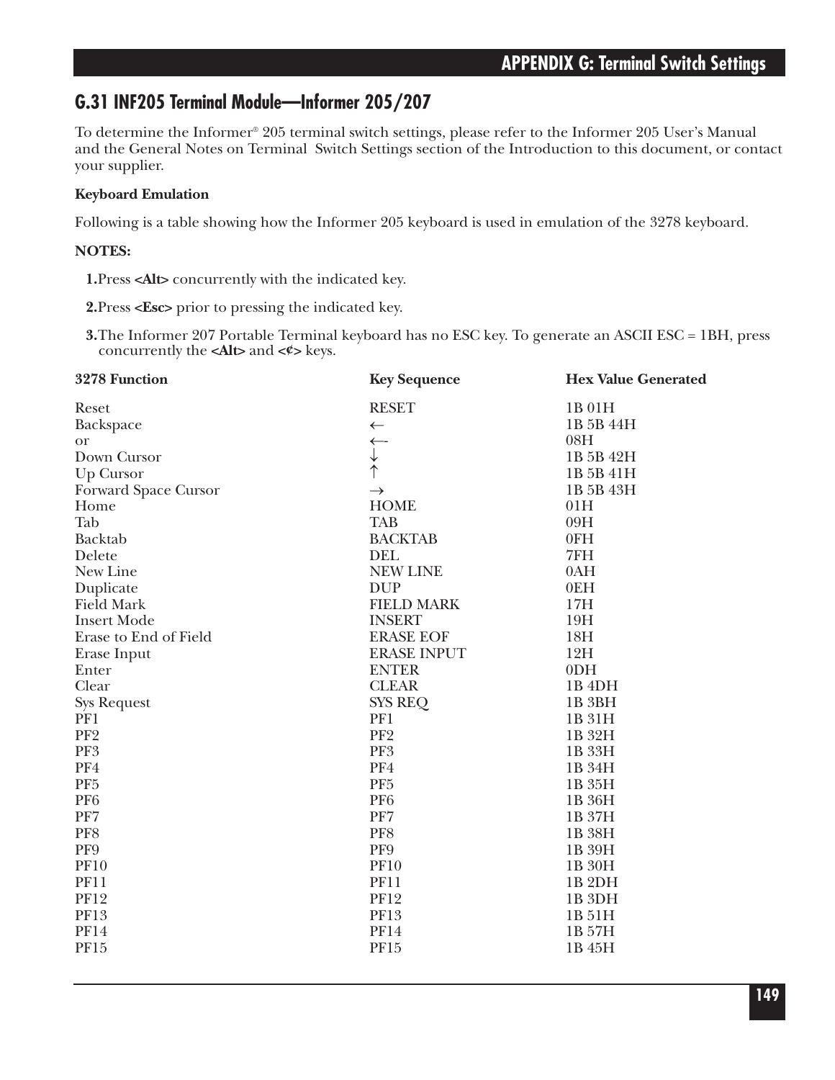### **G.31 INF205 Terminal Module—Informer 205/207**

To determine the Informer® 205 terminal switch settings, please refer to the Informer 205 User's Manual and the General Notes on Terminal Switch Settings section of the Introduction to this document, or contact your supplier.

### **Keyboard Emulation**

Following is a table showing how the Informer 205 keyboard is used in emulation of the 3278 keyboard.

### **NOTES:**

**1.**Press **<Alt>** concurrently with the indicated key.

**2.**Press **<Esc>** prior to pressing the indicated key.

**3.**The Informer 207 Portable Terminal keyboard has no ESC key. To generate an ASCII ESC = 1BH, press concurrently the **<Alt>** and **<¢>** keys.

| 3278 Function         | <b>Key Sequence</b>  | <b>Hex Value Generated</b> |
|-----------------------|----------------------|----------------------------|
| Reset                 | <b>RESET</b>         | 1B 01H                     |
| Backspace             | $\leftarrow$         | 1B 5B 44H                  |
| <b>or</b>             | $\leftarrow$         | 08H                        |
| Down Cursor           | $\frac{1}{\uparrow}$ | 1B 5B 42H                  |
| Up Cursor             |                      | 1B 5B 41H                  |
| Forward Space Cursor  | $\rightarrow$        | 1B 5B 43H                  |
| Home                  | <b>HOME</b>          | 01H                        |
| Tab                   | <b>TAB</b>           | 09H                        |
| <b>Backtab</b>        | <b>BACKTAB</b>       | 0FH                        |
| Delete                | <b>DEL</b>           | 7FH                        |
| New Line              | <b>NEW LINE</b>      | 0AH                        |
| Duplicate             | <b>DUP</b>           | 0EH                        |
| <b>Field Mark</b>     | <b>FIELD MARK</b>    | 17H                        |
| <b>Insert Mode</b>    | <b>INSERT</b>        | 19H                        |
| Erase to End of Field | <b>ERASE EOF</b>     | 18H                        |
| Erase Input           | <b>ERASE INPUT</b>   | 12H                        |
| Enter                 | <b>ENTER</b>         | 0 <sub>DH</sub>            |
| Clear                 | <b>CLEAR</b>         | 1B <sub>4DH</sub>          |
| <b>Sys Request</b>    | <b>SYS REQ</b>       | 1B <sub>3BH</sub>          |
| PF1                   | PF1                  | 1B 31H                     |
| PF <sub>2</sub>       | PF <sub>2</sub>      | 1B 32H                     |
| PF3                   | PF3                  | 1B 33H                     |
| PF4                   | PF4                  | 1B 34H                     |
| PF <sub>5</sub>       | PF <sub>5</sub>      | 1B 35H                     |
| PF <sub>6</sub>       | PF <sub>6</sub>      | 1B 36H                     |
| PF7                   | PF7                  | 1B 37H                     |
| PF8                   | PF8                  | 1B 38H                     |
| PF9                   | PF9                  | 1B 39H                     |
| <b>PF10</b>           | <b>PF10</b>          | 1B 30H                     |
| <b>PF11</b>           | <b>PF11</b>          | 1B <sub>2DH</sub>          |
| <b>PF12</b>           | <b>PF12</b>          | 1B <sub>3DH</sub>          |
| <b>PF13</b>           | <b>PF13</b>          | 1B 51H                     |
| <b>PF14</b>           | <b>PF14</b>          | 1B 57H                     |
| PF15                  | <b>PF15</b>          | 1B 45H                     |
|                       |                      |                            |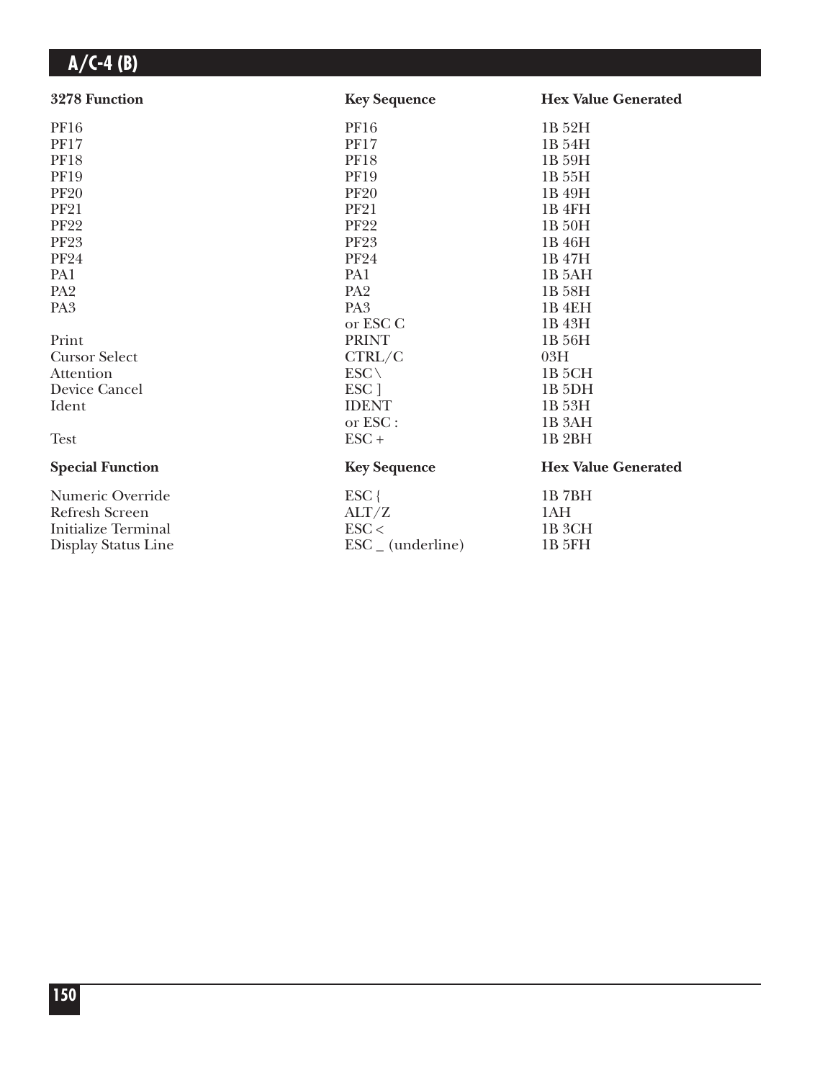| 3278 Function              | <b>Key Sequence</b>          | <b>Hex Value Generated</b> |
|----------------------------|------------------------------|----------------------------|
| <b>PF16</b>                | <b>PF16</b>                  | 1B 52H                     |
| <b>PF17</b>                | <b>PF17</b>                  | 1B 54H                     |
| <b>PF18</b>                | <b>PF18</b>                  | 1B 59H                     |
| <b>PF19</b>                | <b>PF19</b>                  | 1B 55H                     |
| <b>PF20</b>                | <b>PF20</b>                  | 1B 49H                     |
| <b>PF21</b>                | <b>PF21</b>                  | 1B 4FH                     |
| <b>PF22</b>                | <b>PF22</b>                  | 1B 50H                     |
| <b>PF23</b>                | <b>PF23</b>                  | 1B 46H                     |
| <b>PF24</b>                | <b>PF24</b>                  | 1B 47H                     |
| PA1                        | PA1                          | 1B 5AH                     |
| PA <sub>2</sub>            | PA <sub>2</sub>              | 1B 58H                     |
| PA <sub>3</sub>            | PA <sub>3</sub>              | 1B <sub>4EH</sub>          |
|                            | or ESC C                     | 1B 43H                     |
| Print                      | <b>PRINT</b>                 | 1B 56H                     |
| <b>Cursor Select</b>       | CTRL/C                       | 03H                        |
| Attention                  | $ESC \setminus$              | 1B <sub>5</sub> CH         |
| Device Cancel              | ESC ]                        | 1B <sub>5DH</sub>          |
| Ident                      | <b>IDENT</b>                 | 1B 53H                     |
|                            | or ESC :                     | 1B 3AH                     |
| <b>Test</b>                | $ESC +$                      | 1B <sub>2</sub> BH         |
| <b>Special Function</b>    | <b>Key Sequence</b>          | <b>Hex Value Generated</b> |
| Numeric Override           | $ESC$ {                      | 1B7BH                      |
| <b>Refresh Screen</b>      | ALT/Z                        | 1AH                        |
| <b>Initialize Terminal</b> | $\text{ESC}$                 | 1B <sub>3</sub> CH         |
| Display Status Line        | $\text{ESC}_{-}$ (underline) | <b>1B 5FH</b>              |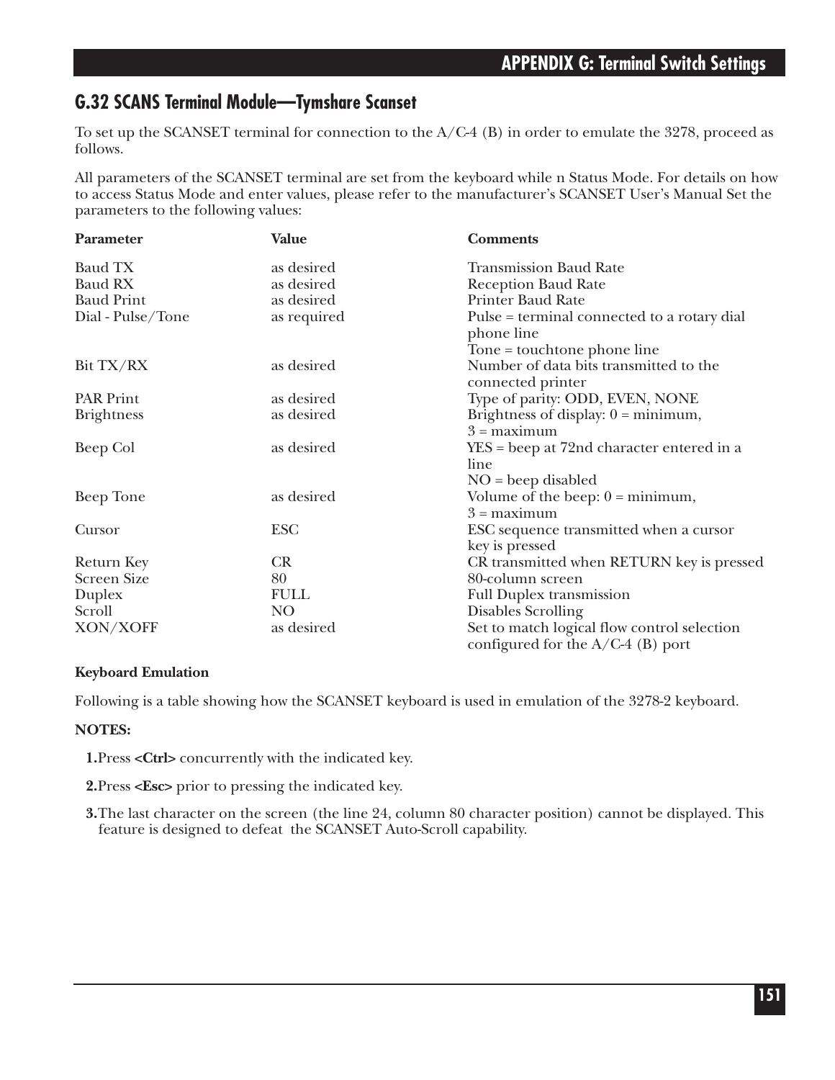### **G.32 SCANS Terminal Module—Tymshare Scanset**

To set up the SCANSET terminal for connection to the A/C-4 (B) in order to emulate the 3278, proceed as follows.

All parameters of the SCANSET terminal are set from the keyboard while n Status Mode. For details on how to access Status Mode and enter values, please refer to the manufacturer's SCANSET User's Manual Set the parameters to the following values:

| Parameter          | <b>Value</b>    | <b>Comments</b>                                                                    |
|--------------------|-----------------|------------------------------------------------------------------------------------|
| <b>Baud TX</b>     | as desired      | <b>Transmission Baud Rate</b>                                                      |
| <b>Baud RX</b>     | as desired      | <b>Reception Baud Rate</b>                                                         |
| <b>Baud Print</b>  | as desired      | Printer Baud Rate                                                                  |
| Dial - Pulse/Tone  | as required     | Pulse = terminal connected to a rotary dial<br>phone line                          |
|                    |                 | Tone = touchtone phone line                                                        |
| Bit TX/RX          | as desired      | Number of data bits transmitted to the<br>connected printer                        |
| <b>PAR Print</b>   | as desired      | Type of parity: ODD, EVEN, NONE                                                    |
| <b>Brightness</b>  | as desired      | Brightness of display: $0 = \text{minimum}$ ,<br>$3 =$ maximum                     |
| Beep Col           | as desired      | $YES = Deep$ at 72nd character entered in a<br>line                                |
|                    |                 | $NO = been disabled$                                                               |
| Beep Tone          | as desired      | Volume of the beep: $0 = \text{minimum}$ ,<br>$3 =$ maximum                        |
| Cursor             | <b>ESC</b>      | ESC sequence transmitted when a cursor<br>key is pressed                           |
| Return Key         | CR              | CR transmitted when RETURN key is pressed                                          |
| <b>Screen Size</b> | 80              | 80-column screen                                                                   |
| Duplex             | <b>FULL</b>     | <b>Full Duplex transmission</b>                                                    |
| Scroll             | NO <sub>1</sub> | Disables Scrolling                                                                 |
| XON/XOFF           | as desired      | Set to match logical flow control selection<br>configured for the $A/C-4$ (B) port |

#### **Keyboard Emulation**

Following is a table showing how the SCANSET keyboard is used in emulation of the 3278-2 keyboard.

#### **NOTES:**

**1.**Press **<Ctrl>** concurrently with the indicated key.

**2.**Press **<Esc>** prior to pressing the indicated key.

**3.**The last character on the screen (the line 24, column 80 character position) cannot be displayed. This feature is designed to defeat the SCANSET Auto-Scroll capability.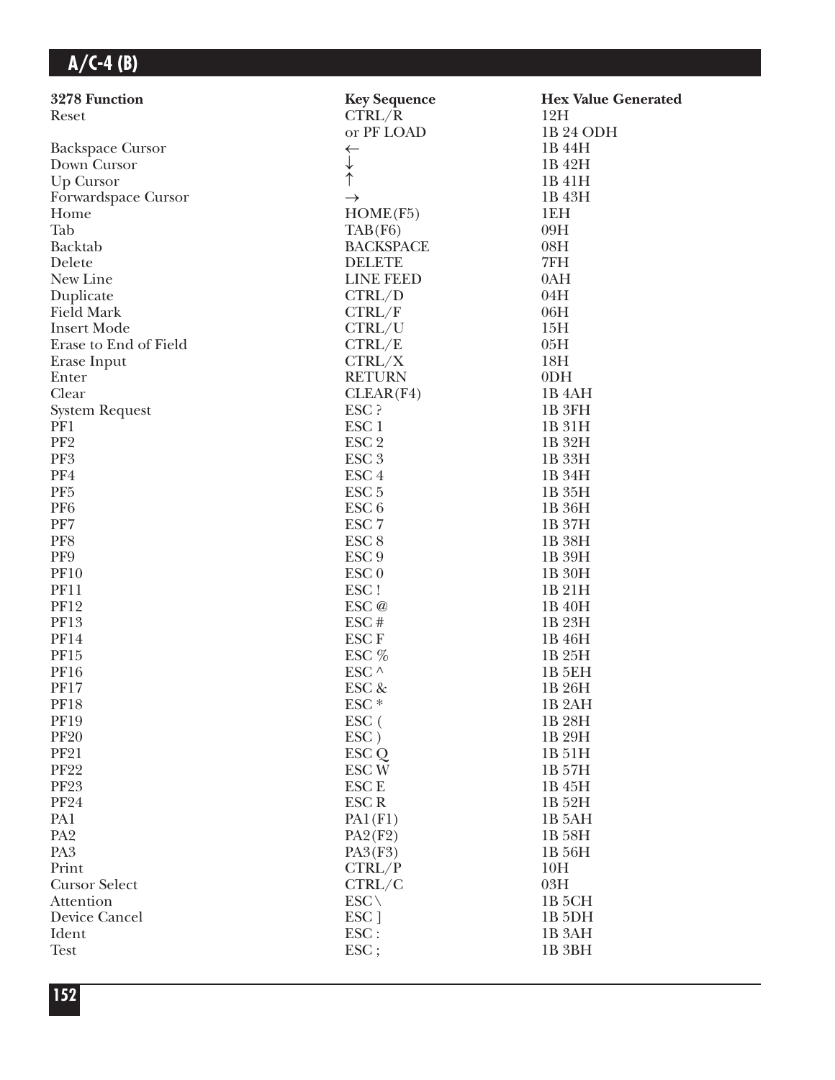| 3278 Function           | <b>Key Sequence</b>  | <b>Hex Value Generated</b> |
|-------------------------|----------------------|----------------------------|
| Reset                   | CTRL/R               | 12H                        |
|                         | or PF LOAD           | 1B 24 ODH                  |
| <b>Backspace Cursor</b> | ←                    | 1B 44H                     |
| Down Cursor             | $\frac{1}{\uparrow}$ | 1B 42H                     |
| Up Cursor               |                      | 1B 41H                     |
| Forwardspace Cursor     | $\rightarrow$        | 1B 43H                     |
| Home                    | HOME(F5)             | 1EH                        |
| Tab                     | TAB(F6)              | 09H                        |
| <b>Backtab</b>          | <b>BACKSPACE</b>     | 08H                        |
| Delete                  | <b>DELETE</b>        | 7FH                        |
| New Line                | <b>LINE FEED</b>     | 0AH                        |
| Duplicate               | CTRL/D               | 04H                        |
| <b>Field Mark</b>       | CTRL/F               | 06H                        |
| <b>Insert Mode</b>      | CTRL/U               | 15H                        |
| Erase to End of Field   | CTRL/E               | 05H                        |
| Erase Input             | CTRL/X               | 18H                        |
| Enter                   | <b>RETURN</b>        | 0 <sub>DH</sub>            |
| Clear                   | CLEAR(F4)            | 1B <sub>4</sub> AH         |
| <b>System Request</b>   | ESC ?                | 1B 3FH                     |
| PF1                     | ESC <sub>1</sub>     | 1B 31H                     |
| PF <sub>2</sub>         | ESC <sub>2</sub>     | 1B 32H                     |
| PF3                     | ESC <sub>3</sub>     | 1B 33H                     |
| PF4                     | ESC <sub>4</sub>     | 1B 34H                     |
| PF <sub>5</sub>         | ESC <sub>5</sub>     | 1B 35H                     |
| PF <sub>6</sub>         | ESC <sub>6</sub>     | 1B 36H                     |
| PF7                     | ESC <sub>7</sub>     | 1B 37H                     |
| PF8                     | ESC <sub>8</sub>     | 1B 38H                     |
| PF9                     | ESC <sub>9</sub>     | 1B 39H                     |
| <b>PF10</b>             | ESC <sub>0</sub>     | 1B 30H                     |
| <b>PF11</b>             | ESC!                 | 1B 21H                     |
| <b>PF12</b>             | ESC @                | 1B 40H                     |
| <b>PF13</b>             | ESC#                 | 1B 23H                     |
| <b>PF14</b>             | ESC <sub>F</sub>     | 1B 46H                     |
| <b>PF15</b>             | ESC %                | 1B 25H                     |
| <b>PF16</b>             | ESC $\wedge$         | 1B <sub>5EH</sub>          |
| <b>PF17</b>             | ESC &                | 1B 26H                     |
| PF18                    | ESC *                | 1B <sub>2</sub> AH         |
| <b>PF19</b>             | $\rm{ESC}$ (         | 1B 28H                     |
| <b>PF20</b>             | ESC)                 | 1B 29H                     |
| <b>PF21</b>             | ESC Q                | 1B 51H                     |
| <b>PF22</b>             | ESC <sub>W</sub>     | 1B 57H                     |
| <b>PF23</b>             | ESC <sub>E</sub>     | 1B 45H                     |
| <b>PF24</b>             | <b>ESCR</b>          | 1B 52H                     |
| PA1                     | PA1(F1)              | 1B 5AH                     |
| PA <sub>2</sub>         | PA2(F2)              | 1B 58H                     |
| PA <sub>3</sub>         | PA3(F3)              | 1B 56H                     |
| Print                   | CTRL/P               | 10H                        |
| <b>Cursor Select</b>    | CTRL/C               | 03H                        |
| Attention               | $ESC \setminus$      | 1B <sub>5</sub> CH         |
| Device Cancel           | ESC ]                | 1B <sub>5</sub> DH         |
| Ident                   | ESC:                 | 1B <sub>3</sub> AH         |
| <b>Test</b>             | ESC;                 | 1B <sub>3BH</sub>          |
|                         |                      |                            |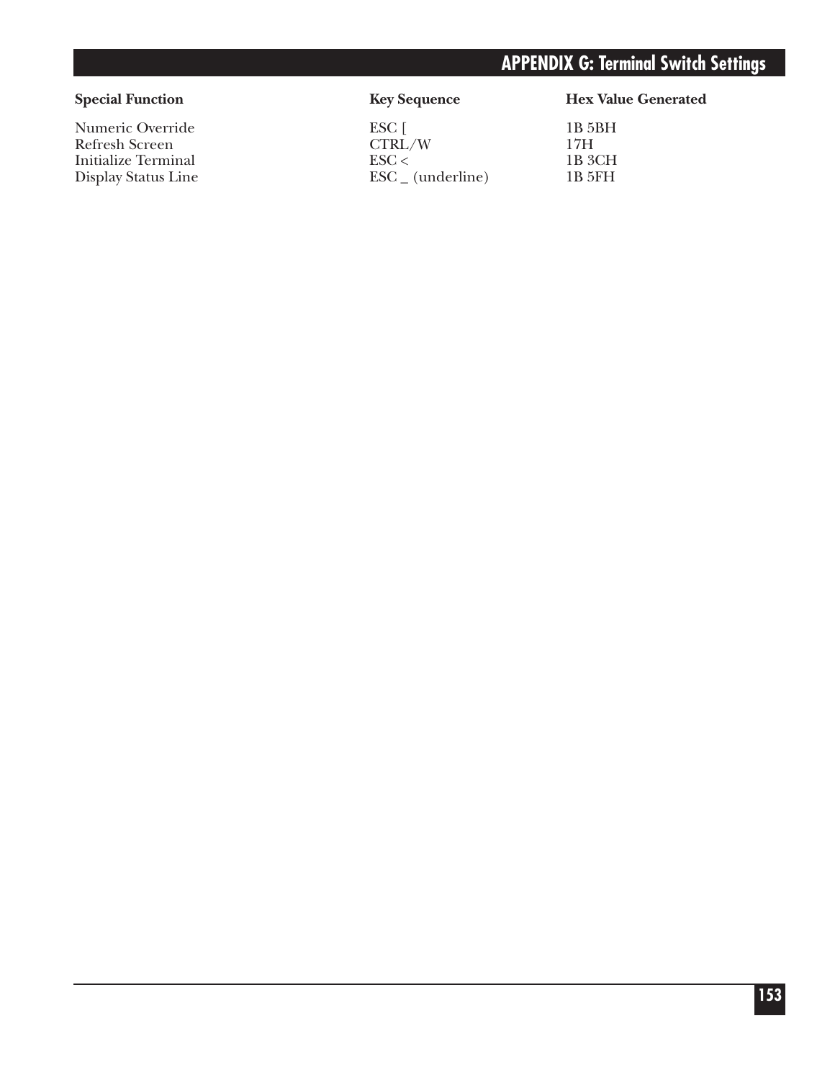## **APPENDIX G: Terminal Switch Settings**

Refresh Screen<br>
Initialize Terminal<br>
ESC <

Numeric Override ESC [ 1B 5BH<br>Refresh Screen CTRL/W 17H Initialize Terminal ESC < 1B 3CH<br>Display Status Line ESC (underline) 1B 3FH<br>RSC (underline) 1B 5FH  $\text{ESC}_{-}$  (underline)

### **Special Function Key Sequence Hex Value Generated**

| 1B 5BF |
|--------|
| 17H    |
| 1B 3CF |
| 1B 5FF |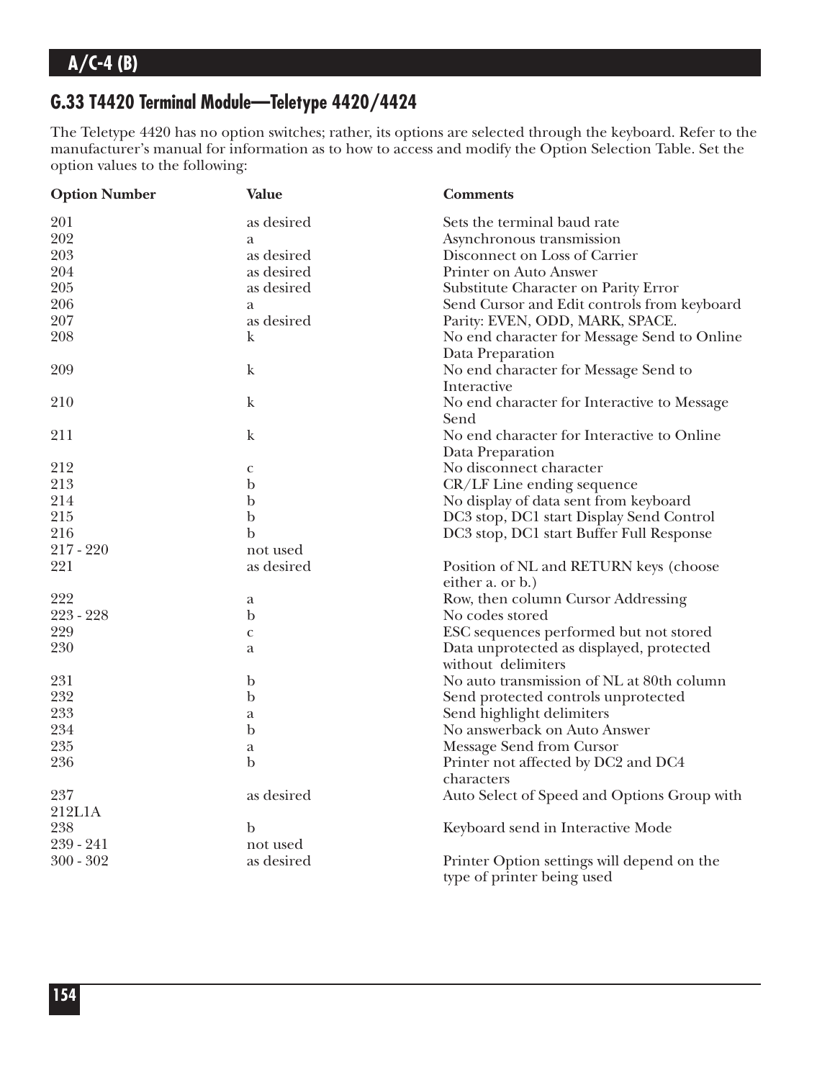### **G.33 T4420 Terminal Module—Teletype 4420/4424**

The Teletype 4420 has no option switches; rather, its options are selected through the keyboard. Refer to the manufacturer's manual for information as to how to access and modify the Option Selection Table. Set the option values to the following:

| <b>Option Number</b> | <b>Value</b> | <b>Comments</b>                                                          |  |
|----------------------|--------------|--------------------------------------------------------------------------|--|
| 201                  | as desired   | Sets the terminal baud rate                                              |  |
| 202                  | a            | Asynchronous transmission                                                |  |
| 203                  | as desired   | Disconnect on Loss of Carrier                                            |  |
| 204                  | as desired   | Printer on Auto Answer                                                   |  |
| 205                  | as desired   | Substitute Character on Parity Error                                     |  |
| 206                  | a            | Send Cursor and Edit controls from keyboard                              |  |
| 207                  | as desired   | Parity: EVEN, ODD, MARK, SPACE.                                          |  |
| 208                  | k            | No end character for Message Send to Online                              |  |
|                      |              | Data Preparation                                                         |  |
| 209                  | $\bf k$      | No end character for Message Send to                                     |  |
|                      |              | Interactive                                                              |  |
| 210                  | $\mathbf k$  | No end character for Interactive to Message                              |  |
|                      |              | Send                                                                     |  |
| 211                  | $\mathbf k$  | No end character for Interactive to Online                               |  |
|                      |              | Data Preparation                                                         |  |
| 212                  | $\mathbf{C}$ | No disconnect character                                                  |  |
| 213                  | $\mathbf b$  | CR/LF Line ending sequence                                               |  |
| 214                  | $\mathbf b$  | No display of data sent from keyboard                                    |  |
| 215                  | $\mathbf b$  | DC3 stop, DC1 start Display Send Control                                 |  |
| 216                  | $\mathbf b$  | DC3 stop, DC1 start Buffer Full Response                                 |  |
| 217 - 220            | not used     |                                                                          |  |
| 221                  | as desired   | Position of NL and RETURN keys (choose                                   |  |
|                      |              | either a. or b.)                                                         |  |
| 222                  | a            | Row, then column Cursor Addressing                                       |  |
| 223 - 228            | $\mathbf b$  | No codes stored                                                          |  |
| 229                  | $\mathbf{C}$ | ESC sequences performed but not stored                                   |  |
| 230                  | a            | Data unprotected as displayed, protected                                 |  |
|                      |              | without delimiters                                                       |  |
| 231                  | $\mathbf b$  | No auto transmission of NL at 80th column                                |  |
| 232                  | $\mathbf b$  | Send protected controls unprotected                                      |  |
| 233                  | a            | Send highlight delimiters                                                |  |
| 234                  | $\mathbf b$  | No answerback on Auto Answer                                             |  |
| 235                  | a            |                                                                          |  |
| 236                  | b            | Message Send from Cursor<br>Printer not affected by DC2 and DC4          |  |
|                      |              | characters                                                               |  |
| 237                  | as desired   | Auto Select of Speed and Options Group with                              |  |
| 212L1A               |              |                                                                          |  |
| 238                  | $\mathbf b$  |                                                                          |  |
| 239 - 241            | not used     | Keyboard send in Interactive Mode                                        |  |
| $300 - 302$          | as desired   |                                                                          |  |
|                      |              | Printer Option settings will depend on the<br>type of printer being used |  |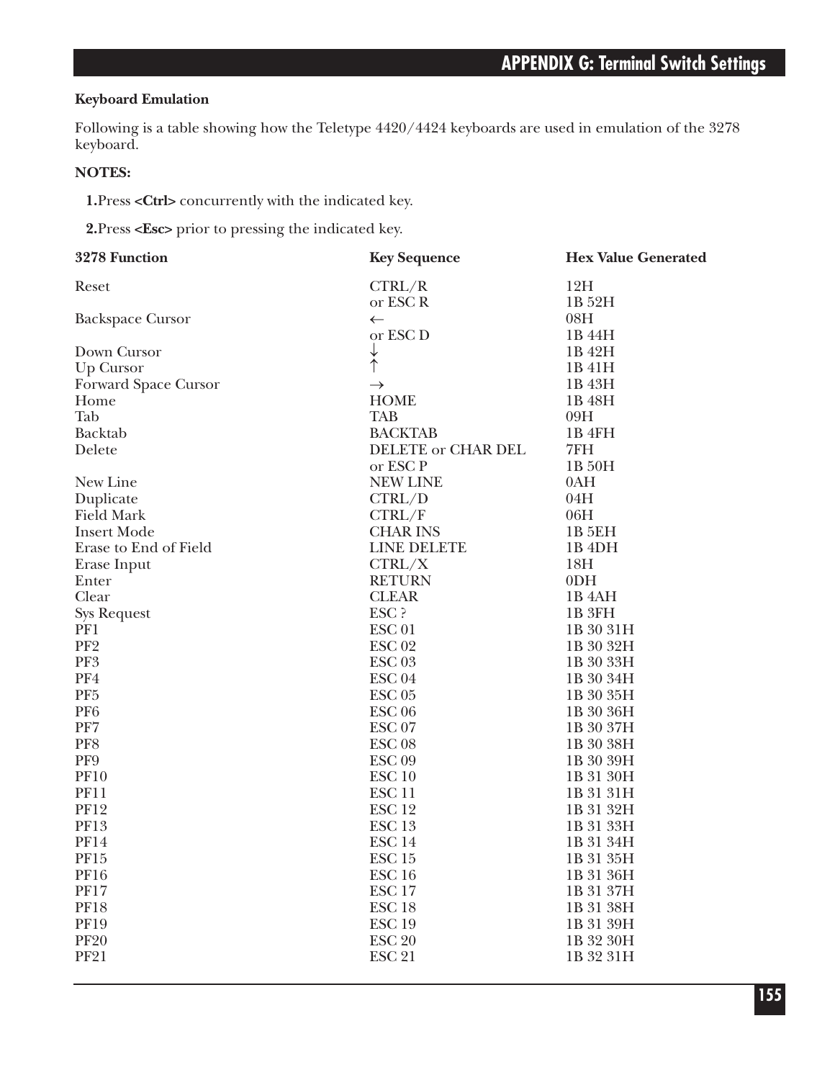### **Keyboard Emulation**

Following is a table showing how the Teletype 4420/4424 keyboards are used in emulation of the 3278 keyboard.

#### **NOTES:**

**1.**Press **<Ctrl>** concurrently with the indicated key.

**2.**Press **<Esc>** prior to pressing the indicated key.

| 3278 Function           | <b>Key Sequence</b>       | <b>Hex Value Generated</b> |  |
|-------------------------|---------------------------|----------------------------|--|
| Reset                   | CTRL/R                    | 12H                        |  |
|                         | or ESC R                  | 1B 52H                     |  |
| <b>Backspace Cursor</b> | $\leftarrow$              | 08H                        |  |
|                         | or ESC <sub>D</sub>       | 1B 44H                     |  |
| Down Cursor             | $\downarrow$              | 1B 42H                     |  |
| Up Cursor               | $\dot{\uparrow}$          | 1B 41H                     |  |
| Forward Space Cursor    | $\rightarrow$             | 1B 43H                     |  |
| Home                    | <b>HOME</b>               | 1B 48H                     |  |
| Tab                     | <b>TAB</b>                | 09H                        |  |
| Backtab                 | <b>BACKTAB</b>            | 1B 4FH                     |  |
| Delete                  | <b>DELETE or CHAR DEL</b> | 7FH                        |  |
|                         | or ESC P                  | 1B 50H                     |  |
| New Line                | <b>NEW LINE</b>           | 0AH                        |  |
| Duplicate               | CTRL/D                    | 04H                        |  |
| <b>Field Mark</b>       | CTRL/F                    | 06H                        |  |
| <b>Insert Mode</b>      | <b>CHAR INS</b>           | <b>1B 5EH</b>              |  |
| Erase to End of Field   | LINE DELETE               | 1B <sub>4</sub> DH         |  |
| Erase Input             | CTRL/X                    | 18H                        |  |
| Enter                   | <b>RETURN</b>             | 0 <sub>DH</sub>            |  |
| Clear                   | <b>CLEAR</b>              | 1B 4AH                     |  |
| <b>Sys Request</b>      | ESC ?                     | 1B 3FH                     |  |
| PF1                     | ESC <sub>01</sub>         | 1B 30 31H                  |  |
| PF <sub>2</sub>         | <b>ESC 02</b>             | 1B 30 32H                  |  |
| PF3                     | ESC <sub>03</sub>         | 1B 30 33H                  |  |
| PF4                     | ESC <sub>04</sub>         | 1B 30 34H                  |  |
| PF <sub>5</sub>         | ESC <sub>05</sub>         | 1B 30 35H                  |  |
| PF <sub>6</sub>         | ESC <sub>06</sub>         | 1B 30 36H                  |  |
| PF7                     | ESC <sub>07</sub>         | 1B 30 37H                  |  |
| PF8                     | ESC <sub>08</sub>         | 1B 30 38H                  |  |
| PF9                     | ESC <sub>09</sub>         | 1B 30 39H                  |  |
| <b>PF10</b>             | ESC <sub>10</sub>         | 1B 31 30H                  |  |
| <b>PF11</b>             | ESC <sub>11</sub>         | 1B 31 31H                  |  |
| <b>PF12</b>             | ESC <sub>12</sub>         | 1B 31 32H                  |  |
| <b>PF13</b>             | ESC <sub>13</sub>         | 1B 31 33H                  |  |
| <b>PF14</b>             | ESC <sub>14</sub>         | 1B 31 34H                  |  |
| PF15                    | ESC <sub>15</sub>         | 1B 31 35H                  |  |
| <b>PF16</b>             | ESC <sub>16</sub>         | 1B 31 36H                  |  |
| <b>PF17</b>             | ESC <sub>17</sub>         | 1B 31 37H                  |  |
| <b>PF18</b>             | ESC <sub>18</sub>         | 1B 31 38H                  |  |
| <b>PF19</b>             | <b>ESC 19</b>             | 1B 31 39H                  |  |
| <b>PF20</b>             | <b>ESC 20</b>             | 1B 32 30H                  |  |
| <b>PF21</b>             | <b>ESC 21</b>             | 1B 32 31H                  |  |
|                         |                           |                            |  |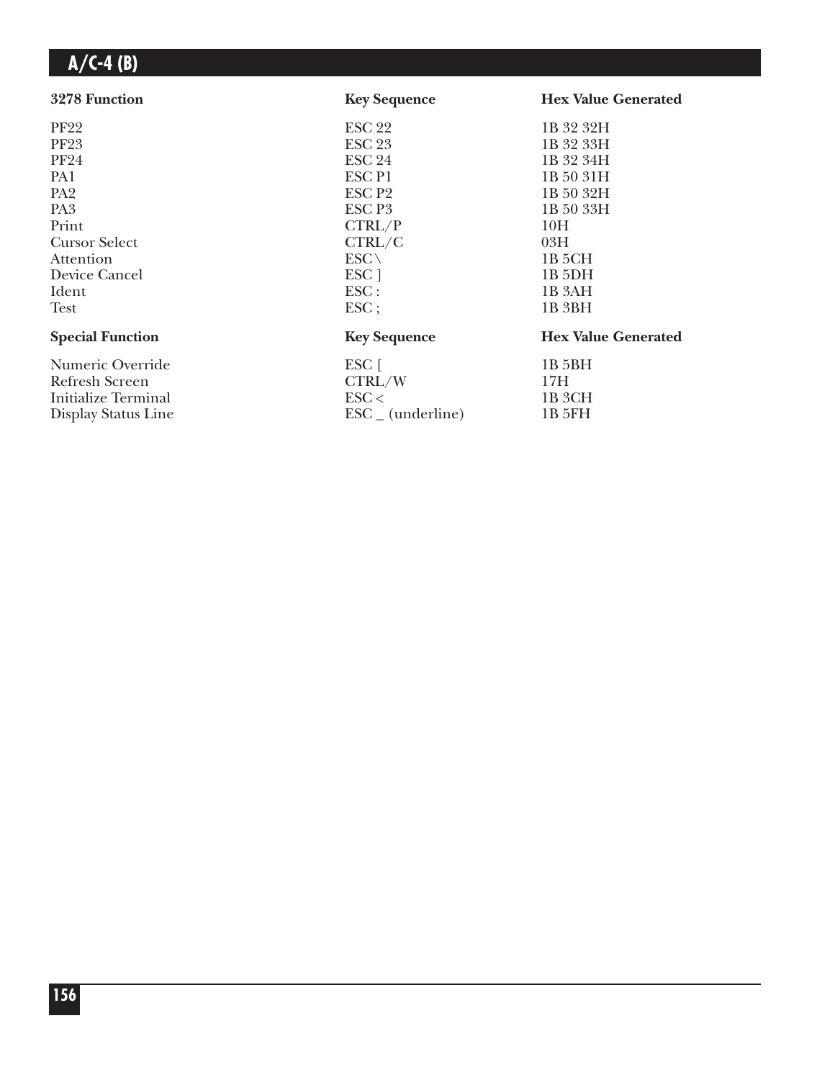| 3278 Function           | <b>Key Sequence</b>      | <b>Hex Value Generated</b> |  |
|-------------------------|--------------------------|----------------------------|--|
| <b>PF22</b>             | ESC <sub>22</sub>        | 1B 32 32H                  |  |
| <b>PF23</b>             | <b>ESC 23</b>            | 1B 32 33H                  |  |
| <b>PF24</b>             | <b>ESC 24</b>            | 1B 32 34H                  |  |
| PA1                     | <b>ESCP1</b>             | 1B 50 31H                  |  |
| PA <sub>2</sub>         | ESC <sub>P2</sub>        | 1B 50 32H                  |  |
| PA <sub>3</sub>         | ESC P <sub>3</sub>       | 1B 50 33H                  |  |
| Print                   | CTRL/P                   | 10H                        |  |
| <b>Cursor Select</b>    | CTRL/C                   | 03H                        |  |
| Attention               | $ESC \setminus$          | 1B 5CH                     |  |
| Device Cancel           | ESC <sub>1</sub>         | 1B <sub>5</sub> DH         |  |
| Ident                   | $\text{ESC}$ :           | 1B 3AH                     |  |
| Test                    | $\text{ESC}$             | 1B 3BH                     |  |
| <b>Special Function</b> | <b>Key Sequence</b>      | <b>Hex Value Generated</b> |  |
| Numeric Override        |                          | 1B 5BH                     |  |
| Refresh Screen          |                          | 17H                        |  |
| Initialize Terminal     | $\text{ESC}$             | 1B 3CH                     |  |
| Display Status Line     | ESC (underline)          | 1B 5FH                     |  |
|                         | $ESC$ $\lceil$<br>CTRL/W |                            |  |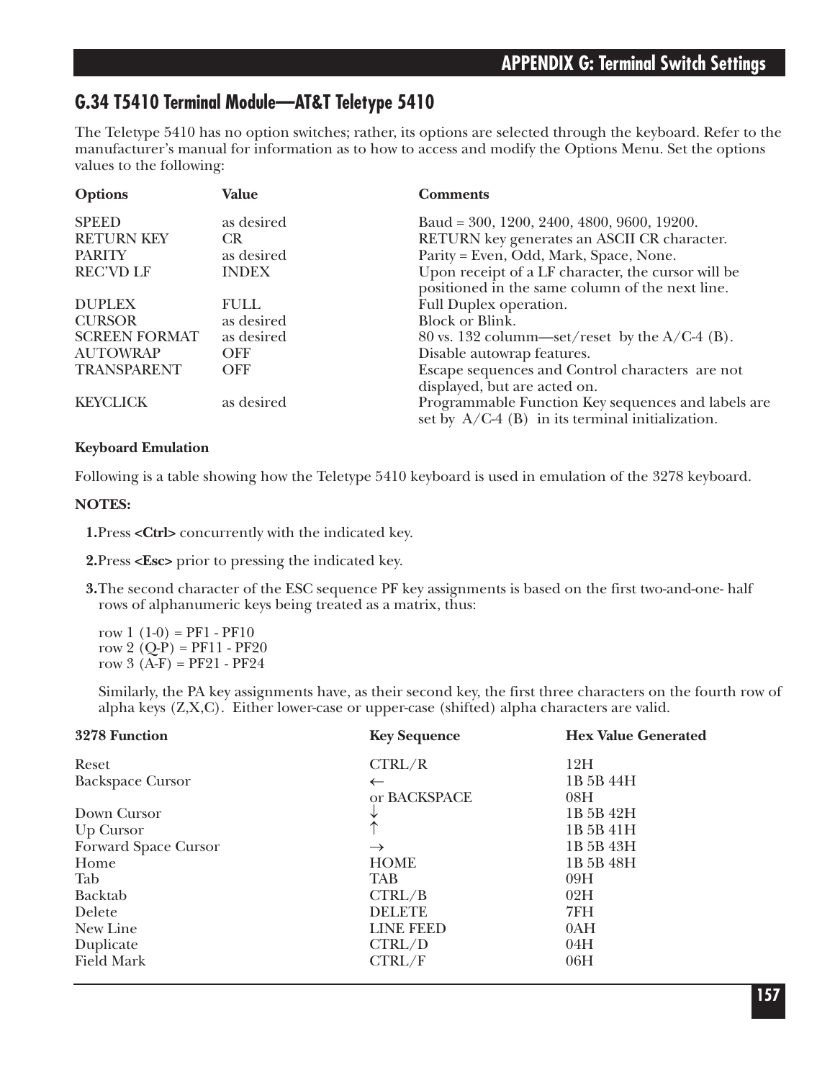### **G.34 T5410 Terminal Module—AT&T Teletype 5410**

The Teletype 5410 has no option switches; rather, its options are selected through the keyboard. Refer to the manufacturer's manual for information as to how to access and modify the Options Menu. Set the options values to the following:

| <b>Options</b>       | Value        | <b>Comments</b>                                                                                          |
|----------------------|--------------|----------------------------------------------------------------------------------------------------------|
| <b>SPEED</b>         | as desired   | Baud = 300, 1200, 2400, 4800, 9600, 19200.                                                               |
| <b>RETURN KEY</b>    | <b>CR</b>    | RETURN key generates an ASCII CR character.                                                              |
| <b>PARITY</b>        | as desired   | Parity = Even, Odd, Mark, Space, None.                                                                   |
| <b>REC'VD LF</b>     | <b>INDEX</b> | Upon receipt of a LF character, the cursor will be<br>positioned in the same column of the next line.    |
| <b>DUPLEX</b>        | <b>FULL</b>  | Full Duplex operation.                                                                                   |
| <b>CURSOR</b>        | as desired   | <b>Block or Blink.</b>                                                                                   |
| <b>SCREEN FORMAT</b> | as desired   | 80 vs. 132 column—set/reset by the $A/C-4$ (B).                                                          |
| <b>AUTOWRAP</b>      | <b>OFF</b>   | Disable autowrap features.                                                                               |
| TRANSPARENT          | <b>OFF</b>   | Escape sequences and Control characters are not                                                          |
|                      |              | displayed, but are acted on.                                                                             |
| <b>KEYCLICK</b>      | as desired   | Programmable Function Key sequences and labels are<br>set by $A/C-4$ (B) in its terminal initialization. |

#### **Keyboard Emulation**

Following is a table showing how the Teletype 5410 keyboard is used in emulation of the 3278 keyboard.

#### **NOTES:**

**1.**Press **<Ctrl>** concurrently with the indicated key.

**2.**Press **<Esc>** prior to pressing the indicated key.

**3.**The second character of the ESC sequence PF key assignments is based on the first two-and-one- half rows of alphanumeric keys being treated as a matrix, thus:

row  $1(1-0) = PF1 - PF10$ row 2  $(Q-P) = PF11 - PF20$ row 3  $(A-F) = PF21 - PF24$ 

Similarly, the PA key assignments have, as their second key, the first three characters on the fourth row of alpha keys (Z,X,C). Either lower-case or upper-case (shifted) alpha characters are valid.

| 3278 Function           | <b>Key Sequence</b> | <b>Hex Value Generated</b> |
|-------------------------|---------------------|----------------------------|
| Reset                   | CTRL/R              | 12H                        |
| <b>Backspace Cursor</b> | $\leftarrow$        | 1B 5B 44H                  |
|                         | or BACKSPACE        | 08H                        |
| Down Cursor             |                     | 1B 5B 42H                  |
| Up Cursor               |                     | 1B 5B 41H                  |
| Forward Space Cursor    | $\rightarrow$       | 1B 5B 43H                  |
| Home                    | <b>HOME</b>         | 1B 5B 48H                  |
| Tab                     | <b>TAB</b>          | 09H                        |
| <b>Backtab</b>          | CTRL/B              | 02H                        |
| Delete                  | <b>DELETE</b>       | 7FH                        |
| New Line                | <b>LINE FEED</b>    | 0AH                        |
| Duplicate               | CTRL/D              | 04H                        |
| <b>Field Mark</b>       | CTRL/F              | 06H                        |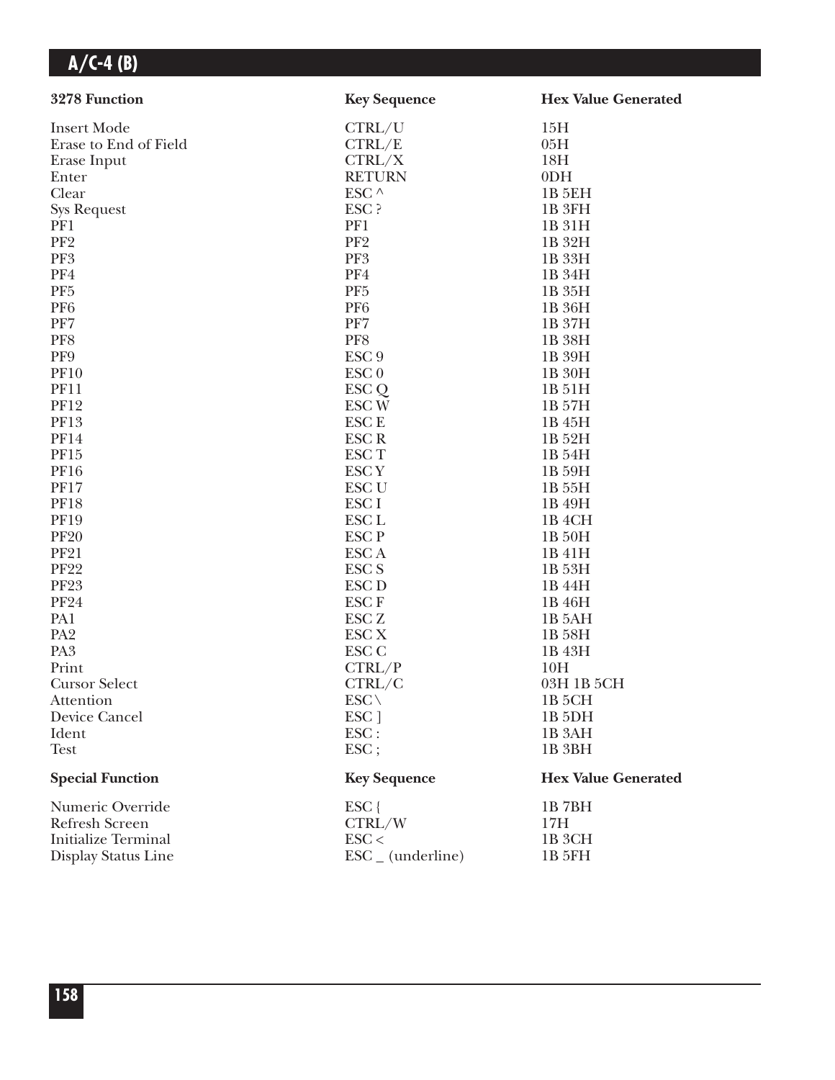| 3278 Function              | <b>Key Sequence</b>          | <b>Hex Value Generated</b> |
|----------------------------|------------------------------|----------------------------|
| <b>Insert Mode</b>         | CTRL/U                       | 15H                        |
| Erase to End of Field      | CTRL/E                       | 05H                        |
| Erase Input                | CTRL/X                       | 18H                        |
| Enter                      | <b>RETURN</b>                | 0 <sub>DH</sub>            |
| Clear                      | ESC ^                        | 1B 5EH                     |
| <b>Sys Request</b>         | ESC ?                        | 1B <sub>3FH</sub>          |
| PF1                        | PF1                          | 1B 31H                     |
| PF <sub>2</sub>            | PF <sub>2</sub>              | 1B 32H                     |
| PF3                        | PF3                          | 1B 33H                     |
| PF4                        | PF4                          | 1B 34H                     |
| PF <sub>5</sub>            | PF <sub>5</sub>              | 1B 35H                     |
| PF <sub>6</sub>            | PF <sub>6</sub>              | 1B 36H                     |
| PF7                        | PF7                          | 1B 37H                     |
| PF8                        | PF8                          | 1B 38H                     |
| PF9                        | ESC <sub>9</sub>             | 1B 39H                     |
| <b>PF10</b>                | ESC <sub>0</sub>             | 1B 30H                     |
| <b>PF11</b>                | ESC <sub>Q</sub>             | 1B 51H                     |
| <b>PF12</b>                | ESC <sub>W</sub>             | 1B 57H                     |
| <b>PF13</b>                | <b>ESCE</b>                  | 1B 45H                     |
| <b>PF14</b>                | <b>ESCR</b>                  | 1B 52H                     |
| <b>PF15</b>                | ESC <sub>T</sub>             | 1B 54H                     |
| <b>PF16</b>                | <b>ESCY</b>                  | 1B 59H                     |
| <b>PF17</b>                | ESC <sub>U</sub>             | 1B 55H                     |
| <b>PF18</b>                | ESC <sub>I</sub>             | 1B 49H                     |
| <b>PF19</b>                | ESC <sub>L</sub>             | 1B <sub>4</sub> CH         |
| <b>PF20</b>                | <b>ESCP</b>                  | 1B 50H                     |
| <b>PF21</b>                | ESC A                        | 1B 41H                     |
| <b>PF22</b>                | <b>ESC S</b>                 | 1B 53H                     |
| <b>PF23</b>                | <b>ESC D</b>                 | 1B 44H                     |
| <b>PF24</b>                | <b>ESCF</b>                  | 1B 46H                     |
| PA1                        | ESC <sub>Z</sub>             | 1B 5AH                     |
| PA <sub>2</sub>            | ESC <sub>X</sub>             | 1B 58H                     |
| PA <sub>3</sub>            | ESC <sub>C</sub>             | 1B 43H                     |
| Print                      | CTRL/P                       | 10H                        |
| <b>Cursor Select</b>       | CTRL/C                       | 03H 1B 5CH                 |
| Attention                  | $ESC \setminus$              | 1B <sub>5</sub> CH         |
| Device Cancel              | ESC ]                        | 1B <sub>5DH</sub>          |
| Ident                      | ESC:                         | 1B <sub>3</sub> AH         |
| <b>Test</b>                | ESC;                         | 1B 3BH                     |
| <b>Special Function</b>    | <b>Key Sequence</b>          | <b>Hex Value Generated</b> |
| Numeric Override           | $ESC$ {                      | 1B7BH                      |
| Refresh Screen             | CTRL/W                       | 17H                        |
| <b>Initialize Terminal</b> | $\text{ESC}$                 | 1B <sub>3</sub> CH         |
| Display Status Line        | $\text{ESC}_{-}$ (underline) | 1B 5FH                     |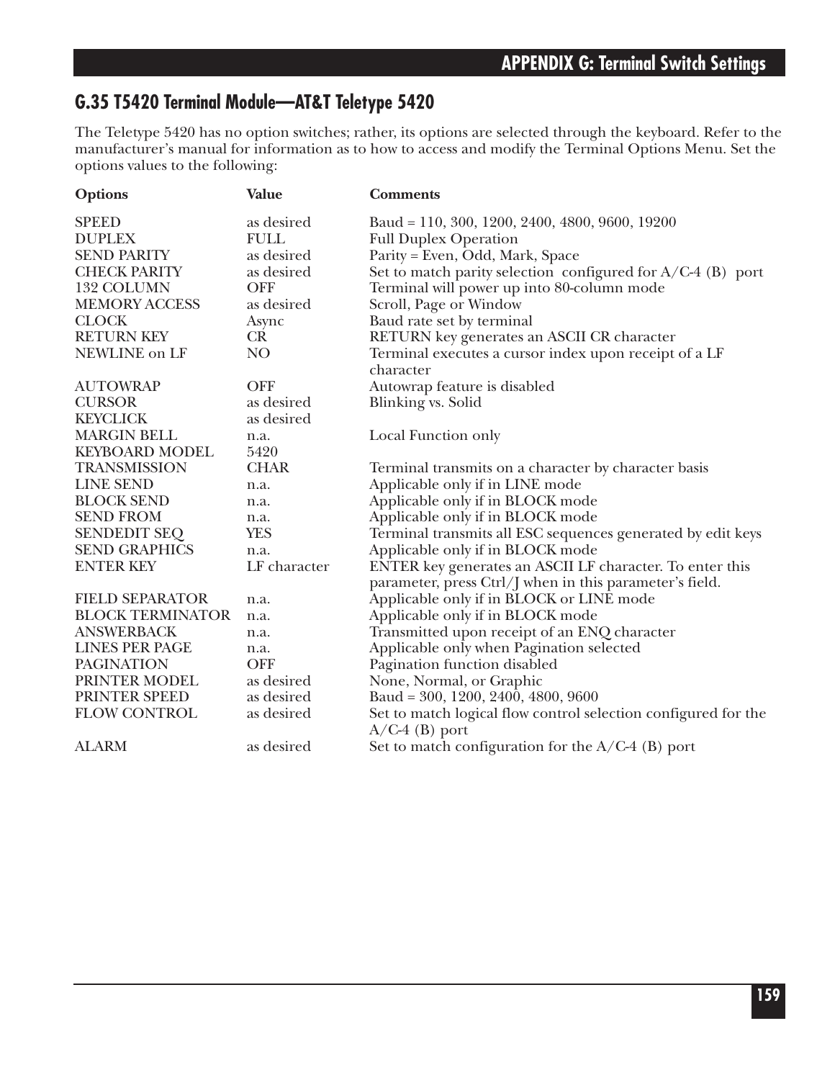### **G.35 T5420 Terminal Module—AT&T Teletype 5420**

The Teletype 5420 has no option switches; rather, its options are selected through the keyboard. Refer to the manufacturer's manual for information as to how to access and modify the Terminal Options Menu. Set the options values to the following:

| <b>Options</b>          | <b>Value</b> | <b>Comments</b>                                                                    |
|-------------------------|--------------|------------------------------------------------------------------------------------|
| <b>SPEED</b>            | as desired   | Baud = 110, 300, 1200, 2400, 4800, 9600, 19200                                     |
| <b>DUPLEX</b>           | <b>FULL</b>  | <b>Full Duplex Operation</b>                                                       |
| <b>SEND PARITY</b>      | as desired   | Parity = Even, Odd, Mark, Space                                                    |
| <b>CHECK PARITY</b>     | as desired   | Set to match parity selection configured for A/C-4 (B) port                        |
| 132 COLUMN              | <b>OFF</b>   | Terminal will power up into 80-column mode                                         |
| <b>MEMORY ACCESS</b>    | as desired   | Scroll, Page or Window                                                             |
| <b>CLOCK</b>            | Async        | Baud rate set by terminal                                                          |
| <b>RETURN KEY</b>       | CR           | RETURN key generates an ASCII CR character                                         |
| NEWLINE on LF           | NO.          | Terminal executes a cursor index upon receipt of a LF                              |
|                         |              | character                                                                          |
| <b>AUTOWRAP</b>         | <b>OFF</b>   | Autowrap feature is disabled                                                       |
| <b>CURSOR</b>           | as desired   | Blinking vs. Solid                                                                 |
| <b>KEYCLICK</b>         | as desired   |                                                                                    |
| <b>MARGIN BELL</b>      | n.a.         | Local Function only                                                                |
| <b>KEYBOARD MODEL</b>   | 5420         |                                                                                    |
| <b>TRANSMISSION</b>     | <b>CHAR</b>  | Terminal transmits on a character by character basis                               |
| <b>LINE SEND</b>        | n.a.         | Applicable only if in LINE mode                                                    |
| <b>BLOCK SEND</b>       | n.a.         | Applicable only if in BLOCK mode                                                   |
| <b>SEND FROM</b>        | n.a.         | Applicable only if in BLOCK mode                                                   |
| <b>SENDEDIT SEQ</b>     | <b>YES</b>   | Terminal transmits all ESC sequences generated by edit keys                        |
| <b>SEND GRAPHICS</b>    | n.a.         | Applicable only if in BLOCK mode                                                   |
| <b>ENTER KEY</b>        | LF character | ENTER key generates an ASCII LF character. To enter this                           |
|                         |              | parameter, press Ctrl/J when in this parameter's field.                            |
| <b>FIELD SEPARATOR</b>  | n.a.         | Applicable only if in BLOCK or LINE mode                                           |
| <b>BLOCK TERMINATOR</b> | n.a.         | Applicable only if in BLOCK mode                                                   |
| <b>ANSWERBACK</b>       | n.a.         | Transmitted upon receipt of an ENQ character                                       |
| <b>LINES PER PAGE</b>   | n.a.         | Applicable only when Pagination selected                                           |
| <b>PAGINATION</b>       | <b>OFF</b>   | Pagination function disabled                                                       |
| PRINTER MODEL           | as desired   | None, Normal, or Graphic                                                           |
| PRINTER SPEED           | as desired   | Baud = $300, 1200, 2400, 4800, 9600$                                               |
| <b>FLOW CONTROL</b>     | as desired   | Set to match logical flow control selection configured for the<br>$A/C-4$ (B) port |
| <b>ALARM</b>            | as desired   | Set to match configuration for the $A/C-4$ (B) port                                |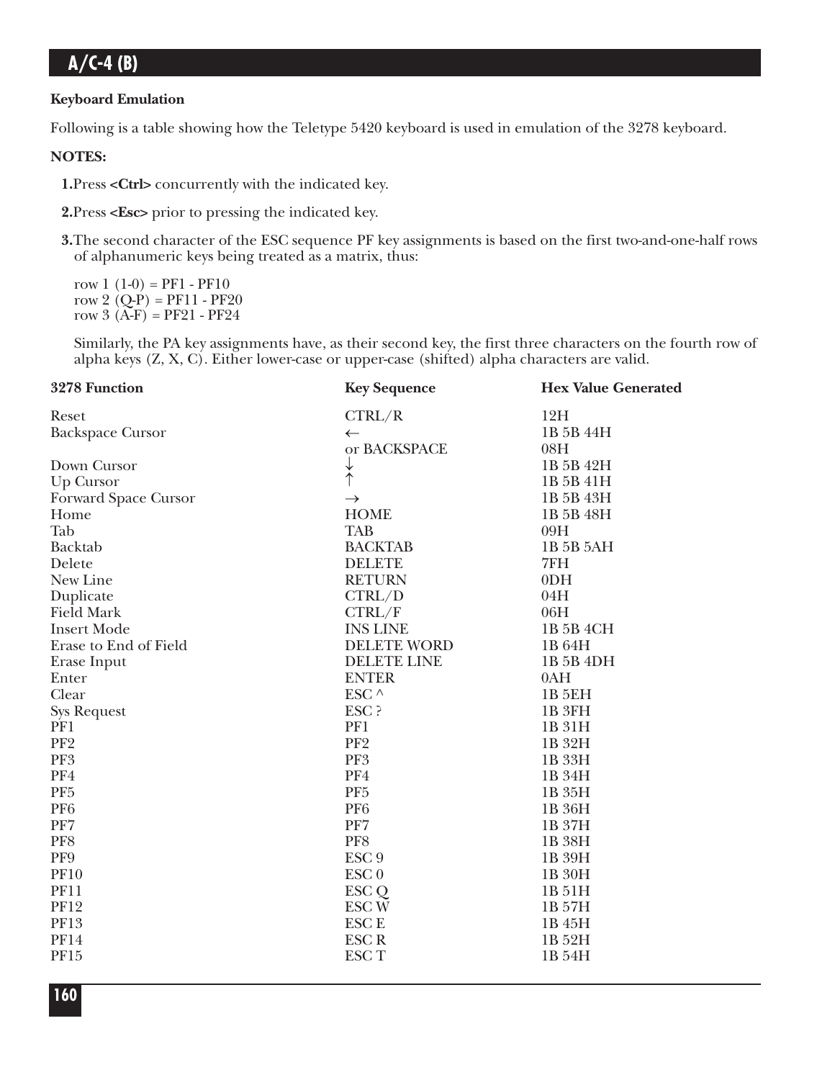#### **Keyboard Emulation**

Following is a table showing how the Teletype 5420 keyboard is used in emulation of the 3278 keyboard.

### **NOTES:**

**1.**Press **<Ctrl>** concurrently with the indicated key.

**2.**Press **<Esc>** prior to pressing the indicated key.

**3.**The second character of the ESC sequence PF key assignments is based on the first two-and-one-half rows of alphanumeric keys being treated as a matrix, thus:

row  $1(1-0) = PF1 - PF10$ row 2  $(Q-P) = PF11 - PF20$ row  $3(A-F) = PF21 - PF24$ 

Similarly, the PA key assignments have, as their second key, the first three characters on the fourth row of alpha keys (Z, X, C). Either lower-case or upper-case (shifted) alpha characters are valid.

| 3278 Function           | <b>Key Sequence</b> | <b>Hex Value Generated</b> |  |  |
|-------------------------|---------------------|----------------------------|--|--|
| Reset                   | CTRL/R              | 12H                        |  |  |
| <b>Backspace Cursor</b> | $\leftarrow$        | 1B 5B 44H                  |  |  |
|                         | or BACKSPACE        | 08H                        |  |  |
| Down Cursor             | $\downarrow$        | 1B 5B 42H                  |  |  |
| Up Cursor               |                     | 1B 5B 41H                  |  |  |
| Forward Space Cursor    | $\rightarrow$       | 1B 5B 43H                  |  |  |
| Home                    | <b>HOME</b>         | 1B 5B 48H                  |  |  |
| Tab                     | <b>TAB</b>          | 09H                        |  |  |
| <b>Backtab</b>          | <b>BACKTAB</b>      | 1B 5B 5AH                  |  |  |
| Delete                  | <b>DELETE</b>       | 7FH                        |  |  |
| New Line                | <b>RETURN</b>       | 0 <sub>DH</sub>            |  |  |
| Duplicate               | CTRL/D              | 04H                        |  |  |
| <b>Field Mark</b>       | CTRL/F              | 06H                        |  |  |
| <b>Insert Mode</b>      | <b>INS LINE</b>     | 1B 5B 4CH                  |  |  |
| Erase to End of Field   | <b>DELETE WORD</b>  | 1B 64H                     |  |  |
| Erase Input             | DELETE LINE         | 1B 5B 4DH                  |  |  |
| Enter                   | <b>ENTER</b>        | 0AH                        |  |  |
| Clear                   | ESC $\land$         | <b>1B 5EH</b>              |  |  |
| <b>Sys Request</b>      | ESC ?               | 1B <sub>3FH</sub>          |  |  |
| PF1                     | PF1                 | 1B 31H                     |  |  |
| PF <sub>2</sub>         | PF <sub>2</sub>     | 1B 32H                     |  |  |
| PF <sub>3</sub>         | PF3                 | 1B 33H                     |  |  |
| PF4                     | PF4                 | 1B 34H                     |  |  |
| PF <sub>5</sub>         | PF <sub>5</sub>     | 1B 35H                     |  |  |
| PF <sub>6</sub>         | PF <sub>6</sub>     | 1B 36H                     |  |  |
| PF7                     | PF7                 | 1B 37H                     |  |  |
| PF8                     | PF8                 | 1B 38H                     |  |  |
| PF9                     | ESC <sub>9</sub>    | 1B 39H                     |  |  |
| <b>PF10</b>             | ESC <sub>0</sub>    | 1B 30H                     |  |  |
| <b>PF11</b>             | ESC <sub>Q</sub>    | 1B 51H                     |  |  |
| <b>PF12</b>             | <b>ESCW</b>         | 1B 57H                     |  |  |
| <b>PF13</b>             | <b>ESC E</b>        | 1B 45H                     |  |  |
| <b>PF14</b>             | <b>ESCR</b>         | 1B 52H                     |  |  |
| PF15                    | <b>ESCT</b>         | 1B 54H                     |  |  |
|                         |                     |                            |  |  |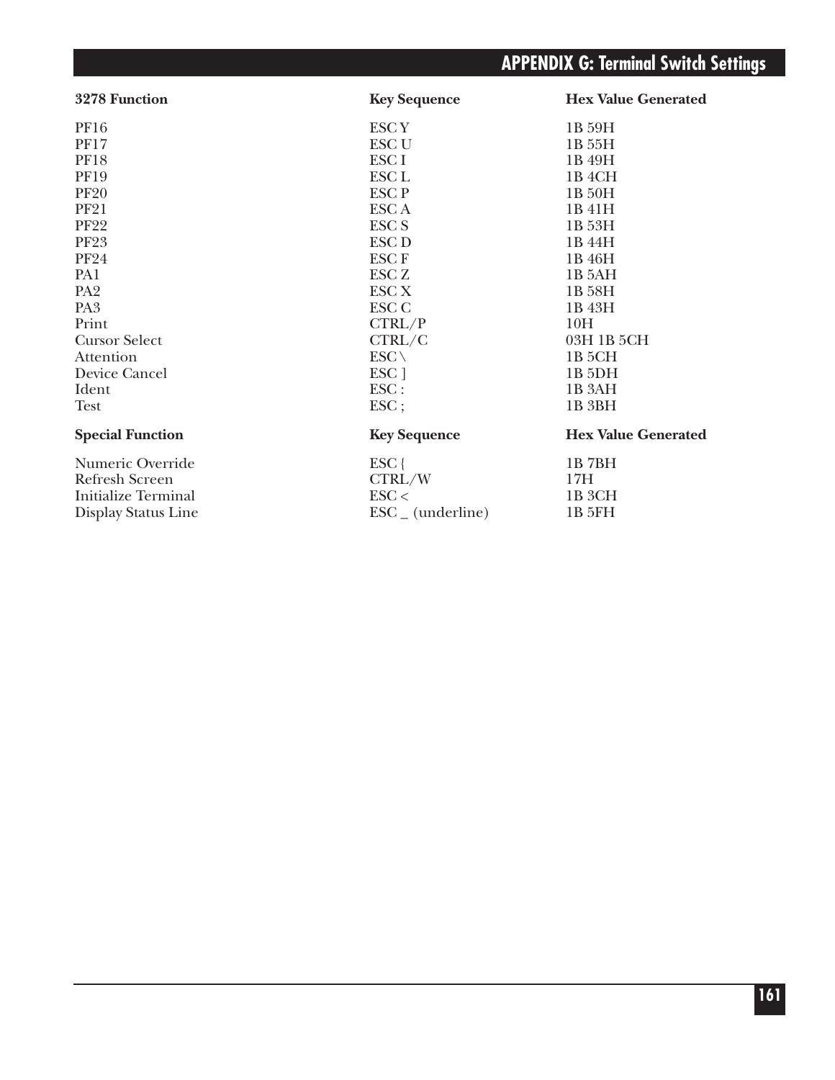# **APPENDIX G: Terminal Switch Settings**

| 3278 Function              | <b>Key Sequence</b>          | <b>Hex Value Generated</b> |
|----------------------------|------------------------------|----------------------------|
| PF16                       | <b>ESCY</b>                  | 1B 59H                     |
| <b>PF17</b>                | <b>ESC U</b>                 | 1B 55H                     |
| <b>PF18</b>                | ESC <sub>I</sub>             | 1B 49H                     |
| <b>PF19</b>                | ESC <sub>L</sub>             | 1B 4CH                     |
| <b>PF20</b>                | <b>ESCP</b>                  | 1B 50H                     |
| <b>PF21</b>                | <b>ESCA</b>                  | 1B 41H                     |
| <b>PF22</b>                | <b>ESC S</b>                 | 1B 53H                     |
| <b>PF23</b>                | ESC <sub>D</sub>             | 1B 44H                     |
| <b>PF24</b>                | <b>ESCF</b>                  | 1B 46H                     |
| PA1                        | ESC <sub>Z</sub>             | 1B 5AH                     |
| PA <sub>2</sub>            | <b>ESC X</b>                 | 1B 58H                     |
| PA <sub>3</sub>            | <b>ESC C</b>                 | 1B 43H                     |
| Print                      | CTRL/P                       | 10H                        |
| <b>Cursor Select</b>       | CTRL/C                       | 03H 1B 5CH                 |
| Attention                  | $ESC \setminus$              | 1B <sub>5</sub> CH         |
| Device Cancel              | ESC ]                        | 1B <sub>5DH</sub>          |
| Ident                      | $\text{ESC}$ :               | 1B 3AH                     |
| <b>Test</b>                | $\text{ESC}$ ;               | 1B 3BH                     |
| <b>Special Function</b>    | <b>Key Sequence</b>          | <b>Hex Value Generated</b> |
| Numeric Override           | $ESC$ {                      | 1B7BH                      |
| Refresh Screen             | CTRL/W                       | 17H                        |
| <b>Initialize Terminal</b> | $\text{ESC}$                 | 1B 3CH                     |
| Display Status Line        | $\text{ESC}_{-}$ (underline) | 1B 5FH                     |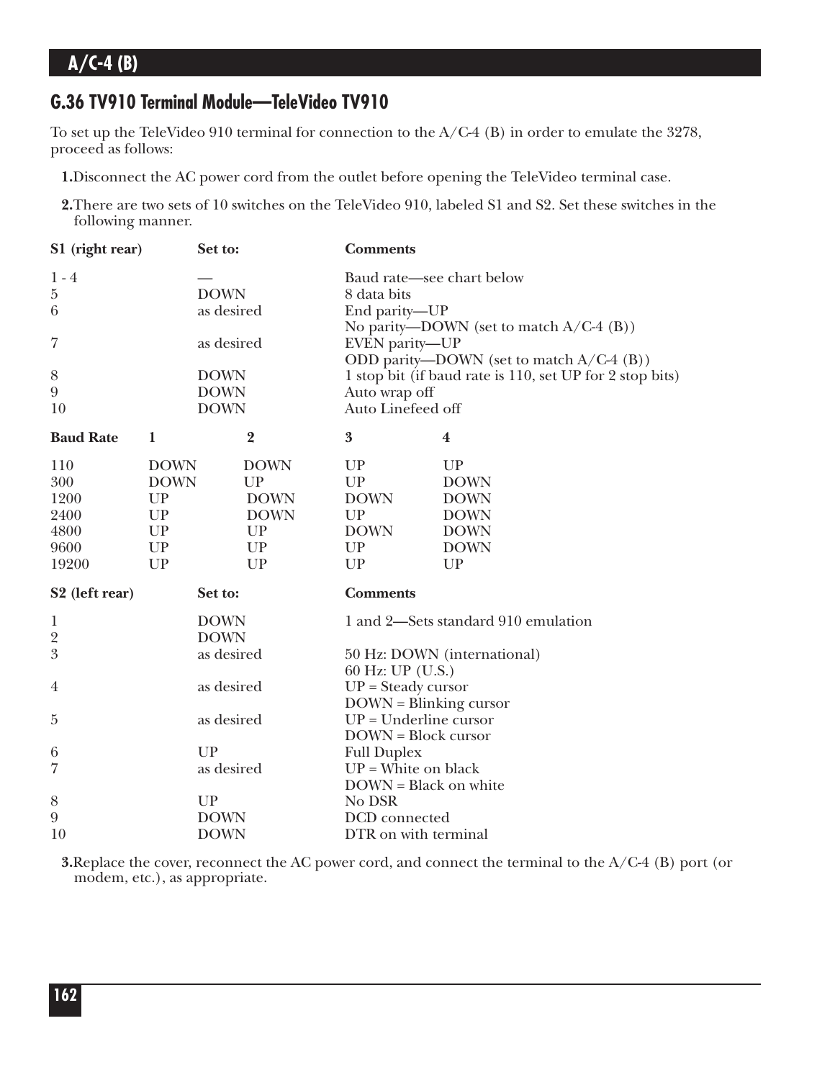### **G.36 TV910 Terminal Module—TeleVideo TV910**

To set up the TeleVideo 910 terminal for connection to the A/C-4 (B) in order to emulate the 3278, proceed as follows:

**1.**Disconnect the AC power cord from the outlet before opening the TeleVideo terminal case.

**2.**There are two sets of 10 switches on the TeleVideo 910, labeled S1 and S2. Set these switches in the following manner.

| S1 (right rear)            |             | Set to:                    |                | <b>Comments</b>                                                                                        |                                                          |  |
|----------------------------|-------------|----------------------------|----------------|--------------------------------------------------------------------------------------------------------|----------------------------------------------------------|--|
| $1 - 4$<br>$\bf 5$<br>6    |             | <b>DOWN</b><br>as desired  |                | Baud rate-see chart below<br>8 data bits<br>End parity-UP<br>No parity—DOWN (set to match $A/C-4$ (B)) |                                                          |  |
| 7                          |             | as desired                 |                | EVEN parity-UP<br>ODD parity—DOWN (set to match $A/C-4$ (B))                                           |                                                          |  |
| 8                          |             | <b>DOWN</b>                |                |                                                                                                        | 1 stop bit (if baud rate is 110, set UP for 2 stop bits) |  |
| $\boldsymbol{9}$<br>10     |             | <b>DOWN</b><br><b>DOWN</b> |                | Auto wrap off<br>Auto Linefeed off                                                                     |                                                          |  |
| <b>Baud Rate</b>           | $\mathbf 1$ |                            | $\overline{2}$ | $\boldsymbol{3}$                                                                                       | $\boldsymbol{4}$                                         |  |
| 110                        | <b>DOWN</b> |                            | <b>DOWN</b>    | UP                                                                                                     | UP                                                       |  |
| 300                        | <b>DOWN</b> |                            | UP             | UP                                                                                                     | <b>DOWN</b>                                              |  |
| 1200                       | UP          |                            | <b>DOWN</b>    | <b>DOWN</b>                                                                                            | <b>DOWN</b>                                              |  |
| 2400                       | UP          |                            | <b>DOWN</b>    | UP                                                                                                     | <b>DOWN</b>                                              |  |
| 4800                       | <b>UP</b>   |                            | UP             | <b>DOWN</b>                                                                                            | <b>DOWN</b>                                              |  |
| 9600                       | ${\cal UP}$ |                            | UP             | UP                                                                                                     | <b>DOWN</b>                                              |  |
| 19200                      | UP          |                            | <b>UP</b>      | UP                                                                                                     | <b>UP</b>                                                |  |
| S <sub>2</sub> (left rear) |             | Set to:                    |                | <b>Comments</b>                                                                                        |                                                          |  |
| 1                          |             | <b>DOWN</b>                |                |                                                                                                        | 1 and 2-Sets standard 910 emulation                      |  |
| $\overline{2}$             |             | <b>DOWN</b>                |                |                                                                                                        |                                                          |  |
| $\mathfrak{B}$             |             | as desired                 |                | 60 Hz: UP (U.S.)                                                                                       | 50 Hz: DOWN (international)                              |  |
| 4                          |             | as desired                 |                | $UP = Steady cursor$                                                                                   |                                                          |  |
| $\overline{5}$             |             | as desired                 |                | $DOWN = Blinking cursor$<br>$UP = Underline cursor$                                                    |                                                          |  |
|                            |             |                            |                | <b>DOWN</b> = Block cursor                                                                             |                                                          |  |
| 6                          |             | UP                         |                | <b>Full Duplex</b>                                                                                     |                                                          |  |
| 7                          |             | as desired                 |                | $UP = White$ on black                                                                                  |                                                          |  |
|                            |             |                            |                | DOWN = Black on white                                                                                  |                                                          |  |
| $8\,$                      |             | UP                         |                | No DSR                                                                                                 |                                                          |  |
| $\overline{9}$             |             | <b>DOWN</b>                |                | DCD connected                                                                                          |                                                          |  |
| 10                         |             | <b>DOWN</b>                |                | DTR on with terminal                                                                                   |                                                          |  |

**3.**Replace the cover, reconnect the AC power cord, and connect the terminal to the A/C-4 (B) port (or modem, etc.), as appropriate.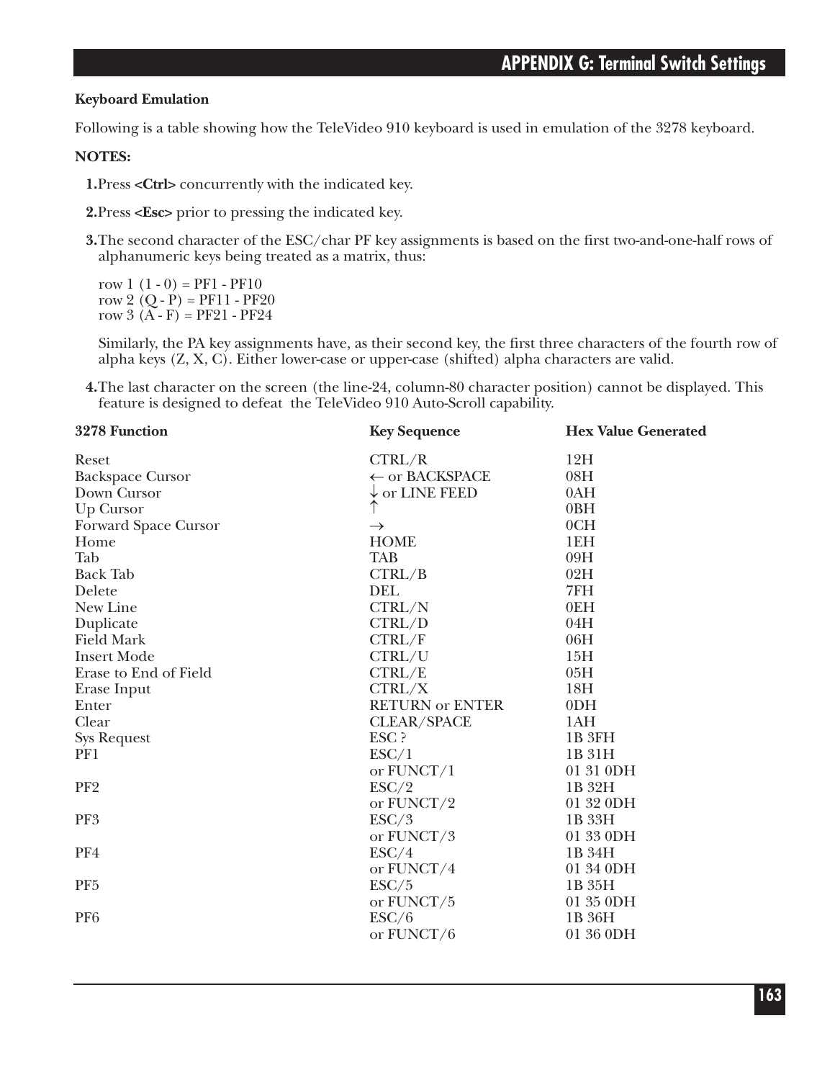### **Keyboard Emulation**

Following is a table showing how the TeleVideo 910 keyboard is used in emulation of the 3278 keyboard.

### **NOTES:**

**1.**Press **<Ctrl>** concurrently with the indicated key.

**2.**Press **<Esc>** prior to pressing the indicated key.

**3.**The second character of the ESC/char PF key assignments is based on the first two-and-one-half rows of alphanumeric keys being treated as a matrix, thus:

row  $1(1-0) = PF1 - PF10$ row 2  $(Q - P) = PF11 - PF20$ row  $3(A - F) = PF21 - PF24$ 

Similarly, the PA key assignments have, as their second key, the first three characters of the fourth row of alpha keys (Z, X, C). Either lower-case or upper-case (shifted) alpha characters are valid.

**4.**The last character on the screen (the line-24, column-80 character position) cannot be displayed. This feature is designed to defeat the TeleVideo 910 Auto-Scroll capability.

| 3278 Function           | <b>Key Sequence</b>       | <b>Hex Value Generated</b> |  |  |
|-------------------------|---------------------------|----------------------------|--|--|
| Reset                   | CTRL/R                    | 12H                        |  |  |
| <b>Backspace Cursor</b> | ← or BACKSPACE            | 08H                        |  |  |
| Down Cursor             | $\downarrow$ or LINE FEED | 0AH                        |  |  |
| Up Cursor               | ↑                         | 0BH                        |  |  |
| Forward Space Cursor    | $\rightarrow$             | 0CH                        |  |  |
| Home                    | <b>HOME</b>               | 1EH                        |  |  |
| Tab                     | <b>TAB</b>                | 09H                        |  |  |
| <b>Back Tab</b>         | CTRL/B                    | 02H                        |  |  |
| Delete                  | <b>DEL</b>                | 7FH                        |  |  |
| New Line                | CTRL/N                    | 0EH                        |  |  |
| Duplicate               | CTRL/D                    | 04H                        |  |  |
| <b>Field Mark</b>       | CTRL/F                    | 06H                        |  |  |
| <b>Insert Mode</b>      | CTRL/U                    | 15H                        |  |  |
| Erase to End of Field   | CTRL/E                    | 05H                        |  |  |
| Erase Input             | CTRL/X                    | 18H                        |  |  |
| Enter                   | <b>RETURN or ENTER</b>    | 0 <sub>DH</sub>            |  |  |
| Clear                   | <b>CLEAR/SPACE</b>        | 1AH                        |  |  |
| <b>Sys Request</b>      | ESC ?                     | 1B <sub>3FH</sub>          |  |  |
| PF1                     | ESC/1                     | 1B 31H                     |  |  |
|                         | or FUNCT/1                | 01 31 0DH                  |  |  |
| PF <sub>2</sub>         | ESC/2                     | 1B 32H                     |  |  |
|                         | or FUNCT/2                | 01 32 0DH                  |  |  |
| PF <sub>3</sub>         | ESC/3                     | 1B 33H                     |  |  |
|                         | or FUNCT/3                | 01 33 0DH                  |  |  |
| PF4                     | ESC/4                     | 1B 34H                     |  |  |
|                         | or FUNCT/4                | 01 34 0DH                  |  |  |
| PF <sub>5</sub>         | ESC/5                     | 1B 35H                     |  |  |
|                         | or FUNCT/5                | 01 35 0DH                  |  |  |
| PF <sub>6</sub>         | ESC/6                     | 1B 36H                     |  |  |
|                         | or FUNCT/6                | 01 36 0DH                  |  |  |
|                         |                           |                            |  |  |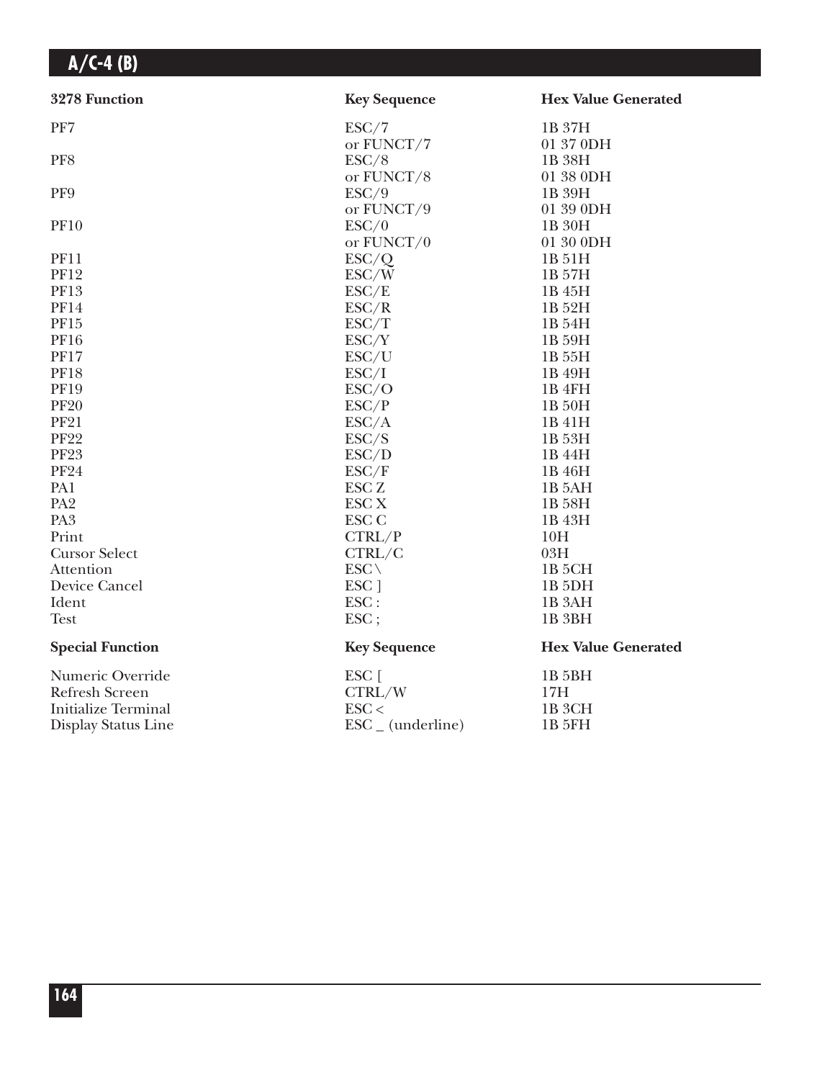| 3278 Function              | <b>Key Sequence</b>          | <b>Hex Value Generated</b> |
|----------------------------|------------------------------|----------------------------|
| PF7                        | ESC/7                        | 1B 37H                     |
|                            | or FUNCT/7                   | 01 37 0DH                  |
| PF8                        | ESC/8                        | 1B 38H                     |
|                            | or FUNCT/8                   | 01 38 0DH                  |
| PF9                        | ESC/9                        | 1B 39H                     |
|                            | or FUNCT/9                   | 01 39 0DH                  |
| <b>PF10</b>                | ESC/0                        | 1B 30H                     |
|                            | or $FUNCT/0$                 | 01 30 0DH                  |
| <b>PF11</b>                | ESC/Q                        | 1B 51H                     |
| <b>PF12</b>                | ESC/W                        | 1B 57H                     |
| <b>PF13</b>                | ESC/E                        | 1B 45H                     |
| <b>PF14</b>                | ESC/R                        | 1B 52H                     |
| PF15                       | ESC/T                        | 1B 54H                     |
| <b>PF16</b>                | ESC/Y                        | 1B 59H                     |
| <b>PF17</b>                | ESC/U                        | 1B 55H                     |
| <b>PF18</b>                | ESC/I                        | 1B 49H                     |
| <b>PF19</b>                | ESC/O                        | 1B 4FH                     |
| <b>PF20</b>                | ESC/P                        | 1B 50H                     |
| <b>PF21</b>                | ESC/A                        | 1B 41H                     |
| <b>PF22</b>                | ESC/S                        | 1B 53H                     |
| <b>PF23</b>                | ESC/D                        | 1B 44H                     |
| <b>PF24</b>                | ESC/F                        | 1B 46H                     |
| PA1                        | ESC <sub>Z</sub>             | 1B 5AH                     |
| PA <sub>2</sub>            | <b>ESC X</b>                 | 1B 58H                     |
| PA <sub>3</sub>            | <b>ESC C</b>                 | 1B 43H                     |
| Print                      | CTRL/P                       | 10H                        |
| <b>Cursor Select</b>       | CTRL/C                       | 03H                        |
| Attention                  | $ESC \setminus$              | 1B <sub>5</sub> CH         |
| Device Cancel              | ESC ]                        | 1B <sub>5</sub> DH         |
| Ident                      | ESC:                         | 1B <sub>3</sub> AH         |
| <b>Test</b>                | ESC;                         | 1B <sub>3BH</sub>          |
| <b>Special Function</b>    | <b>Key Sequence</b>          | <b>Hex Value Generated</b> |
| Numeric Override           | $ESC$ [                      | 1B <sub>5BH</sub>          |
| Refresh Screen             | CTRL/W                       | 17H                        |
| <b>Initialize Terminal</b> | $\text{ESC}$                 | 1B <sub>3</sub> CH         |
| Display Status Line        | $\text{ESC}_{-}$ (underline) | 1B 5FH                     |
|                            |                              |                            |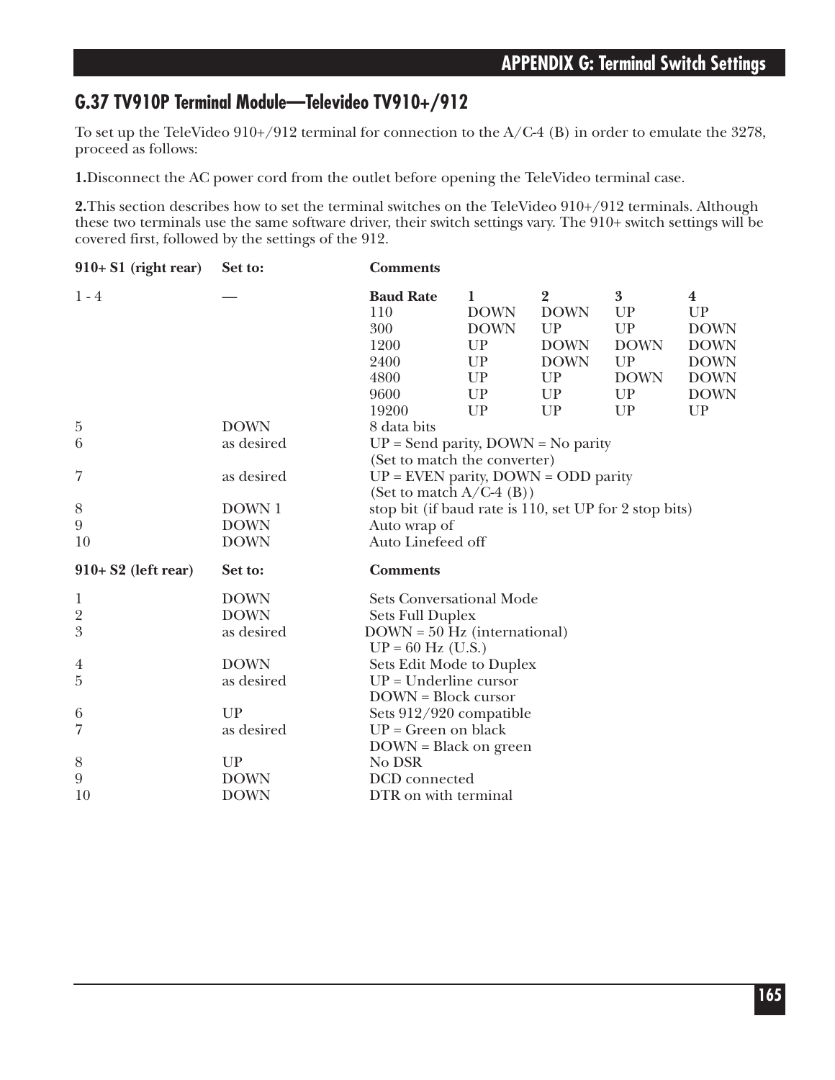### **G.37 TV910P Terminal Module—Televideo TV910+/912**

To set up the TeleVideo 910+/912 terminal for connection to the A/C-4 (B) in order to emulate the 3278, proceed as follows:

**1.**Disconnect the AC power cord from the outlet before opening the TeleVideo terminal case.

**2.**This section describes how to set the terminal switches on the TeleVideo 910+/912 terminals. Although these two terminals use the same software driver, their switch settings vary. The 910+ switch settings will be covered first, followed by the settings of the 912.

| $910+ S1$ (right rear) | Set to:     | <b>Comments</b>                                                                                     |                                             |                                                                   |                                                               |                                                             |
|------------------------|-------------|-----------------------------------------------------------------------------------------------------|---------------------------------------------|-------------------------------------------------------------------|---------------------------------------------------------------|-------------------------------------------------------------|
| $1 - 4$                |             | <b>Baud Rate</b><br>110<br>300<br>1200<br>2400                                                      | 1<br><b>DOWN</b><br><b>DOWN</b><br>UP<br>UP | $\overline{2}$<br><b>DOWN</b><br>UP<br><b>DOWN</b><br><b>DOWN</b> | $\overline{3}$<br><b>UP</b><br><b>UP</b><br><b>DOWN</b><br>UP | $\bf{4}$<br>UP<br><b>DOWN</b><br><b>DOWN</b><br><b>DOWN</b> |
|                        |             | 4800                                                                                                | UP                                          | UP                                                                | <b>DOWN</b>                                                   | <b>DOWN</b>                                                 |
|                        |             | 9600                                                                                                | UP                                          | UP                                                                | UP                                                            | <b>DOWN</b>                                                 |
|                        |             | 19200                                                                                               | UP                                          | UP                                                                | UP                                                            | UP                                                          |
| $\overline{5}$         | <b>DOWN</b> | 8 data bits                                                                                         |                                             |                                                                   |                                                               |                                                             |
| 6                      | as desired  | $UP = Send$ parity, $DOWN = No$ parity                                                              |                                             |                                                                   |                                                               |                                                             |
| 7                      | as desired  | (Set to match the converter)<br>$UP =$ EVEN parity, DOWN = ODD parity<br>(Set to match $A/C-4$ (B)) |                                             |                                                                   |                                                               |                                                             |
| 8                      | DOWN 1      | stop bit (if baud rate is 110, set UP for 2 stop bits)                                              |                                             |                                                                   |                                                               |                                                             |
| 9                      | <b>DOWN</b> | Auto wrap of                                                                                        |                                             |                                                                   |                                                               |                                                             |
| 10                     | <b>DOWN</b> | Auto Linefeed off                                                                                   |                                             |                                                                   |                                                               |                                                             |
| $910+ S2$ (left rear)  | Set to:     | <b>Comments</b>                                                                                     |                                             |                                                                   |                                                               |                                                             |
| $\mathbf{1}$           | <b>DOWN</b> | <b>Sets Conversational Mode</b>                                                                     |                                             |                                                                   |                                                               |                                                             |
| $\overline{2}$         | <b>DOWN</b> | <b>Sets Full Duplex</b>                                                                             |                                             |                                                                   |                                                               |                                                             |
| 3                      | as desired  | $DOWN = 50 Hz$ (international)                                                                      |                                             |                                                                   |                                                               |                                                             |
|                        |             | $UP = 60$ Hz (U.S.)                                                                                 |                                             |                                                                   |                                                               |                                                             |
| 4                      | <b>DOWN</b> | Sets Edit Mode to Duplex                                                                            |                                             |                                                                   |                                                               |                                                             |
| $\overline{5}$         | as desired  | $UP = Underline cursor$                                                                             |                                             |                                                                   |                                                               |                                                             |
|                        |             | <b>DOWN</b> = Block cursor                                                                          |                                             |                                                                   |                                                               |                                                             |
| 6                      | <b>UP</b>   | Sets 912/920 compatible                                                                             |                                             |                                                                   |                                                               |                                                             |
| 7                      | as desired  | $UP = Green$ on black                                                                               |                                             |                                                                   |                                                               |                                                             |
|                        |             | $DOWN = Black on green$                                                                             |                                             |                                                                   |                                                               |                                                             |
| 8                      | <b>UP</b>   | No DSR                                                                                              |                                             |                                                                   |                                                               |                                                             |
| $\boldsymbol{9}$       | <b>DOWN</b> | DCD connected                                                                                       |                                             |                                                                   |                                                               |                                                             |
| 10                     | <b>DOWN</b> | DTR on with terminal                                                                                |                                             |                                                                   |                                                               |                                                             |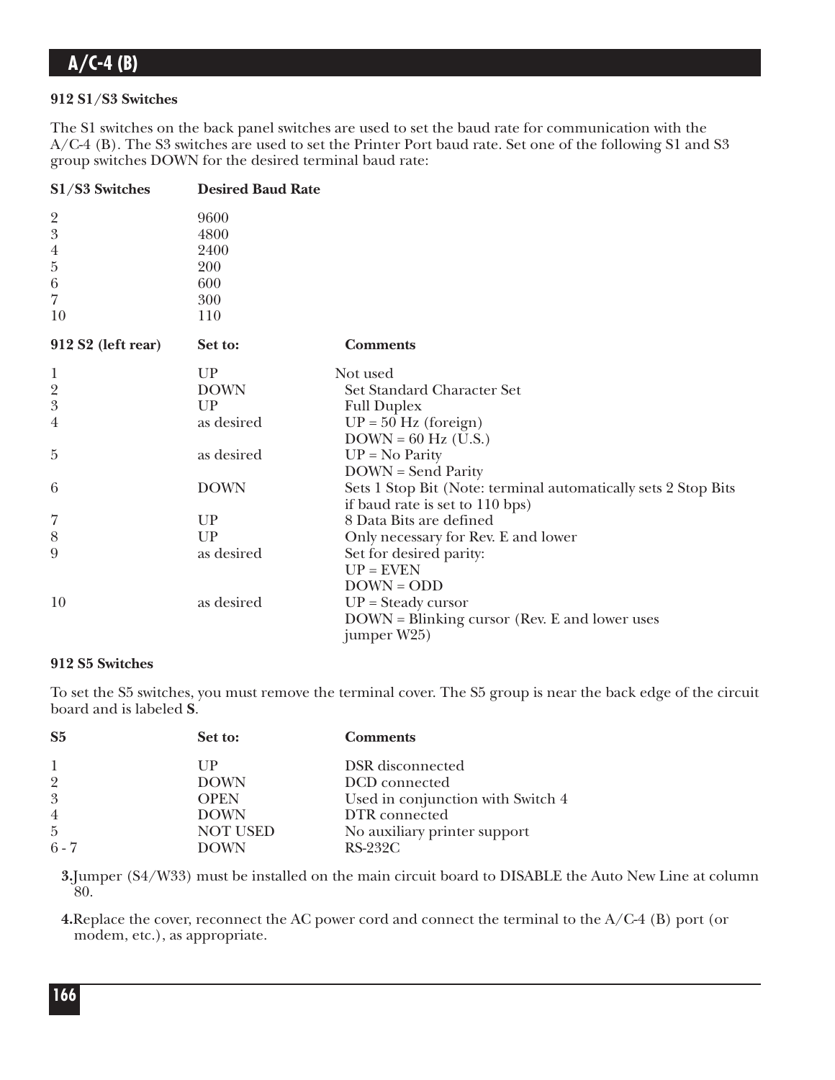### **912 S1/S3 Switches**

The S1 switches on the back panel switches are used to set the baud rate for communication with the A/C-4 (B). The S3 switches are used to set the Printer Port baud rate. Set one of the following S1 and S3 group switches DOWN for the desired terminal baud rate:

| S1/S3 Switches     | <b>Desired Baud Rate</b> |                                                                |
|--------------------|--------------------------|----------------------------------------------------------------|
|                    | 9600                     |                                                                |
| $\frac{2}{3}$      | 4800                     |                                                                |
| $\boldsymbol{4}$   | 2400                     |                                                                |
| $\overline{5}$     | 200                      |                                                                |
| $\,6\,$            | 600                      |                                                                |
| $\overline{7}$     | 300                      |                                                                |
| 10                 | 110                      |                                                                |
| 912 S2 (left rear) | Set to:                  | <b>Comments</b>                                                |
| $\mathbf 1$        | UP                       | Not used                                                       |
| $\overline{2}$     | <b>DOWN</b>              | Set Standard Character Set                                     |
| 3                  | UP                       | <b>Full Duplex</b>                                             |
| $\overline{4}$     | as desired               | $UP = 50$ Hz (foreign)                                         |
|                    |                          | $DOWN = 60 Hz$ (U.S.)                                          |
| 5                  | as desired               | $UP = No Parity$                                               |
|                    |                          | <b>DOWN</b> = Send Parity                                      |
| 6                  | <b>DOWN</b>              | Sets 1 Stop Bit (Note: terminal automatically sets 2 Stop Bits |
|                    |                          | if baud rate is set to 110 bps)                                |
| 7                  | UP                       | 8 Data Bits are defined                                        |
| 8                  | UP                       | Only necessary for Rev. E and lower                            |
| 9                  | as desired               | Set for desired parity:                                        |
|                    |                          | $UP = EVEN$                                                    |
|                    |                          | $DOWN = ODD$                                                   |
| 10                 | as desired               | $UP = Steady cursor$                                           |
|                    |                          | DOWN = Blinking cursor (Rev. E and lower uses                  |
|                    |                          | jumper W25)                                                    |

### **912 S5 Switches**

To set the S5 switches, you must remove the terminal cover. The S5 group is near the back edge of the circuit board and is labeled **S**.

| S <sub>5</sub> | Set to:         | <b>Comments</b>                   |
|----------------|-----------------|-----------------------------------|
| -1             | UР              | DSR disconnected                  |
| $\overline{2}$ | <b>DOWN</b>     | DCD connected                     |
| 3              | <b>OPEN</b>     | Used in conjunction with Switch 4 |
| $\overline{4}$ | <b>DOWN</b>     | DTR connected                     |
| $\overline{5}$ | <b>NOT USED</b> | No auxiliary printer support      |
| $6 - 7$        | <b>DOWN</b>     | $RS-232C$                         |

**3.**Jumper (S4/W33) must be installed on the main circuit board to DISABLE the Auto New Line at column 80.

**4.**Replace the cover, reconnect the AC power cord and connect the terminal to the A/C-4 (B) port (or modem, etc.), as appropriate.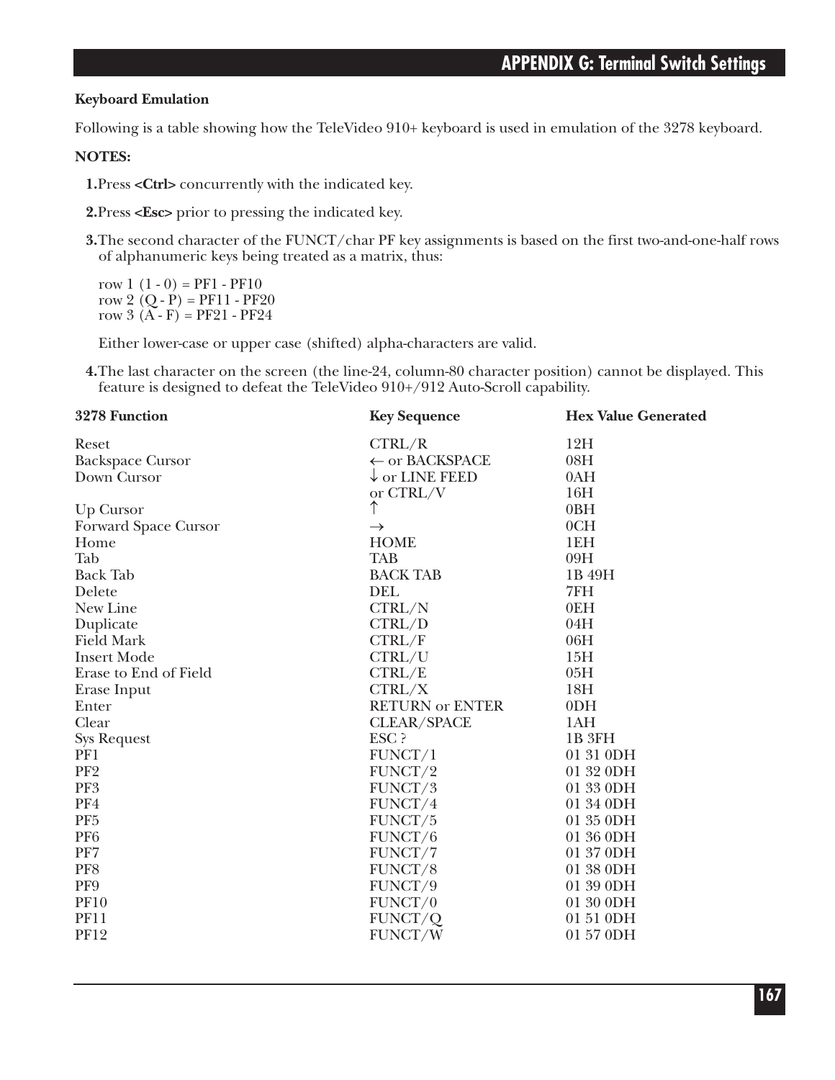### **Keyboard Emulation**

Following is a table showing how the TeleVideo 910+ keyboard is used in emulation of the 3278 keyboard.

#### **NOTES:**

**1.**Press **<Ctrl>** concurrently with the indicated key.

**2.**Press **<Esc>** prior to pressing the indicated key.

**3.**The second character of the FUNCT/char PF key assignments is based on the first two-and-one-half rows of alphanumeric keys being treated as a matrix, thus:

row  $1(1-0) = PF1 - PF10$ row 2  $(Q - P) = PF11 - PF20$ row  $3(A - F) = PF21 - PF24$ 

Either lower-case or upper case (shifted) alpha-characters are valid.

**4.**The last character on the screen (the line-24, column-80 character position) cannot be displayed. This feature is designed to defeat the TeleVideo 910+/912 Auto-Scroll capability.

| 3278 Function           | <b>Key Sequence</b>       | <b>Hex Value Generated</b> |
|-------------------------|---------------------------|----------------------------|
| Reset                   | CTRL/R                    | 12H                        |
| <b>Backspace Cursor</b> | ← or BACKSPACE            | 08H                        |
| Down Cursor             | $\downarrow$ or LINE FEED | 0AH                        |
|                         | or CTRL/V                 | 16H                        |
| Up Cursor               | ↑                         | 0BH                        |
| Forward Space Cursor    | $\rightarrow$             | 0CH                        |
| Home                    | <b>HOME</b>               | 1EH                        |
| Tab                     | <b>TAB</b>                | 09H                        |
| <b>Back Tab</b>         | <b>BACK TAB</b>           | 1B 49H                     |
| Delete                  | <b>DEL</b>                | 7FH                        |
| New Line                | CTRL/N                    | 0EH                        |
| Duplicate               | CTRL/D                    | 04H                        |
| <b>Field Mark</b>       | CTRL/F                    | 06H                        |
| <b>Insert Mode</b>      | CTRL/U                    | 15H                        |
| Erase to End of Field   | CTRL/E                    | 05H                        |
| Erase Input             | CTRL/X                    | 18 <sub>H</sub>            |
| Enter                   | <b>RETURN or ENTER</b>    | 0 <sub>DH</sub>            |
| Clear                   | <b>CLEAR/SPACE</b>        | 1AH                        |
| <b>Sys Request</b>      | ESC ?                     | 1B 3FH                     |
| PF1                     | FUNCT/1                   | 01 31 0DH                  |
| PF <sub>2</sub>         | FUNCT/2                   | 01 32 0DH                  |
| PF3                     | FUNCT/3                   | 01 33 0DH                  |
| PF4                     | FUNCT/4                   | 01 34 0DH                  |
| PF <sub>5</sub>         | FUNCT/5                   | 01 35 0DH                  |
| PF <sub>6</sub>         | FUNCT/6                   | 01 36 0DH                  |
| PF7                     | FUNCT/7                   | 01 37 0DH                  |
| PF8                     | FUNCT/8                   | 01 38 0DH                  |
| PF9                     | FUNCT/9                   | 01 39 0DH                  |
| <b>PF10</b>             | FUNCT/0                   | 01 30 0DH                  |
| <b>PF11</b>             | FUNCT/Q                   | 01 51 0DH                  |
| <b>PF12</b>             | FUNCT/W                   | 01 57 0DH                  |
|                         |                           |                            |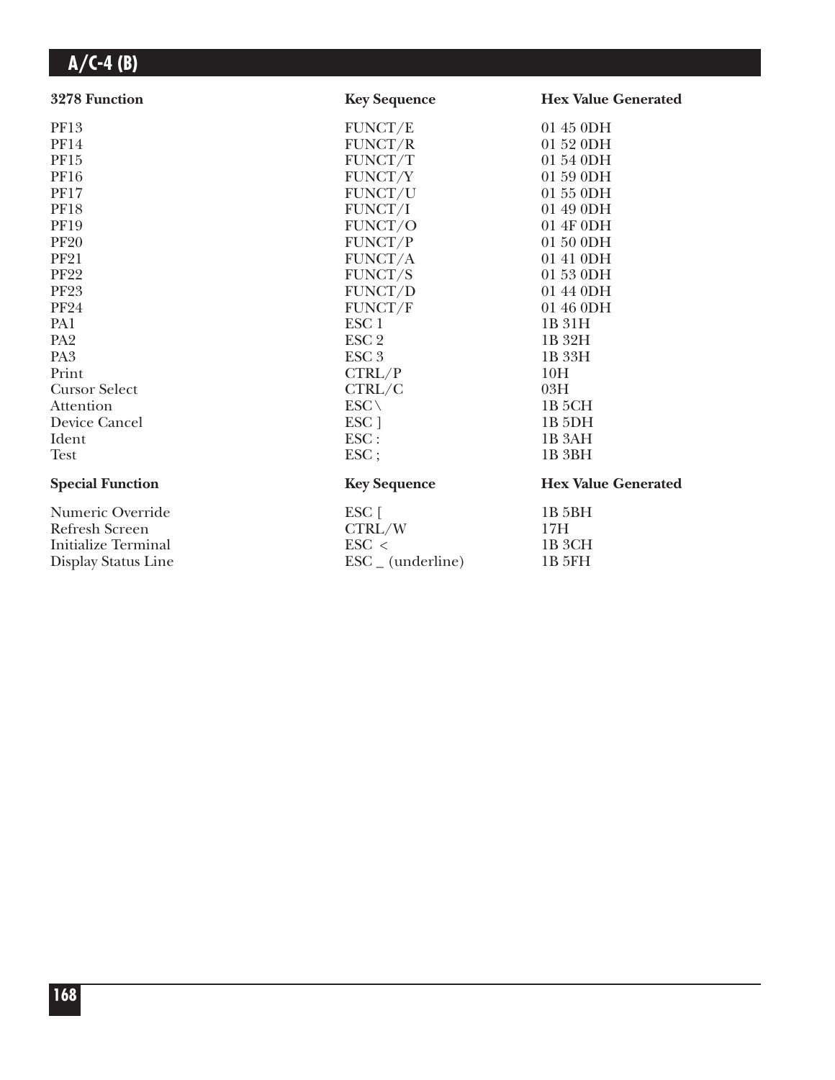| 3278 Function              | <b>Key Sequence</b>          | <b>Hex Value Generated</b> |
|----------------------------|------------------------------|----------------------------|
| PF13                       | FUNCT/E                      | 01 45 0DH                  |
| <b>PF14</b>                | FUNCT/R                      | 01 52 0DH                  |
| PF15                       | FUNCT/T                      | 01 54 0DH                  |
| <b>PF16</b>                | FUNCT/Y                      | 01 59 0DH                  |
| <b>PF17</b>                | FUNCT/U                      | 01 55 0DH                  |
| <b>PF18</b>                | FUNCT/I                      | 01 49 0DH                  |
| <b>PF19</b>                | FUNCT/O                      | 01 4F 0DH                  |
| <b>PF20</b>                | FUNCT/P                      | 01 50 0DH                  |
| <b>PF21</b>                | FUNCT/A                      | 01 41 0DH                  |
| <b>PF22</b>                | FUNCT/S                      | 01 53 0DH                  |
| <b>PF23</b>                | FUNCT/D                      | 01 44 0DH                  |
| <b>PF24</b>                | FUNCT/F                      | 01 46 0DH                  |
| PA1                        | ESC <sub>1</sub>             | 1B 31H                     |
| PA <sub>2</sub>            | ESC <sub>2</sub>             | 1B 32H                     |
| PA <sub>3</sub>            | ESC <sub>3</sub>             | 1B 33H                     |
| Print                      | CTRL/P                       | 10H                        |
| <b>Cursor Select</b>       | CTRL/C                       | 03H                        |
| Attention                  | $ESC \setminus$              | 1B <sub>5</sub> CH         |
| Device Cancel              | ESC ]                        | 1B <sub>5DH</sub>          |
| Ident                      | ESC:                         | 1B <sub>3</sub> AH         |
| <b>Test</b>                | ESC;                         | 1B <sub>3</sub> BH         |
| <b>Special Function</b>    | <b>Key Sequence</b>          | <b>Hex Value Generated</b> |
| Numeric Override           | ESC [                        | 1B 5BH                     |
| <b>Refresh Screen</b>      | CTRL/W                       | 17H                        |
| <b>Initialize Terminal</b> | $\text{ESC}$ <               | 1B <sub>3</sub> CH         |
| Display Status Line        | $\text{ESC}_{-}$ (underline) | 1B 5FH                     |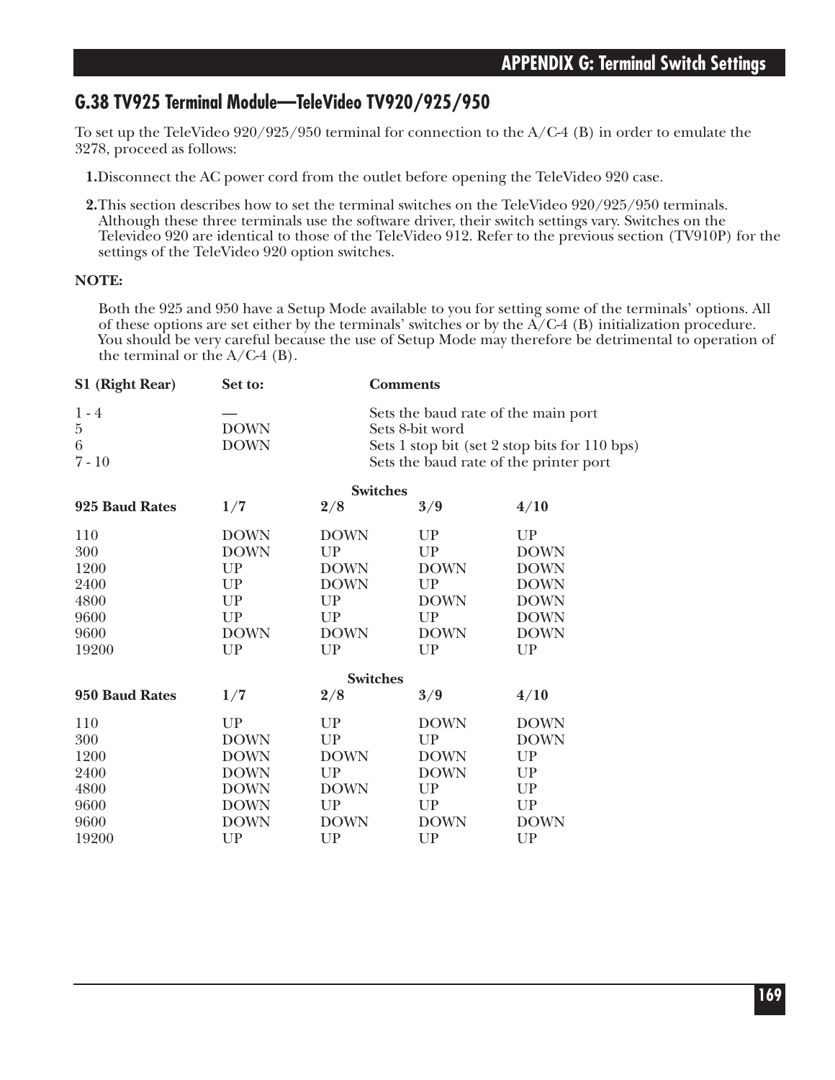### **G.38 TV925 Terminal Module—TeleVideo TV920/925/950**

To set up the TeleVideo  $920/925/950$  terminal for connection to the  $A/C-4$  (B) in order to emulate the 3278, proceed as follows:

**1.**Disconnect the AC power cord from the outlet before opening the TeleVideo 920 case.

**2.**This section describes how to set the terminal switches on the TeleVideo 920/925/950 terminals. Although these three terminals use the software driver, their switch settings vary. Switches on the Televideo 920 are identical to those of the TeleVideo 912. Refer to the previous section (TV910P) for the settings of the TeleVideo 920 option switches.

### **NOTE:**

Both the 925 and 950 have a Setup Mode available to you for setting some of the terminals' options. All of these options are set either by the terminals' switches or by the  $A/C-4$  (B) initialization procedure. You should be very careful because the use of Setup Mode may therefore be detrimental to operation of the terminal or the  $A/C-4$  (B).

| S1 (Right Rear)                     | Set to:                    |                                                                                                                                                   | <b>Comments</b> |             |
|-------------------------------------|----------------------------|---------------------------------------------------------------------------------------------------------------------------------------------------|-----------------|-------------|
| $1 - 4$<br>$\bf 5$<br>6<br>$7 - 10$ | <b>DOWN</b><br><b>DOWN</b> | Sets the baud rate of the main port<br>Sets 8-bit word<br>Sets 1 stop bit (set 2 stop bits for 110 bps)<br>Sets the baud rate of the printer port |                 |             |
|                                     |                            | <b>Switches</b>                                                                                                                                   |                 |             |
| 925 Baud Rates                      | 1/7                        | 2/8                                                                                                                                               | 3/9             | 4/10        |
| 110                                 | <b>DOWN</b>                | <b>DOWN</b>                                                                                                                                       | <b>UP</b>       | UP          |
| 300                                 | <b>DOWN</b>                | <b>UP</b>                                                                                                                                         | UP              | <b>DOWN</b> |
| 1200                                | <b>UP</b>                  | <b>DOWN</b>                                                                                                                                       | <b>DOWN</b>     | <b>DOWN</b> |
| 2400                                | UP                         | <b>DOWN</b>                                                                                                                                       | <b>UP</b>       | <b>DOWN</b> |
| 4800                                | <b>UP</b>                  | <b>UP</b>                                                                                                                                         | <b>DOWN</b>     | <b>DOWN</b> |
| 9600                                | <b>UP</b>                  | UP                                                                                                                                                | UP              | <b>DOWN</b> |
| 9600                                | <b>DOWN</b>                | <b>DOWN</b>                                                                                                                                       | <b>DOWN</b>     | <b>DOWN</b> |
| 19200                               | <b>UP</b>                  | <b>UP</b>                                                                                                                                         | UP              | UP          |
|                                     |                            | <b>Switches</b>                                                                                                                                   |                 |             |
| 950 Baud Rates                      | 1/7                        | 2/8                                                                                                                                               | 3/9             | 4/10        |
| 110                                 | <b>UP</b>                  | UP                                                                                                                                                | <b>DOWN</b>     | <b>DOWN</b> |
| 300                                 | <b>DOWN</b>                | <b>UP</b>                                                                                                                                         | UP              | <b>DOWN</b> |
| 1200                                | <b>DOWN</b>                | <b>DOWN</b>                                                                                                                                       | <b>DOWN</b>     | UP          |
| 2400                                | <b>DOWN</b>                | UP                                                                                                                                                | <b>DOWN</b>     | UP          |
| 4800                                | <b>DOWN</b>                | <b>DOWN</b>                                                                                                                                       | <b>UP</b>       | UP          |
| 9600                                | <b>DOWN</b>                | UP                                                                                                                                                | UP              | UP          |
| 9600                                | <b>DOWN</b>                | <b>DOWN</b>                                                                                                                                       | <b>DOWN</b>     | <b>DOWN</b> |
| 19200                               | UP                         | UP                                                                                                                                                | UP              | UP          |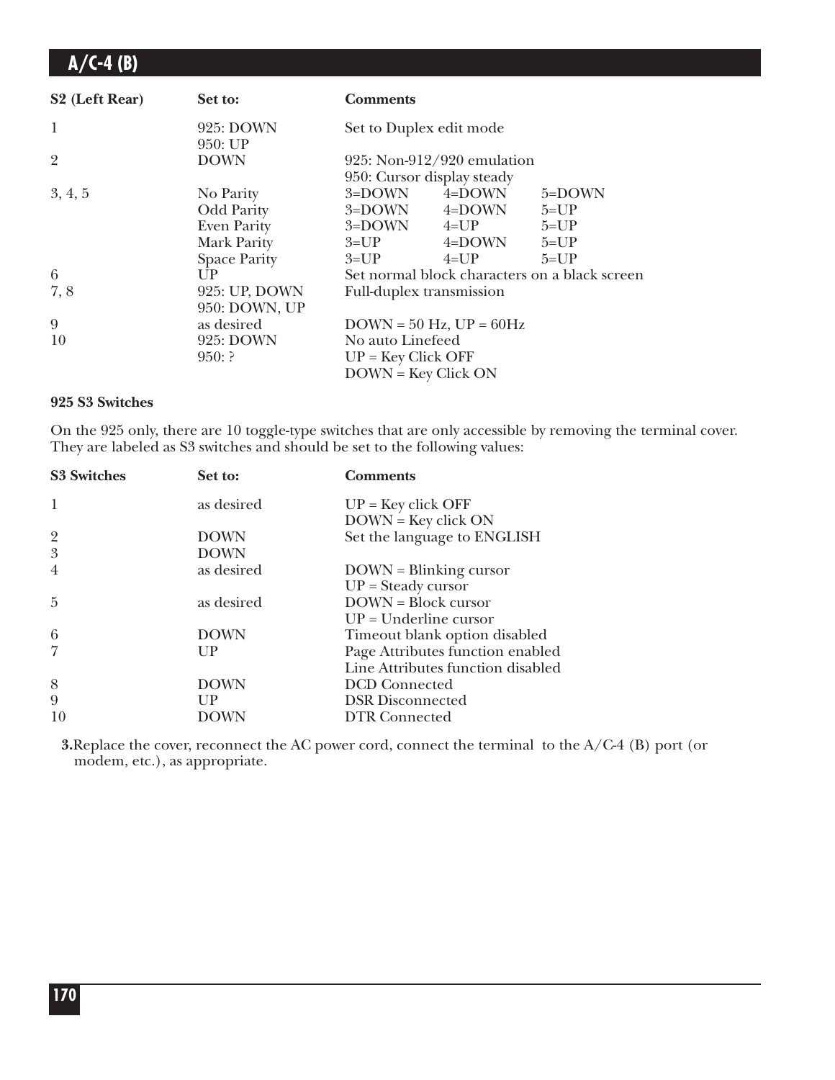| S <sub>2</sub> (Left Rear) | Set to:                                       | <b>Comments</b>          |                                                            |                                               |
|----------------------------|-----------------------------------------------|--------------------------|------------------------------------------------------------|-----------------------------------------------|
| 1                          | 925: DOWN<br>950: UP                          | Set to Duplex edit mode  |                                                            |                                               |
| $\overline{2}$             | <b>DOWN</b>                                   |                          | $925: Non-912/920$ emulation<br>950: Cursor display steady |                                               |
| 3, 4, 5                    | No Parity<br><b>Odd Parity</b><br>Even Parity | $3 =$ DOWN $4 = UP$      | $3 =$ DOWN $4 =$ DOWN<br>$3 =$ DOWN $4 =$ DOWN             | 5=DOWN<br>$5 = UP$<br>$5 = UP$                |
|                            | Mark Parity<br><b>Space Parity</b>            | $3 = UP$                 | $3 = UP$ 4=DOWN<br>$4 = UP$                                | $5 = UP$<br>$5 = UP$                          |
| 6                          | UP                                            |                          |                                                            | Set normal block characters on a black screen |
| 7,8                        | 925: UP, DOWN<br>950: DOWN, UP                | Full-duplex transmission |                                                            |                                               |
| 9                          | as desired                                    |                          | $DOWN = 50 Hz$ , $UP = 60Hz$                               |                                               |
| 10                         | 925: DOWN                                     | No auto Linefeed         |                                                            |                                               |
|                            | 950:                                          | $UP = Key Click OFF$     |                                                            |                                               |
|                            |                                               | $DOWN = Key Click ON$    |                                                            |                                               |

#### **925 S3 Switches**

On the 925 only, there are 10 toggle-type switches that are only accessible by removing the terminal cover. They are labeled as S3 switches and should be set to the following values:

| <b>S3 Switches</b>           | Set to:                   | <b>Comments</b>                                           |
|------------------------------|---------------------------|-----------------------------------------------------------|
| 1                            | as desired                | $UP = Key click OFF$<br>$DOWN = Key click ON$             |
| $\overline{\mathbf{c}}$<br>3 | <b>DOWN</b>               | Set the language to ENGLISH                               |
| $\overline{4}$               | <b>DOWN</b><br>as desired | $DOWN = Blinking cursor$                                  |
| 5                            | as desired                | $UP = Steady cursor$<br><b>DOWN</b> = Block cursor        |
| 6                            | <b>DOWN</b>               | $UP = Underline cursor$<br>Timeout blank option disabled  |
| $\overline{7}$               | UP                        | Page Attributes function enabled                          |
| 8                            | <b>DOWN</b>               | Line Attributes function disabled<br><b>DCD</b> Connected |
| 9                            | UP                        | <b>DSR</b> Disconnected                                   |
| 10                           | DOWN                      | <b>DTR</b> Connected                                      |

**3.**Replace the cover, reconnect the AC power cord, connect the terminal to the A/C-4 (B) port (or modem, etc.), as appropriate.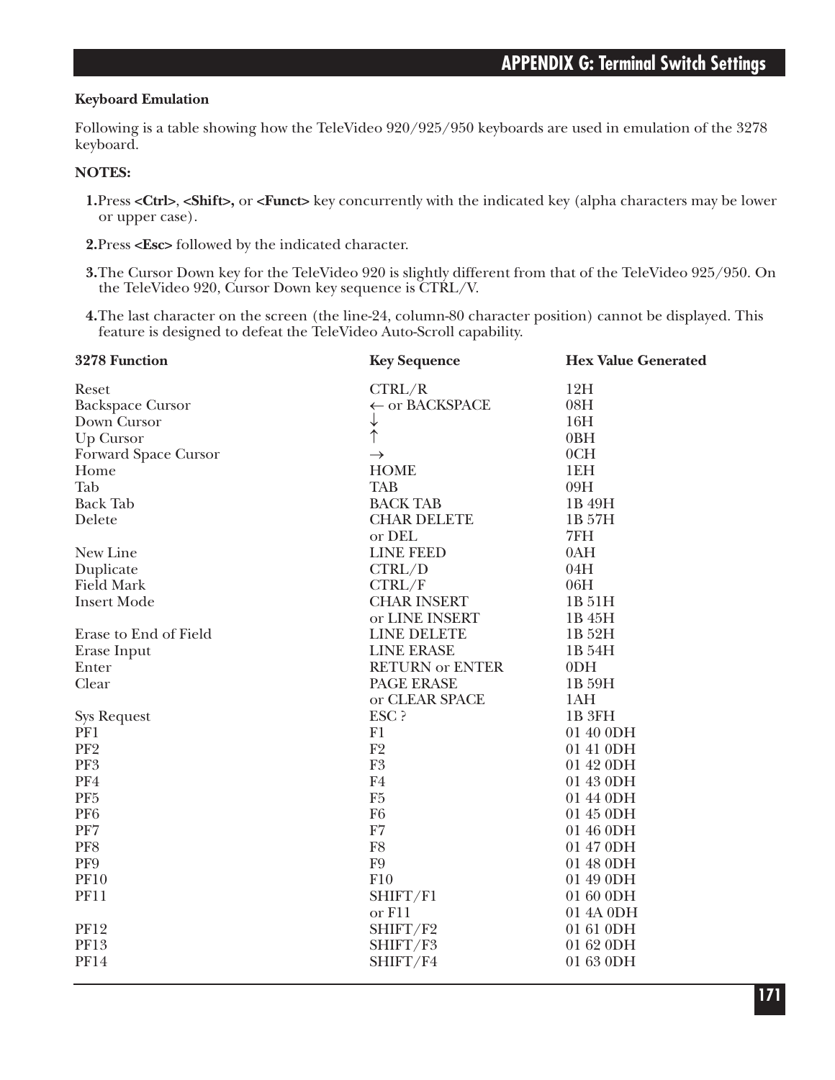#### **Keyboard Emulation**

Following is a table showing how the TeleVideo 920/925/950 keyboards are used in emulation of the 3278 keyboard.

#### **NOTES:**

- **1.**Press **<Ctrl>**, **<Shift>,** or **<Funct>** key concurrently with the indicated key (alpha characters may be lower or upper case).
- **2.**Press **<Esc>** followed by the indicated character.
- **3.**The Cursor Down key for the TeleVideo 920 is slightly different from that of the TeleVideo 925/950. On the TeleVideo 920, Cursor Down key sequence is CTRL/V.
- **4.**The last character on the screen (the line-24, column-80 character position) cannot be displayed. This feature is designed to defeat the TeleVideo Auto-Scroll capability.

| 3278 Function           | <b>Key Sequence</b>       | <b>Hex Value Generated</b> |
|-------------------------|---------------------------|----------------------------|
| Reset                   | CTRL/R                    | 12H                        |
| <b>Backspace Cursor</b> | $\leftarrow$ or BACKSPACE | 08H                        |
| Down Cursor             | ↓                         | 16H                        |
| Up Cursor               | $\uparrow$                | 0BH                        |
| Forward Space Cursor    | $\rightarrow$             | 0CH                        |
| Home                    | <b>HOME</b>               | 1EH                        |
| Tab                     | <b>TAB</b>                | 09H                        |
| <b>Back Tab</b>         | <b>BACK TAB</b>           | 1B 49H                     |
| Delete                  | <b>CHAR DELETE</b>        | 1B 57H                     |
|                         | or DEL                    | 7FH                        |
| New Line                | <b>LINE FEED</b>          | 0AH                        |
| Duplicate               | CTRL/D                    | 04H                        |
| <b>Field Mark</b>       | CTRL/F                    | 06H                        |
| <b>Insert Mode</b>      | <b>CHAR INSERT</b>        | 1B 51H                     |
|                         | or LINE INSERT            | 1B 45H                     |
| Erase to End of Field   | <b>LINE DELETE</b>        | 1B 52H                     |
| Erase Input             | <b>LINE ERASE</b>         | 1B 54H                     |
| Enter                   | <b>RETURN or ENTER</b>    | 0 <sub>DH</sub>            |
| Clear                   | PAGE ERASE                | 1B 59H                     |
|                         | or CLEAR SPACE            | 1AH                        |
| <b>Sys Request</b>      | ESC ?                     | 1B <sub>3FH</sub>          |
| PF1                     | F1                        | 01 40 0DH                  |
| PF <sub>2</sub>         | F2                        | 01 41 0DH                  |
| PF <sub>3</sub>         | F <sub>3</sub>            | 01 42 0DH                  |
| PF4                     | F <sub>4</sub>            | 01 43 0DH                  |
| PF <sub>5</sub>         | F5                        | 01 44 0DH                  |
| PF <sub>6</sub>         | F <sub>6</sub>            | 01 45 0DH                  |
| PF7                     | F7                        | 01 46 0DH                  |
| PF8                     | F8                        | 01 47 0DH                  |
| PF9                     | F9                        | 01 48 0DH                  |
| <b>PF10</b>             | F10                       | 01 49 0DH                  |
| <b>PF11</b>             | SHIFT/F1                  | 01 60 0DH                  |
|                         | or F11                    | 01 4A 0DH                  |
| <b>PF12</b>             | SHIFT/F2                  | 01 61 0DH                  |
| PF13                    | SHIFT/F3                  | 01 62 0DH                  |
| <b>PF14</b>             | SHIFT/F4                  | 01 63 0DH                  |
|                         |                           |                            |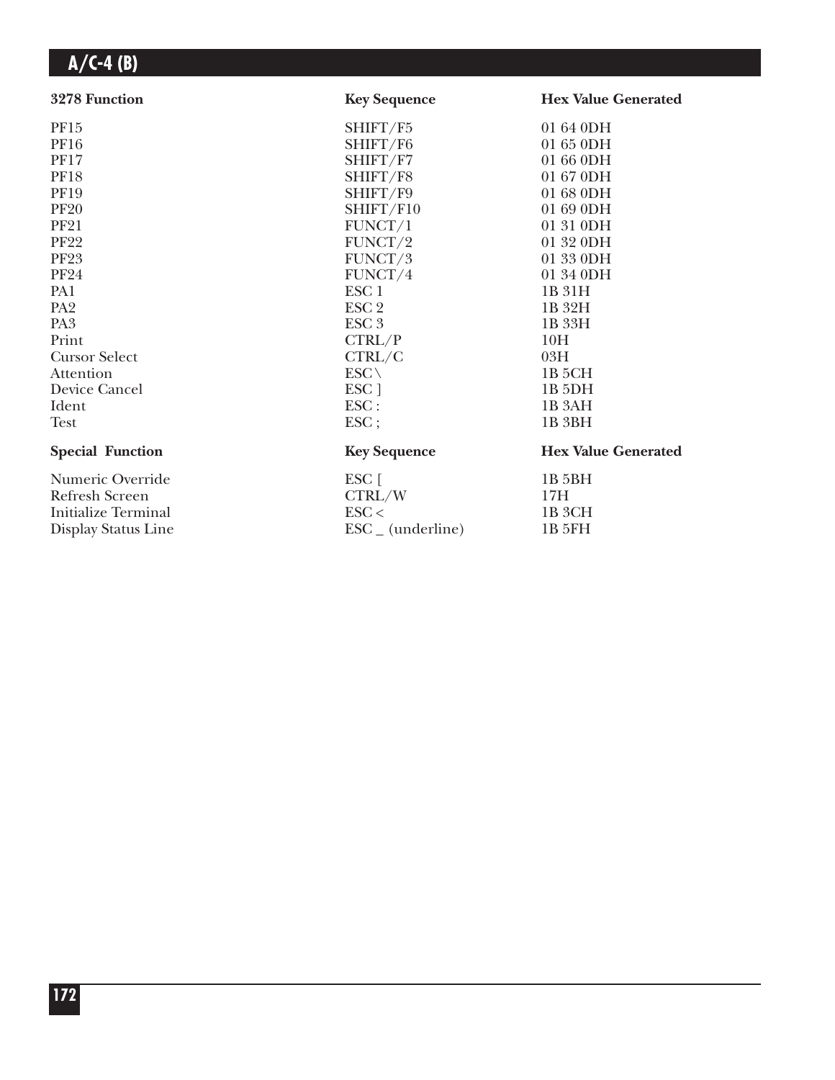| 3278 Function              | <b>Key Sequence</b>          | <b>Hex Value Generated</b> |
|----------------------------|------------------------------|----------------------------|
| PF15                       | SHIFT/F5                     | 01 64 0DH                  |
| <b>PF16</b>                | SHIFT/F6                     | 01 65 0DH                  |
| <b>PF17</b>                | SHIFT/F7                     | 01 66 0DH                  |
| <b>PF18</b>                | SHIFT/F8                     | 01 67 0DH                  |
| <b>PF19</b>                | SHIFT/F9                     | 01 68 0DH                  |
| <b>PF20</b>                | SHIFT/F10                    | 01 69 0DH                  |
| <b>PF21</b>                | FUNCT/1                      | 01 31 0DH                  |
| <b>PF22</b>                | FUNCT/2                      | 01 32 0DH                  |
| <b>PF23</b>                | FUNCT/3                      | 01 33 0DH                  |
| <b>PF24</b>                | FUNCT/4                      | 01 34 0DH                  |
| PA1                        | ESC <sub>1</sub>             | 1B 31H                     |
| PA <sub>2</sub>            | ESC <sub>2</sub>             | 1B 32H                     |
| PA <sub>3</sub>            | ESC <sub>3</sub>             | 1B 33H                     |
| Print                      | CTRL/P                       | 10H                        |
| <b>Cursor Select</b>       | CTRL/C                       | 03H                        |
| Attention                  | $ESC \setminus$              | 1B <sub>5</sub> CH         |
| Device Cancel              | ESC ]                        | 1B <sub>5</sub> DH         |
| Ident                      | ESC:                         | 1B <sub>3</sub> AH         |
| <b>Test</b>                | $\text{ESC}$ ;               | 1B <sub>3BH</sub>          |
| <b>Special Function</b>    | <b>Key Sequence</b>          | <b>Hex Value Generated</b> |
| Numeric Override           | ESC [                        | 1B 5BH                     |
| <b>Refresh Screen</b>      | CTRL/W                       | 17H                        |
| <b>Initialize Terminal</b> | $\text{ESC}$                 | 1B 3CH                     |
| Display Status Line        | $\text{ESC}_{-}$ (underline) | 1B 5FH                     |
|                            |                              |                            |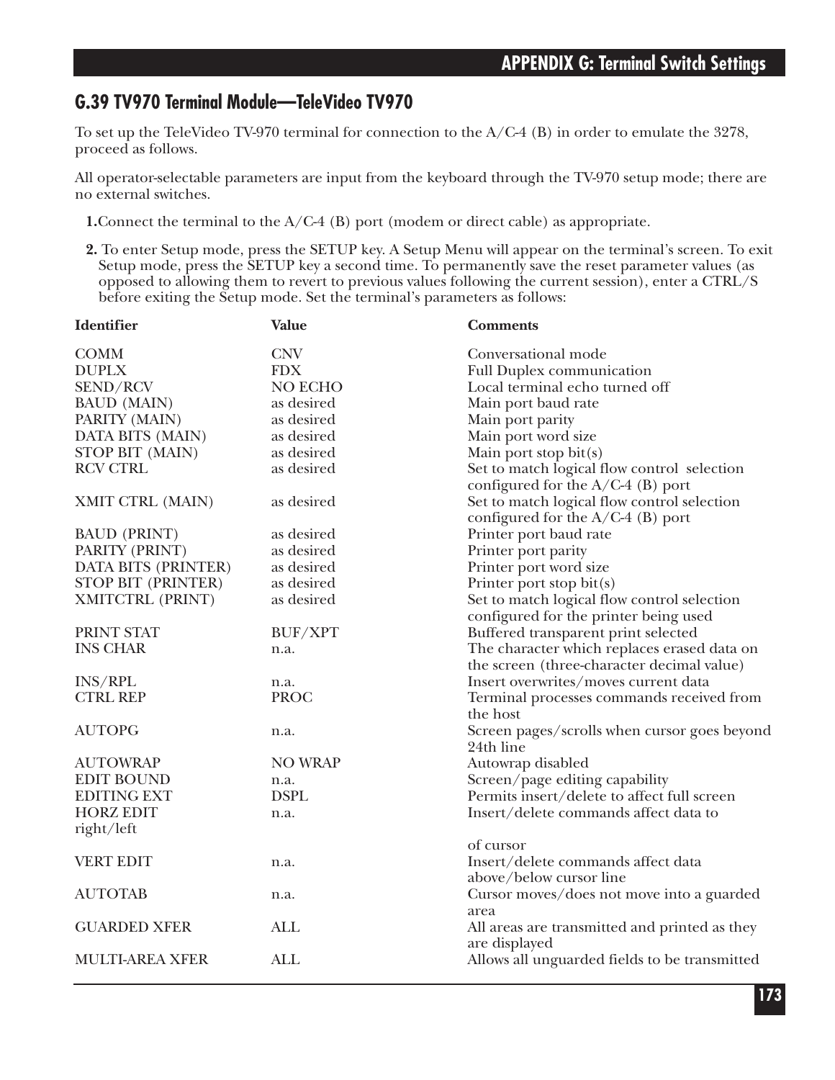### **G.39 TV970 Terminal Module—TeleVideo TV970**

To set up the TeleVideo TV-970 terminal for connection to the  $A/C-4$  (B) in order to emulate the 3278, proceed as follows.

All operator-selectable parameters are input from the keyboard through the TV-970 setup mode; there are no external switches.

- **1.**Connect the terminal to the A/C-4 (B) port (modem or direct cable) as appropriate.
- **2.** To enter Setup mode, press the SETUP key. A Setup Menu will appear on the terminal's screen. To exit Setup mode, press the SETUP key a second time. To permanently save the reset parameter values (as opposed to allowing them to revert to previous values following the current session), enter a CTRL/S before exiting the Setup mode. Set the terminal's parameters as follows:

| <b>Identifier</b>         | <b>Value</b>   | <b>Comments</b>                                                                    |
|---------------------------|----------------|------------------------------------------------------------------------------------|
| <b>COMM</b>               | <b>CNV</b>     | Conversational mode                                                                |
| <b>DUPLX</b>              | <b>FDX</b>     | <b>Full Duplex communication</b>                                                   |
| SEND/RCV                  | NO ECHO        | Local terminal echo turned off                                                     |
| <b>BAUD</b> (MAIN)        | as desired     | Main port baud rate                                                                |
| PARITY (MAIN)             | as desired     | Main port parity                                                                   |
| DATA BITS (MAIN)          | as desired     | Main port word size                                                                |
| STOP BIT (MAIN)           | as desired     | Main port stop bit(s)                                                              |
| <b>RCV CTRL</b>           | as desired     | Set to match logical flow control selection<br>configured for the $A/C-4$ (B) port |
| XMIT CTRL (MAIN)          | as desired     | Set to match logical flow control selection<br>configured for the $A/C-4$ (B) port |
| <b>BAUD (PRINT)</b>       | as desired     | Printer port baud rate                                                             |
| PARITY (PRINT)            | as desired     | Printer port parity                                                                |
| DATA BITS (PRINTER)       | as desired     | Printer port word size                                                             |
| <b>STOP BIT (PRINTER)</b> | as desired     | Printer port stop bit(s)                                                           |
| XMITCTRL (PRINT)          | as desired     | Set to match logical flow control selection                                        |
|                           |                | configured for the printer being used                                              |
| PRINT STAT                | BUF/XPT        | Buffered transparent print selected                                                |
| <b>INS CHAR</b>           | n.a.           | The character which replaces erased data on                                        |
|                           |                | the screen (three-character decimal value)                                         |
| <b>INS/RPL</b>            | n.a.           | Insert overwrites/moves current data                                               |
| <b>CTRL REP</b>           | <b>PROC</b>    | Terminal processes commands received from<br>the host                              |
| <b>AUTOPG</b>             | n.a.           | Screen pages/scrolls when cursor goes beyond<br>24th line                          |
| <b>AUTOWRAP</b>           | <b>NO WRAP</b> | Autowrap disabled                                                                  |
| <b>EDIT BOUND</b>         | n.a.           | Screen/page editing capability                                                     |
| <b>EDITING EXT</b>        | <b>DSPL</b>    | Permits insert/delete to affect full screen                                        |
| <b>HORZ EDIT</b>          | n.a.           | Insert/delete commands affect data to                                              |
| right/left                |                |                                                                                    |
|                           |                | of cursor                                                                          |
| <b>VERT EDIT</b>          | n.a.           | Insert/delete commands affect data<br>above/below cursor line                      |
| <b>AUTOTAB</b>            | n.a.           | Cursor moves/does not move into a guarded                                          |
| <b>GUARDED XFER</b>       | <b>ALL</b>     | area<br>All areas are transmitted and printed as they<br>are displayed             |
| <b>MULTI-AREA XFER</b>    | <b>ALL</b>     | Allows all unguarded fields to be transmitted                                      |
|                           |                |                                                                                    |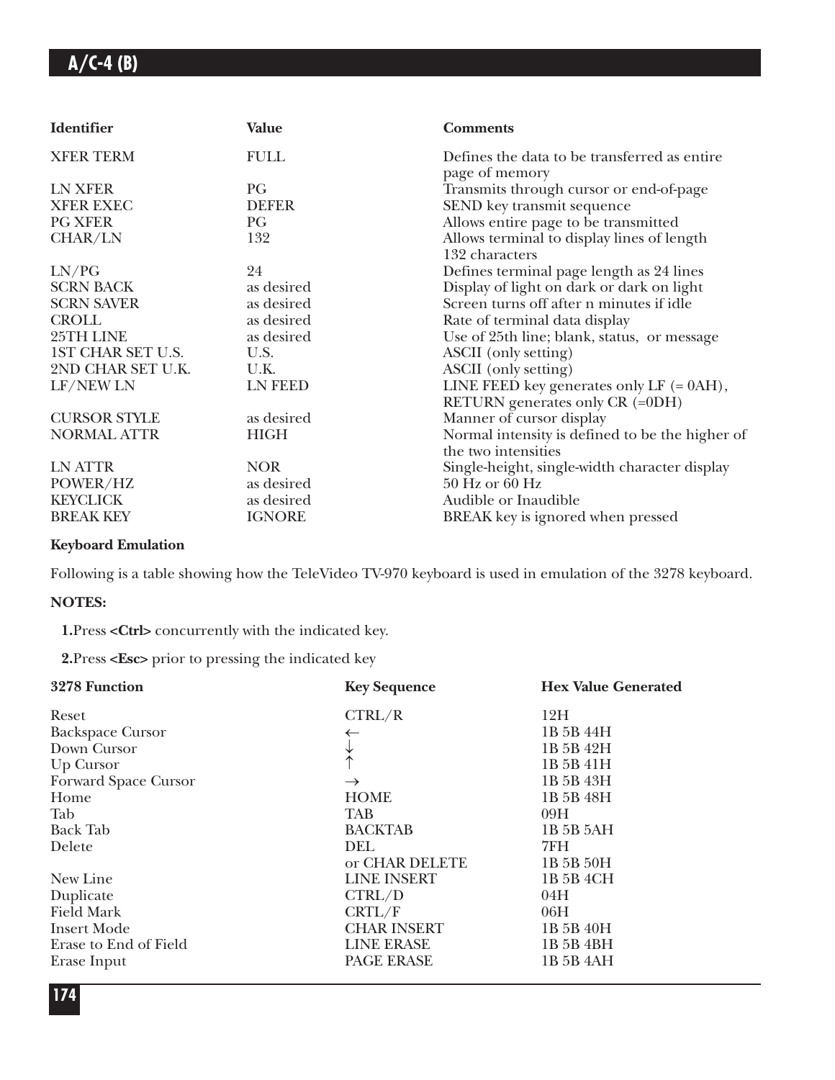| <b>Identifier</b>   | <b>Value</b>   | <b>Comments</b>                                                               |
|---------------------|----------------|-------------------------------------------------------------------------------|
| <b>XFER TERM</b>    | <b>FULL</b>    | Defines the data to be transferred as entire<br>page of memory                |
| LN XFER             | PG             | Transmits through cursor or end-of-page                                       |
| <b>XFER EXEC</b>    | <b>DEFER</b>   | SEND key transmit sequence                                                    |
| <b>PG XFER</b>      | PG             | Allows entire page to be transmitted                                          |
| CHAR/LN             | 132            | Allows terminal to display lines of length<br>132 characters                  |
| LN/PG               | 24             | Defines terminal page length as 24 lines                                      |
| <b>SCRN BACK</b>    | as desired     | Display of light on dark or dark on light                                     |
| <b>SCRN SAVER</b>   | as desired     | Screen turns off after n minutes if idle                                      |
| <b>CROLL</b>        | as desired     | Rate of terminal data display                                                 |
| 25TH LINE           | as desired     | Use of 25th line; blank, status, or message                                   |
| 1ST CHAR SET U.S.   | U.S.           | ASCII (only setting)                                                          |
| 2ND CHAR SET U.K.   | U.K.           | ASCII (only setting)                                                          |
| LF/NEW LN           | <b>LN FEED</b> | LINE FEED key generates only $LF$ (= 0AH),<br>RETURN generates only CR (=0DH) |
| <b>CURSOR STYLE</b> | as desired     | Manner of cursor display                                                      |
| <b>NORMAL ATTR</b>  | <b>HIGH</b>    | Normal intensity is defined to be the higher of<br>the two intensities        |
| LN ATTR             | <b>NOR</b>     | Single-height, single-width character display                                 |
| POWER/HZ            | as desired     | 50 Hz or 60 Hz                                                                |
| <b>KEYCLICK</b>     | as desired     | Audible or Inaudible                                                          |
| <b>BREAK KEY</b>    | <b>IGNORE</b>  | BREAK key is ignored when pressed                                             |

### **Keyboard Emulation**

Following is a table showing how the TeleVideo TV-970 keyboard is used in emulation of the 3278 keyboard.

#### **NOTES:**

**1.**Press **<Ctrl>** concurrently with the indicated key.

**2.**Press **<Esc>** prior to pressing the indicated key

| 3278 Function           | <b>Key Sequence</b> | <b>Hex Value Generated</b> |
|-------------------------|---------------------|----------------------------|
| Reset                   | CTRL/R              | 12H                        |
| <b>Backspace Cursor</b> |                     | 1B 5B 44H                  |
| Down Cursor             |                     | 1B 5B 42H                  |
| Up Cursor               | $\uparrow$          | 1B 5B 41H                  |
| Forward Space Cursor    | $\rightarrow$       | 1B 5B 43H                  |
| Home                    | <b>HOME</b>         | 1B 5B 48H                  |
| Tab                     | <b>TAB</b>          | 09H                        |
| <b>Back Tab</b>         | <b>BACKTAB</b>      | 1B 5B 5AH                  |
| Delete                  | DEL.                | 7FH                        |
|                         | or CHAR DELETE      | 1B 5B 50H                  |
| New Line                | <b>LINE INSERT</b>  | 1B 5B 4CH                  |
| Duplicate               | CTRL/D              | 04H                        |
| <b>Field Mark</b>       | CRTL/F              | 06H                        |
| <b>Insert Mode</b>      | <b>CHAR INSERT</b>  | 1B 5B 40H                  |
| Erase to End of Field   | <b>LINE ERASE</b>   | 1B 5B 4BH                  |
| Erase Input             | PAGE ERASE          | 1B 5B 4AH                  |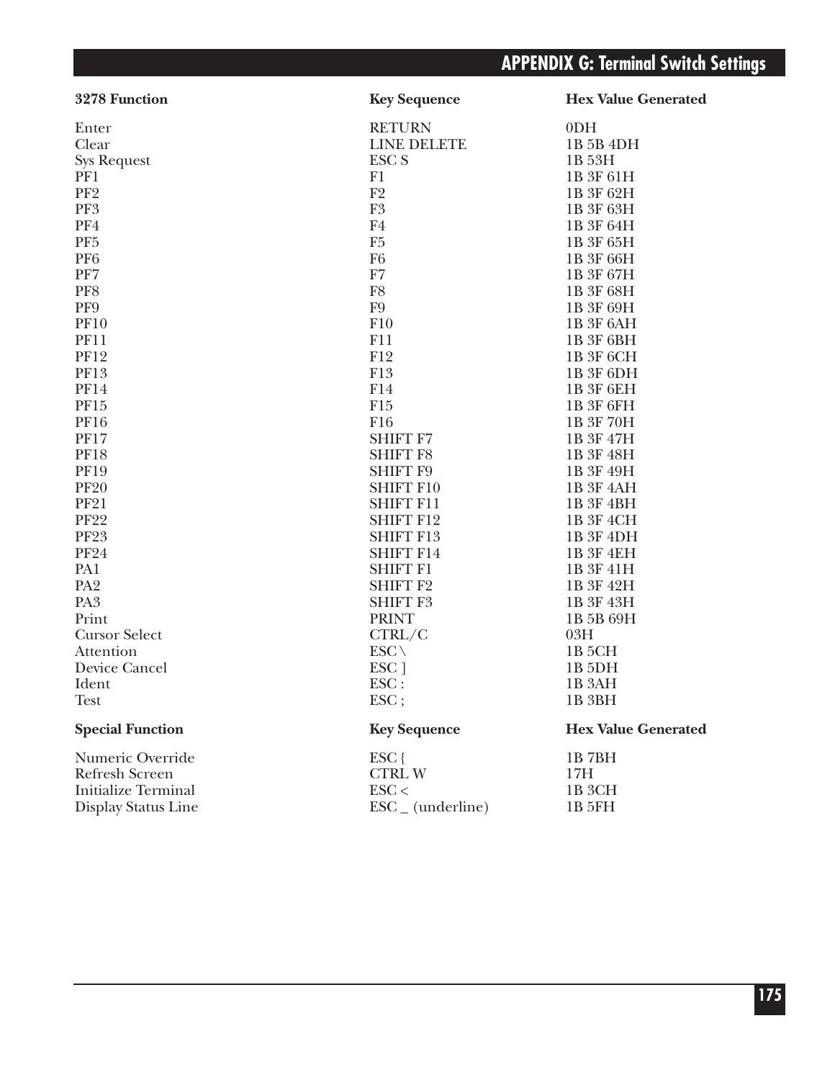| 3278 Function              | <b>Key Sequence</b>          | <b>Hex Value Generated</b> |
|----------------------------|------------------------------|----------------------------|
| Enter                      | <b>RETURN</b>                | 0 <sub>DH</sub>            |
| Clear                      | <b>LINE DELETE</b>           | 1B 5B 4DH                  |
| <b>Sys Request</b>         | ESC <sub>S</sub>             | 1B 53H                     |
| PF1                        | F1                           | 1B 3F 61H                  |
| PF <sub>2</sub>            | F2                           | 1B 3F 62H                  |
| PF3                        | F <sub>3</sub>               | 1B 3F 63H                  |
| PF4                        | F4                           | 1B 3F 64H                  |
| PF <sub>5</sub>            | F <sub>5</sub>               | 1B 3F 65H                  |
| PF <sub>6</sub>            | F <sub>6</sub>               | 1B 3F 66H                  |
| PF7                        | F7                           | 1B 3F 67H                  |
| PF8                        | F8                           | 1B 3F 68H                  |
| PF9                        | ${\rm F}9$                   | 1B 3F 69H                  |
| <b>PF10</b>                | F10                          | 1B 3F 6AH                  |
| <b>PF11</b>                | F11                          | 1B 3F 6BH                  |
| <b>PF12</b>                | F12                          | 1B 3F 6CH                  |
| <b>PF13</b>                | F13                          | 1B 3F 6DH                  |
| <b>PF14</b>                | F14                          | 1B 3F 6EH                  |
| PF15                       | F <sub>15</sub>              | 1B 3F 6FH                  |
| <b>PF16</b>                | F16                          | 1B 3F 70H                  |
| <b>PF17</b>                | <b>SHIFT F7</b>              | 1B 3F 47H                  |
| <b>PF18</b>                | <b>SHIFT F8</b>              | 1B 3F 48H                  |
| <b>PF19</b>                | <b>SHIFT F9</b>              | 1B 3F 49H                  |
| <b>PF20</b>                | <b>SHIFT F10</b>             | 1B 3F 4AH                  |
| <b>PF21</b>                | <b>SHIFT F11</b>             | 1B 3F 4BH                  |
| <b>PF22</b>                | <b>SHIFT F12</b>             | 1B 3F 4CH                  |
| <b>PF23</b>                | <b>SHIFT F13</b>             | 1B 3F 4DH                  |
| <b>PF24</b>                | <b>SHIFT F14</b>             | 1B 3F 4EH                  |
| PA1                        | <b>SHIFT F1</b>              | 1B 3F 41H                  |
| PA <sub>2</sub>            | <b>SHIFT F2</b>              | 1B 3F 42H                  |
| PA <sub>3</sub>            | <b>SHIFT F3</b>              | 1B 3F 43H                  |
| Print                      | <b>PRINT</b>                 | 1B 5B 69H                  |
| <b>Cursor Select</b>       | CTRL/C                       | 03H                        |
| Attention                  | $ESC \setminus$              | 1B <sub>5</sub> CH         |
| Device Cancel              | ESC ]                        | 1B 5DH                     |
| Ident                      | ESC:                         | 1B <sub>3</sub> AH         |
| Test                       | ESC;                         | 1B <sub>3BH</sub>          |
| <b>Special Function</b>    | <b>Key Sequence</b>          | <b>Hex Value Generated</b> |
| Numeric Override           | $ESC$ {                      | 1B7BH                      |
| <b>Refresh Screen</b>      | <b>CTRLW</b>                 | 17H                        |
| <b>Initialize Terminal</b> | $\text{ESC}$                 | 1B <sub>3</sub> CH         |
| Display Status Line        | $\text{ESC}_{-}$ (underline) | 1B 5FH                     |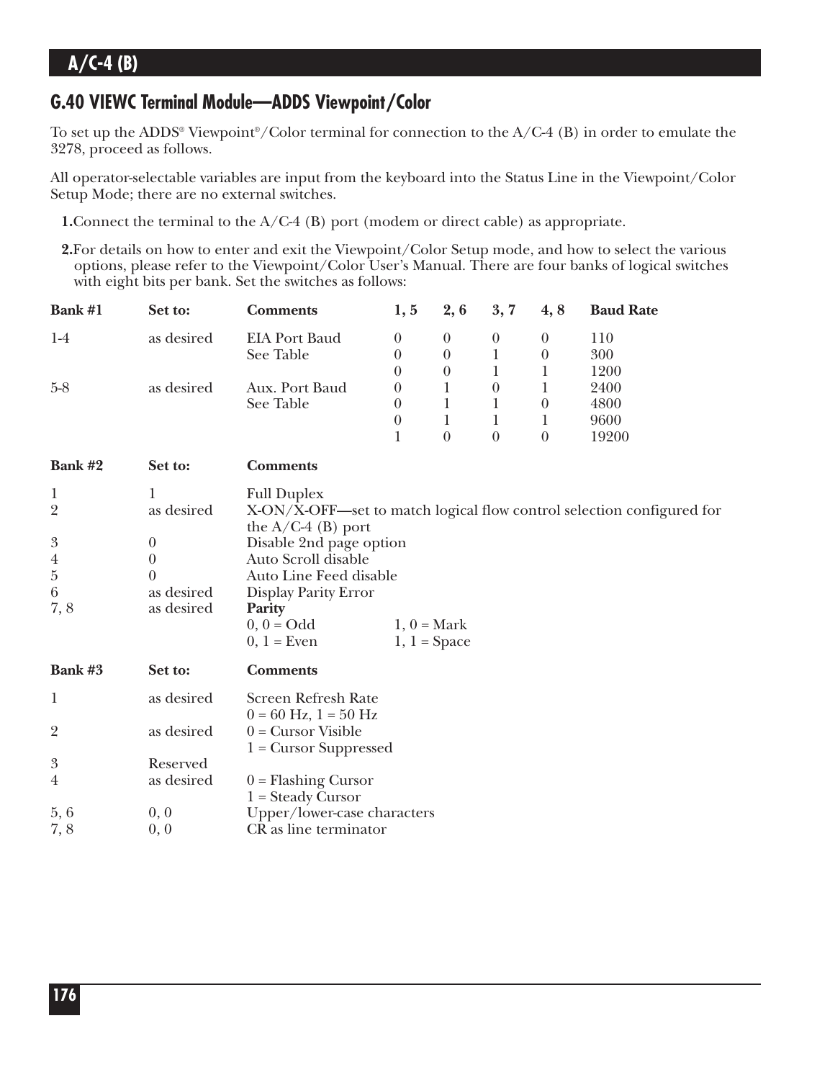### **G.40 VIEWC Terminal Module—ADDS Viewpoint/Color**

To set up the ADDS<sup>®</sup> Viewpoint<sup>®</sup>/Color terminal for connection to the  $A/C-4$  (B) in order to emulate the 3278, proceed as follows.

All operator-selectable variables are input from the keyboard into the Status Line in the Viewpoint/Color Setup Mode; there are no external switches.

- **1.** Connect the terminal to the A/C-4 (B) port (modem or direct cable) as appropriate.
- **2.**For details on how to enter and exit the Viewpoint/Color Setup mode, and how to select the various options, please refer to the Viewpoint/Color User's Manual. There are four banks of logical switches with eight bits per bank. Set the switches as follows:

| Bank #1                                                                                                           | Set to:                                                                          | <b>Comments</b>                                                                                                                                                                           | 1, 5           | 2, 6                                 | 3, 7             | 4,8                          | <b>Baud Rate</b>                                                      |
|-------------------------------------------------------------------------------------------------------------------|----------------------------------------------------------------------------------|-------------------------------------------------------------------------------------------------------------------------------------------------------------------------------------------|----------------|--------------------------------------|------------------|------------------------------|-----------------------------------------------------------------------|
| $1-4$                                                                                                             | as desired                                                                       | <b>EIA Port Baud</b><br>See Table                                                                                                                                                         | $\theta$       | $\boldsymbol{0}$<br>$\boldsymbol{0}$ | $\boldsymbol{0}$ | $\boldsymbol{0}$<br>$\theta$ | 110<br>300                                                            |
|                                                                                                                   |                                                                                  | $\theta$<br>$\theta$                                                                                                                                                                      | $\overline{0}$ | 1<br>1                               | 1                | 1200                         |                                                                       |
| $5 - 8$                                                                                                           | as desired                                                                       | Aux. Port Baud                                                                                                                                                                            | 0              | 1                                    | $\boldsymbol{0}$ | 1                            | 2400                                                                  |
|                                                                                                                   |                                                                                  | See Table                                                                                                                                                                                 | $\theta$       | $\mathbf{1}$                         | $\mathbf 1$      | $\boldsymbol{0}$             | 4800                                                                  |
|                                                                                                                   |                                                                                  | $\theta$                                                                                                                                                                                  | 1              | $\mathbf{1}$                         | 1                | 9600                         |                                                                       |
|                                                                                                                   |                                                                                  |                                                                                                                                                                                           | $\mathbf{1}$   | $\boldsymbol{0}$                     | $\boldsymbol{0}$ | $\boldsymbol{0}$             | 19200                                                                 |
| Bank #2                                                                                                           | Set to:                                                                          | <b>Comments</b>                                                                                                                                                                           |                |                                      |                  |                              |                                                                       |
| $\mathbf{1}$<br>$\overline{2}$<br>$\boldsymbol{3}$<br>$\overline{\mathbf{A}}$<br>$\overline{5}$<br>$\,6\,$<br>7,8 | 1<br>as desired<br>$\boldsymbol{0}$<br>$\theta$<br>0<br>as desired<br>as desired | <b>Full Duplex</b><br>the $A/C-4$ (B) port<br>Disable 2nd page option<br>Auto Scroll disable<br>Auto Line Feed disable<br>Display Parity Error<br>Parity<br>$0, 0 = Odd$<br>$0, 1$ = Even |                | $1, 0$ = Mark<br>$1, 1 = Space$      |                  |                              | X-ON/X-OFF—set to match logical flow control selection configured for |
| Bank #3                                                                                                           | Set to:                                                                          | <b>Comments</b>                                                                                                                                                                           |                |                                      |                  |                              |                                                                       |
| $\mathbf{1}$                                                                                                      | as desired                                                                       | <b>Screen Refresh Rate</b><br>$0 = 60$ Hz, $1 = 50$ Hz                                                                                                                                    |                |                                      |                  |                              |                                                                       |
| $\overline{2}$                                                                                                    | as desired                                                                       | $0 =$ Cursor Visible<br>$1 =$ Cursor Suppressed                                                                                                                                           |                |                                      |                  |                              |                                                                       |
| $\boldsymbol{\mathcal{S}}$                                                                                        | Reserved                                                                         |                                                                                                                                                                                           |                |                                      |                  |                              |                                                                       |
| $\overline{4}$                                                                                                    | as desired                                                                       | $0 =$ Flashing Cursor<br>$1 = Steady Cursor$                                                                                                                                              |                |                                      |                  |                              |                                                                       |
| 5,6                                                                                                               | 0, 0                                                                             | Upper/lower-case characters                                                                                                                                                               |                |                                      |                  |                              |                                                                       |
| 7,8                                                                                                               | 0, 0                                                                             | CR as line terminator                                                                                                                                                                     |                |                                      |                  |                              |                                                                       |
|                                                                                                                   |                                                                                  |                                                                                                                                                                                           |                |                                      |                  |                              |                                                                       |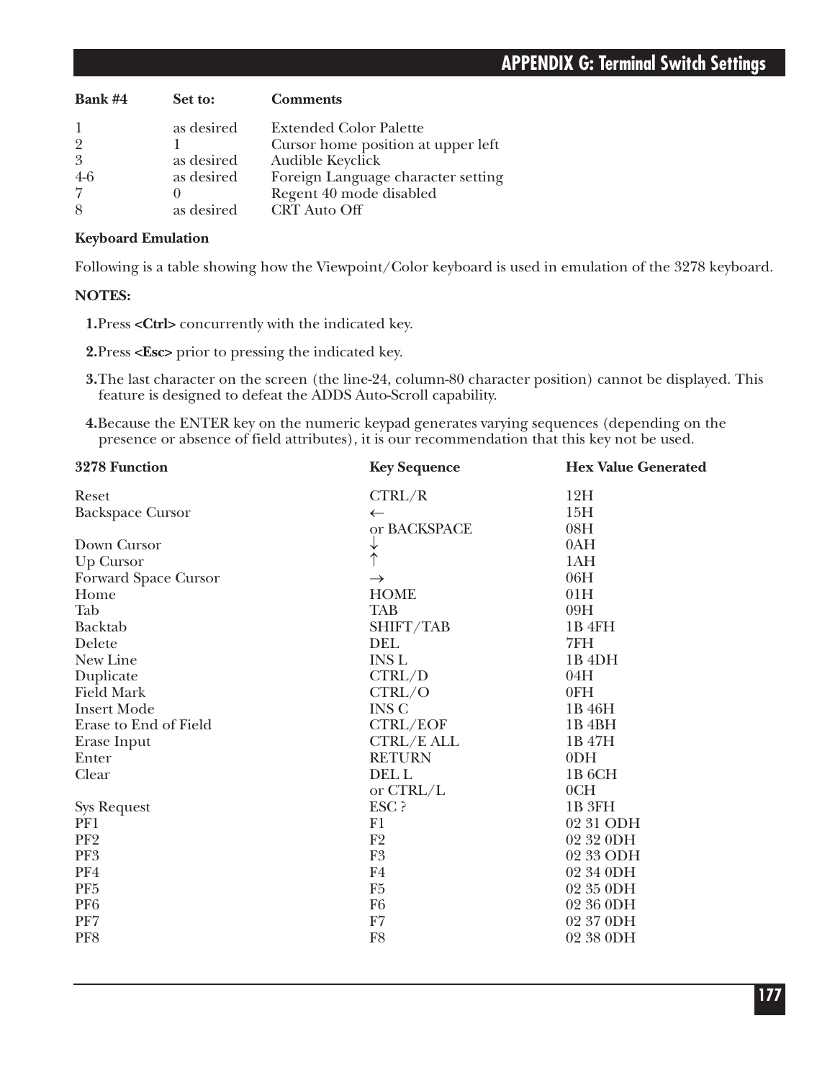| Bank #4        | Set to:    | <b>Comments</b>                    |
|----------------|------------|------------------------------------|
|                | as desired | <b>Extended Color Palette</b>      |
| $\overline{2}$ |            | Cursor home position at upper left |
| 3              | as desired | Audible Keyclick                   |
| $4-6$          | as desired | Foreign Language character setting |
|                |            | Regent 40 mode disabled            |
| 8              | as desired | <b>CRT</b> Auto Off                |

#### **Keyboard Emulation**

Following is a table showing how the Viewpoint/Color keyboard is used in emulation of the 3278 keyboard.

### **NOTES:**

**1.**Press **<Ctrl>** concurrently with the indicated key.

**2.**Press **<Esc>** prior to pressing the indicated key.

- **3.**The last character on the screen (the line-24, column-80 character position) cannot be displayed. This feature is designed to defeat the ADDS Auto-Scroll capability.
- **4.**Because the ENTER key on the numeric keypad generates varying sequences (depending on the presence or absence of field attributes), it is our recommendation that this key not be used.

| 3278 Function           | <b>Key Sequence</b> | <b>Hex Value Generated</b> |  |
|-------------------------|---------------------|----------------------------|--|
| Reset                   | CTRL/R              | 12H                        |  |
| <b>Backspace Cursor</b> | $\leftarrow$        | 15H                        |  |
|                         | or BACKSPACE        | 08H                        |  |
| Down Cursor             | ↓                   | 0AH                        |  |
| Up Cursor               | $\uparrow$          | 1AH                        |  |
| Forward Space Cursor    | $\rightarrow$       | 06H                        |  |
| Home                    | <b>HOME</b>         | 01H                        |  |
| Tab                     | <b>TAB</b>          | 09H                        |  |
| <b>Backtab</b>          | SHIFT/TAB           | 1B <sub>4FH</sub>          |  |
| Delete                  | <b>DEL</b>          | 7FH                        |  |
| New Line                | <b>INSL</b>         | 1B <sub>4DH</sub>          |  |
| Duplicate               | CTRL/D              | 04H                        |  |
| <b>Field Mark</b>       | CTRL/O              | 0FH                        |  |
| <b>Insert Mode</b>      | <b>INS C</b>        | 1B 46H                     |  |
| Erase to End of Field   | <b>CTRL/EOF</b>     | 1B <sub>4</sub> BH         |  |
| Erase Input             | CTRL/E ALL          | 1B 47H                     |  |
| Enter                   | <b>RETURN</b>       | 0 <sub>DH</sub>            |  |
| Clear                   | DEL L               | 1B <sub>6</sub> CH         |  |
|                         | or CTRL/L           | 0CH                        |  |
| <b>Sys Request</b>      | ESC ?               | 1B <sub>3FH</sub>          |  |
| PF1                     | F1                  | 02 31 ODH                  |  |
| PF <sub>2</sub>         | F <sub>2</sub>      | 02 32 0DH                  |  |
| PF3                     | F <sub>3</sub>      | 02 33 ODH                  |  |
| PF4                     | F4                  | 02 34 0DH                  |  |
| PF <sub>5</sub>         | F <sub>5</sub>      | 02 35 0DH                  |  |
| PF <sub>6</sub>         | F <sub>6</sub>      | 02 36 0DH                  |  |
| PF7                     | ${\rm F}7$          | 02 37 0DH                  |  |
| PF8                     | F <sub>8</sub>      | 02 38 0DH                  |  |
|                         |                     |                            |  |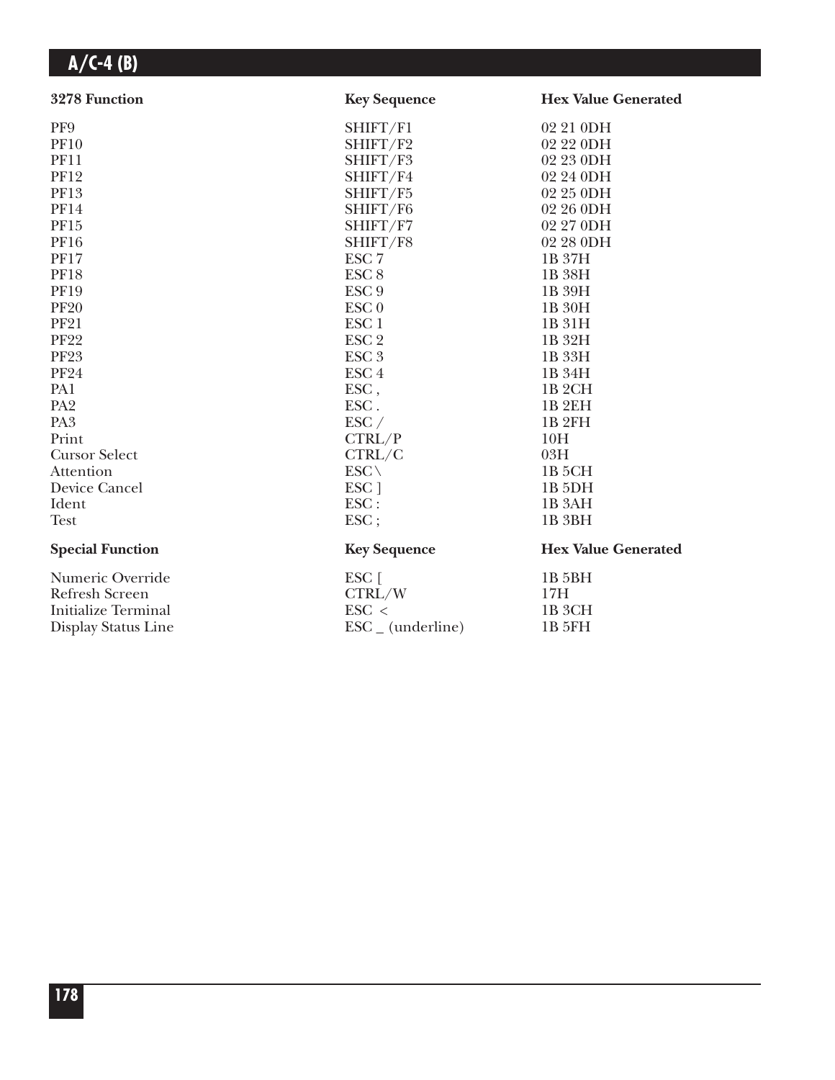| 3278 Function              | <b>Key Sequence</b>          | <b>Hex Value Generated</b> |
|----------------------------|------------------------------|----------------------------|
| PF9                        | SHIFT/F1                     | 02 21 0DH                  |
| <b>PF10</b>                | SHIFT/F2                     | 02 22 0DH                  |
| <b>PF11</b>                | SHIFT/F3                     | 02 23 0DH                  |
| <b>PF12</b>                | SHIFT/F4                     | 02 24 0DH                  |
| PF13                       | SHIFT/F5                     | 02 25 0DH                  |
| <b>PF14</b>                | SHIFT/F6                     | 02 26 0DH                  |
| PF15                       | SHIFT/F7                     | 02 27 0DH                  |
| <b>PF16</b>                | SHIFT/F8                     | 02 28 0DH                  |
| <b>PF17</b>                | ESC <sub>7</sub>             | 1B 37H                     |
| <b>PF18</b>                | ESC <sub>8</sub>             | 1B 38H                     |
| <b>PF19</b>                | ESC <sub>9</sub>             | 1B 39H                     |
| <b>PF20</b>                | ESC <sub>0</sub>             | 1B 30H                     |
| <b>PF21</b>                | ESC <sub>1</sub>             | 1B 31H                     |
| <b>PF22</b>                | ESC <sub>2</sub>             | 1B 32H                     |
| <b>PF23</b>                | ESC <sub>3</sub>             | 1B 33H                     |
| <b>PF24</b>                | ESC <sub>4</sub>             | 1B 34H                     |
| PA1                        | ESC,                         | 1B <sub>2</sub> CH         |
| PA <sub>2</sub>            | ESC.                         | <b>1B2EH</b>               |
| PA <sub>3</sub>            | $\text{ESC}$ /               | 1B <sub>2FH</sub>          |
| Print                      | CTRL/P                       | 10H                        |
| <b>Cursor Select</b>       | CTRL/C                       | 03H                        |
| Attention                  | $ESC \setminus$              | 1B <sub>5</sub> CH         |
| Device Cancel              | ESC <sub>1</sub>             | 1B <sub>5</sub> DH         |
| Ident                      | ESC:                         | 1B <sub>3</sub> AH         |
| <b>Test</b>                | ESC;                         | 1B <sub>3BH</sub>          |
| <b>Special Function</b>    | <b>Key Sequence</b>          | <b>Hex Value Generated</b> |
| Numeric Override           | ESC [                        | 1B 5BH                     |
| <b>Refresh Screen</b>      | CTRL/W                       | 17H                        |
| <b>Initialize Terminal</b> | $\text{ESC}$ <               | 1B <sub>3</sub> CH         |
| Display Status Line        | $\text{ESC}_{-}$ (underline) | 1B 5FH                     |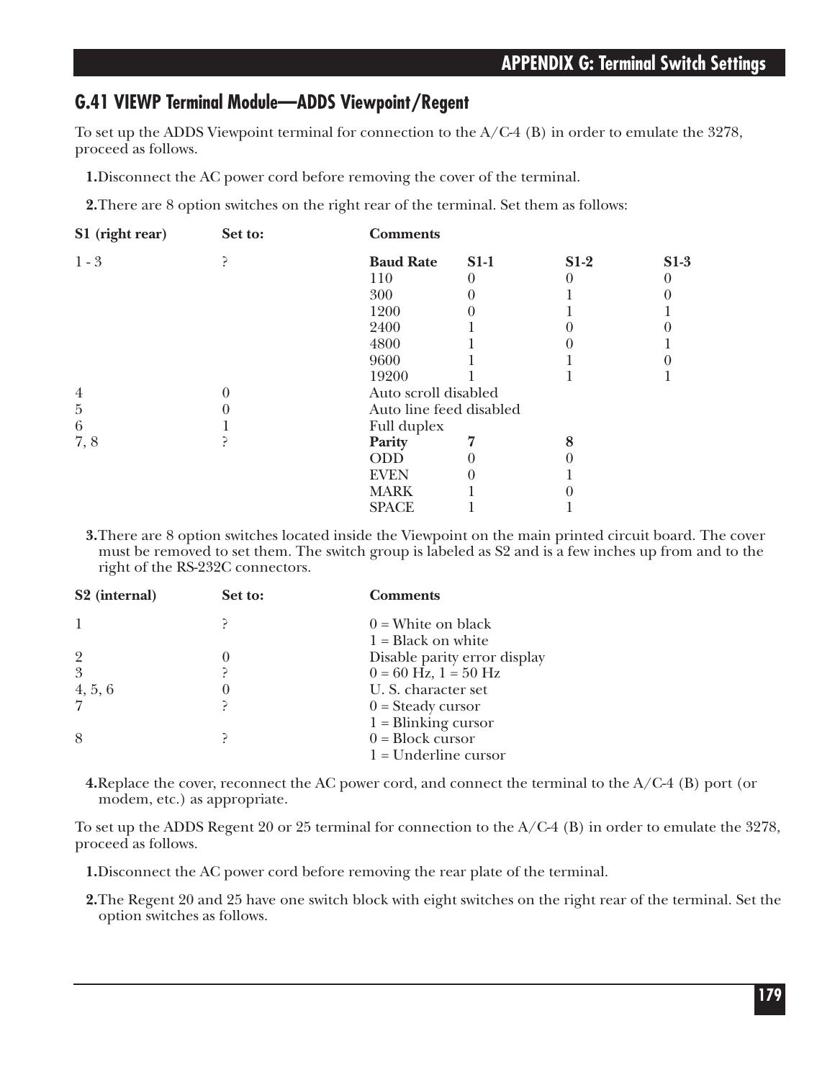### **G.41 VIEWP Terminal Module—ADDS Viewpoint/Regent**

To set up the ADDS Viewpoint terminal for connection to the  $A/C-4$  (B) in order to emulate the 3278, proceed as follows.

**1.**Disconnect the AC power cord before removing the cover of the terminal.

**2.**There are 8 option switches on the right rear of the terminal. Set them as follows:

| S1 (right rear) | Set to: | <b>Comments</b>         |        |        |        |
|-----------------|---------|-------------------------|--------|--------|--------|
| $1 - 3$         |         | <b>Baud Rate</b>        | $S1-1$ | $S1-2$ | $S1-3$ |
|                 |         | 110                     |        |        |        |
|                 |         | 300                     |        |        |        |
|                 |         | 1200                    |        |        |        |
|                 |         | 2400                    |        |        |        |
|                 |         | 4800                    |        |        |        |
|                 |         | 9600                    |        |        |        |
|                 |         | 19200                   |        |        |        |
| $\overline{4}$  |         | Auto scroll disabled    |        |        |        |
| $\overline{5}$  |         | Auto line feed disabled |        |        |        |
| $\,6\,$         |         | Full duplex             |        |        |        |
| 7,8             |         | Parity                  |        |        |        |
|                 |         | <b>ODD</b>              |        |        |        |
|                 |         | <b>EVEN</b>             |        |        |        |
|                 |         | <b>MARK</b>             |        |        |        |
|                 |         | <b>SPACE</b>            |        |        |        |
|                 |         |                         |        |        |        |

**3.**There are 8 option switches located inside the Viewpoint on the main printed circuit board. The cover must be removed to set them. The switch group is labeled as S2 and is a few inches up from and to the right of the RS-232C connectors.

| S <sub>2</sub> (internal) | Set to: | <b>Comments</b>              |
|---------------------------|---------|------------------------------|
|                           |         | $0 =$ White on black         |
|                           |         | $1 = Black on white$         |
| $\overline{2}$            |         | Disable parity error display |
| 3                         |         | $0 = 60$ Hz, $1 = 50$ Hz     |
| 4, 5, 6                   |         | U. S. character set          |
| $\overline{7}$            |         | $0 = Steady cursor$          |
|                           |         | $1 = \text{Blinking cursor}$ |
| 8                         |         | $0 = Block cursor$           |
|                           |         | $1 =$ Underline cursor       |
|                           |         |                              |

**4.**Replace the cover, reconnect the AC power cord, and connect the terminal to the A/C-4 (B) port (or modem, etc.) as appropriate.

To set up the ADDS Regent 20 or 25 terminal for connection to the A/C-4 (B) in order to emulate the 3278, proceed as follows.

**1.**Disconnect the AC power cord before removing the rear plate of the terminal.

**2.**The Regent 20 and 25 have one switch block with eight switches on the right rear of the terminal. Set the option switches as follows.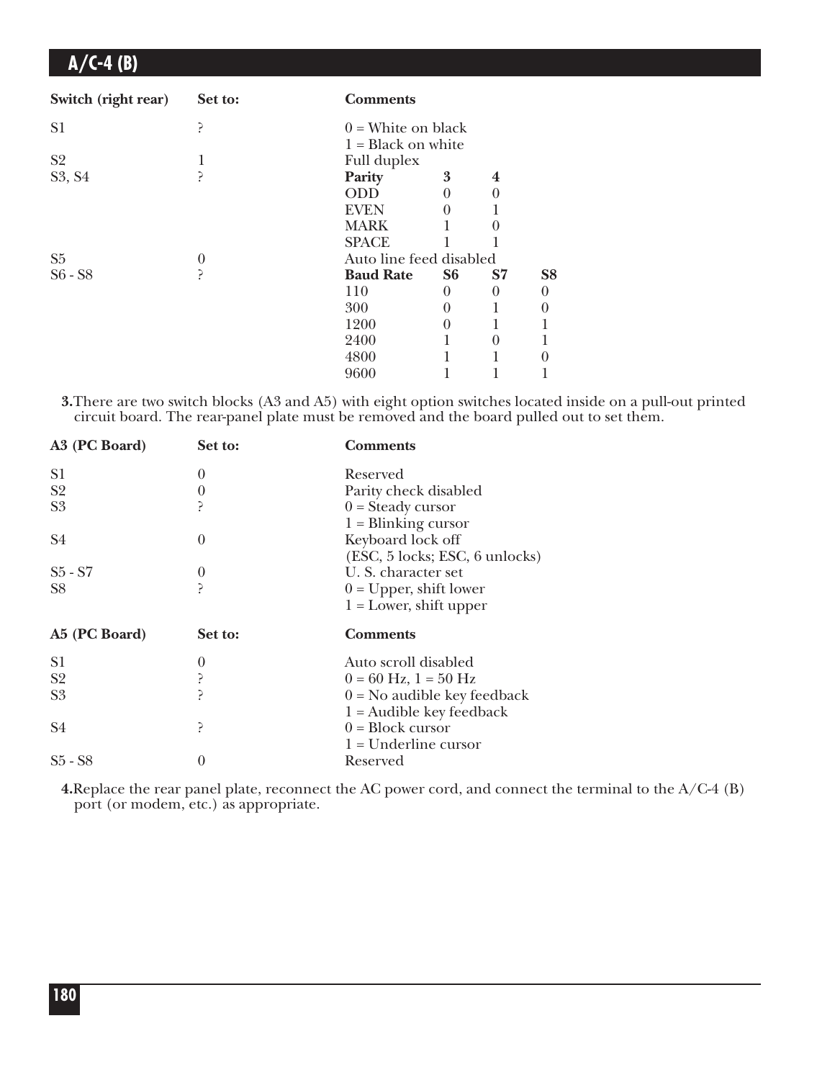| Switch (right rear) | Set to: | <b>Comments</b>         |                |          |                |
|---------------------|---------|-------------------------|----------------|----------|----------------|
| S <sub>1</sub>      | י       | $0 =$ White on black    |                |          |                |
|                     |         | $1 = Black on white$    |                |          |                |
| S <sub>2</sub>      |         | Full duplex             |                |          |                |
| S3, S4              | ?       | Parity                  | 3              | 4        |                |
|                     |         | ODD                     | 0              | 0        |                |
|                     |         | <b>EVEN</b>             |                |          |                |
|                     |         | <b>MARK</b>             |                |          |                |
|                     |         | <b>SPACE</b>            |                |          |                |
| S <sub>5</sub>      | 0       | Auto line feed disabled |                |          |                |
| $S6 - S8$           | ?       | <b>Baud Rate</b>        | S <sub>6</sub> | S7       | S <sub>8</sub> |
|                     |         | 110                     | $\theta$       | 0        | $\theta$       |
|                     |         | 300                     | 0              |          |                |
|                     |         | 1200                    | 0              |          |                |
|                     |         | 2400                    |                | $\theta$ |                |
|                     |         | 4800                    |                |          |                |
|                     |         | 9600                    |                |          |                |
|                     |         |                         |                |          |                |

**3.**There are two switch blocks (A3 and A5) with eight option switches located inside on a pull-out printed circuit board. The rear-panel plate must be removed and the board pulled out to set them.

| A3 (PC Board)  | Set to:  | <b>Comments</b>                |
|----------------|----------|--------------------------------|
| S <sub>1</sub> | $\theta$ | Reserved                       |
| S <sub>2</sub> | 0        | Parity check disabled          |
| S <sub>3</sub> |          | $0 = Steady cursor$            |
|                |          | $1 = \text{Blinking cursor}$   |
| S <sub>4</sub> | $\theta$ | Keyboard lock off              |
|                |          | (ESC, 5 locks; ESC, 6 unlocks) |
| $S5 - S7$      | $\theta$ | U. S. character set            |
| S <sub>8</sub> |          | $0 = Upper$ , shift lower      |
|                |          | $1 =$ Lower, shift upper       |
| A5 (PC Board)  | Set to:  | <b>Comments</b>                |
| S <sub>1</sub> | $\theta$ | Auto scroll disabled           |
| S <sub>2</sub> |          | $0 = 60$ Hz, $1 = 50$ Hz       |
| S <sub>3</sub> |          | $0 = No$ audible key feedback  |
|                |          | $1 =$ Audible key feedback     |
| S4             |          | $0 = Block cursor$             |
|                |          | $1 =$ Underline cursor         |
| $S5 - S8$      | 0        | Reserved                       |
|                |          |                                |

**4.**Replace the rear panel plate, reconnect the AC power cord, and connect the terminal to the A/C-4 (B) port (or modem, etc.) as appropriate.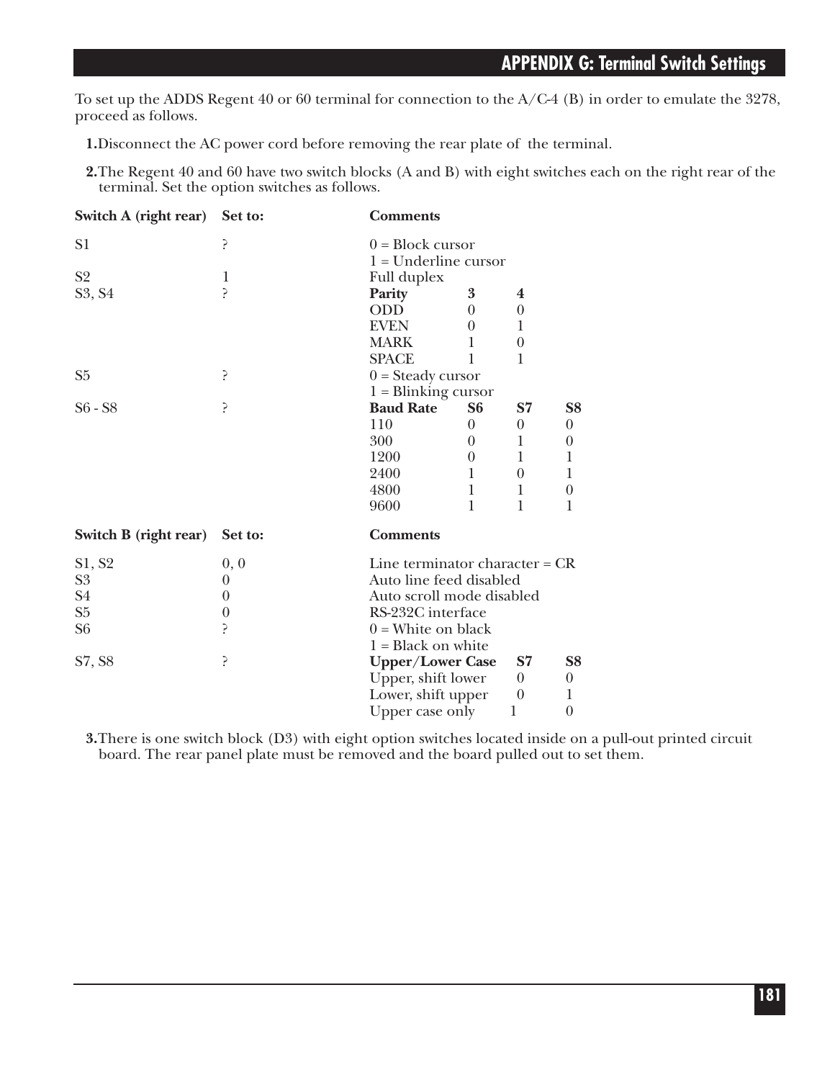To set up the ADDS Regent 40 or 60 terminal for connection to the A/C-4 (B) in order to emulate the 3278, proceed as follows.

**1.**Disconnect the AC power cord before removing the rear plate of the terminal.

**2.**The Regent 40 and 60 have two switch blocks (A and B) with eight switches each on the right rear of the terminal. Set the option switches as follows.

| Switch A (right rear) | Set to:          | <b>Comments</b>                  |                |                |                  |
|-----------------------|------------------|----------------------------------|----------------|----------------|------------------|
| S <sub>1</sub>        | ć.               | $0 = Block cursor$               |                |                |                  |
|                       |                  | $1 =$ Underline cursor           |                |                |                  |
| S <sub>2</sub>        | $\mathbf{1}$     | Full duplex                      |                |                |                  |
| S3, S4                | 5                | Parity                           | 3              | 4              |                  |
|                       |                  | <b>ODD</b>                       | 0              | $\theta$       |                  |
|                       |                  | <b>EVEN</b>                      | 0              | 1              |                  |
|                       |                  | <b>MARK</b>                      |                | $\theta$       |                  |
|                       |                  | <b>SPACE</b>                     | 1              | 1              |                  |
| S <sub>5</sub>        | 5                | $0 = Steady cursor$              |                |                |                  |
|                       |                  | $1 = \text{Blinking cursor}$     |                |                |                  |
| $S6 - S8$             | ć.               | <b>Baud Rate</b>                 | S <sub>6</sub> | S7             | S <sub>8</sub>   |
|                       |                  | 110                              | 0              | $\overline{0}$ | $\theta$         |
|                       |                  | 300                              | 0              | 1              | $\boldsymbol{0}$ |
|                       |                  | 1200                             | 0              | 1              | 1                |
|                       |                  | 2400                             | 1              | $\theta$       | 1                |
|                       |                  | 4800                             | 1              | 1              | $\theta$         |
|                       |                  | 9600                             | 1              | 1              | 1                |
| Switch B (right rear) | Set to:          | <b>Comments</b>                  |                |                |                  |
| S1, S2                | 0, 0             | Line terminator character = $CR$ |                |                |                  |
| S <sub>3</sub>        | 0                | Auto line feed disabled          |                |                |                  |
| S <sub>4</sub>        | $\theta$         | Auto scroll mode disabled        |                |                |                  |
| ${\rm S}5$            | $\boldsymbol{0}$ | RS-232C interface                |                |                |                  |
| S <sub>6</sub>        | 5                | $0 =$ White on black             |                |                |                  |
|                       |                  | $1 = Black on white$             |                |                |                  |
| S7, S8                | ?                | <b>Upper/Lower Case</b>          |                | S7             | S <sub>8</sub>   |
|                       |                  | Upper, shift lower               |                | $\theta$       | $\boldsymbol{0}$ |
|                       |                  | Lower, shift upper               |                | $\theta$       | 1                |
|                       |                  | Upper case only                  |                | 1              | $\boldsymbol{0}$ |

**3.**There is one switch block (D3) with eight option switches located inside on a pull-out printed circuit board. The rear panel plate must be removed and the board pulled out to set them.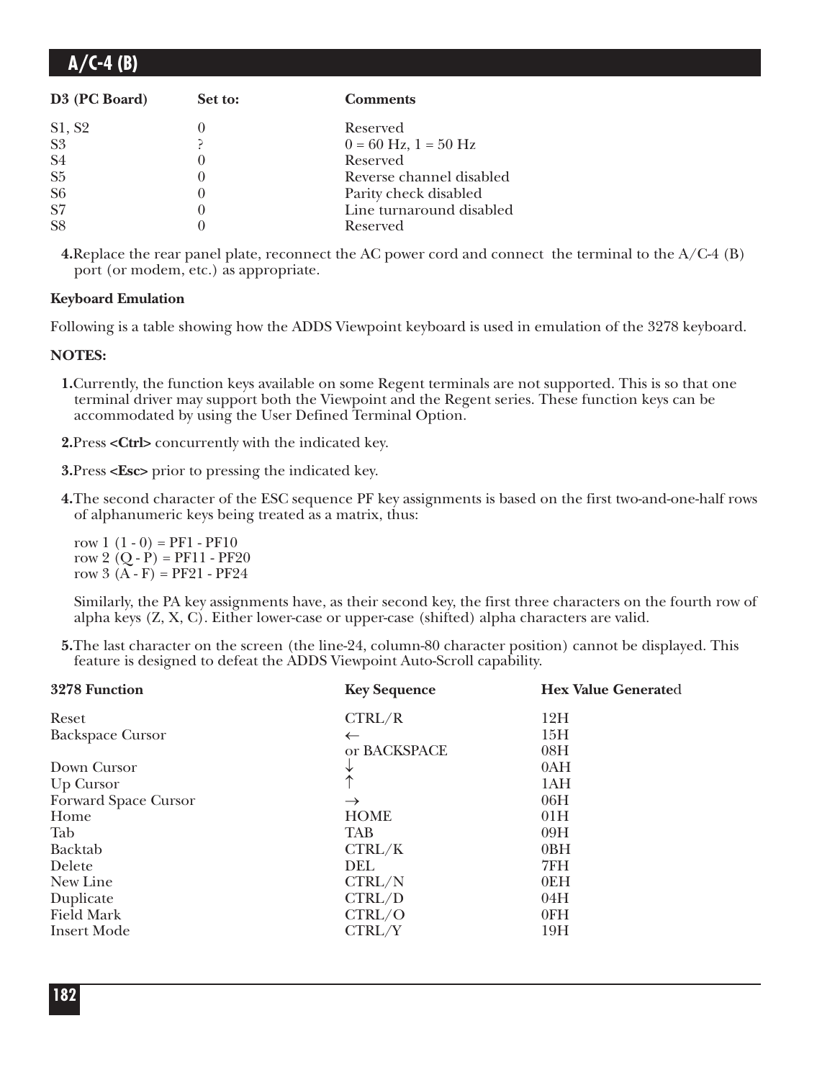| $A/C-4(B)$ |  |
|------------|--|
|------------|--|

| D3 (PC Board)  | Set to:           | <b>Comments</b>          |
|----------------|-------------------|--------------------------|
| S1, S2         |                   | Reserved                 |
| S <sub>3</sub> |                   | $0 = 60$ Hz, $1 = 50$ Hz |
| S <sub>4</sub> |                   | Reserved                 |
| S <sub>5</sub> |                   | Reverse channel disabled |
| S <sub>6</sub> | $\mathbf{\Omega}$ | Parity check disabled    |
| S7             | $\mathbf{\Omega}$ | Line turnaround disabled |
| S <sub>8</sub> |                   | Reserved                 |

**4.**Replace the rear panel plate, reconnect the AC power cord and connect the terminal to the A/C-4 (B) port (or modem, etc.) as appropriate.

#### **Keyboard Emulation**

Following is a table showing how the ADDS Viewpoint keyboard is used in emulation of the 3278 keyboard.

#### **NOTES:**

- **1.**Currently, the function keys available on some Regent terminals are not supported. This is so that one terminal driver may support both the Viewpoint and the Regent series. These function keys can be accommodated by using the User Defined Terminal Option.
- **2.**Press **<Ctrl>** concurrently with the indicated key.

**3.**Press **<Esc>** prior to pressing the indicated key.

**4.**The second character of the ESC sequence PF key assignments is based on the first two-and-one-half rows of alphanumeric keys being treated as a matrix, thus:

row  $1(1-0) = PFI - PF10$ row 2  $(Q - P) = PF11 - PF20$ row  $3(A - F) = PF21 - PF24$ 

Similarly, the PA key assignments have, as their second key, the first three characters on the fourth row of alpha keys (Z, X, C). Either lower-case or upper-case (shifted) alpha characters are valid.

**5.**The last character on the screen (the line-24, column-80 character position) cannot be displayed. This feature is designed to defeat the ADDS Viewpoint Auto-Scroll capability.

| 3278 Function           | <b>Key Sequence</b> | <b>Hex Value Generated</b> |
|-------------------------|---------------------|----------------------------|
| Reset                   | CTRL/R              | 12H                        |
| <b>Backspace Cursor</b> | $\leftarrow$        | 15H                        |
|                         | or BACKSPACE        | 08H                        |
| Down Cursor             |                     | 0AH                        |
| Up Cursor               |                     | 1AH                        |
| Forward Space Cursor    | $\rightarrow$       | 06H                        |
| Home                    | <b>HOME</b>         | 01H                        |
| Tab                     | <b>TAB</b>          | 09H                        |
| <b>Backtab</b>          | CTRL/K              | 0BH                        |
| Delete                  | <b>DEL</b>          | 7FH                        |
| New Line                | CTRL/N              | 0EH                        |
| Duplicate               | CTRL/D              | 04H                        |
| <b>Field Mark</b>       | CTRL/O              | 0FH                        |
| <b>Insert Mode</b>      | CTRL/Y              | 19H                        |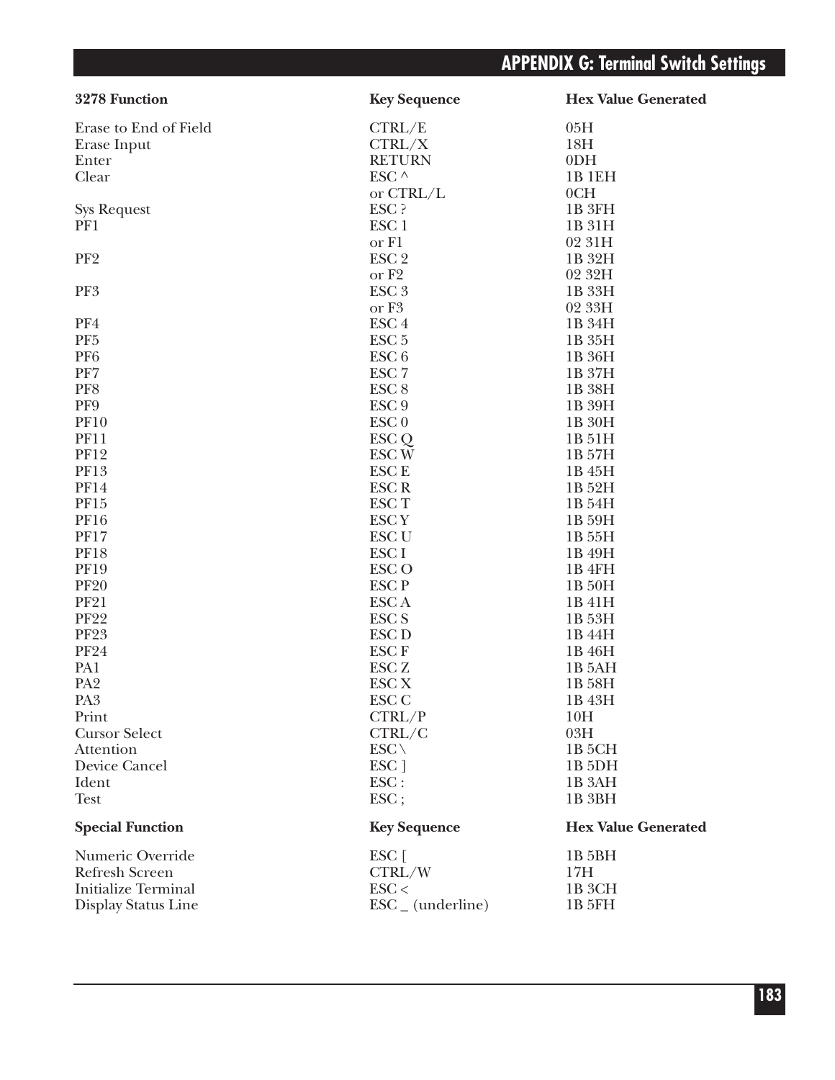| 3278 Function              | <b>Key Sequence</b>             | <b>Hex Value Generated</b> |
|----------------------------|---------------------------------|----------------------------|
| Erase to End of Field      | CTRL/E                          | 05H                        |
| Erase Input                | CTRL/X                          | 18H                        |
| Enter                      | <b>RETURN</b>                   | 0 <sub>DH</sub>            |
| Clear                      | ESC ^                           | 1B 1EH                     |
|                            | or $CTRL/L$                     | 0CH                        |
| <b>Sys Request</b>         | ESC ?                           | 1B 3FH                     |
| PF1                        | ESC <sub>1</sub>                | 1B 31H                     |
|                            | or F1                           | 02 31H                     |
| PF <sub>2</sub>            | ESC <sub>2</sub>                | 1B 32H                     |
|                            | or F <sub>2</sub>               | 02 32H                     |
| PF3                        | ESC <sub>3</sub>                | 1B 33H                     |
|                            | or F <sub>3</sub>               | 02 33H                     |
| PF4                        | ESC <sub>4</sub>                | 1B 34H                     |
| PF <sub>5</sub>            | ESC <sub>5</sub>                | 1B 35H                     |
| PF <sub>6</sub>            | ESC <sub>6</sub>                | 1B 36H                     |
| PF7                        | ESC <sub>7</sub>                | 1B 37H                     |
| PF8                        | ESC <sub>8</sub>                | 1B 38H                     |
| PF9                        | ESC <sub>9</sub>                | 1B 39H                     |
| <b>PF10</b>                | ESC <sub>0</sub>                | 1B 30H                     |
| <b>PF11</b>                |                                 |                            |
| <b>PF12</b>                | ESC Q                           | 1B 51H                     |
| <b>PF13</b>                | ESC <sub>W</sub><br><b>ESCE</b> | 1B 57H                     |
|                            |                                 | 1B 45H                     |
| <b>PF14</b>                | ESC <sub>R</sub>                | 1B 52H                     |
| PF15                       | ESC T                           | 1B 54H                     |
| <b>PF16</b>                | ESC <sub>Y</sub>                | 1B 59H                     |
| <b>PF17</b>                | ESC <sub>U</sub>                | 1B 55H                     |
| <b>PF18</b>                | ESC I                           | 1B 49H                     |
| <b>PF19</b>                | ESC <sub>O</sub>                | 1B 4FH                     |
| <b>PF20</b>                | ESC <sub>P</sub>                | 1B 50H                     |
| <b>PF21</b>                | ESC A                           | 1B 41H                     |
| <b>PF22</b>                | ESC <sub>S</sub>                | 1B 53H                     |
| <b>PF23</b>                | ESC <sub>D</sub>                | 1B 44H                     |
| <b>PF24</b>                | <b>ESCF</b>                     | 1B 46H                     |
| PA1                        | ESC <sub>Z</sub>                | 1B 5AH                     |
| PA <sub>2</sub>            | ESC <sub>X</sub>                | 1B 58H                     |
| PA <sub>3</sub>            | <b>ESC C</b>                    | 1B 43H                     |
| Print                      | CTRL/P                          | 10H                        |
| <b>Cursor Select</b>       | CTRL/C                          | 03H                        |
| Attention                  | $ESC \setminus$                 | 1B <sub>5</sub> CH         |
| <b>Device Cancel</b>       | ESC ]                           | 1B <sub>5DH</sub>          |
| Ident                      | ESC:                            | 1B <sub>3</sub> AH         |
| <b>Test</b>                | ESC;                            | 1B <sub>3BH</sub>          |
| <b>Special Function</b>    | <b>Key Sequence</b>             | <b>Hex Value Generated</b> |
| Numeric Override           | $ESC$ [                         | 1B 5BH                     |
| <b>Refresh Screen</b>      | CTRL/W                          | 17H                        |
| <b>Initialize Terminal</b> | $\text{ESC}$                    | 1B 3CH                     |
| Display Status Line        | $\text{ESC}_{-}$ (underline)    | <b>1B 5FH</b>              |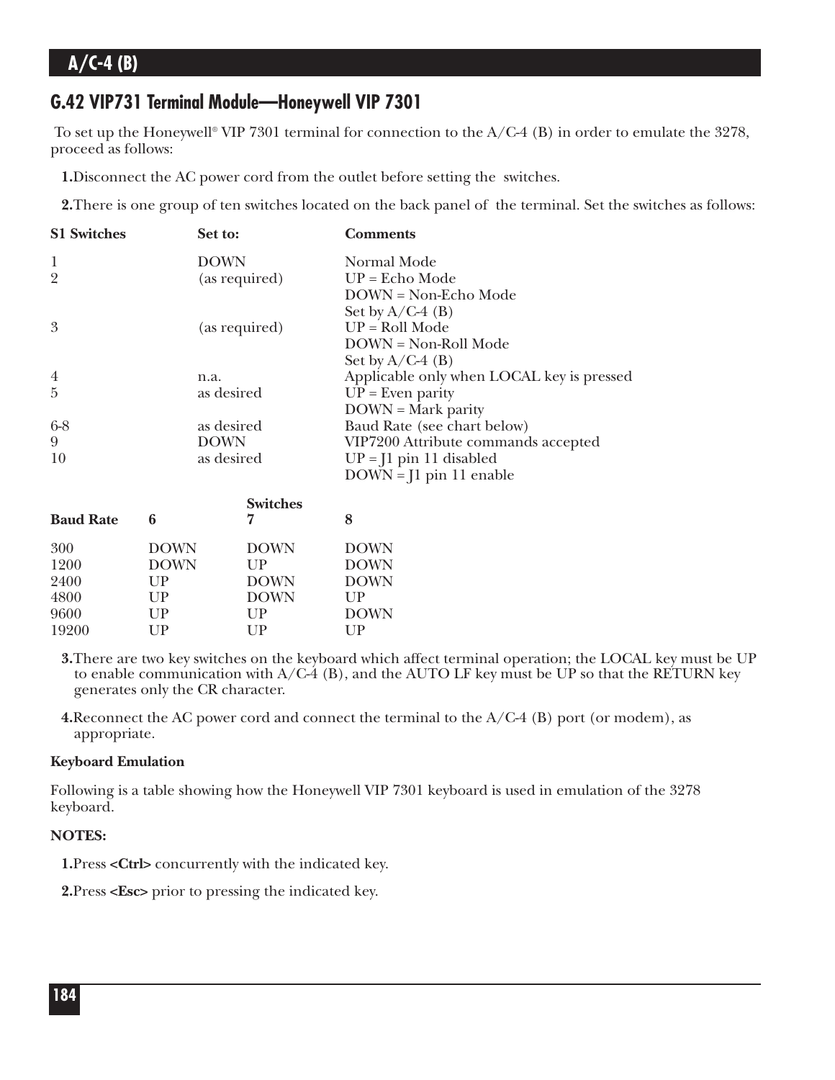### **G.42 VIP731 Terminal Module—Honeywell VIP 7301**

To set up the Honeywell® VIP 7301 terminal for connection to the  $A/C-4$  (B) in order to emulate the 3278, proceed as follows:

**1.**Disconnect the AC power cord from the outlet before setting the switches.

**2.**There is one group of ten switches located on the back panel of the terminal. Set the switches as follows:

| <b>S1 Switches</b> | Set to:       | <b>Comments</b>                           |
|--------------------|---------------|-------------------------------------------|
| 1                  | <b>DOWN</b>   | Normal Mode                               |
| $\overline{2}$     | (as required) | $UP = Echo Mode$                          |
|                    |               | $DOWN = Non-Echo Mode$                    |
|                    |               | Set by $A/C-4$ (B)                        |
| 3                  | (as required) | $UP = Roll Mode$                          |
|                    |               | DOWN = Non-Roll Mode                      |
|                    |               | Set by $A/C-4$ (B)                        |
| $\overline{4}$     | n.a.          | Applicable only when LOCAL key is pressed |
| $\overline{5}$     | as desired    | $UP = Even$ parity                        |
|                    |               | $DOWN = Mark parity$                      |
| $6 - 8$            | as desired    | Baud Rate (see chart below)               |
| 9                  | <b>DOWN</b>   | VIP7200 Attribute commands accepted       |
| 10                 | as desired    | $UP = I1$ pin 11 disabled                 |
|                    |               | $DOWN = J1$ pin 11 enable                 |

| 6           | <b>Switches</b><br>7 | 8            |
|-------------|----------------------|--------------|
| <b>DOWN</b> | <b>DOWN</b>          | <b>DOWN</b>  |
| <b>DOWN</b> | $_{\rm I\, IP}$      | <b>DOWN</b>  |
| UP          | <b>DOWN</b>          | <b>DOWN</b>  |
| UP          | <b>DOWN</b>          | $_{\rm IIP}$ |
| UP          | UP                   | <b>DOWN</b>  |
| UP          | $_{\rm UP}$          | UP           |
|             |                      |              |

**3.**There are two key switches on the keyboard which affect terminal operation; the LOCAL key must be UP to enable communication with  $A/C-4$  (B), and the AUTO LF key must be UP so that the RETURN key generates only the CR character.

**4.**Reconnect the AC power cord and connect the terminal to the A/C-4 (B) port (or modem), as appropriate.

#### **Keyboard Emulation**

Following is a table showing how the Honeywell VIP 7301 keyboard is used in emulation of the 3278 keyboard.

#### **NOTES:**

**1.**Press **<Ctrl>** concurrently with the indicated key.

**2.**Press **<Esc>** prior to pressing the indicated key.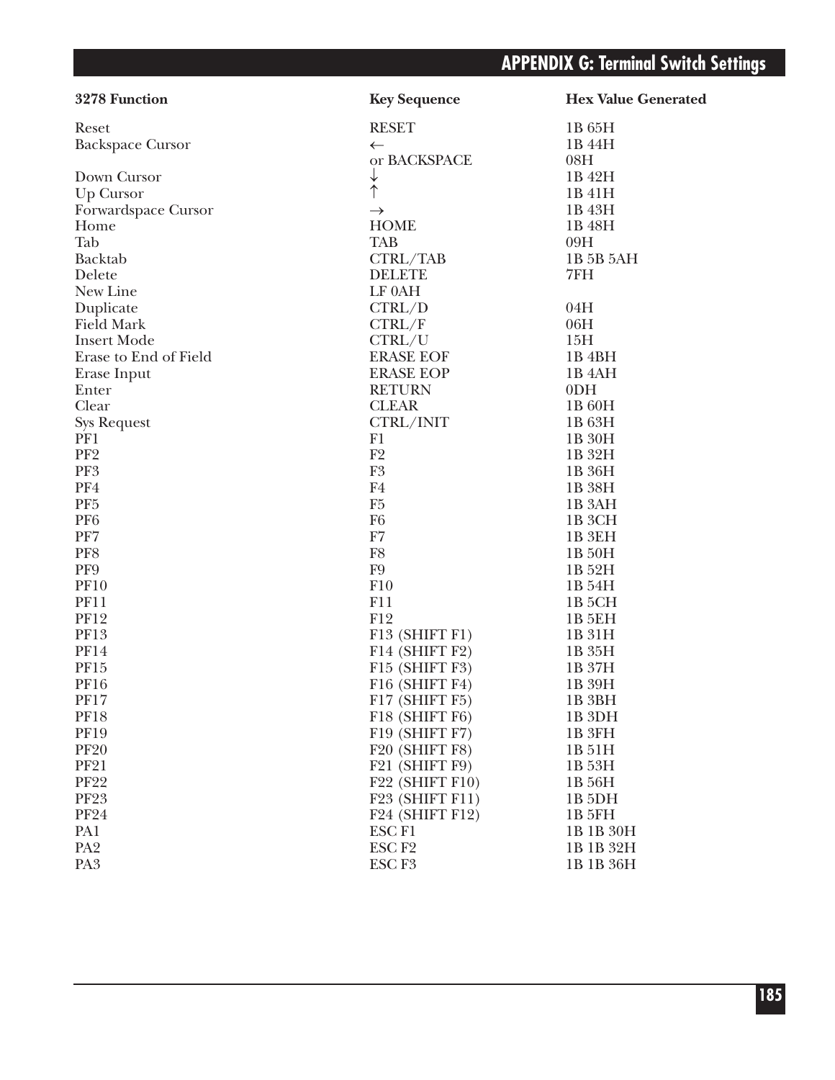| 3278 Function           | <b>Key Sequence</b>                      | <b>Hex Value Generated</b> |
|-------------------------|------------------------------------------|----------------------------|
| Reset                   | <b>RESET</b>                             | 1B 65H                     |
| <b>Backspace Cursor</b> | $\leftarrow$                             | 1B 44H                     |
|                         | or BACKSPACE                             | 08H                        |
| Down Cursor             | ↓<br>个                                   | 1B 42H                     |
| Up Cursor               |                                          | 1B 41H                     |
| Forwardspace Cursor     | $\rightarrow$                            | 1B 43H                     |
| Home                    | <b>HOME</b>                              | 1B 48H                     |
| Tab                     | <b>TAB</b>                               | 09H                        |
| Backtab                 | CTRL/TAB                                 | 1B 5B 5AH                  |
| Delete                  | <b>DELETE</b>                            | 7FH                        |
| New Line                | LF 0AH                                   |                            |
| Duplicate               | CTRL/D                                   | 04H                        |
| <b>Field Mark</b>       | CTRL/F                                   | 06H                        |
| <b>Insert Mode</b>      | CTRL/U                                   | 15H                        |
| Erase to End of Field   | <b>ERASE EOF</b>                         | 1B <sub>4</sub> BH         |
| Erase Input             | <b>ERASE EOP</b>                         | 1B <sub>4</sub> AH         |
| Enter                   | <b>RETURN</b>                            | 0 <sub>DH</sub>            |
| Clear                   | <b>CLEAR</b>                             | 1B 60H                     |
| <b>Sys Request</b>      | CTRL/INIT                                | 1B 63H                     |
| PF1                     | F1                                       | 1B 30H                     |
| PF <sub>2</sub>         | F <sub>2</sub>                           | 1B 32H                     |
| PF3                     | F <sub>3</sub>                           | 1B 36H                     |
| PF4                     | F <sub>4</sub>                           | 1B 38H                     |
| PF <sub>5</sub>         | F <sub>5</sub>                           | 1B 3AH                     |
| PF <sub>6</sub>         | F <sub>6</sub>                           | 1B 3CH                     |
| PF7                     | F7                                       | 1B 3EH                     |
| PF8                     | F8                                       | 1B 50H                     |
| PF9                     | F <sub>9</sub>                           | 1B 52H                     |
| <b>PF10</b>             | F10                                      | 1B 54H                     |
| <b>PF11</b>             | F11                                      | 1B <sub>5</sub> CH         |
| <b>PF12</b>             | F12                                      | 1B 5EH                     |
| <b>PF13</b>             | F13 (SHIFT F1)                           | 1B 31H                     |
| <b>PF14</b>             | F14 (SHIFT F2)                           | 1B 35H                     |
| <b>PF15</b>             | F15 (SHIFT F3)                           | 1B 37H                     |
| <b>PF16</b>             | F16 (SHIFT F4)                           | 1B 39H                     |
| <b>PF17</b>             | F17 (SHIFT F5)                           | 1B <sub>3</sub> BH         |
| <b>PF18</b>             | F18 (SHIFT F6)                           | 1B <sub>3DH</sub>          |
| <b>PF19</b>             | F19 (SHIFT F7)                           | 1B 3FH                     |
| <b>PF20</b>             | F20 (SHIFT F8)                           | 1B 51H                     |
| <b>PF21</b>             | F21 (SHIFT F9)                           | 1B 53H                     |
| <b>PF22</b>             | F22 (SHIFT F10)                          | 1B 56H                     |
| <b>PF23</b>             | F <sub>23</sub> (SHIFT F <sub>11</sub> ) | 1B <sub>5</sub> DH         |
| <b>PF24</b>             | F <sub>24</sub> (SHIFT F <sub>12</sub> ) | <b>1B 5FH</b>              |
| PA1                     | ESC <sub>F1</sub>                        | 1B 1B 30H                  |
| PA <sub>2</sub>         | ESC <sub>F2</sub>                        | 1B 1B 32H                  |
| PA <sub>3</sub>         | ESC <sub>F3</sub>                        | 1B 1B 36H                  |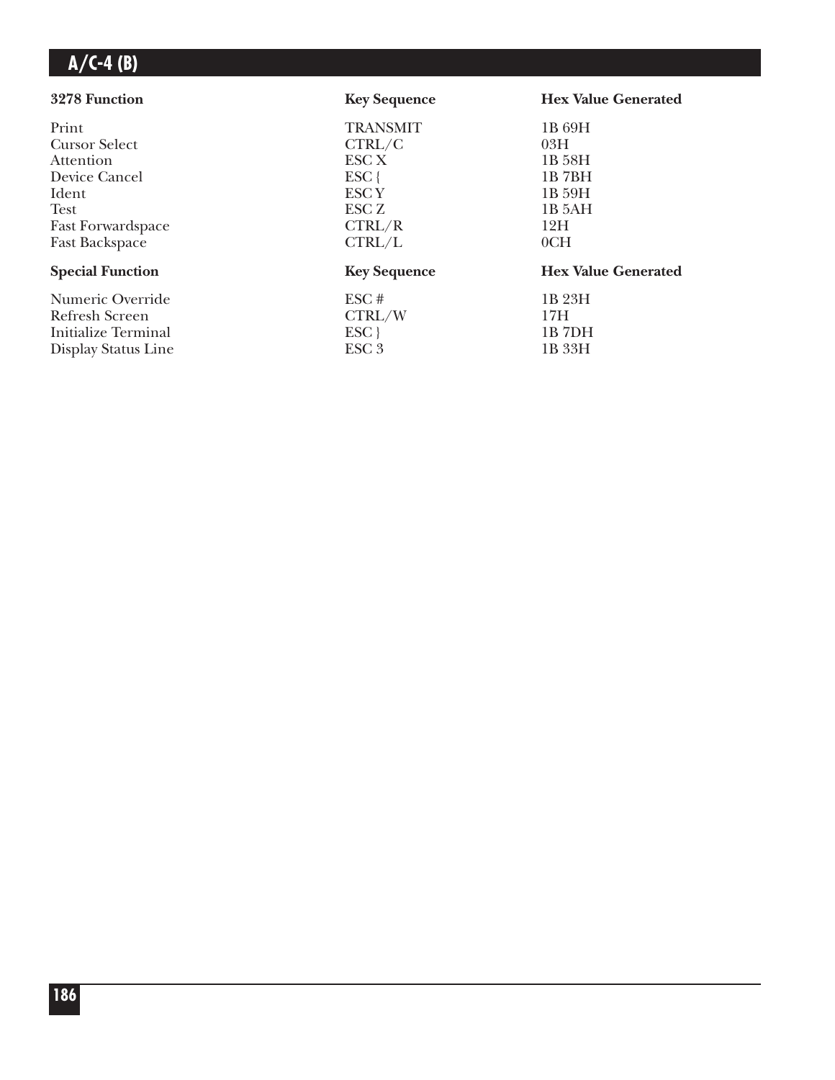| 3278 Function              | <b>Key Sequence</b> | <b>Hex Value Generated</b> |
|----------------------------|---------------------|----------------------------|
| Print                      | <b>TRANSMIT</b>     | 1B 69H                     |
| <b>Cursor Select</b>       | CTRL/C              | 03H                        |
| Attention                  | ESC X               | 1B 58H                     |
| Device Cancel              | $ESC$ {             | 1B7BH                      |
| Ident                      | ESC <sub>Y</sub>    | 1B 59H                     |
| <b>Test</b>                | ESC Z               | 1B <sub>5</sub> AH         |
| <b>Fast Forwardspace</b>   | CTRL/R              | 12H                        |
| <b>Fast Backspace</b>      | CTRL/L              | 0CH                        |
| <b>Special Function</b>    | <b>Key Sequence</b> | <b>Hex Value Generated</b> |
| Numeric Override           | ESC#                | 1B 23H                     |
| Refresh Screen             | CTRL/W              | 17H                        |
| <b>Initialize Terminal</b> | ESC                 | 1B 7DH                     |
| Display Status Line        | ESC <sub>3</sub>    | 1B 33H                     |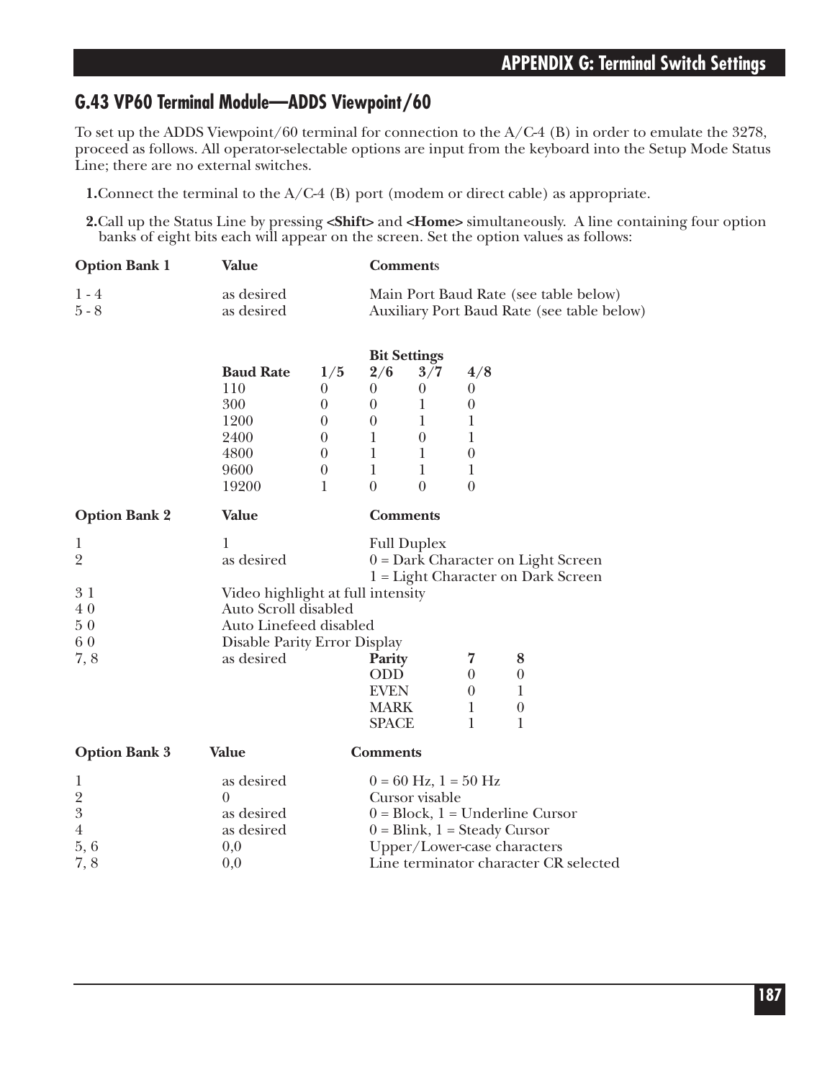### **G.43 VP60 Terminal Module—ADDS Viewpoint/60**

To set up the ADDS Viewpoint/60 terminal for connection to the A/C-4 (B) in order to emulate the 3278, proceed as follows. All operator-selectable options are input from the keyboard into the Setup Mode Status Line; there are no external switches.

**1.**Connect the terminal to the A/C-4 (B) port (modem or direct cable) as appropriate.

**2.**Call up the Status Line by pressing **<Shift>** and **<Home>** simultaneously. A line containing four option banks of eight bits each will appear on the screen. Set the option values as follows:

| <b>Option Bank 1</b> | Value      | <b>Comments</b>                            |
|----------------------|------------|--------------------------------------------|
| $1 - 4$              | as desired | Main Port Baud Rate (see table below)      |
| $5 - 8$              | as desired | Auxiliary Port Baud Rate (see table below) |

|                  | <b>Bit Settings</b> |     |     |     |
|------------------|---------------------|-----|-----|-----|
| <b>Baud Rate</b> | 1/5                 | 2/6 | 3/7 | 4/8 |
| 110              |                     |     | 0   |     |
| 300              |                     | 0   |     |     |
| 1200             |                     |     |     |     |
| 2400             |                     |     |     |     |
| 4800             |                     |     |     |     |
| 9600             |                     |     |     |     |
| 19200            |                     |     |     |     |

| <b>Option Bank 2</b> | Value                        | <b>Comments</b>                   |   |                                      |
|----------------------|------------------------------|-----------------------------------|---|--------------------------------------|
| 1                    | 1                            | <b>Full Duplex</b>                |   |                                      |
| $\overline{2}$       | as desired                   |                                   |   | $0 = Dark Character on Light Screen$ |
|                      |                              |                                   |   | 1 = Light Character on Dark Screen   |
| 31                   |                              | Video highlight at full intensity |   |                                      |
| 40                   | Auto Scroll disabled         |                                   |   |                                      |
| 50                   | Auto Linefeed disabled       |                                   |   |                                      |
| 60                   | Disable Parity Error Display |                                   |   |                                      |
| 7,8                  | as desired                   | Parity                            |   | 8                                    |
|                      |                              | ODD                               |   | $\theta$                             |
|                      |                              | <b>EVEN</b>                       | 0 |                                      |
|                      |                              | <b>MARK</b>                       |   | $\theta$                             |
|                      |                              | <b>SPACE</b>                      |   |                                      |
| <b>Option Bank 3</b> | Value                        | <b>Comments</b>                   |   |                                      |
| 1                    | as desired                   | $0 = 60$ Hz, $1 = 50$ Hz          |   |                                      |
| $\overline{2}$       | $\theta$                     | Cursor visable                    |   |                                      |
| 3                    | as desired                   |                                   |   | $0 = Block, 1 = Underline Cursor$    |

4 as desired  $0 = \text{Blink}, 1 = \text{Steady Cursor}$ <br>5, 6  $0,0$  Dpper/Lower-case characte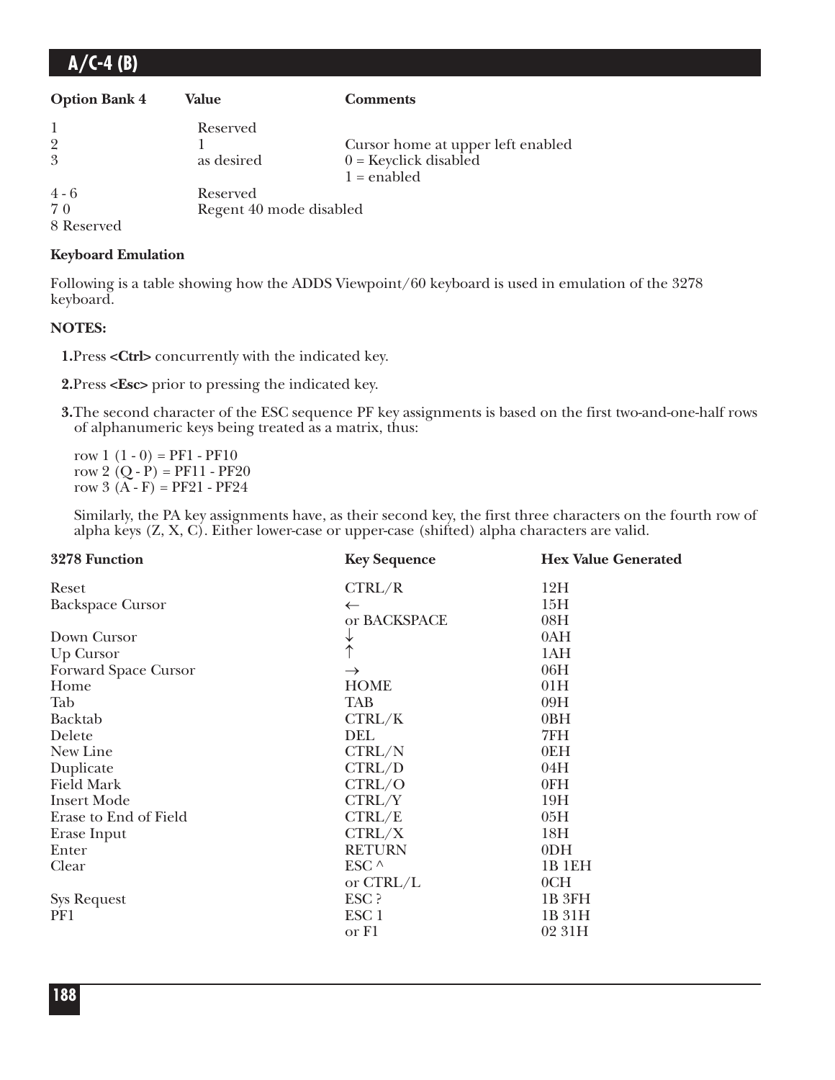| $A/C-4(B)$           |                         |                                   |
|----------------------|-------------------------|-----------------------------------|
| <b>Option Bank 4</b> | Value                   | <b>Comments</b>                   |
|                      | Reserved                |                                   |
| 9                    |                         | Cursor home at upper left enabled |
| 3                    | as desired              | $0 =$ Keyclick disabled           |
|                      |                         | $1 =$ enabled                     |
| $4 - 6$              | Reserved                |                                   |
| 70                   | Regent 40 mode disabled |                                   |
| 8 Reserved           |                         |                                   |

#### **Keyboard Emulation**

Following is a table showing how the ADDS Viewpoint/60 keyboard is used in emulation of the 3278 keyboard.

#### **NOTES:**

**1.**Press **<Ctrl>** concurrently with the indicated key.

**2.**Press **<Esc>** prior to pressing the indicated key.

**3.**The second character of the ESC sequence PF key assignments is based on the first two-and-one-half rows of alphanumeric keys being treated as a matrix, thus:

row  $1(1-0) = PF1 - PF10$ row 2  $(Q - P) = PF11 - PF20$ row  $3(A - F) = PF21 - PF24$ 

Similarly, the PA key assignments have, as their second key, the first three characters on the fourth row of alpha keys (Z, X, C). Either lower-case or upper-case (shifted) alpha characters are valid.

| 3278 Function           | <b>Key Sequence</b> | <b>Hex Value Generated</b> |
|-------------------------|---------------------|----------------------------|
| Reset                   | CTRL/R              | 12H                        |
| <b>Backspace Cursor</b> | $\leftarrow$        | 15H                        |
|                         | or BACKSPACE        | 08H                        |
| Down Cursor             | ↓                   | 0AH                        |
| Up Cursor               | $\uparrow$          | 1AH                        |
| Forward Space Cursor    | $\rightarrow$       | 06H                        |
| Home                    | <b>HOME</b>         | 01H                        |
| Tab                     | <b>TAB</b>          | 09H                        |
| Backtab                 | CTRL/K              | 0BH                        |
| Delete                  | DEL                 | 7FH                        |
| New Line                | CTRL/N              | 0EH                        |
| Duplicate               | CTRL/D              | 04H                        |
| <b>Field Mark</b>       | CTRL/O              | 0FH                        |
| <b>Insert Mode</b>      | CTRL/Y              | 19H                        |
| Erase to End of Field   | CTRL/E              | 05H                        |
| Erase Input             | CTRL/X              | 18H                        |
| Enter                   | <b>RETURN</b>       | 0 <sub>DH</sub>            |
| Clear                   | ESC $\wedge$        | 1B 1EH                     |
|                         | or CTRL/L           | 0CH                        |
| <b>Sys Request</b>      | ESC ?               | 1B <sub>3FH</sub>          |
| PF1                     | ESC <sub>1</sub>    | 1B 31H                     |
|                         | or F1               | 02 31H                     |
|                         |                     |                            |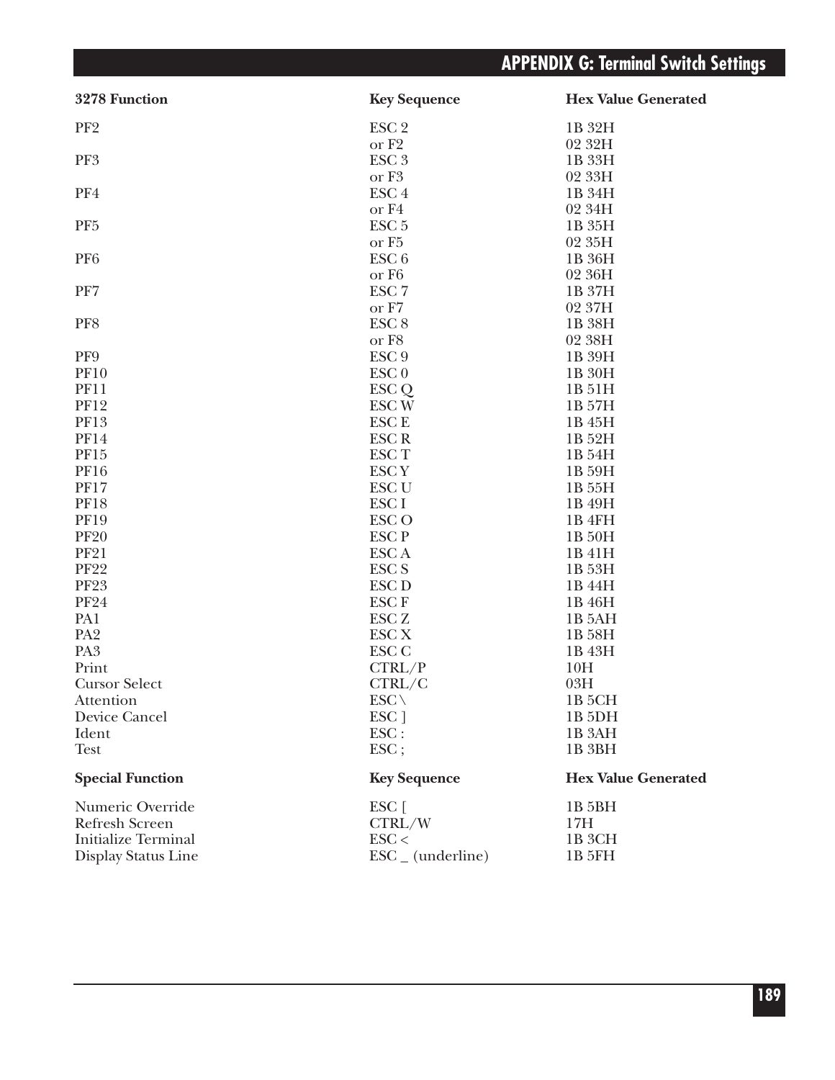# **APPENDIX G: Terminal Switch Settings**

| 3278 Function              | <b>Key Sequence</b>          | <b>Hex Value Generated</b> |
|----------------------------|------------------------------|----------------------------|
| PF <sub>2</sub>            | ESC <sub>2</sub>             | 1B 32H                     |
|                            | or F <sub>2</sub>            | 02 32H                     |
| PF3                        | ESC <sub>3</sub>             | 1B 33H                     |
|                            | or F <sub>3</sub>            | 02 33H                     |
| PF4                        | ESC <sub>4</sub>             | 1B 34H                     |
|                            | or F4                        | 02 34H                     |
| PF <sub>5</sub>            | ESC <sub>5</sub>             | 1B 35H                     |
|                            | or F <sub>5</sub>            | 02 35H                     |
| PF <sub>6</sub>            | ESC <sub>6</sub>             | 1B 36H                     |
|                            | or F <sub>6</sub>            | 02 36H                     |
| PF7                        | ESC <sub>7</sub>             | 1B 37H                     |
|                            | or F7                        | 02 37H                     |
| PF8                        | ESC <sub>8</sub>             | 1B 38H                     |
|                            | or F8                        | 02 38H                     |
| PF9                        | ESC <sub>9</sub>             | 1B 39H                     |
| <b>PF10</b>                | $\text{ESC}$ <sub>0</sub>    | 1B 30H                     |
| <b>PF11</b>                | ESC <sub>Q</sub>             | 1B 51H                     |
| <b>PF12</b>                | <b>ESCW</b>                  | 1B 57H                     |
| <b>PF13</b>                | <b>ESCE</b>                  | 1B 45H                     |
| <b>PF14</b>                | <b>ESCR</b>                  | 1B 52H                     |
| PF15                       | <b>ESCT</b>                  | 1B 54H                     |
| <b>PF16</b>                | <b>ESCY</b>                  | 1B 59H                     |
| <b>PF17</b>                | <b>ESC U</b>                 | 1B 55H                     |
| <b>PF18</b>                | <b>ESCI</b>                  | 1B 49H                     |
| <b>PF19</b>                | ESC <sub>O</sub>             | 1B 4FH                     |
| <b>PF20</b>                | <b>ESCP</b>                  | 1B 50H                     |
| <b>PF21</b>                | <b>ESCA</b>                  | 1B 41H                     |
| <b>PF22</b>                | <b>ESC S</b>                 | 1B 53H                     |
| <b>PF23</b>                | <b>ESC D</b>                 | 1B 44H                     |
| <b>PF24</b>                | <b>ESCF</b>                  | 1B 46H                     |
| PA1                        | ESC <sub>Z</sub>             | 1B 5AH                     |
| PA <sub>2</sub>            | <b>ESC X</b>                 | 1B 58H                     |
| PA <sub>3</sub>            | ESC <sub>C</sub>             | 1B 43H                     |
| Print                      | CTRL/P                       | 10H                        |
| <b>Cursor Select</b>       | CTRL/C                       | 03H                        |
| Attention                  | $\text{ESC} \setminus$       | 1B 5CH                     |
| Device Cancel              | ESC ]                        | 1B <sub>5DH</sub>          |
| Ident                      | ESC:                         | 1B <sub>3</sub> AH         |
| <b>Test</b>                | $\text{ESC}$ ;               | 1B 3BH                     |
| <b>Special Function</b>    | <b>Key Sequence</b>          | <b>Hex Value Generated</b> |
| Numeric Override           | ESC [                        | 1B 5BH                     |
| <b>Refresh Screen</b>      | CTRL/W                       | 17H                        |
| <b>Initialize Terminal</b> | $\text{ESC}$                 | 1B 3CH                     |
| Display Status Line        | $\text{ESC}_{-}$ (underline) | 1B 5FH                     |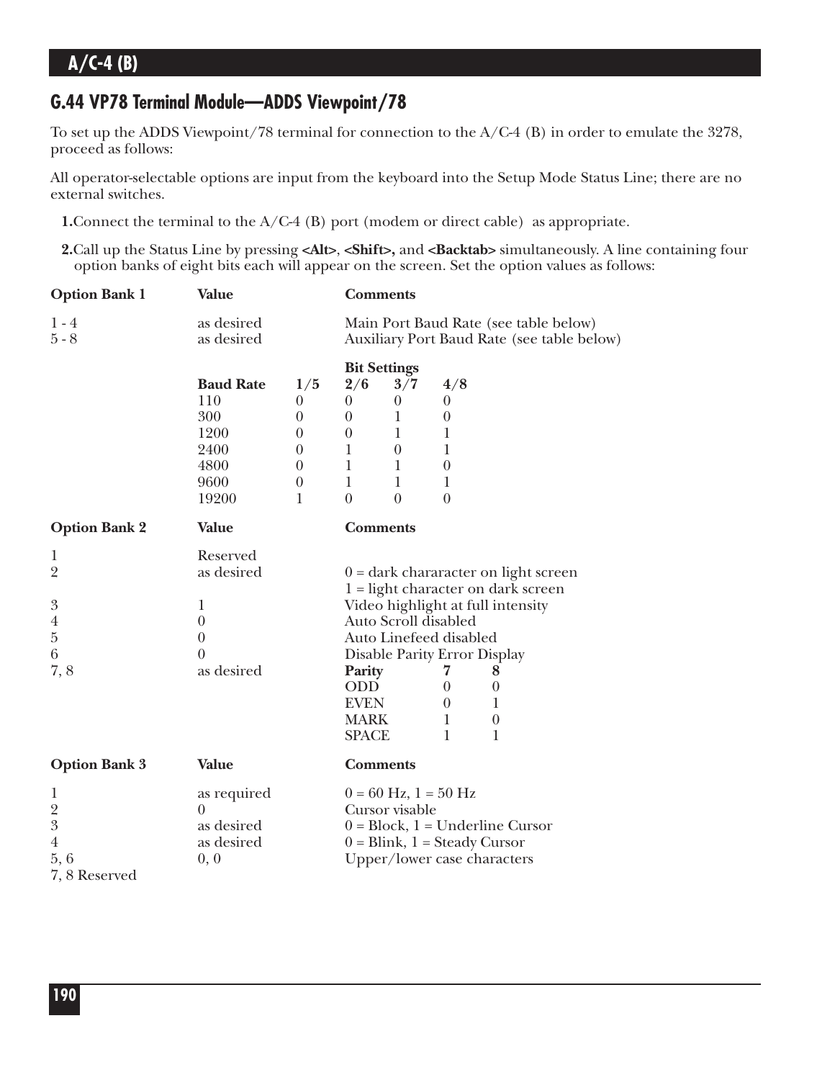## **G.44 VP78 Terminal Module—ADDS Viewpoint/78**

To set up the ADDS Viewpoint/78 terminal for connection to the A/C-4 (B) in order to emulate the 3278, proceed as follows:

All operator-selectable options are input from the keyboard into the Setup Mode Status Line; there are no external switches.

**1.**Connect the terminal to the A/C-4 (B) port (modem or direct cable) as appropriate.

**2.**Call up the Status Line by pressing **<Alt>**, **<Shift>,** and **<Backtab>** simultaneously. A line containing four option banks of eight bits each will appear on the screen. Set the option values as follows:

| <b>Option Bank 1</b>                                                                            | <b>Value</b>                                                                                            |                                                                                                    | <b>Comments</b>                                                                                                                                 |                                                                                                                         |                                                                                                                  |                                                                                                                                                                          |
|-------------------------------------------------------------------------------------------------|---------------------------------------------------------------------------------------------------------|----------------------------------------------------------------------------------------------------|-------------------------------------------------------------------------------------------------------------------------------------------------|-------------------------------------------------------------------------------------------------------------------------|------------------------------------------------------------------------------------------------------------------|--------------------------------------------------------------------------------------------------------------------------------------------------------------------------|
| $1 - 4$<br>$5 - 8$                                                                              | as desired<br>as desired                                                                                |                                                                                                    | Main Port Baud Rate (see table below)<br>Auxiliary Port Baud Rate (see table below)                                                             |                                                                                                                         |                                                                                                                  |                                                                                                                                                                          |
|                                                                                                 | <b>Baud Rate</b><br>110<br>300<br>1200<br>2400<br>4800<br>9600<br>19200                                 | 1/5<br>$\theta$<br>$\overline{0}$<br>$\theta$<br>$\theta$<br>$\overline{0}$<br>$\overline{0}$<br>1 | <b>Bit Settings</b><br>2/6<br>$\boldsymbol{0}$<br>$\boldsymbol{0}$<br>$\boldsymbol{0}$<br>$\mathbf{1}$<br>$\mathbf{1}$<br>1<br>$\boldsymbol{0}$ | 3/7<br>$\boldsymbol{0}$<br>$\mathbf{1}$<br>$\mathbf{1}$<br>$\boldsymbol{0}$<br>$\mathbf{1}$<br>$\mathbf{1}$<br>$\theta$ | 4/8<br>$\boldsymbol{0}$<br>$\boldsymbol{0}$<br>1<br>$\mathbf{1}$<br>$\boldsymbol{0}$<br>$\mathbf{1}$<br>$\theta$ |                                                                                                                                                                          |
| <b>Option Bank 2</b>                                                                            | Value                                                                                                   |                                                                                                    | <b>Comments</b>                                                                                                                                 |                                                                                                                         |                                                                                                                  |                                                                                                                                                                          |
| 1<br>$\overline{2}$<br>$\boldsymbol{\mathrm{3}}$<br>$\overline{4}$<br>$\bf 5$<br>$\,6\,$<br>7,8 | Reserved<br>as desired<br>$\mathbf 1$<br>$\boldsymbol{0}$<br>$\boldsymbol{0}$<br>$\theta$<br>as desired |                                                                                                    | Parity<br><b>ODD</b><br><b>EVEN</b><br><b>MARK</b><br><b>SPACE</b>                                                                              | Auto Scroll disabled<br>Auto Linefeed disabled<br>Disable Parity Error Display                                          | 7<br>$\overline{0}$<br>$\boldsymbol{0}$<br>$\mathbf{1}$<br>1                                                     | $0 =$ dark character on light screen<br>$1 =$ light character on dark screen<br>Video highlight at full intensity<br>8<br>$\boldsymbol{0}$<br>1<br>$\boldsymbol{0}$<br>1 |
| <b>Option Bank 3</b>                                                                            | <b>Value</b>                                                                                            |                                                                                                    | <b>Comments</b>                                                                                                                                 |                                                                                                                         |                                                                                                                  |                                                                                                                                                                          |
| 1<br>$\overline{2}$<br>$\boldsymbol{3}$<br>$\overline{4}$<br>5, 6<br>7, 8 Reserved              | as required<br>$\boldsymbol{0}$<br>as desired<br>as desired<br>0, 0                                     |                                                                                                    |                                                                                                                                                 | $0 = 60$ Hz, $1 = 50$ Hz<br>Cursor visable<br>$0 = \text{Blink}, 1 = \text{Steady Cursor}$                              |                                                                                                                  | $0 = Block, 1 = Underline Cursor$<br>Upper/lower case characters                                                                                                         |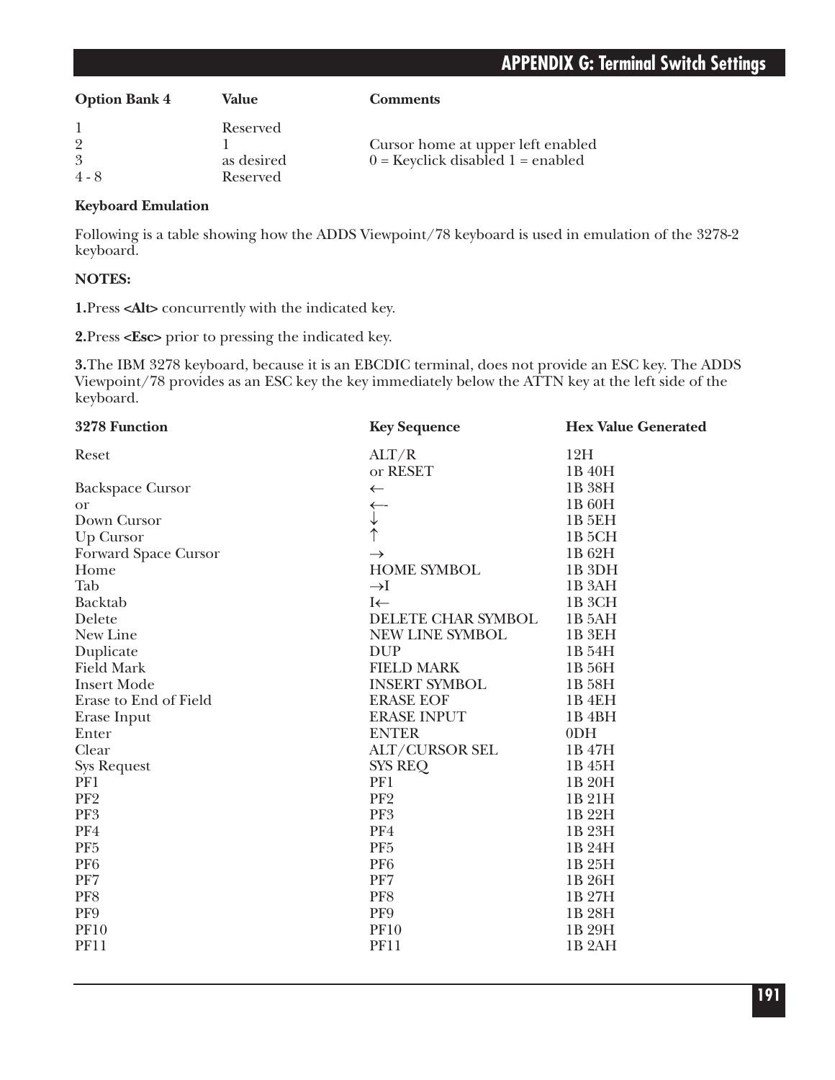# **APPENDIX G: Terminal Switch Settings**

| <b>Option Bank 4</b>           | Value                              | <b>Comments</b>                                                            |
|--------------------------------|------------------------------------|----------------------------------------------------------------------------|
| $\overline{2}$<br>3<br>$4 - 8$ | Reserved<br>as desired<br>Reserved | Cursor home at upper left enabled<br>$0 =$ Keyclick disabled $1 =$ enabled |

#### **Keyboard Emulation**

Following is a table showing how the ADDS Viewpoint/78 keyboard is used in emulation of the 3278-2 keyboard.

#### **NOTES:**

**1.**Press **<Alt>** concurrently with the indicated key.

**2.**Press **<Esc>** prior to pressing the indicated key.

**3.**The IBM 3278 keyboard, because it is an EBCDIC terminal, does not provide an ESC key. The ADDS Viewpoint/78 provides as an ESC key the key immediately below the ATTN key at the left side of the keyboard.

| 3278 Function           | <b>Key Sequence</b>   | <b>Hex Value Generated</b> |
|-------------------------|-----------------------|----------------------------|
| Reset                   | ALT/R                 | 12H                        |
|                         | or RESET              | 1B 40H                     |
| <b>Backspace Cursor</b> | $\leftarrow$          | 1B 38H                     |
| <b>or</b>               | ←                     | 1B 60H                     |
| Down Cursor             | $\downarrow$          | <b>1B 5EH</b>              |
| Up Cursor               |                       | 1B <sub>5</sub> CH         |
| Forward Space Cursor    | $\rightarrow$         | 1B 62H                     |
| Home                    | <b>HOME SYMBOL</b>    | 1B <sub>3DH</sub>          |
| Tab                     | $\rightarrow$ I       | 1B <sub>3</sub> AH         |
| Backtab                 | $I \leftarrow$        | 1B <sub>3</sub> CH         |
| Delete                  | DELETE CHAR SYMBOL    | 1B 5AH                     |
| New Line                | NEW LINE SYMBOL       | 1B <sub>3EH</sub>          |
| Duplicate               | <b>DUP</b>            | 1B 54H                     |
| <b>Field Mark</b>       | <b>FIELD MARK</b>     | 1B 56H                     |
| <b>Insert Mode</b>      | <b>INSERT SYMBOL</b>  | 1B 58H                     |
| Erase to End of Field   | <b>ERASE EOF</b>      | 1B <sub>4EH</sub>          |
| Erase Input             | <b>ERASE INPUT</b>    | 1B <sub>4</sub> BH         |
| Enter                   | <b>ENTER</b>          | 0 <sub>DH</sub>            |
| Clear                   | <b>ALT/CURSOR SEL</b> | 1B 47H                     |
| <b>Sys Request</b>      | <b>SYS REQ</b>        | 1B 45H                     |
| PF1                     | PF1                   | 1B 20H                     |
| PF <sub>2</sub>         | PF <sub>2</sub>       | 1B 21H                     |
| PF3                     | PF3                   | 1B 22H                     |
| PF4                     | PF4                   | 1B 23H                     |
| PF <sub>5</sub>         | PF <sub>5</sub>       | 1B 24H                     |
| PF <sub>6</sub>         | PF <sub>6</sub>       | 1B 25H                     |
| PF7                     | PF7                   | 1B 26H                     |
| PF8                     | PF8                   | 1B 27H                     |
| PF9                     | PF9                   | 1B 28H                     |
| <b>PF10</b>             | <b>PF10</b>           | 1B 29H                     |
| <b>PF11</b>             | <b>PF11</b>           | 1B <sub>2</sub> AH         |
|                         |                       |                            |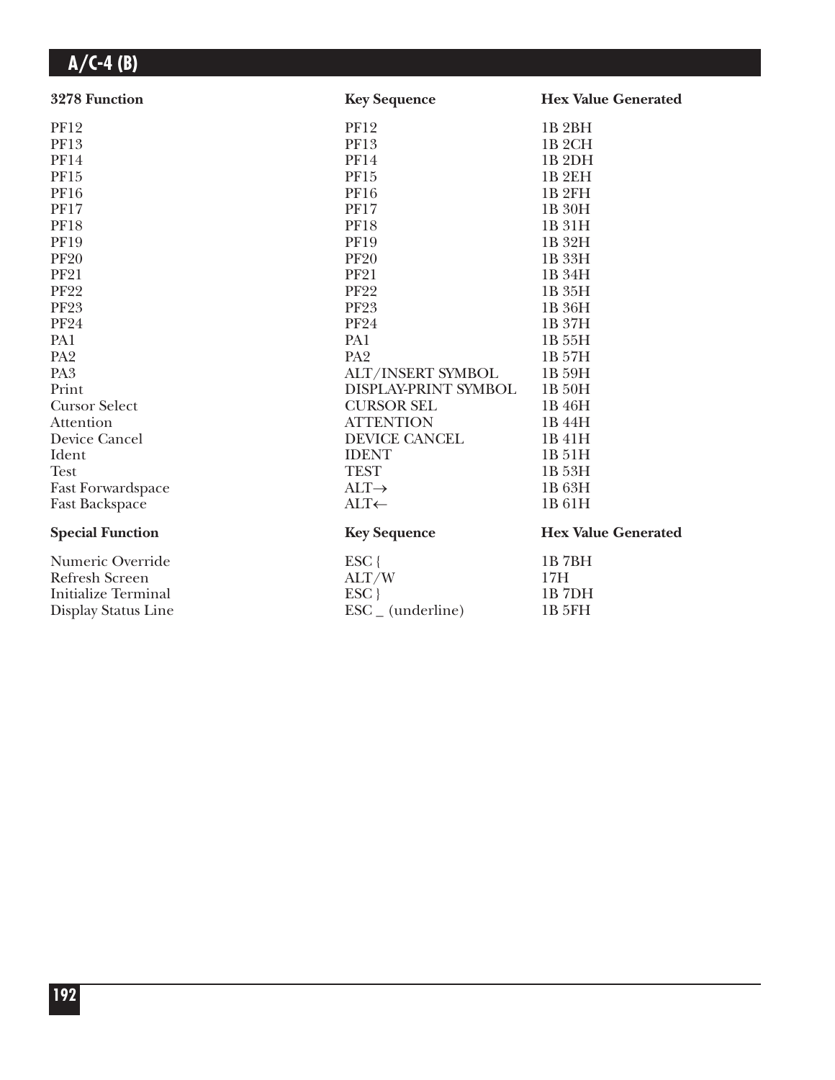| 3278 Function              | <b>Key Sequence</b>          | <b>Hex Value Generated</b> |
|----------------------------|------------------------------|----------------------------|
| <b>PF12</b>                | <b>PF12</b>                  | 1B <sub>2BH</sub>          |
| PF13                       | PF13                         | 1B <sub>2</sub> CH         |
| <b>PF14</b>                | <b>PF14</b>                  | 1B <sub>2</sub> DH         |
| PF15                       | <b>PF15</b>                  | 1B <sub>2EH</sub>          |
| <b>PF16</b>                | <b>PF16</b>                  | <b>1B2FH</b>               |
| <b>PF17</b>                | <b>PF17</b>                  | 1B 30H                     |
| <b>PF18</b>                | <b>PF18</b>                  | 1B 31H                     |
| <b>PF19</b>                | <b>PF19</b>                  | 1B 32H                     |
| <b>PF20</b>                | <b>PF20</b>                  | 1B 33H                     |
| <b>PF21</b>                | <b>PF21</b>                  | 1B 34H                     |
| <b>PF22</b>                | <b>PF22</b>                  | 1B 35H                     |
| <b>PF23</b>                | <b>PF23</b>                  | 1B 36H                     |
| <b>PF24</b>                | <b>PF24</b>                  | 1B 37H                     |
| PA1                        | PA1                          | 1B 55H                     |
| PA <sub>2</sub>            | PA <sub>2</sub>              | 1B 57H                     |
| PA <sub>3</sub>            | ALT/INSERT SYMBOL            | 1B 59H                     |
| Print                      | DISPLAY-PRINT SYMBOL         | 1B 50H                     |
| <b>Cursor Select</b>       | <b>CURSOR SEL</b>            | 1B 46H                     |
| Attention                  | <b>ATTENTION</b>             | 1B 44H                     |
| Device Cancel              | DEVICE CANCEL                | 1B 41H                     |
| Ident                      | <b>IDENT</b>                 | 1B 51H                     |
| <b>Test</b>                | <b>TEST</b>                  | 1B 53H                     |
| <b>Fast Forwardspace</b>   | $ALT \rightarrow$            | 1B 63H                     |
| <b>Fast Backspace</b>      | ALT←                         | 1B 61H                     |
| <b>Special Function</b>    | <b>Key Sequence</b>          | <b>Hex Value Generated</b> |
| Numeric Override           | $ESC$ {                      | 1B7BH                      |
| <b>Refresh Screen</b>      | ALT/W                        | 17H                        |
| <b>Initialize Terminal</b> | ESC                          | 1B7DH                      |
| Display Status Line        | $\text{ESC}_{-}$ (underline) | <b>1B 5FH</b>              |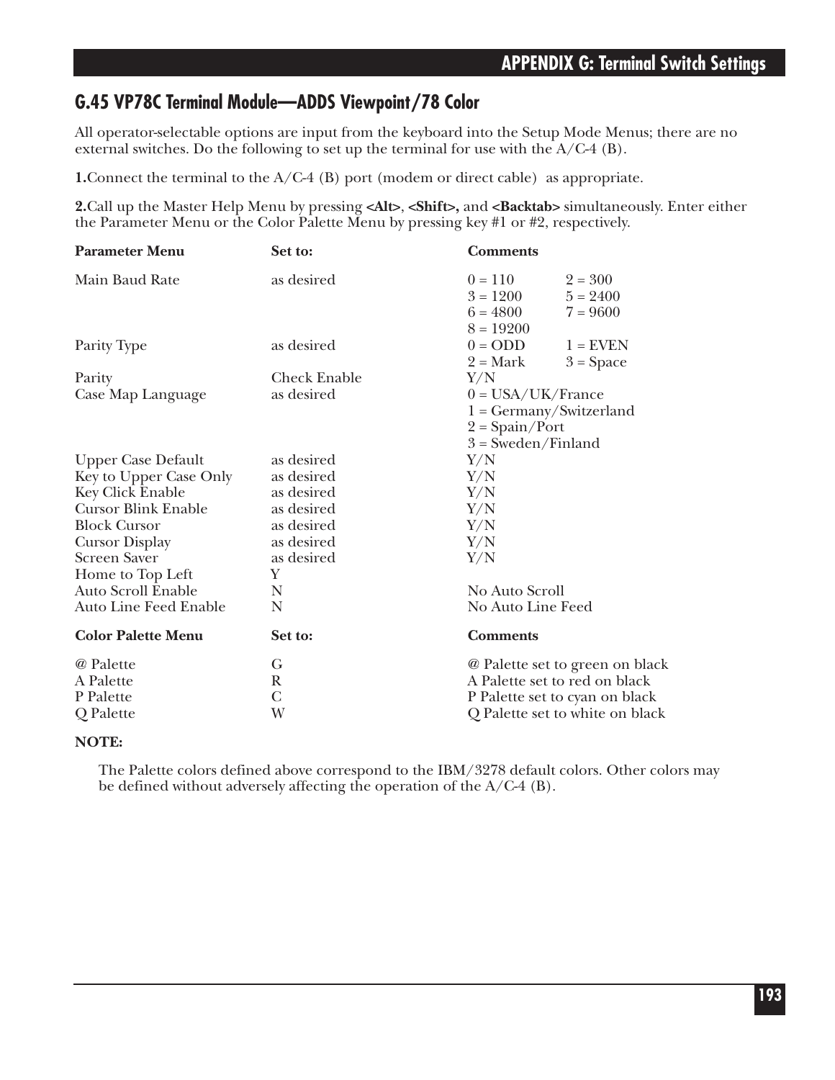#### **G.45 VP78C Terminal Module—ADDS Viewpoint/78 Color**

All operator-selectable options are input from the keyboard into the Setup Mode Menus; there are no external switches. Do the following to set up the terminal for use with the  $A/C4$  (B).

**1.**Connect the terminal to the A/C-4 (B) port (modem or direct cable) as appropriate.

**2.**Call up the Master Help Menu by pressing **<Alt>**, **<Shift>,** and **<Backtab>** simultaneously. Enter either the Parameter Menu or the Color Palette Menu by pressing key #1 or #2, respectively.

| $2 = 300$<br>$5 = 2400$         |
|---------------------------------|
| $7 = 9600$                      |
|                                 |
| $1 =$ EVEN                      |
| $3 = Space$                     |
|                                 |
|                                 |
| $1 = Germany/Switzerland$       |
|                                 |
|                                 |
|                                 |
|                                 |
|                                 |
|                                 |
|                                 |
|                                 |
|                                 |
|                                 |
|                                 |
|                                 |
|                                 |
| @ Palette set to green on black |
| A Palette set to red on black   |
| P Palette set to cyan on black  |
| Q Palette set to white on black |
|                                 |

#### **NOTE:**

The Palette colors defined above correspond to the IBM/3278 default colors. Other colors may be defined without adversely affecting the operation of the A/C-4 (B).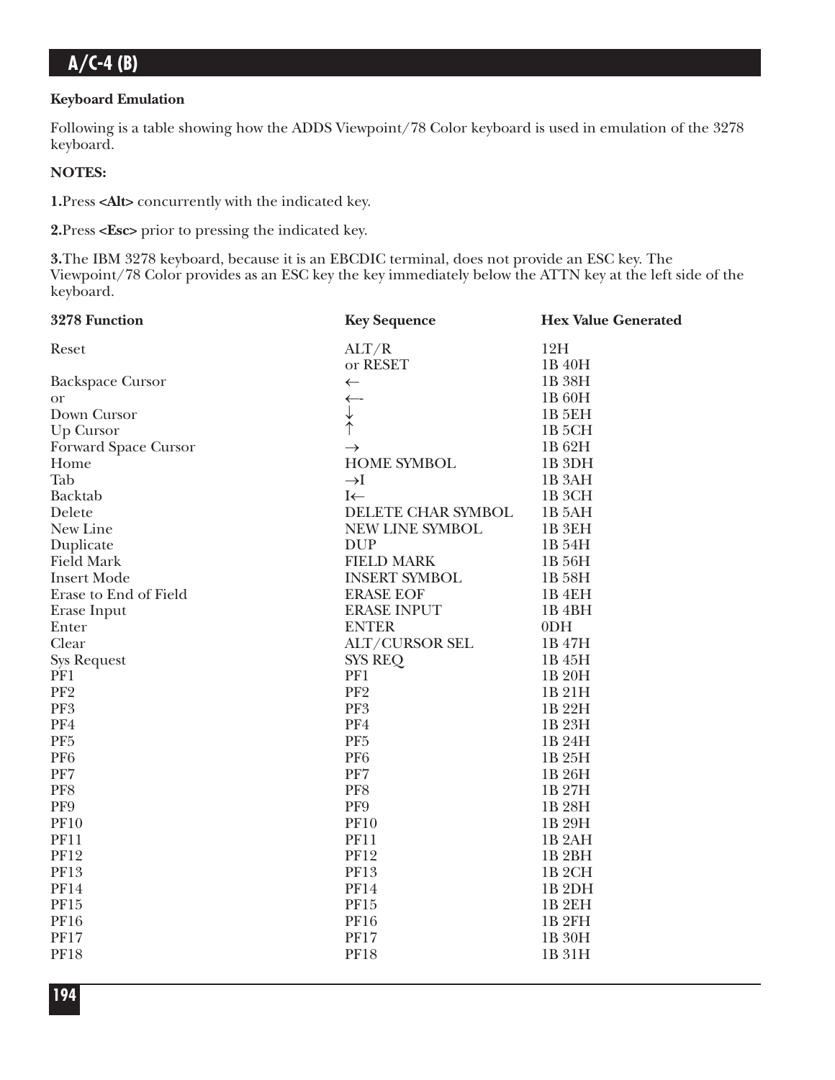#### **Keyboard Emulation**

Following is a table showing how the ADDS Viewpoint/78 Color keyboard is used in emulation of the 3278 keyboard.

#### **NOTES:**

**1.**Press **<Alt>** concurrently with the indicated key.

**2.**Press **<Esc>** prior to pressing the indicated key.

**3.**The IBM 3278 keyboard, because it is an EBCDIC terminal, does not provide an ESC key. The Viewpoint/78 Color provides as an ESC key the key immediately below the ATTN key at the left side of the keyboard.

| 3278 Function           | <b>Key Sequence</b>   | <b>Hex Value Generated</b> |
|-------------------------|-----------------------|----------------------------|
| Reset                   | ALT/R                 | 12H                        |
|                         | or RESET              | 1B 40H                     |
| <b>Backspace Cursor</b> | $\leftarrow$          | 1B 38H                     |
| <b>or</b>               | $\leftarrow$          | 1B 60H                     |
| Down Cursor             |                       | 1B <sub>5EH</sub>          |
| Up Cursor               | $\uparrow$            | 1B 5CH                     |
| Forward Space Cursor    | $\rightarrow$         | 1B 62H                     |
| Home                    | <b>HOME SYMBOL</b>    | 1B <sub>3DH</sub>          |
| Tab                     | $\rightarrow$ I       | 1B <sub>3</sub> AH         |
| Backtab                 | $I \leftarrow$        | 1B <sub>3</sub> CH         |
| Delete                  | DELETE CHAR SYMBOL    | 1B 5AH                     |
| New Line                | NEW LINE SYMBOL       | 1B <sub>3EH</sub>          |
| Duplicate               | <b>DUP</b>            | 1B 54H                     |
| <b>Field Mark</b>       | <b>FIELD MARK</b>     | 1B 56H                     |
| <b>Insert Mode</b>      | <b>INSERT SYMBOL</b>  | 1B 58H                     |
| Erase to End of Field   | <b>ERASE EOF</b>      | 1B <sub>4EH</sub>          |
| Erase Input             | <b>ERASE INPUT</b>    | 1B <sub>4</sub> BH         |
| Enter                   | <b>ENTER</b>          | 0 <sub>DH</sub>            |
| Clear                   | <b>ALT/CURSOR SEL</b> | 1B 47H                     |
| <b>Sys Request</b>      | <b>SYS REQ</b>        | 1B 45H                     |
| PF1                     | PF1                   | 1B 20H                     |
| PF <sub>2</sub>         | PF <sub>2</sub>       | 1B 21H                     |
| PF3                     | PF <sub>3</sub>       | 1B 22H                     |
| PF4                     | PF4                   | 1B 23H                     |
| PF <sub>5</sub>         | PF <sub>5</sub>       | 1B 24H                     |
| PF <sub>6</sub>         | PF <sub>6</sub>       | 1B 25H                     |
| PF7                     | PF7                   | 1B 26H                     |
| PF8                     | PF8                   | 1B 27H                     |
| PF9                     | PF9                   | 1B 28H                     |
| <b>PF10</b>             | <b>PF10</b>           | 1B 29H                     |
| <b>PF11</b>             | <b>PF11</b>           | 1B <sub>2</sub> AH         |
| <b>PF12</b>             | <b>PF12</b>           | 1B <sub>2BH</sub>          |
| <b>PF13</b>             | <b>PF13</b>           | 1B <sub>2</sub> CH         |
| <b>PF14</b>             | <b>PF14</b>           | 1B <sub>2DH</sub>          |
| PF15                    | PF15                  | 1B <sub>2EH</sub>          |
| <b>PF16</b>             | <b>PF16</b>           | 1B <sub>2FH</sub>          |
| <b>PF17</b>             | <b>PF17</b>           | 1B 30H                     |
| <b>PF18</b>             | <b>PF18</b>           | 1B 31H                     |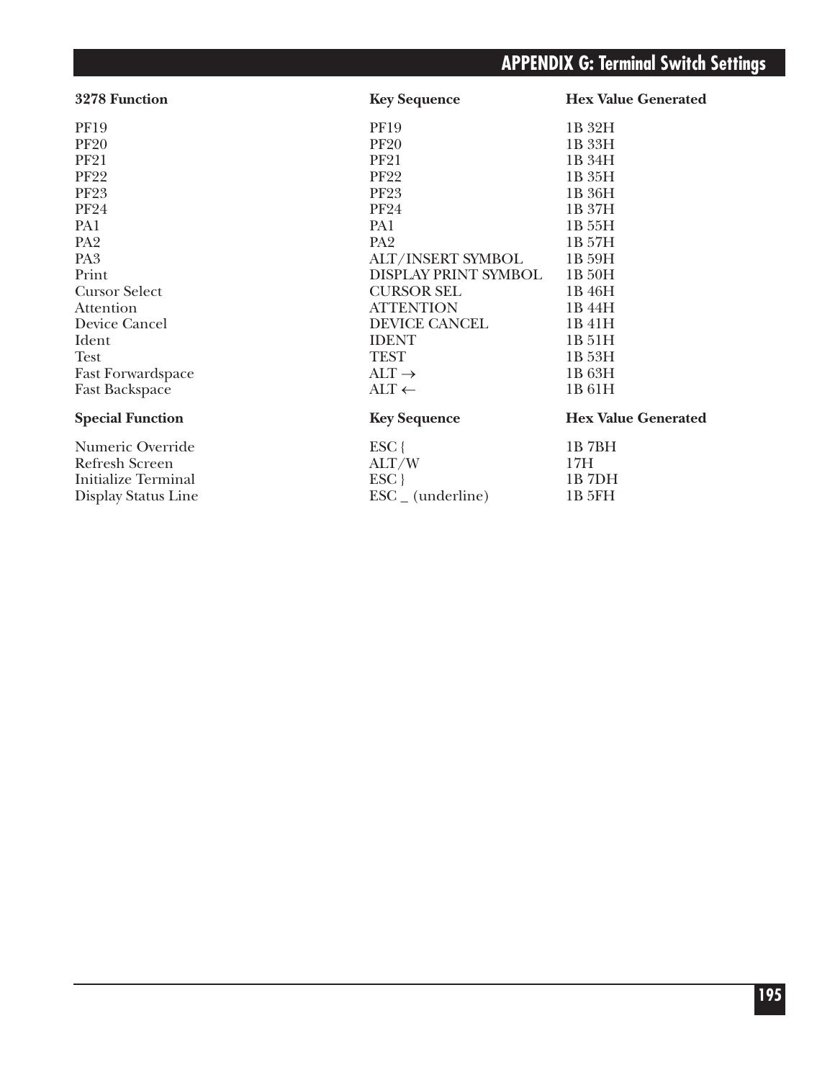# **APPENDIX G: Terminal Switch Settings**

| 3278 Function              | <b>Key Sequence</b>          | <b>Hex Value Generated</b> |
|----------------------------|------------------------------|----------------------------|
| <b>PF19</b>                | <b>PF19</b>                  | 1B 32H                     |
| <b>PF20</b>                | <b>PF20</b>                  | 1B 33H                     |
| <b>PF21</b>                | <b>PF21</b>                  | 1B 34H                     |
| <b>PF22</b>                | <b>PF22</b>                  | 1B 35H                     |
| <b>PF23</b>                | <b>PF23</b>                  | 1B 36H                     |
| <b>PF24</b>                | <b>PF24</b>                  | 1B 37H                     |
| PA1                        | PA1                          | 1B 55H                     |
| PA <sub>2</sub>            | PA <sub>2</sub>              | 1B 57H                     |
| PA <sub>3</sub>            | <b>ALT/INSERT SYMBOL</b>     | 1B 59H                     |
| Print                      | DISPLAY PRINT SYMBOL         | 1B 50H                     |
| <b>Cursor Select</b>       | <b>CURSOR SEL</b>            | 1B 46H                     |
| Attention                  | <b>ATTENTION</b>             | 1B 44H                     |
| Device Cancel              | DEVICE CANCEL                | 1B 41H                     |
| Ident                      | <b>IDENT</b>                 | 1B 51H                     |
| Test                       | <b>TEST</b>                  | 1B 53H                     |
| <b>Fast Forwardspace</b>   | $ALT \rightarrow$            | 1B 63H                     |
| <b>Fast Backspace</b>      | $\text{ALT} \leftarrow$      | 1B 61H                     |
| <b>Special Function</b>    | <b>Key Sequence</b>          | <b>Hex Value Generated</b> |
| Numeric Override           | $ESC$ {                      | 1B7BH                      |
| Refresh Screen             | ALT/W                        | 17H                        |
| <b>Initialize Terminal</b> | ESC                          | 1B7DH                      |
| Display Status Line        | $\text{ESC}_{-}$ (underline) | 1B 5FH                     |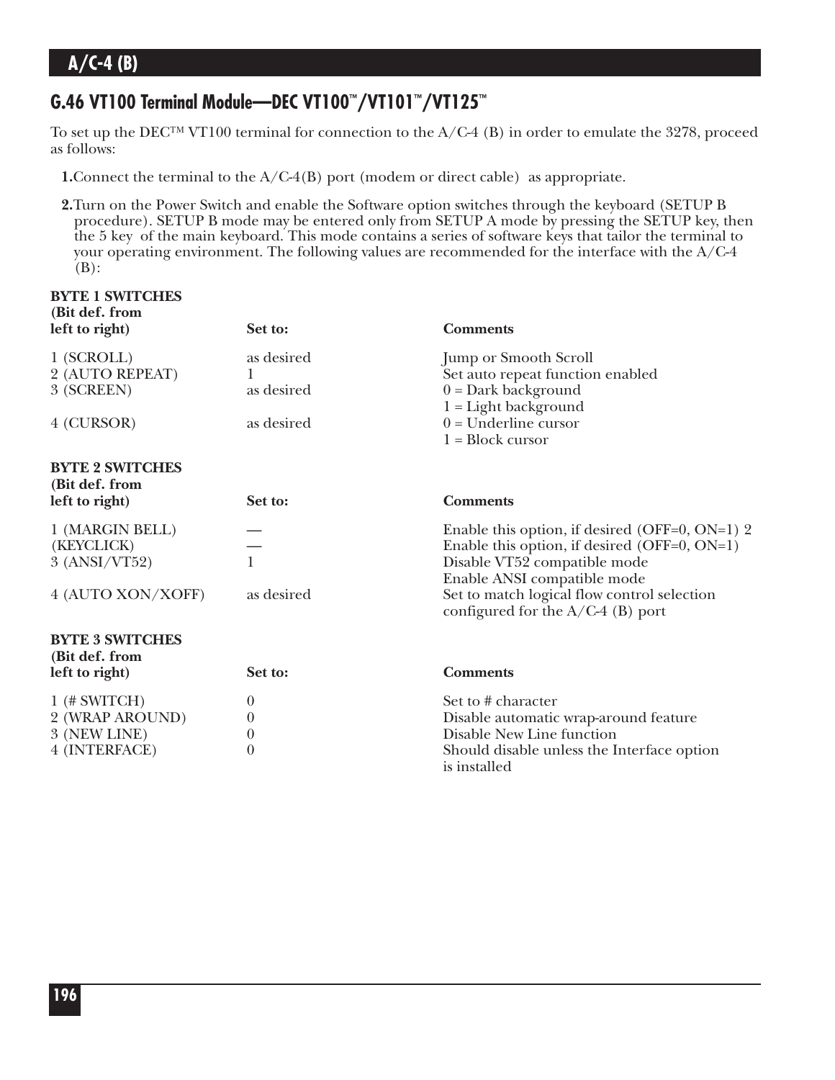# **G.46 VT100 Terminal Module—DEC VT100™/VT101™/VT125™**

To set up the DEC™ VT100 terminal for connection to the A/C-4 (B) in order to emulate the 3278, proceed as follows:

**1.** Connect the terminal to the A/C-4(B) port (modem or direct cable) as appropriate.

**2.**Turn on the Power Switch and enable the Software option switches through the keyboard (SETUP B procedure). SETUP B mode may be entered only from SETUP A mode by pressing the SETUP key, then the 5 key of the main keyboard. This mode contains a series of software keys that tailor the terminal to your operating environment. The following values are recommended for the interface with the A/C-4 (B):

| <b>BYTE 1 SWITCHES</b><br>(Bit def. from<br>left to right) | Set to:    | <b>Comments</b>                                                                    |
|------------------------------------------------------------|------------|------------------------------------------------------------------------------------|
| 1 (SCROLL)                                                 | as desired | <b>Jump or Smooth Scroll</b>                                                       |
| 2 (AUTO REPEAT)                                            |            | Set auto repeat function enabled                                                   |
| 3 (SCREEN)                                                 | as desired | $0 = Dark background$                                                              |
| 4 (CURSOR)                                                 | as desired | $1 =$ Light background<br>$0 =$ Underline cursor                                   |
|                                                            |            | $1 = Block cursor$                                                                 |
| <b>BYTE 2 SWITCHES</b><br>(Bit def. from<br>left to right) | Set to:    | <b>Comments</b>                                                                    |
| 1 (MARGIN BELL)                                            |            | Enable this option, if desired (OFF=0, ON=1) 2                                     |
| (KEYCLICK)                                                 |            | Enable this option, if desired (OFF=0, $ON=1$ )                                    |
| 3 (ANSI/VT52)                                              | 1          | Disable VT52 compatible mode                                                       |
|                                                            |            | Enable ANSI compatible mode                                                        |
| 4 (AUTO XON/XOFF)                                          | as desired | Set to match logical flow control selection<br>configured for the $A/C-4$ (B) port |
| <b>BYTE 3 SWITCHES</b><br>(Bit def. from                   |            |                                                                                    |
| left to right)                                             | Set to:    | <b>Comments</b>                                                                    |
| $1$ (# SWITCH)                                             | $\theta$   | Set to # character                                                                 |
| 2 (WRAP AROUND)                                            | $\theta$   | Disable automatic wrap-around feature                                              |
| 3 (NEW LINE)                                               | $\theta$   | Disable New Line function                                                          |
| 4 (INTERFACE)                                              | $\theta$   | Should disable unless the Interface option<br>is installed                         |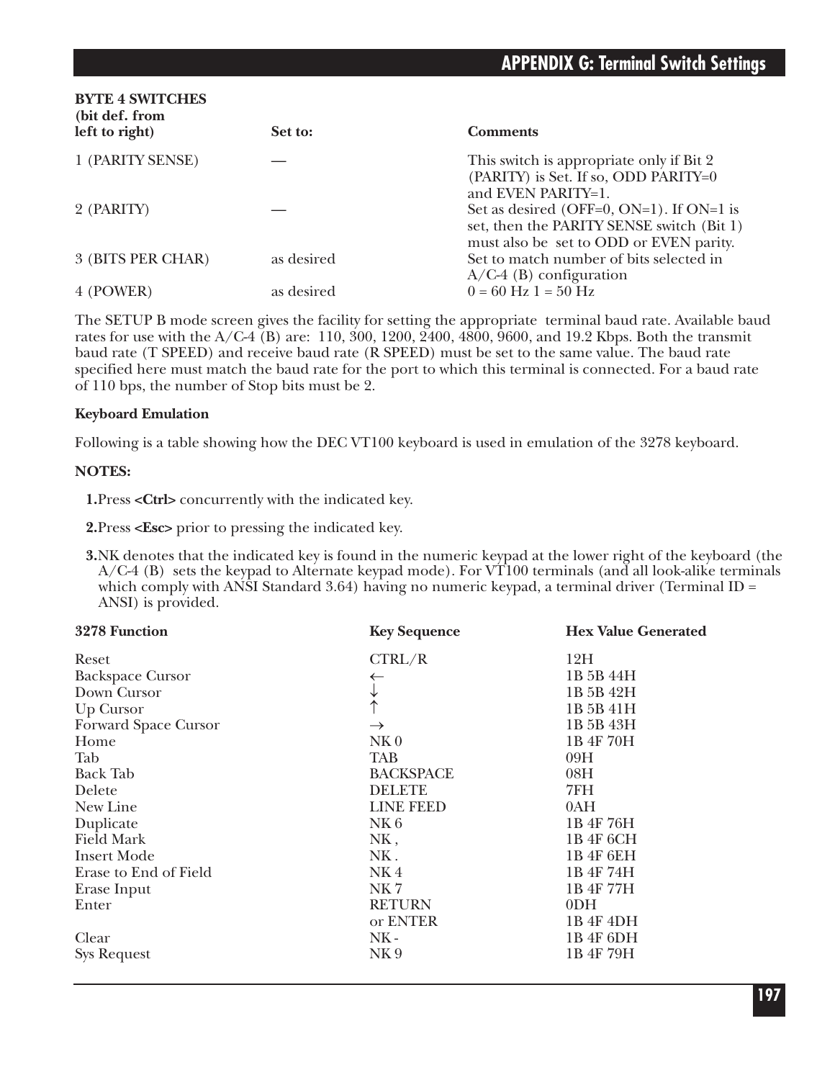| <b>BYTE 4 SWITCHES</b><br>(bit def. from<br>left to right) | Set to:    | <b>Comments</b>                                                                                                                  |
|------------------------------------------------------------|------------|----------------------------------------------------------------------------------------------------------------------------------|
| 1 (PARITY SENSE)                                           |            | This switch is appropriate only if Bit 2<br>(PARITY) is Set. If so, ODD PARITY=0<br>and EVEN PARITY=1.                           |
| 2 (PARITY)                                                 |            | Set as desired (OFF=0, ON=1). If ON=1 is<br>set, then the PARITY SENSE switch (Bit 1)<br>must also be set to ODD or EVEN parity. |
| 3 (BITS PER CHAR)                                          | as desired | Set to match number of bits selected in<br>$A/C-4$ (B) configuration                                                             |
| 4 (POWER)                                                  | as desired | $0 = 60$ Hz $1 = 50$ Hz                                                                                                          |

The SETUP B mode screen gives the facility for setting the appropriate terminal baud rate. Available baud rates for use with the A/C-4 (B) are: 110, 300, 1200, 2400, 4800, 9600, and 19.2 Kbps. Both the transmit baud rate (T SPEED) and receive baud rate (R SPEED) must be set to the same value. The baud rate specified here must match the baud rate for the port to which this terminal is connected. For a baud rate of 110 bps, the number of Stop bits must be 2.

#### **Keyboard Emulation**

Following is a table showing how the DEC VT100 keyboard is used in emulation of the 3278 keyboard.

#### **NOTES:**

**1.**Press **<Ctrl>** concurrently with the indicated key.

**2.**Press **<Esc>** prior to pressing the indicated key.

**3.**NK denotes that the indicated key is found in the numeric keypad at the lower right of the keyboard (the A/C-4 (B) sets the keypad to Alternate keypad mode). For VT100 terminals (and all look-alike terminals which comply with ANSI Standard 3.64) having no numeric keypad, a terminal driver (Terminal ID = ANSI) is provided.

| 3278 Function           | <b>Key Sequence</b> | <b>Hex Value Generated</b> |
|-------------------------|---------------------|----------------------------|
| Reset                   | CTRL/R              | 12H                        |
| <b>Backspace Cursor</b> |                     | 1B 5B 44H                  |
| Down Cursor             |                     | 1B 5B 42H                  |
| Up Cursor               |                     | 1B 5B 41H                  |
| Forward Space Cursor    | $\rightarrow$       | 1B 5B 43H                  |
| Home                    | NK <sub>0</sub>     | 1B 4F 70H                  |
| Tab                     | <b>TAB</b>          | 09H                        |
| <b>Back Tab</b>         | <b>BACKSPACE</b>    | 08H                        |
| Delete                  | <b>DELETE</b>       | 7FH                        |
| New Line                | <b>LINE FEED</b>    | 0AH                        |
| Duplicate               | NK6                 | 1B 4F 76H                  |
| <b>Field Mark</b>       | NK,                 | 1B 4F 6CH                  |
| <b>Insert Mode</b>      | NK.                 | 1B 4F 6EH                  |
| Erase to End of Field   | NK <sub>4</sub>     | 1B 4F 74H                  |
| Erase Input             | NK7                 | 1B 4F 77H                  |
| Enter                   | <b>RETURN</b>       | 0 <sub>DH</sub>            |
|                         | or ENTER            | 1B 4F 4DH                  |
| Clear                   | $NK -$              | 1B 4F 6DH                  |
| <b>Sys Request</b>      | NK <sub>9</sub>     | 1B 4F 79H                  |
|                         |                     |                            |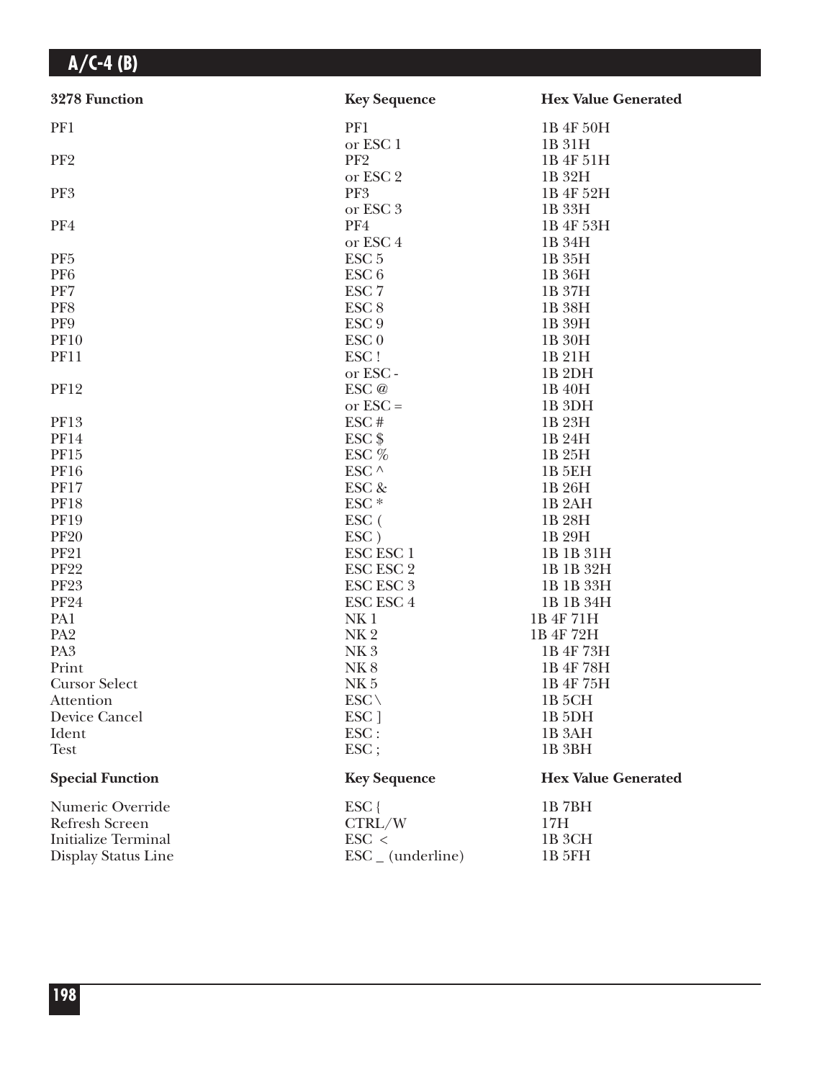| 3278 Function              | <b>Key Sequence</b>          | <b>Hex Value Generated</b> |
|----------------------------|------------------------------|----------------------------|
| PF1                        | PF1                          | 1B 4F 50H                  |
|                            | or ESC 1                     | 1B 31H                     |
| PF <sub>2</sub>            | PF <sub>2</sub>              | 1B 4F 51H                  |
|                            | or ESC 2                     | 1B 32H                     |
| PF3                        | PF3                          | 1B 4F 52H                  |
|                            | or ESC 3                     | 1B 33H                     |
| PF4                        | PF4                          | 1B 4F 53H                  |
|                            | or ESC <sub>4</sub>          | 1B 34H                     |
| PF <sub>5</sub>            | ESC <sub>5</sub>             | 1B 35H                     |
| PF <sub>6</sub>            | ESC <sub>6</sub>             | 1B 36H                     |
| PF7                        | ESC <sub>7</sub>             | 1B 37H                     |
| PF8                        | ESC <sub>8</sub>             | 1B 38H                     |
| PF9                        | ESC <sub>9</sub>             | 1B 39H                     |
| <b>PF10</b>                | ESC <sub>0</sub>             | 1B 30H                     |
| <b>PF11</b>                | ESC!                         | 1B 21H                     |
|                            | or ESC-                      | 1B <sub>2DH</sub>          |
| <b>PF12</b>                | ESC @                        | 1B 40H                     |
|                            | or $\text{ESC} =$            | 1B <sub>3DH</sub>          |
| <b>PF13</b>                | ESC#                         | 1B 23H                     |
| <b>PF14</b>                | $ESC$ \$                     | 1B 24H                     |
| PF15                       | ESC %                        | 1B 25H                     |
| <b>PF16</b>                | ESC $\land$                  | 1B 5EH                     |
| <b>PF17</b>                | ESC &                        | 1B 26H                     |
| <b>PF18</b>                | ESC <sup>*</sup>             | 1B <sub>2</sub> AH         |
| <b>PF19</b>                | ESC (                        | 1B 28H                     |
| <b>PF20</b>                | ESC)                         | 1B 29H                     |
| <b>PF21</b>                | <b>ESC ESC 1</b>             | 1B 1B 31H                  |
| <b>PF22</b>                | <b>ESC ESC 2</b>             | 1B 1B 32H                  |
| <b>PF23</b>                | <b>ESC ESC 3</b>             | 1B 1B 33H                  |
| <b>PF24</b>                | <b>ESC ESC 4</b>             | 1B 1B 34H                  |
| PA1                        | NK <sub>1</sub>              | 1B 4F 71H                  |
| PA <sub>2</sub>            | NK <sub>2</sub>              | 1B 4F 72H                  |
| PA <sub>3</sub>            | NK <sub>3</sub>              | 1B 4F 73H                  |
| Print                      | NK <sub>8</sub>              | 1B 4F 78H                  |
| <b>Cursor Select</b>       | NK <sub>5</sub>              | 1B 4F 75H                  |
| Attention                  | $ESC \setminus$              | 1B 5CH                     |
| Device Cancel              | ESC <sub>1</sub>             | 1B <sub>5</sub> DH         |
| Ident                      | ESC:                         | 1B <sub>3</sub> AH         |
| <b>Test</b>                | $\text{ESC}$ ;               | 1B 3BH                     |
| <b>Special Function</b>    | <b>Key Sequence</b>          | <b>Hex Value Generated</b> |
| Numeric Override           | ESC {                        | 1B7BH                      |
| Refresh Screen             | CTRL/W                       | 17H                        |
| <b>Initialize Terminal</b> | $\text{ESC}$ <               | 1B 3CH                     |
| Display Status Line        | $\text{ESC}_{-}$ (underline) | 1B 5FH                     |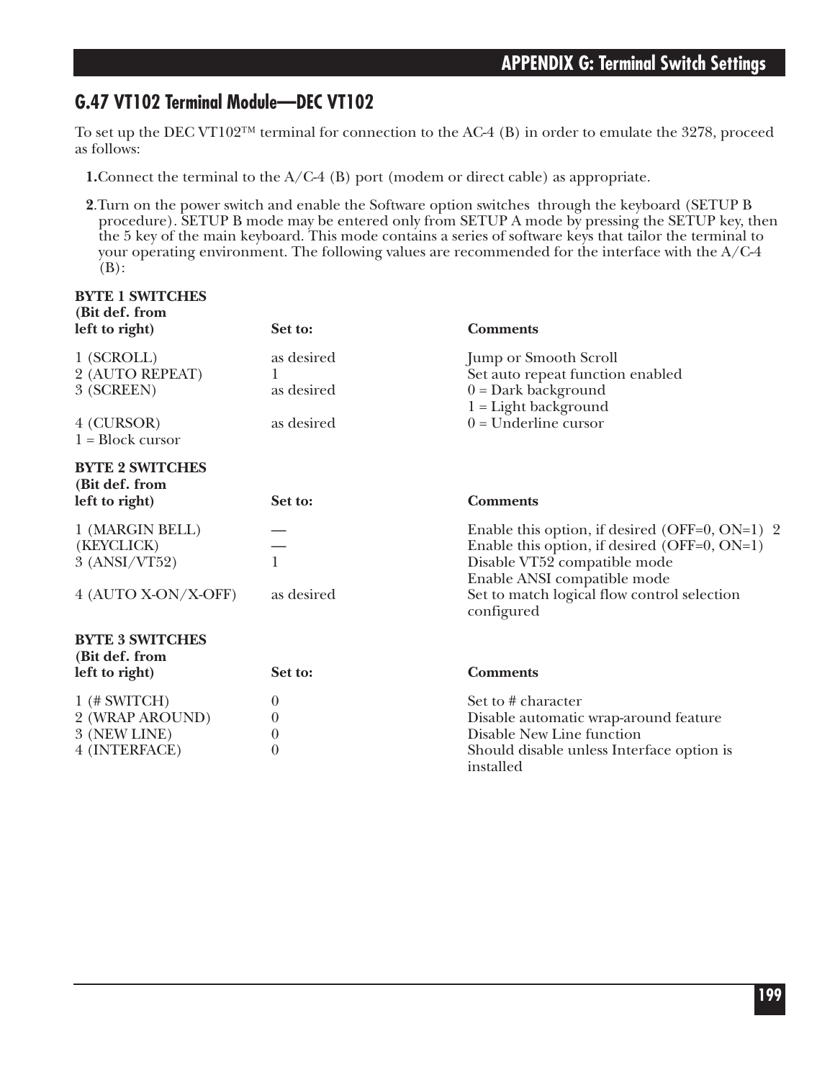### **G.47 VT102 Terminal Module—DEC VT102**

To set up the DEC VT102™ terminal for connection to the AC-4 (B) in order to emulate the 3278, proceed as follows:

- **1.**Connect the terminal to the A/C-4 (B) port (modem or direct cable) as appropriate.
- **2**.Turn on the power switch and enable the Software option switches through the keyboard (SETUP B procedure). SETUP B mode may be entered only from SETUP A mode by pressing the SETUP key, then the 5 key of the main keyboard. This mode contains a series of software keys that tailor the terminal to your operating environment. The following values are recommended for the interface with the A/C-4  $(B)$ :

| <b>BYTE 1 SWITCHES</b><br>(Bit def. from<br>left to right) | Set to:                  | <b>Comments</b>                                                                                                                                               |
|------------------------------------------------------------|--------------------------|---------------------------------------------------------------------------------------------------------------------------------------------------------------|
| 1 (SCROLL)<br>2 (AUTO REPEAT)<br>3 (SCREEN)                | as desired<br>as desired | <b>Jump or Smooth Scroll</b><br>Set auto repeat function enabled<br>$0 = Dark background$<br>$1 =$ Light background                                           |
| 4 (CURSOR)<br>$1 = Block cursor$                           | as desired               | $0 =$ Underline cursor                                                                                                                                        |
| <b>BYTE 2 SWITCHES</b><br>(Bit def. from                   |                          |                                                                                                                                                               |
| left to right)                                             | Set to:                  | <b>Comments</b>                                                                                                                                               |
| 1 (MARGIN BELL)<br>(KEYCLICK)<br>3 (ANSI/VT52)             | $\mathbf{1}$             | Enable this option, if desired (OFF=0, ON=1) 2<br>Enable this option, if desired (OFF=0, ON=1)<br>Disable VT52 compatible mode<br>Enable ANSI compatible mode |
| 4 (AUTO X-ON/X-OFF)                                        | as desired               | Set to match logical flow control selection<br>configured                                                                                                     |
| <b>BYTE 3 SWITCHES</b><br>(Bit def. from                   |                          |                                                                                                                                                               |
| left to right)                                             | Set to:                  | <b>Comments</b>                                                                                                                                               |
| $1$ (# SWITCH)                                             | $\boldsymbol{0}$         | Set to # character                                                                                                                                            |
| 2 (WRAP AROUND)                                            | 0                        | Disable automatic wrap-around feature                                                                                                                         |
| 3 (NEW LINE)                                               | $\theta$                 | Disable New Line function                                                                                                                                     |
| 4 (INTERFACE)                                              | $\theta$                 | Should disable unless Interface option is<br>installed                                                                                                        |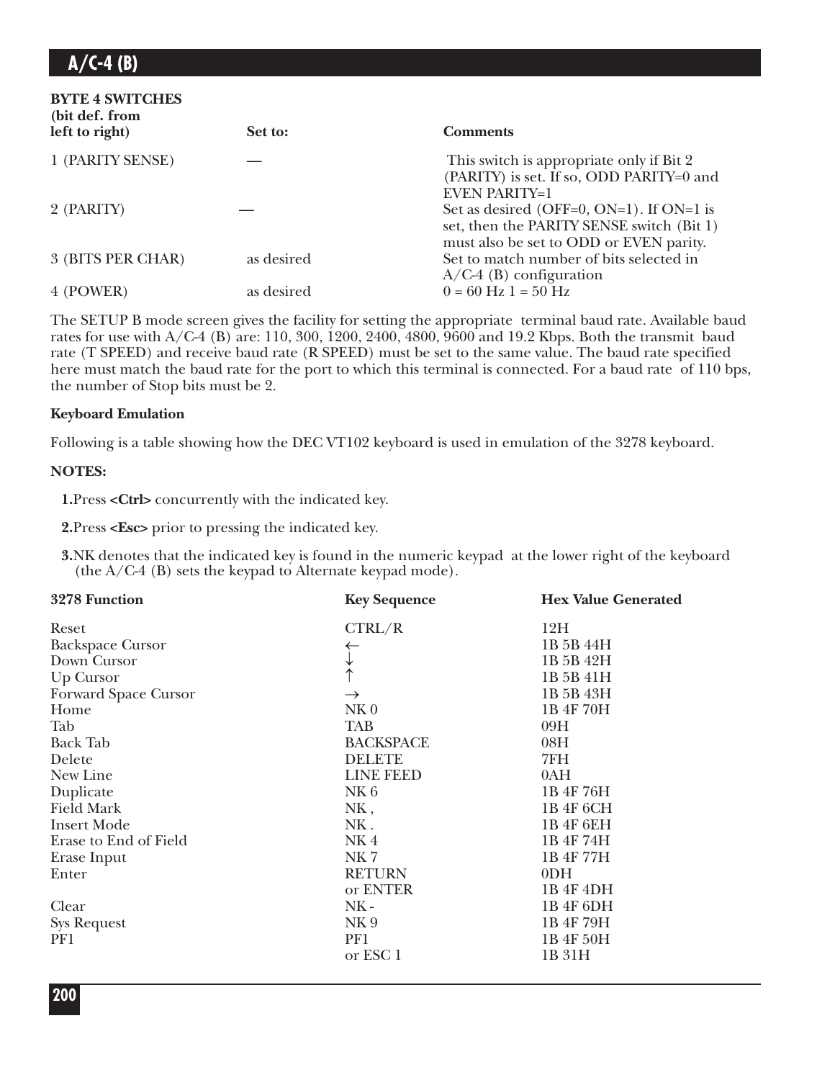| <b>BYTE 4 SWITCHES</b><br>(bit def. from<br>left to right) | Set to:    | <b>Comments</b>                                                                                                                  |
|------------------------------------------------------------|------------|----------------------------------------------------------------------------------------------------------------------------------|
| 1 (PARITY SENSE)                                           |            | This switch is appropriate only if Bit 2<br>(PARITY) is set. If so, ODD PARITY=0 and<br><b>EVEN PARITY=1</b>                     |
| 2 (PARITY)                                                 |            | Set as desired (OFF=0, ON=1). If ON=1 is<br>set, then the PARITY SENSE switch (Bit 1)<br>must also be set to ODD or EVEN parity. |
| 3 (BITS PER CHAR)                                          | as desired | Set to match number of bits selected in<br>$A/C-4$ (B) configuration                                                             |
| 4 (POWER)                                                  | as desired | $0 = 60$ Hz $1 = 50$ Hz                                                                                                          |

The SETUP B mode screen gives the facility for setting the appropriate terminal baud rate. Available baud rates for use with A/C-4 (B) are: 110, 300, 1200, 2400, 4800, 9600 and 19.2 Kbps. Both the transmit baud rate (T SPEED) and receive baud rate (R SPEED) must be set to the same value. The baud rate specified here must match the baud rate for the port to which this terminal is connected. For a baud rate of 110 bps, the number of Stop bits must be 2.

#### **Keyboard Emulation**

Following is a table showing how the DEC VT102 keyboard is used in emulation of the 3278 keyboard.

#### **NOTES:**

**1.**Press **<Ctrl>** concurrently with the indicated key.

**2.**Press **<Esc>** prior to pressing the indicated key.

**3.**NK denotes that the indicated key is found in the numeric keypad at the lower right of the keyboard (the A/C-4 (B) sets the keypad to Alternate keypad mode).

| 3278 Function           | <b>Key Sequence</b> | <b>Hex Value Generated</b> |
|-------------------------|---------------------|----------------------------|
| Reset                   | CTRL/R              | 12H                        |
| <b>Backspace Cursor</b> | ←                   | 1B 5B 44H                  |
| Down Cursor             | $\downarrow$        | 1B 5B 42H                  |
| Up Cursor               |                     | 1B 5B 41H                  |
| Forward Space Cursor    | $\rightarrow$       | 1B 5B 43H                  |
| Home                    | NK <sub>0</sub>     | 1B 4F 70H                  |
| Tab                     | <b>TAB</b>          | 09H                        |
| <b>Back Tab</b>         | <b>BACKSPACE</b>    | 08H                        |
| Delete                  | <b>DELETE</b>       | 7FH                        |
| New Line                | LINE FEED           | 0AH                        |
| Duplicate               | NK6                 | 1B 4F 76H                  |
| <b>Field Mark</b>       | NK,                 | 1B 4F 6CH                  |
| <b>Insert Mode</b>      | NK.                 | 1B 4F 6EH                  |
| Erase to End of Field   | NK4                 | 1B 4F 74H                  |
| Erase Input             | NK7                 | 1B 4F 77H                  |
| Enter                   | <b>RETURN</b>       | 0 <sub>DH</sub>            |
|                         | or ENTER            | 1B 4F 4DH                  |
| Clear                   | $NK -$              | 1B 4F 6DH                  |
| <b>Sys Request</b>      | NK <sub>9</sub>     | 1B 4F 79H                  |
| PF1                     | PF1                 | 1B 4F 50H                  |
|                         | or ESC 1            | 1B 31H                     |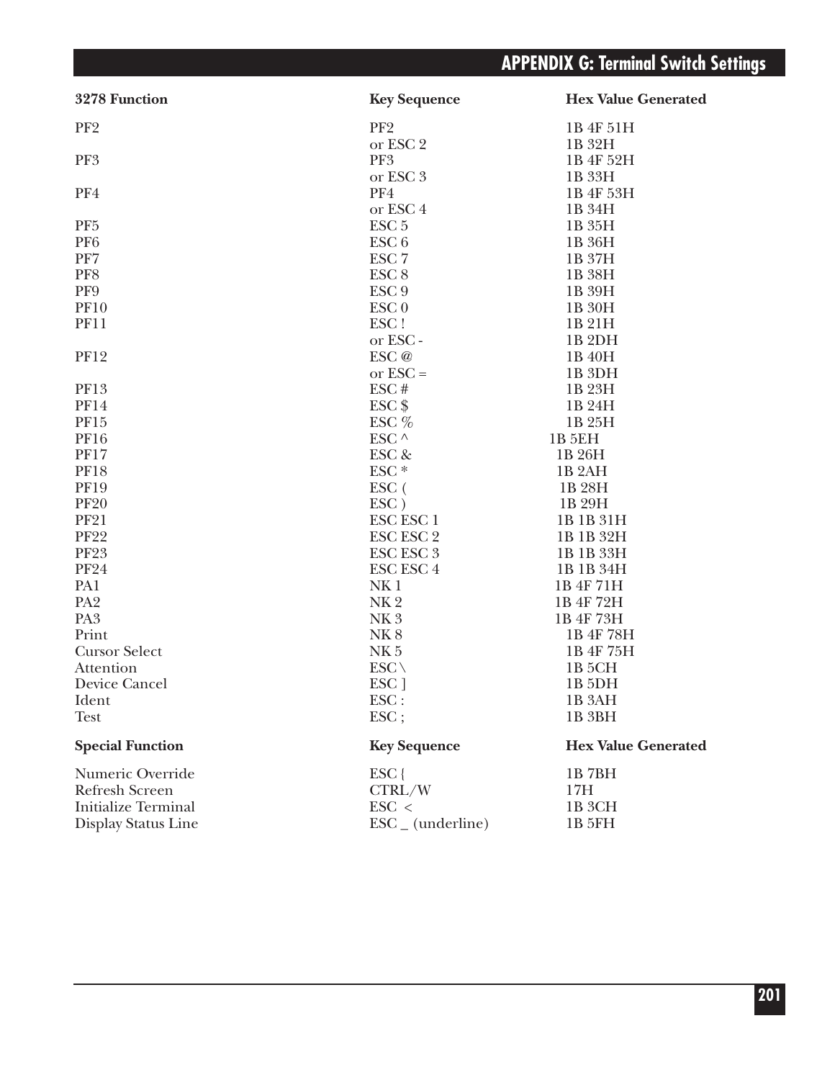| 3278 Function              | <b>Key Sequence</b>                         | <b>Hex Value Generated</b> |
|----------------------------|---------------------------------------------|----------------------------|
| PF <sub>2</sub>            | PF <sub>2</sub>                             | 1B 4F 51H                  |
|                            | or ESC 2                                    | 1B 32H                     |
| PF3                        | PF3                                         | 1B 4F 52H                  |
|                            | or ESC 3                                    | 1B 33H                     |
| PF4                        | PF4                                         | 1B 4F 53H                  |
|                            | or ESC <sub>4</sub>                         | 1B 34H                     |
| PF <sub>5</sub>            | ESC <sub>5</sub>                            | 1B 35H                     |
| PF <sub>6</sub>            | ESC <sub>6</sub>                            | 1B 36H                     |
| PF7                        | ESC <sub>7</sub>                            | 1B 37H                     |
| PF8                        | ESC <sub>8</sub>                            | 1B 38H                     |
| PF9                        | ESC <sub>9</sub>                            | 1B 39H                     |
| <b>PF10</b>                | ESC <sub>0</sub>                            | 1B 30H                     |
| <b>PF11</b>                | ESC!                                        | 1B 21H                     |
|                            | or ESC-                                     | 1B <sub>2</sub> DH         |
| <b>PF12</b>                | ESC @                                       | 1B 40H                     |
|                            | or $\text{ESC} =$                           | 1B <sub>3DH</sub>          |
| PF13                       | ESC#                                        | 1B 23H                     |
| <b>PF14</b>                | $ESC$ \$                                    | 1B 24H                     |
| PF15                       | ESC $%$                                     | 1B 25H                     |
| <b>PF16</b>                | ESC $\land$                                 | <b>1B 5EH</b>              |
| <b>PF17</b>                | ESC &                                       | 1B 26H                     |
| <b>PF18</b>                | ESC <sup>*</sup>                            | 1B <sub>2</sub> AH         |
| <b>PF19</b>                | ESC (                                       | 1B 28H                     |
| <b>PF20</b>                | $\text{ESC}$ )                              | 1B 29H                     |
| <b>PF21</b>                | <b>ESC ESC 1</b>                            | 1B 1B 31H                  |
| <b>PF22</b>                | ESC ESC 2                                   | 1B 1B 32H                  |
| <b>PF23</b>                | $\operatorname{ESC}\, \operatorname{ESC}$ 3 | 1B 1B 33H                  |
| <b>PF24</b>                | <b>ESC ESC 4</b>                            | 1B 1B 34H                  |
| PA1                        | NK <sub>1</sub>                             | 1B 4F 71H                  |
| PA <sub>2</sub>            | NK <sub>2</sub>                             | 1B 4F 72H                  |
| PA <sub>3</sub>            | NK <sub>3</sub>                             | 1B 4F 73H                  |
| Print                      | <b>NK8</b>                                  | 1B 4F 78H                  |
| <b>Cursor Select</b>       | NK <sub>5</sub>                             | 1B 4F 75H                  |
| Attention                  | $ESC \setminus$                             | 1B <sub>5</sub> CH         |
| Device Cancel              | ESC ]                                       | 1B <sub>5DH</sub>          |
| Ident                      | ESC:                                        | 1B <sub>3</sub> AH         |
| <b>Test</b>                | $\text{ESC}$ ;                              | 1B 3BH                     |
| <b>Special Function</b>    | <b>Key Sequence</b>                         | <b>Hex Value Generated</b> |
| Numeric Override           | $ESC$ {                                     | 1B7BH                      |
| Refresh Screen             | CTRL/W                                      | 17H                        |
| <b>Initialize Terminal</b> | $\text{ESC}$ <                              | 1B 3CH                     |
| Display Status Line        | $\text{ESC}_{-}$ (underline)                | 1B 5FH                     |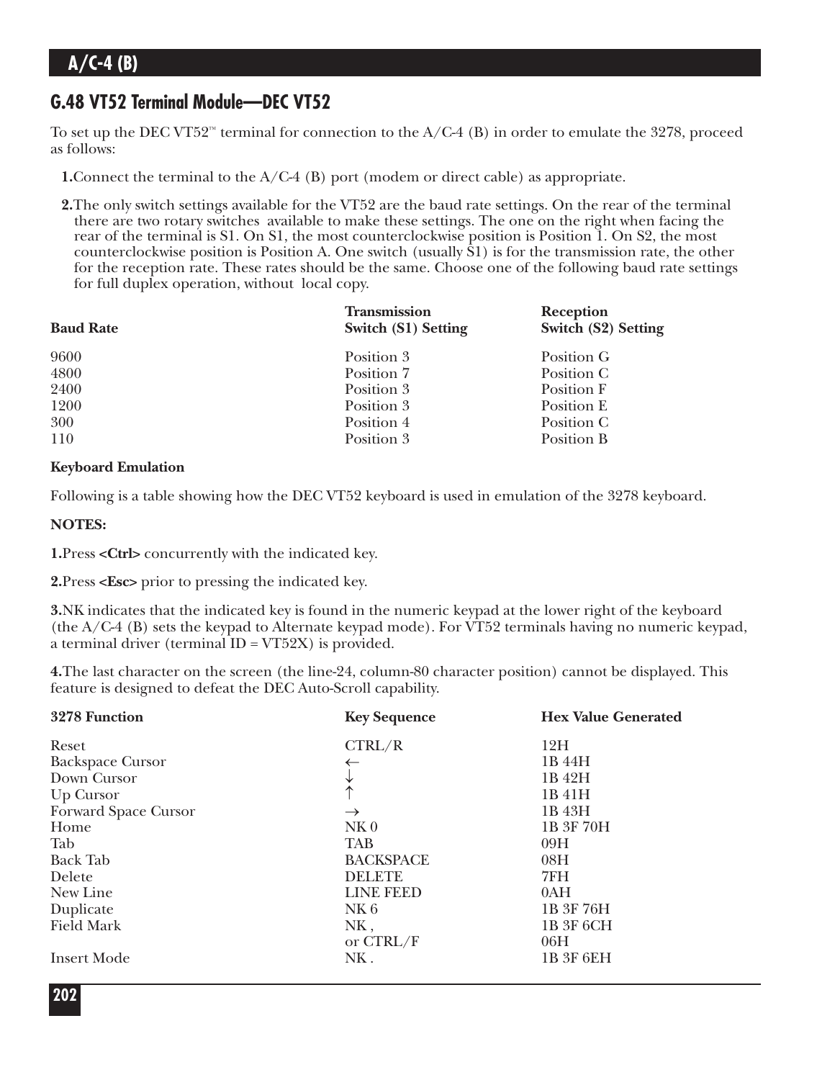### **G.48 VT52 Terminal Module—DEC VT52**

To set up the DEC VT52<sup>™</sup> terminal for connection to the  $A/C-4$  (B) in order to emulate the 3278, proceed as follows:

**1.**Connect the terminal to the A/C-4 (B) port (modem or direct cable) as appropriate.

**2.**The only switch settings available for the VT52 are the baud rate settings. On the rear of the terminal there are two rotary switches available to make these settings. The one on the right when facing the rear of the terminal is S1. On S1, the most counterclockwise position is Position 1. On S2, the most counterclockwise position is Position A. One switch (usually S1) is for the transmission rate, the other for the reception rate. These rates should be the same. Choose one of the following baud rate settings for full duplex operation, without local copy.

| <b>Baud Rate</b> | <b>Transmission</b><br>Switch (S1) Setting | Reception<br><b>Switch (S2) Setting</b> |
|------------------|--------------------------------------------|-----------------------------------------|
| 9600             | Position 3                                 | Position G                              |
| 4800             | Position 7                                 | Position C                              |
| 2400             | Position 3                                 | Position F                              |
| 1200             | Position 3                                 | Position E                              |
| 300              | Position 4                                 | Position C                              |
| 110              | Position 3                                 | Position B                              |

#### **Keyboard Emulation**

Following is a table showing how the DEC VT52 keyboard is used in emulation of the 3278 keyboard.

#### **NOTES:**

**1.**Press **<Ctrl>** concurrently with the indicated key.

**2.**Press **<Esc>** prior to pressing the indicated key.

**3.**NK indicates that the indicated key is found in the numeric keypad at the lower right of the keyboard (the A/C-4 (B) sets the keypad to Alternate keypad mode). For VT52 terminals having no numeric keypad, a terminal driver (terminal  $ID = VT52X$ ) is provided.

**4.**The last character on the screen (the line-24, column-80 character position) cannot be displayed. This feature is designed to defeat the DEC Auto-Scroll capability.

| 3278 Function           | <b>Key Sequence</b> | <b>Hex Value Generated</b> |
|-------------------------|---------------------|----------------------------|
| Reset                   | CTRL/R              | 12H                        |
| <b>Backspace Cursor</b> |                     | 1B 44H                     |
| Down Cursor             | V                   | 1B 42H                     |
| Up Cursor               | ∧                   | 1B 41H                     |
| Forward Space Cursor    | $\rightarrow$       | 1B 43H                     |
| Home                    | NK <sub>0</sub>     | 1B 3F 70H                  |
| Tab                     | <b>TAB</b>          | 09H                        |
| <b>Back Tab</b>         | <b>BACKSPACE</b>    | 08H                        |
| Delete                  | <b>DELETE</b>       | 7FH                        |
| New Line                | LINE FEED           | 0AH                        |
| Duplicate               | NK6                 | 1B 3F 76H                  |
| <b>Field Mark</b>       | NK,                 | 1B 3F 6CH                  |
|                         | or CTRL/F           | 06H                        |
| <b>Insert Mode</b>      | NK.                 | 1B 3F 6EH                  |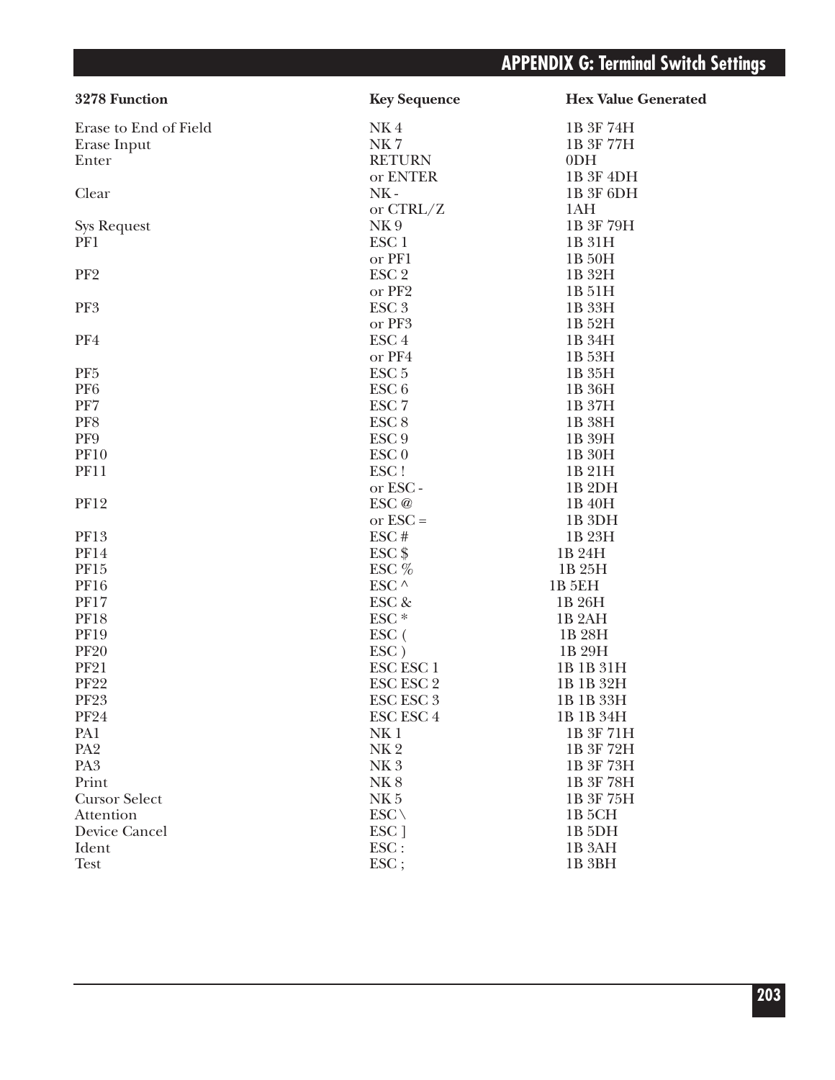| 3278 Function         | <b>Key Sequence</b> | <b>Hex Value Generated</b> |
|-----------------------|---------------------|----------------------------|
| Erase to End of Field | NK4                 | 1B 3F 74H                  |
| Erase Input           | NK7                 | 1B 3F 77H                  |
| Enter                 | <b>RETURN</b>       | 0 <sub>DH</sub>            |
|                       | or ENTER            | 1B 3F 4DH                  |
| Clear                 | $NK -$              | 1B 3F 6DH                  |
|                       | or $CTRL/Z$         | 1AH                        |
| <b>Sys Request</b>    | NK <sub>9</sub>     | 1B 3F 79H                  |
| PF1                   | ESC <sub>1</sub>    | 1B 31H                     |
|                       | or PF1              | 1B 50H                     |
| PF <sub>2</sub>       | ESC <sub>2</sub>    | 1B 32H                     |
|                       | or PF2              | 1B 51H                     |
| PF3                   | ESC <sub>3</sub>    | 1B 33H                     |
|                       | or PF3              | 1B 52H                     |
| PF4                   | ESC <sub>4</sub>    | 1B 34H                     |
|                       | or PF4              | 1B 53H                     |
| PF <sub>5</sub>       | ESC <sub>5</sub>    | 1B 35H                     |
| PF <sub>6</sub>       | ESC <sub>6</sub>    | 1B 36H                     |
| PF7                   | ESC <sub>7</sub>    | 1B 37H                     |
| PF8                   | ESC <sub>8</sub>    | 1B 38H                     |
| PF9                   | ESC <sub>9</sub>    | 1B 39H                     |
| <b>PF10</b>           | ESC <sub>0</sub>    | 1B 30H                     |
| <b>PF11</b>           | ESC!                | 1B 21H                     |
|                       | or ESC-             | 1B <sub>2DH</sub>          |
| <b>PF12</b>           | ESC <sub>@</sub>    | 1B 40H                     |
|                       | or $\text{ESC} =$   | 1B 3DH                     |
| <b>PF13</b>           | ESC#                | 1B 23H                     |
| <b>PF14</b>           | $ESC$ \$            | 1B 24H                     |
| <b>PF15</b>           | ESC $%$             | 1B 25H                     |
| <b>PF16</b>           | ESC $\wedge$        | 1B 5EH                     |
| <b>PF17</b>           | ESC &               | 1B 26H                     |
| <b>PF18</b>           | ESC <sup>*</sup>    | 1B <sub>2</sub> AH         |
| <b>PF19</b>           | ESC (               | 1B 28H                     |
| <b>PF20</b>           | $\text{ESC}$ )      | 1B 29H                     |
| <b>PF21</b>           | ESC ESC 1           | 1B 1B 31H                  |
| <b>PF22</b>           | ESC ESC 2           | 1B 1B 32H                  |
| <b>PF23</b>           | ESC ESC 3           | 1B 1B 33H                  |
| <b>PF24</b>           | ESC ESC 4           | 1B 1B 34H                  |
| PA1                   | NK <sub>1</sub>     | 1B 3F 71H                  |
| PA <sub>2</sub>       | NK <sub>2</sub>     | 1B 3F 72H                  |
| PA <sub>3</sub>       | NK <sub>3</sub>     | 1B 3F 73H                  |
| Print                 | <b>NK8</b>          | 1B 3F 78H                  |
| <b>Cursor Select</b>  | NK <sub>5</sub>     | 1B 3F 75H                  |
| Attention             | $ESC \setminus$     | 1B <sub>5</sub> CH         |
| Device Cancel         | ESC ]               | 1B <sub>5</sub> DH         |
| Ident                 | ESC:                | 1B <sub>3</sub> AH         |
| <b>Test</b>           | ESC;                | 1B <sub>3BH</sub>          |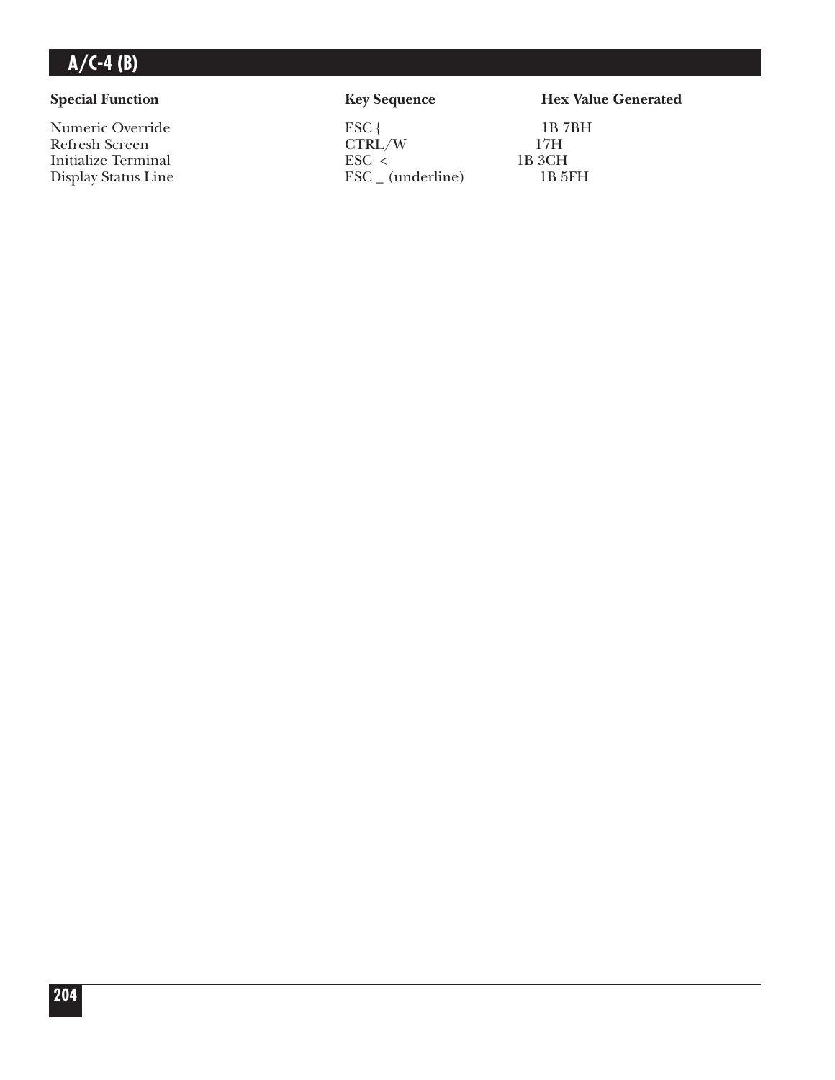Numeric Override ESC { 1B 7BH<br>Refresh Screen CTRL/W 17H Refresh Screen CTRL/W 17H<br>Initialize Terminal ESC < 1B 3CH Initialize Terminal ESC < 1B 3CH<br>Display Status Line ESC (underline) 1B 5FH  $\text{ESC}_{-}$  (underline)

#### **Special Function Key Sequence Hex Value Generated**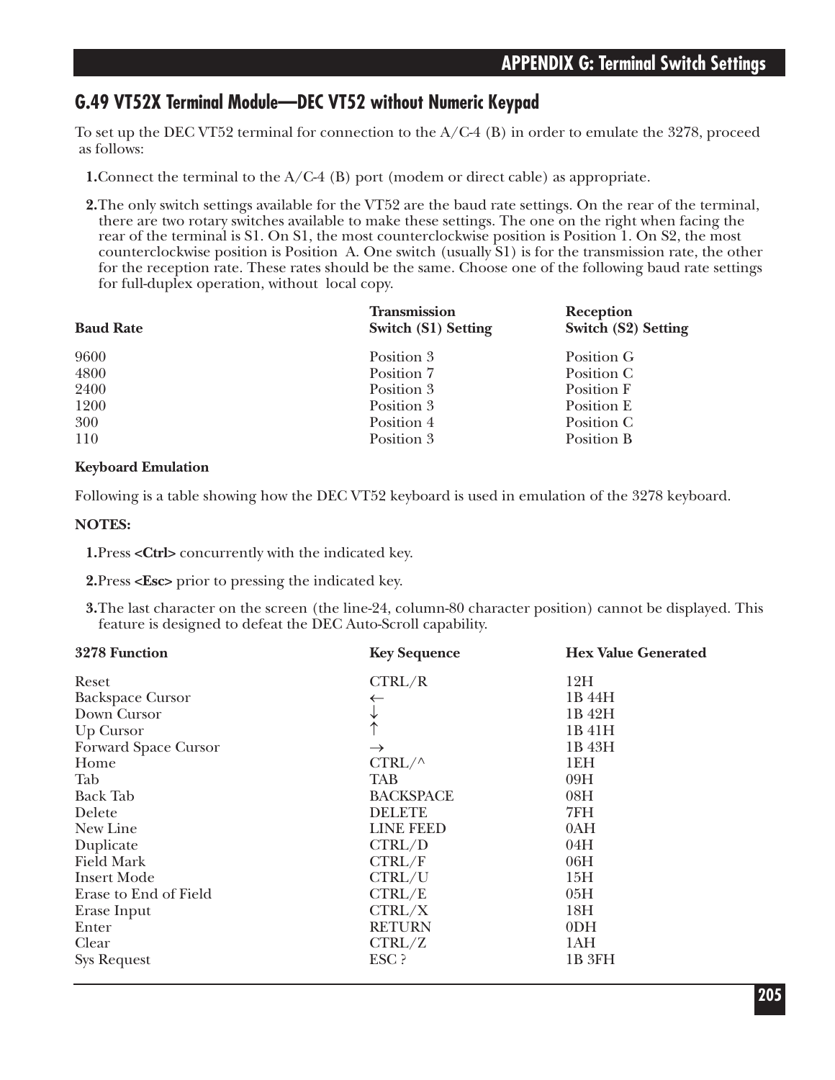#### **G.49 VT52X Terminal Module—DEC VT52 without Numeric Keypad**

To set up the DEC VT52 terminal for connection to the  $A/C-4$  (B) in order to emulate the 3278, proceed as follows:

**1.**Connect the terminal to the A/C-4 (B) port (modem or direct cable) as appropriate.

**2.**The only switch settings available for the VT52 are the baud rate settings. On the rear of the terminal, there are two rotary switches available to make these settings. The one on the right when facing the rear of the terminal is S1. On S1, the most counterclockwise position is Position 1. On S2, the most counterclockwise position is Position A. One switch (usually S1) is for the transmission rate, the other for the reception rate. These rates should be the same. Choose one of the following baud rate settings for full-duplex operation, without local copy.

| <b>Baud Rate</b> | <b>Transmission</b><br>Switch (S1) Setting | <b>Reception</b><br><b>Switch (S2) Setting</b> |
|------------------|--------------------------------------------|------------------------------------------------|
| 9600             | Position 3                                 | Position G                                     |
| 4800             | Position 7                                 | Position C                                     |
| 2400             | Position 3                                 | Position F                                     |
| 1200             | Position 3                                 | Position E                                     |
| 300              | Position 4                                 | Position C                                     |
| 110              | Position 3                                 | Position B                                     |

#### **Keyboard Emulation**

Following is a table showing how the DEC VT52 keyboard is used in emulation of the 3278 keyboard.

#### **NOTES:**

**1.**Press **<Ctrl>** concurrently with the indicated key.

**2.**Press **<Esc>** prior to pressing the indicated key.

**3.**The last character on the screen (the line-24, column-80 character position) cannot be displayed. This feature is designed to defeat the DEC Auto-Scroll capability.

| 3278 Function           | <b>Key Sequence</b> | <b>Hex Value Generated</b> |
|-------------------------|---------------------|----------------------------|
| Reset                   | CTRL/R              | 12H                        |
| <b>Backspace Cursor</b> |                     | 1B 44H                     |
| Down Cursor             |                     | 1B 42H                     |
| Up Cursor               |                     | 1B 41H                     |
| Forward Space Cursor    | $\rightarrow$       | 1B 43H                     |
| Home                    | $CTRL/\wedge$       | 1EH                        |
| Tab                     | TAB                 | 09H                        |
| <b>Back Tab</b>         | <b>BACKSPACE</b>    | 08H                        |
| Delete                  | <b>DELETE</b>       | 7FH                        |
| New Line                | <b>LINE FEED</b>    | 0AH                        |
| Duplicate               | CTRL/D              | 04H                        |
| <b>Field Mark</b>       | CTRL/F              | 06H                        |
| <b>Insert Mode</b>      | CTRL/U              | 15H                        |
| Erase to End of Field   | CTRL/E              | 05H                        |
| Erase Input             | CTRL/X              | 18H                        |
| Enter                   | <b>RETURN</b>       | 0 <sub>DH</sub>            |
| Clear                   | CTRL/Z              | 1AH                        |
| <b>Sys Request</b>      | ESC ?               | 1B 3FH                     |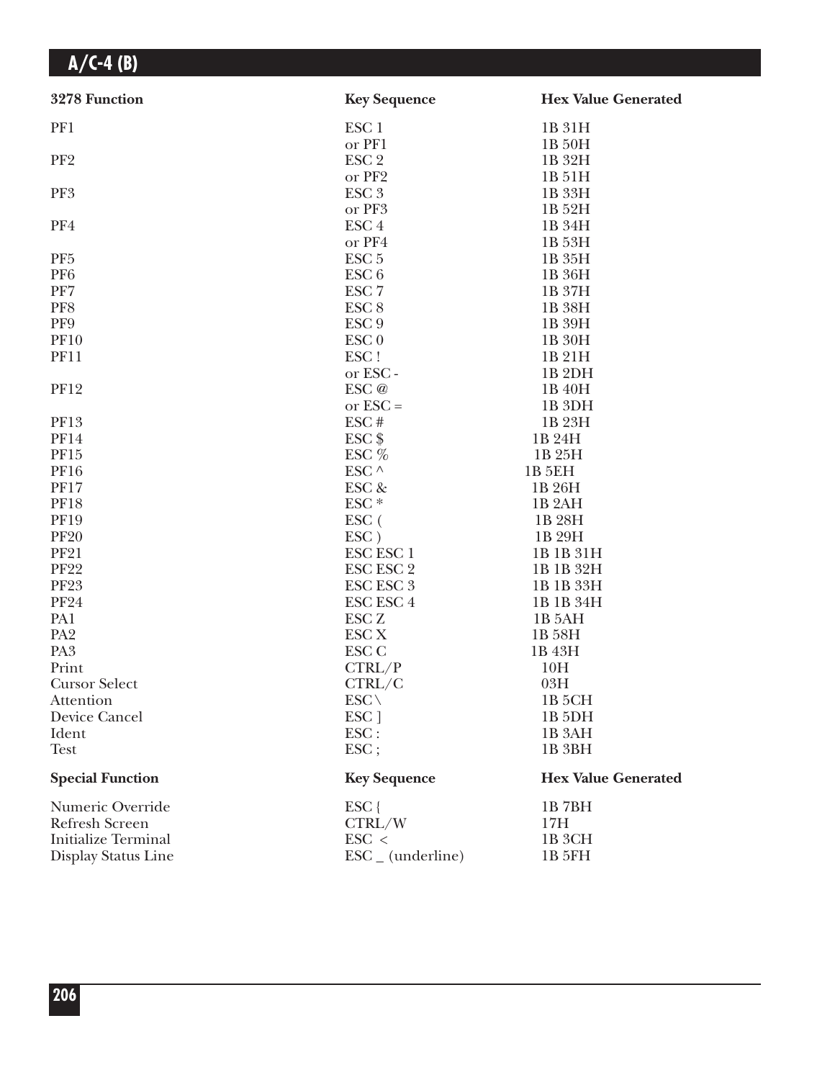| 3278 Function              | <b>Key Sequence</b>          | <b>Hex Value Generated</b> |
|----------------------------|------------------------------|----------------------------|
| PF1                        | ESC <sub>1</sub>             | 1B 31H                     |
|                            | or PF1                       | 1B 50H                     |
| PF <sub>2</sub>            | ESC <sub>2</sub>             | 1B 32H                     |
|                            | or PF2                       | 1B 51H                     |
| PF3                        | ESC <sub>3</sub>             | 1B 33H                     |
|                            | or PF3                       | 1B 52H                     |
| PF4                        | ESC <sub>4</sub>             | 1B 34H                     |
|                            | or PF4                       | 1B 53H                     |
| PF <sub>5</sub>            | ESC <sub>5</sub>             | 1B 35H                     |
| PF <sub>6</sub>            | ESC <sub>6</sub>             | 1B 36H                     |
| PF7                        | ESC <sub>7</sub>             | 1B 37H                     |
| PF8                        | ESC <sub>8</sub>             | 1B 38H                     |
| PF9                        | ESC <sub>9</sub>             | 1B 39H                     |
| <b>PF10</b>                | ESC <sub>0</sub>             | 1B 30H                     |
| <b>PF11</b>                | ESC!                         | 1B 21H                     |
|                            | or ESC-                      | 1B <sub>2DH</sub>          |
| <b>PF12</b>                | ESC @                        | 1B 40H                     |
|                            | or $\text{ESC} =$            | 1B <sub>3DH</sub>          |
| <b>PF13</b>                | ESC#                         | 1B 23H                     |
| <b>PF14</b>                | ESC <sub>\$</sub>            | 1B 24H                     |
| <b>PF15</b>                | ESC %                        | 1B 25H                     |
| <b>PF16</b>                | ESC $^\wedge$                | 1B 5EH                     |
| <b>PF17</b>                | ESC &                        | 1B 26H                     |
| <b>PF18</b>                | ESC <sup>*</sup>             | 1B <sub>2</sub> AH         |
| <b>PF19</b>                | ESC (                        | 1B 28H                     |
| <b>PF20</b>                | ESC)                         | 1B 29H                     |
| <b>PF21</b>                | <b>ESC ESC 1</b>             | 1B 1B 31H                  |
| <b>PF22</b>                | ESC ESC 2                    | 1B 1B 32H                  |
| <b>PF23</b>                | <b>ESC ESC 3</b>             | 1B 1B 33H                  |
| <b>PF24</b>                | ESC ESC 4                    | 1B 1B 34H                  |
| PA1                        | <b>ESC Z</b>                 | 1B 5AH                     |
| PA <sub>2</sub>            | ESC <sub>X</sub>             | 1B 58H                     |
| PA <sub>3</sub>            | ESC <sub>C</sub>             | 1B 43H                     |
| Print                      | CTRL/P                       | 10H                        |
| <b>Cursor Select</b>       | CTRL/C                       | 03H                        |
| Attention                  | $ESC \setminus$              | 1B 5CH                     |
| Device Cancel              | ESC ]                        | 1B <sub>5</sub> DH         |
| Ident                      | $\text{ESC}$ :               | 1B <sub>3</sub> AH         |
| <b>Test</b>                | $\text{ESC}$ ;               | 1B 3BH                     |
| <b>Special Function</b>    | <b>Key Sequence</b>          | <b>Hex Value Generated</b> |
| Numeric Override           | $ESC$ {                      | 1B7BH                      |
| <b>Refresh Screen</b>      | CTRL/W                       | 17H                        |
| <b>Initialize Terminal</b> | $\text{ESC}$ <               | 1B <sub>3</sub> CH         |
| Display Status Line        | $\text{ESC}_{-}$ (underline) | 1B 5FH                     |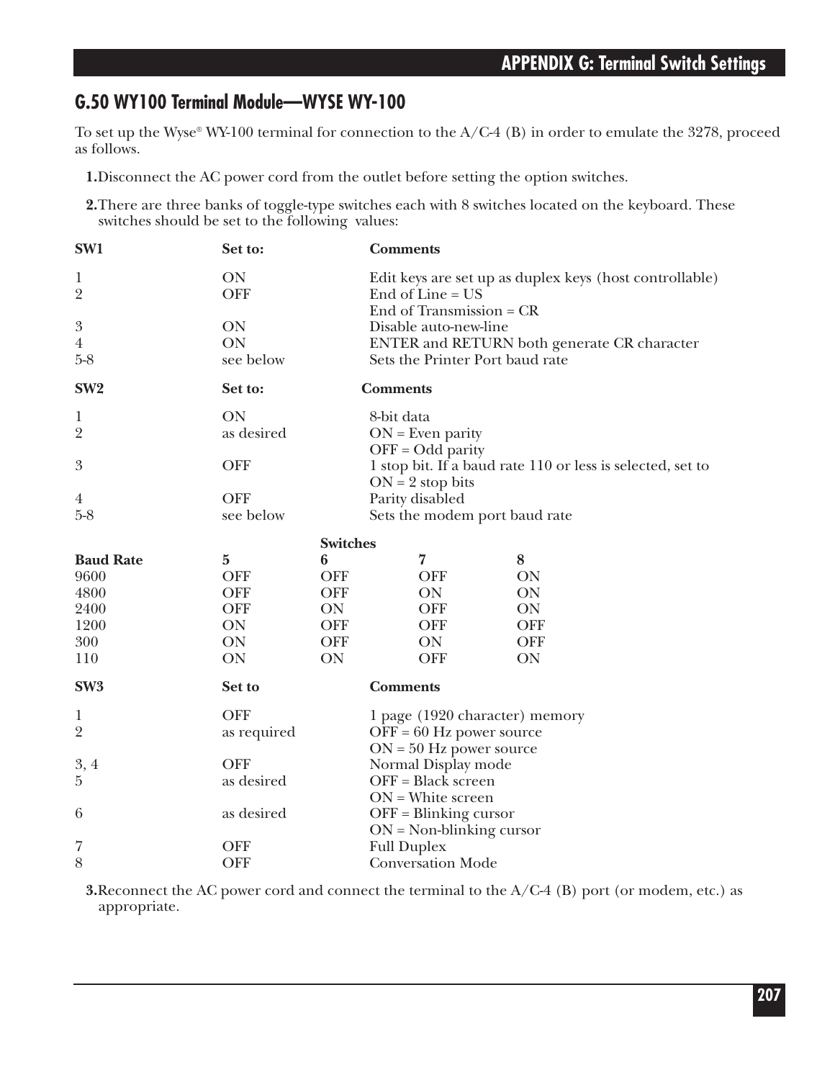### **G.50 WY100 Terminal Module—WYSE WY-100**

To set up the Wyse® WY-100 terminal for connection to the A/C-4 (B) in order to emulate the 3278, proceed as follows.

**1.**Disconnect the AC power cord from the outlet before setting the option switches.

**2.**There are three banks of toggle-type switches each with 8 switches located on the keyboard. These switches should be set to the following values:

| SW1                     | Set to:     |                 | <b>Comments</b>                                         |                                                            |  |
|-------------------------|-------------|-----------------|---------------------------------------------------------|------------------------------------------------------------|--|
| 1                       | ON          |                 | Edit keys are set up as duplex keys (host controllable) |                                                            |  |
| $\overline{2}$          | <b>OFF</b>  |                 | End of Line $= US$                                      |                                                            |  |
|                         |             |                 | End of Transmission $=$ CR                              |                                                            |  |
| $\boldsymbol{3}$        | ON          |                 | Disable auto-new-line                                   |                                                            |  |
| $\overline{4}$          | ON          |                 | ENTER and RETURN both generate CR character             |                                                            |  |
| $5-8$                   | see below   |                 | Sets the Printer Port baud rate                         |                                                            |  |
| SW <sub>2</sub>         | Set to:     |                 | <b>Comments</b>                                         |                                                            |  |
| $\mathbf{1}$            | ON          |                 | 8-bit data                                              |                                                            |  |
| $\overline{2}$          | as desired  |                 | $ON = Even$ parity                                      |                                                            |  |
|                         |             |                 | $OFF = Odd$ parity                                      |                                                            |  |
| 3                       | <b>OFF</b>  |                 |                                                         | 1 stop bit. If a baud rate 110 or less is selected, set to |  |
|                         |             |                 | $ON = 2$ stop bits                                      |                                                            |  |
| $\overline{4}$<br>$5-8$ | <b>OFF</b>  |                 | Parity disabled                                         |                                                            |  |
|                         | see below   |                 | Sets the modem port baud rate                           |                                                            |  |
|                         |             | <b>Switches</b> |                                                         |                                                            |  |
| <b>Baud Rate</b>        | $\bf{5}$    | 6               | 7                                                       | 8                                                          |  |
| 9600                    | <b>OFF</b>  | <b>OFF</b>      | <b>OFF</b>                                              | ON                                                         |  |
| 4800                    | <b>OFF</b>  | <b>OFF</b>      | ON                                                      | ON                                                         |  |
| 2400                    | <b>OFF</b>  | <b>ON</b>       | <b>OFF</b>                                              | ON                                                         |  |
| 1200                    | ON          | <b>OFF</b>      | <b>OFF</b>                                              | <b>OFF</b>                                                 |  |
| 300                     | ON          | <b>OFF</b>      | ON                                                      | <b>OFF</b>                                                 |  |
| 110                     | ON          | ON              | <b>OFF</b>                                              | ON                                                         |  |
| SW <sub>3</sub>         | Set to      |                 | <b>Comments</b>                                         |                                                            |  |
| 1                       | <b>OFF</b>  |                 | 1 page (1920 character) memory                          |                                                            |  |
| $\overline{2}$          | as required |                 | $OFF = 60$ Hz power source                              |                                                            |  |
|                         |             |                 | $ON = 50$ Hz power source                               |                                                            |  |
| 3,4                     | <b>OFF</b>  |                 | Normal Display mode                                     |                                                            |  |
| $\overline{5}$          | as desired  |                 | OFF = Black screen                                      |                                                            |  |
|                         |             |                 | $ON = White screen$                                     |                                                            |  |
| 6                       | as desired  |                 | $OFF = Blinking cursor$                                 |                                                            |  |
|                         |             |                 | $ON = Non-blinking cursor$                              |                                                            |  |
| 7                       | <b>OFF</b>  |                 | <b>Full Duplex</b>                                      |                                                            |  |
| 8                       | <b>OFF</b>  |                 | <b>Conversation Mode</b>                                |                                                            |  |

**3.**Reconnect the AC power cord and connect the terminal to the A/C-4 (B) port (or modem, etc.) as appropriate.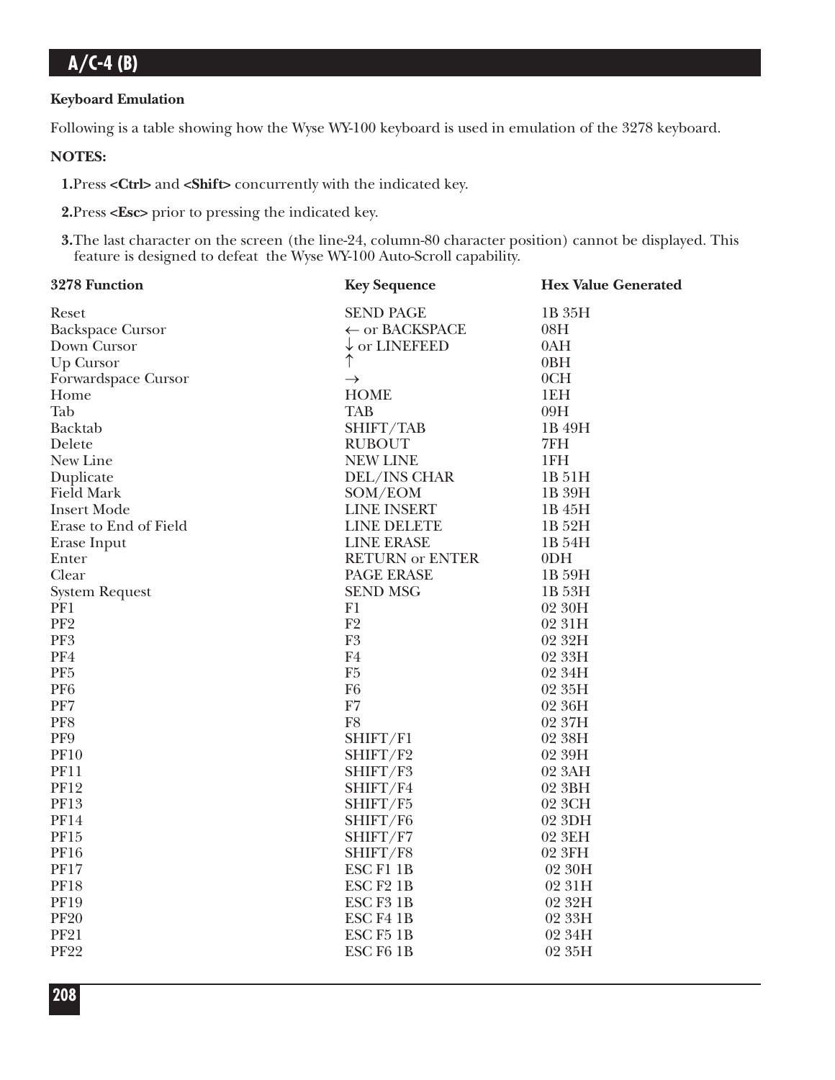#### **Keyboard Emulation**

Following is a table showing how the Wyse WY-100 keyboard is used in emulation of the 3278 keyboard.

**NOTES:** 

**1.**Press **<Ctrl>** and **<Shift>** concurrently with the indicated key.

**2.**Press **<Esc>** prior to pressing the indicated key.

**3.**The last character on the screen (the line-24, column-80 character position) cannot be displayed. This feature is designed to defeat the Wyse WY-100 Auto-Scroll capability.

| 3278 Function           | <b>Key Sequence</b>       | <b>Hex Value Generated</b> |
|-------------------------|---------------------------|----------------------------|
| Reset                   | <b>SEND PAGE</b>          | 1B 35H                     |
| <b>Backspace Cursor</b> | $\leftarrow$ or BACKSPACE | 08H                        |
| Down Cursor             | $\downarrow$ or LINEFEED  | 0AH                        |
| Up Cursor               | ↑                         | 0BH                        |
| Forwardspace Cursor     | $\rightarrow$             | 0CH                        |
| Home                    | <b>HOME</b>               | 1EH                        |
| Tab                     | <b>TAB</b>                | 09H                        |
| Backtab                 | SHIFT/TAB                 | 1B 49H                     |
| Delete                  | <b>RUBOUT</b>             | 7FH                        |
| New Line                | <b>NEW LINE</b>           | 1FH                        |
| Duplicate               | DEL/INS CHAR              | 1B 51H                     |
| <b>Field Mark</b>       | SOM/EOM                   | 1B 39H                     |
| <b>Insert Mode</b>      | <b>LINE INSERT</b>        | 1B 45H                     |
| Erase to End of Field   | <b>LINE DELETE</b>        | 1B 52H                     |
| Erase Input             | <b>LINE ERASE</b>         | 1B 54H                     |
| Enter                   | <b>RETURN or ENTER</b>    | 0 <sub>DH</sub>            |
| Clear                   | PAGE ERASE                | 1B 59H                     |
| <b>System Request</b>   | <b>SEND MSG</b>           | 1B 53H                     |
| PF1                     | F1                        | 02 30H                     |
| PF <sub>2</sub>         | F2                        | 02 31H                     |
| PF3                     | ${\rm F}3$                | 02 32H                     |
| PF4                     | F <sub>4</sub>            | 02 33H                     |
| PF <sub>5</sub>         | F <sub>5</sub>            | 02 34H                     |
| PF <sub>6</sub>         | F <sub>6</sub>            | 02 35H                     |
| PF7                     | ${\rm F}7$                | 02 36H                     |
| PF8                     | F <sub>8</sub>            | 02 37H                     |
| PF9                     | SHIFT/F1                  | 02 38H                     |
| <b>PF10</b>             | SHIFT/F2                  | 02 39H                     |
| <b>PF11</b>             | SHIFT/F3                  | 02 3AH                     |
| <b>PF12</b>             | SHIFT/F4                  | 02 3BH                     |
| PF13                    | SHIFT/F5                  | 02 3CH                     |
| <b>PF14</b>             | SHIFT/F6                  | 02 3DH                     |
| PF15                    | SHIFT/F7                  | 02 3EH                     |
| <b>PF16</b>             | SHIFT/F8                  | 02 3FH                     |
| <b>PF17</b>             | <b>ESCF11B</b>            | 02 30H                     |
| <b>PF18</b>             | ESC <sub>F2</sub> 1B      | 02 31H                     |
| <b>PF19</b>             | ESC F3 1B                 | 02 32H                     |
| <b>PF20</b>             | ESC <sub>F4</sub> 1B      | 02 33H                     |
| <b>PF21</b>             | ESC <sub>F5</sub> 1B      | 02 34H                     |
| <b>PF22</b>             | ESC <sub>F6</sub> 1B      | 02 35H                     |
|                         |                           |                            |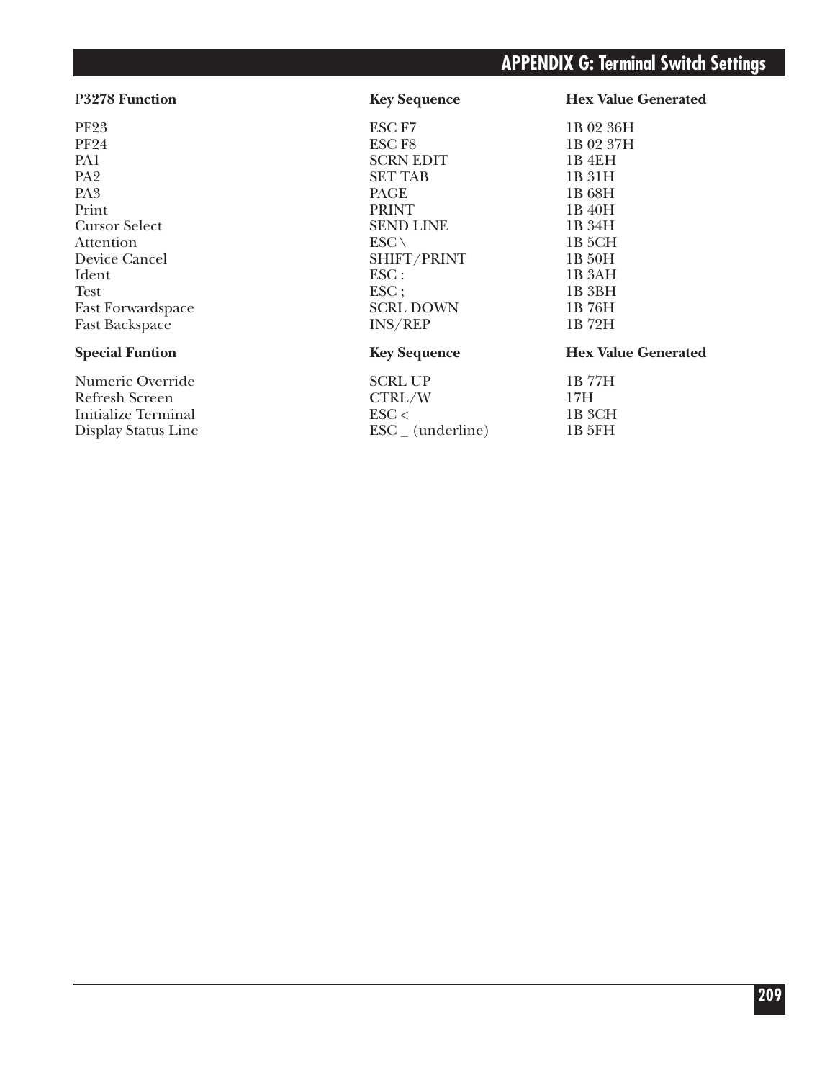### **APPENDIX G: Terminal Switch Settings**

PF23 ESC F7 1B 02 36H<br>PF24 1B 02 37H PF24 **ESC F8** 1B 02 37H PA1 SCRN EDIT 1B 4EH<br>PA2 SET TAB 1B 31H PA2 SET TAB 1B 31H PA3 PAGE 1B 68H Print 1B 40H Cursor Select SEND LINE 1B 34H<br>Attention ESC \ 1B 5CH Attention  $\text{ESC} \setminus 1B\text{ 5CH}$ Device Cancel SHIFT/PRINT 1B 50H<br>Ident ESC : 1B 3AH Ident 1B 3AH Test ESC; 1B 3BH Fast Forwardspace SCRL DOWN 1B 76H Fast Backspace

Display Status Line

Numeric Override SCRL UP 1B 77H<br>Refresh Screen CTRL/W 17H Refresh Screen CTRL/W 17H<br>Initialize Terminal ESC < 1B 3CH Initialize Terminal<br>Display Status Line<br>ESC (underline) 1B 3CH<br>IB 5FH<br>IB 5FH

P**3278 Function Key Sequence Hex Value Generated**

#### **Special Funtion Key Sequence Hex Value Generated**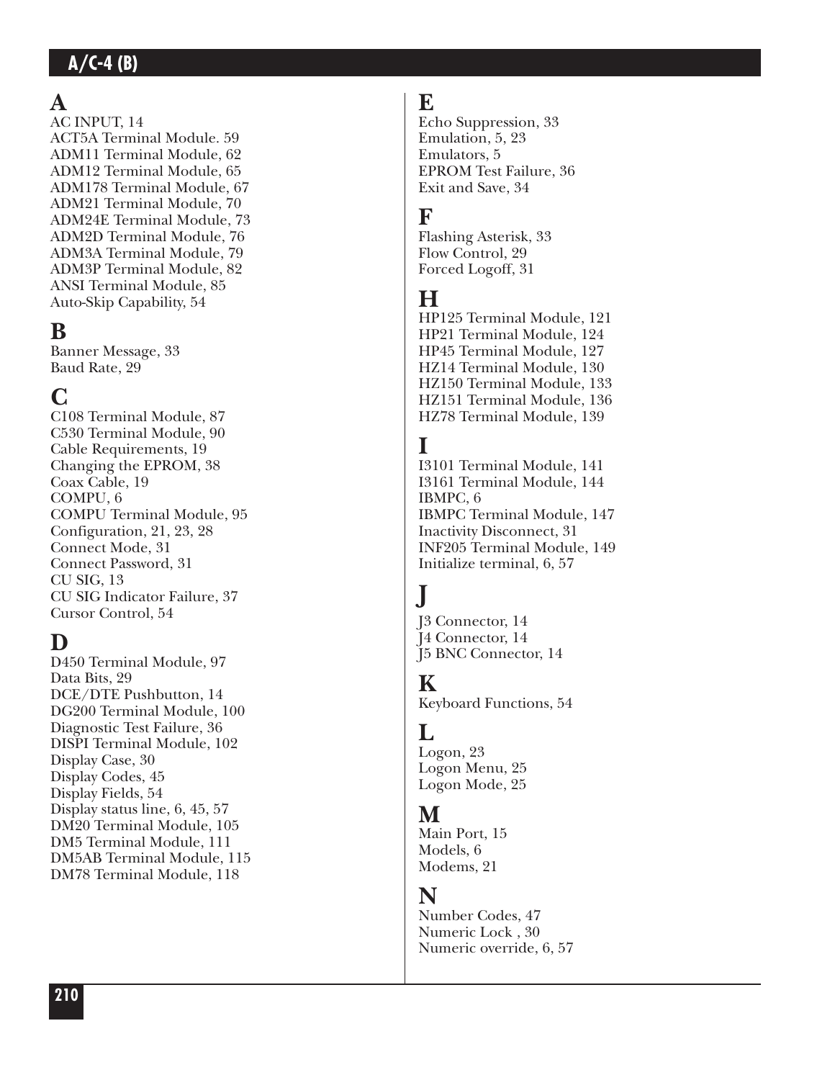# $\mathbf{A}$

AC INPUT, 14 ACT5A Terminal Module. 59 ADM11 Terminal Module, 62 ADM12 Terminal Module, 65 ADM178 Terminal Module, 67 ADM21 Terminal Module, 70 ADM24E Terminal Module, 73 ADM2D Terminal Module, 76 ADM3A Terminal Module, 79 ADM3P Terminal Module, 82 ANSI Terminal Module, 85 Auto-Skip Capability, 54

# **B**

Banner Message, 33 Baud Rate, 29

# **C**

C108 Terminal Module, 87 C530 Terminal Module, 90 Cable Requirements, 19 Changing the EPROM, 38 Coax Cable, 19 COMPU, 6 COMPU Terminal Module, 95 Configuration, 21, 23, 28 Connect Mode, 31 Connect Password, 31 CU SIG, 13 CU SIG Indicator Failure, 37 Cursor Control, 54

# **D**

**210 A** D450 Terminal Module, 97 Data Bits, 29 DCE/DTE Pushbutton, 14 DG200 Terminal Module, 100 Diagnostic Test Failure, 36 DISPI Terminal Module, 102 Display Case, 30 Display Codes, 45 Display Fields, 54 Display status line, 6, 45, 57 DM20 Terminal Module, 105 DM5 Terminal Module, 111 DM5AB Terminal Module, 115 DM78 Terminal Module, 118

# **E**

Echo Suppression, 33 Emulation, 5, 23 Emulators, 5 EPROM Test Failure, 36 Exit and Save, 34

## **F**

Flashing Asterisk, 33 Flow Control, 29 Forced Logoff, 31

# **H**

HP125 Terminal Module, 121 HP21 Terminal Module, 124 HP45 Terminal Module, 127 HZ14 Terminal Module, 130 HZ150 Terminal Module, 133 HZ151 Terminal Module, 136 HZ78 Terminal Module, 139

# **I**

I3101 Terminal Module, 141 I3161 Terminal Module, 144 IBMPC, 6 IBMPC Terminal Module, 147 Inactivity Disconnect, 31 INF205 Terminal Module, 149 Initialize terminal, 6, 57

# **J**

J3 Connector, 14 J4 Connector, 14 J5 BNC Connector, 14

# **K**

Keyboard Functions, 54

#### **L**

Logon, 23 Logon Menu, 25 Logon Mode, 25

## **M**

Main Port, 15 Models, 6 Modems, 21

#### **N**

Number Codes, 47 Numeric Lock , 30 Numeric override, 6, 57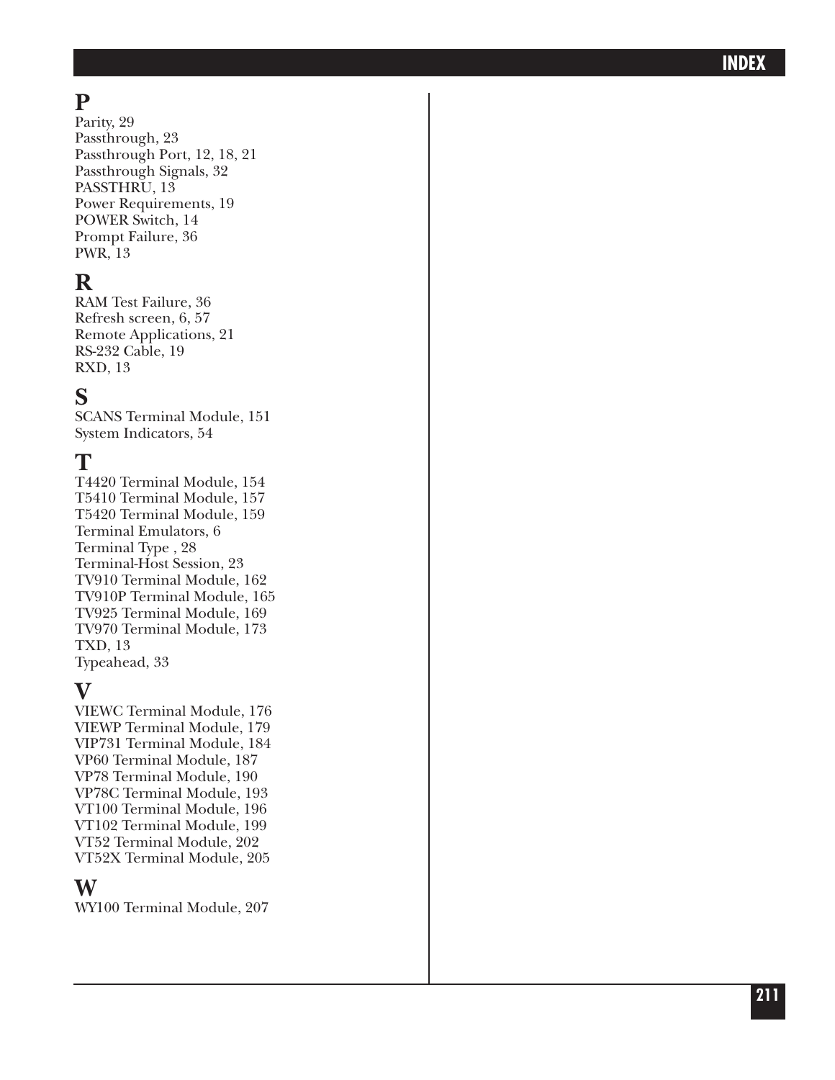# **P**

Parity, 29 Passthrough, 23 Passthrough Port, 12, 18, 21 Passthrough Signals, 32 PASSTHRU, 13 Power Requirements, 19 POWER Switch, 14 Prompt Failure, 36 PWR, 13

# **R**

RAM Test Failure, 36 Refresh screen, 6, 57 Remote Applications, 21 RS-232 Cable, 19 RXD, 13

# **S**

SCANS Terminal Module, 151 System Indicators, 54

## **T**

T4420 Terminal Module, 154 T5410 Terminal Module, 157 T5420 Terminal Module, 159 Terminal Emulators, 6 Terminal Type , 28 Terminal-Host Session, 23 TV910 Terminal Module, 162 TV910P Terminal Module, 165 TV925 Terminal Module, 169 TV970 Terminal Module, 173 TXD, 13 Typeahead, 33

## **V**

VIEWC Terminal Module, 176 VIEWP Terminal Module, 179 VIP731 Terminal Module, 184 VP60 Terminal Module, 187 VP78 Terminal Module, 190 VP78C Terminal Module, 193 VT100 Terminal Module, 196 VT102 Terminal Module, 199 VT52 Terminal Module, 202 VT52X Terminal Module, 205

## **W**

WY100 Terminal Module, 207